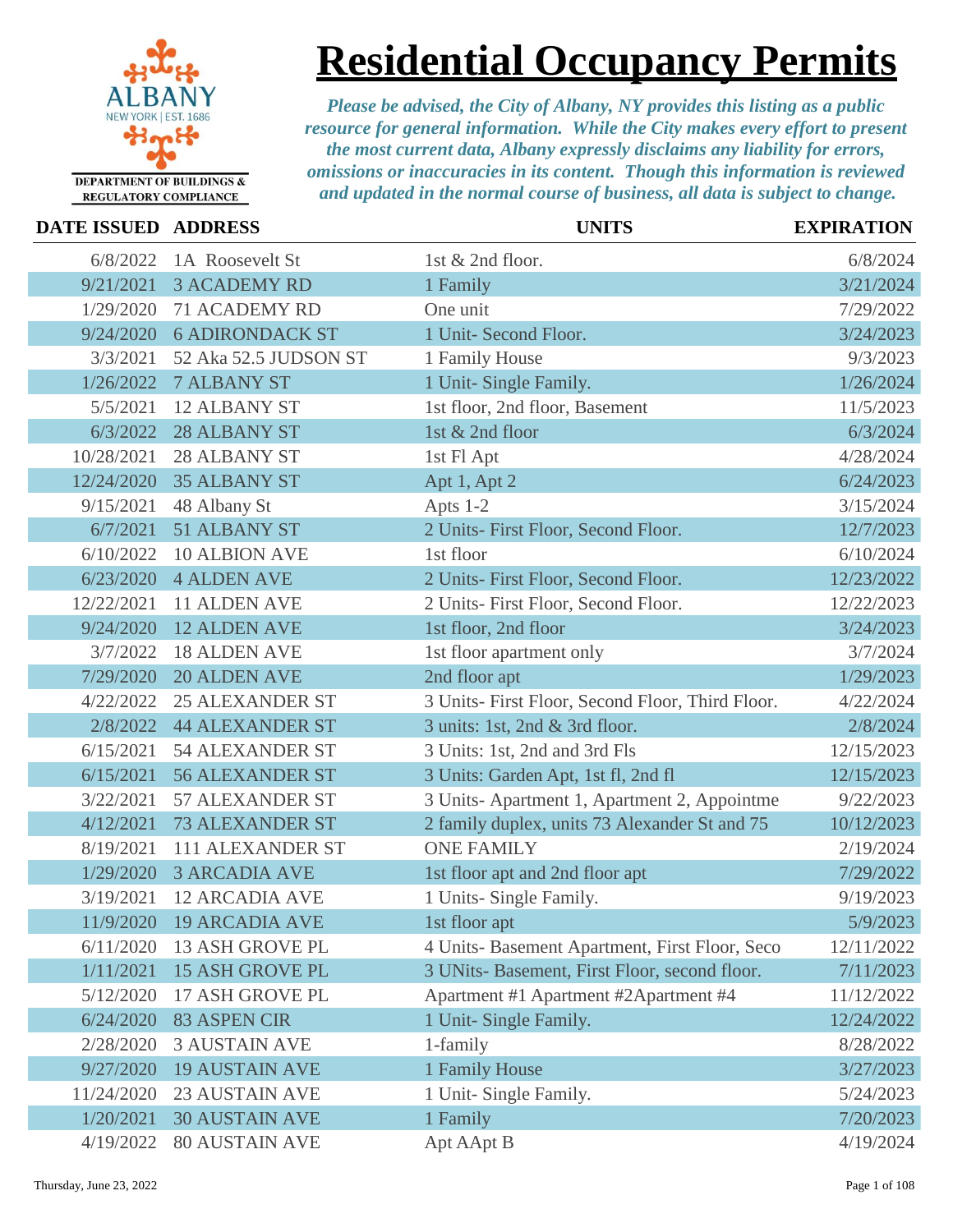

## **Residential Occupancy Permits**

| <b>DATE ISSUED ADDRESS</b> |                        | <b>UNITS</b>                                     | <b>EXPIRATION</b> |
|----------------------------|------------------------|--------------------------------------------------|-------------------|
| 6/8/2022                   | 1A Roosevelt St        | 1st & 2nd floor.                                 | 6/8/2024          |
| 9/21/2021                  | <b>3 ACADEMY RD</b>    | 1 Family                                         | 3/21/2024         |
| 1/29/2020                  | <b>71 ACADEMY RD</b>   | One unit                                         | 7/29/2022         |
| 9/24/2020                  | <b>6 ADIRONDACK ST</b> | 1 Unit- Second Floor.                            | 3/24/2023         |
| 3/3/2021                   | 52 Aka 52.5 JUDSON ST  | 1 Family House                                   | 9/3/2023          |
| 1/26/2022                  | <b>7 ALBANY ST</b>     | 1 Unit- Single Family.                           | 1/26/2024         |
| 5/5/2021                   | <b>12 ALBANY ST</b>    | 1st floor, 2nd floor, Basement                   | 11/5/2023         |
| 6/3/2022                   | 28 ALBANY ST           | 1st & 2nd floor                                  | 6/3/2024          |
| 10/28/2021                 | <b>28 ALBANY ST</b>    | 1st Fl Apt                                       | 4/28/2024         |
| 12/24/2020                 | <b>35 ALBANY ST</b>    | Apt 1, Apt 2                                     | 6/24/2023         |
| 9/15/2021                  | 48 Albany St           | Apts 1-2                                         | 3/15/2024         |
| 6/7/2021                   | 51 ALBANY ST           | 2 Units- First Floor, Second Floor.              | 12/7/2023         |
| 6/10/2022                  | <b>10 ALBION AVE</b>   | 1st floor                                        | 6/10/2024         |
| 6/23/2020                  | <b>4 ALDEN AVE</b>     | 2 Units- First Floor, Second Floor.              | 12/23/2022        |
| 12/22/2021                 | 11 ALDEN AVE           | 2 Units- First Floor, Second Floor.              | 12/22/2023        |
| 9/24/2020                  | <b>12 ALDEN AVE</b>    | 1st floor, 2nd floor                             | 3/24/2023         |
| 3/7/2022                   | <b>18 ALDEN AVE</b>    | 1st floor apartment only                         | 3/7/2024          |
| 7/29/2020                  | <b>20 ALDEN AVE</b>    | 2nd floor apt                                    | 1/29/2023         |
| 4/22/2022                  | <b>25 ALEXANDER ST</b> | 3 Units- First Floor, Second Floor, Third Floor. | 4/22/2024         |
| 2/8/2022                   | <b>44 ALEXANDER ST</b> | 3 units: 1st, 2nd & 3rd floor.                   | 2/8/2024          |
| 6/15/2021                  | <b>54 ALEXANDER ST</b> | 3 Units: 1st, 2nd and 3rd Fls                    | 12/15/2023        |
| 6/15/2021                  | <b>56 ALEXANDER ST</b> | 3 Units: Garden Apt, 1st fl, 2nd fl              | 12/15/2023        |
| 3/22/2021                  | 57 ALEXANDER ST        | 3 Units-Apartment 1, Apartment 2, Appointme      | 9/22/2023         |
| 4/12/2021                  | <b>73 ALEXANDER ST</b> | 2 family duplex, units 73 Alexander St and 75    | 10/12/2023        |
| 8/19/2021                  | 111 ALEXANDER ST       | <b>ONE FAMILY</b>                                | 2/19/2024         |
| 1/29/2020                  | <b>3 ARCADIA AVE</b>   | 1st floor apt and 2nd floor apt                  | 7/29/2022         |
| 3/19/2021                  | <b>12 ARCADIA AVE</b>  | 1 Units- Single Family.                          | 9/19/2023         |
| 11/9/2020                  | <b>19 ARCADIA AVE</b>  | 1st floor apt                                    | 5/9/2023          |
| 6/11/2020                  | <b>13 ASH GROVE PL</b> | 4 Units- Basement Apartment, First Floor, Seco   | 12/11/2022        |
| 1/11/2021                  | <b>15 ASH GROVE PL</b> | 3 UNits- Basement, First Floor, second floor.    | 7/11/2023         |
| 5/12/2020                  | 17 ASH GROVE PL        | Apartment #1 Apartment #2Apartment #4            | 11/12/2022        |
| 6/24/2020                  | 83 ASPEN CIR           | 1 Unit- Single Family.                           | 12/24/2022        |
| 2/28/2020                  | <b>3 AUSTAIN AVE</b>   | 1-family                                         | 8/28/2022         |
| 9/27/2020                  | <b>19 AUSTAIN AVE</b>  | 1 Family House                                   | 3/27/2023         |
| 11/24/2020                 | <b>23 AUSTAIN AVE</b>  | 1 Unit- Single Family.                           | 5/24/2023         |
| 1/20/2021                  | <b>30 AUSTAIN AVE</b>  | 1 Family                                         | 7/20/2023         |
| 4/19/2022                  | <b>80 AUSTAIN AVE</b>  | Apt AApt B                                       | 4/19/2024         |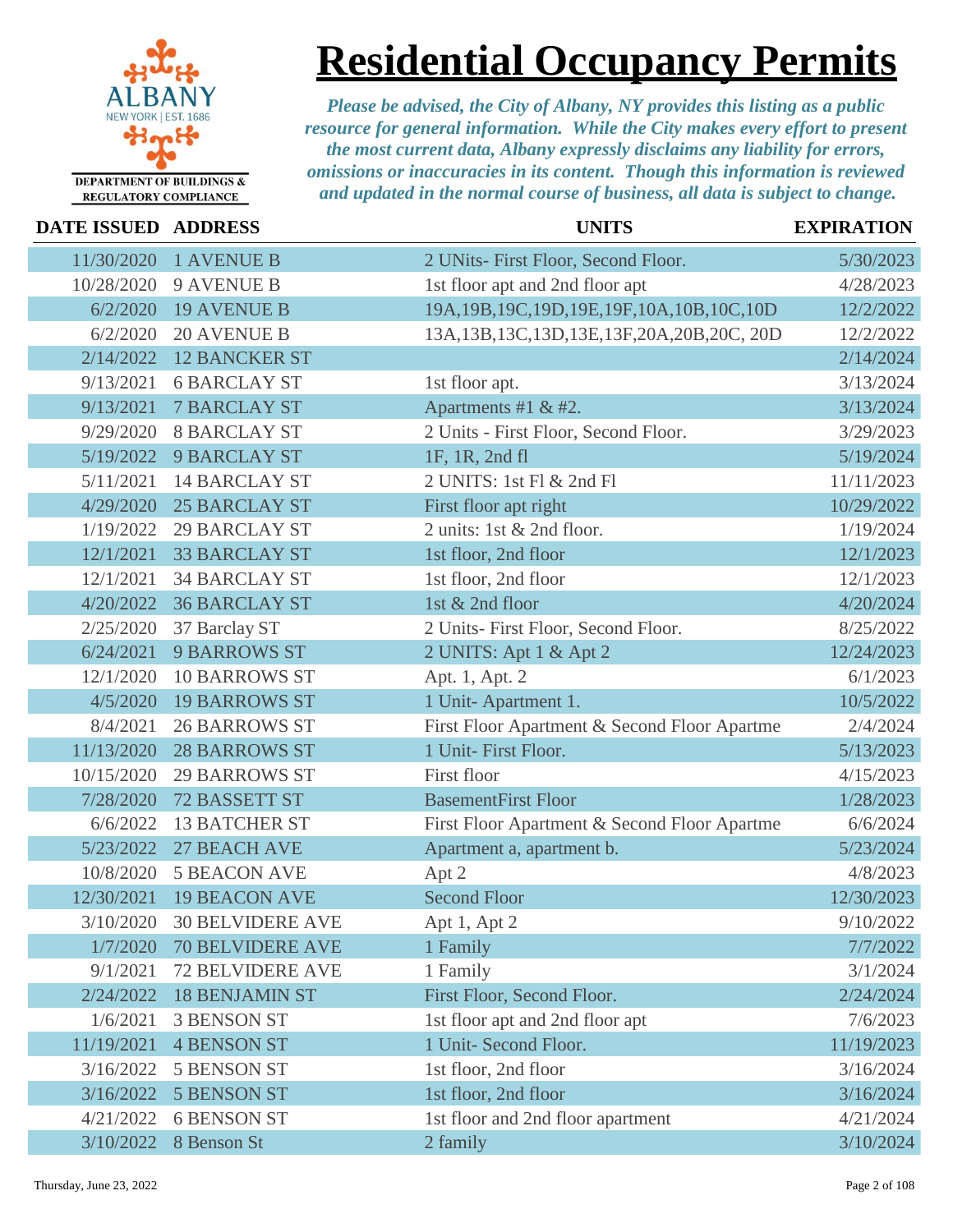

**Residential Occupancy Permits**

| DATE ISSUED ADDRESS |                         | <b>UNITS</b>                                     | <b>EXPIRATION</b> |
|---------------------|-------------------------|--------------------------------------------------|-------------------|
| 11/30/2020          | <b>1 AVENUE B</b>       | 2 UNits- First Floor, Second Floor.              | 5/30/2023         |
| 10/28/2020          | <b>9 AVENUE B</b>       | 1st floor apt and 2nd floor apt                  | 4/28/2023         |
| 6/2/2020            | <b>19 AVENUE B</b>      | 19A, 19B, 19C, 19D, 19E, 19F, 10A, 10B, 10C, 10D | 12/2/2022         |
| 6/2/2020            | <b>20 AVENUE B</b>      | 13A, 13B, 13C, 13D, 13E, 13F, 20A, 20B, 20C, 20D | 12/2/2022         |
| 2/14/2022           | <b>12 BANCKER ST</b>    |                                                  | 2/14/2024         |
| 9/13/2021           | <b>6 BARCLAY ST</b>     | 1st floor apt.                                   | 3/13/2024         |
| 9/13/2021           | <b>7 BARCLAY ST</b>     | Apartments #1 & #2.                              | 3/13/2024         |
| 9/29/2020           | <b>8 BARCLAY ST</b>     | 2 Units - First Floor, Second Floor.             | 3/29/2023         |
| 5/19/2022           | <b>9 BARCLAY ST</b>     | 1F, 1R, 2nd fl                                   | 5/19/2024         |
| 5/11/2021           | <b>14 BARCLAY ST</b>    | 2 UNITS: 1st Fl & 2nd Fl                         | 11/11/2023        |
| 4/29/2020           | <b>25 BARCLAY ST</b>    | First floor apt right                            | 10/29/2022        |
| 1/19/2022           | <b>29 BARCLAY ST</b>    | 2 units: 1st & 2nd floor.                        | 1/19/2024         |
| 12/1/2021           | <b>33 BARCLAY ST</b>    | 1st floor, 2nd floor                             | 12/1/2023         |
| 12/1/2021           | <b>34 BARCLAY ST</b>    | 1st floor, 2nd floor                             | 12/1/2023         |
| 4/20/2022           | <b>36 BARCLAY ST</b>    | 1st & 2nd floor                                  | 4/20/2024         |
| 2/25/2020           | 37 Barclay ST           | 2 Units- First Floor, Second Floor.              | 8/25/2022         |
| 6/24/2021           | <b>9 BARROWS ST</b>     | 2 UNITS: Apt 1 & Apt 2                           | 12/24/2023        |
| 12/1/2020           | <b>10 BARROWS ST</b>    | Apt. 1, Apt. 2                                   | 6/1/2023          |
| 4/5/2020            | <b>19 BARROWS ST</b>    | 1 Unit-Apartment 1.                              | 10/5/2022         |
| 8/4/2021            | <b>26 BARROWS ST</b>    | First Floor Apartment & Second Floor Apartme     | 2/4/2024          |
| 11/13/2020          | <b>28 BARROWS ST</b>    | 1 Unit- First Floor.                             | 5/13/2023         |
| 10/15/2020          | <b>29 BARROWS ST</b>    | First floor                                      | 4/15/2023         |
| 7/28/2020           | 72 BASSETT ST           | <b>BasementFirst Floor</b>                       | 1/28/2023         |
| 6/6/2022            | <b>13 BATCHER ST</b>    | First Floor Apartment & Second Floor Apartme     | 6/6/2024          |
| 5/23/2022           | 27 BEACH AVE            | Apartment a, apartment b.                        | 5/23/2024         |
| 10/8/2020           | <b>5 BEACON AVE</b>     | Apt 2                                            | 4/8/2023          |
| 12/30/2021          | <b>19 BEACON AVE</b>    | <b>Second Floor</b>                              | 12/30/2023        |
| 3/10/2020           | <b>30 BELVIDERE AVE</b> | Apt 1, Apt 2                                     | 9/10/2022         |
| 1/7/2020            | <b>70 BELVIDERE AVE</b> | 1 Family                                         | 7/7/2022          |
| 9/1/2021            | <b>72 BELVIDERE AVE</b> | 1 Family                                         | 3/1/2024          |
| 2/24/2022           | <b>18 BENJAMIN ST</b>   | First Floor, Second Floor.                       | 2/24/2024         |
| 1/6/2021            | <b>3 BENSON ST</b>      | 1st floor apt and 2nd floor apt                  | 7/6/2023          |
| 11/19/2021          | <b>4 BENSON ST</b>      | 1 Unit- Second Floor.                            | 11/19/2023        |
| 3/16/2022           | <b>5 BENSON ST</b>      | 1st floor, 2nd floor                             | 3/16/2024         |
| 3/16/2022           | <b>5 BENSON ST</b>      | 1st floor, 2nd floor                             | 3/16/2024         |
| 4/21/2022           | <b>6 BENSON ST</b>      | 1st floor and 2nd floor apartment                | 4/21/2024         |
| 3/10/2022           | 8 Benson St             | 2 family                                         | 3/10/2024         |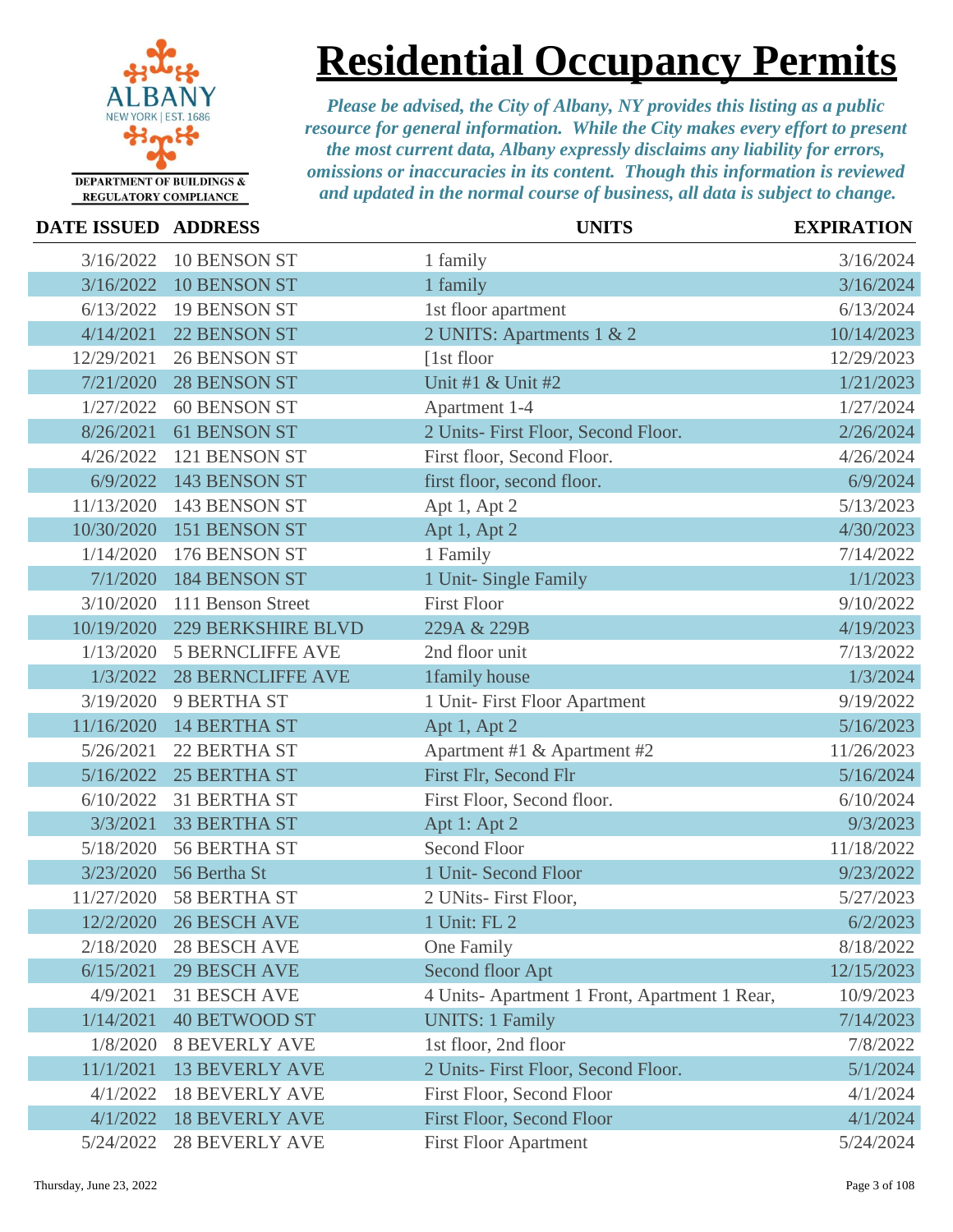

**Residential Occupancy Permits**

| DATE ISSUED ADDRESS |                           | <b>UNITS</b>                                 | <b>EXPIRATION</b> |
|---------------------|---------------------------|----------------------------------------------|-------------------|
| 3/16/2022           | <b>10 BENSON ST</b>       | 1 family                                     | 3/16/2024         |
| 3/16/2022           | <b>10 BENSON ST</b>       | 1 family                                     | 3/16/2024         |
| 6/13/2022           | <b>19 BENSON ST</b>       | 1st floor apartment                          | 6/13/2024         |
| 4/14/2021           | 22 BENSON ST              | 2 UNITS: Apartments 1 & 2                    | 10/14/2023        |
| 12/29/2021          | <b>26 BENSON ST</b>       | $[1st$ floor                                 | 12/29/2023        |
| 7/21/2020           | <b>28 BENSON ST</b>       | Unit #1 & Unit #2                            | 1/21/2023         |
| 1/27/2022           | <b>60 BENSON ST</b>       | Apartment 1-4                                | 1/27/2024         |
| 8/26/2021           | 61 BENSON ST              | 2 Units- First Floor, Second Floor.          | 2/26/2024         |
| 4/26/2022           | 121 BENSON ST             | First floor, Second Floor.                   | 4/26/2024         |
| 6/9/2022            | 143 BENSON ST             | first floor, second floor.                   | 6/9/2024          |
| 11/13/2020          | 143 BENSON ST             | Apt 1, Apt 2                                 | 5/13/2023         |
| 10/30/2020          | 151 BENSON ST             | Apt 1, Apt 2                                 | 4/30/2023         |
| 1/14/2020           | 176 BENSON ST             | 1 Family                                     | 7/14/2022         |
| 7/1/2020            | <b>184 BENSON ST</b>      | 1 Unit- Single Family                        | 1/1/2023          |
| 3/10/2020           | 111 Benson Street         | <b>First Floor</b>                           | 9/10/2022         |
| 10/19/2020          | <b>229 BERKSHIRE BLVD</b> | 229A & 229B                                  | 4/19/2023         |
| 1/13/2020           | <b>5 BERNCLIFFE AVE</b>   | 2nd floor unit                               | 7/13/2022         |
| 1/3/2022            | <b>28 BERNCLIFFE AVE</b>  | 1family house                                | 1/3/2024          |
| 3/19/2020           | <b>9 BERTHA ST</b>        | 1 Unit- First Floor Apartment                | 9/19/2022         |
| 11/16/2020          | <b>14 BERTHA ST</b>       | Apt 1, Apt 2                                 | 5/16/2023         |
| 5/26/2021           | 22 BERTHA ST              | Apartment #1 & Apartment #2                  | 11/26/2023        |
| 5/16/2022           | <b>25 BERTHA ST</b>       | First Flr, Second Flr                        | 5/16/2024         |
| 6/10/2022           | 31 BERTHA ST              | First Floor, Second floor.                   | 6/10/2024         |
| 3/3/2021            | <b>33 BERTHA ST</b>       | Apt 1: Apt 2                                 | 9/3/2023          |
| 5/18/2020           | <b>56 BERTHA ST</b>       | <b>Second Floor</b>                          | 11/18/2022        |
| 3/23/2020           | 56 Bertha St              | 1 Unit- Second Floor                         | 9/23/2022         |
| 11/27/2020          | 58 BERTHA ST              | 2 UNits-First Floor,                         | 5/27/2023         |
|                     | 12/2/2020 26 BESCH AVE    | 1 Unit: FL 2                                 | 6/2/2023          |
| 2/18/2020           | <b>28 BESCH AVE</b>       | One Family                                   | 8/18/2022         |
| 6/15/2021           | <b>29 BESCH AVE</b>       | Second floor Apt                             | 12/15/2023        |
| 4/9/2021            | <b>31 BESCH AVE</b>       | 4 Units-Apartment 1 Front, Apartment 1 Rear, | 10/9/2023         |
| 1/14/2021           | <b>40 BETWOOD ST</b>      | <b>UNITS: 1 Family</b>                       | 7/14/2023         |
| 1/8/2020            | <b>8 BEVERLY AVE</b>      | 1st floor, 2nd floor                         | 7/8/2022          |
| 11/1/2021           | <b>13 BEVERLY AVE</b>     | 2 Units- First Floor, Second Floor.          | 5/1/2024          |
| 4/1/2022            | <b>18 BEVERLY AVE</b>     | First Floor, Second Floor                    | 4/1/2024          |
| 4/1/2022            | <b>18 BEVERLY AVE</b>     | First Floor, Second Floor                    | 4/1/2024          |
| 5/24/2022           | <b>28 BEVERLY AVE</b>     | <b>First Floor Apartment</b>                 | 5/24/2024         |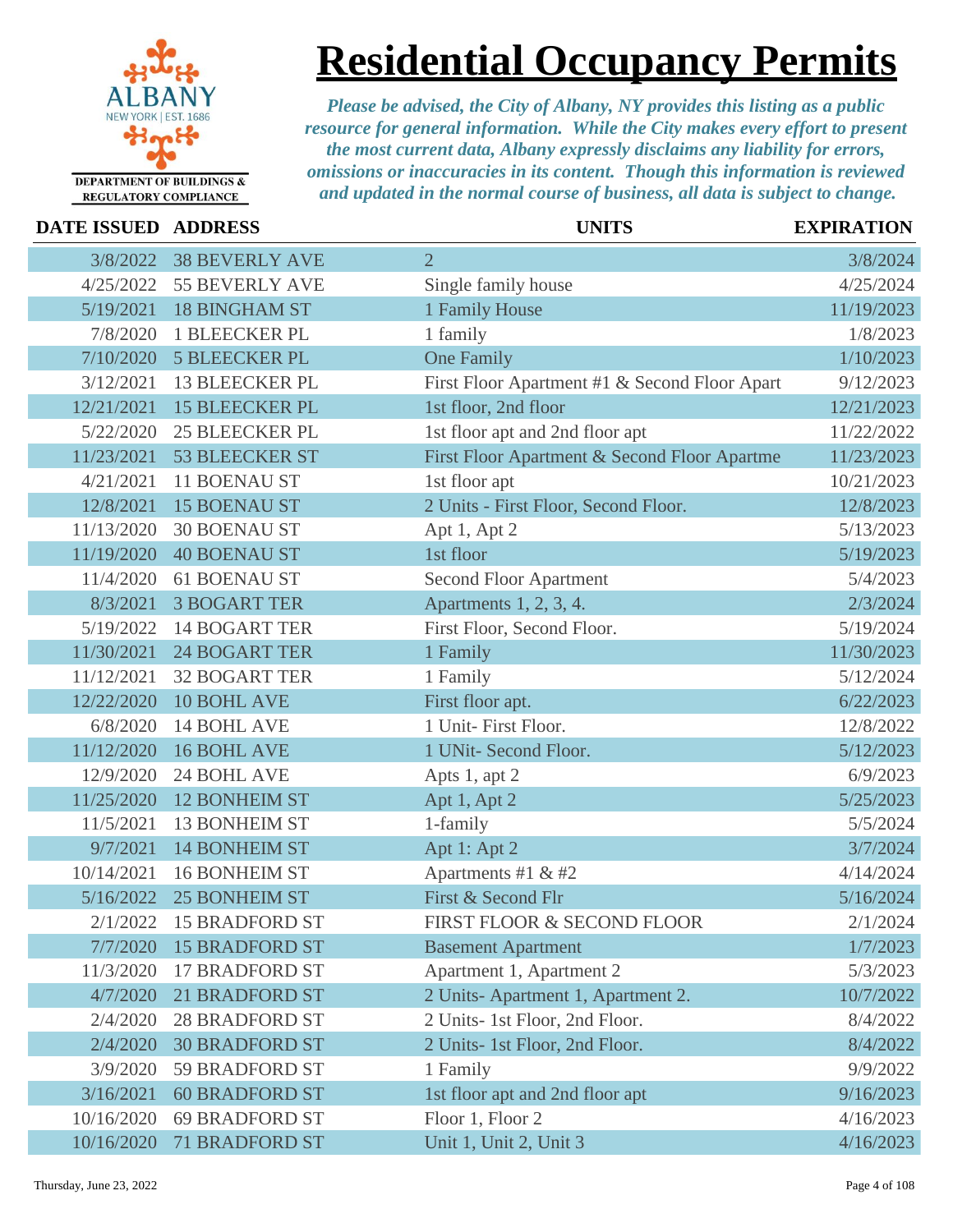

### **Residential Occupancy Permits**

| <b>DATE ISSUED ADDRESS</b> |                       | <b>UNITS</b>                                  | <b>EXPIRATION</b> |
|----------------------------|-----------------------|-----------------------------------------------|-------------------|
| 3/8/2022                   | <b>38 BEVERLY AVE</b> | $\overline{2}$                                | 3/8/2024          |
| 4/25/2022                  | <b>55 BEVERLY AVE</b> | Single family house                           | 4/25/2024         |
| 5/19/2021                  | <b>18 BINGHAM ST</b>  | 1 Family House                                | 11/19/2023        |
| 7/8/2020                   | <b>1 BLEECKER PL</b>  | 1 family                                      | 1/8/2023          |
| 7/10/2020                  | <b>5 BLEECKER PL</b>  | <b>One Family</b>                             | 1/10/2023         |
| 3/12/2021                  | <b>13 BLEECKER PL</b> | First Floor Apartment #1 & Second Floor Apart | 9/12/2023         |
| 12/21/2021                 | <b>15 BLEECKER PL</b> | 1st floor, 2nd floor                          | 12/21/2023        |
| 5/22/2020                  | <b>25 BLEECKER PL</b> | 1st floor apt and 2nd floor apt               | 11/22/2022        |
| 11/23/2021                 | <b>53 BLEECKER ST</b> | First Floor Apartment & Second Floor Apartme  | 11/23/2023        |
| 4/21/2021                  | <b>11 BOENAU ST</b>   | 1st floor apt                                 | 10/21/2023        |
| 12/8/2021                  | <b>15 BOENAU ST</b>   | 2 Units - First Floor, Second Floor.          | 12/8/2023         |
| 11/13/2020                 | <b>30 BOENAU ST</b>   | Apt 1, Apt 2                                  | 5/13/2023         |
| 11/19/2020                 | <b>40 BOENAU ST</b>   | 1st floor                                     | 5/19/2023         |
| 11/4/2020                  | <b>61 BOENAU ST</b>   | <b>Second Floor Apartment</b>                 | 5/4/2023          |
| 8/3/2021                   | <b>3 BOGART TER</b>   | Apartments 1, 2, 3, 4.                        | 2/3/2024          |
| 5/19/2022                  | <b>14 BOGART TER</b>  | First Floor, Second Floor.                    | 5/19/2024         |
| 11/30/2021                 | <b>24 BOGART TER</b>  | 1 Family                                      | 11/30/2023        |
| 11/12/2021                 | <b>32 BOGART TER</b>  | 1 Family                                      | 5/12/2024         |
| 12/22/2020                 | 10 BOHL AVE           | First floor apt.                              | 6/22/2023         |
| 6/8/2020                   | <b>14 BOHL AVE</b>    | 1 Unit- First Floor.                          | 12/8/2022         |
| 11/12/2020                 | <b>16 BOHL AVE</b>    | 1 UNit- Second Floor.                         | 5/12/2023         |
| 12/9/2020                  | 24 BOHL AVE           | Apts 1, apt 2                                 | 6/9/2023          |
| 11/25/2020                 | <b>12 BONHEIM ST</b>  | Apt 1, Apt 2                                  | 5/25/2023         |
| 11/5/2021                  | <b>13 BONHEIM ST</b>  | 1-family                                      | 5/5/2024          |
| 9/7/2021                   | <b>14 BONHEIM ST</b>  | Apt 1: Apt 2                                  | 3/7/2024          |
| 10/14/2021                 | <b>16 BONHEIM ST</b>  | Apartments #1 & #2                            | 4/14/2024         |
| 5/16/2022                  | <b>25 BONHEIM ST</b>  | First & Second Flr                            | 5/16/2024         |
| 2/1/2022                   | <b>15 BRADFORD ST</b> | FIRST FLOOR & SECOND FLOOR                    | 2/1/2024          |
| 7/7/2020                   | <b>15 BRADFORD ST</b> | <b>Basement Apartment</b>                     | 1/7/2023          |
| 11/3/2020                  | <b>17 BRADFORD ST</b> | Apartment 1, Apartment 2                      | 5/3/2023          |
| 4/7/2020                   | <b>21 BRADFORD ST</b> | 2 Units-Apartment 1, Apartment 2.             | 10/7/2022         |
| 2/4/2020                   | <b>28 BRADFORD ST</b> | 2 Units- 1st Floor, 2nd Floor.                | 8/4/2022          |
| 2/4/2020                   | <b>30 BRADFORD ST</b> | 2 Units- 1st Floor, 2nd Floor.                | 8/4/2022          |
| 3/9/2020                   | <b>59 BRADFORD ST</b> | 1 Family                                      | 9/9/2022          |
| 3/16/2021                  | <b>60 BRADFORD ST</b> | 1st floor apt and 2nd floor apt               | 9/16/2023         |
| 10/16/2020                 | <b>69 BRADFORD ST</b> | Floor 1, Floor 2                              | 4/16/2023         |
| 10/16/2020                 | <b>71 BRADFORD ST</b> | Unit 1, Unit 2, Unit 3                        | 4/16/2023         |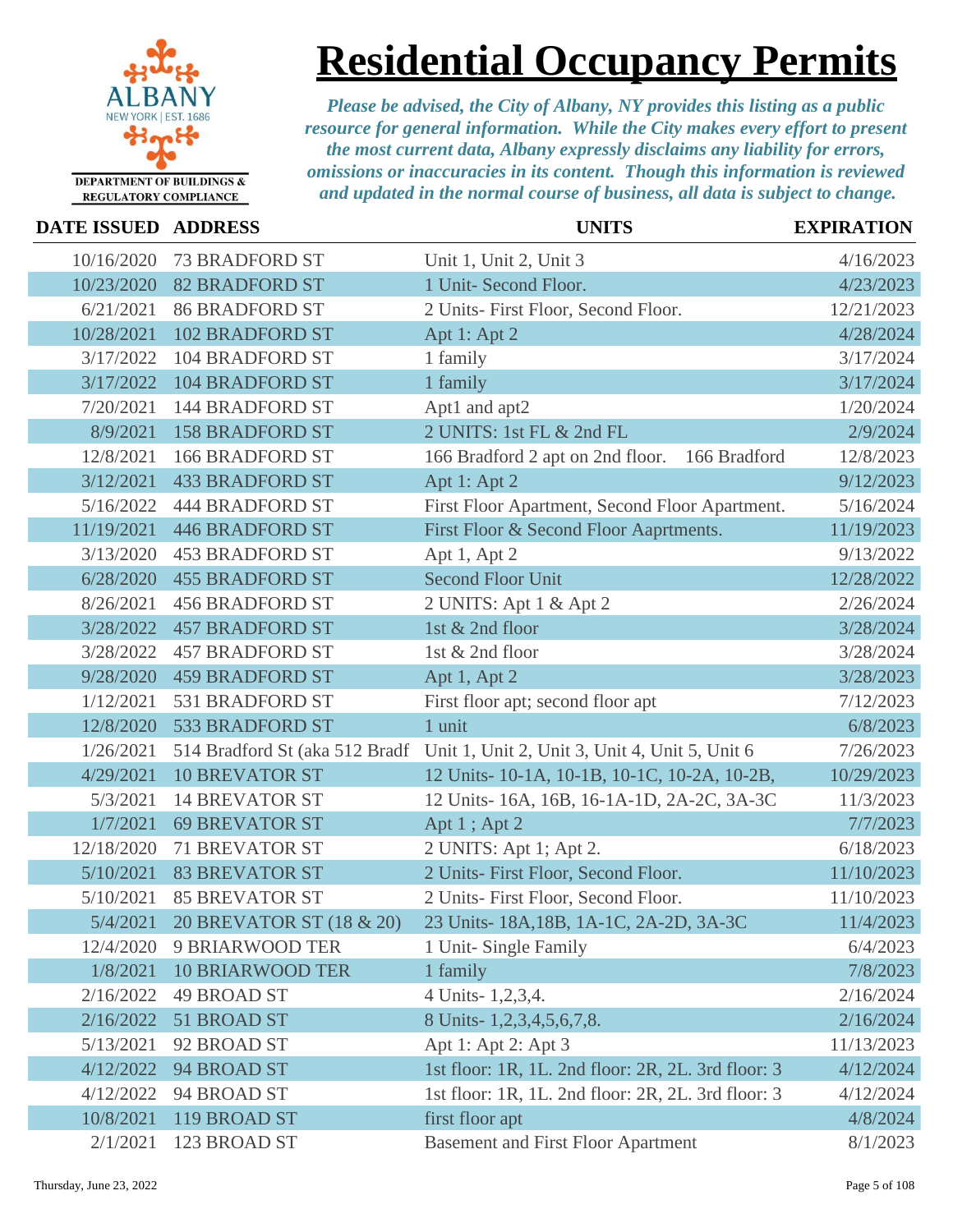

## **Residential Occupancy Permits**

| DATE ISSUED ADDRESS |                          | <b>UNITS</b>                                                                  | <b>EXPIRATION</b> |
|---------------------|--------------------------|-------------------------------------------------------------------------------|-------------------|
| 10/16/2020          | <b>73 BRADFORD ST</b>    | Unit 1, Unit 2, Unit 3                                                        | 4/16/2023         |
| 10/23/2020          | <b>82 BRADFORD ST</b>    | 1 Unit- Second Floor.                                                         | 4/23/2023         |
| 6/21/2021           | <b>86 BRADFORD ST</b>    | 2 Units- First Floor, Second Floor.                                           | 12/21/2023        |
| 10/28/2021          | <b>102 BRADFORD ST</b>   | Apt 1: Apt 2                                                                  | 4/28/2024         |
| 3/17/2022           | <b>104 BRADFORD ST</b>   | 1 family                                                                      | 3/17/2024         |
| 3/17/2022           | <b>104 BRADFORD ST</b>   | 1 family                                                                      | 3/17/2024         |
| 7/20/2021           | <b>144 BRADFORD ST</b>   | Apt1 and apt2                                                                 | 1/20/2024         |
| 8/9/2021            | <b>158 BRADFORD ST</b>   | 2 UNITS: 1st FL & 2nd FL                                                      | 2/9/2024          |
| 12/8/2021           | <b>166 BRADFORD ST</b>   | 166 Bradford 2 apt on 2nd floor.<br>166 Bradford                              | 12/8/2023         |
| 3/12/2021           | <b>433 BRADFORD ST</b>   | Apt 1: Apt 2                                                                  | 9/12/2023         |
| 5/16/2022           | <b>444 BRADFORD ST</b>   | First Floor Apartment, Second Floor Apartment.                                | 5/16/2024         |
| 11/19/2021          | <b>446 BRADFORD ST</b>   | First Floor & Second Floor Aaprtments.                                        | 11/19/2023        |
| 3/13/2020           | <b>453 BRADFORD ST</b>   | Apt 1, Apt 2                                                                  | 9/13/2022         |
| 6/28/2020           | <b>455 BRADFORD ST</b>   | <b>Second Floor Unit</b>                                                      | 12/28/2022        |
| 8/26/2021           | <b>456 BRADFORD ST</b>   | 2 UNITS: Apt 1 & Apt 2                                                        | 2/26/2024         |
| 3/28/2022           | <b>457 BRADFORD ST</b>   | 1st & 2nd floor                                                               | 3/28/2024         |
| 3/28/2022           | <b>457 BRADFORD ST</b>   | 1st & 2nd floor                                                               | 3/28/2024         |
| 9/28/2020           | <b>459 BRADFORD ST</b>   | Apt 1, Apt 2                                                                  | 3/28/2023         |
| 1/12/2021           | 531 BRADFORD ST          | First floor apt; second floor apt                                             | 7/12/2023         |
| 12/8/2020           | 533 BRADFORD ST          | 1 unit                                                                        | 6/8/2023          |
| 1/26/2021           |                          | 514 Bradford St (aka 512 Bradf Unit 1, Unit 2, Unit 3, Unit 4, Unit 5, Unit 6 | 7/26/2023         |
| 4/29/2021           | <b>10 BREVATOR ST</b>    | 12 Units-10-1A, 10-1B, 10-1C, 10-2A, 10-2B,                                   | 10/29/2023        |
| 5/3/2021            | <b>14 BREVATOR ST</b>    | 12 Units-16A, 16B, 16-1A-1D, 2A-2C, 3A-3C                                     | 11/3/2023         |
| 1/7/2021            | <b>69 BREVATOR ST</b>    | Apt 1; Apt 2                                                                  | 7/7/2023          |
| 12/18/2020          | <b>71 BREVATOR ST</b>    | 2 UNITS: Apt 1; Apt 2.                                                        | 6/18/2023         |
| 5/10/2021           | <b>83 BREVATOR ST</b>    | 2 Units- First Floor, Second Floor.                                           | 11/10/2023        |
| 5/10/2021           | <b>85 BREVATOR ST</b>    | 2 Units- First Floor, Second Floor.                                           | 11/10/2023        |
| 5/4/2021            | 20 BREVATOR ST (18 & 20) | 23 Units-18A,18B, 1A-1C, 2A-2D, 3A-3C                                         | 11/4/2023         |
| 12/4/2020           | <b>9 BRIARWOOD TER</b>   | 1 Unit-Single Family                                                          | 6/4/2023          |
| 1/8/2021            | <b>10 BRIARWOOD TER</b>  | 1 family                                                                      | 7/8/2023          |
| 2/16/2022           | <b>49 BROAD ST</b>       | 4 Units-1,2,3,4.                                                              | 2/16/2024         |
| 2/16/2022           | 51 BROAD ST              | 8 Units-1,2,3,4,5,6,7,8.                                                      | 2/16/2024         |
| 5/13/2021           | 92 BROAD ST              | Apt 1: Apt 2: Apt 3                                                           | 11/13/2023        |
| 4/12/2022           | 94 BROAD ST              | 1st floor: 1R, 1L. 2nd floor: 2R, 2L. 3rd floor: 3                            | 4/12/2024         |
| 4/12/2022           | 94 BROAD ST              | 1st floor: 1R, 1L. 2nd floor: 2R, 2L. 3rd floor: 3                            | 4/12/2024         |
| 10/8/2021           | 119 BROAD ST             | first floor apt                                                               | 4/8/2024          |
| 2/1/2021            | 123 BROAD ST             | <b>Basement and First Floor Apartment</b>                                     | 8/1/2023          |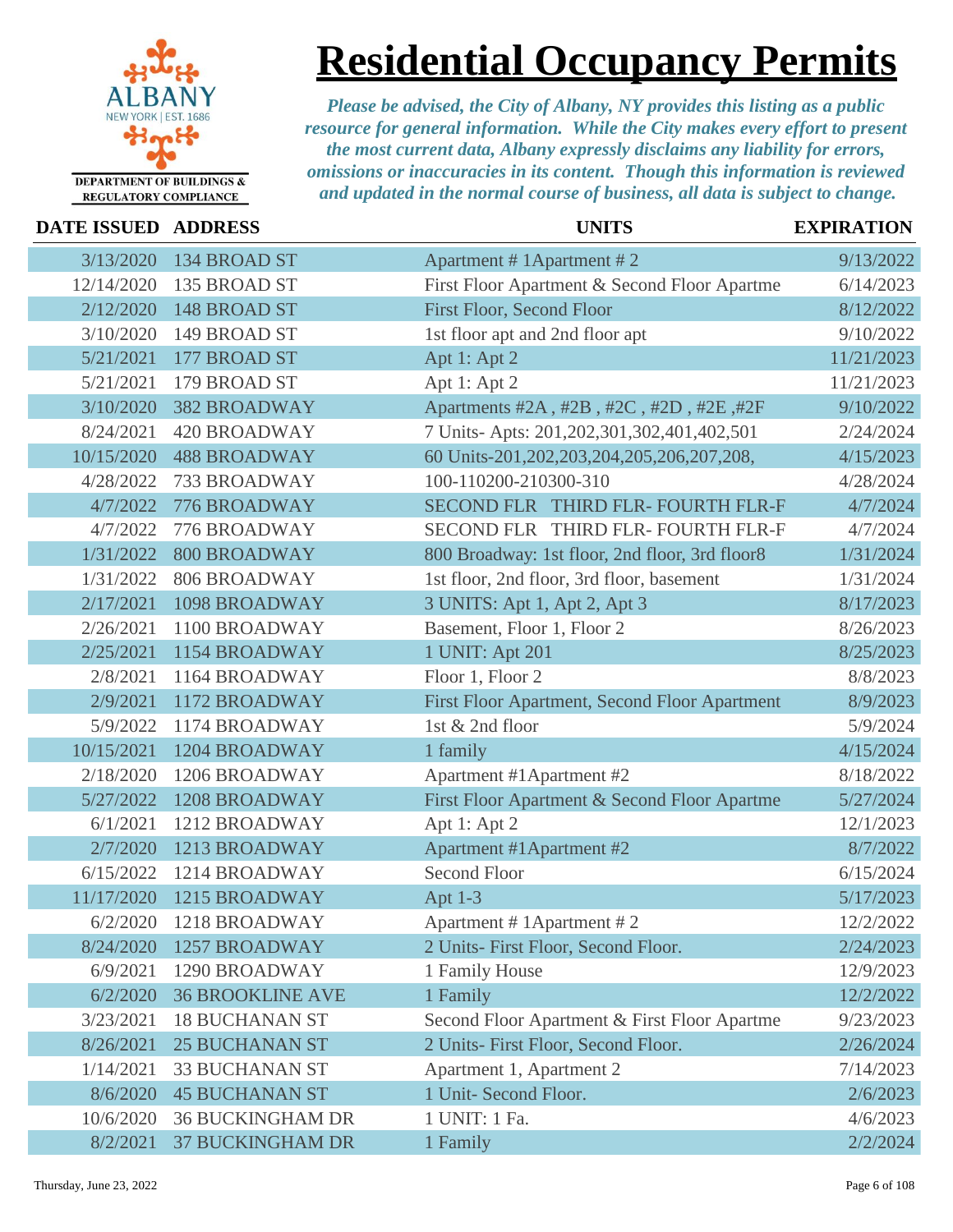

**Residential Occupancy Permits**

| <b>DATE ISSUED ADDRESS</b> |                         | <b>UNITS</b>                                   | <b>EXPIRATION</b> |
|----------------------------|-------------------------|------------------------------------------------|-------------------|
| 3/13/2020                  | 134 BROAD ST            | Apartment # 1 Apartment # 2                    | 9/13/2022         |
| 12/14/2020                 | 135 BROAD ST            | First Floor Apartment & Second Floor Apartme   | 6/14/2023         |
| 2/12/2020                  | 148 BROAD ST            | <b>First Floor, Second Floor</b>               | 8/12/2022         |
| 3/10/2020                  | 149 BROAD ST            | 1st floor apt and 2nd floor apt                | 9/10/2022         |
| 5/21/2021                  | 177 BROAD ST            | Apt 1: Apt 2                                   | 11/21/2023        |
| 5/21/2021                  | 179 BROAD ST            | Apt 1: Apt 2                                   | 11/21/2023        |
| 3/10/2020                  | <b>382 BROADWAY</b>     | Apartments #2A, #2B, #2C, #2D, #2E, #2F        | 9/10/2022         |
| 8/24/2021                  | <b>420 BROADWAY</b>     | 7 Units- Apts: 201,202,301,302,401,402,501     | 2/24/2024         |
| 10/15/2020                 | <b>488 BROADWAY</b>     | 60 Units-201,202,203,204,205,206,207,208,      | 4/15/2023         |
| 4/28/2022                  | 733 BROADWAY            | 100-110200-210300-310                          | 4/28/2024         |
| 4/7/2022                   | 776 BROADWAY            | SECOND FLR THIRD FLR- FOURTH FLR-F             | 4/7/2024          |
| 4/7/2022                   | 776 BROADWAY            | SECOND FLR THIRD FLR- FOURTH FLR-F             | 4/7/2024          |
| 1/31/2022                  | <b>800 BROADWAY</b>     | 800 Broadway: 1st floor, 2nd floor, 3rd floor8 | 1/31/2024         |
| 1/31/2022                  | <b>806 BROADWAY</b>     | 1st floor, 2nd floor, 3rd floor, basement      | 1/31/2024         |
| 2/17/2021                  | 1098 BROADWAY           | 3 UNITS: Apt 1, Apt 2, Apt 3                   | 8/17/2023         |
| 2/26/2021                  | 1100 BROADWAY           | Basement, Floor 1, Floor 2                     | 8/26/2023         |
| 2/25/2021                  | 1154 BROADWAY           | 1 UNIT: Apt 201                                | 8/25/2023         |
| 2/8/2021                   | 1164 BROADWAY           | Floor 1, Floor 2                               | 8/8/2023          |
| 2/9/2021                   | 1172 BROADWAY           | First Floor Apartment, Second Floor Apartment  | 8/9/2023          |
| 5/9/2022                   | 1174 BROADWAY           | 1st & 2nd floor                                | 5/9/2024          |
| 10/15/2021                 | 1204 BROADWAY           | 1 family                                       | 4/15/2024         |
| 2/18/2020                  | 1206 BROADWAY           | Apartment #1 Apartment #2                      | 8/18/2022         |
| 5/27/2022                  | 1208 BROADWAY           | First Floor Apartment & Second Floor Apartme   | 5/27/2024         |
| 6/1/2021                   | 1212 BROADWAY           | Apt 1: Apt 2                                   | 12/1/2023         |
| 2/7/2020                   | 1213 BROADWAY           | Apartment #1 Apartment #2                      | 8/7/2022          |
| 6/15/2022                  | 1214 BROADWAY           | <b>Second Floor</b>                            | 6/15/2024         |
| 11/17/2020                 | 1215 BROADWAY           | Apt 1-3                                        | 5/17/2023         |
| 6/2/2020                   | 1218 BROADWAY           | Apartment # 1Apartment # 2                     | 12/2/2022         |
| 8/24/2020                  | <b>1257 BROADWAY</b>    | 2 Units- First Floor, Second Floor.            | 2/24/2023         |
| 6/9/2021                   | 1290 BROADWAY           | 1 Family House                                 | 12/9/2023         |
| 6/2/2020                   | <b>36 BROOKLINE AVE</b> | 1 Family                                       | 12/2/2022         |
| 3/23/2021                  | <b>18 BUCHANAN ST</b>   | Second Floor Apartment & First Floor Apartme   | 9/23/2023         |
| 8/26/2021                  | <b>25 BUCHANAN ST</b>   | 2 Units- First Floor, Second Floor.            | 2/26/2024         |
| 1/14/2021                  | <b>33 BUCHANAN ST</b>   | Apartment 1, Apartment 2                       | 7/14/2023         |
| 8/6/2020                   | <b>45 BUCHANAN ST</b>   | 1 Unit- Second Floor.                          | 2/6/2023          |
| 10/6/2020                  | <b>36 BUCKINGHAM DR</b> | 1 UNIT: 1 Fa.                                  | 4/6/2023          |
| 8/2/2021                   | <b>37 BUCKINGHAM DR</b> | 1 Family                                       | 2/2/2024          |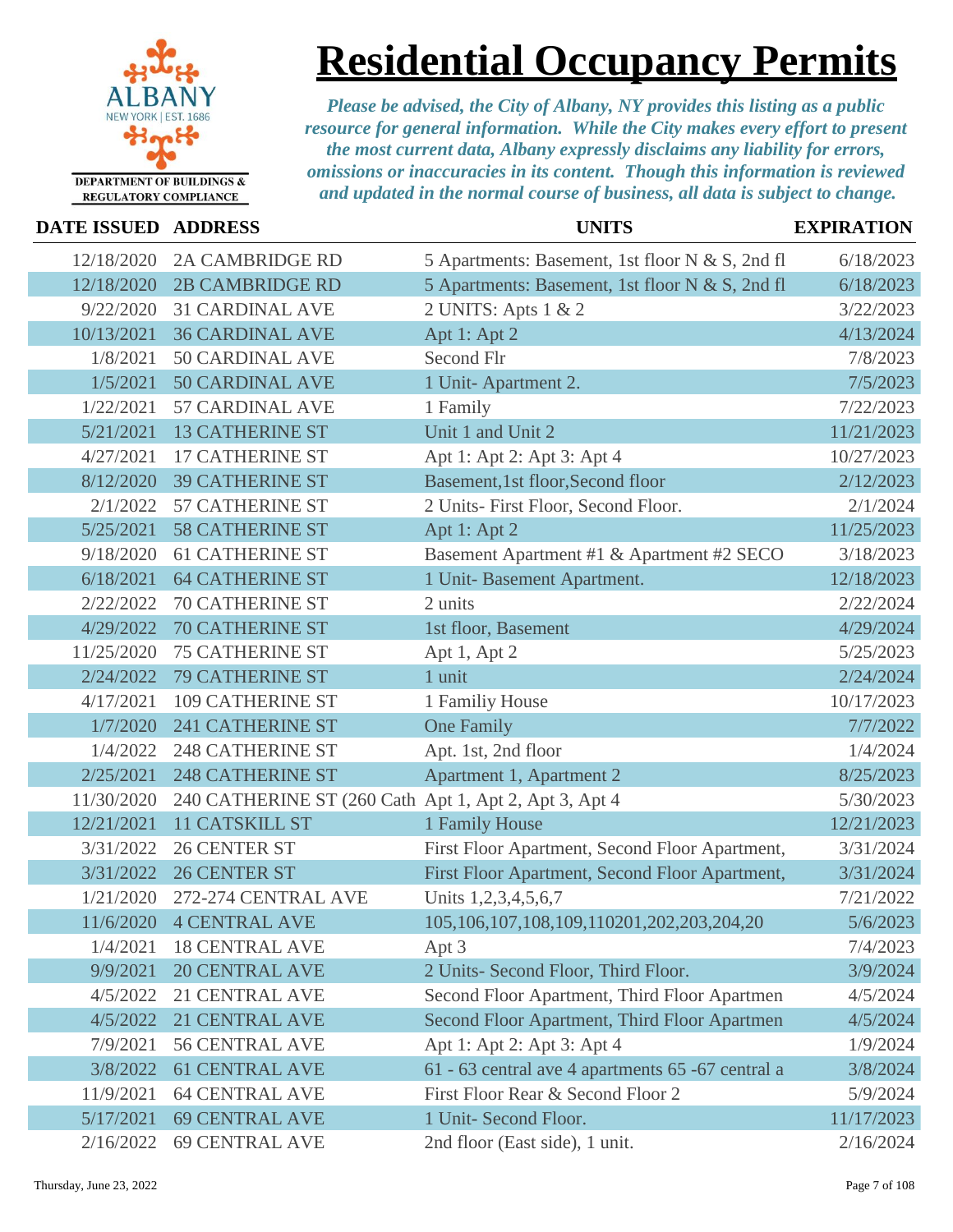

## **Residential Occupancy Permits**

| <b>DATE ISSUED ADDRESS</b> |                                                       | <b>UNITS</b>                                       | <b>EXPIRATION</b> |
|----------------------------|-------------------------------------------------------|----------------------------------------------------|-------------------|
| 12/18/2020                 | <b>2A CAMBRIDGE RD</b>                                | 5 Apartments: Basement, 1st floor N & S, 2nd fl    | 6/18/2023         |
| 12/18/2020                 | <b>2B CAMBRIDGE RD</b>                                | 5 Apartments: Basement, 1st floor N & S, 2nd fl    | 6/18/2023         |
| 9/22/2020                  | <b>31 CARDINAL AVE</b>                                | 2 UNITS: Apts 1 & 2                                | 3/22/2023         |
| 10/13/2021                 | <b>36 CARDINAL AVE</b>                                | Apt 1: Apt 2                                       | 4/13/2024         |
| 1/8/2021                   | <b>50 CARDINAL AVE</b>                                | Second Flr                                         | 7/8/2023          |
| 1/5/2021                   | <b>50 CARDINAL AVE</b>                                | 1 Unit-Apartment 2.                                | 7/5/2023          |
| 1/22/2021                  | <b>57 CARDINAL AVE</b>                                | 1 Family                                           | 7/22/2023         |
| 5/21/2021                  | <b>13 CATHERINE ST</b>                                | Unit 1 and Unit 2                                  | 11/21/2023        |
| 4/27/2021                  | <b>17 CATHERINE ST</b>                                | Apt 1: Apt 2: Apt 3: Apt 4                         | 10/27/2023        |
| 8/12/2020                  | <b>39 CATHERINE ST</b>                                | Basement, 1st floor, Second floor                  | 2/12/2023         |
| 2/1/2022                   | 57 CATHERINE ST                                       | 2 Units- First Floor, Second Floor.                | 2/1/2024          |
| 5/25/2021                  | <b>58 CATHERINE ST</b>                                | Apt 1: Apt 2                                       | 11/25/2023        |
| 9/18/2020                  | <b>61 CATHERINE ST</b>                                | Basement Apartment #1 & Apartment #2 SECO          | 3/18/2023         |
| 6/18/2021                  | <b>64 CATHERINE ST</b>                                | 1 Unit-Basement Apartment.                         | 12/18/2023        |
| 2/22/2022                  | <b>70 CATHERINE ST</b>                                | 2 units                                            | 2/22/2024         |
| 4/29/2022                  | <b>70 CATHERINE ST</b>                                | 1st floor, Basement                                | 4/29/2024         |
| 11/25/2020                 | <b>75 CATHERINE ST</b>                                | Apt 1, Apt 2                                       | 5/25/2023         |
| 2/24/2022                  | <b>79 CATHERINE ST</b>                                | 1 unit                                             | 2/24/2024         |
| 4/17/2021                  | <b>109 CATHERINE ST</b>                               | 1 Familiy House                                    | 10/17/2023        |
| 1/7/2020                   | <b>241 CATHERINE ST</b>                               | <b>One Family</b>                                  | 7/7/2022          |
| 1/4/2022                   | <b>248 CATHERINE ST</b>                               | Apt. 1st, 2nd floor                                | 1/4/2024          |
| 2/25/2021                  | <b>248 CATHERINE ST</b>                               | Apartment 1, Apartment 2                           | 8/25/2023         |
| 11/30/2020                 | 240 CATHERINE ST (260 Cath Apt 1, Apt 2, Apt 3, Apt 4 |                                                    | 5/30/2023         |
| 12/21/2021                 | 11 CATSKILL ST                                        | 1 Family House                                     | 12/21/2023        |
| 3/31/2022                  | <b>26 CENTER ST</b>                                   | First Floor Apartment, Second Floor Apartment,     | 3/31/2024         |
| 3/31/2022                  | <b>26 CENTER ST</b>                                   | First Floor Apartment, Second Floor Apartment,     | 3/31/2024         |
| 1/21/2020                  | 272-274 CENTRAL AVE                                   | Units 1,2,3,4,5,6,7                                | 7/21/2022         |
| 11/6/2020                  | <b>4 CENTRAL AVE</b>                                  | 105, 106, 107, 108, 109, 110201, 202, 203, 204, 20 | 5/6/2023          |
| 1/4/2021                   | <b>18 CENTRAL AVE</b>                                 | Apt 3                                              | 7/4/2023          |
| 9/9/2021                   | <b>20 CENTRAL AVE</b>                                 | 2 Units- Second Floor, Third Floor.                | 3/9/2024          |
| 4/5/2022                   | 21 CENTRAL AVE                                        | Second Floor Apartment, Third Floor Apartmen       | 4/5/2024          |
| 4/5/2022                   | 21 CENTRAL AVE                                        | Second Floor Apartment, Third Floor Apartmen       | 4/5/2024          |
| 7/9/2021                   | <b>56 CENTRAL AVE</b>                                 | Apt 1: Apt 2: Apt 3: Apt 4                         | 1/9/2024          |
| 3/8/2022                   | <b>61 CENTRAL AVE</b>                                 | 61 - 63 central ave 4 apartments 65 - 67 central a | 3/8/2024          |
| 11/9/2021                  | <b>64 CENTRAL AVE</b>                                 | First Floor Rear & Second Floor 2                  | 5/9/2024          |
| 5/17/2021                  | <b>69 CENTRAL AVE</b>                                 | 1 Unit- Second Floor.                              | 11/17/2023        |
| 2/16/2022                  | <b>69 CENTRAL AVE</b>                                 | 2nd floor (East side), 1 unit.                     | 2/16/2024         |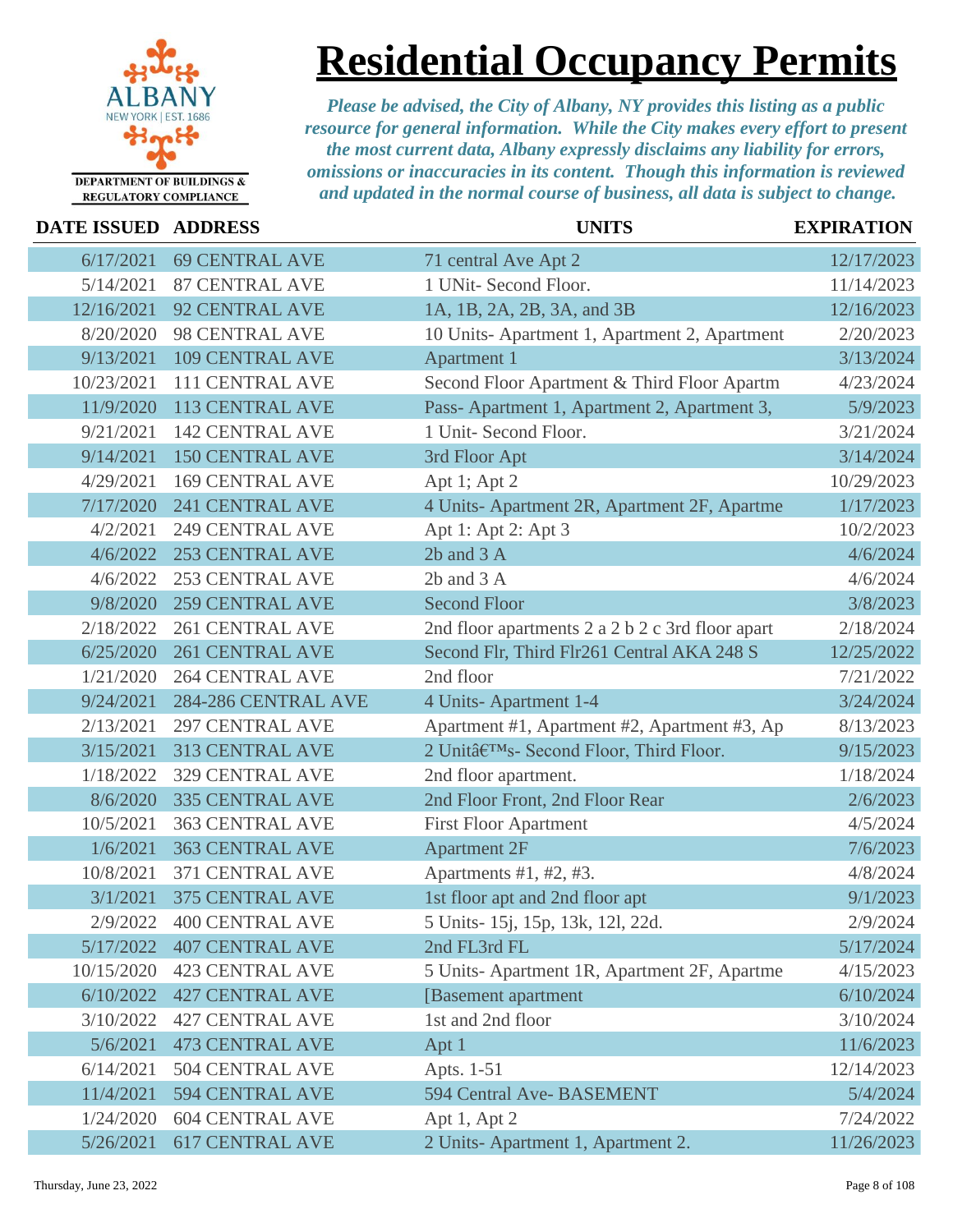

### **Residential Occupancy Permits**

| DATE ISSUED ADDRESS |                        | <b>UNITS</b>                                     | <b>EXPIRATION</b> |
|---------------------|------------------------|--------------------------------------------------|-------------------|
| 6/17/2021           | <b>69 CENTRAL AVE</b>  | 71 central Ave Apt 2                             | 12/17/2023        |
| 5/14/2021           | <b>87 CENTRAL AVE</b>  | 1 UNit- Second Floor.                            | 11/14/2023        |
| 12/16/2021          | <b>92 CENTRAL AVE</b>  | 1A, 1B, 2A, 2B, 3A, and 3B                       | 12/16/2023        |
| 8/20/2020           | 98 CENTRAL AVE         | 10 Units-Apartment 1, Apartment 2, Apartment     | 2/20/2023         |
| 9/13/2021           | <b>109 CENTRAL AVE</b> | Apartment 1                                      | 3/13/2024         |
| 10/23/2021          | 111 CENTRAL AVE        | Second Floor Apartment & Third Floor Apartm      | 4/23/2024         |
| 11/9/2020           | 113 CENTRAL AVE        | Pass- Apartment 1, Apartment 2, Apartment 3,     | 5/9/2023          |
| 9/21/2021           | <b>142 CENTRAL AVE</b> | 1 Unit- Second Floor.                            | 3/21/2024         |
| 9/14/2021           | <b>150 CENTRAL AVE</b> | 3rd Floor Apt                                    | 3/14/2024         |
| 4/29/2021           | <b>169 CENTRAL AVE</b> | Apt 1; Apt 2                                     | 10/29/2023        |
| 7/17/2020           | <b>241 CENTRAL AVE</b> | 4 Units- Apartment 2R, Apartment 2F, Apartme     | 1/17/2023         |
| 4/2/2021            | <b>249 CENTRAL AVE</b> | Apt 1: Apt 2: Apt 3                              | 10/2/2023         |
| 4/6/2022            | <b>253 CENTRAL AVE</b> | 2b and 3 A                                       | 4/6/2024          |
| 4/6/2022            | <b>253 CENTRAL AVE</b> | $2b$ and $3A$                                    | 4/6/2024          |
| 9/8/2020            | <b>259 CENTRAL AVE</b> | <b>Second Floor</b>                              | 3/8/2023          |
| 2/18/2022           | <b>261 CENTRAL AVE</b> | 2nd floor apartments 2 a 2 b 2 c 3rd floor apart | 2/18/2024         |
| 6/25/2020           | <b>261 CENTRAL AVE</b> | Second Flr, Third Flr261 Central AKA 248 S       | 12/25/2022        |
| 1/21/2020           | <b>264 CENTRAL AVE</b> | 2nd floor                                        | 7/21/2022         |
| 9/24/2021           | 284-286 CENTRAL AVE    | 4 Units-Apartment 1-4                            | 3/24/2024         |
| 2/13/2021           | <b>297 CENTRAL AVE</b> | Apartment #1, Apartment #2, Apartment #3, Ap     | 8/13/2023         |
| 3/15/2021           | <b>313 CENTRAL AVE</b> | 2 Unit's- Second Floor, Third Floor.             | 9/15/2023         |
| 1/18/2022           | <b>329 CENTRAL AVE</b> | 2nd floor apartment.                             | 1/18/2024         |
| 8/6/2020            | <b>335 CENTRAL AVE</b> | 2nd Floor Front, 2nd Floor Rear                  | 2/6/2023          |
| 10/5/2021           | <b>363 CENTRAL AVE</b> | <b>First Floor Apartment</b>                     | 4/5/2024          |
| 1/6/2021            | <b>363 CENTRAL AVE</b> | <b>Apartment 2F</b>                              | 7/6/2023          |
| 10/8/2021           | 371 CENTRAL AVE        | Apartments #1, #2, #3.                           | 4/8/2024          |
| 3/1/2021            | <b>375 CENTRAL AVE</b> | 1st floor apt and 2nd floor apt                  | 9/1/2023          |
| 2/9/2022            | <b>400 CENTRAL AVE</b> | 5 Units- 15j, 15p, 13k, 12l, 22d.                | 2/9/2024          |
| 5/17/2022           | <b>407 CENTRAL AVE</b> | 2nd FL3rd FL                                     | 5/17/2024         |
| 10/15/2020          | <b>423 CENTRAL AVE</b> | 5 Units-Apartment 1R, Apartment 2F, Apartme      | 4/15/2023         |
| 6/10/2022           | <b>427 CENTRAL AVE</b> | [Basement apartment]                             | 6/10/2024         |
| 3/10/2022           | <b>427 CENTRAL AVE</b> | 1st and 2nd floor                                | 3/10/2024         |
| 5/6/2021            | <b>473 CENTRAL AVE</b> | Apt 1                                            | 11/6/2023         |
| 6/14/2021           | <b>504 CENTRAL AVE</b> | Apts. 1-51                                       | 12/14/2023        |
| 11/4/2021           | 594 CENTRAL AVE        | 594 Central Ave-BASEMENT                         | 5/4/2024          |
| 1/24/2020           | <b>604 CENTRAL AVE</b> | Apt 1, Apt 2                                     | 7/24/2022         |
| 5/26/2021           | <b>617 CENTRAL AVE</b> | 2 Units-Apartment 1, Apartment 2.                | 11/26/2023        |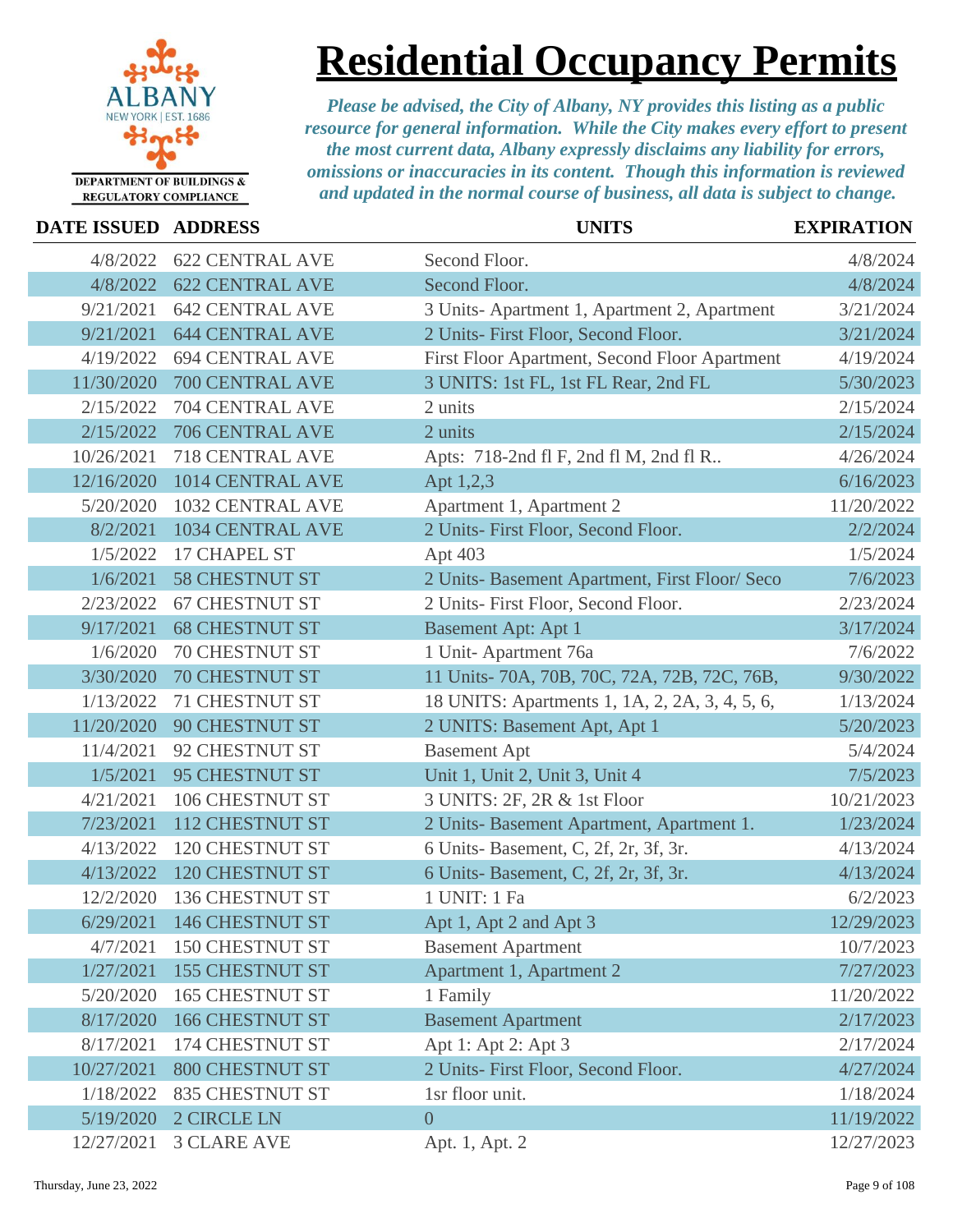

### **Residential Occupancy Permits**

| DATE ISSUED ADDRESS |                           | <b>UNITS</b>                                   | <b>EXPIRATION</b> |
|---------------------|---------------------------|------------------------------------------------|-------------------|
| 4/8/2022            | <b>622 CENTRAL AVE</b>    | Second Floor.                                  | 4/8/2024          |
| 4/8/2022            | <b>622 CENTRAL AVE</b>    | Second Floor.                                  | 4/8/2024          |
| 9/21/2021           | <b>642 CENTRAL AVE</b>    | 3 Units-Apartment 1, Apartment 2, Apartment    | 3/21/2024         |
| 9/21/2021           | <b>644 CENTRAL AVE</b>    | 2 Units- First Floor, Second Floor.            | 3/21/2024         |
| 4/19/2022           | <b>694 CENTRAL AVE</b>    | First Floor Apartment, Second Floor Apartment  | 4/19/2024         |
| 11/30/2020          | 700 CENTRAL AVE           | 3 UNITS: 1st FL, 1st FL Rear, 2nd FL           | 5/30/2023         |
| 2/15/2022           | 704 CENTRAL AVE           | 2 units                                        | 2/15/2024         |
| 2/15/2022           | 706 CENTRAL AVE           | 2 units                                        | 2/15/2024         |
| 10/26/2021          | <b>718 CENTRAL AVE</b>    | Apts: 718-2nd fl F, 2nd fl M, 2nd fl R         | 4/26/2024         |
| 12/16/2020          | 1014 CENTRAL AVE          | Apt 1,2,3                                      | 6/16/2023         |
| 5/20/2020           | 1032 CENTRAL AVE          | Apartment 1, Apartment 2                       | 11/20/2022        |
| 8/2/2021            | 1034 CENTRAL AVE          | 2 Units- First Floor, Second Floor.            | 2/2/2024          |
| 1/5/2022            | 17 CHAPEL ST              | Apt 403                                        | 1/5/2024          |
| 1/6/2021            | <b>58 CHESTNUT ST</b>     | 2 Units- Basement Apartment, First Floor/ Seco | 7/6/2023          |
| 2/23/2022           | <b>67 CHESTNUT ST</b>     | 2 Units- First Floor, Second Floor.            | 2/23/2024         |
| 9/17/2021           | <b>68 CHESTNUT ST</b>     | <b>Basement Apt: Apt 1</b>                     | 3/17/2024         |
| 1/6/2020            | <b>70 CHESTNUT ST</b>     | 1 Unit-Apartment 76a                           | 7/6/2022          |
| 3/30/2020           | <b>70 CHESTNUT ST</b>     | 11 Units-70A, 70B, 70C, 72A, 72B, 72C, 76B,    | 9/30/2022         |
| 1/13/2022           | <b>71 CHESTNUT ST</b>     | 18 UNITS: Apartments 1, 1A, 2, 2A, 3, 4, 5, 6, | 1/13/2024         |
| 11/20/2020          | <b>90 CHESTNUT ST</b>     | 2 UNITS: Basement Apt, Apt 1                   | 5/20/2023         |
| 11/4/2021           | 92 CHESTNUT ST            | <b>Basement Apt</b>                            | 5/4/2024          |
| 1/5/2021            | <b>95 CHESTNUT ST</b>     | Unit 1, Unit 2, Unit 3, Unit 4                 | 7/5/2023          |
| 4/21/2021           | 106 CHESTNUT ST           | 3 UNITS: 2F, 2R & 1st Floor                    | 10/21/2023        |
| 7/23/2021           | 112 CHESTNUT ST           | 2 Units- Basement Apartment, Apartment 1.      | 1/23/2024         |
| 4/13/2022           | <b>120 CHESTNUT ST</b>    | 6 Units-Basement, C, 2f, 2r, 3f, 3r.           | 4/13/2024         |
| 4/13/2022           | <b>120 CHESTNUT ST</b>    | 6 Units-Basement, C, 2f, 2r, 3f, 3r.           | 4/13/2024         |
| 12/2/2020           | <b>136 CHESTNUT ST</b>    | 1 UNIT: 1 Fa                                   | 6/2/2023          |
|                     | 6/29/2021 146 CHESTNUT ST | Apt 1, Apt 2 and Apt 3                         | 12/29/2023        |
| 4/7/2021            | <b>150 CHESTNUT ST</b>    | <b>Basement Apartment</b>                      | 10/7/2023         |
| 1/27/2021           | <b>155 CHESTNUT ST</b>    | Apartment 1, Apartment 2                       | 7/27/2023         |
| 5/20/2020           | <b>165 CHESTNUT ST</b>    | 1 Family                                       | 11/20/2022        |
| 8/17/2020           | 166 CHESTNUT ST           | <b>Basement Apartment</b>                      | 2/17/2023         |
| 8/17/2021           | 174 CHESTNUT ST           | Apt 1: Apt 2: Apt 3                            | 2/17/2024         |
| 10/27/2021          | <b>800 CHESTNUT ST</b>    | 2 Units- First Floor, Second Floor.            | 4/27/2024         |
| 1/18/2022           | <b>835 CHESTNUT ST</b>    | 1sr floor unit.                                | 1/18/2024         |
| 5/19/2020           | 2 CIRCLE LN               | $\overline{0}$                                 | 11/19/2022        |
| 12/27/2021          | <b>3 CLARE AVE</b>        | Apt. 1, Apt. 2                                 | 12/27/2023        |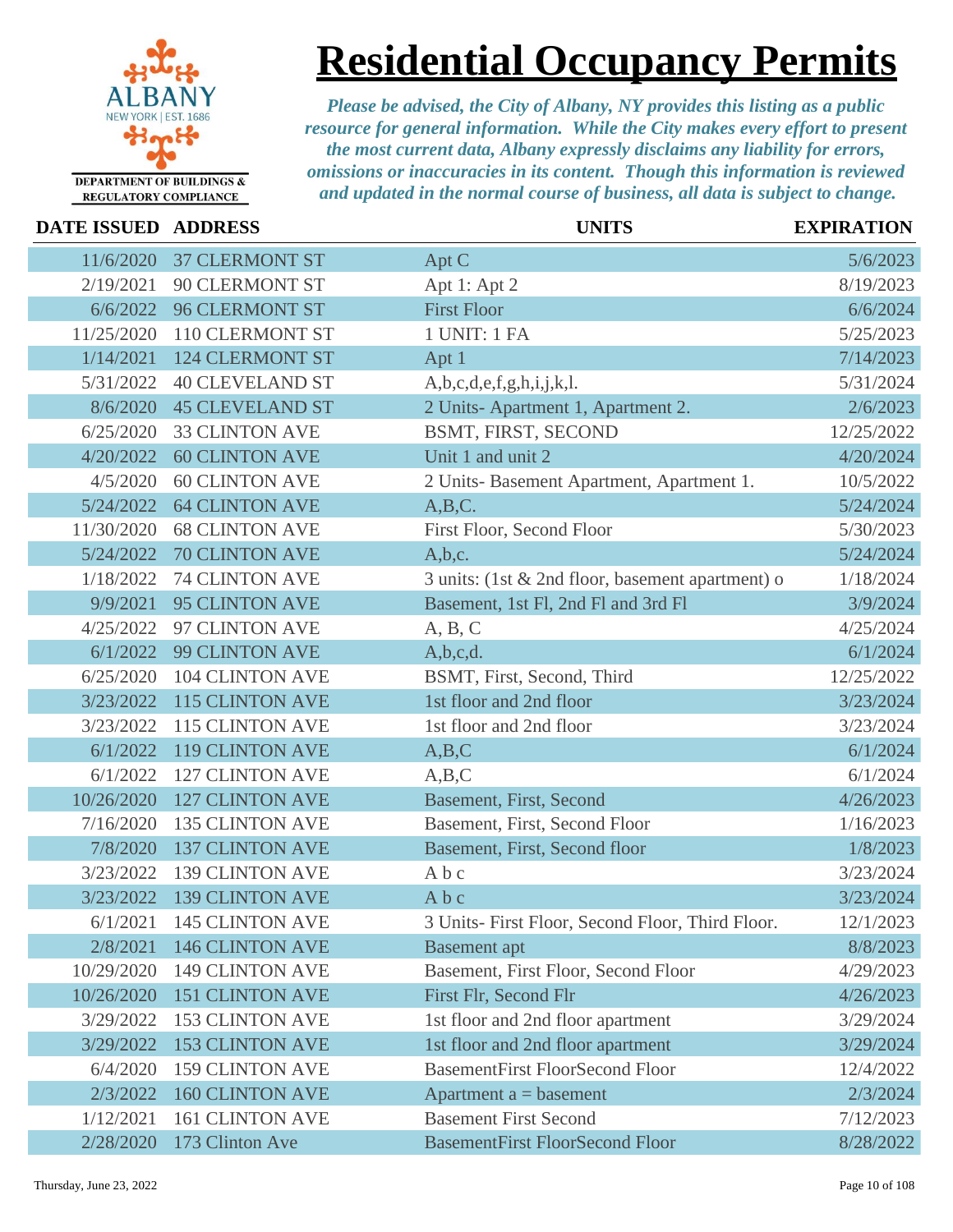

# **Residential Occupancy Permits**

| <b>DATE ISSUED</b> | <b>ADDRESS</b>         | <b>UNITS</b>                                     | <b>EXPIRATION</b> |
|--------------------|------------------------|--------------------------------------------------|-------------------|
| 11/6/2020          | <b>37 CLERMONT ST</b>  | Apt C                                            | 5/6/2023          |
| 2/19/2021          | <b>90 CLERMONT ST</b>  | Apt 1: Apt 2                                     | 8/19/2023         |
| 6/6/2022           | <b>96 CLERMONT ST</b>  | <b>First Floor</b>                               | 6/6/2024          |
| 11/25/2020         | <b>110 CLERMONT ST</b> | 1 UNIT: 1 FA                                     | 5/25/2023         |
| 1/14/2021          | <b>124 CLERMONT ST</b> | Apt 1                                            | 7/14/2023         |
| 5/31/2022          | <b>40 CLEVELAND ST</b> | A,b,c,d,e,f,g,h,i,j,k,l.                         | 5/31/2024         |
| 8/6/2020           | <b>45 CLEVELAND ST</b> | 2 Units-Apartment 1, Apartment 2.                | 2/6/2023          |
| 6/25/2020          | <b>33 CLINTON AVE</b>  | BSMT, FIRST, SECOND                              | 12/25/2022        |
| 4/20/2022          | <b>60 CLINTON AVE</b>  | Unit 1 and unit 2                                | 4/20/2024         |
| 4/5/2020           | <b>60 CLINTON AVE</b>  | 2 Units-Basement Apartment, Apartment 1.         | 10/5/2022         |
| 5/24/2022          | <b>64 CLINTON AVE</b>  | A,B,C.                                           | 5/24/2024         |
| 11/30/2020         | <b>68 CLINTON AVE</b>  | First Floor, Second Floor                        | 5/30/2023         |
| 5/24/2022          | <b>70 CLINTON AVE</b>  | A,b,c.                                           | 5/24/2024         |
| 1/18/2022          | <b>74 CLINTON AVE</b>  | 3 units: (1st & 2nd floor, basement apartment) o | 1/18/2024         |
| 9/9/2021           | <b>95 CLINTON AVE</b>  | Basement, 1st Fl, 2nd Fl and 3rd Fl              | 3/9/2024          |
| 4/25/2022          | 97 CLINTON AVE         | A, B, C                                          | 4/25/2024         |
| 6/1/2022           | <b>99 CLINTON AVE</b>  | A,b,c,d.                                         | 6/1/2024          |
| 6/25/2020          | <b>104 CLINTON AVE</b> | BSMT, First, Second, Third                       | 12/25/2022        |
| 3/23/2022          | <b>115 CLINTON AVE</b> | 1st floor and 2nd floor                          | 3/23/2024         |
| 3/23/2022          | 115 CLINTON AVE        | 1st floor and 2nd floor                          | 3/23/2024         |
| 6/1/2022           | <b>119 CLINTON AVE</b> | A,B,C                                            | 6/1/2024          |
| 6/1/2022           | <b>127 CLINTON AVE</b> | A,B,C                                            | 6/1/2024          |
| 10/26/2020         | <b>127 CLINTON AVE</b> | <b>Basement, First, Second</b>                   | 4/26/2023         |
| 7/16/2020          | <b>135 CLINTON AVE</b> | Basement, First, Second Floor                    | 1/16/2023         |
| 7/8/2020           | <b>137 CLINTON AVE</b> | Basement, First, Second floor                    | 1/8/2023          |
| 3/23/2022          | <b>139 CLINTON AVE</b> | Abc                                              | 3/23/2024         |
| 3/23/2022          | <b>139 CLINTON AVE</b> | Abc                                              | 3/23/2024         |
| 6/1/2021           | <b>145 CLINTON AVE</b> | 3 Units- First Floor, Second Floor, Third Floor. | 12/1/2023         |
| 2/8/2021           | <b>146 CLINTON AVE</b> | <b>Basement</b> apt                              | 8/8/2023          |
| 10/29/2020         | <b>149 CLINTON AVE</b> | Basement, First Floor, Second Floor              | 4/29/2023         |
| 10/26/2020         | <b>151 CLINTON AVE</b> | First Flr, Second Flr                            | 4/26/2023         |
| 3/29/2022          | <b>153 CLINTON AVE</b> | 1st floor and 2nd floor apartment                | 3/29/2024         |
| 3/29/2022          | <b>153 CLINTON AVE</b> | 1st floor and 2nd floor apartment                | 3/29/2024         |
| 6/4/2020           | <b>159 CLINTON AVE</b> | <b>BasementFirst FloorSecond Floor</b>           | 12/4/2022         |
| 2/3/2022           | <b>160 CLINTON AVE</b> | Apartment $a =$ basement                         | 2/3/2024          |
| 1/12/2021          | <b>161 CLINTON AVE</b> | <b>Basement First Second</b>                     | 7/12/2023         |
| 2/28/2020          | 173 Clinton Ave        | <b>BasementFirst FloorSecond Floor</b>           | 8/28/2022         |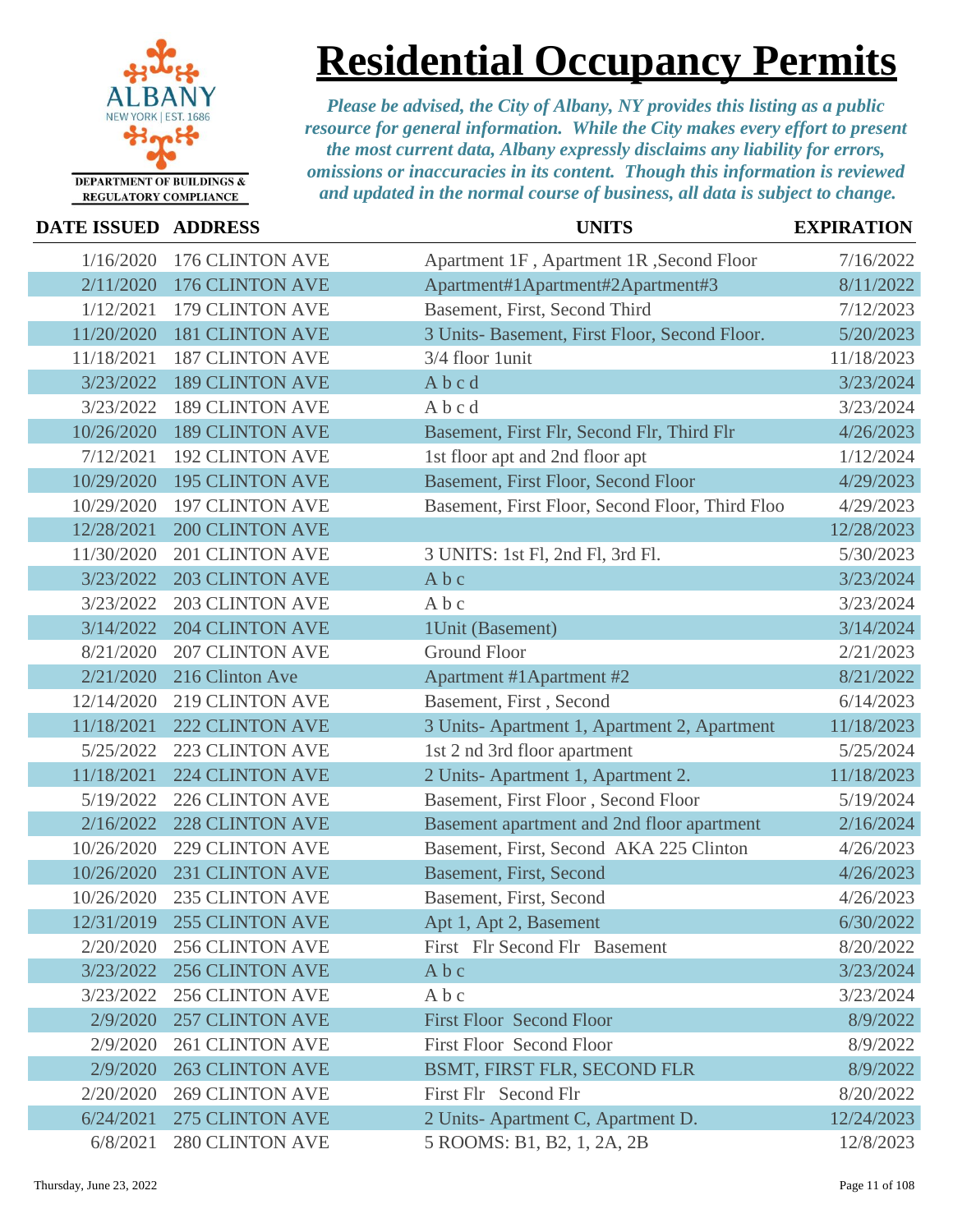

### **Residential Occupancy Permits**

| DATE ISSUED ADDRESS |                        | <b>UNITS</b>                                    | <b>EXPIRATION</b> |
|---------------------|------------------------|-------------------------------------------------|-------------------|
| 1/16/2020           | 176 CLINTON AVE        | Apartment 1F, Apartment 1R, Second Floor        | 7/16/2022         |
| 2/11/2020           | 176 CLINTON AVE        | Apartment#1Apartment#2Apartment#3               | 8/11/2022         |
| 1/12/2021           | 179 CLINTON AVE        | Basement, First, Second Third                   | 7/12/2023         |
| 11/20/2020          | <b>181 CLINTON AVE</b> | 3 Units- Basement, First Floor, Second Floor.   | 5/20/2023         |
| 11/18/2021          | <b>187 CLINTON AVE</b> | 3/4 floor 1unit                                 | 11/18/2023        |
| 3/23/2022           | <b>189 CLINTON AVE</b> | Abcd                                            | 3/23/2024         |
| 3/23/2022           | <b>189 CLINTON AVE</b> | Abcd                                            | 3/23/2024         |
| 10/26/2020          | <b>189 CLINTON AVE</b> | Basement, First Flr, Second Flr, Third Flr      | 4/26/2023         |
| 7/12/2021           | <b>192 CLINTON AVE</b> | 1st floor apt and 2nd floor apt                 | 1/12/2024         |
| 10/29/2020          | <b>195 CLINTON AVE</b> | Basement, First Floor, Second Floor             | 4/29/2023         |
| 10/29/2020          | <b>197 CLINTON AVE</b> | Basement, First Floor, Second Floor, Third Floo | 4/29/2023         |
| 12/28/2021          | <b>200 CLINTON AVE</b> |                                                 | 12/28/2023        |
| 11/30/2020          | <b>201 CLINTON AVE</b> | 3 UNITS: 1st Fl, 2nd Fl, 3rd Fl.                | 5/30/2023         |
| 3/23/2022           | <b>203 CLINTON AVE</b> | Abc                                             | 3/23/2024         |
| 3/23/2022           | <b>203 CLINTON AVE</b> | Abc                                             | 3/23/2024         |
| 3/14/2022           | <b>204 CLINTON AVE</b> | 1Unit (Basement)                                | 3/14/2024         |
| 8/21/2020           | <b>207 CLINTON AVE</b> | <b>Ground Floor</b>                             | 2/21/2023         |
| 2/21/2020           | 216 Clinton Ave        | Apartment #1Apartment #2                        | 8/21/2022         |
| 12/14/2020          | <b>219 CLINTON AVE</b> | Basement, First, Second                         | 6/14/2023         |
| 11/18/2021          | <b>222 CLINTON AVE</b> | 3 Units-Apartment 1, Apartment 2, Apartment     | 11/18/2023        |
| 5/25/2022           | <b>223 CLINTON AVE</b> | 1st 2 nd 3rd floor apartment                    | 5/25/2024         |
| 11/18/2021          | 224 CLINTON AVE        | 2 Units-Apartment 1, Apartment 2.               | 11/18/2023        |
| 5/19/2022           | <b>226 CLINTON AVE</b> | Basement, First Floor, Second Floor             | 5/19/2024         |
| 2/16/2022           | <b>228 CLINTON AVE</b> | Basement apartment and 2nd floor apartment      | 2/16/2024         |
| 10/26/2020          | <b>229 CLINTON AVE</b> | Basement, First, Second AKA 225 Clinton         | 4/26/2023         |
| 10/26/2020          | <b>231 CLINTON AVE</b> | <b>Basement, First, Second</b>                  | 4/26/2023         |
| 10/26/2020          | <b>235 CLINTON AVE</b> | Basement, First, Second                         | 4/26/2023         |
| 12/31/2019          | 255 CLINTON AVE        | Apt 1, Apt 2, Basement                          | 6/30/2022         |
| 2/20/2020           | <b>256 CLINTON AVE</b> | First Flr Second Flr Basement                   | 8/20/2022         |
| 3/23/2022           | <b>256 CLINTON AVE</b> | Abc                                             | 3/23/2024         |
| 3/23/2022           | <b>256 CLINTON AVE</b> | Abc                                             | 3/23/2024         |
| 2/9/2020            | <b>257 CLINTON AVE</b> | <b>First Floor Second Floor</b>                 | 8/9/2022          |
| 2/9/2020            | <b>261 CLINTON AVE</b> | <b>First Floor Second Floor</b>                 | 8/9/2022          |
| 2/9/2020            | <b>263 CLINTON AVE</b> | BSMT, FIRST FLR, SECOND FLR                     | 8/9/2022          |
| 2/20/2020           | <b>269 CLINTON AVE</b> | First Flr Second Flr                            | 8/20/2022         |
| 6/24/2021           | 275 CLINTON AVE        | 2 Units-Apartment C, Apartment D.               | 12/24/2023        |
| 6/8/2021            | <b>280 CLINTON AVE</b> | 5 ROOMS: B1, B2, 1, 2A, 2B                      | 12/8/2023         |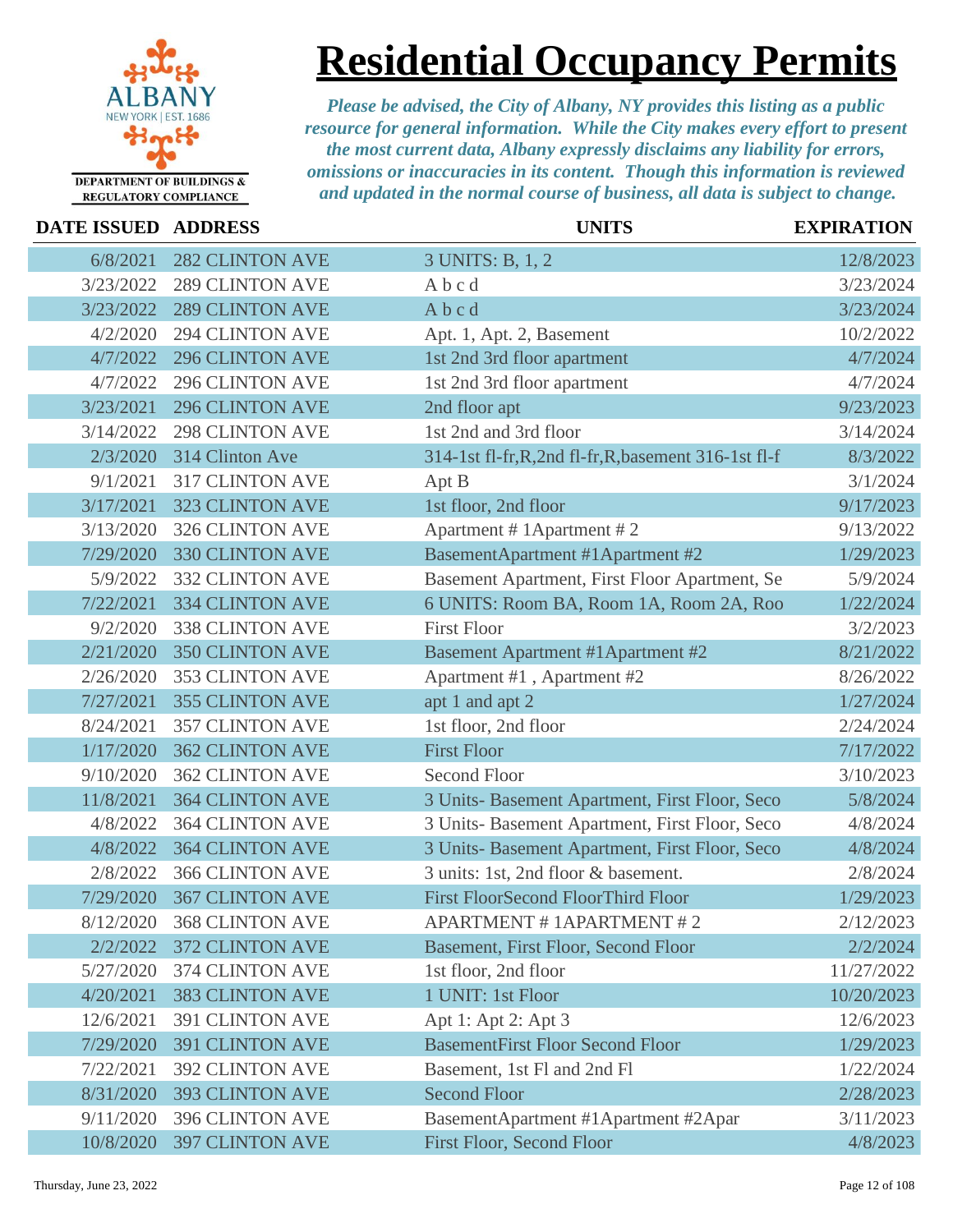

### **Residential Occupancy Permits**

| DATE ISSUED ADDRESS |                        | <b>UNITS</b>                                          | <b>EXPIRATION</b> |
|---------------------|------------------------|-------------------------------------------------------|-------------------|
| 6/8/2021            | <b>282 CLINTON AVE</b> | 3 UNITS: B, 1, 2                                      | 12/8/2023         |
| 3/23/2022           | <b>289 CLINTON AVE</b> | Abcd                                                  | 3/23/2024         |
| 3/23/2022           | <b>289 CLINTON AVE</b> | Abcd                                                  | 3/23/2024         |
| 4/2/2020            | <b>294 CLINTON AVE</b> | Apt. 1, Apt. 2, Basement                              | 10/2/2022         |
| 4/7/2022            | <b>296 CLINTON AVE</b> | 1st 2nd 3rd floor apartment                           | 4/7/2024          |
| 4/7/2022            | <b>296 CLINTON AVE</b> | 1st 2nd 3rd floor apartment                           | 4/7/2024          |
| 3/23/2021           | <b>296 CLINTON AVE</b> | 2nd floor apt                                         | 9/23/2023         |
| 3/14/2022           | <b>298 CLINTON AVE</b> | 1st 2nd and 3rd floor                                 | 3/14/2024         |
| 2/3/2020            | 314 Clinton Ave        | 314-1st fl-fr, R, 2nd fl-fr, R, basement 316-1st fl-f | 8/3/2022          |
| 9/1/2021            | <b>317 CLINTON AVE</b> | Apt B                                                 | 3/1/2024          |
| 3/17/2021           | <b>323 CLINTON AVE</b> | 1st floor, 2nd floor                                  | 9/17/2023         |
| 3/13/2020           | <b>326 CLINTON AVE</b> | Apartment # 1 Apartment # 2                           | 9/13/2022         |
| 7/29/2020           | 330 CLINTON AVE        | BasementApartment #1Apartment #2                      | 1/29/2023         |
| 5/9/2022            | <b>332 CLINTON AVE</b> | Basement Apartment, First Floor Apartment, Se         | 5/9/2024          |
| 7/22/2021           | <b>334 CLINTON AVE</b> | 6 UNITS: Room BA, Room 1A, Room 2A, Roo               | 1/22/2024         |
| 9/2/2020            | <b>338 CLINTON AVE</b> | <b>First Floor</b>                                    | 3/2/2023          |
| 2/21/2020           | <b>350 CLINTON AVE</b> | <b>Basement Apartment #1Apartment #2</b>              | 8/21/2022         |
| 2/26/2020           | 353 CLINTON AVE        | Apartment #1, Apartment #2                            | 8/26/2022         |
| 7/27/2021           | <b>355 CLINTON AVE</b> | apt 1 and apt 2                                       | 1/27/2024         |
| 8/24/2021           | <b>357 CLINTON AVE</b> | 1st floor, 2nd floor                                  | 2/24/2024         |
| 1/17/2020           | <b>362 CLINTON AVE</b> | <b>First Floor</b>                                    | 7/17/2022         |
| 9/10/2020           | <b>362 CLINTON AVE</b> | <b>Second Floor</b>                                   | 3/10/2023         |
| 11/8/2021           | <b>364 CLINTON AVE</b> | 3 Units- Basement Apartment, First Floor, Seco        | 5/8/2024          |
| 4/8/2022            | <b>364 CLINTON AVE</b> | 3 Units- Basement Apartment, First Floor, Seco        | 4/8/2024          |
| 4/8/2022            | <b>364 CLINTON AVE</b> | 3 Units- Basement Apartment, First Floor, Seco        | 4/8/2024          |
| 2/8/2022            | <b>366 CLINTON AVE</b> | 3 units: 1st, 2nd floor & basement.                   | 2/8/2024          |
| 7/29/2020           | <b>367 CLINTON AVE</b> | <b>First FloorSecond FloorThird Floor</b>             | 1/29/2023         |
| 8/12/2020           | <b>368 CLINTON AVE</b> | <b>APARTMENT # 1APARTMENT # 2</b>                     | 2/12/2023         |
| 2/2/2022            | <b>372 CLINTON AVE</b> | Basement, First Floor, Second Floor                   | 2/2/2024          |
| 5/27/2020           | 374 CLINTON AVE        | 1st floor, 2nd floor                                  | 11/27/2022        |
| 4/20/2021           | <b>383 CLINTON AVE</b> | 1 UNIT: 1st Floor                                     | 10/20/2023        |
| 12/6/2021           | <b>391 CLINTON AVE</b> | Apt 1: Apt 2: Apt 3                                   | 12/6/2023         |
| 7/29/2020           | <b>391 CLINTON AVE</b> | <b>BasementFirst Floor Second Floor</b>               | 1/29/2023         |
| 7/22/2021           | <b>392 CLINTON AVE</b> | Basement, 1st Fl and 2nd Fl                           | 1/22/2024         |
| 8/31/2020           | <b>393 CLINTON AVE</b> | <b>Second Floor</b>                                   | 2/28/2023         |
| 9/11/2020           | <b>396 CLINTON AVE</b> | BasementApartment #1Apartment #2Apar                  | 3/11/2023         |
| 10/8/2020           | <b>397 CLINTON AVE</b> | First Floor, Second Floor                             | 4/8/2023          |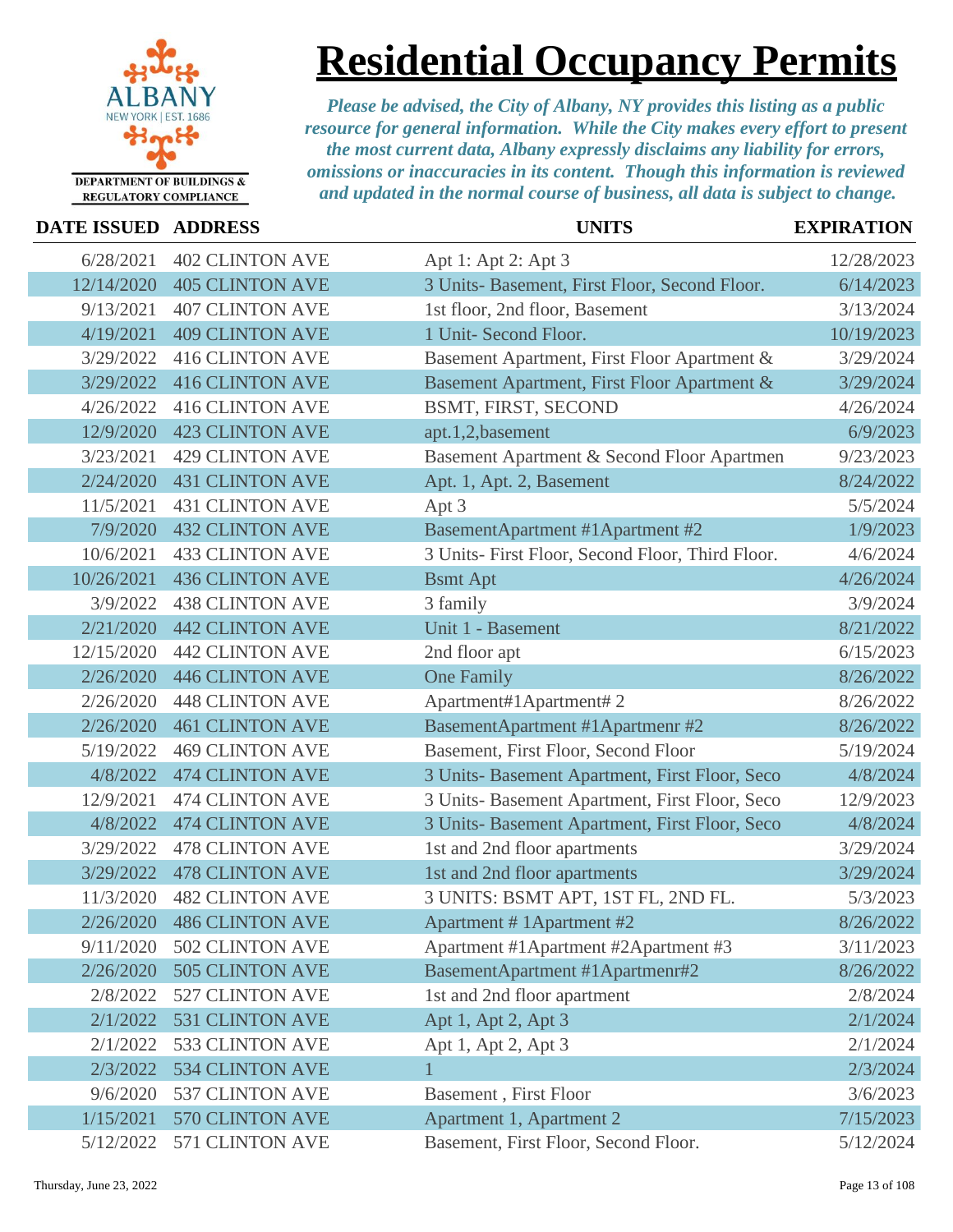

### **Residential Occupancy Permits**

| <b>DATE ISSUED ADDRESS</b> |                           | <b>UNITS</b>                                     | <b>EXPIRATION</b> |
|----------------------------|---------------------------|--------------------------------------------------|-------------------|
| 6/28/2021                  | <b>402 CLINTON AVE</b>    | Apt 1: Apt 2: Apt 3                              | 12/28/2023        |
| 12/14/2020                 | <b>405 CLINTON AVE</b>    | 3 Units- Basement, First Floor, Second Floor.    | 6/14/2023         |
| 9/13/2021                  | <b>407 CLINTON AVE</b>    | 1st floor, 2nd floor, Basement                   | 3/13/2024         |
| 4/19/2021                  | <b>409 CLINTON AVE</b>    | 1 Unit- Second Floor.                            | 10/19/2023        |
| 3/29/2022                  | <b>416 CLINTON AVE</b>    | Basement Apartment, First Floor Apartment &      | 3/29/2024         |
| 3/29/2022                  | <b>416 CLINTON AVE</b>    | Basement Apartment, First Floor Apartment &      | 3/29/2024         |
| 4/26/2022                  | <b>416 CLINTON AVE</b>    | BSMT, FIRST, SECOND                              | 4/26/2024         |
| 12/9/2020                  | <b>423 CLINTON AVE</b>    | apt.1,2,basement                                 | 6/9/2023          |
| 3/23/2021                  | <b>429 CLINTON AVE</b>    | Basement Apartment & Second Floor Apartmen       | 9/23/2023         |
| 2/24/2020                  | <b>431 CLINTON AVE</b>    | Apt. 1, Apt. 2, Basement                         | 8/24/2022         |
| 11/5/2021                  | <b>431 CLINTON AVE</b>    | Apt 3                                            | 5/5/2024          |
| 7/9/2020                   | <b>432 CLINTON AVE</b>    | <b>BasementApartment #1Apartment #2</b>          | 1/9/2023          |
| 10/6/2021                  | <b>433 CLINTON AVE</b>    | 3 Units- First Floor, Second Floor, Third Floor. | 4/6/2024          |
| 10/26/2021                 | <b>436 CLINTON AVE</b>    | <b>Bsmt Apt</b>                                  | 4/26/2024         |
| 3/9/2022                   | <b>438 CLINTON AVE</b>    | 3 family                                         | 3/9/2024          |
| 2/21/2020                  | <b>442 CLINTON AVE</b>    | Unit 1 - Basement                                | 8/21/2022         |
| 12/15/2020                 | <b>442 CLINTON AVE</b>    | 2nd floor apt                                    | 6/15/2023         |
| 2/26/2020                  | <b>446 CLINTON AVE</b>    | <b>One Family</b>                                | 8/26/2022         |
| 2/26/2020                  | <b>448 CLINTON AVE</b>    | Apartment#1Apartment#2                           | 8/26/2022         |
| 2/26/2020                  | <b>461 CLINTON AVE</b>    | BasementApartment #1Apartmenr #2                 | 8/26/2022         |
| 5/19/2022                  | <b>469 CLINTON AVE</b>    | Basement, First Floor, Second Floor              | 5/19/2024         |
| 4/8/2022                   | <b>474 CLINTON AVE</b>    | 3 Units- Basement Apartment, First Floor, Seco   | 4/8/2024          |
| 12/9/2021                  | <b>474 CLINTON AVE</b>    | 3 Units- Basement Apartment, First Floor, Seco   | 12/9/2023         |
| 4/8/2022                   | <b>474 CLINTON AVE</b>    | 3 Units- Basement Apartment, First Floor, Seco   | 4/8/2024          |
| 3/29/2022                  | <b>478 CLINTON AVE</b>    | 1st and 2nd floor apartments                     | 3/29/2024         |
| 3/29/2022                  | <b>478 CLINTON AVE</b>    | 1st and 2nd floor apartments                     | 3/29/2024         |
| 11/3/2020                  | <b>482 CLINTON AVE</b>    | 3 UNITS: BSMT APT, 1ST FL, 2ND FL.               | 5/3/2023          |
| 2/26/2020                  | <b>486 CLINTON AVE</b>    | Apartment #1Apartment #2                         | 8/26/2022         |
| 9/11/2020                  | <b>502 CLINTON AVE</b>    | Apartment #1 Apartment #2 Apartment #3           | 3/11/2023         |
|                            | 2/26/2020 505 CLINTON AVE | BasementApartment #1Apartmenr#2                  | 8/26/2022         |
| 2/8/2022                   | 527 CLINTON AVE           | 1st and 2nd floor apartment                      | 2/8/2024          |
|                            | 2/1/2022 531 CLINTON AVE  | Apt 1, Apt 2, Apt 3                              | 2/1/2024          |
| 2/1/2022                   | 533 CLINTON AVE           | Apt 1, Apt 2, Apt 3                              | 2/1/2024          |
| 2/3/2022                   | <b>534 CLINTON AVE</b>    |                                                  | 2/3/2024          |
| 9/6/2020                   | 537 CLINTON AVE           | <b>Basement</b> , First Floor                    | 3/6/2023          |
| 1/15/2021                  | 570 CLINTON AVE           | Apartment 1, Apartment 2                         | 7/15/2023         |
| 5/12/2022                  | 571 CLINTON AVE           | Basement, First Floor, Second Floor.             | 5/12/2024         |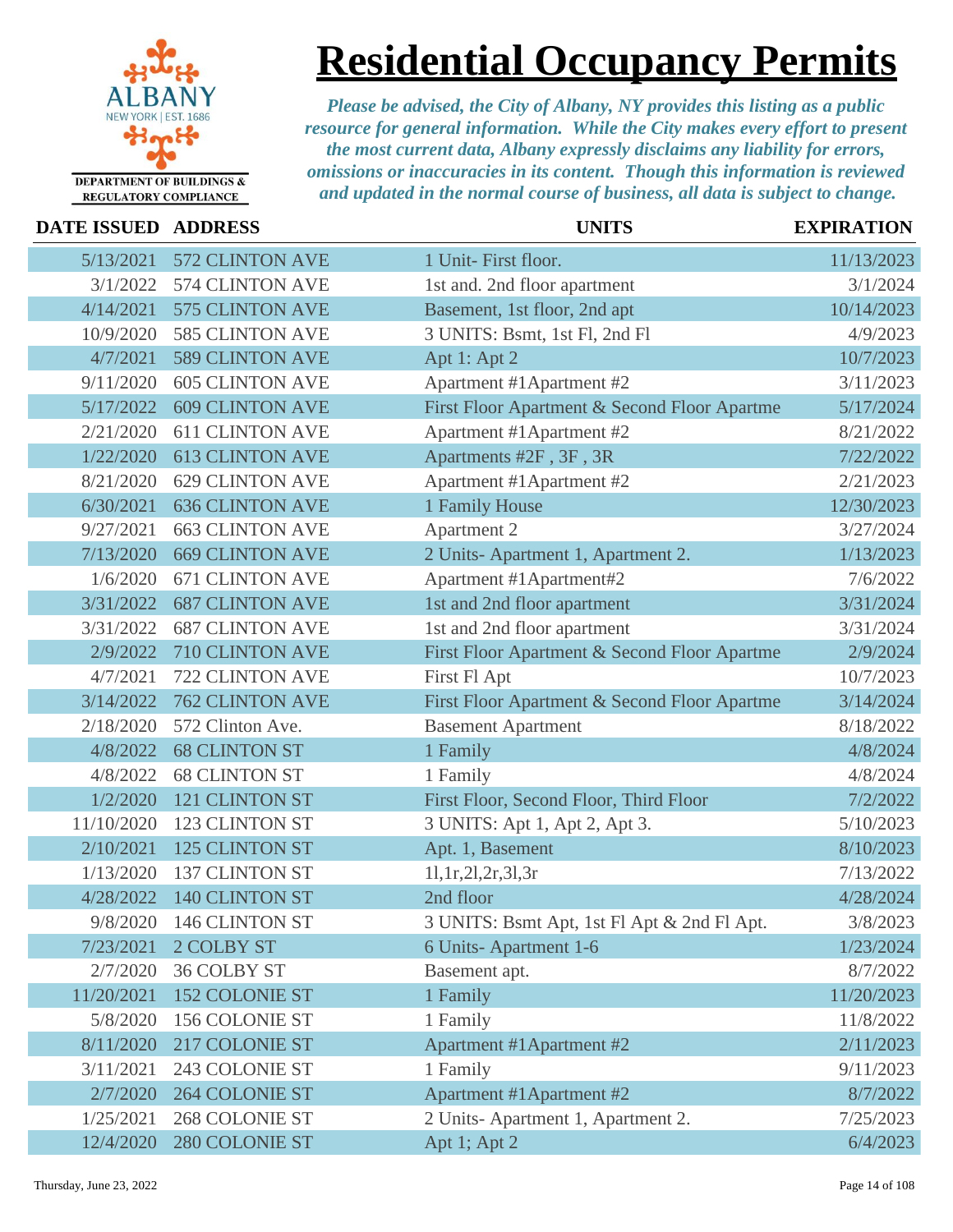

### **Residential Occupancy Permits**

| DATE ISSUED ADDRESS |                        | <b>UNITS</b>                                 | <b>EXPIRATION</b> |
|---------------------|------------------------|----------------------------------------------|-------------------|
| 5/13/2021           | <b>572 CLINTON AVE</b> | 1 Unit- First floor.                         | 11/13/2023        |
| 3/1/2022            | 574 CLINTON AVE        | 1st and. 2nd floor apartment                 | 3/1/2024          |
| 4/14/2021           | 575 CLINTON AVE        | Basement, 1st floor, 2nd apt                 | 10/14/2023        |
| 10/9/2020           | 585 CLINTON AVE        | 3 UNITS: Bsmt, 1st Fl, 2nd Fl                | 4/9/2023          |
| 4/7/2021            | <b>589 CLINTON AVE</b> | Apt 1: Apt 2                                 | 10/7/2023         |
| 9/11/2020           | <b>605 CLINTON AVE</b> | Apartment #1Apartment #2                     | 3/11/2023         |
| 5/17/2022           | <b>609 CLINTON AVE</b> | First Floor Apartment & Second Floor Apartme | 5/17/2024         |
| 2/21/2020           | <b>611 CLINTON AVE</b> | Apartment #1 Apartment #2                    | 8/21/2022         |
| 1/22/2020           | <b>613 CLINTON AVE</b> | Apartments #2F, 3F, 3R                       | 7/22/2022         |
| 8/21/2020           | <b>629 CLINTON AVE</b> | Apartment #1 Apartment #2                    | 2/21/2023         |
| 6/30/2021           | <b>636 CLINTON AVE</b> | 1 Family House                               | 12/30/2023        |
| 9/27/2021           | <b>663 CLINTON AVE</b> | Apartment 2                                  | 3/27/2024         |
| 7/13/2020           | <b>669 CLINTON AVE</b> | 2 Units-Apartment 1, Apartment 2.            | 1/13/2023         |
| 1/6/2020            | <b>671 CLINTON AVE</b> | Apartment #1Apartment#2                      | 7/6/2022          |
| 3/31/2022           | <b>687 CLINTON AVE</b> | 1st and 2nd floor apartment                  | 3/31/2024         |
| 3/31/2022           | <b>687 CLINTON AVE</b> | 1st and 2nd floor apartment                  | 3/31/2024         |
| 2/9/2022            | 710 CLINTON AVE        | First Floor Apartment & Second Floor Apartme | 2/9/2024          |
| 4/7/2021            | 722 CLINTON AVE        | First Fl Apt                                 | 10/7/2023         |
| 3/14/2022           | <b>762 CLINTON AVE</b> | First Floor Apartment & Second Floor Apartme | 3/14/2024         |
| 2/18/2020           | 572 Clinton Ave.       | <b>Basement Apartment</b>                    | 8/18/2022         |
| 4/8/2022            | <b>68 CLINTON ST</b>   | 1 Family                                     | 4/8/2024          |
| 4/8/2022            | <b>68 CLINTON ST</b>   | 1 Family                                     | 4/8/2024          |
| 1/2/2020            | 121 CLINTON ST         | First Floor, Second Floor, Third Floor       | 7/2/2022          |
| 11/10/2020          | 123 CLINTON ST         | 3 UNITS: Apt 1, Apt 2, Apt 3.                | 5/10/2023         |
| 2/10/2021           | 125 CLINTON ST         | Apt. 1, Basement                             | 8/10/2023         |
| 1/13/2020           | <b>137 CLINTON ST</b>  | 11, 1r, 21, 2r, 31, 3r                       | 7/13/2022         |
| 4/28/2022           | 140 CLINTON ST         | 2nd floor                                    | 4/28/2024         |
| 9/8/2020            | 146 CLINTON ST         | 3 UNITS: Bsmt Apt, 1st Fl Apt & 2nd Fl Apt.  | 3/8/2023          |
| 7/23/2021           | 2 COLBY ST             | 6 Units-Apartment 1-6                        | 1/23/2024         |
| 2/7/2020            | <b>36 COLBY ST</b>     | Basement apt.                                | 8/7/2022          |
| 11/20/2021          | <b>152 COLONIE ST</b>  | 1 Family                                     | 11/20/2023        |
| 5/8/2020            | 156 COLONIE ST         | 1 Family                                     | 11/8/2022         |
| 8/11/2020           | 217 COLONIE ST         | Apartment #1Apartment #2                     | 2/11/2023         |
| 3/11/2021           | 243 COLONIE ST         | 1 Family                                     | 9/11/2023         |
| 2/7/2020            | <b>264 COLONIE ST</b>  | Apartment #1 Apartment #2                    | 8/7/2022          |
| 1/25/2021           | 268 COLONIE ST         | 2 Units-Apartment 1, Apartment 2.            | 7/25/2023         |
| 12/4/2020           | 280 COLONIE ST         | Apt 1; Apt 2                                 | 6/4/2023          |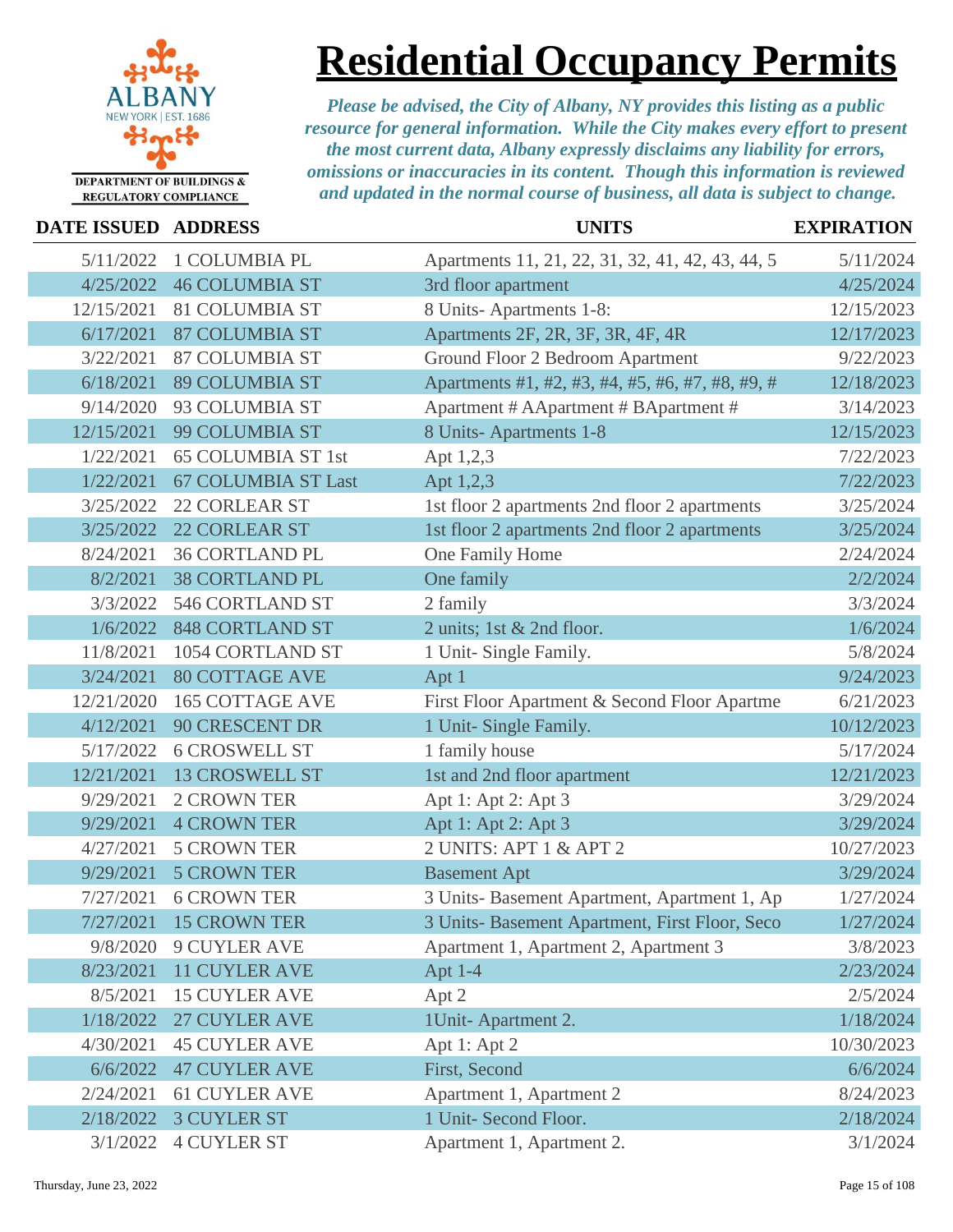

## **Residential Occupancy Permits**

| <b>DATE ISSUED</b> | <b>ADDRESS</b>             | <b>UNITS</b>                                     | <b>EXPIRATION</b> |
|--------------------|----------------------------|--------------------------------------------------|-------------------|
| 5/11/2022          | 1 COLUMBIA PL              | Apartments 11, 21, 22, 31, 32, 41, 42, 43, 44, 5 | 5/11/2024         |
| 4/25/2022          | <b>46 COLUMBIA ST</b>      | 3rd floor apartment                              | 4/25/2024         |
| 12/15/2021         | <b>81 COLUMBIA ST</b>      | 8 Units-Apartments 1-8:                          | 12/15/2023        |
| 6/17/2021          | <b>87 COLUMBIA ST</b>      | Apartments 2F, 2R, 3F, 3R, 4F, 4R                | 12/17/2023        |
| 3/22/2021          | <b>87 COLUMBIA ST</b>      | Ground Floor 2 Bedroom Apartment                 | 9/22/2023         |
| 6/18/2021          | <b>89 COLUMBIA ST</b>      | Apartments #1, #2, #3, #4, #5, #6, #7, #8, #9, # | 12/18/2023        |
| 9/14/2020          | 93 COLUMBIA ST             | Apartment # AApartment # BApartment #            | 3/14/2023         |
| 12/15/2021         | 99 COLUMBIA ST             | 8 Units-Apartments 1-8                           | 12/15/2023        |
| 1/22/2021          | <b>65 COLUMBIA ST 1st</b>  | Apt 1,2,3                                        | 7/22/2023         |
| 1/22/2021          | <b>67 COLUMBIA ST Last</b> | Apt 1,2,3                                        | 7/22/2023         |
| 3/25/2022          | <b>22 CORLEAR ST</b>       | 1st floor 2 apartments 2nd floor 2 apartments    | 3/25/2024         |
| 3/25/2022          | <b>22 CORLEAR ST</b>       | 1st floor 2 apartments 2nd floor 2 apartments    | 3/25/2024         |
| 8/24/2021          | <b>36 CORTLAND PL</b>      | One Family Home                                  | 2/24/2024         |
| 8/2/2021           | <b>38 CORTLAND PL</b>      | One family                                       | 2/2/2024          |
| 3/3/2022           | 546 CORTLAND ST            | 2 family                                         | 3/3/2024          |
| 1/6/2022           | <b>848 CORTLAND ST</b>     | 2 units; 1st & 2nd floor.                        | 1/6/2024          |
| 11/8/2021          | 1054 CORTLAND ST           | 1 Unit- Single Family.                           | 5/8/2024          |
| 3/24/2021          | <b>80 COTTAGE AVE</b>      | Apt 1                                            | 9/24/2023         |
| 12/21/2020         | <b>165 COTTAGE AVE</b>     | First Floor Apartment & Second Floor Apartme     | 6/21/2023         |
| 4/12/2021          | <b>90 CRESCENT DR</b>      | 1 Unit- Single Family.                           | 10/12/2023        |
| 5/17/2022          | <b>6 CROSWELL ST</b>       | 1 family house                                   | 5/17/2024         |
| 12/21/2021         | <b>13 CROSWELL ST</b>      | 1st and 2nd floor apartment                      | 12/21/2023        |
| 9/29/2021          | <b>2 CROWN TER</b>         | Apt 1: Apt 2: Apt 3                              | 3/29/2024         |
| 9/29/2021          | <b>4 CROWN TER</b>         | Apt 1: Apt 2: Apt 3                              | 3/29/2024         |
| 4/27/2021          | <b>5 CROWN TER</b>         | 2 UNITS: APT 1 & APT 2                           | 10/27/2023        |
| 9/29/2021          | <b>5 CROWN TER</b>         | <b>Basement Apt</b>                              | 3/29/2024         |
| 7/27/2021          | <b>6 CROWN TER</b>         | 3 Units- Basement Apartment, Apartment 1, Ap     | 1/27/2024         |
| 7/27/2021          | <b>15 CROWN TER</b>        | 3 Units- Basement Apartment, First Floor, Seco   | 1/27/2024         |
| 9/8/2020           | <b>9 CUYLER AVE</b>        | Apartment 1, Apartment 2, Apartment 3            | 3/8/2023          |
| 8/23/2021          | <b>11 CUYLER AVE</b>       | Apt 1-4                                          | 2/23/2024         |
| 8/5/2021           | <b>15 CUYLER AVE</b>       | Apt 2                                            | 2/5/2024          |
| 1/18/2022          | 27 CUYLER AVE              | 1Unit-Apartment 2.                               | 1/18/2024         |
| 4/30/2021          | <b>45 CUYLER AVE</b>       | Apt 1: Apt 2                                     | 10/30/2023        |
| 6/6/2022           | <b>47 CUYLER AVE</b>       | First, Second                                    | 6/6/2024          |
| 2/24/2021          | <b>61 CUYLER AVE</b>       | Apartment 1, Apartment 2                         | 8/24/2023         |
| 2/18/2022          | <b>3 CUYLER ST</b>         | 1 Unit- Second Floor.                            | 2/18/2024         |
| 3/1/2022           | <b>4 CUYLER ST</b>         | Apartment 1, Apartment 2.                        | 3/1/2024          |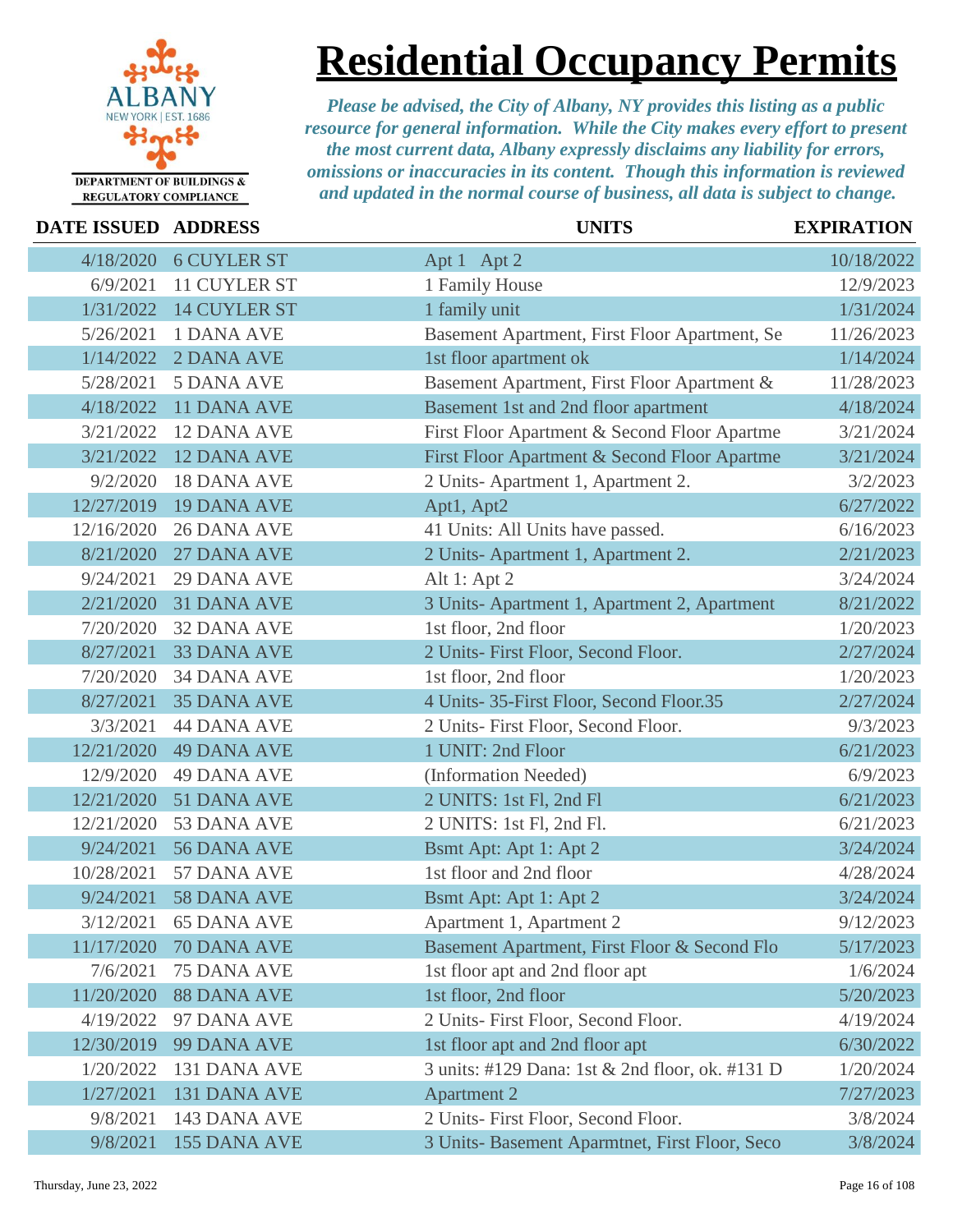

**Residential Occupancy Permits**

*Please be advised, the City of Albany, NY provides this listing as a public resource for general information. While the City makes every effort to present the most current data, Albany expressly disclaims any liability for errors, omissions or inaccuracies in its content. Though this information is reviewed and updated in the normal course of business, all data is subject to change.*

|  | DATE ISSUED ADDRESS |
|--|---------------------|

**REGULATORY COMPLIANCE** 

| DATE ISSUED ADDRESS |                       | <b>UNITS</b>                                    | <b>EXPIRATION</b> |
|---------------------|-----------------------|-------------------------------------------------|-------------------|
| 4/18/2020           | <b>6 CUYLER ST</b>    | Apt 1 Apt 2                                     | 10/18/2022        |
| 6/9/2021            | 11 CUYLER ST          | 1 Family House                                  | 12/9/2023         |
| 1/31/2022           | 14 CUYLER ST          | 1 family unit                                   | 1/31/2024         |
| 5/26/2021           | 1 DANA AVE            | Basement Apartment, First Floor Apartment, Se   | 11/26/2023        |
| 1/14/2022           | 2 DANA AVE            | 1st floor apartment ok                          | 1/14/2024         |
| 5/28/2021           | <b>5 DANA AVE</b>     | Basement Apartment, First Floor Apartment &     | 11/28/2023        |
| 4/18/2022           | <b>11 DANA AVE</b>    | Basement 1st and 2nd floor apartment            | 4/18/2024         |
| 3/21/2022           | <b>12 DANA AVE</b>    | First Floor Apartment & Second Floor Apartme    | 3/21/2024         |
| 3/21/2022           | <b>12 DANA AVE</b>    | First Floor Apartment & Second Floor Apartme    | 3/21/2024         |
| 9/2/2020            | <b>18 DANA AVE</b>    | 2 Units-Apartment 1, Apartment 2.               | 3/2/2023          |
| 12/27/2019          | <b>19 DANA AVE</b>    | Apt1, Apt2                                      | 6/27/2022         |
| 12/16/2020          | <b>26 DANA AVE</b>    | 41 Units: All Units have passed.                | 6/16/2023         |
| 8/21/2020           | 27 DANA AVE           | 2 Units-Apartment 1, Apartment 2.               | 2/21/2023         |
| 9/24/2021           | <b>29 DANA AVE</b>    | Alt 1: Apt $2$                                  | 3/24/2024         |
| 2/21/2020           | <b>31 DANA AVE</b>    | 3 Units-Apartment 1, Apartment 2, Apartment     | 8/21/2022         |
| 7/20/2020           | <b>32 DANA AVE</b>    | 1st floor, 2nd floor                            | 1/20/2023         |
| 8/27/2021           | <b>33 DANA AVE</b>    | 2 Units- First Floor, Second Floor.             | 2/27/2024         |
| 7/20/2020           | <b>34 DANA AVE</b>    | 1st floor, 2nd floor                            | 1/20/2023         |
| 8/27/2021           | <b>35 DANA AVE</b>    | 4 Units- 35-First Floor, Second Floor.35        | 2/27/2024         |
| 3/3/2021            | <b>44 DANA AVE</b>    | 2 Units- First Floor, Second Floor.             | 9/3/2023          |
| 12/21/2020          | <b>49 DANA AVE</b>    | 1 UNIT: 2nd Floor                               | 6/21/2023         |
| 12/9/2020           | <b>49 DANA AVE</b>    | (Information Needed)                            | 6/9/2023          |
| 12/21/2020          | 51 DANA AVE           | 2 UNITS: 1st Fl, 2nd Fl                         | 6/21/2023         |
| 12/21/2020          | 53 DANA AVE           | 2 UNITS: 1st Fl, 2nd Fl.                        | 6/21/2023         |
| 9/24/2021           | 56 DANA AVE           | Bsmt Apt: Apt 1: Apt 2                          | 3/24/2024         |
| 10/28/2021          | 57 DANA AVE           | 1st floor and 2nd floor                         | 4/28/2024         |
| 9/24/2021           | 58 DANA AVE           | Bsmt Apt: Apt 1: Apt 2                          | 3/24/2024         |
|                     | 3/12/2021 65 DANA AVE | Apartment 1, Apartment 2                        | 9/12/2023         |
| 11/17/2020          | 70 DANA AVE           | Basement Apartment, First Floor & Second Flo    | 5/17/2023         |
| 7/6/2021            | <b>75 DANA AVE</b>    | 1st floor apt and 2nd floor apt                 | 1/6/2024          |
| 11/20/2020          | <b>88 DANA AVE</b>    | 1st floor, 2nd floor                            | 5/20/2023         |
| 4/19/2022           | 97 DANA AVE           | 2 Units- First Floor, Second Floor.             | 4/19/2024         |
| 12/30/2019          | 99 DANA AVE           | 1st floor apt and 2nd floor apt                 | 6/30/2022         |
| 1/20/2022           | 131 DANA AVE          | 3 units: #129 Dana: 1st & 2nd floor, ok. #131 D | 1/20/2024         |
| 1/27/2021           | 131 DANA AVE          | <b>Apartment 2</b>                              | 7/27/2023         |
| 9/8/2021            | 143 DANA AVE          | 2 Units- First Floor, Second Floor.             | 3/8/2024          |
| 9/8/2021            | 155 DANA AVE          | 3 Units- Basement Aparmtnet, First Floor, Seco  | 3/8/2024          |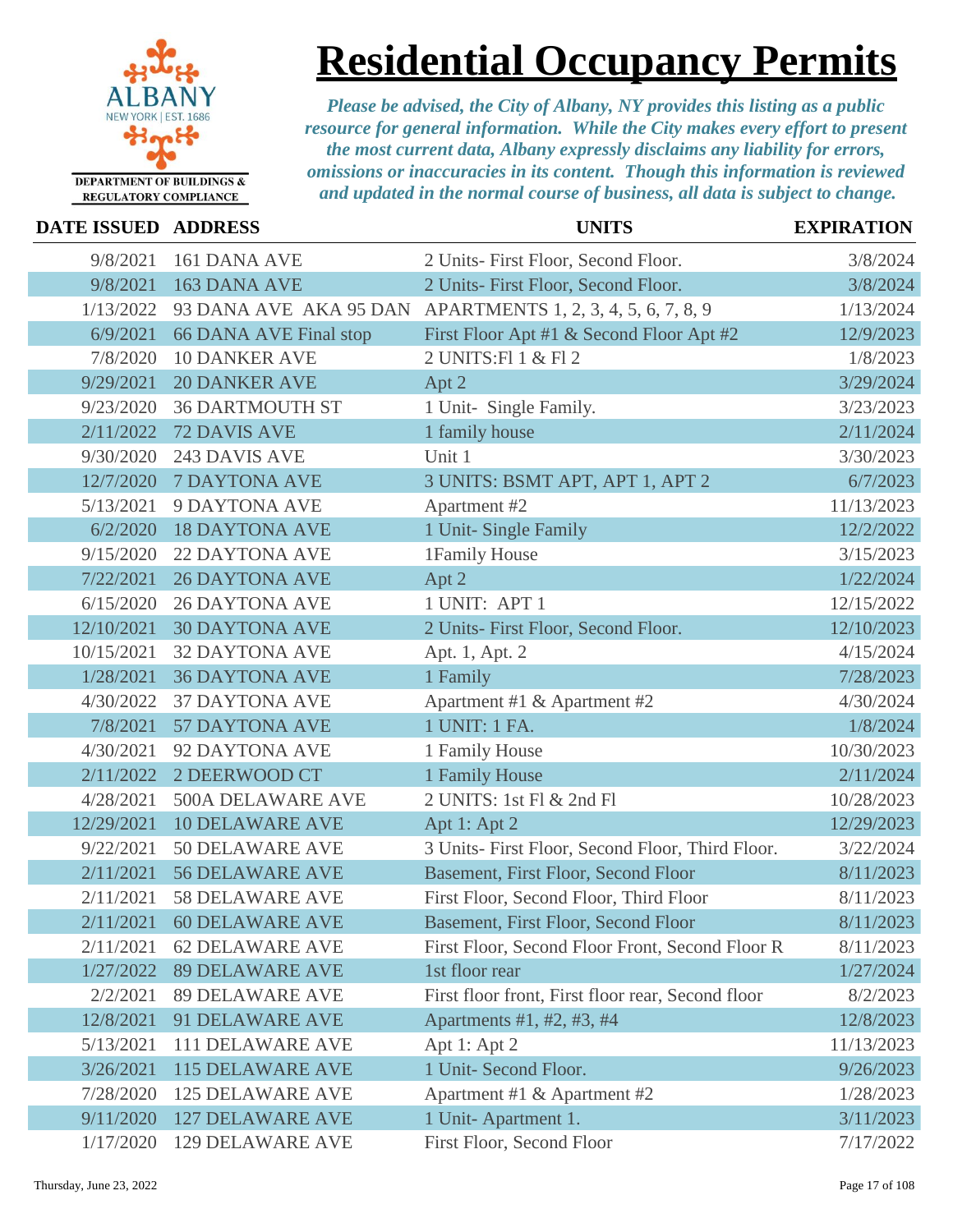

## **Residential Occupancy Permits**

| DATE ISSUED ADDRESS |                          | <b>UNITS</b>                                                | <b>EXPIRATION</b> |
|---------------------|--------------------------|-------------------------------------------------------------|-------------------|
| 9/8/2021            | 161 DANA AVE             | 2 Units- First Floor, Second Floor.                         | 3/8/2024          |
| 9/8/2021            | 163 DANA AVE             | 2 Units- First Floor, Second Floor.                         | 3/8/2024          |
| 1/13/2022           |                          | 93 DANA AVE AKA 95 DAN APARTMENTS 1, 2, 3, 4, 5, 6, 7, 8, 9 | 1/13/2024         |
| 6/9/2021            | 66 DANA AVE Final stop   | First Floor Apt #1 & Second Floor Apt #2                    | 12/9/2023         |
| 7/8/2020            | <b>10 DANKER AVE</b>     | 2 UNITS: F1 1 & F1 2                                        | 1/8/2023          |
| 9/29/2021           | <b>20 DANKER AVE</b>     | Apt 2                                                       | 3/29/2024         |
| 9/23/2020           | <b>36 DARTMOUTH ST</b>   | 1 Unit- Single Family.                                      | 3/23/2023         |
| 2/11/2022           | <b>72 DAVIS AVE</b>      | 1 family house                                              | 2/11/2024         |
| 9/30/2020           | 243 DAVIS AVE            | Unit 1                                                      | 3/30/2023         |
| 12/7/2020           | <b>7 DAYTONA AVE</b>     | 3 UNITS: BSMT APT, APT 1, APT 2                             | 6/7/2023          |
| 5/13/2021           | 9 DAYTONA AVE            | Apartment #2                                                | 11/13/2023        |
| 6/2/2020            | <b>18 DAYTONA AVE</b>    | 1 Unit- Single Family                                       | 12/2/2022         |
| 9/15/2020           | <b>22 DAYTONA AVE</b>    | 1Family House                                               | 3/15/2023         |
| 7/22/2021           | <b>26 DAYTONA AVE</b>    | Apt 2                                                       | 1/22/2024         |
| 6/15/2020           | <b>26 DAYTONA AVE</b>    | 1 UNIT: APT 1                                               | 12/15/2022        |
| 12/10/2021          | <b>30 DAYTONA AVE</b>    | 2 Units- First Floor, Second Floor.                         | 12/10/2023        |
| 10/15/2021          | <b>32 DAYTONA AVE</b>    | Apt. 1, Apt. 2                                              | 4/15/2024         |
| 1/28/2021           | <b>36 DAYTONA AVE</b>    | 1 Family                                                    | 7/28/2023         |
| 4/30/2022           | <b>37 DAYTONA AVE</b>    | Apartment #1 & Apartment #2                                 | 4/30/2024         |
| 7/8/2021            | <b>57 DAYTONA AVE</b>    | 1 UNIT: 1 FA.                                               | 1/8/2024          |
| 4/30/2021           | 92 DAYTONA AVE           | 1 Family House                                              | 10/30/2023        |
| 2/11/2022           | 2 DEERWOOD CT            | 1 Family House                                              | 2/11/2024         |
| 4/28/2021           | <b>500A DELAWARE AVE</b> | 2 UNITS: 1st Fl & 2nd Fl                                    | 10/28/2023        |
| 12/29/2021          | <b>10 DELAWARE AVE</b>   | Apt 1: Apt 2                                                | 12/29/2023        |
| 9/22/2021           | 50 DELAWARE AVE          | 3 Units- First Floor, Second Floor, Third Floor.            | 3/22/2024         |
| 2/11/2021           | <b>56 DELAWARE AVE</b>   | Basement, First Floor, Second Floor                         | 8/11/2023         |
| 2/11/2021           | <b>58 DELAWARE AVE</b>   | First Floor, Second Floor, Third Floor                      | 8/11/2023         |
| 2/11/2021           | <b>60 DELAWARE AVE</b>   | <b>Basement, First Floor, Second Floor</b>                  | 8/11/2023         |
| 2/11/2021           | <b>62 DELAWARE AVE</b>   | First Floor, Second Floor Front, Second Floor R             | 8/11/2023         |
| 1/27/2022           | <b>89 DELAWARE AVE</b>   | 1st floor rear                                              | 1/27/2024         |
| 2/2/2021            | <b>89 DELAWARE AVE</b>   | First floor front, First floor rear, Second floor           | 8/2/2023          |
| 12/8/2021           | 91 DELAWARE AVE          | Apartments #1, #2, #3, #4                                   | 12/8/2023         |
| 5/13/2021           | <b>111 DELAWARE AVE</b>  | Apt 1: Apt 2                                                | 11/13/2023        |
| 3/26/2021           | <b>115 DELAWARE AVE</b>  | 1 Unit- Second Floor.                                       | 9/26/2023         |
| 7/28/2020           | <b>125 DELAWARE AVE</b>  | Apartment #1 & Apartment #2                                 | 1/28/2023         |
| 9/11/2020           | <b>127 DELAWARE AVE</b>  | 1 Unit-Apartment 1.                                         | 3/11/2023         |
| 1/17/2020           | <b>129 DELAWARE AVE</b>  | First Floor, Second Floor                                   | 7/17/2022         |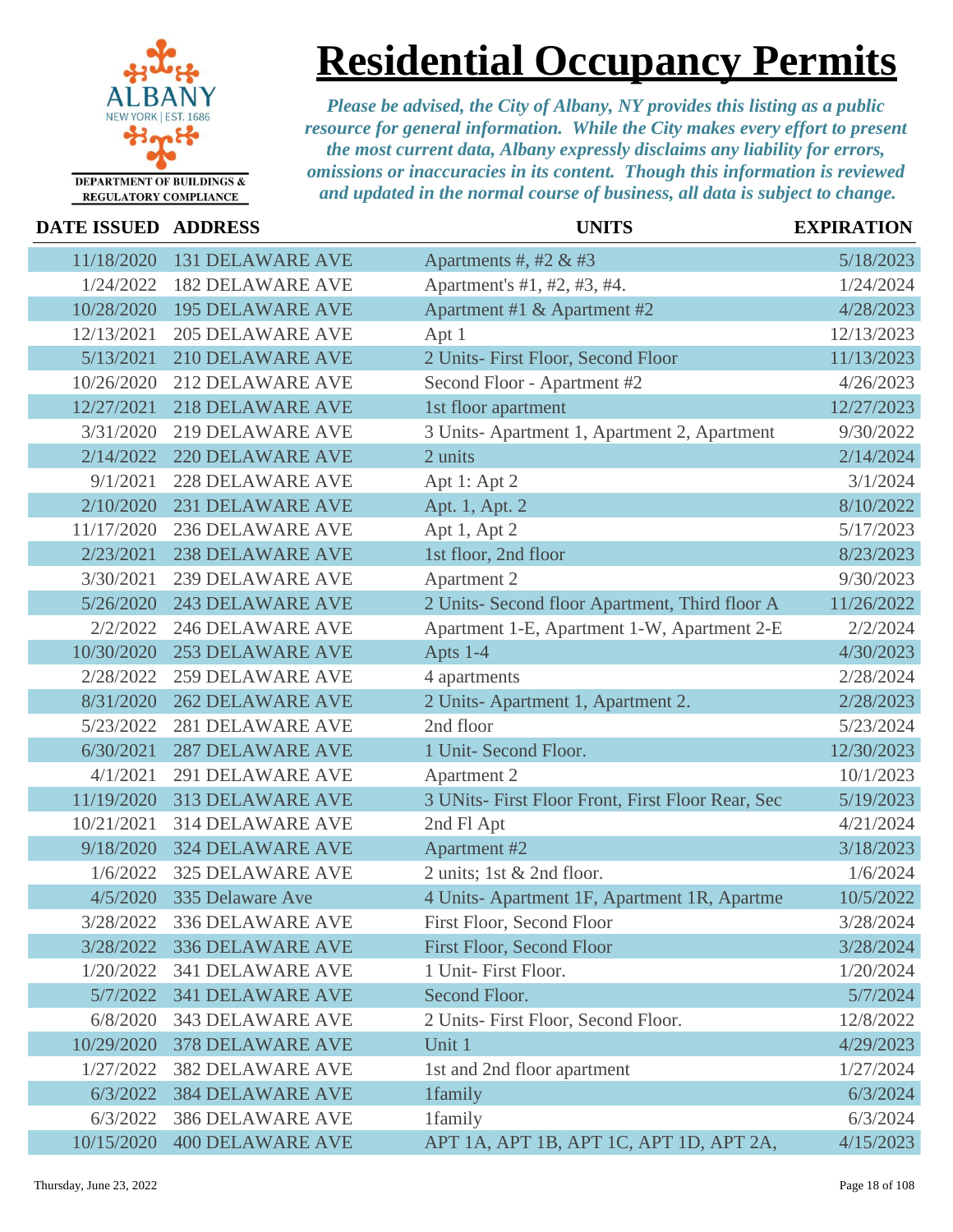

### **Residential Occupancy Permits**

| <b>DATE ISSUED</b> | <b>ADDRESS</b>          | <b>UNITS</b>                                      | <b>EXPIRATION</b> |
|--------------------|-------------------------|---------------------------------------------------|-------------------|
| 11/18/2020         | <b>131 DELAWARE AVE</b> | Apartments #, #2 & #3                             | 5/18/2023         |
| 1/24/2022          | <b>182 DELAWARE AVE</b> | Apartment's #1, #2, #3, #4.                       | 1/24/2024         |
| 10/28/2020         | <b>195 DELAWARE AVE</b> | Apartment #1 & Apartment #2                       | 4/28/2023         |
| 12/13/2021         | <b>205 DELAWARE AVE</b> | Apt 1                                             | 12/13/2023        |
| 5/13/2021          | <b>210 DELAWARE AVE</b> | 2 Units- First Floor, Second Floor                | 11/13/2023        |
| 10/26/2020         | <b>212 DELAWARE AVE</b> | Second Floor - Apartment #2                       | 4/26/2023         |
| 12/27/2021         | <b>218 DELAWARE AVE</b> | 1st floor apartment                               | 12/27/2023        |
| 3/31/2020          | <b>219 DELAWARE AVE</b> | 3 Units-Apartment 1, Apartment 2, Apartment       | 9/30/2022         |
| 2/14/2022          | <b>220 DELAWARE AVE</b> | 2 units                                           | 2/14/2024         |
| 9/1/2021           | <b>228 DELAWARE AVE</b> | Apt 1: Apt 2                                      | 3/1/2024          |
| 2/10/2020          | <b>231 DELAWARE AVE</b> | Apt. 1, Apt. 2                                    | 8/10/2022         |
| 11/17/2020         | <b>236 DELAWARE AVE</b> | Apt 1, Apt 2                                      | 5/17/2023         |
| 2/23/2021          | <b>238 DELAWARE AVE</b> | 1st floor, 2nd floor                              | 8/23/2023         |
| 3/30/2021          | <b>239 DELAWARE AVE</b> | Apartment 2                                       | 9/30/2023         |
| 5/26/2020          | <b>243 DELAWARE AVE</b> | 2 Units- Second floor Apartment, Third floor A    | 11/26/2022        |
| 2/2/2022           | <b>246 DELAWARE AVE</b> | Apartment 1-E, Apartment 1-W, Apartment 2-E       | 2/2/2024          |
| 10/30/2020         | <b>253 DELAWARE AVE</b> | Apts 1-4                                          | 4/30/2023         |
| 2/28/2022          | <b>259 DELAWARE AVE</b> | 4 apartments                                      | 2/28/2024         |
| 8/31/2020          | <b>262 DELAWARE AVE</b> | 2 Units-Apartment 1, Apartment 2.                 | 2/28/2023         |
| 5/23/2022          | <b>281 DELAWARE AVE</b> | 2nd floor                                         | 5/23/2024         |
| 6/30/2021          | <b>287 DELAWARE AVE</b> | 1 Unit- Second Floor.                             | 12/30/2023        |
| 4/1/2021           | <b>291 DELAWARE AVE</b> | <b>Apartment 2</b>                                | 10/1/2023         |
| 11/19/2020         | <b>313 DELAWARE AVE</b> | 3 UNits- First Floor Front, First Floor Rear, Sec | 5/19/2023         |
| 10/21/2021         | <b>314 DELAWARE AVE</b> | 2nd Fl Apt                                        | 4/21/2024         |
| 9/18/2020          | <b>324 DELAWARE AVE</b> | Apartment #2                                      | 3/18/2023         |
| 1/6/2022           | <b>325 DELAWARE AVE</b> | 2 units; 1st & 2nd floor.                         | 1/6/2024          |
| 4/5/2020           | 335 Delaware Ave        | 4 Units-Apartment 1F, Apartment 1R, Apartme       | 10/5/2022         |
| 3/28/2022          | <b>336 DELAWARE AVE</b> | First Floor, Second Floor                         | 3/28/2024         |
| 3/28/2022          | <b>336 DELAWARE AVE</b> | <b>First Floor, Second Floor</b>                  | 3/28/2024         |
| 1/20/2022          | <b>341 DELAWARE AVE</b> | 1 Unit- First Floor.                              | 1/20/2024         |
| 5/7/2022           | <b>341 DELAWARE AVE</b> | Second Floor.                                     | 5/7/2024          |
| 6/8/2020           | <b>343 DELAWARE AVE</b> | 2 Units- First Floor, Second Floor.               | 12/8/2022         |
| 10/29/2020         | <b>378 DELAWARE AVE</b> | Unit 1                                            | 4/29/2023         |
| 1/27/2022          | <b>382 DELAWARE AVE</b> | 1st and 2nd floor apartment                       | 1/27/2024         |
| 6/3/2022           | <b>384 DELAWARE AVE</b> | 1family                                           | 6/3/2024          |
| 6/3/2022           | <b>386 DELAWARE AVE</b> | 1family                                           | 6/3/2024          |
| 10/15/2020         | <b>400 DELAWARE AVE</b> | APT 1A, APT 1B, APT 1C, APT 1D, APT 2A,           | 4/15/2023         |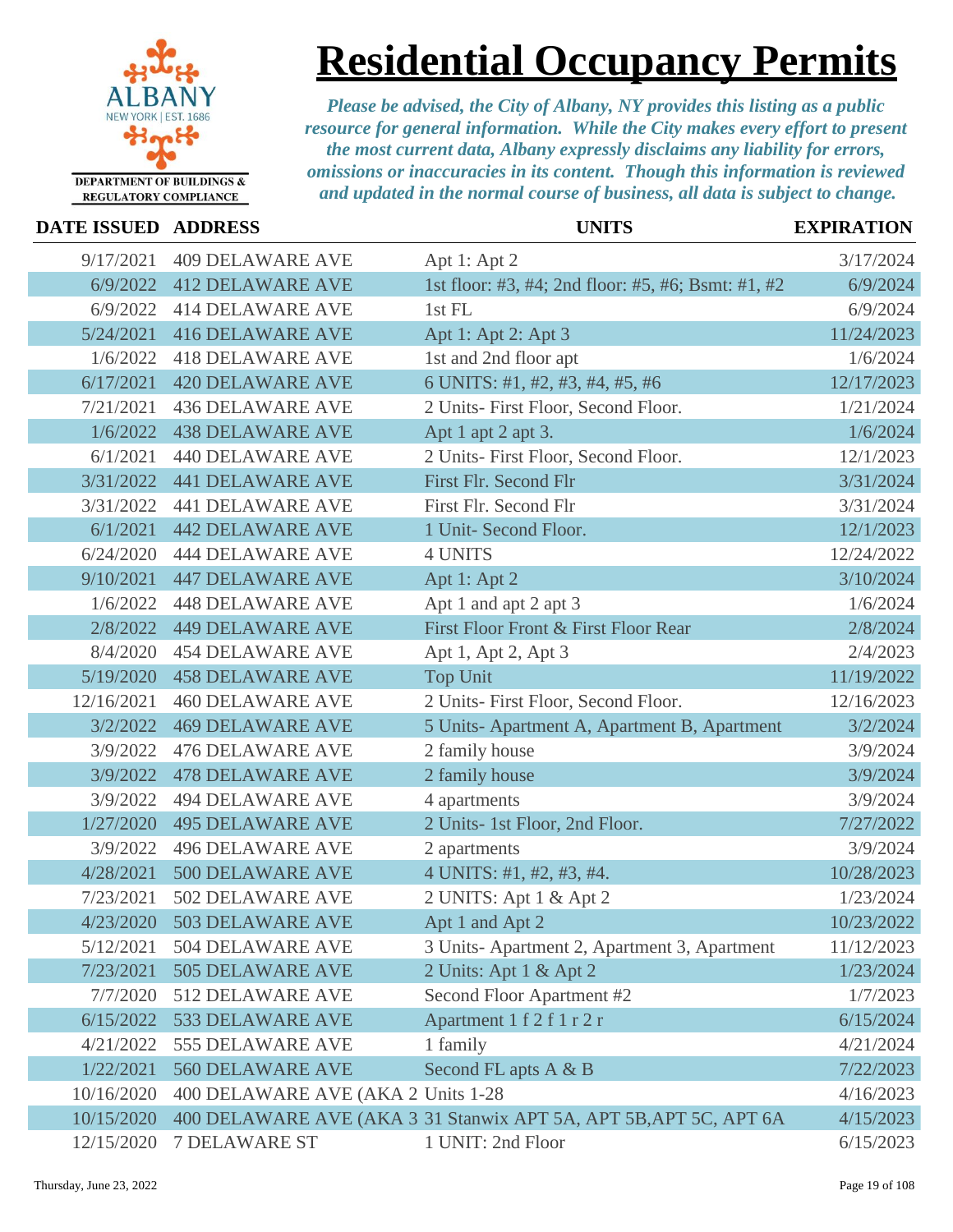

### **Residential Occupancy Permits**

| DATE ISSUED ADDRESS |                                    | <b>UNITS</b>                                                      | <b>EXPIRATION</b> |
|---------------------|------------------------------------|-------------------------------------------------------------------|-------------------|
| 9/17/2021           | <b>409 DELAWARE AVE</b>            | Apt 1: Apt 2                                                      | 3/17/2024         |
| 6/9/2022            | <b>412 DELAWARE AVE</b>            | 1st floor: #3, #4; 2nd floor: #5, #6; Bsmt: #1, #2                | 6/9/2024          |
| 6/9/2022            | <b>414 DELAWARE AVE</b>            | 1st FL                                                            | 6/9/2024          |
| 5/24/2021           | <b>416 DELAWARE AVE</b>            | Apt 1: Apt 2: Apt 3                                               | 11/24/2023        |
| 1/6/2022            | <b>418 DELAWARE AVE</b>            | 1st and 2nd floor apt                                             | 1/6/2024          |
| 6/17/2021           | <b>420 DELAWARE AVE</b>            | 6 UNITS: #1, #2, #3, #4, #5, #6                                   | 12/17/2023        |
| 7/21/2021           | <b>436 DELAWARE AVE</b>            | 2 Units- First Floor, Second Floor.                               | 1/21/2024         |
| 1/6/2022            | <b>438 DELAWARE AVE</b>            | Apt 1 apt 2 apt 3.                                                | 1/6/2024          |
| 6/1/2021            | <b>440 DELAWARE AVE</b>            | 2 Units- First Floor, Second Floor.                               | 12/1/2023         |
| 3/31/2022           | <b>441 DELAWARE AVE</b>            | First Flr. Second Flr                                             | 3/31/2024         |
| 3/31/2022           | <b>441 DELAWARE AVE</b>            | First Flr. Second Flr                                             | 3/31/2024         |
| 6/1/2021            | <b>442 DELAWARE AVE</b>            | 1 Unit- Second Floor.                                             | 12/1/2023         |
| 6/24/2020           | <b>444 DELAWARE AVE</b>            | <b>4 UNITS</b>                                                    | 12/24/2022        |
| 9/10/2021           | <b>447 DELAWARE AVE</b>            | Apt 1: Apt 2                                                      | 3/10/2024         |
| 1/6/2022            | <b>448 DELAWARE AVE</b>            | Apt 1 and apt 2 apt 3                                             | 1/6/2024          |
| 2/8/2022            | <b>449 DELAWARE AVE</b>            | First Floor Front & First Floor Rear                              | 2/8/2024          |
| 8/4/2020            | <b>454 DELAWARE AVE</b>            | Apt 1, Apt 2, Apt 3                                               | 2/4/2023          |
| 5/19/2020           | <b>458 DELAWARE AVE</b>            | <b>Top Unit</b>                                                   | 11/19/2022        |
| 12/16/2021          | <b>460 DELAWARE AVE</b>            | 2 Units- First Floor, Second Floor.                               | 12/16/2023        |
| 3/2/2022            | <b>469 DELAWARE AVE</b>            | 5 Units-Apartment A, Apartment B, Apartment                       | 3/2/2024          |
| 3/9/2022            | <b>476 DELAWARE AVE</b>            | 2 family house                                                    | 3/9/2024          |
| 3/9/2022            | <b>478 DELAWARE AVE</b>            | 2 family house                                                    | 3/9/2024          |
| 3/9/2022            | <b>494 DELAWARE AVE</b>            | 4 apartments                                                      | 3/9/2024          |
| 1/27/2020           | <b>495 DELAWARE AVE</b>            | 2 Units- 1st Floor, 2nd Floor.                                    | 7/27/2022         |
| 3/9/2022            | <b>496 DELAWARE AVE</b>            | 2 apartments                                                      | 3/9/2024          |
| 4/28/2021           | 500 DELAWARE AVE                   | 4 UNITS: #1, #2, #3, #4.                                          | 10/28/2023        |
| 7/23/2021           | 502 DELAWARE AVE                   | 2 UNITS: Apt 1 & Apt 2                                            | 1/23/2024         |
|                     | 4/23/2020 503 DELAWARE AVE         | Apt 1 and Apt 2                                                   | 10/23/2022        |
| 5/12/2021           | 504 DELAWARE AVE                   | 3 Units-Apartment 2, Apartment 3, Apartment                       | 11/12/2023        |
| 7/23/2021           | 505 DELAWARE AVE                   | 2 Units: Apt 1 & Apt 2                                            | 1/23/2024         |
| 7/7/2020            | 512 DELAWARE AVE                   | Second Floor Apartment #2                                         | 1/7/2023          |
| 6/15/2022           | 533 DELAWARE AVE                   | Apartment 1 f 2 f 1 r 2 r                                         | 6/15/2024         |
| 4/21/2022           | 555 DELAWARE AVE                   | 1 family                                                          | 4/21/2024         |
| 1/22/2021           | 560 DELAWARE AVE                   | Second FL apts A & B                                              | 7/22/2023         |
| 10/16/2020          | 400 DELAWARE AVE (AKA 2 Units 1-28 |                                                                   | 4/16/2023         |
| 10/15/2020          |                                    | 400 DELAWARE AVE (AKA 3 31 Stanwix APT 5A, APT 5B, APT 5C, APT 6A | 4/15/2023         |
| 12/15/2020          | <b>7 DELAWARE ST</b>               | 1 UNIT: 2nd Floor                                                 | 6/15/2023         |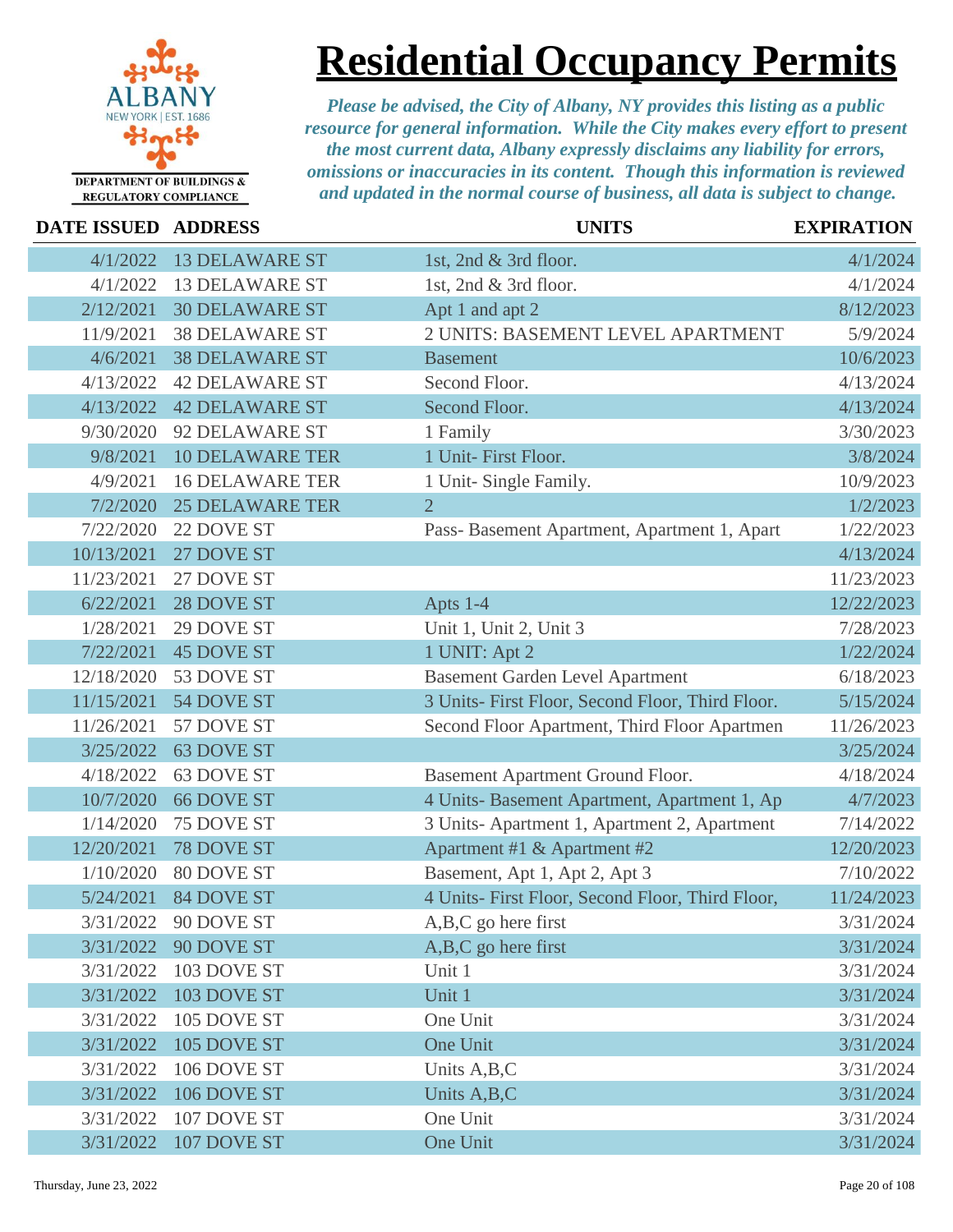

**Residential Occupancy Permits**

| DATE ISSUED ADDRESS |                        | <b>UNITS</b>                                     | <b>EXPIRATION</b> |
|---------------------|------------------------|--------------------------------------------------|-------------------|
| 4/1/2022            | <b>13 DELAWARE ST</b>  | 1st, 2nd & 3rd floor.                            | 4/1/2024          |
| 4/1/2022            | <b>13 DELAWARE ST</b>  | 1st, 2nd & 3rd floor.                            | 4/1/2024          |
| 2/12/2021           | <b>30 DELAWARE ST</b>  | Apt 1 and apt 2                                  | 8/12/2023         |
| 11/9/2021           | <b>38 DELAWARE ST</b>  | 2 UNITS: BASEMENT LEVEL APARTMENT                | 5/9/2024          |
| 4/6/2021            | <b>38 DELAWARE ST</b>  | <b>Basement</b>                                  | 10/6/2023         |
| 4/13/2022           | <b>42 DELAWARE ST</b>  | Second Floor.                                    | 4/13/2024         |
| 4/13/2022           | <b>42 DELAWARE ST</b>  | Second Floor.                                    | 4/13/2024         |
| 9/30/2020           | 92 DELAWARE ST         | 1 Family                                         | 3/30/2023         |
| 9/8/2021            | <b>10 DELAWARE TER</b> | 1 Unit- First Floor.                             | 3/8/2024          |
| 4/9/2021            | <b>16 DELAWARE TER</b> | 1 Unit- Single Family.                           | 10/9/2023         |
| 7/2/2020            | <b>25 DELAWARE TER</b> | $\overline{2}$                                   | 1/2/2023          |
| 7/22/2020           | 22 DOVE ST             | Pass-Basement Apartment, Apartment 1, Apart      | 1/22/2023         |
| 10/13/2021          | 27 DOVE ST             |                                                  | 4/13/2024         |
| 11/23/2021          | 27 DOVE ST             |                                                  | 11/23/2023        |
| 6/22/2021           | 28 DOVE ST             | Apts 1-4                                         | 12/22/2023        |
| 1/28/2021           | 29 DOVE ST             | Unit 1, Unit 2, Unit 3                           | 7/28/2023         |
| 7/22/2021           | <b>45 DOVE ST</b>      | 1 UNIT: Apt 2                                    | 1/22/2024         |
| 12/18/2020          | 53 DOVE ST             | <b>Basement Garden Level Apartment</b>           | 6/18/2023         |
| 11/15/2021          | 54 DOVE ST             | 3 Units- First Floor, Second Floor, Third Floor. | 5/15/2024         |
| 11/26/2021          | 57 DOVE ST             | Second Floor Apartment, Third Floor Apartmen     | 11/26/2023        |
| 3/25/2022           | 63 DOVE ST             |                                                  | 3/25/2024         |
| 4/18/2022           | 63 DOVE ST             | Basement Apartment Ground Floor.                 | 4/18/2024         |
| 10/7/2020           | <b>66 DOVE ST</b>      | 4 Units- Basement Apartment, Apartment 1, Ap     | 4/7/2023          |
| 1/14/2020           | 75 DOVE ST             | 3 Units-Apartment 1, Apartment 2, Apartment      | 7/14/2022         |
| 12/20/2021          | 78 DOVE ST             | Apartment #1 & Apartment #2                      | 12/20/2023        |
| 1/10/2020           | 80 DOVE ST             | Basement, Apt 1, Apt 2, Apt 3                    | 7/10/2022         |
| 5/24/2021           | <b>84 DOVE ST</b>      | 4 Units- First Floor, Second Floor, Third Floor, | 11/24/2023        |
| 3/31/2022           | 90 DOVE ST             | A,B,C go here first                              | 3/31/2024         |
| 3/31/2022           | 90 DOVE ST             | A,B,C go here first                              | 3/31/2024         |
| 3/31/2022           | 103 DOVE ST            | Unit 1                                           | 3/31/2024         |
| 3/31/2022           | 103 DOVE ST            | Unit 1                                           | 3/31/2024         |
| 3/31/2022           | 105 DOVE ST            | One Unit                                         | 3/31/2024         |
| 3/31/2022           | 105 DOVE ST            | One Unit                                         | 3/31/2024         |
| 3/31/2022           | 106 DOVE ST            | Units A, B, C                                    | 3/31/2024         |
| 3/31/2022           | 106 DOVE ST            | Units A, B, C                                    | 3/31/2024         |
| 3/31/2022           | 107 DOVE ST            | One Unit                                         | 3/31/2024         |
| 3/31/2022           | 107 DOVE ST            | One Unit                                         | 3/31/2024         |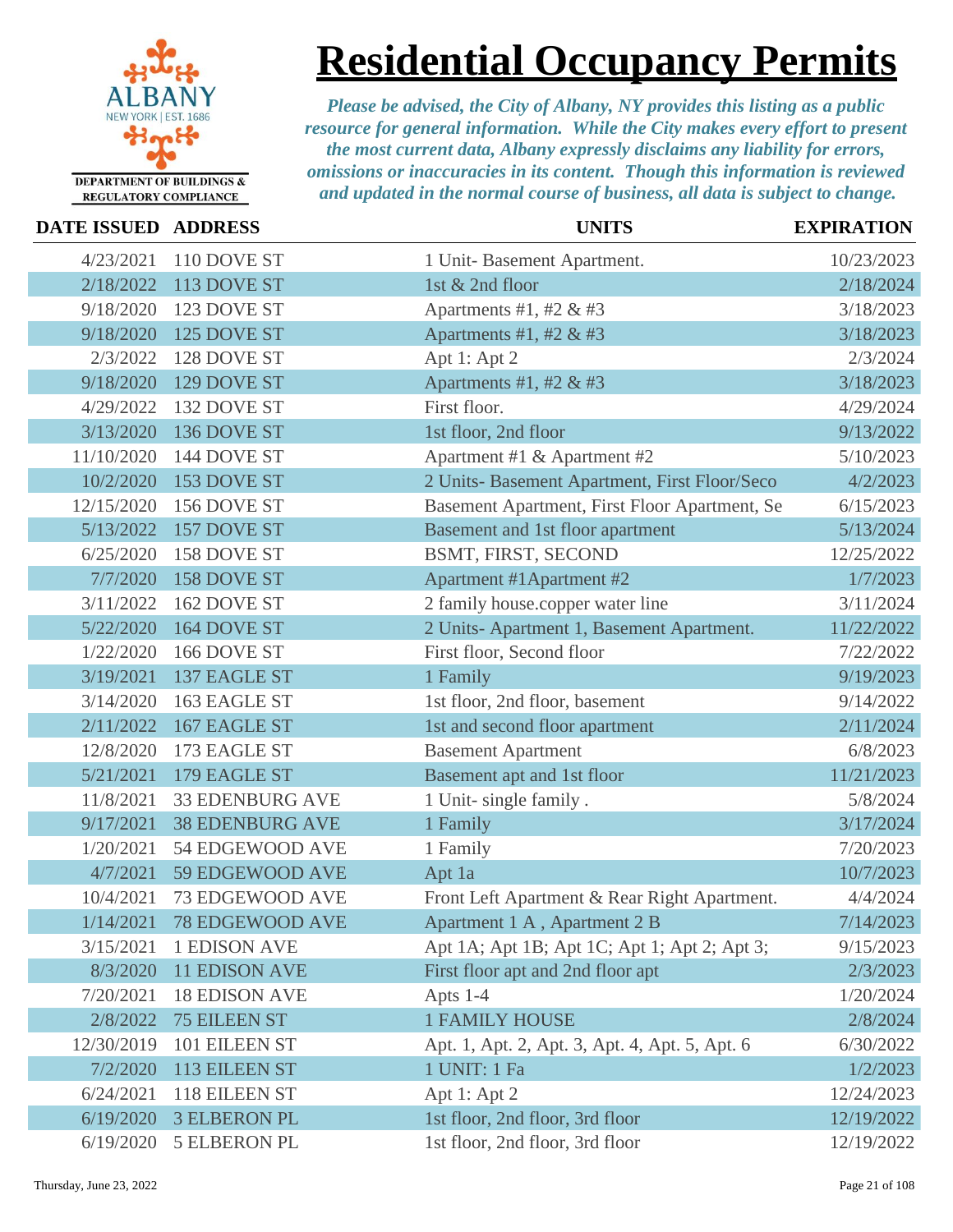

### **Residential Occupancy Permits**

| <b>DATE ISSUED ADDRESS</b> |                        | <b>UNITS</b>                                   | <b>EXPIRATION</b> |
|----------------------------|------------------------|------------------------------------------------|-------------------|
| 4/23/2021                  | 110 DOVE ST            | 1 Unit-Basement Apartment.                     | 10/23/2023        |
| 2/18/2022                  | 113 DOVE ST            | 1st & 2nd floor                                | 2/18/2024         |
| 9/18/2020                  | 123 DOVE ST            | Apartments #1, #2 & #3                         | 3/18/2023         |
| 9/18/2020                  | 125 DOVE ST            | Apartments #1, #2 & #3                         | 3/18/2023         |
| 2/3/2022                   | 128 DOVE ST            | Apt 1: Apt 2                                   | 2/3/2024          |
| 9/18/2020                  | 129 DOVE ST            | Apartments #1, #2 & #3                         | 3/18/2023         |
| 4/29/2022                  | 132 DOVE ST            | First floor.                                   | 4/29/2024         |
| 3/13/2020                  | 136 DOVE ST            | 1st floor, 2nd floor                           | 9/13/2022         |
| 11/10/2020                 | 144 DOVE ST            | Apartment #1 & Apartment #2                    | 5/10/2023         |
| 10/2/2020                  | 153 DOVE ST            | 2 Units- Basement Apartment, First Floor/Seco  | 4/2/2023          |
| 12/15/2020                 | 156 DOVE ST            | Basement Apartment, First Floor Apartment, Se  | 6/15/2023         |
| 5/13/2022                  | 157 DOVE ST            | Basement and 1st floor apartment               | 5/13/2024         |
| 6/25/2020                  | 158 DOVE ST            | BSMT, FIRST, SECOND                            | 12/25/2022        |
| 7/7/2020                   | 158 DOVE ST            | Apartment #1 Apartment #2                      | 1/7/2023          |
| 3/11/2022                  | 162 DOVE ST            | 2 family house.copper water line               | 3/11/2024         |
| 5/22/2020                  | 164 DOVE ST            | 2 Units-Apartment 1, Basement Apartment.       | 11/22/2022        |
| 1/22/2020                  | 166 DOVE ST            | First floor, Second floor                      | 7/22/2022         |
| 3/19/2021                  | 137 EAGLE ST           | 1 Family                                       | 9/19/2023         |
| 3/14/2020                  | 163 EAGLE ST           | 1st floor, 2nd floor, basement                 | 9/14/2022         |
| 2/11/2022                  | 167 EAGLE ST           | 1st and second floor apartment                 | 2/11/2024         |
| 12/8/2020                  | 173 EAGLE ST           | <b>Basement Apartment</b>                      | 6/8/2023          |
| 5/21/2021                  | 179 EAGLE ST           | Basement apt and 1st floor                     | 11/21/2023        |
| 11/8/2021                  | <b>33 EDENBURG AVE</b> | 1 Unit- single family.                         | 5/8/2024          |
| 9/17/2021                  | <b>38 EDENBURG AVE</b> | 1 Family                                       | 3/17/2024         |
| 1/20/2021                  | 54 EDGEWOOD AVE        | 1 Family                                       | 7/20/2023         |
| 4/7/2021                   | 59 EDGEWOOD AVE        | Apt 1a                                         | 10/7/2023         |
| 10/4/2021                  | 73 EDGEWOOD AVE        | Front Left Apartment & Rear Right Apartment.   | 4/4/2024          |
| 1/14/2021                  | <b>78 EDGEWOOD AVE</b> | Apartment 1 A, Apartment 2 B                   | 7/14/2023         |
| 3/15/2021                  | <b>1 EDISON AVE</b>    | Apt 1A; Apt 1B; Apt 1C; Apt 1; Apt 2; Apt 3;   | 9/15/2023         |
| 8/3/2020                   | <b>11 EDISON AVE</b>   | First floor apt and 2nd floor apt              | 2/3/2023          |
| 7/20/2021                  | <b>18 EDISON AVE</b>   | Apts 1-4                                       | 1/20/2024         |
| 2/8/2022                   | <b>75 EILEEN ST</b>    | <b>1 FAMILY HOUSE</b>                          | 2/8/2024          |
| 12/30/2019                 | 101 EILEEN ST          | Apt. 1, Apt. 2, Apt. 3, Apt. 4, Apt. 5, Apt. 6 | 6/30/2022         |
| 7/2/2020                   | 113 EILEEN ST          | 1 UNIT: 1 Fa                                   | 1/2/2023          |
| 6/24/2021                  | 118 EILEEN ST          | Apt 1: Apt 2                                   | 12/24/2023        |
| 6/19/2020                  | <b>3 ELBERON PL</b>    | 1st floor, 2nd floor, 3rd floor                | 12/19/2022        |
| 6/19/2020                  | <b>5 ELBERON PL</b>    | 1st floor, 2nd floor, 3rd floor                | 12/19/2022        |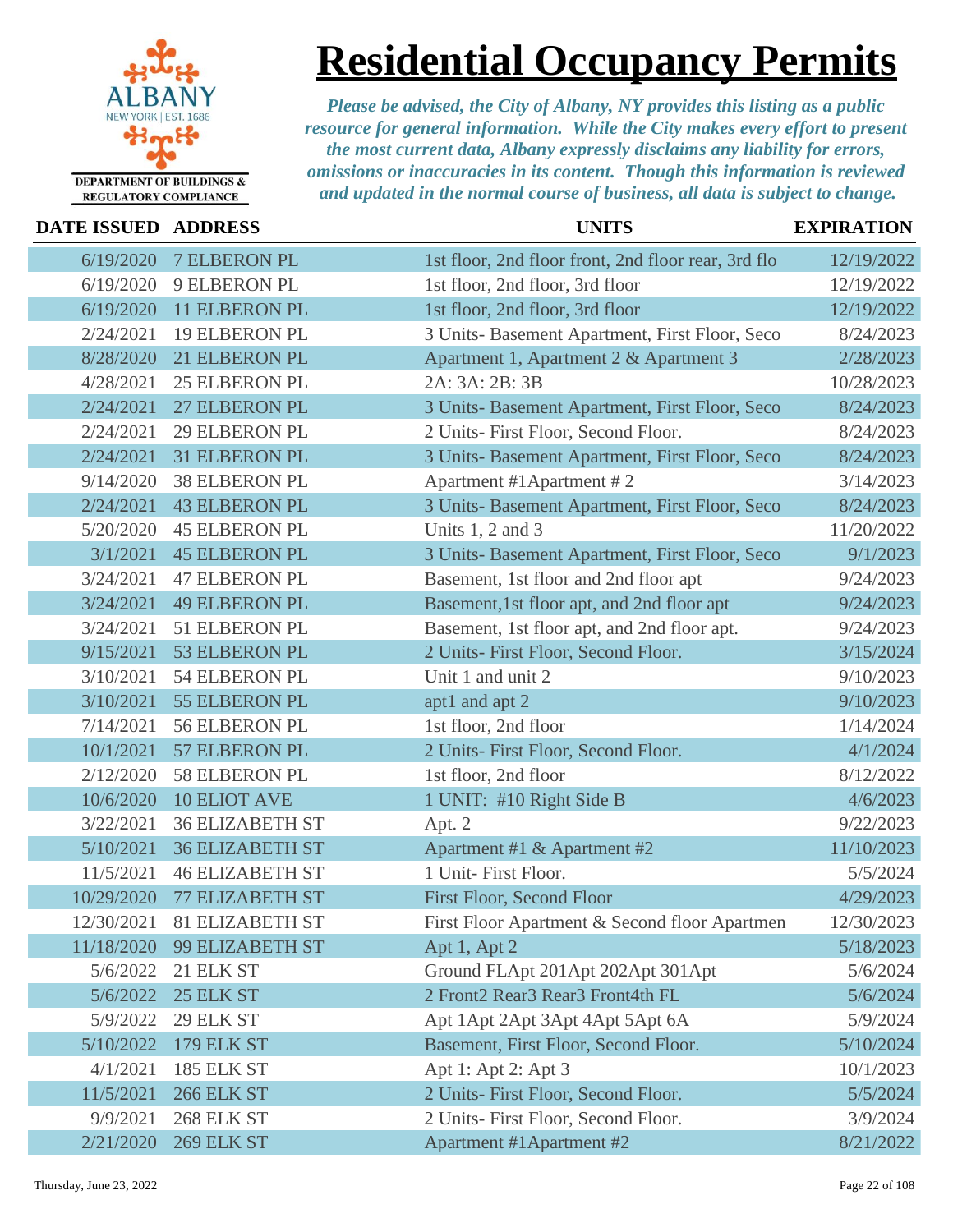

**Residential Occupancy Permits**

| <b>DATE ISSUED ADDRESS</b> |                        | <b>UNITS</b>                                        | <b>EXPIRATION</b> |
|----------------------------|------------------------|-----------------------------------------------------|-------------------|
| 6/19/2020                  | <b>7 ELBERON PL</b>    | 1st floor, 2nd floor front, 2nd floor rear, 3rd flo | 12/19/2022        |
| 6/19/2020                  | 9 ELBERON PL           | 1st floor, 2nd floor, 3rd floor                     | 12/19/2022        |
| 6/19/2020                  | 11 ELBERON PL          | 1st floor, 2nd floor, 3rd floor                     | 12/19/2022        |
| 2/24/2021                  | <b>19 ELBERON PL</b>   | 3 Units- Basement Apartment, First Floor, Seco      | 8/24/2023         |
| 8/28/2020                  | 21 ELBERON PL          | Apartment 1, Apartment 2 & Apartment 3              | 2/28/2023         |
| 4/28/2021                  | 25 ELBERON PL          | 2A: 3A: 2B: 3B                                      | 10/28/2023        |
| 2/24/2021                  | 27 ELBERON PL          | 3 Units- Basement Apartment, First Floor, Seco      | 8/24/2023         |
| 2/24/2021                  | <b>29 ELBERON PL</b>   | 2 Units- First Floor, Second Floor.                 | 8/24/2023         |
| 2/24/2021                  | 31 ELBERON PL          | 3 Units- Basement Apartment, First Floor, Seco      | 8/24/2023         |
| 9/14/2020                  | <b>38 ELBERON PL</b>   | Apartment #1Apartment #2                            | 3/14/2023         |
| 2/24/2021                  | <b>43 ELBERON PL</b>   | 3 Units- Basement Apartment, First Floor, Seco      | 8/24/2023         |
| 5/20/2020                  | <b>45 ELBERON PL</b>   | Units $1, 2$ and $3$                                | 11/20/2022        |
| 3/1/2021                   | <b>45 ELBERON PL</b>   | 3 Units- Basement Apartment, First Floor, Seco      | 9/1/2023          |
| 3/24/2021                  | <b>47 ELBERON PL</b>   | Basement, 1st floor and 2nd floor apt               | 9/24/2023         |
| 3/24/2021                  | <b>49 ELBERON PL</b>   | Basement, 1st floor apt, and 2nd floor apt          | 9/24/2023         |
| 3/24/2021                  | 51 ELBERON PL          | Basement, 1st floor apt, and 2nd floor apt.         | 9/24/2023         |
| 9/15/2021                  | 53 ELBERON PL          | 2 Units- First Floor, Second Floor.                 | 3/15/2024         |
| 3/10/2021                  | 54 ELBERON PL          | Unit 1 and unit 2                                   | 9/10/2023         |
| 3/10/2021                  | 55 ELBERON PL          | apt1 and apt 2                                      | 9/10/2023         |
| 7/14/2021                  | <b>56 ELBERON PL</b>   | 1st floor, 2nd floor                                | 1/14/2024         |
| 10/1/2021                  | 57 ELBERON PL          | 2 Units- First Floor, Second Floor.                 | 4/1/2024          |
| 2/12/2020                  | 58 ELBERON PL          | 1st floor, 2nd floor                                | 8/12/2022         |
| 10/6/2020                  | <b>10 ELIOT AVE</b>    | 1 UNIT: #10 Right Side B                            | 4/6/2023          |
| 3/22/2021                  | <b>36 ELIZABETH ST</b> | Apt. 2                                              | 9/22/2023         |
| 5/10/2021                  | <b>36 ELIZABETH ST</b> | Apartment #1 & Apartment #2                         | 11/10/2023        |
| 11/5/2021                  | <b>46 ELIZABETH ST</b> | 1 Unit- First Floor.                                | 5/5/2024          |
| 10/29/2020                 | 77 ELIZABETH ST        | First Floor, Second Floor                           | 4/29/2023         |
| 12/30/2021                 | 81 ELIZABETH ST        | First Floor Apartment & Second floor Apartmen       | 12/30/2023        |
| 11/18/2020                 | 99 ELIZABETH ST        | Apt 1, Apt 2                                        | 5/18/2023         |
| 5/6/2022                   | 21 ELK ST              | Ground FLApt 201Apt 202Apt 301Apt                   | 5/6/2024          |
| 5/6/2022                   | 25 ELK ST              | 2 Front2 Rear3 Rear3 Front4th FL                    | 5/6/2024          |
| 5/9/2022                   | 29 ELK ST              | Apt 1Apt 2Apt 3Apt 4Apt 5Apt 6A                     | 5/9/2024          |
| 5/10/2022                  | <b>179 ELK ST</b>      | Basement, First Floor, Second Floor.                | 5/10/2024         |
| 4/1/2021                   | 185 ELK ST             | Apt 1: Apt 2: Apt 3                                 | 10/1/2023         |
| 11/5/2021                  | <b>266 ELK ST</b>      | 2 Units- First Floor, Second Floor.                 | 5/5/2024          |
| 9/9/2021                   | 268 ELK ST             | 2 Units- First Floor, Second Floor.                 | 3/9/2024          |
| 2/21/2020                  | <b>269 ELK ST</b>      | Apartment #1Apartment #2                            | 8/21/2022         |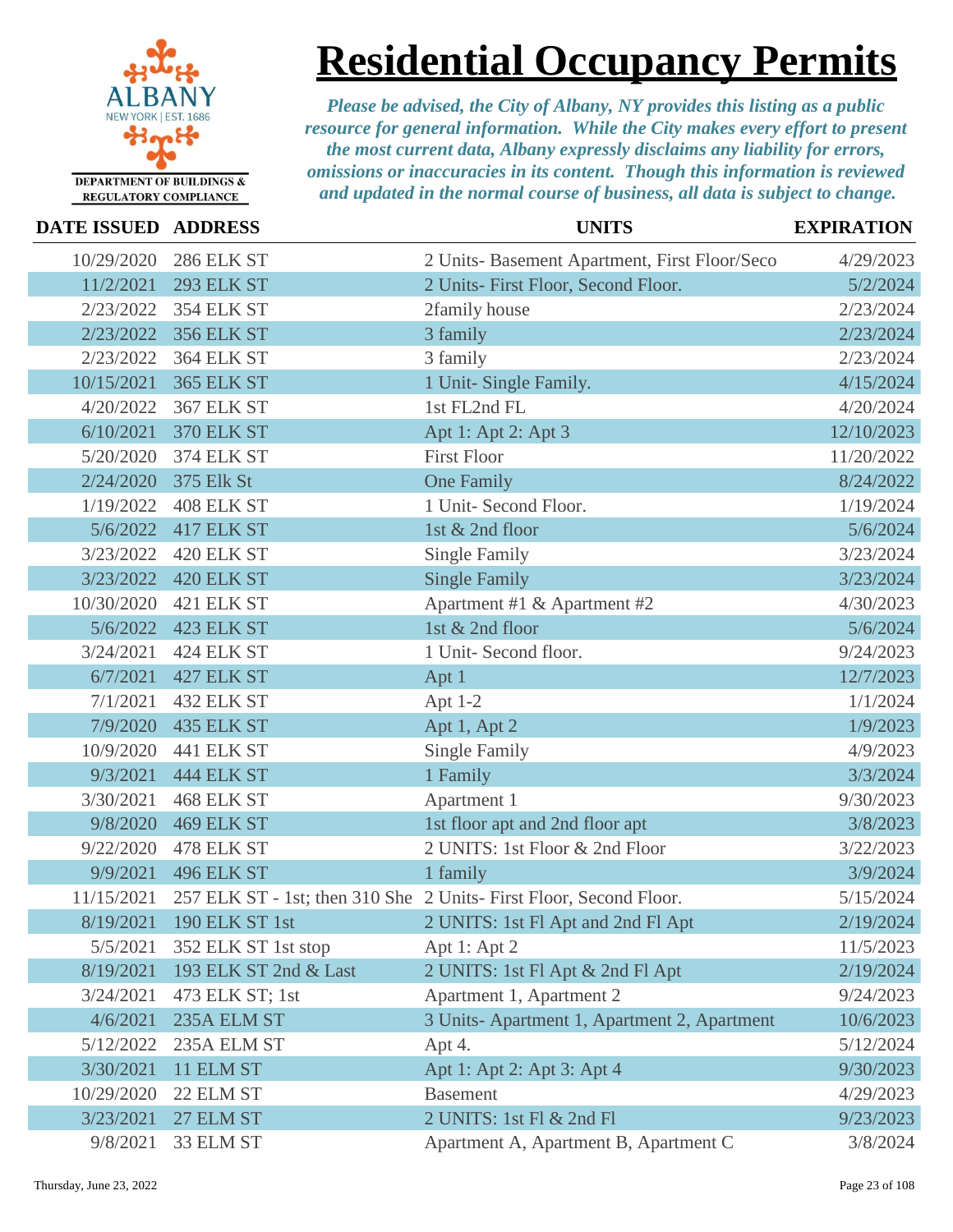

**Residential Occupancy Permits**

| <b>DATE ISSUED ADDRESS</b> |                       | <b>UNITS</b>                                                       | <b>EXPIRATION</b> |
|----------------------------|-----------------------|--------------------------------------------------------------------|-------------------|
| 10/29/2020                 | <b>286 ELK ST</b>     | 2 Units- Basement Apartment, First Floor/Seco                      | 4/29/2023         |
| 11/2/2021                  | <b>293 ELK ST</b>     | 2 Units- First Floor, Second Floor.                                | 5/2/2024          |
| 2/23/2022                  | <b>354 ELK ST</b>     | 2family house                                                      | 2/23/2024         |
| 2/23/2022                  | <b>356 ELK ST</b>     | 3 family                                                           | 2/23/2024         |
| 2/23/2022                  | <b>364 ELK ST</b>     | 3 family                                                           | 2/23/2024         |
| 10/15/2021                 | <b>365 ELK ST</b>     | 1 Unit- Single Family.                                             | 4/15/2024         |
| 4/20/2022                  | <b>367 ELK ST</b>     | 1st FL2nd FL                                                       | 4/20/2024         |
| 6/10/2021                  | <b>370 ELK ST</b>     | Apt 1: Apt 2: Apt 3                                                | 12/10/2023        |
| 5/20/2020                  | <b>374 ELK ST</b>     | <b>First Floor</b>                                                 | 11/20/2022        |
| 2/24/2020                  | 375 Elk St            | <b>One Family</b>                                                  | 8/24/2022         |
| 1/19/2022                  | 408 ELK ST            | 1 Unit- Second Floor.                                              | 1/19/2024         |
| 5/6/2022                   | 417 ELK ST            | 1st & 2nd floor                                                    | 5/6/2024          |
| 3/23/2022                  | 420 ELK ST            | <b>Single Family</b>                                               | 3/23/2024         |
| 3/23/2022                  | 420 ELK ST            | <b>Single Family</b>                                               | 3/23/2024         |
| 10/30/2020                 | 421 ELK ST            | Apartment #1 & Apartment #2                                        | 4/30/2023         |
| 5/6/2022                   | 423 ELK ST            | 1st & 2nd floor                                                    | 5/6/2024          |
| 3/24/2021                  | 424 ELK ST            | 1 Unit- Second floor.                                              | 9/24/2023         |
| 6/7/2021                   | 427 ELK ST            | Apt 1                                                              | 12/7/2023         |
| 7/1/2021                   | 432 ELK ST            | Apt $1-2$                                                          | 1/1/2024          |
| 7/9/2020                   | <b>435 ELK ST</b>     | Apt 1, Apt 2                                                       | 1/9/2023          |
| 10/9/2020                  | <b>441 ELK ST</b>     | <b>Single Family</b>                                               | 4/9/2023          |
| 9/3/2021                   | <b>444 ELK ST</b>     | 1 Family                                                           | 3/3/2024          |
| 3/30/2021                  | 468 ELK ST            | Apartment 1                                                        | 9/30/2023         |
| 9/8/2020                   | <b>469 ELK ST</b>     | 1st floor apt and 2nd floor apt                                    | 3/8/2023          |
| 9/22/2020                  | 478 ELK ST            | 2 UNITS: 1st Floor & 2nd Floor                                     | 3/22/2023         |
| 9/9/2021                   | <b>496 ELK ST</b>     | 1 family                                                           | 3/9/2024          |
| 11/15/2021                 |                       | 257 ELK ST - 1st; then 310 She 2 Units- First Floor, Second Floor. | 5/15/2024         |
| 8/19/2021                  | <b>190 ELK ST 1st</b> | 2 UNITS: 1st Fl Apt and 2nd Fl Apt                                 | 2/19/2024         |
| 5/5/2021                   | 352 ELK ST 1st stop   | Apt 1: Apt 2                                                       | 11/5/2023         |
| 8/19/2021                  | 193 ELK ST 2nd & Last | 2 UNITS: 1st Fl Apt & 2nd Fl Apt                                   | 2/19/2024         |
| 3/24/2021                  | 473 ELK ST; 1st       | Apartment 1, Apartment 2                                           | 9/24/2023         |
| 4/6/2021                   | 235A ELM ST           | 3 Units-Apartment 1, Apartment 2, Apartment                        | 10/6/2023         |
| 5/12/2022                  | 235A ELM ST           | Apt 4.                                                             | 5/12/2024         |
| 3/30/2021                  | 11 ELM ST             | Apt 1: Apt 2: Apt 3: Apt 4                                         | 9/30/2023         |
| 10/29/2020                 | 22 ELM ST             | <b>Basement</b>                                                    | 4/29/2023         |
| 3/23/2021                  | 27 ELM ST             | 2 UNITS: 1st Fl & 2nd Fl                                           | 9/23/2023         |
| 9/8/2021                   | 33 ELM ST             | Apartment A, Apartment B, Apartment C                              | 3/8/2024          |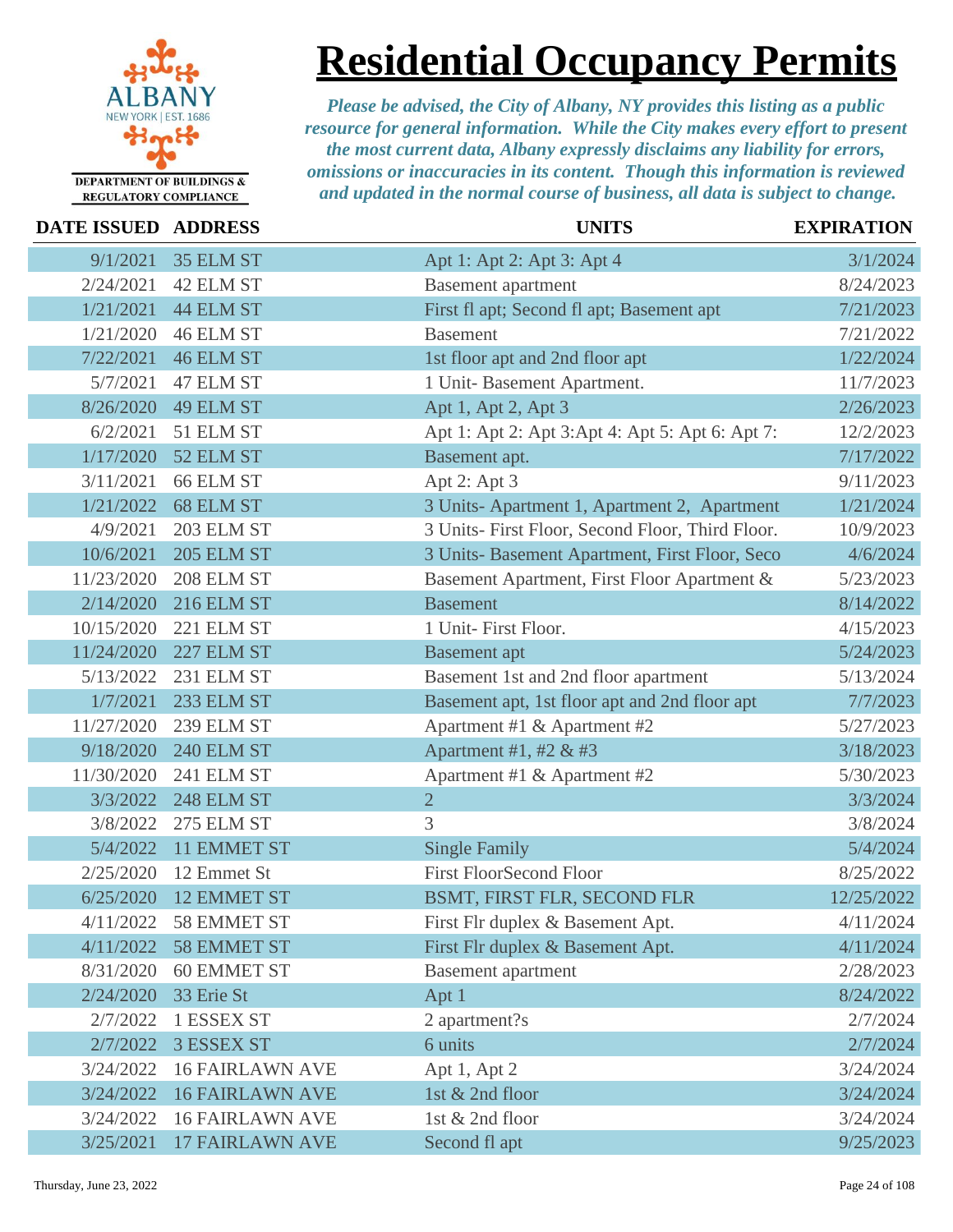

**Residential Occupancy Permits**

| <b>DATE ISSUED ADDRESS</b> |                        | <b>UNITS</b>                                     | <b>EXPIRATION</b> |
|----------------------------|------------------------|--------------------------------------------------|-------------------|
| 9/1/2021                   | 35 ELM ST              | Apt 1: Apt 2: Apt 3: Apt 4                       | 3/1/2024          |
| 2/24/2021                  | 42 ELM ST              | <b>Basement</b> apartment                        | 8/24/2023         |
| 1/21/2021                  | 44 ELM ST              | First fl apt; Second fl apt; Basement apt        | 7/21/2023         |
| 1/21/2020                  | 46 ELM ST              | <b>Basement</b>                                  | 7/21/2022         |
| 7/22/2021                  | 46 ELM ST              | 1st floor apt and 2nd floor apt                  | 1/22/2024         |
| 5/7/2021                   | 47 ELM ST              | 1 Unit-Basement Apartment.                       | 11/7/2023         |
| 8/26/2020                  | 49 ELM ST              | Apt 1, Apt 2, Apt 3                              | 2/26/2023         |
| 6/2/2021                   | 51 ELM ST              | Apt 1: Apt 2: Apt 3: Apt 4: Apt 5: Apt 6: Apt 7: | 12/2/2023         |
| 1/17/2020                  | 52 ELM ST              | Basement apt.                                    | 7/17/2022         |
| 3/11/2021                  | 66 ELM ST              | Apt 2: Apt 3                                     | 9/11/2023         |
| 1/21/2022                  | 68 ELM ST              | 3 Units-Apartment 1, Apartment 2, Apartment      | 1/21/2024         |
| 4/9/2021                   | 203 ELM ST             | 3 Units- First Floor, Second Floor, Third Floor. | 10/9/2023         |
| 10/6/2021                  | <b>205 ELM ST</b>      | 3 Units- Basement Apartment, First Floor, Seco   | 4/6/2024          |
| 11/23/2020                 | 208 ELM ST             | Basement Apartment, First Floor Apartment &      | 5/23/2023         |
| 2/14/2020                  | <b>216 ELM ST</b>      | <b>Basement</b>                                  | 8/14/2022         |
| 10/15/2020                 | 221 ELM ST             | 1 Unit- First Floor.                             | 4/15/2023         |
| 11/24/2020                 | 227 ELM ST             | <b>Basement</b> apt                              | 5/24/2023         |
| 5/13/2022                  | 231 ELM ST             | Basement 1st and 2nd floor apartment             | 5/13/2024         |
| 1/7/2021                   | <b>233 ELM ST</b>      | Basement apt, 1st floor apt and 2nd floor apt    | 7/7/2023          |
| 11/27/2020                 | 239 ELM ST             | Apartment #1 & Apartment #2                      | 5/27/2023         |
| 9/18/2020                  | <b>240 ELM ST</b>      | Apartment #1, #2 & #3                            | 3/18/2023         |
| 11/30/2020                 | <b>241 ELM ST</b>      | Apartment #1 & Apartment #2                      | 5/30/2023         |
| 3/3/2022                   | <b>248 ELM ST</b>      | $\overline{2}$                                   | 3/3/2024          |
| 3/8/2022                   | 275 ELM ST             | 3                                                | 3/8/2024          |
| 5/4/2022                   | 11 EMMET ST            | <b>Single Family</b>                             | 5/4/2024          |
| 2/25/2020                  | 12 Emmet St            | <b>First FloorSecond Floor</b>                   | 8/25/2022         |
| 6/25/2020                  | <b>12 EMMET ST</b>     | BSMT, FIRST FLR, SECOND FLR                      | 12/25/2022        |
| 4/11/2022                  | 58 EMMET ST            | First Flr duplex & Basement Apt.                 | 4/11/2024         |
| 4/11/2022                  | <b>58 EMMET ST</b>     | First Flr duplex & Basement Apt.                 | 4/11/2024         |
| 8/31/2020                  | <b>60 EMMET ST</b>     | <b>Basement</b> apartment                        | 2/28/2023         |
| 2/24/2020                  | 33 Erie St             | Apt 1                                            | 8/24/2022         |
| 2/7/2022                   | 1 ESSEX ST             | 2 apartment?s                                    | 2/7/2024          |
| 2/7/2022                   | <b>3 ESSEX ST</b>      | 6 units                                          | 2/7/2024          |
| 3/24/2022                  | <b>16 FAIRLAWN AVE</b> | Apt 1, Apt 2                                     | 3/24/2024         |
| 3/24/2022                  | <b>16 FAIRLAWN AVE</b> | 1st & 2nd floor                                  | 3/24/2024         |
| 3/24/2022                  | <b>16 FAIRLAWN AVE</b> | 1st & 2nd floor                                  | 3/24/2024         |
| 3/25/2021                  | <b>17 FAIRLAWN AVE</b> | Second fl apt                                    | 9/25/2023         |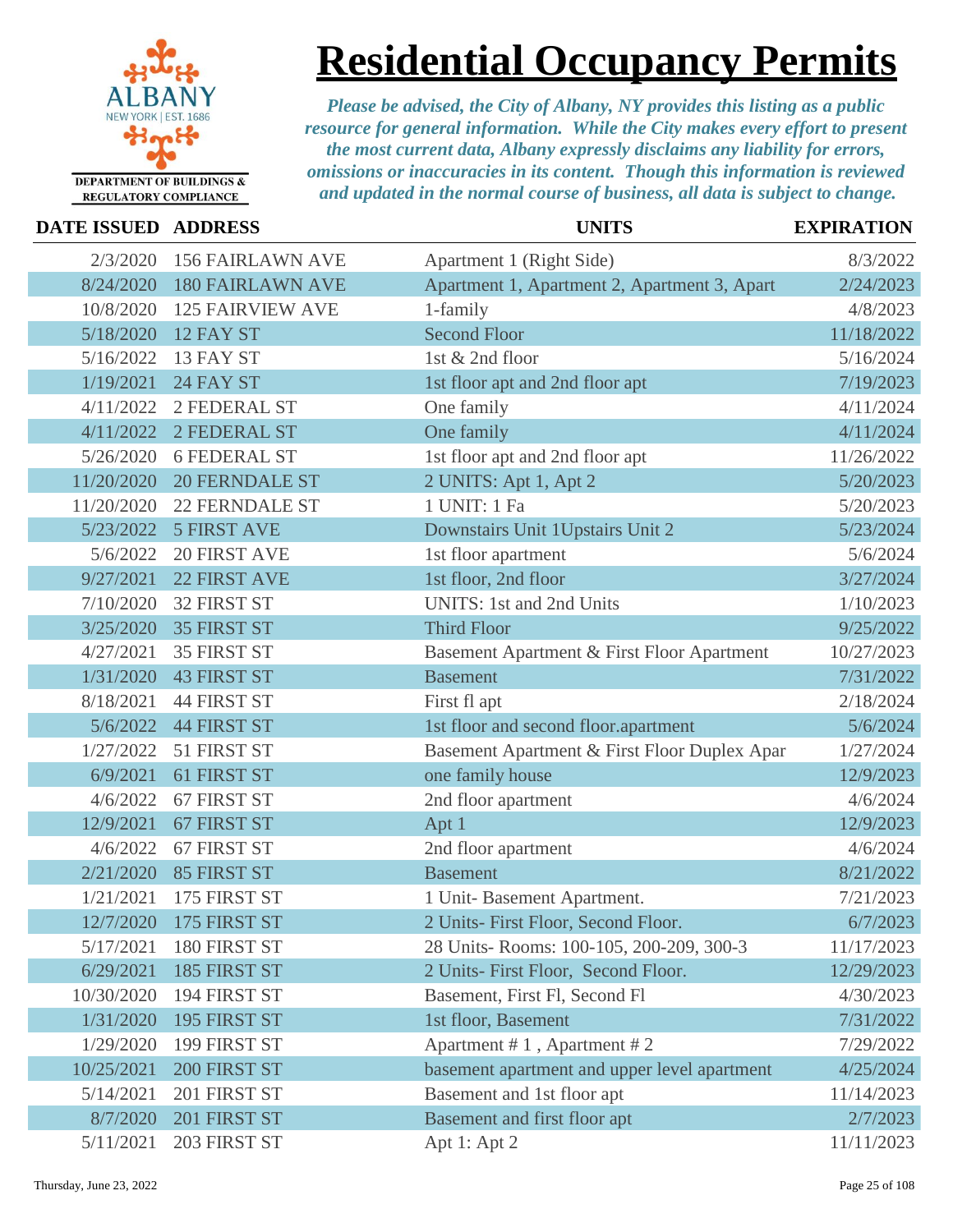

## **Residential Occupancy Permits**

| DATE ISSUED ADDRESS |                         | <b>UNITS</b>                                 | <b>EXPIRATION</b> |
|---------------------|-------------------------|----------------------------------------------|-------------------|
| 2/3/2020            | <b>156 FAIRLAWN AVE</b> | Apartment 1 (Right Side)                     | 8/3/2022          |
| 8/24/2020           | <b>180 FAIRLAWN AVE</b> | Apartment 1, Apartment 2, Apartment 3, Apart | 2/24/2023         |
| 10/8/2020           | <b>125 FAIRVIEW AVE</b> | 1-family                                     | 4/8/2023          |
| 5/18/2020           | 12 FAY ST               | <b>Second Floor</b>                          | 11/18/2022        |
| 5/16/2022           | 13 FAY ST               | 1st & 2nd floor                              | 5/16/2024         |
| 1/19/2021           | 24 FAY ST               | 1st floor apt and 2nd floor apt              | 7/19/2023         |
| 4/11/2022           | 2 FEDERAL ST            | One family                                   | 4/11/2024         |
| 4/11/2022           | 2 FEDERAL ST            | One family                                   | 4/11/2024         |
| 5/26/2020           | <b>6 FEDERAL ST</b>     | 1st floor apt and 2nd floor apt              | 11/26/2022        |
| 11/20/2020          | <b>20 FERNDALE ST</b>   | 2 UNITS: Apt 1, Apt 2                        | 5/20/2023         |
| 11/20/2020          | <b>22 FERNDALE ST</b>   | 1 UNIT: 1 Fa                                 | 5/20/2023         |
| 5/23/2022           | <b>5 FIRST AVE</b>      | Downstairs Unit 1Upstairs Unit 2             | 5/23/2024         |
| 5/6/2022            | <b>20 FIRST AVE</b>     | 1st floor apartment                          | 5/6/2024          |
| 9/27/2021           | <b>22 FIRST AVE</b>     | 1st floor, 2nd floor                         | 3/27/2024         |
| 7/10/2020           | 32 FIRST ST             | <b>UNITS:</b> 1st and 2nd Units              | 1/10/2023         |
| 3/25/2020           | <b>35 FIRST ST</b>      | <b>Third Floor</b>                           | 9/25/2022         |
| 4/27/2021           | <b>35 FIRST ST</b>      | Basement Apartment & First Floor Apartment   | 10/27/2023        |
| 1/31/2020           | <b>43 FIRST ST</b>      | <b>Basement</b>                              | 7/31/2022         |
| 8/18/2021           | <b>44 FIRST ST</b>      | First fl apt                                 | 2/18/2024         |
| 5/6/2022            | <b>44 FIRST ST</b>      | 1st floor and second floor.apartment         | 5/6/2024          |
| 1/27/2022           | 51 FIRST ST             | Basement Apartment & First Floor Duplex Apar | 1/27/2024         |
| 6/9/2021            | 61 FIRST ST             | one family house                             | 12/9/2023         |
| 4/6/2022            | 67 FIRST ST             | 2nd floor apartment                          | 4/6/2024          |
| 12/9/2021           | 67 FIRST ST             | Apt 1                                        | 12/9/2023         |
| 4/6/2022            | 67 FIRST ST             | 2nd floor apartment                          | 4/6/2024          |
| 2/21/2020           | 85 FIRST ST             | <b>Basement</b>                              | 8/21/2022         |
| 1/21/2021           | 175 FIRST ST            | 1 Unit- Basement Apartment.                  | 7/21/2023         |
|                     | 12/7/2020 175 FIRST ST  | 2 Units- First Floor, Second Floor.          | 6/7/2023          |
| 5/17/2021           | 180 FIRST ST            | 28 Units-Rooms: 100-105, 200-209, 300-3      | 11/17/2023        |
| 6/29/2021           | 185 FIRST ST            | 2 Units- First Floor, Second Floor.          | 12/29/2023        |
| 10/30/2020          | 194 FIRST ST            | Basement, First Fl, Second Fl                | 4/30/2023         |
| 1/31/2020           | 195 FIRST ST            | 1st floor, Basement                          | 7/31/2022         |
| 1/29/2020           | 199 FIRST ST            | Apartment $# 1$ , Apartment $# 2$            | 7/29/2022         |
| 10/25/2021          | 200 FIRST ST            | basement apartment and upper level apartment | 4/25/2024         |
| 5/14/2021           | 201 FIRST ST            | Basement and 1st floor apt                   | 11/14/2023        |
| 8/7/2020            | 201 FIRST ST            | Basement and first floor apt                 | 2/7/2023          |
| 5/11/2021           | 203 FIRST ST            | Apt 1: Apt 2                                 | 11/11/2023        |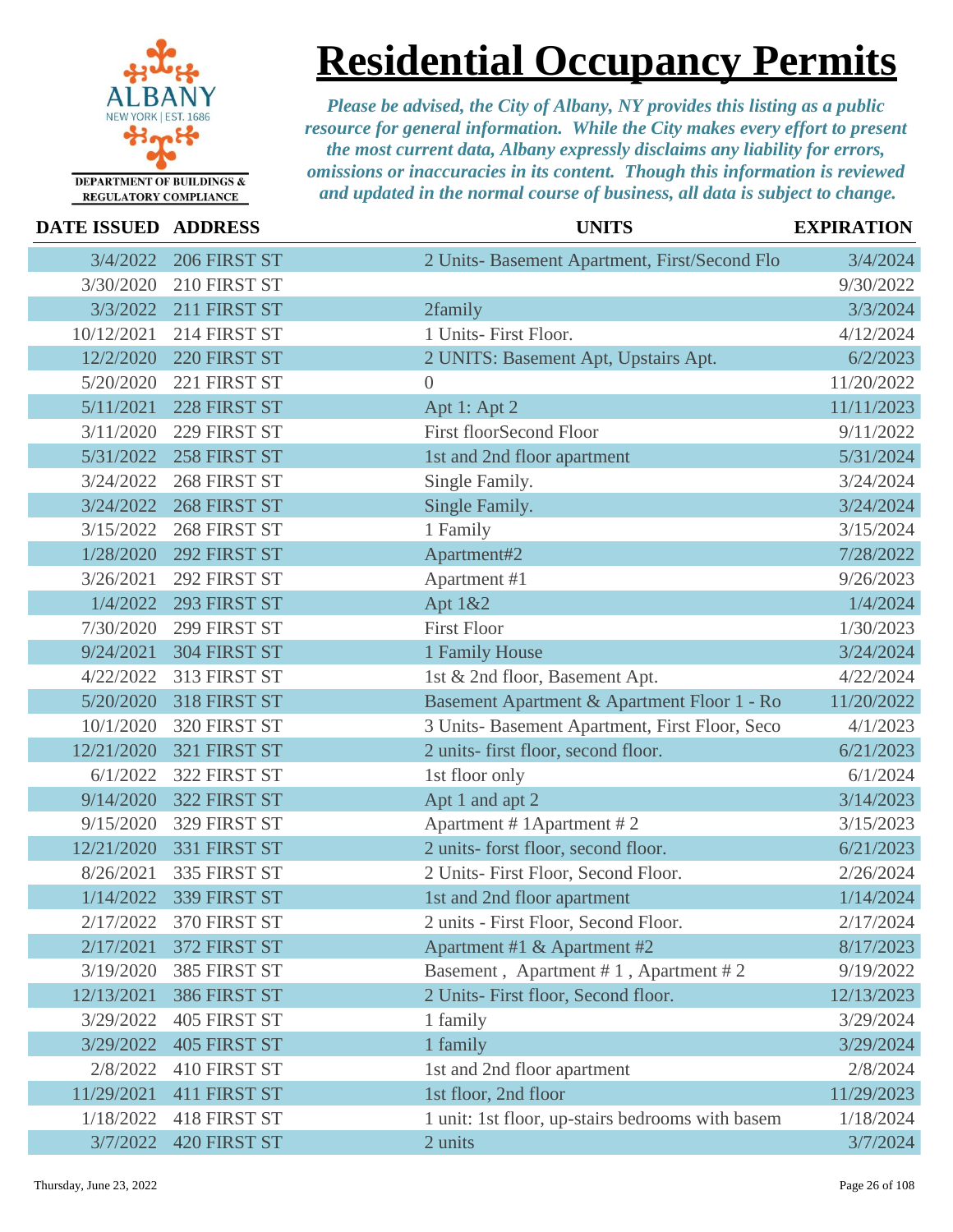

## **Residential Occupancy Permits**

| <b>DATE ISSUED ADDRESS</b> |                     | <b>UNITS</b>                                     | <b>EXPIRATION</b> |
|----------------------------|---------------------|--------------------------------------------------|-------------------|
| 3/4/2022                   | 206 FIRST ST        | 2 Units- Basement Apartment, First/Second Flo    | 3/4/2024          |
| 3/30/2020                  | 210 FIRST ST        |                                                  | 9/30/2022         |
| 3/3/2022                   | 211 FIRST ST        | 2family                                          | 3/3/2024          |
| 10/12/2021                 | 214 FIRST ST        | 1 Units- First Floor.                            | 4/12/2024         |
| 12/2/2020                  | 220 FIRST ST        | 2 UNITS: Basement Apt, Upstairs Apt.             | 6/2/2023          |
| 5/20/2020                  | 221 FIRST ST        | $\overline{0}$                                   | 11/20/2022        |
| 5/11/2021                  | 228 FIRST ST        | Apt 1: Apt 2                                     | 11/11/2023        |
| 3/11/2020                  | 229 FIRST ST        | <b>First floorSecond Floor</b>                   | 9/11/2022         |
| 5/31/2022                  | 258 FIRST ST        | 1st and 2nd floor apartment                      | 5/31/2024         |
| 3/24/2022                  | 268 FIRST ST        | Single Family.                                   | 3/24/2024         |
| 3/24/2022                  | 268 FIRST ST        | Single Family.                                   | 3/24/2024         |
| 3/15/2022                  | 268 FIRST ST        | 1 Family                                         | 3/15/2024         |
| 1/28/2020                  | 292 FIRST ST        | Apartment#2                                      | 7/28/2022         |
| 3/26/2021                  | 292 FIRST ST        | Apartment #1                                     | 9/26/2023         |
| 1/4/2022                   | 293 FIRST ST        | Apt 1&2                                          | 1/4/2024          |
| 7/30/2020                  | 299 FIRST ST        | <b>First Floor</b>                               | 1/30/2023         |
| 9/24/2021                  | 304 FIRST ST        | 1 Family House                                   | 3/24/2024         |
| 4/22/2022                  | 313 FIRST ST        | 1st & 2nd floor, Basement Apt.                   | 4/22/2024         |
| 5/20/2020                  | 318 FIRST ST        | Basement Apartment & Apartment Floor 1 - Ro      | 11/20/2022        |
| 10/1/2020                  | 320 FIRST ST        | 3 Units- Basement Apartment, First Floor, Seco   | 4/1/2023          |
| 12/21/2020                 | 321 FIRST ST        | 2 units- first floor, second floor.              | 6/21/2023         |
| 6/1/2022                   | 322 FIRST ST        | 1st floor only                                   | 6/1/2024          |
| 9/14/2020                  | 322 FIRST ST        | Apt 1 and apt 2                                  | 3/14/2023         |
| 9/15/2020                  | 329 FIRST ST        | Apartment # 1Apartment # 2                       | 3/15/2023         |
| 12/21/2020                 | 331 FIRST ST        | 2 units- forst floor, second floor.              | 6/21/2023         |
| 8/26/2021                  | 335 FIRST ST        | 2 Units- First Floor, Second Floor.              | 2/26/2024         |
| 1/14/2022                  | 339 FIRST ST        | 1st and 2nd floor apartment                      | 1/14/2024         |
| 2/17/2022                  | 370 FIRST ST        | 2 units - First Floor, Second Floor.             | 2/17/2024         |
| 2/17/2021                  | 372 FIRST ST        | Apartment #1 & Apartment #2                      | 8/17/2023         |
| 3/19/2020                  | 385 FIRST ST        | Basement, Apartment #1, Apartment #2             | 9/19/2022         |
| 12/13/2021                 | 386 FIRST ST        | 2 Units- First floor, Second floor.              | 12/13/2023        |
| 3/29/2022                  | <b>405 FIRST ST</b> | 1 family                                         | 3/29/2024         |
| 3/29/2022                  | <b>405 FIRST ST</b> | 1 family                                         | 3/29/2024         |
| 2/8/2022                   | 410 FIRST ST        | 1st and 2nd floor apartment                      | 2/8/2024          |
| 11/29/2021                 | <b>411 FIRST ST</b> | 1st floor, 2nd floor                             | 11/29/2023        |
| 1/18/2022                  | 418 FIRST ST        | 1 unit: 1st floor, up-stairs bedrooms with basem | 1/18/2024         |
| 3/7/2022                   | <b>420 FIRST ST</b> | 2 units                                          | 3/7/2024          |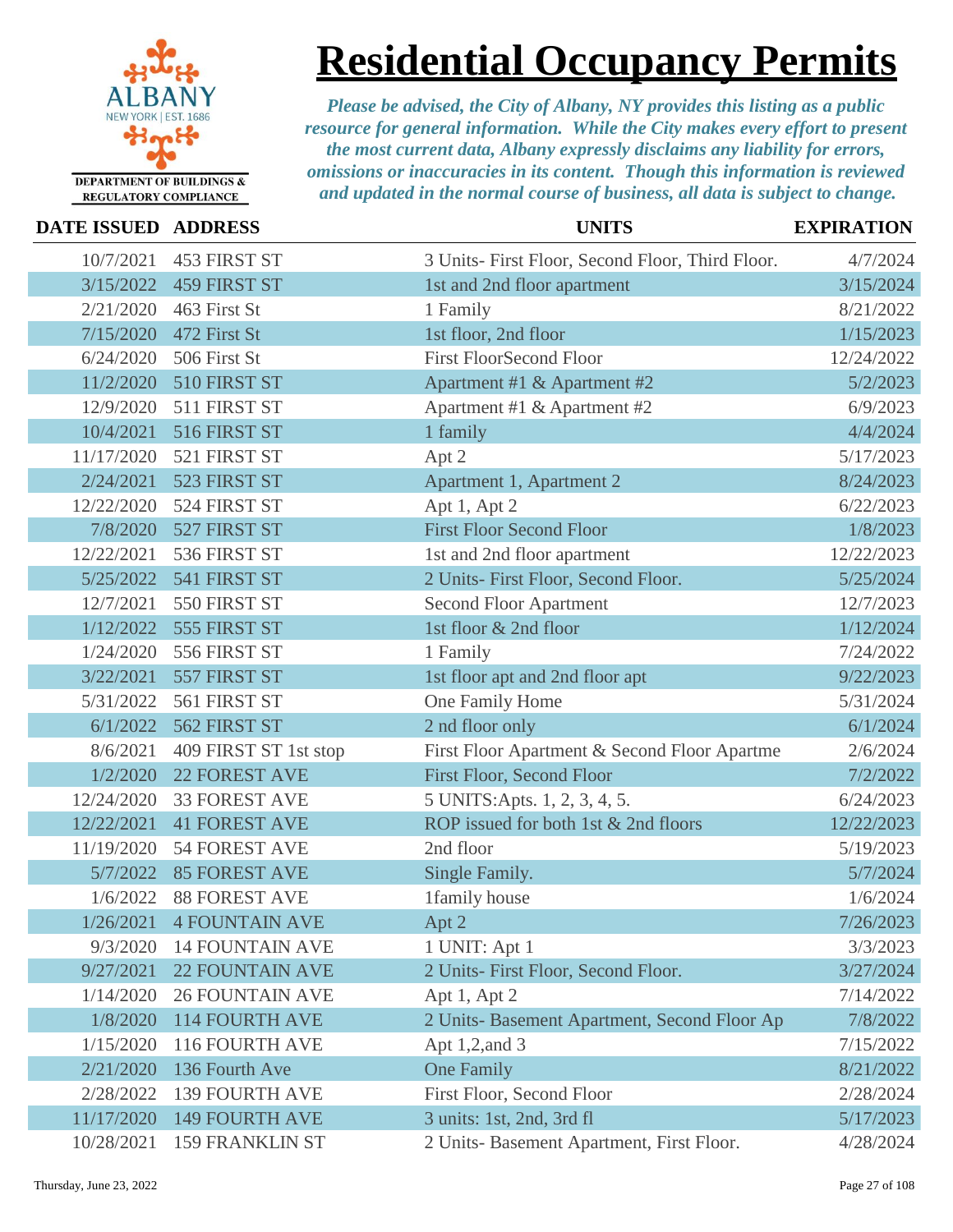

**Residential Occupancy Permits**

| DATE ISSUED ADDRESS |                          | <b>UNITS</b>                                     | <b>EXPIRATION</b> |
|---------------------|--------------------------|--------------------------------------------------|-------------------|
| 10/7/2021           | 453 FIRST ST             | 3 Units- First Floor, Second Floor, Third Floor. | 4/7/2024          |
| 3/15/2022           | <b>459 FIRST ST</b>      | 1st and 2nd floor apartment                      | 3/15/2024         |
| 2/21/2020           | 463 First St             | 1 Family                                         | 8/21/2022         |
| 7/15/2020           | 472 First St             | 1st floor, 2nd floor                             | 1/15/2023         |
| 6/24/2020           | 506 First St             | <b>First FloorSecond Floor</b>                   | 12/24/2022        |
| 11/2/2020           | 510 FIRST ST             | Apartment #1 & Apartment #2                      | 5/2/2023          |
| 12/9/2020           | 511 FIRST ST             | Apartment #1 & Apartment #2                      | 6/9/2023          |
| 10/4/2021           | 516 FIRST ST             | 1 family                                         | 4/4/2024          |
| 11/17/2020          | 521 FIRST ST             | Apt 2                                            | 5/17/2023         |
| 2/24/2021           | 523 FIRST ST             | Apartment 1, Apartment 2                         | 8/24/2023         |
| 12/22/2020          | 524 FIRST ST             | Apt 1, Apt 2                                     | 6/22/2023         |
| 7/8/2020            | 527 FIRST ST             | <b>First Floor Second Floor</b>                  | 1/8/2023          |
| 12/22/2021          | 536 FIRST ST             | 1st and 2nd floor apartment                      | 12/22/2023        |
| 5/25/2022           | 541 FIRST ST             | 2 Units- First Floor, Second Floor.              | 5/25/2024         |
| 12/7/2021           | 550 FIRST ST             | <b>Second Floor Apartment</b>                    | 12/7/2023         |
| 1/12/2022           | 555 FIRST ST             | 1st floor & 2nd floor                            | 1/12/2024         |
| 1/24/2020           | 556 FIRST ST             | 1 Family                                         | 7/24/2022         |
| 3/22/2021           | 557 FIRST ST             | 1st floor apt and 2nd floor apt                  | 9/22/2023         |
| 5/31/2022           | 561 FIRST ST             | One Family Home                                  | 5/31/2024         |
| 6/1/2022            | 562 FIRST ST             | 2 nd floor only                                  | 6/1/2024          |
| 8/6/2021            | 409 FIRST ST 1st stop    | First Floor Apartment & Second Floor Apartme     | 2/6/2024          |
| 1/2/2020            | <b>22 FOREST AVE</b>     | <b>First Floor, Second Floor</b>                 | 7/2/2022          |
| 12/24/2020          | <b>33 FOREST AVE</b>     | 5 UNITS: Apts. 1, 2, 3, 4, 5.                    | 6/24/2023         |
| 12/22/2021          | <b>41 FOREST AVE</b>     | ROP issued for both 1st & 2nd floors             | 12/22/2023        |
| 11/19/2020          | <b>54 FOREST AVE</b>     | 2nd floor                                        | 5/19/2023         |
| 5/7/2022            | <b>85 FOREST AVE</b>     | Single Family.                                   | 5/7/2024          |
| 1/6/2022            | <b>88 FOREST AVE</b>     | 1family house                                    | 1/6/2024          |
|                     | 1/26/2021 4 FOUNTAIN AVE | Apt $2$                                          | 7/26/2023         |
| 9/3/2020            | <b>14 FOUNTAIN AVE</b>   | 1 UNIT: Apt 1                                    | 3/3/2023          |
| 9/27/2021           | <b>22 FOUNTAIN AVE</b>   | 2 Units- First Floor, Second Floor.              | 3/27/2024         |
| 1/14/2020           | <b>26 FOUNTAIN AVE</b>   | Apt 1, Apt 2                                     | 7/14/2022         |
| 1/8/2020            | <b>114 FOURTH AVE</b>    | 2 Units- Basement Apartment, Second Floor Ap     | 7/8/2022          |
| 1/15/2020           | 116 FOURTH AVE           | Apt 1,2, and 3                                   | 7/15/2022         |
| 2/21/2020           | 136 Fourth Ave           | <b>One Family</b>                                | 8/21/2022         |
| 2/28/2022           | <b>139 FOURTH AVE</b>    | First Floor, Second Floor                        | 2/28/2024         |
| 11/17/2020          | <b>149 FOURTH AVE</b>    | 3 units: 1st, 2nd, 3rd fl                        | 5/17/2023         |
| 10/28/2021          | 159 FRANKLIN ST          | 2 Units- Basement Apartment, First Floor.        | 4/28/2024         |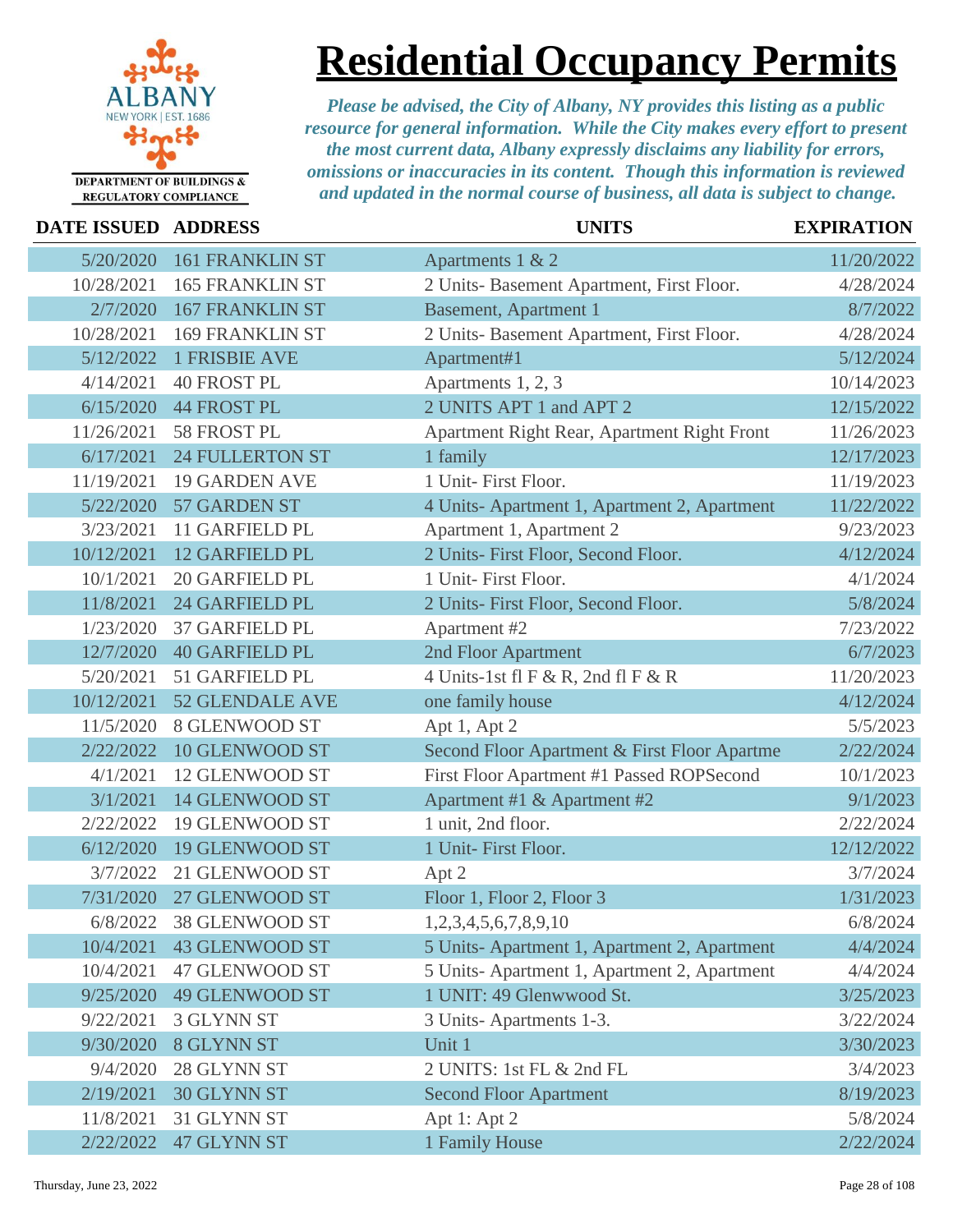

### **Residential Occupancy Permits**

| <b>DATE ISSUED ADDRESS</b> |                        | <b>UNITS</b>                                 | <b>EXPIRATION</b> |
|----------------------------|------------------------|----------------------------------------------|-------------------|
| 5/20/2020                  | <b>161 FRANKLIN ST</b> | Apartments 1 & 2                             | 11/20/2022        |
| 10/28/2021                 | <b>165 FRANKLIN ST</b> | 2 Units- Basement Apartment, First Floor.    | 4/28/2024         |
| 2/7/2020                   | <b>167 FRANKLIN ST</b> | <b>Basement, Apartment 1</b>                 | 8/7/2022          |
| 10/28/2021                 | <b>169 FRANKLIN ST</b> | 2 Units- Basement Apartment, First Floor.    | 4/28/2024         |
| 5/12/2022                  | <b>1 FRISBIE AVE</b>   | Apartment#1                                  | 5/12/2024         |
| 4/14/2021                  | <b>40 FROST PL</b>     | Apartments 1, 2, 3                           | 10/14/2023        |
| 6/15/2020                  | <b>44 FROST PL</b>     | 2 UNITS APT 1 and APT 2                      | 12/15/2022        |
| 11/26/2021                 | 58 FROST PL            | Apartment Right Rear, Apartment Right Front  | 11/26/2023        |
| 6/17/2021                  | <b>24 FULLERTON ST</b> | 1 family                                     | 12/17/2023        |
| 11/19/2021                 | <b>19 GARDEN AVE</b>   | 1 Unit- First Floor.                         | 11/19/2023        |
| 5/22/2020                  | 57 GARDEN ST           | 4 Units- Apartment 1, Apartment 2, Apartment | 11/22/2022        |
| 3/23/2021                  | 11 GARFIELD PL         | Apartment 1, Apartment 2                     | 9/23/2023         |
| 10/12/2021                 | 12 GARFIELD PL         | 2 Units- First Floor, Second Floor.          | 4/12/2024         |
| 10/1/2021                  | <b>20 GARFIELD PL</b>  | 1 Unit- First Floor.                         | 4/1/2024          |
| 11/8/2021                  | <b>24 GARFIELD PL</b>  | 2 Units- First Floor, Second Floor.          | 5/8/2024          |
| 1/23/2020                  | <b>37 GARFIELD PL</b>  | Apartment #2                                 | 7/23/2022         |
| 12/7/2020                  | <b>40 GARFIELD PL</b>  | 2nd Floor Apartment                          | 6/7/2023          |
| 5/20/2021                  | 51 GARFIELD PL         | 4 Units-1st fl $F & R$ , 2nd fl $F & R$      | 11/20/2023        |
| 10/12/2021                 | 52 GLENDALE AVE        | one family house                             | 4/12/2024         |
| 11/5/2020                  | 8 GLENWOOD ST          | Apt 1, Apt 2                                 | 5/5/2023          |
| 2/22/2022                  | 10 GLENWOOD ST         | Second Floor Apartment & First Floor Apartme | 2/22/2024         |
| 4/1/2021                   | 12 GLENWOOD ST         | First Floor Apartment #1 Passed ROPSecond    | 10/1/2023         |
| 3/1/2021                   | 14 GLENWOOD ST         | Apartment #1 & Apartment #2                  | 9/1/2023          |
| 2/22/2022                  | 19 GLENWOOD ST         | 1 unit, 2nd floor.                           | 2/22/2024         |
| 6/12/2020                  | <b>19 GLENWOOD ST</b>  | 1 Unit- First Floor.                         | 12/12/2022        |
| 3/7/2022                   | 21 GLENWOOD ST         | Apt 2                                        | 3/7/2024          |
| 7/31/2020                  | 27 GLENWOOD ST         | Floor 1, Floor 2, Floor 3                    | 1/31/2023         |
| 6/8/2022                   | 38 GLENWOOD ST         | 1,2,3,4,5,6,7,8,9,10                         | 6/8/2024          |
| 10/4/2021                  | <b>43 GLENWOOD ST</b>  | 5 Units-Apartment 1, Apartment 2, Apartment  | 4/4/2024          |
| 10/4/2021                  | 47 GLENWOOD ST         | 5 Units-Apartment 1, Apartment 2, Apartment  | 4/4/2024          |
| 9/25/2020                  | <b>49 GLENWOOD ST</b>  | 1 UNIT: 49 Glenwwood St.                     | 3/25/2023         |
| 9/22/2021                  | 3 GLYNN ST             | 3 Units-Apartments 1-3.                      | 3/22/2024         |
| 9/30/2020                  | 8 GLYNN ST             | Unit 1                                       | 3/30/2023         |
| 9/4/2020                   | 28 GLYNN ST            | 2 UNITS: 1st FL & 2nd FL                     | 3/4/2023          |
| 2/19/2021                  | 30 GLYNN ST            | <b>Second Floor Apartment</b>                | 8/19/2023         |
| 11/8/2021                  | 31 GLYNN ST            | Apt 1: Apt 2                                 | 5/8/2024          |
| 2/22/2022                  | 47 GLYNN ST            | 1 Family House                               | 2/22/2024         |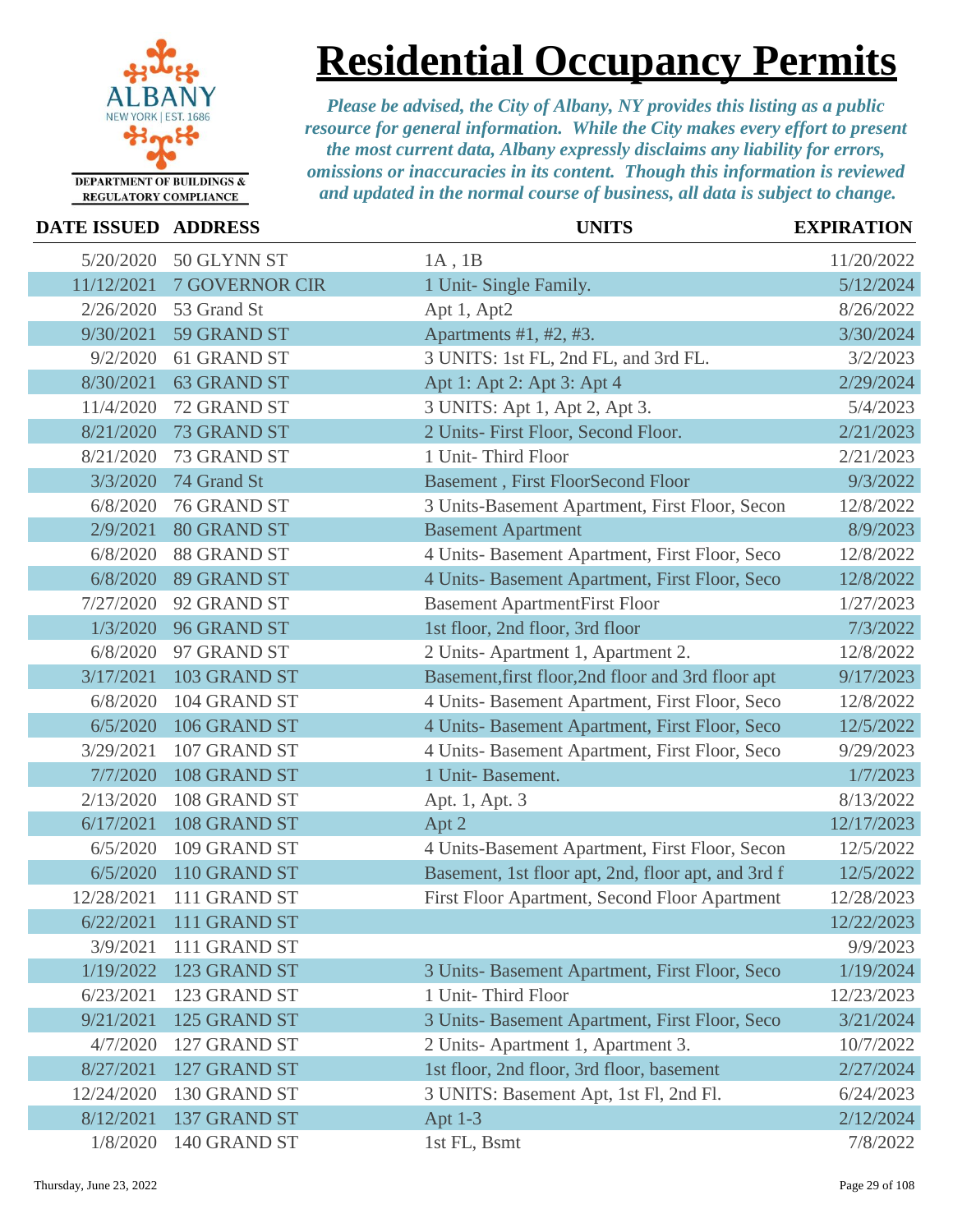

## **Residential Occupancy Permits**

| <b>DATE ISSUED ADDRESS</b> |                       | <b>UNITS</b>                                       | <b>EXPIRATION</b> |
|----------------------------|-----------------------|----------------------------------------------------|-------------------|
| 5/20/2020                  | 50 GLYNN ST           | $1A$ , $1B$                                        | 11/20/2022        |
| 11/12/2021                 | <b>7 GOVERNOR CIR</b> | 1 Unit- Single Family.                             | 5/12/2024         |
| 2/26/2020                  | 53 Grand St           | Apt 1, Apt2                                        | 8/26/2022         |
| 9/30/2021                  | 59 GRAND ST           | Apartments #1, #2, #3.                             | 3/30/2024         |
| 9/2/2020                   | 61 GRAND ST           | 3 UNITS: 1st FL, 2nd FL, and 3rd FL.               | 3/2/2023          |
| 8/30/2021                  | <b>63 GRAND ST</b>    | Apt 1: Apt 2: Apt 3: Apt 4                         | 2/29/2024         |
| 11/4/2020                  | 72 GRAND ST           | 3 UNITS: Apt 1, Apt 2, Apt 3.                      | 5/4/2023          |
| 8/21/2020                  | 73 GRAND ST           | 2 Units- First Floor, Second Floor.                | 2/21/2023         |
| 8/21/2020                  | 73 GRAND ST           | 1 Unit-Third Floor                                 | 2/21/2023         |
| 3/3/2020                   | 74 Grand St           | <b>Basement</b> , First FloorSecond Floor          | 9/3/2022          |
| 6/8/2020                   | 76 GRAND ST           | 3 Units-Basement Apartment, First Floor, Secon     | 12/8/2022         |
| 2/9/2021                   | <b>80 GRAND ST</b>    | <b>Basement Apartment</b>                          | 8/9/2023          |
| 6/8/2020                   | 88 GRAND ST           | 4 Units- Basement Apartment, First Floor, Seco     | 12/8/2022         |
| 6/8/2020                   | 89 GRAND ST           | 4 Units- Basement Apartment, First Floor, Seco     | 12/8/2022         |
| 7/27/2020                  | 92 GRAND ST           | <b>Basement ApartmentFirst Floor</b>               | 1/27/2023         |
| 1/3/2020                   | 96 GRAND ST           | 1st floor, 2nd floor, 3rd floor                    | 7/3/2022          |
| 6/8/2020                   | 97 GRAND ST           | 2 Units-Apartment 1, Apartment 2.                  | 12/8/2022         |
| 3/17/2021                  | 103 GRAND ST          | Basement, first floor, 2nd floor and 3rd floor apt | 9/17/2023         |
| 6/8/2020                   | 104 GRAND ST          | 4 Units- Basement Apartment, First Floor, Seco     | 12/8/2022         |
| 6/5/2020                   | 106 GRAND ST          | 4 Units- Basement Apartment, First Floor, Seco     | 12/5/2022         |
| 3/29/2021                  | 107 GRAND ST          | 4 Units- Basement Apartment, First Floor, Seco     | 9/29/2023         |
| 7/7/2020                   | 108 GRAND ST          | 1 Unit-Basement.                                   | 1/7/2023          |
| 2/13/2020                  | 108 GRAND ST          | Apt. 1, Apt. 3                                     | 8/13/2022         |
| 6/17/2021                  | 108 GRAND ST          | Apt 2                                              | 12/17/2023        |
| 6/5/2020                   | 109 GRAND ST          | 4 Units-Basement Apartment, First Floor, Secon     | 12/5/2022         |
| 6/5/2020                   | 110 GRAND ST          | Basement, 1st floor apt, 2nd, floor apt, and 3rd f | 12/5/2022         |
| 12/28/2021                 | 111 GRAND ST          | First Floor Apartment, Second Floor Apartment      | 12/28/2023        |
| 6/22/2021                  | 111 GRAND ST          |                                                    | 12/22/2023        |
| 3/9/2021                   | 111 GRAND ST          |                                                    | 9/9/2023          |
| 1/19/2022                  | 123 GRAND ST          | 3 Units- Basement Apartment, First Floor, Seco     | 1/19/2024         |
| 6/23/2021                  | 123 GRAND ST          | 1 Unit-Third Floor                                 | 12/23/2023        |
| 9/21/2021                  | 125 GRAND ST          | 3 Units- Basement Apartment, First Floor, Seco     | 3/21/2024         |
| 4/7/2020                   | 127 GRAND ST          | 2 Units-Apartment 1, Apartment 3.                  | 10/7/2022         |
| 8/27/2021                  | 127 GRAND ST          | 1st floor, 2nd floor, 3rd floor, basement          | 2/27/2024         |
| 12/24/2020                 | 130 GRAND ST          | 3 UNITS: Basement Apt, 1st Fl, 2nd Fl.             | 6/24/2023         |
| 8/12/2021                  | 137 GRAND ST          | Apt $1-3$                                          | 2/12/2024         |
| 1/8/2020                   | 140 GRAND ST          | 1st FL, Bsmt                                       | 7/8/2022          |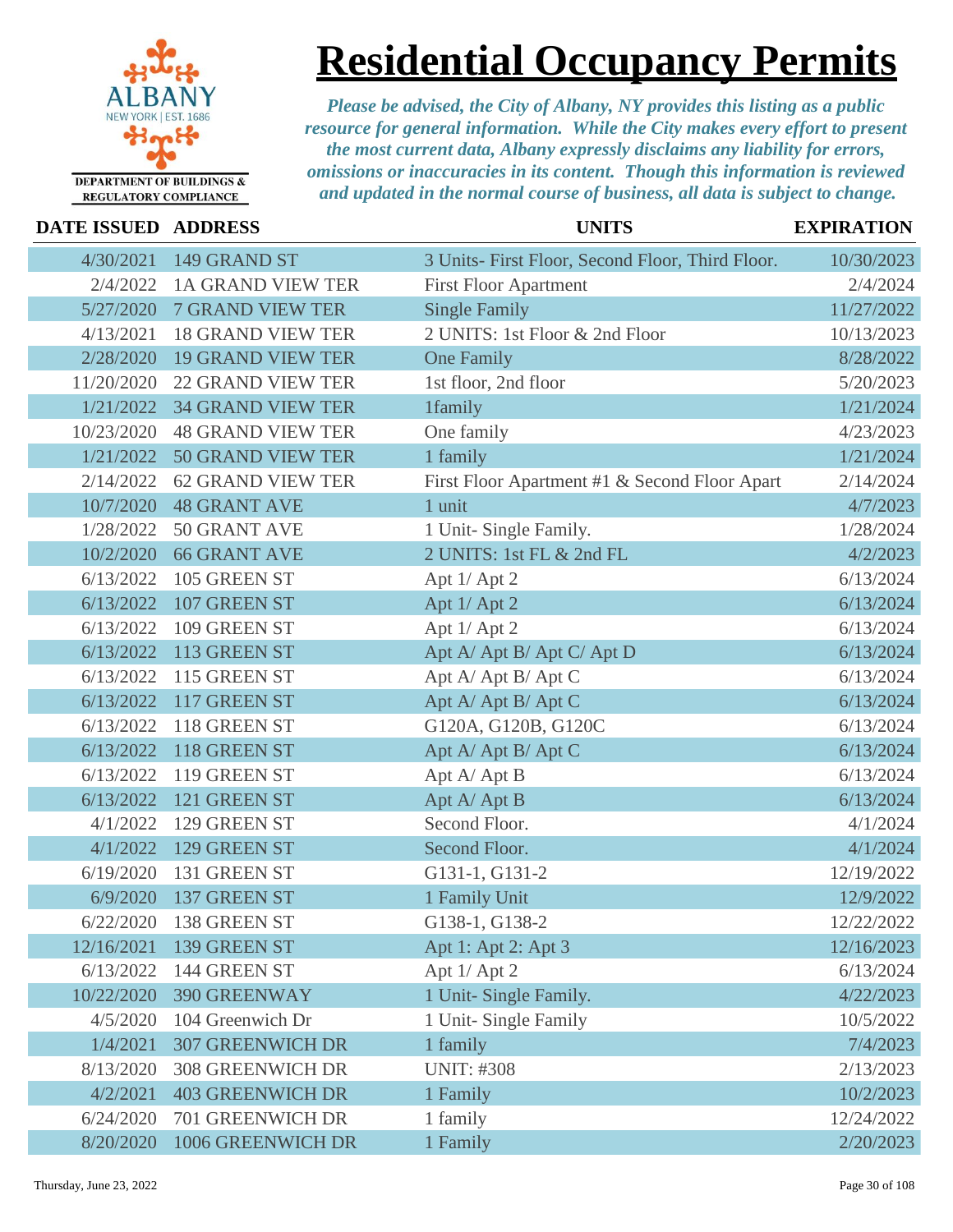

### **Residential Occupancy Permits**

| DATE ISSUED ADDRESS |                          | <b>UNITS</b>                                     | <b>EXPIRATION</b> |
|---------------------|--------------------------|--------------------------------------------------|-------------------|
| 4/30/2021           | 149 GRAND ST             | 3 Units- First Floor, Second Floor, Third Floor. | 10/30/2023        |
| 2/4/2022            | <b>1A GRAND VIEW TER</b> | <b>First Floor Apartment</b>                     | 2/4/2024          |
| 5/27/2020           | <b>7 GRAND VIEW TER</b>  | <b>Single Family</b>                             | 11/27/2022        |
| 4/13/2021           | <b>18 GRAND VIEW TER</b> | 2 UNITS: 1st Floor & 2nd Floor                   | 10/13/2023        |
| 2/28/2020           | <b>19 GRAND VIEW TER</b> | <b>One Family</b>                                | 8/28/2022         |
| 11/20/2020          | <b>22 GRAND VIEW TER</b> | 1st floor, 2nd floor                             | 5/20/2023         |
| 1/21/2022           | <b>34 GRAND VIEW TER</b> | 1family                                          | 1/21/2024         |
| 10/23/2020          | <b>48 GRAND VIEW TER</b> | One family                                       | 4/23/2023         |
| 1/21/2022           | <b>50 GRAND VIEW TER</b> | 1 family                                         | 1/21/2024         |
| 2/14/2022           | <b>62 GRAND VIEW TER</b> | First Floor Apartment #1 & Second Floor Apart    | 2/14/2024         |
| 10/7/2020           | <b>48 GRANT AVE</b>      | 1 unit                                           | 4/7/2023          |
| 1/28/2022           | 50 GRANT AVE             | 1 Unit- Single Family.                           | 1/28/2024         |
| 10/2/2020           | <b>66 GRANT AVE</b>      | 2 UNITS: 1st FL & 2nd FL                         | 4/2/2023          |
| 6/13/2022           | 105 GREEN ST             | Apt 1/ Apt 2                                     | 6/13/2024         |
| 6/13/2022           | 107 GREEN ST             | Apt 1/ Apt 2                                     | 6/13/2024         |
| 6/13/2022           | 109 GREEN ST             | Apt 1/ Apt 2                                     | 6/13/2024         |
| 6/13/2022           | 113 GREEN ST             | Apt A/Apt B/Apt C/Apt D                          | 6/13/2024         |
| 6/13/2022           | 115 GREEN ST             | Apt A/Apt B/Apt C                                | 6/13/2024         |
| 6/13/2022           | 117 GREEN ST             | Apt A/ Apt B/ Apt C                              | 6/13/2024         |
| 6/13/2022           | 118 GREEN ST             | G120A, G120B, G120C                              | 6/13/2024         |
| 6/13/2022           | 118 GREEN ST             | Apt A/ Apt B/ Apt C                              | 6/13/2024         |
| 6/13/2022           | 119 GREEN ST             | Apt A/Apt B                                      | 6/13/2024         |
| 6/13/2022           | 121 GREEN ST             | Apt A/Apt B                                      | 6/13/2024         |
| 4/1/2022            | 129 GREEN ST             | Second Floor.                                    | 4/1/2024          |
| 4/1/2022            | 129 GREEN ST             | Second Floor.                                    | 4/1/2024          |
| 6/19/2020           | 131 GREEN ST             | G131-1, G131-2                                   | 12/19/2022        |
| 6/9/2020            | 137 GREEN ST             | 1 Family Unit                                    | 12/9/2022         |
| 6/22/2020           | 138 GREEN ST             | G138-1, G138-2                                   | 12/22/2022        |
| 12/16/2021          | 139 GREEN ST             | Apt 1: Apt 2: Apt 3                              | 12/16/2023        |
| 6/13/2022           | 144 GREEN ST             | Apt 1/ Apt 2                                     | 6/13/2024         |
| 10/22/2020          | 390 GREENWAY             | 1 Unit- Single Family.                           | 4/22/2023         |
| 4/5/2020            | 104 Greenwich Dr         | 1 Unit- Single Family                            | 10/5/2022         |
| 1/4/2021            | <b>307 GREENWICH DR</b>  | 1 family                                         | 7/4/2023          |
| 8/13/2020           | <b>308 GREENWICH DR</b>  | <b>UNIT: #308</b>                                | 2/13/2023         |
| 4/2/2021            | <b>403 GREENWICH DR</b>  | 1 Family                                         | 10/2/2023         |
| 6/24/2020           | 701 GREENWICH DR         | 1 family                                         | 12/24/2022        |
| 8/20/2020           | 1006 GREENWICH DR        | 1 Family                                         | 2/20/2023         |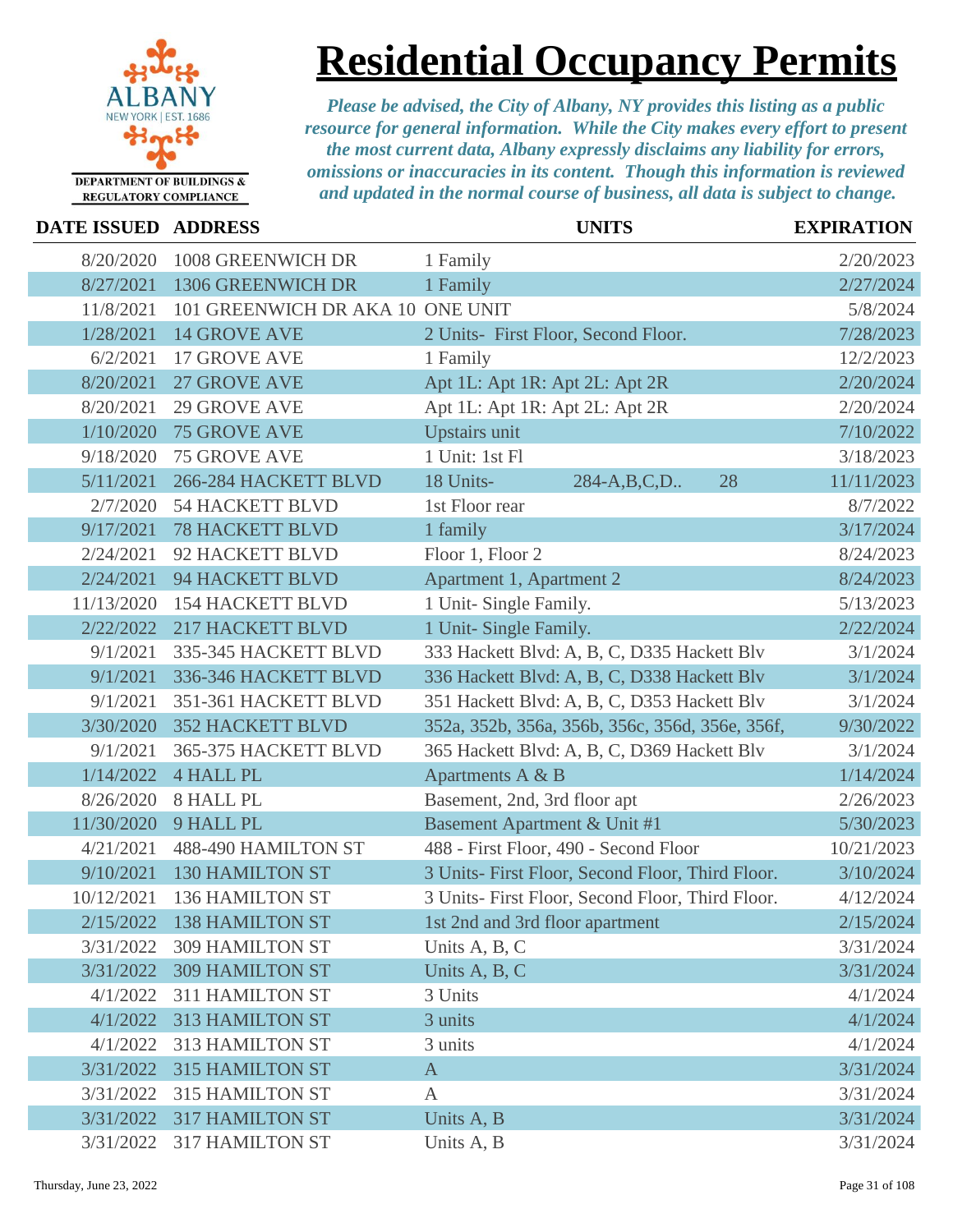

## **Residential Occupancy Permits**

| DATE ISSUED ADDRESS |                                  | <b>UNITS</b>                                     | <b>EXPIRATION</b> |
|---------------------|----------------------------------|--------------------------------------------------|-------------------|
| 8/20/2020           | 1008 GREENWICH DR                | 1 Family                                         | 2/20/2023         |
| 8/27/2021           | 1306 GREENWICH DR                | 1 Family                                         | 2/27/2024         |
| 11/8/2021           | 101 GREENWICH DR AKA 10 ONE UNIT |                                                  | 5/8/2024          |
| 1/28/2021           | <b>14 GROVE AVE</b>              | 2 Units- First Floor, Second Floor.              | 7/28/2023         |
| 6/2/2021            | <b>17 GROVE AVE</b>              | 1 Family                                         | 12/2/2023         |
| 8/20/2021           | <b>27 GROVE AVE</b>              | Apt 1L: Apt 1R: Apt 2L: Apt 2R                   | 2/20/2024         |
| 8/20/2021           | <b>29 GROVE AVE</b>              | Apt 1L: Apt 1R: Apt 2L: Apt 2R                   | 2/20/2024         |
| 1/10/2020           | <b>75 GROVE AVE</b>              | <b>Upstairs unit</b>                             | 7/10/2022         |
| 9/18/2020           | <b>75 GROVE AVE</b>              | 1 Unit: 1st Fl                                   | 3/18/2023         |
| 5/11/2021           | 266-284 HACKETT BLVD             | 18 Units-<br>284-A,B,C,D<br>28                   | 11/11/2023        |
| 2/7/2020            | <b>54 HACKETT BLVD</b>           | 1st Floor rear                                   | 8/7/2022          |
| 9/17/2021           | <b>78 HACKETT BLVD</b>           | 1 family                                         | 3/17/2024         |
| 2/24/2021           | 92 HACKETT BLVD                  | Floor 1, Floor 2                                 | 8/24/2023         |
| 2/24/2021           | <b>94 HACKETT BLVD</b>           | Apartment 1, Apartment 2                         | 8/24/2023         |
| 11/13/2020          | <b>154 HACKETT BLVD</b>          | 1 Unit- Single Family.                           | 5/13/2023         |
| 2/22/2022           | <b>217 HACKETT BLVD</b>          | 1 Unit- Single Family.                           | 2/22/2024         |
| 9/1/2021            | 335-345 HACKETT BLVD             | 333 Hackett Blvd: A, B, C, D335 Hackett Blv      | 3/1/2024          |
| 9/1/2021            | 336-346 HACKETT BLVD             | 336 Hackett Blvd: A, B, C, D338 Hackett Blv      | 3/1/2024          |
| 9/1/2021            | 351-361 HACKETT BLVD             | 351 Hackett Blvd: A, B, C, D353 Hackett Blv      | 3/1/2024          |
| 3/30/2020           | <b>352 HACKETT BLVD</b>          | 352a, 352b, 356a, 356b, 356c, 356d, 356e, 356f,  | 9/30/2022         |
| 9/1/2021            | 365-375 HACKETT BLVD             | 365 Hackett Blvd: A, B, C, D369 Hackett Blv      | 3/1/2024          |
| 1/14/2022           | <b>4 HALL PL</b>                 | Apartments A & B                                 | 1/14/2024         |
| 8/26/2020           | 8 HALL PL                        | Basement, 2nd, 3rd floor apt                     | 2/26/2023         |
| 11/30/2020          | 9 HALL PL                        | <b>Basement Apartment &amp; Unit #1</b>          | 5/30/2023         |
| 4/21/2021           | 488-490 HAMILTON ST              | 488 - First Floor, 490 - Second Floor            | 10/21/2023        |
| 9/10/2021           | <b>130 HAMILTON ST</b>           | 3 Units- First Floor, Second Floor, Third Floor. | 3/10/2024         |
| 10/12/2021          | <b>136 HAMILTON ST</b>           | 3 Units- First Floor, Second Floor, Third Floor. | 4/12/2024         |
| 2/15/2022           | 138 HAMILTON ST                  | 1st 2nd and 3rd floor apartment                  | 2/15/2024         |
| 3/31/2022           | <b>309 HAMILTON ST</b>           | Units A, B, C                                    | 3/31/2024         |
| 3/31/2022           | <b>309 HAMILTON ST</b>           | Units A, B, C                                    | 3/31/2024         |
| 4/1/2022            | <b>311 HAMILTON ST</b>           | 3 Units                                          | 4/1/2024          |
| 4/1/2022            | 313 HAMILTON ST                  | 3 units                                          | 4/1/2024          |
| 4/1/2022            | 313 HAMILTON ST                  | 3 units                                          | 4/1/2024          |
| 3/31/2022           | <b>315 HAMILTON ST</b>           | $\mathbf{A}$                                     | 3/31/2024         |
| 3/31/2022           | <b>315 HAMILTON ST</b>           | $\mathbf{A}$                                     | 3/31/2024         |
| 3/31/2022           | <b>317 HAMILTON ST</b>           | Units A, B                                       | 3/31/2024         |
| 3/31/2022           | 317 HAMILTON ST                  | Units A, B                                       | 3/31/2024         |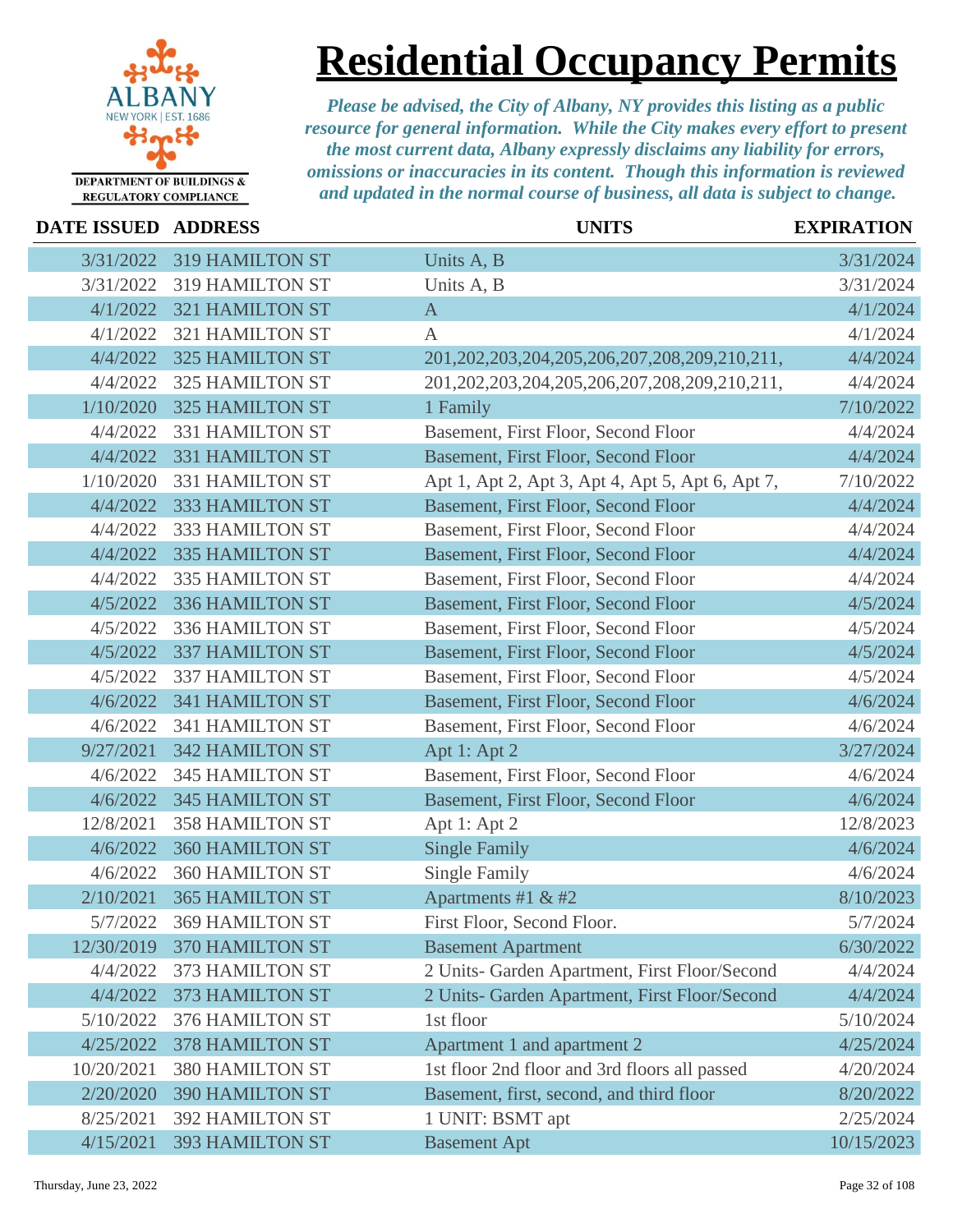

### **Residential Occupancy Permits**

| DATE ISSUED ADDRESS |                        | <b>UNITS</b>                                           | <b>EXPIRATION</b> |
|---------------------|------------------------|--------------------------------------------------------|-------------------|
| 3/31/2022           | <b>319 HAMILTON ST</b> | Units A, B                                             | 3/31/2024         |
| 3/31/2022           | <b>319 HAMILTON ST</b> | Units A, B                                             | 3/31/2024         |
| 4/1/2022            | <b>321 HAMILTON ST</b> | $\mathbf{A}$                                           | 4/1/2024          |
| 4/1/2022            | <b>321 HAMILTON ST</b> | $\mathbf{A}$                                           | 4/1/2024          |
| 4/4/2022            | <b>325 HAMILTON ST</b> | 201, 202, 203, 204, 205, 206, 207, 208, 209, 210, 211, | 4/4/2024          |
| 4/4/2022            | <b>325 HAMILTON ST</b> | 201, 202, 203, 204, 205, 206, 207, 208, 209, 210, 211, | 4/4/2024          |
| 1/10/2020           | <b>325 HAMILTON ST</b> | 1 Family                                               | 7/10/2022         |
| 4/4/2022            | 331 HAMILTON ST        | Basement, First Floor, Second Floor                    | 4/4/2024          |
| 4/4/2022            | 331 HAMILTON ST        | Basement, First Floor, Second Floor                    | 4/4/2024          |
| 1/10/2020           | 331 HAMILTON ST        | Apt 1, Apt 2, Apt 3, Apt 4, Apt 5, Apt 6, Apt 7,       | 7/10/2022         |
| 4/4/2022            | 333 HAMILTON ST        | Basement, First Floor, Second Floor                    | 4/4/2024          |
| 4/4/2022            | 333 HAMILTON ST        | Basement, First Floor, Second Floor                    | 4/4/2024          |
| 4/4/2022            | 335 HAMILTON ST        | Basement, First Floor, Second Floor                    | 4/4/2024          |
| 4/4/2022            | 335 HAMILTON ST        | Basement, First Floor, Second Floor                    | 4/4/2024          |
| 4/5/2022            | 336 HAMILTON ST        | Basement, First Floor, Second Floor                    | 4/5/2024          |
| 4/5/2022            | 336 HAMILTON ST        | Basement, First Floor, Second Floor                    | 4/5/2024          |
| 4/5/2022            | <b>337 HAMILTON ST</b> | Basement, First Floor, Second Floor                    | 4/5/2024          |
| 4/5/2022            | 337 HAMILTON ST        | Basement, First Floor, Second Floor                    | 4/5/2024          |
| 4/6/2022            | <b>341 HAMILTON ST</b> | Basement, First Floor, Second Floor                    | 4/6/2024          |
| 4/6/2022            | 341 HAMILTON ST        | Basement, First Floor, Second Floor                    | 4/6/2024          |
| 9/27/2021           | <b>342 HAMILTON ST</b> | Apt 1: Apt 2                                           | 3/27/2024         |
| 4/6/2022            | <b>345 HAMILTON ST</b> | Basement, First Floor, Second Floor                    | 4/6/2024          |
| 4/6/2022            | <b>345 HAMILTON ST</b> | Basement, First Floor, Second Floor                    | 4/6/2024          |
| 12/8/2021           | <b>358 HAMILTON ST</b> | Apt 1: Apt 2                                           | 12/8/2023         |
| 4/6/2022            | <b>360 HAMILTON ST</b> | <b>Single Family</b>                                   | 4/6/2024          |
| 4/6/2022            | <b>360 HAMILTON ST</b> | <b>Single Family</b>                                   | 4/6/2024          |
| 2/10/2021           | <b>365 HAMILTON ST</b> | Apartments #1 & #2                                     | 8/10/2023         |
| 5/7/2022            | 369 HAMILTON ST        | First Floor, Second Floor.                             | 5/7/2024          |
| 12/30/2019          | 370 HAMILTON ST        | <b>Basement Apartment</b>                              | 6/30/2022         |
| 4/4/2022            | 373 HAMILTON ST        | 2 Units- Garden Apartment, First Floor/Second          | 4/4/2024          |
| 4/4/2022            | 373 HAMILTON ST        | 2 Units- Garden Apartment, First Floor/Second          | 4/4/2024          |
| 5/10/2022           | 376 HAMILTON ST        | 1st floor                                              | 5/10/2024         |
| 4/25/2022           | <b>378 HAMILTON ST</b> | Apartment 1 and apartment 2                            | 4/25/2024         |
| 10/20/2021          | 380 HAMILTON ST        | 1st floor 2nd floor and 3rd floors all passed          | 4/20/2024         |
| 2/20/2020           | <b>390 HAMILTON ST</b> | Basement, first, second, and third floor               | 8/20/2022         |
| 8/25/2021           | <b>392 HAMILTON ST</b> | 1 UNIT: BSMT apt                                       | 2/25/2024         |
| 4/15/2021           | <b>393 HAMILTON ST</b> | <b>Basement Apt</b>                                    | 10/15/2023        |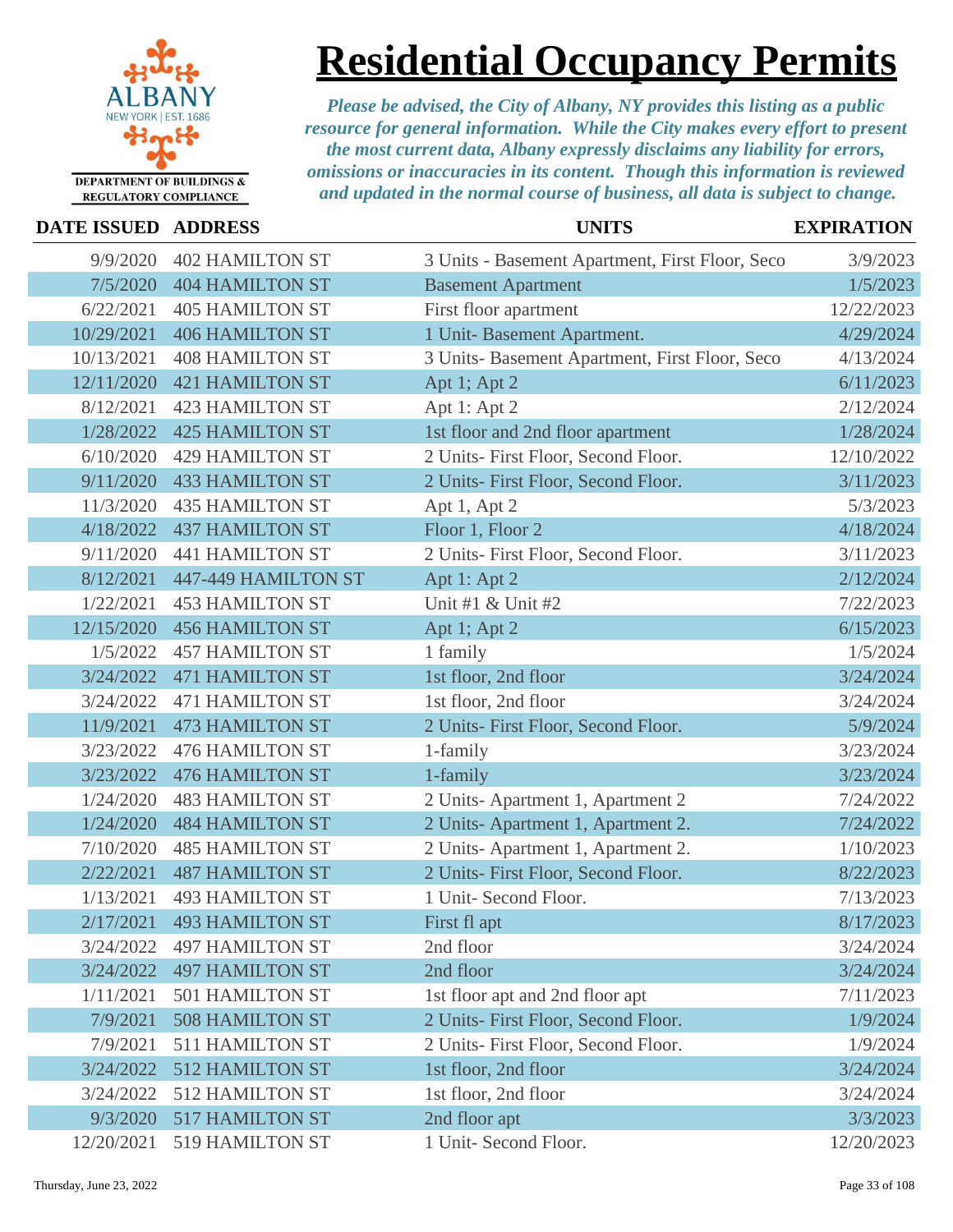

### **Residential Occupancy Permits**

| <b>DATE ISSUED ADDRESS</b> |                           | <b>UNITS</b>                                    | <b>EXPIRATION</b> |
|----------------------------|---------------------------|-------------------------------------------------|-------------------|
| 9/9/2020                   | <b>402 HAMILTON ST</b>    | 3 Units - Basement Apartment, First Floor, Seco | 3/9/2023          |
| 7/5/2020                   | <b>404 HAMILTON ST</b>    | <b>Basement Apartment</b>                       | 1/5/2023          |
| 6/22/2021                  | <b>405 HAMILTON ST</b>    | First floor apartment                           | 12/22/2023        |
| 10/29/2021                 | <b>406 HAMILTON ST</b>    | 1 Unit- Basement Apartment.                     | 4/29/2024         |
| 10/13/2021                 | <b>408 HAMILTON ST</b>    | 3 Units- Basement Apartment, First Floor, Seco  | 4/13/2024         |
| 12/11/2020                 | <b>421 HAMILTON ST</b>    | Apt 1; Apt 2                                    | 6/11/2023         |
| 8/12/2021                  | <b>423 HAMILTON ST</b>    | Apt 1: Apt 2                                    | 2/12/2024         |
| 1/28/2022                  | <b>425 HAMILTON ST</b>    | 1st floor and 2nd floor apartment               | 1/28/2024         |
| 6/10/2020                  | <b>429 HAMILTON ST</b>    | 2 Units- First Floor, Second Floor.             | 12/10/2022        |
| 9/11/2020                  | <b>433 HAMILTON ST</b>    | 2 Units- First Floor, Second Floor.             | 3/11/2023         |
| 11/3/2020                  | <b>435 HAMILTON ST</b>    | Apt 1, Apt 2                                    | 5/3/2023          |
| 4/18/2022                  | <b>437 HAMILTON ST</b>    | Floor 1, Floor 2                                | 4/18/2024         |
| 9/11/2020                  | <b>441 HAMILTON ST</b>    | 2 Units- First Floor, Second Floor.             | 3/11/2023         |
| 8/12/2021                  | 447-449 HAMILTON ST       | Apt 1: Apt 2                                    | 2/12/2024         |
| 1/22/2021                  | <b>453 HAMILTON ST</b>    | Unit #1 & Unit #2                               | 7/22/2023         |
| 12/15/2020                 | <b>456 HAMILTON ST</b>    | Apt 1; Apt 2                                    | 6/15/2023         |
| 1/5/2022                   | <b>457 HAMILTON ST</b>    | 1 family                                        | 1/5/2024          |
| 3/24/2022                  | <b>471 HAMILTON ST</b>    | 1st floor, 2nd floor                            | 3/24/2024         |
| 3/24/2022                  | <b>471 HAMILTON ST</b>    | 1st floor, 2nd floor                            | 3/24/2024         |
| 11/9/2021                  | <b>473 HAMILTON ST</b>    | 2 Units- First Floor, Second Floor.             | 5/9/2024          |
| 3/23/2022                  | <b>476 HAMILTON ST</b>    | 1-family                                        | 3/23/2024         |
| 3/23/2022                  | <b>476 HAMILTON ST</b>    | 1-family                                        | 3/23/2024         |
| 1/24/2020                  | <b>483 HAMILTON ST</b>    | 2 Units-Apartment 1, Apartment 2                | 7/24/2022         |
| 1/24/2020                  | <b>484 HAMILTON ST</b>    | 2 Units-Apartment 1, Apartment 2.               | 7/24/2022         |
| 7/10/2020                  | <b>485 HAMILTON ST</b>    | 2 Units-Apartment 1, Apartment 2.               | 1/10/2023         |
| 2/22/2021                  | <b>487 HAMILTON ST</b>    | 2 Units- First Floor, Second Floor.             | 8/22/2023         |
| 1/13/2021                  | <b>493 HAMILTON ST</b>    | 1 Unit- Second Floor.                           | 7/13/2023         |
|                            | 2/17/2021 493 HAMILTON ST | First fl apt                                    | 8/17/2023         |
| 3/24/2022                  | <b>497 HAMILTON ST</b>    | 2nd floor                                       | 3/24/2024         |
| 3/24/2022                  | <b>497 HAMILTON ST</b>    | 2nd floor                                       | 3/24/2024         |
| 1/11/2021                  | <b>501 HAMILTON ST</b>    | 1st floor apt and 2nd floor apt                 | 7/11/2023         |
| 7/9/2021                   | <b>508 HAMILTON ST</b>    | 2 Units- First Floor, Second Floor.             | 1/9/2024          |
| 7/9/2021                   | <b>511 HAMILTON ST</b>    | 2 Units- First Floor, Second Floor.             | 1/9/2024          |
| 3/24/2022                  | <b>512 HAMILTON ST</b>    | 1st floor, 2nd floor                            | 3/24/2024         |
| 3/24/2022                  | 512 HAMILTON ST           | 1st floor, 2nd floor                            | 3/24/2024         |
| 9/3/2020                   | <b>517 HAMILTON ST</b>    | 2nd floor apt                                   | 3/3/2023          |
| 12/20/2021                 | 519 HAMILTON ST           | 1 Unit- Second Floor.                           | 12/20/2023        |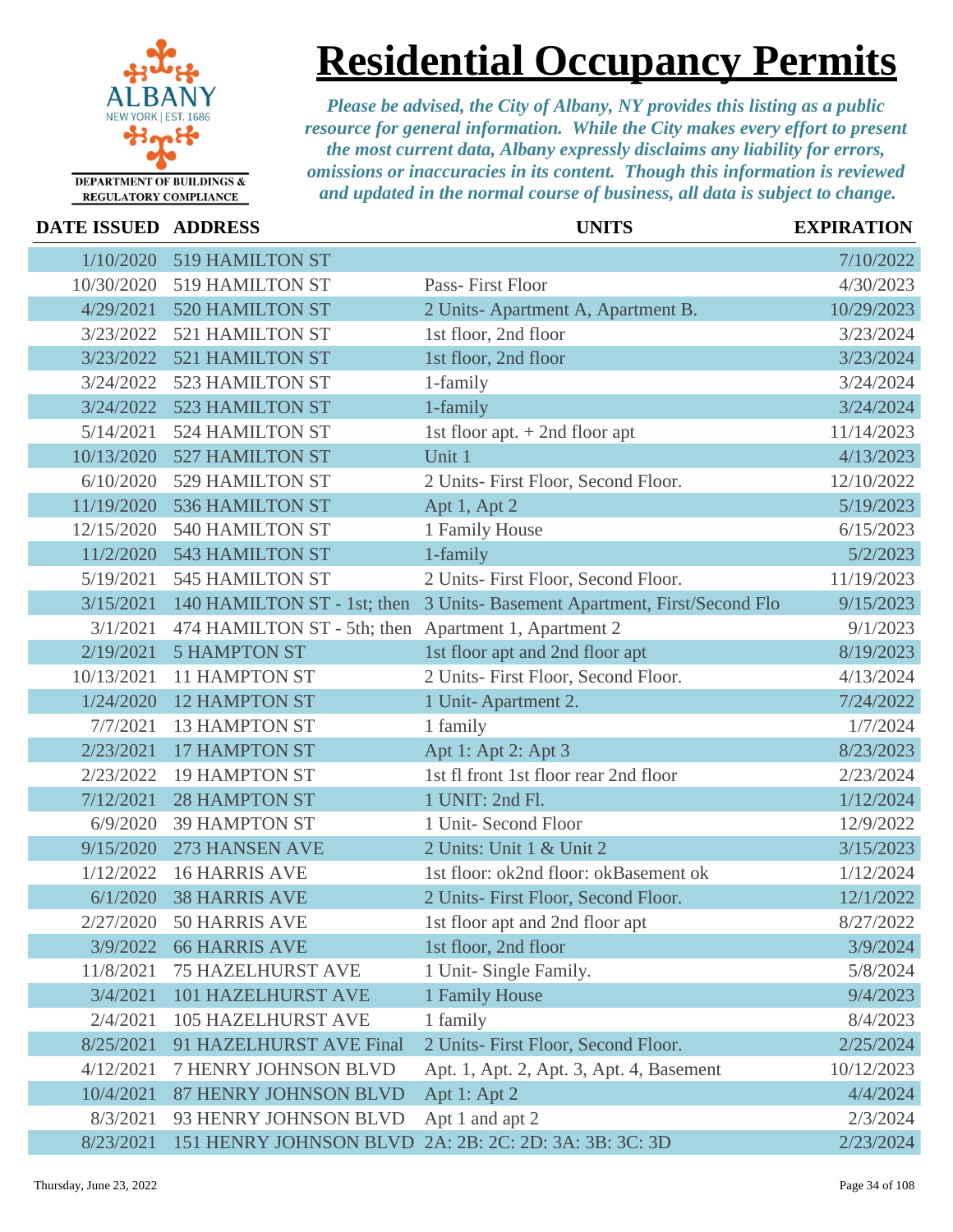

### **Residential Occupancy Permits**

| <b>DATE ISSUED ADDRESS</b> |                                                      | <b>UNITS</b>                                          | <b>EXPIRATION</b> |
|----------------------------|------------------------------------------------------|-------------------------------------------------------|-------------------|
| 1/10/2020                  | 519 HAMILTON ST                                      |                                                       | 7/10/2022         |
| 10/30/2020                 | 519 HAMILTON ST                                      | Pass-First Floor                                      | 4/30/2023         |
| 4/29/2021                  | <b>520 HAMILTON ST</b>                               | 2 Units-Apartment A, Apartment B.                     | 10/29/2023        |
| 3/23/2022                  | 521 HAMILTON ST                                      | 1st floor, 2nd floor                                  | 3/23/2024         |
| 3/23/2022                  | <b>521 HAMILTON ST</b>                               | 1st floor, 2nd floor                                  | 3/23/2024         |
| 3/24/2022                  | 523 HAMILTON ST                                      | 1-family                                              | 3/24/2024         |
| 3/24/2022                  | 523 HAMILTON ST                                      | 1-family                                              | 3/24/2024         |
| 5/14/2021                  | <b>524 HAMILTON ST</b>                               | 1st floor apt. $+$ 2nd floor apt                      | 11/14/2023        |
| 10/13/2020                 | <b>527 HAMILTON ST</b>                               | Unit 1                                                | 4/13/2023         |
| 6/10/2020                  | 529 HAMILTON ST                                      | 2 Units- First Floor, Second Floor.                   | 12/10/2022        |
| 11/19/2020                 | 536 HAMILTON ST                                      | Apt 1, Apt 2                                          | 5/19/2023         |
| 12/15/2020                 | 540 HAMILTON ST                                      | 1 Family House                                        | 6/15/2023         |
| 11/2/2020                  | <b>543 HAMILTON ST</b>                               | 1-family                                              | 5/2/2023          |
| 5/19/2021                  | <b>545 HAMILTON ST</b>                               | 2 Units- First Floor, Second Floor.                   | 11/19/2023        |
| 3/15/2021                  | 140 HAMILTON ST - 1st; then                          | 3 Units- Basement Apartment, First/Second Flo         | 9/15/2023         |
| 3/1/2021                   | 474 HAMILTON ST - 5th; then Apartment 1, Apartment 2 |                                                       | 9/1/2023          |
| 2/19/2021                  | <b>5 HAMPTON ST</b>                                  | 1st floor apt and 2nd floor apt                       | 8/19/2023         |
| 10/13/2021                 | <b>11 HAMPTON ST</b>                                 | 2 Units- First Floor, Second Floor.                   | 4/13/2024         |
| 1/24/2020                  | <b>12 HAMPTON ST</b>                                 | 1 Unit-Apartment 2.                                   | 7/24/2022         |
| 7/7/2021                   | <b>13 HAMPTON ST</b>                                 | 1 family                                              | 1/7/2024          |
| 2/23/2021                  | <b>17 HAMPTON ST</b>                                 | Apt 1: Apt 2: Apt 3                                   | 8/23/2023         |
| 2/23/2022                  | <b>19 HAMPTON ST</b>                                 | 1st fl front 1st floor rear 2nd floor                 | 2/23/2024         |
| 7/12/2021                  | <b>28 HAMPTON ST</b>                                 | 1 UNIT: 2nd Fl.                                       | 1/12/2024         |
| 6/9/2020                   | <b>39 HAMPTON ST</b>                                 | 1 Unit- Second Floor                                  | 12/9/2022         |
| 9/15/2020                  | 273 HANSEN AVE                                       | 2 Units: Unit 1 & Unit 2                              | 3/15/2023         |
| 1/12/2022                  | <b>16 HARRIS AVE</b>                                 | 1st floor: ok2nd floor: okBasement ok                 | 1/12/2024         |
| 6/1/2020                   | <b>38 HARRIS AVE</b>                                 | 2 Units- First Floor, Second Floor.                   | 12/1/2022         |
|                            | 2/27/2020 50 HARRIS AVE                              | 1st floor apt and 2nd floor apt                       | 8/27/2022         |
| 3/9/2022                   | <b>66 HARRIS AVE</b>                                 | 1st floor, 2nd floor                                  | 3/9/2024          |
| 11/8/2021                  | <b>75 HAZELHURST AVE</b>                             | 1 Unit- Single Family.                                | 5/8/2024          |
| 3/4/2021                   | <b>101 HAZELHURST AVE</b>                            | 1 Family House                                        | 9/4/2023          |
| 2/4/2021                   | <b>105 HAZELHURST AVE</b>                            | 1 family                                              | 8/4/2023          |
| 8/25/2021                  | 91 HAZELHURST AVE Final                              | 2 Units- First Floor, Second Floor.                   | 2/25/2024         |
| 4/12/2021                  | 7 HENRY JOHNSON BLVD                                 | Apt. 1, Apt. 2, Apt. 3, Apt. 4, Basement              | 10/12/2023        |
| 10/4/2021                  | 87 HENRY JOHNSON BLVD                                | Apt 1: Apt 2                                          | 4/4/2024          |
| 8/3/2021                   | 93 HENRY JOHNSON BLVD                                | Apt 1 and apt 2                                       | 2/3/2024          |
| 8/23/2021                  |                                                      | 151 HENRY JOHNSON BLVD 2A: 2B: 2C: 2D: 3A: 3B: 3C: 3D | 2/23/2024         |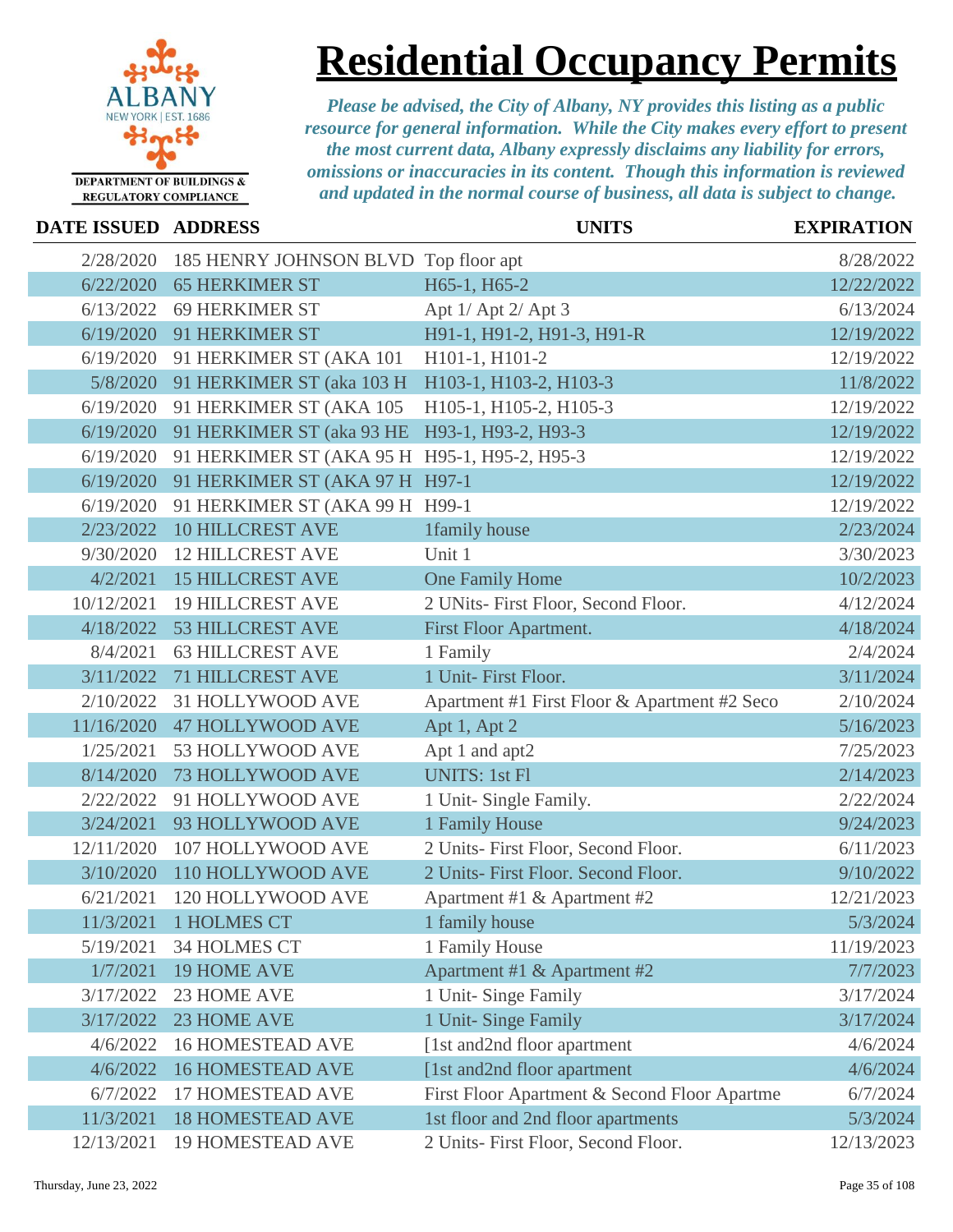

### **Residential Occupancy Permits**

| DATE ISSUED ADDRESS |                                              | <b>UNITS</b>                                 | <b>EXPIRATION</b> |
|---------------------|----------------------------------------------|----------------------------------------------|-------------------|
| 2/28/2020           | 185 HENRY JOHNSON BLVD Top floor apt         |                                              | 8/28/2022         |
| 6/22/2020           | <b>65 HERKIMER ST</b>                        | H65-1, H65-2                                 | 12/22/2022        |
| 6/13/2022           | <b>69 HERKIMER ST</b>                        | Apt 1/ Apt 2/ Apt 3                          | 6/13/2024         |
| 6/19/2020           | 91 HERKIMER ST                               | H91-1, H91-2, H91-3, H91-R                   | 12/19/2022        |
| 6/19/2020           | 91 HERKIMER ST (AKA 101                      | H101-1, H101-2                               | 12/19/2022        |
| 5/8/2020            | 91 HERKIMER ST (aka 103 H                    | H103-1, H103-2, H103-3                       | 11/8/2022         |
| 6/19/2020           | 91 HERKIMER ST (AKA 105                      | H105-1, H105-2, H105-3                       | 12/19/2022        |
| 6/19/2020           | 91 HERKIMER ST (aka 93 HE                    | H93-1, H93-2, H93-3                          | 12/19/2022        |
| 6/19/2020           | 91 HERKIMER ST (AKA 95 H H95-1, H95-2, H95-3 |                                              | 12/19/2022        |
| 6/19/2020           | 91 HERKIMER ST (AKA 97 H H97-1               |                                              | 12/19/2022        |
| 6/19/2020           | 91 HERKIMER ST (AKA 99 H H99-1               |                                              | 12/19/2022        |
| 2/23/2022           | <b>10 HILLCREST AVE</b>                      | 1family house                                | 2/23/2024         |
| 9/30/2020           | <b>12 HILLCREST AVE</b>                      | Unit 1                                       | 3/30/2023         |
| 4/2/2021            | <b>15 HILLCREST AVE</b>                      | One Family Home                              | 10/2/2023         |
| 10/12/2021          | <b>19 HILLCREST AVE</b>                      | 2 UNits- First Floor, Second Floor.          | 4/12/2024         |
| 4/18/2022           | <b>53 HILLCREST AVE</b>                      | First Floor Apartment.                       | 4/18/2024         |
| 8/4/2021            | <b>63 HILLCREST AVE</b>                      | 1 Family                                     | 2/4/2024          |
| 3/11/2022           | <b>71 HILLCREST AVE</b>                      | 1 Unit- First Floor.                         | 3/11/2024         |
| 2/10/2022           | 31 HOLLYWOOD AVE                             | Apartment #1 First Floor & Apartment #2 Seco | 2/10/2024         |
| 11/16/2020          | <b>47 HOLLYWOOD AVE</b>                      | Apt 1, Apt 2                                 | 5/16/2023         |
| 1/25/2021           | 53 HOLLYWOOD AVE                             | Apt 1 and apt2                               | 7/25/2023         |
| 8/14/2020           | 73 HOLLYWOOD AVE                             | <b>UNITS: 1st Fl</b>                         | 2/14/2023         |
| 2/22/2022           | 91 HOLLYWOOD AVE                             | 1 Unit- Single Family.                       | 2/22/2024         |
| 3/24/2021           | 93 HOLLYWOOD AVE                             | 1 Family House                               | 9/24/2023         |
| 12/11/2020          | 107 HOLLYWOOD AVE                            | 2 Units- First Floor, Second Floor.          | 6/11/2023         |
| 3/10/2020           | 110 HOLLYWOOD AVE                            | 2 Units- First Floor. Second Floor.          | 9/10/2022         |
| 6/21/2021           | 120 HOLLYWOOD AVE                            | Apartment #1 & Apartment #2                  | 12/21/2023        |
|                     | 11/3/2021 1 HOLMES CT                        | 1 family house                               | 5/3/2024          |
| 5/19/2021           | <b>34 HOLMES CT</b>                          | 1 Family House                               | 11/19/2023        |
| 1/7/2021            | <b>19 HOME AVE</b>                           | Apartment #1 & Apartment #2                  | 7/7/2023          |
| 3/17/2022           | 23 HOME AVE                                  | 1 Unit-Singe Family                          | 3/17/2024         |
| 3/17/2022           | 23 HOME AVE                                  | 1 Unit- Singe Family                         | 3/17/2024         |
| 4/6/2022            | <b>16 HOMESTEAD AVE</b>                      | [1st and2nd floor apartment]                 | 4/6/2024          |
| 4/6/2022            | <b>16 HOMESTEAD AVE</b>                      | [1st and2nd floor apartment                  | 4/6/2024          |
| 6/7/2022            | <b>17 HOMESTEAD AVE</b>                      | First Floor Apartment & Second Floor Apartme | 6/7/2024          |
| 11/3/2021           | <b>18 HOMESTEAD AVE</b>                      | 1st floor and 2nd floor apartments           | 5/3/2024          |
| 12/13/2021          | <b>19 HOMESTEAD AVE</b>                      | 2 Units- First Floor, Second Floor.          | 12/13/2023        |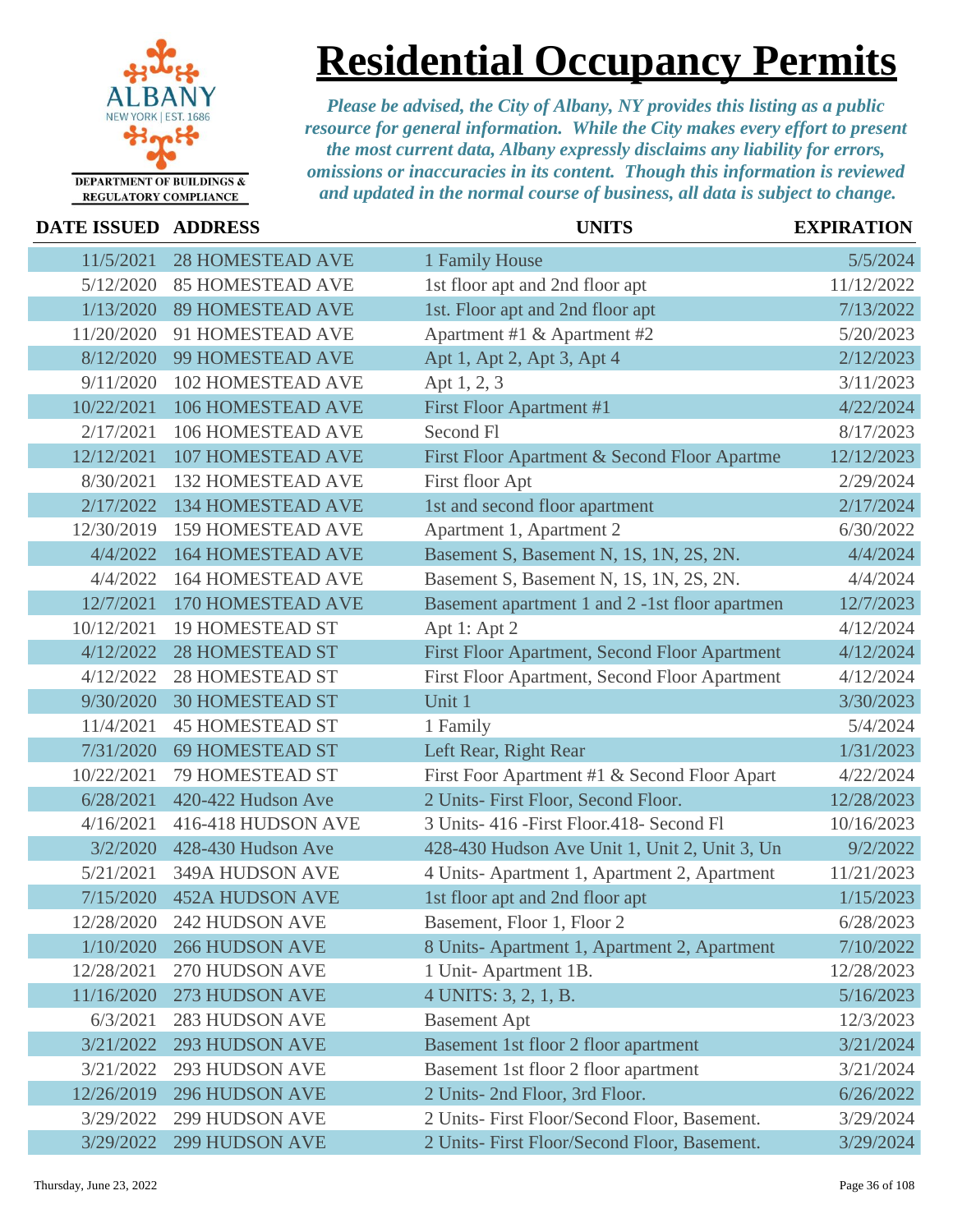

### **Residential Occupancy Permits**

| DATE ISSUED ADDRESS |                           | <b>UNITS</b>                                   | <b>EXPIRATION</b> |
|---------------------|---------------------------|------------------------------------------------|-------------------|
| 11/5/2021           | <b>28 HOMESTEAD AVE</b>   | 1 Family House                                 | 5/5/2024          |
| 5/12/2020           | <b>85 HOMESTEAD AVE</b>   | 1st floor apt and 2nd floor apt                | 11/12/2022        |
| 1/13/2020           | <b>89 HOMESTEAD AVE</b>   | 1st. Floor apt and 2nd floor apt               | 7/13/2022         |
| 11/20/2020          | 91 HOMESTEAD AVE          | Apartment #1 & Apartment #2                    | 5/20/2023         |
| 8/12/2020           | 99 HOMESTEAD AVE          | Apt 1, Apt 2, Apt 3, Apt 4                     | 2/12/2023         |
| 9/11/2020           | <b>102 HOMESTEAD AVE</b>  | Apt 1, 2, 3                                    | 3/11/2023         |
| 10/22/2021          | 106 HOMESTEAD AVE         | First Floor Apartment #1                       | 4/22/2024         |
| 2/17/2021           | 106 HOMESTEAD AVE         | Second Fl                                      | 8/17/2023         |
| 12/12/2021          | <b>107 HOMESTEAD AVE</b>  | First Floor Apartment & Second Floor Apartme   | 12/12/2023        |
| 8/30/2021           | <b>132 HOMESTEAD AVE</b>  | First floor Apt                                | 2/29/2024         |
| 2/17/2022           | <b>134 HOMESTEAD AVE</b>  | 1st and second floor apartment                 | 2/17/2024         |
| 12/30/2019          | <b>159 HOMESTEAD AVE</b>  | Apartment 1, Apartment 2                       | 6/30/2022         |
| 4/4/2022            | <b>164 HOMESTEAD AVE</b>  | Basement S, Basement N, 1S, 1N, 2S, 2N.        | 4/4/2024          |
| 4/4/2022            | <b>164 HOMESTEAD AVE</b>  | Basement S, Basement N, 1S, 1N, 2S, 2N.        | 4/4/2024          |
| 12/7/2021           | 170 HOMESTEAD AVE         | Basement apartment 1 and 2 -1st floor apartmen | 12/7/2023         |
| 10/12/2021          | <b>19 HOMESTEAD ST</b>    | Apt 1: Apt 2                                   | 4/12/2024         |
| 4/12/2022           | <b>28 HOMESTEAD ST</b>    | First Floor Apartment, Second Floor Apartment  | 4/12/2024         |
| 4/12/2022           | <b>28 HOMESTEAD ST</b>    | First Floor Apartment, Second Floor Apartment  | 4/12/2024         |
| 9/30/2020           | <b>30 HOMESTEAD ST</b>    | Unit 1                                         | 3/30/2023         |
| 11/4/2021           | <b>45 HOMESTEAD ST</b>    | 1 Family                                       | 5/4/2024          |
| 7/31/2020           | <b>69 HOMESTEAD ST</b>    | Left Rear, Right Rear                          | 1/31/2023         |
| 10/22/2021          | 79 HOMESTEAD ST           | First Foor Apartment #1 & Second Floor Apart   | 4/22/2024         |
| 6/28/2021           | 420-422 Hudson Ave        | 2 Units- First Floor, Second Floor.            | 12/28/2023        |
| 4/16/2021           | 416-418 HUDSON AVE        | 3 Units- 416 - First Floor. 418 - Second Fl    | 10/16/2023        |
| 3/2/2020            | 428-430 Hudson Ave        | 428-430 Hudson Ave Unit 1, Unit 2, Unit 3, Un  | 9/2/2022          |
| 5/21/2021           | 349A HUDSON AVE           | 4 Units-Apartment 1, Apartment 2, Apartment    | 11/21/2023        |
| 7/15/2020           | <b>452A HUDSON AVE</b>    | 1st floor apt and 2nd floor apt                | 1/15/2023         |
|                     | 12/28/2020 242 HUDSON AVE | Basement, Floor 1, Floor 2                     | 6/28/2023         |
| 1/10/2020           | <b>266 HUDSON AVE</b>     | 8 Units-Apartment 1, Apartment 2, Apartment    | 7/10/2022         |
| 12/28/2021          | 270 HUDSON AVE            | 1 Unit-Apartment 1B.                           | 12/28/2023        |
| 11/16/2020          | 273 HUDSON AVE            | 4 UNITS: 3, 2, 1, B.                           | 5/16/2023         |
| 6/3/2021            | <b>283 HUDSON AVE</b>     | <b>Basement Apt</b>                            | 12/3/2023         |
| 3/21/2022           | <b>293 HUDSON AVE</b>     | Basement 1st floor 2 floor apartment           | 3/21/2024         |
| 3/21/2022           | <b>293 HUDSON AVE</b>     | Basement 1st floor 2 floor apartment           | 3/21/2024         |
| 12/26/2019          | <b>296 HUDSON AVE</b>     | 2 Units- 2nd Floor, 3rd Floor.                 | 6/26/2022         |
| 3/29/2022           | <b>299 HUDSON AVE</b>     | 2 Units- First Floor/Second Floor, Basement.   | 3/29/2024         |
| 3/29/2022           | <b>299 HUDSON AVE</b>     | 2 Units- First Floor/Second Floor, Basement.   | 3/29/2024         |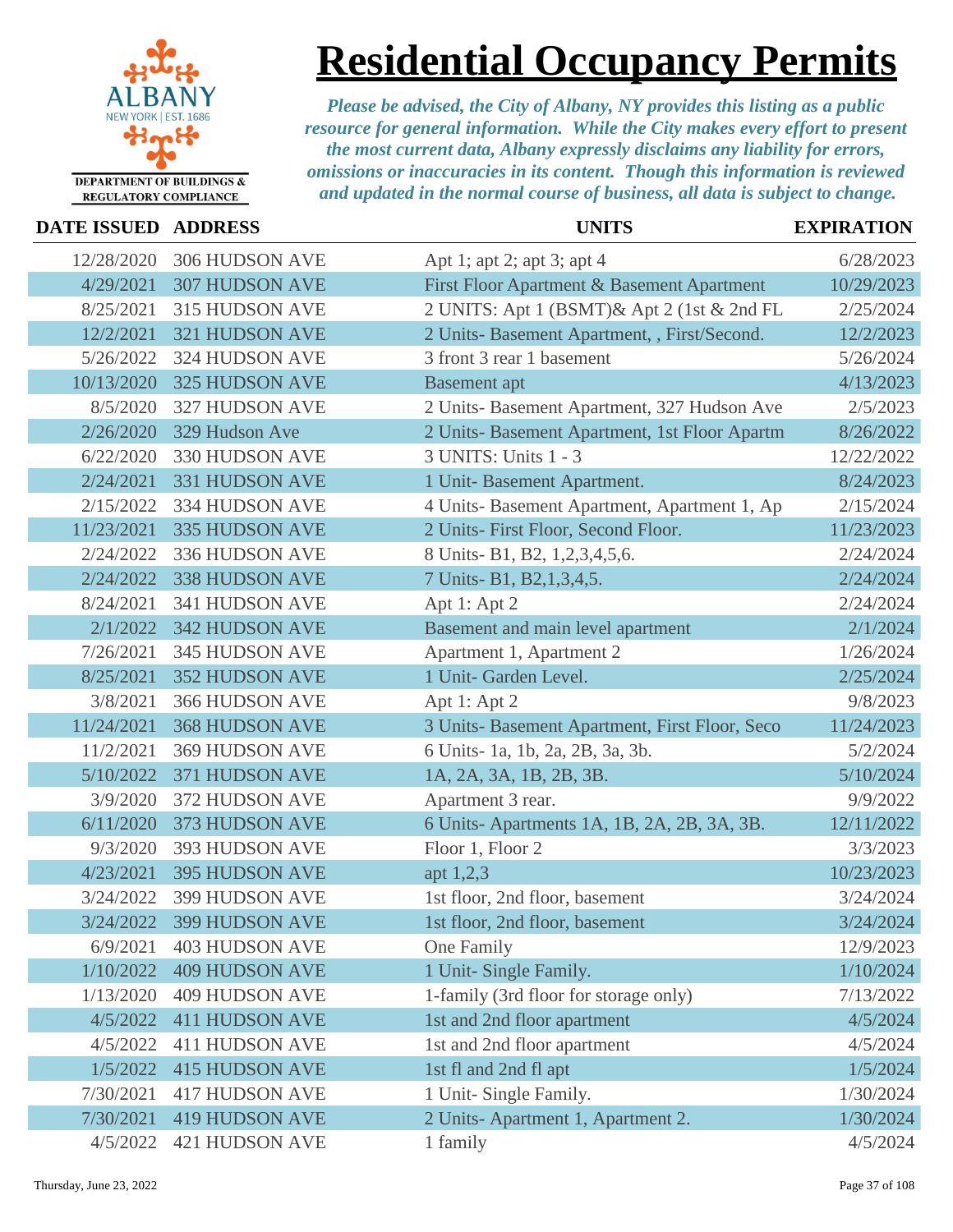

### **Residential Occupancy Permits**

| DATE ISSUED ADDRESS |                          | <b>UNITS</b>                                   | <b>EXPIRATION</b> |
|---------------------|--------------------------|------------------------------------------------|-------------------|
| 12/28/2020          | 306 HUDSON AVE           | Apt 1; apt 2; apt 3; apt 4                     | 6/28/2023         |
| 4/29/2021           | <b>307 HUDSON AVE</b>    | First Floor Apartment & Basement Apartment     | 10/29/2023        |
| 8/25/2021           | 315 HUDSON AVE           | 2 UNITS: Apt 1 (BSMT)& Apt 2 (1st & 2nd FL     | 2/25/2024         |
| 12/2/2021           | 321 HUDSON AVE           | 2 Units- Basement Apartment, , First/Second.   | 12/2/2023         |
| 5/26/2022           | 324 HUDSON AVE           | 3 front 3 rear 1 basement                      | 5/26/2024         |
| 10/13/2020          | 325 HUDSON AVE           | <b>Basement</b> apt                            | 4/13/2023         |
| 8/5/2020            | 327 HUDSON AVE           | 2 Units- Basement Apartment, 327 Hudson Ave    | 2/5/2023          |
| 2/26/2020           | 329 Hudson Ave           | 2 Units- Basement Apartment, 1st Floor Apartm  | 8/26/2022         |
| 6/22/2020           | 330 HUDSON AVE           | 3 UNITS: Units 1 - 3                           | 12/22/2022        |
| 2/24/2021           | 331 HUDSON AVE           | 1 Unit-Basement Apartment.                     | 8/24/2023         |
| 2/15/2022           | 334 HUDSON AVE           | 4 Units- Basement Apartment, Apartment 1, Ap   | 2/15/2024         |
| 11/23/2021          | 335 HUDSON AVE           | 2 Units- First Floor, Second Floor.            | 11/23/2023        |
| 2/24/2022           | 336 HUDSON AVE           | 8 Units- B1, B2, 1,2,3,4,5,6.                  | 2/24/2024         |
| 2/24/2022           | <b>338 HUDSON AVE</b>    | 7 Units-B1, B2, 1, 3, 4, 5.                    | 2/24/2024         |
| 8/24/2021           | 341 HUDSON AVE           | Apt 1: Apt 2                                   | 2/24/2024         |
| 2/1/2022            | 342 HUDSON AVE           | Basement and main level apartment              | 2/1/2024          |
| 7/26/2021           | 345 HUDSON AVE           | Apartment 1, Apartment 2                       | 1/26/2024         |
| 8/25/2021           | <b>352 HUDSON AVE</b>    | 1 Unit- Garden Level.                          | 2/25/2024         |
| 3/8/2021            | 366 HUDSON AVE           | Apt 1: Apt 2                                   | 9/8/2023          |
| 11/24/2021          | <b>368 HUDSON AVE</b>    | 3 Units- Basement Apartment, First Floor, Seco | 11/24/2023        |
| 11/2/2021           | <b>369 HUDSON AVE</b>    | 6 Units-1a, 1b, 2a, 2B, 3a, 3b.                | 5/2/2024          |
| 5/10/2022           | 371 HUDSON AVE           | 1A, 2A, 3A, 1B, 2B, 3B.                        | 5/10/2024         |
| 3/9/2020            | 372 HUDSON AVE           | Apartment 3 rear.                              | 9/9/2022          |
| 6/11/2020           | 373 HUDSON AVE           | 6 Units-Apartments 1A, 1B, 2A, 2B, 3A, 3B.     | 12/11/2022        |
| 9/3/2020            | 393 HUDSON AVE           | Floor 1, Floor 2                               | 3/3/2023          |
| 4/23/2021           | 395 HUDSON AVE           | apt $1,2,3$                                    | 10/23/2023        |
| 3/24/2022           | 399 HUDSON AVE           | 1st floor, 2nd floor, basement                 | 3/24/2024         |
|                     | 3/24/2022 399 HUDSON AVE | 1st floor, 2nd floor, basement                 | 3/24/2024         |
| 6/9/2021            | <b>403 HUDSON AVE</b>    | One Family                                     | 12/9/2023         |
| 1/10/2022           | <b>409 HUDSON AVE</b>    | 1 Unit- Single Family.                         | 1/10/2024         |
| 1/13/2020           | <b>409 HUDSON AVE</b>    | 1-family (3rd floor for storage only)          | 7/13/2022         |
| 4/5/2022            | <b>411 HUDSON AVE</b>    | 1st and 2nd floor apartment                    | 4/5/2024          |
| 4/5/2022            | <b>411 HUDSON AVE</b>    | 1st and 2nd floor apartment                    | 4/5/2024          |
| 1/5/2022            | <b>415 HUDSON AVE</b>    | 1st fl and 2nd fl apt                          | 1/5/2024          |
| 7/30/2021           | <b>417 HUDSON AVE</b>    | 1 Unit- Single Family.                         | 1/30/2024         |
| 7/30/2021           | <b>419 HUDSON AVE</b>    | 2 Units-Apartment 1, Apartment 2.              | 1/30/2024         |
| 4/5/2022            | <b>421 HUDSON AVE</b>    | 1 family                                       | 4/5/2024          |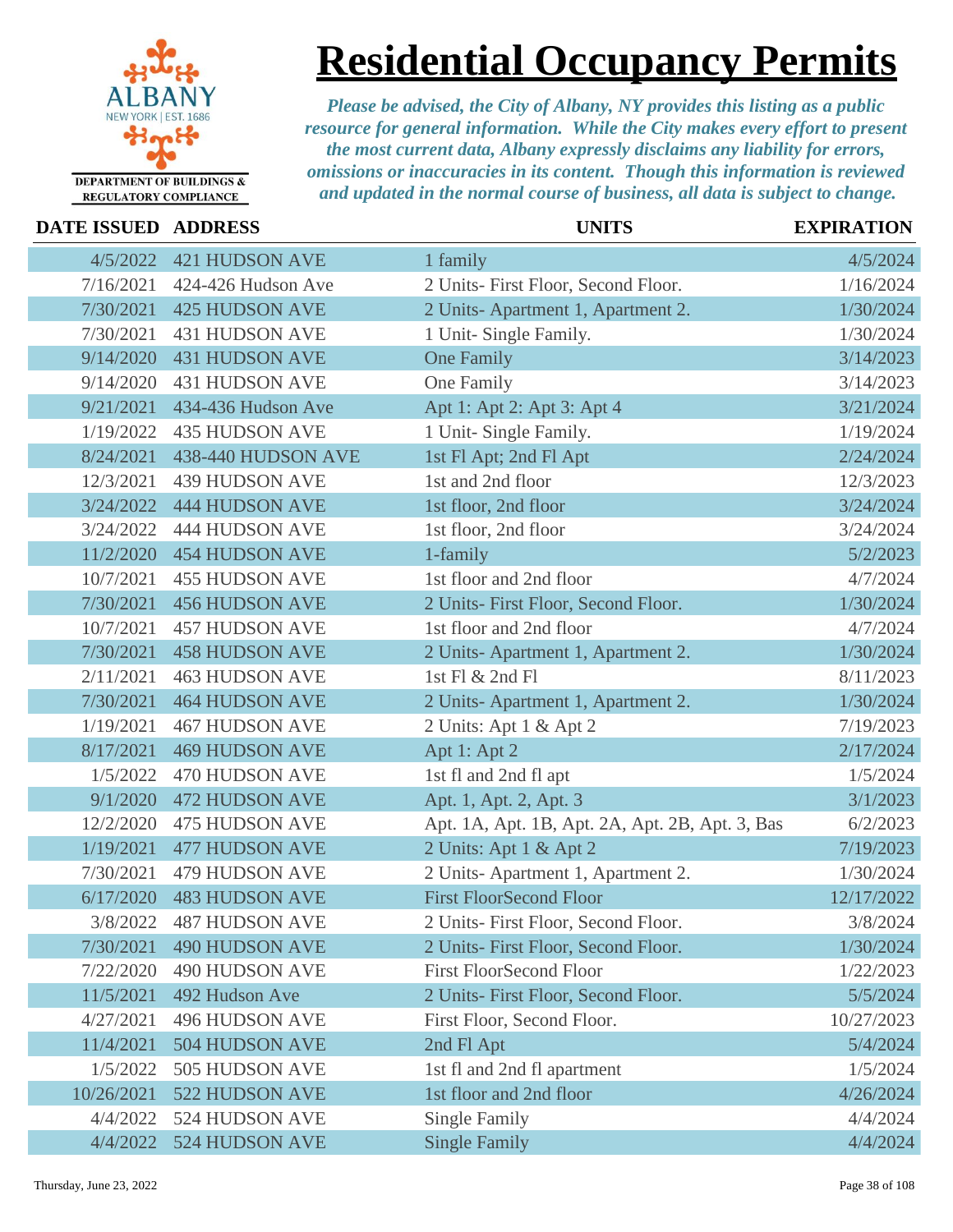

### **Residential Occupancy Permits**

| <b>DATE ISSUED ADDRESS</b> |                       | <b>UNITS</b>                                    | <b>EXPIRATION</b> |
|----------------------------|-----------------------|-------------------------------------------------|-------------------|
| 4/5/2022                   | <b>421 HUDSON AVE</b> | 1 family                                        | 4/5/2024          |
| 7/16/2021                  | 424-426 Hudson Ave    | 2 Units- First Floor, Second Floor.             | 1/16/2024         |
| 7/30/2021                  | <b>425 HUDSON AVE</b> | 2 Units-Apartment 1, Apartment 2.               | 1/30/2024         |
| 7/30/2021                  | <b>431 HUDSON AVE</b> | 1 Unit- Single Family.                          | 1/30/2024         |
| 9/14/2020                  | <b>431 HUDSON AVE</b> | <b>One Family</b>                               | 3/14/2023         |
| 9/14/2020                  | <b>431 HUDSON AVE</b> | One Family                                      | 3/14/2023         |
| 9/21/2021                  | 434-436 Hudson Ave    | Apt 1: Apt 2: Apt 3: Apt 4                      | 3/21/2024         |
| 1/19/2022                  | <b>435 HUDSON AVE</b> | 1 Unit- Single Family.                          | 1/19/2024         |
| 8/24/2021                  | 438-440 HUDSON AVE    | 1st Fl Apt; 2nd Fl Apt                          | 2/24/2024         |
| 12/3/2021                  | <b>439 HUDSON AVE</b> | 1st and 2nd floor                               | 12/3/2023         |
| 3/24/2022                  | <b>444 HUDSON AVE</b> | 1st floor, 2nd floor                            | 3/24/2024         |
| 3/24/2022                  | <b>444 HUDSON AVE</b> | 1st floor, 2nd floor                            | 3/24/2024         |
| 11/2/2020                  | <b>454 HUDSON AVE</b> | 1-family                                        | 5/2/2023          |
| 10/7/2021                  | <b>455 HUDSON AVE</b> | 1st floor and 2nd floor                         | 4/7/2024          |
| 7/30/2021                  | <b>456 HUDSON AVE</b> | 2 Units- First Floor, Second Floor.             | 1/30/2024         |
| 10/7/2021                  | <b>457 HUDSON AVE</b> | 1st floor and 2nd floor                         | 4/7/2024          |
| 7/30/2021                  | <b>458 HUDSON AVE</b> | 2 Units-Apartment 1, Apartment 2.               | 1/30/2024         |
| 2/11/2021                  | <b>463 HUDSON AVE</b> | 1st Fl & 2nd Fl                                 | 8/11/2023         |
| 7/30/2021                  | <b>464 HUDSON AVE</b> | 2 Units-Apartment 1, Apartment 2.               | 1/30/2024         |
| 1/19/2021                  | <b>467 HUDSON AVE</b> | 2 Units: Apt 1 & Apt 2                          | 7/19/2023         |
| 8/17/2021                  | <b>469 HUDSON AVE</b> | Apt 1: Apt 2                                    | 2/17/2024         |
| 1/5/2022                   | <b>470 HUDSON AVE</b> | 1st fl and 2nd fl apt                           | 1/5/2024          |
| 9/1/2020                   | <b>472 HUDSON AVE</b> | Apt. 1, Apt. 2, Apt. 3                          | 3/1/2023          |
| 12/2/2020                  | <b>475 HUDSON AVE</b> | Apt. 1A, Apt. 1B, Apt. 2A, Apt. 2B, Apt. 3, Bas | 6/2/2023          |
| 1/19/2021                  | <b>477 HUDSON AVE</b> | 2 Units: Apt 1 & Apt 2                          | 7/19/2023         |
| 7/30/2021                  | <b>479 HUDSON AVE</b> | 2 Units-Apartment 1, Apartment 2.               | 1/30/2024         |
| 6/17/2020                  | <b>483 HUDSON AVE</b> | <b>First FloorSecond Floor</b>                  | 12/17/2022        |
| 3/8/2022                   | 487 HUDSON AVE        | 2 Units- First Floor, Second Floor.             | 3/8/2024          |
| 7/30/2021                  | <b>490 HUDSON AVE</b> | 2 Units- First Floor, Second Floor.             | 1/30/2024         |
| 7/22/2020                  | <b>490 HUDSON AVE</b> | <b>First FloorSecond Floor</b>                  | 1/22/2023         |
| 11/5/2021                  | 492 Hudson Ave        | 2 Units- First Floor, Second Floor.             | 5/5/2024          |
| 4/27/2021                  | <b>496 HUDSON AVE</b> | First Floor, Second Floor.                      | 10/27/2023        |
| 11/4/2021                  | <b>504 HUDSON AVE</b> | 2nd Fl Apt                                      | 5/4/2024          |
| 1/5/2022                   | 505 HUDSON AVE        | 1st fl and 2nd fl apartment                     | 1/5/2024          |
| 10/26/2021                 | 522 HUDSON AVE        | 1st floor and 2nd floor                         | 4/26/2024         |
| 4/4/2022                   | 524 HUDSON AVE        | <b>Single Family</b>                            | 4/4/2024          |
| 4/4/2022                   | 524 HUDSON AVE        | <b>Single Family</b>                            | 4/4/2024          |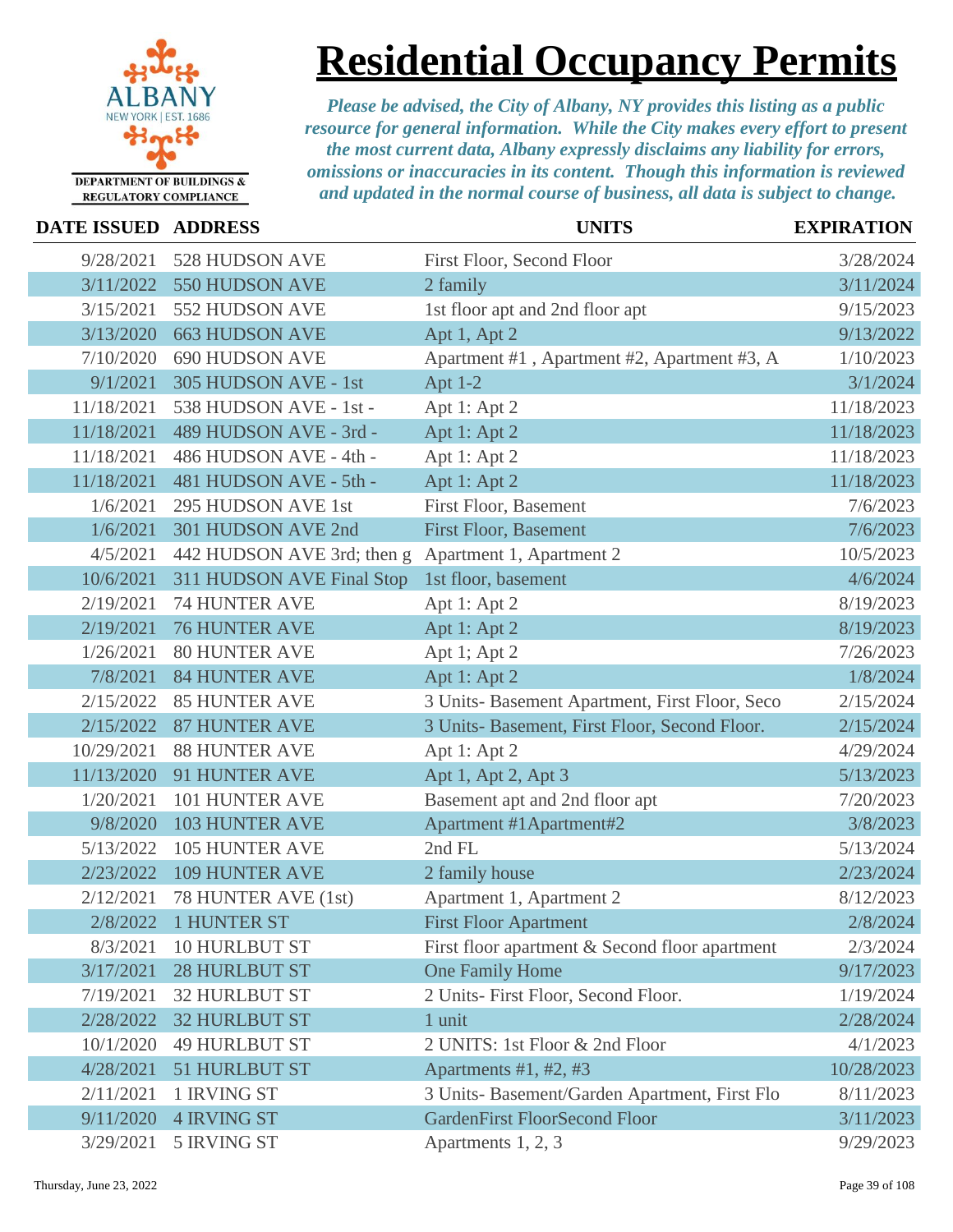

# **Residential Occupancy Permits**

| DATE ISSUED ADDRESS |                            | <b>UNITS</b>                                   | <b>EXPIRATION</b> |
|---------------------|----------------------------|------------------------------------------------|-------------------|
| 9/28/2021           | 528 HUDSON AVE             | First Floor, Second Floor                      | 3/28/2024         |
| 3/11/2022           | 550 HUDSON AVE             | 2 family                                       | 3/11/2024         |
| 3/15/2021           | 552 HUDSON AVE             | 1st floor apt and 2nd floor apt                | 9/15/2023         |
| 3/13/2020           | <b>663 HUDSON AVE</b>      | Apt 1, Apt 2                                   | 9/13/2022         |
| 7/10/2020           | <b>690 HUDSON AVE</b>      | Apartment #1, Apartment #2, Apartment #3, A    | 1/10/2023         |
| 9/1/2021            | 305 HUDSON AVE - 1st       | Apt $1-2$                                      | 3/1/2024          |
| 11/18/2021          | 538 HUDSON AVE - 1st -     | Apt 1: Apt 2                                   | 11/18/2023        |
| 11/18/2021          | 489 HUDSON AVE - 3rd -     | Apt 1: Apt 2                                   | 11/18/2023        |
| 11/18/2021          | 486 HUDSON AVE - 4th -     | Apt 1: Apt 2                                   | 11/18/2023        |
| 11/18/2021          | 481 HUDSON AVE - 5th -     | Apt 1: Apt 2                                   | 11/18/2023        |
| 1/6/2021            | 295 HUDSON AVE 1st         | First Floor, Basement                          | 7/6/2023          |
| 1/6/2021            | 301 HUDSON AVE 2nd         | <b>First Floor, Basement</b>                   | 7/6/2023          |
| 4/5/2021            | 442 HUDSON AVE 3rd; then g | Apartment 1, Apartment 2                       | 10/5/2023         |
| 10/6/2021           | 311 HUDSON AVE Final Stop  | 1st floor, basement                            | 4/6/2024          |
| 2/19/2021           | <b>74 HUNTER AVE</b>       | Apt 1: Apt 2                                   | 8/19/2023         |
| 2/19/2021           | <b>76 HUNTER AVE</b>       | Apt 1: Apt 2                                   | 8/19/2023         |
| 1/26/2021           | <b>80 HUNTER AVE</b>       | Apt 1; Apt 2                                   | 7/26/2023         |
| 7/8/2021            | <b>84 HUNTER AVE</b>       | Apt 1: Apt 2                                   | 1/8/2024          |
| 2/15/2022           | <b>85 HUNTER AVE</b>       | 3 Units- Basement Apartment, First Floor, Seco | 2/15/2024         |
| 2/15/2022           | <b>87 HUNTER AVE</b>       | 3 Units- Basement, First Floor, Second Floor.  | 2/15/2024         |
| 10/29/2021          | <b>88 HUNTER AVE</b>       | Apt 1: Apt 2                                   | 4/29/2024         |
| 11/13/2020          | 91 HUNTER AVE              | Apt 1, Apt 2, Apt 3                            | 5/13/2023         |
| 1/20/2021           | 101 HUNTER AVE             | Basement apt and 2nd floor apt                 | 7/20/2023         |
| 9/8/2020            | <b>103 HUNTER AVE</b>      | Apartment #1Apartment#2                        | 3/8/2023          |
| 5/13/2022           | <b>105 HUNTER AVE</b>      | 2nd FL                                         | 5/13/2024         |
| 2/23/2022           | <b>109 HUNTER AVE</b>      | 2 family house                                 | 2/23/2024         |
| 2/12/2021           | 78 HUNTER AVE (1st)        | Apartment 1, Apartment 2                       | 8/12/2023         |
|                     | 2/8/2022 1 HUNTER ST       | <b>First Floor Apartment</b>                   | 2/8/2024          |
| 8/3/2021            | <b>10 HURLBUT ST</b>       | First floor apartment & Second floor apartment | 2/3/2024          |
| 3/17/2021           | <b>28 HURLBUT ST</b>       | One Family Home                                | 9/17/2023         |
| 7/19/2021           | <b>32 HURLBUT ST</b>       | 2 Units- First Floor, Second Floor.            | 1/19/2024         |
| 2/28/2022           | <b>32 HURLBUT ST</b>       | 1 unit                                         | 2/28/2024         |
| 10/1/2020           | <b>49 HURLBUT ST</b>       | 2 UNITS: 1st Floor & 2nd Floor                 | 4/1/2023          |
| 4/28/2021           | <b>51 HURLBUT ST</b>       | Apartments $#1, #2, #3$                        | 10/28/2023        |
| 2/11/2021           | 1 IRVING ST                | 3 Units- Basement/Garden Apartment, First Flo  | 8/11/2023         |
| 9/11/2020           | <b>4 IRVING ST</b>         | <b>GardenFirst FloorSecond Floor</b>           | 3/11/2023         |
| 3/29/2021           | 5 IRVING ST                | Apartments 1, 2, 3                             | 9/29/2023         |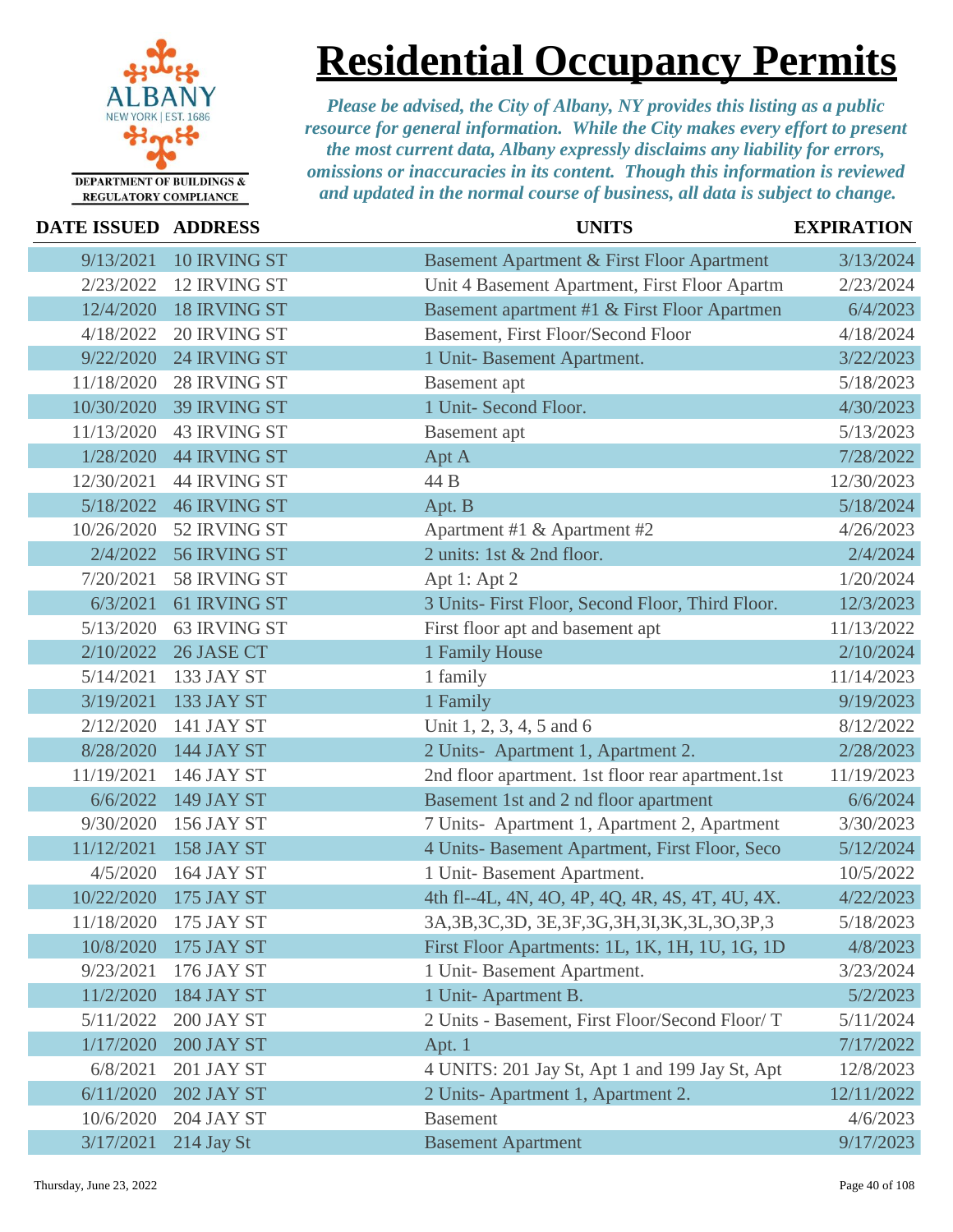

**Residential Occupancy Permits**

| <b>DATE ISSUED ADDRESS</b> |                     | <b>UNITS</b>                                          | <b>EXPIRATION</b> |
|----------------------------|---------------------|-------------------------------------------------------|-------------------|
| 9/13/2021                  | 10 IRVING ST        | Basement Apartment & First Floor Apartment            | 3/13/2024         |
| 2/23/2022                  | <b>12 IRVING ST</b> | Unit 4 Basement Apartment, First Floor Apartm         | 2/23/2024         |
| 12/4/2020                  | <b>18 IRVING ST</b> | Basement apartment #1 & First Floor Apartmen          | 6/4/2023          |
| 4/18/2022                  | 20 IRVING ST        | Basement, First Floor/Second Floor                    | 4/18/2024         |
| 9/22/2020                  | 24 IRVING ST        | 1 Unit-Basement Apartment.                            | 3/22/2023         |
| 11/18/2020                 | 28 IRVING ST        | <b>Basement</b> apt                                   | 5/18/2023         |
| 10/30/2020                 | 39 IRVING ST        | 1 Unit- Second Floor.                                 | 4/30/2023         |
| 11/13/2020                 | <b>43 IRVING ST</b> | Basement apt                                          | 5/13/2023         |
| 1/28/2020                  | <b>44 IRVING ST</b> | Apt A                                                 | 7/28/2022         |
| 12/30/2021                 | <b>44 IRVING ST</b> | 44 B                                                  | 12/30/2023        |
| 5/18/2022                  | <b>46 IRVING ST</b> | Apt. B                                                | 5/18/2024         |
| 10/26/2020                 | 52 IRVING ST        | Apartment #1 & Apartment #2                           | 4/26/2023         |
| 2/4/2022                   | 56 IRVING ST        | 2 units: 1st & 2nd floor.                             | 2/4/2024          |
| 7/20/2021                  | 58 IRVING ST        | Apt 1: Apt 2                                          | 1/20/2024         |
| 6/3/2021                   | 61 IRVING ST        | 3 Units- First Floor, Second Floor, Third Floor.      | 12/3/2023         |
| 5/13/2020                  | 63 IRVING ST        | First floor apt and basement apt                      | 11/13/2022        |
| 2/10/2022                  | 26 JASE CT          | 1 Family House                                        | 2/10/2024         |
| 5/14/2021                  | 133 JAY ST          | 1 family                                              | 11/14/2023        |
| 3/19/2021                  | 133 JAY ST          | 1 Family                                              | 9/19/2023         |
| 2/12/2020                  | <b>141 JAY ST</b>   | Unit 1, 2, 3, 4, 5 and 6                              | 8/12/2022         |
| 8/28/2020                  | <b>144 JAY ST</b>   | 2 Units- Apartment 1, Apartment 2.                    | 2/28/2023         |
| 11/19/2021                 | 146 JAY ST          | 2nd floor apartment. 1st floor rear apartment.1st     | 11/19/2023        |
| 6/6/2022                   | <b>149 JAY ST</b>   | Basement 1st and 2 nd floor apartment                 | 6/6/2024          |
| 9/30/2020                  | <b>156 JAY ST</b>   | 7 Units- Apartment 1, Apartment 2, Apartment          | 3/30/2023         |
| 11/12/2021                 | 158 JAY ST          | 4 Units- Basement Apartment, First Floor, Seco        | 5/12/2024         |
| 4/5/2020                   | <b>164 JAY ST</b>   | 1 Unit- Basement Apartment.                           | 10/5/2022         |
| 10/22/2020                 | <b>175 JAY ST</b>   | 4th fl--4L, 4N, 4O, 4P, 4Q, 4R, 4S, 4T, 4U, 4X.       | 4/22/2023         |
| 11/18/2020                 | 175 JAY ST          | 3A, 3B, 3C, 3D, 3E, 3F, 3G, 3H, 3I, 3K, 3L, 3O, 3P, 3 | 5/18/2023         |
| 10/8/2020                  | <b>175 JAY ST</b>   | First Floor Apartments: 1L, 1K, 1H, 1U, 1G, 1D        | 4/8/2023          |
| 9/23/2021                  | 176 JAY ST          | 1 Unit-Basement Apartment.                            | 3/23/2024         |
| 11/2/2020                  | 184 JAY ST          | 1 Unit-Apartment B.                                   | 5/2/2023          |
| 5/11/2022                  | 200 JAY ST          | 2 Units - Basement, First Floor/Second Floor/ T       | 5/11/2024         |
| 1/17/2020                  | 200 JAY ST          | Apt. 1                                                | 7/17/2022         |
| 6/8/2021                   | 201 JAY ST          | 4 UNITS: 201 Jay St, Apt 1 and 199 Jay St, Apt        | 12/8/2023         |
| 6/11/2020                  | <b>202 JAY ST</b>   | 2 Units-Apartment 1, Apartment 2.                     | 12/11/2022        |
| 10/6/2020                  | <b>204 JAY ST</b>   | <b>Basement</b>                                       | 4/6/2023          |
| 3/17/2021                  | 214 Jay St          | <b>Basement Apartment</b>                             | 9/17/2023         |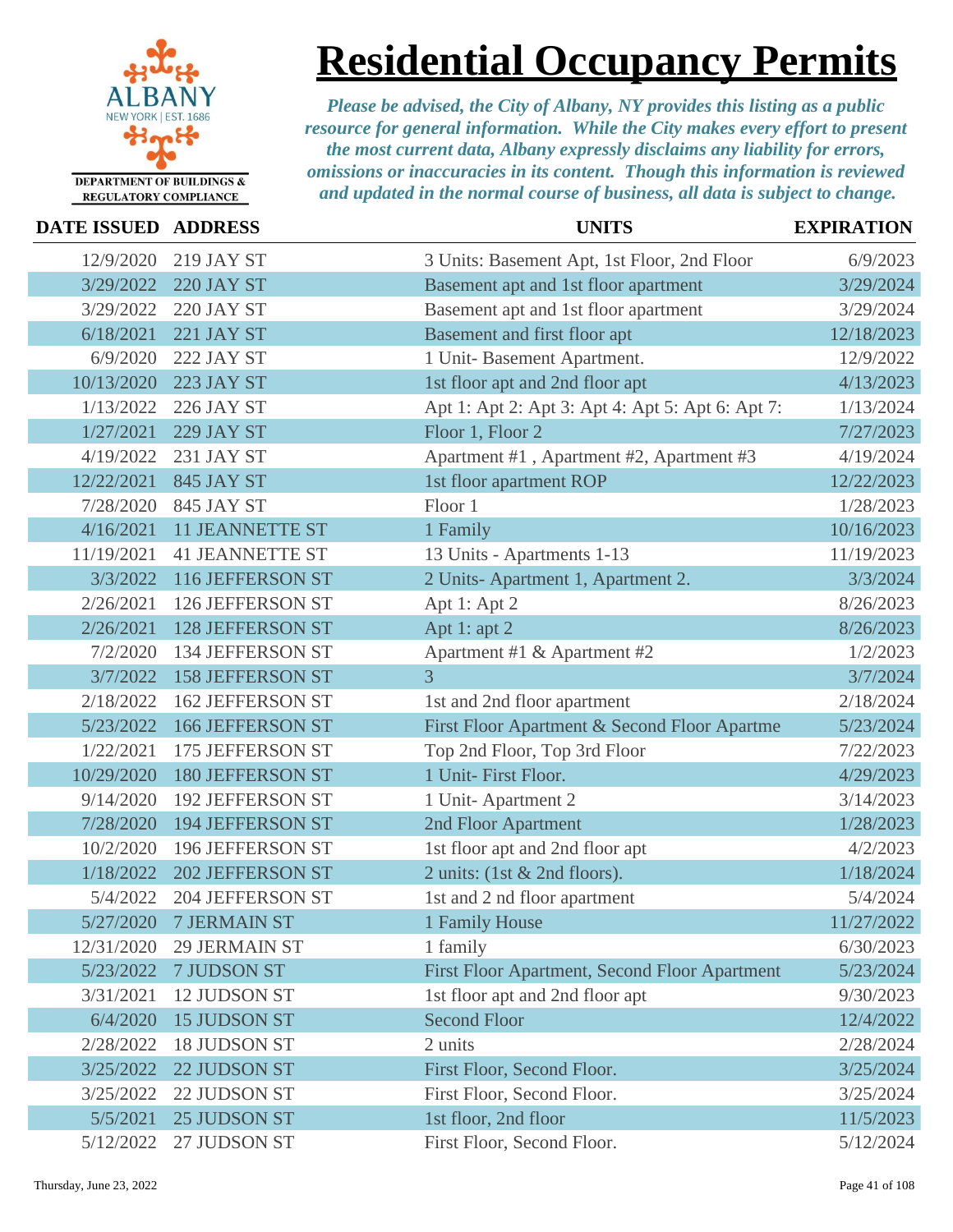

**Residential Occupancy Permits**

| <b>DATE ISSUED ADDRESS</b> |                         | <b>UNITS</b>                                     | <b>EXPIRATION</b> |
|----------------------------|-------------------------|--------------------------------------------------|-------------------|
| 12/9/2020                  | <b>219 JAY ST</b>       | 3 Units: Basement Apt, 1st Floor, 2nd Floor      | 6/9/2023          |
| 3/29/2022                  | <b>220 JAY ST</b>       | Basement apt and 1st floor apartment             | 3/29/2024         |
| 3/29/2022                  | 220 JAY ST              | Basement apt and 1st floor apartment             | 3/29/2024         |
| 6/18/2021                  | <b>221 JAY ST</b>       | Basement and first floor apt                     | 12/18/2023        |
| 6/9/2020                   | 222 JAY ST              | 1 Unit- Basement Apartment.                      | 12/9/2022         |
| 10/13/2020                 | <b>223 JAY ST</b>       | 1st floor apt and 2nd floor apt                  | 4/13/2023         |
| 1/13/2022                  | 226 JAY ST              | Apt 1: Apt 2: Apt 3: Apt 4: Apt 5: Apt 6: Apt 7: | 1/13/2024         |
| 1/27/2021                  | <b>229 JAY ST</b>       | Floor 1, Floor 2                                 | 7/27/2023         |
| 4/19/2022                  | 231 JAY ST              | Apartment #1, Apartment #2, Apartment #3         | 4/19/2024         |
| 12/22/2021                 | <b>845 JAY ST</b>       | 1st floor apartment ROP                          | 12/22/2023        |
| 7/28/2020                  | 845 JAY ST              | Floor 1                                          | 1/28/2023         |
| 4/16/2021                  | <b>11 JEANNETTE ST</b>  | 1 Family                                         | 10/16/2023        |
| 11/19/2021                 | <b>41 JEANNETTE ST</b>  | 13 Units - Apartments 1-13                       | 11/19/2023        |
| 3/3/2022                   | 116 JEFFERSON ST        | 2 Units-Apartment 1, Apartment 2.                | 3/3/2024          |
| 2/26/2021                  | 126 JEFFERSON ST        | Apt 1: Apt 2                                     | 8/26/2023         |
| 2/26/2021                  | <b>128 JEFFERSON ST</b> | Apt 1: apt 2                                     | 8/26/2023         |
| 7/2/2020                   | 134 JEFFERSON ST        | Apartment #1 & Apartment #2                      | 1/2/2023          |
| 3/7/2022                   | <b>158 JEFFERSON ST</b> | $\overline{3}$                                   | 3/7/2024          |
| 2/18/2022                  | <b>162 JEFFERSON ST</b> | 1st and 2nd floor apartment                      | 2/18/2024         |
| 5/23/2022                  | <b>166 JEFFERSON ST</b> | First Floor Apartment & Second Floor Apartme     | 5/23/2024         |
| 1/22/2021                  | 175 JEFFERSON ST        | Top 2nd Floor, Top 3rd Floor                     | 7/22/2023         |
| 10/29/2020                 | <b>180 JEFFERSON ST</b> | 1 Unit- First Floor.                             | 4/29/2023         |
| 9/14/2020                  | <b>192 JEFFERSON ST</b> | 1 Unit-Apartment 2                               | 3/14/2023         |
| 7/28/2020                  | <b>194 JEFFERSON ST</b> | 2nd Floor Apartment                              | 1/28/2023         |
| 10/2/2020                  | 196 JEFFERSON ST        | 1st floor apt and 2nd floor apt                  | 4/2/2023          |
| 1/18/2022                  | <b>202 JEFFERSON ST</b> | 2 units: (1st $&$ 2nd floors).                   | 1/18/2024         |
| 5/4/2022                   | 204 JEFFERSON ST        | 1st and 2 nd floor apartment                     | 5/4/2024          |
| 5/27/2020                  | 7 JERMAIN ST            | 1 Family House                                   | 11/27/2022        |
| 12/31/2020                 | <b>29 JERMAIN ST</b>    | 1 family                                         | 6/30/2023         |
| 5/23/2022                  | 7 JUDSON ST             | First Floor Apartment, Second Floor Apartment    | 5/23/2024         |
| 3/31/2021                  | 12 JUDSON ST            | 1st floor apt and 2nd floor apt                  | 9/30/2023         |
| 6/4/2020                   | <b>15 JUDSON ST</b>     | <b>Second Floor</b>                              | 12/4/2022         |
| 2/28/2022                  | <b>18 JUDSON ST</b>     | 2 units                                          | 2/28/2024         |
| 3/25/2022                  | 22 JUDSON ST            | First Floor, Second Floor.                       | 3/25/2024         |
| 3/25/2022                  | 22 JUDSON ST            | First Floor, Second Floor.                       | 3/25/2024         |
| 5/5/2021                   | 25 JUDSON ST            | 1st floor, 2nd floor                             | 11/5/2023         |
| 5/12/2022                  | 27 JUDSON ST            | First Floor, Second Floor.                       | 5/12/2024         |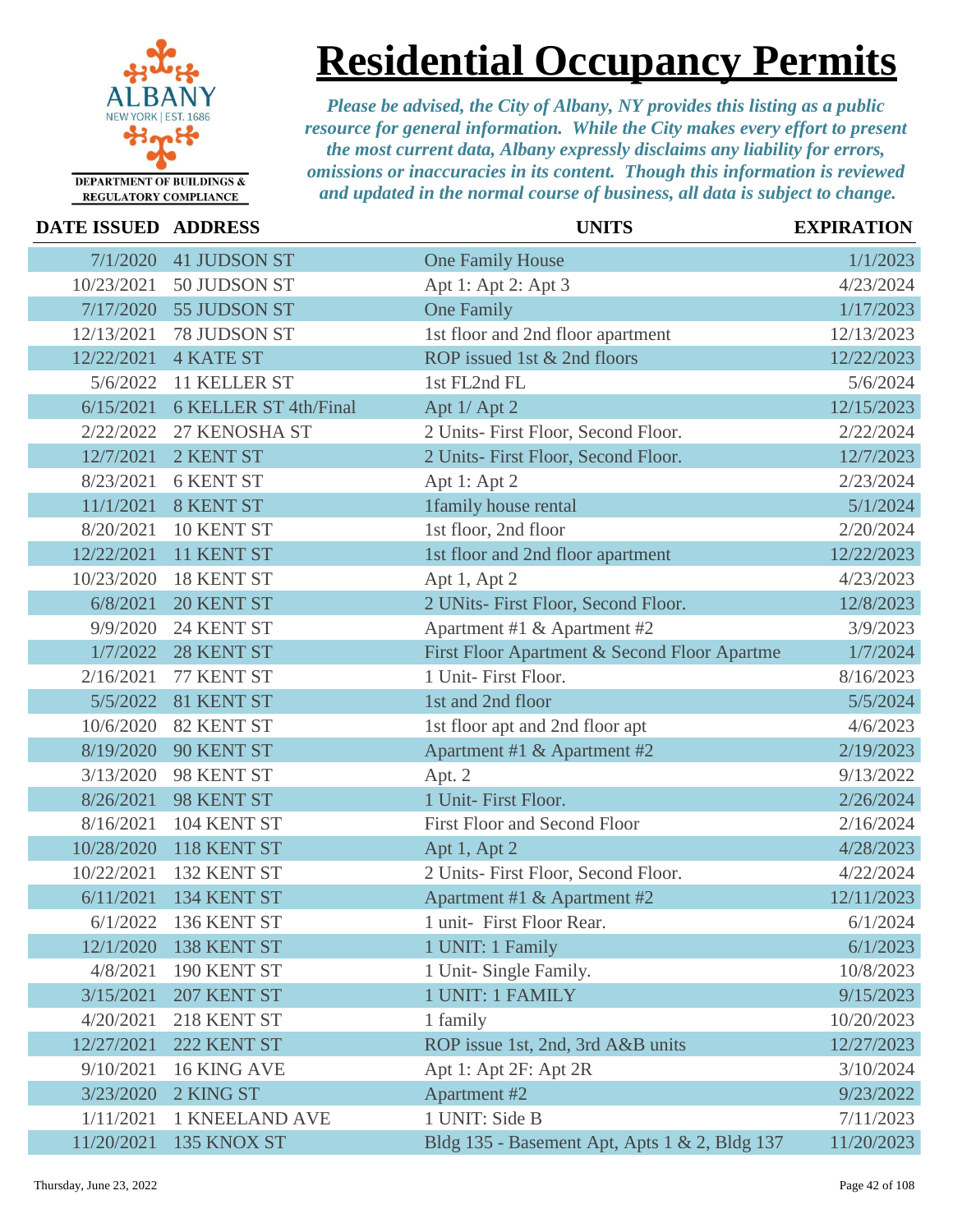

**Residential Occupancy Permits**

| <b>DATE ISSUED ADDRESS</b> |                       | <b>UNITS</b>                                  | <b>EXPIRATION</b> |
|----------------------------|-----------------------|-----------------------------------------------|-------------------|
| 7/1/2020                   | <b>41 JUDSON ST</b>   | <b>One Family House</b>                       | 1/1/2023          |
| 10/23/2021                 | 50 JUDSON ST          | Apt 1: Apt 2: Apt 3                           | 4/23/2024         |
| 7/17/2020                  | 55 JUDSON ST          | <b>One Family</b>                             | 1/17/2023         |
| 12/13/2021                 | 78 JUDSON ST          | 1st floor and 2nd floor apartment             | 12/13/2023        |
| 12/22/2021                 | <b>4 KATE ST</b>      | ROP issued 1st & 2nd floors                   | 12/22/2023        |
| 5/6/2022                   | 11 KELLER ST          | 1st FL2nd FL                                  | 5/6/2024          |
| 6/15/2021                  | 6 KELLER ST 4th/Final | Apt 1/ Apt 2                                  | 12/15/2023        |
| 2/22/2022                  | 27 KENOSHA ST         | 2 Units- First Floor, Second Floor.           | 2/22/2024         |
| 12/7/2021                  | 2 KENT ST             | 2 Units- First Floor, Second Floor.           | 12/7/2023         |
| 8/23/2021                  | <b>6 KENT ST</b>      | Apt 1: Apt 2                                  | 2/23/2024         |
| 11/1/2021                  | <b>8 KENT ST</b>      | 1family house rental                          | 5/1/2024          |
| 8/20/2021                  | 10 KENT ST            | 1st floor, 2nd floor                          | 2/20/2024         |
| 12/22/2021                 | 11 KENT ST            | 1st floor and 2nd floor apartment             | 12/22/2023        |
| 10/23/2020                 | 18 KENT ST            | Apt 1, Apt 2                                  | 4/23/2023         |
| 6/8/2021                   | 20 KENT ST            | 2 UNits- First Floor, Second Floor.           | 12/8/2023         |
| 9/9/2020                   | 24 KENT ST            | Apartment #1 & Apartment #2                   | 3/9/2023          |
| 1/7/2022                   | 28 KENT ST            | First Floor Apartment & Second Floor Apartme  | 1/7/2024          |
| 2/16/2021                  | 77 KENT ST            | 1 Unit- First Floor.                          | 8/16/2023         |
| 5/5/2022                   | 81 KENT ST            | 1st and 2nd floor                             | 5/5/2024          |
| 10/6/2020                  | 82 KENT ST            | 1st floor apt and 2nd floor apt               | 4/6/2023          |
| 8/19/2020                  | 90 KENT ST            | Apartment #1 & Apartment #2                   | 2/19/2023         |
| 3/13/2020                  | 98 KENT ST            | Apt. 2                                        | 9/13/2022         |
| 8/26/2021                  | 98 KENT ST            | 1 Unit- First Floor.                          | 2/26/2024         |
| 8/16/2021                  | 104 KENT ST           | First Floor and Second Floor                  | 2/16/2024         |
| 10/28/2020                 | 118 KENT ST           | Apt 1, Apt 2                                  | 4/28/2023         |
| 10/22/2021                 | 132 KENT ST           | 2 Units- First Floor, Second Floor.           | 4/22/2024         |
| 6/11/2021                  | 134 KENT ST           | Apartment #1 & Apartment #2                   | 12/11/2023        |
| 6/1/2022                   | 136 KENT ST           | 1 unit- First Floor Rear.                     | 6/1/2024          |
| 12/1/2020                  | 138 KENT ST           | 1 UNIT: 1 Family                              | 6/1/2023          |
| 4/8/2021                   | 190 KENT ST           | 1 Unit- Single Family.                        | 10/8/2023         |
| 3/15/2021                  | 207 KENT ST           | 1 UNIT: 1 FAMILY                              | 9/15/2023         |
| 4/20/2021                  | 218 KENT ST           | 1 family                                      | 10/20/2023        |
| 12/27/2021                 | 222 KENT ST           | ROP issue 1st, 2nd, 3rd A&B units             | 12/27/2023        |
| 9/10/2021                  | 16 KING AVE           | Apt 1: Apt 2F: Apt 2R                         | 3/10/2024         |
| 3/23/2020                  | 2 KING ST             | <b>Apartment #2</b>                           | 9/23/2022         |
| 1/11/2021                  | <b>1 KNEELAND AVE</b> | 1 UNIT: Side B                                | 7/11/2023         |
| 11/20/2021                 | 135 KNOX ST           | Bldg 135 - Basement Apt, Apts 1 & 2, Bldg 137 | 11/20/2023        |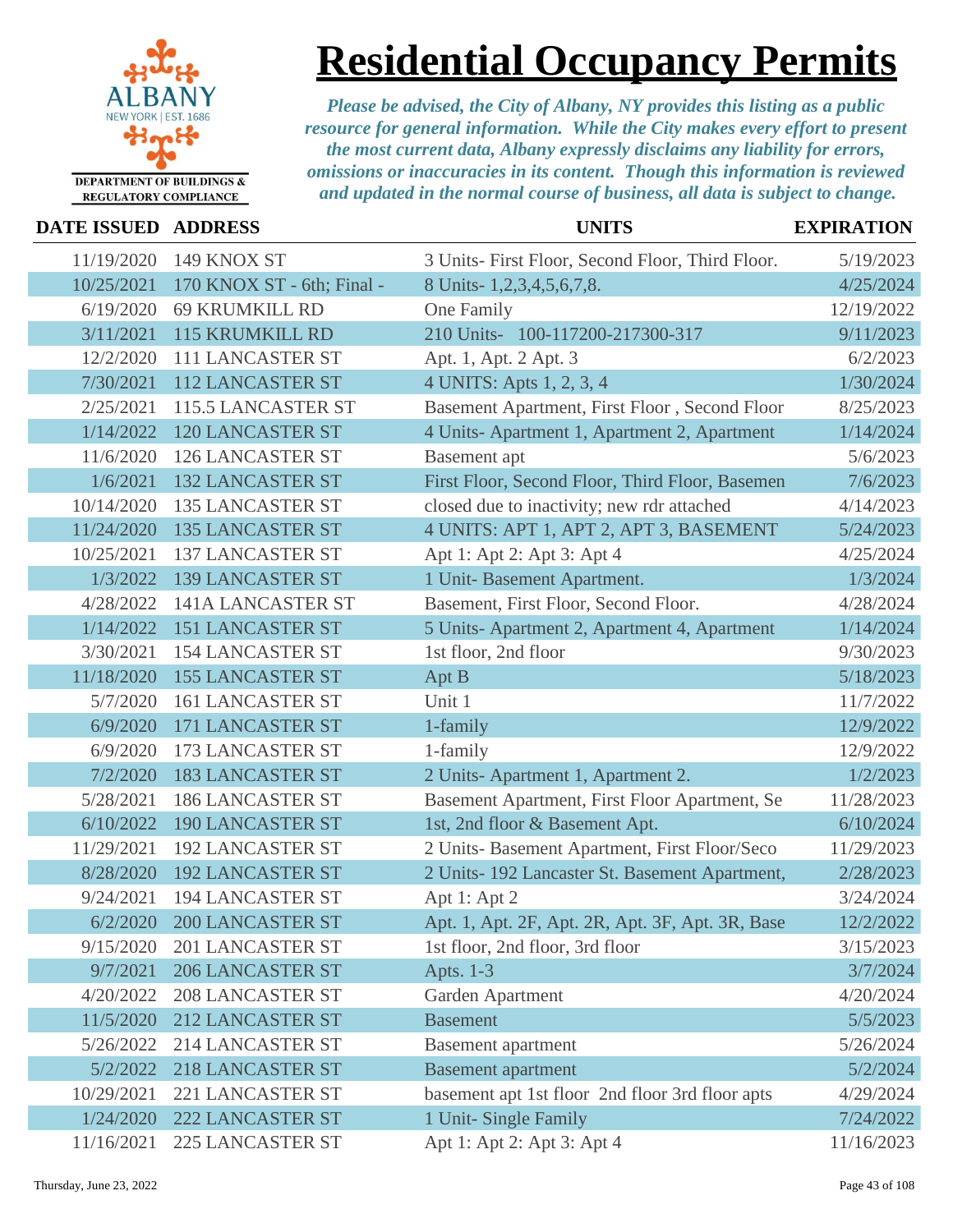

# **Residential Occupancy Permits**

| DATE ISSUED ADDRESS |                            | <b>UNITS</b>                                     | <b>EXPIRATION</b> |
|---------------------|----------------------------|--------------------------------------------------|-------------------|
| 11/19/2020          | 149 KNOX ST                | 3 Units- First Floor, Second Floor, Third Floor. | 5/19/2023         |
| 10/25/2021          | 170 KNOX ST - 6th; Final - | 8 Units-1,2,3,4,5,6,7,8.                         | 4/25/2024         |
| 6/19/2020           | <b>69 KRUMKILL RD</b>      | One Family                                       | 12/19/2022        |
| 3/11/2021           | <b>115 KRUMKILL RD</b>     | 210 Units- 100-117200-217300-317                 | 9/11/2023         |
| 12/2/2020           | 111 LANCASTER ST           | Apt. 1, Apt. 2 Apt. 3                            | 6/2/2023          |
| 7/30/2021           | <b>112 LANCASTER ST</b>    | 4 UNITS: Apts 1, 2, 3, 4                         | 1/30/2024         |
| 2/25/2021           | 115.5 LANCASTER ST         | Basement Apartment, First Floor, Second Floor    | 8/25/2023         |
| 1/14/2022           | <b>120 LANCASTER ST</b>    | 4 Units-Apartment 1, Apartment 2, Apartment      | 1/14/2024         |
| 11/6/2020           | <b>126 LANCASTER ST</b>    | <b>Basement</b> apt                              | 5/6/2023          |
| 1/6/2021            | <b>132 LANCASTER ST</b>    | First Floor, Second Floor, Third Floor, Basemen  | 7/6/2023          |
| 10/14/2020          | <b>135 LANCASTER ST</b>    | closed due to inactivity; new rdr attached       | 4/14/2023         |
| 11/24/2020          | <b>135 LANCASTER ST</b>    | 4 UNITS: APT 1, APT 2, APT 3, BASEMENT           | 5/24/2023         |
| 10/25/2021          | <b>137 LANCASTER ST</b>    | Apt 1: Apt 2: Apt 3: Apt 4                       | 4/25/2024         |
| 1/3/2022            | <b>139 LANCASTER ST</b>    | 1 Unit- Basement Apartment.                      | 1/3/2024          |
| 4/28/2022           | 141A LANCASTER ST          | Basement, First Floor, Second Floor.             | 4/28/2024         |
| 1/14/2022           | <b>151 LANCASTER ST</b>    | 5 Units-Apartment 2, Apartment 4, Apartment      | 1/14/2024         |
| 3/30/2021           | <b>154 LANCASTER ST</b>    | 1st floor, 2nd floor                             | 9/30/2023         |
| 11/18/2020          | <b>155 LANCASTER ST</b>    | Apt B                                            | 5/18/2023         |
| 5/7/2020            | <b>161 LANCASTER ST</b>    | Unit 1                                           | 11/7/2022         |
| 6/9/2020            | 171 LANCASTER ST           | 1-family                                         | 12/9/2022         |
| 6/9/2020            | <b>173 LANCASTER ST</b>    | 1-family                                         | 12/9/2022         |
| 7/2/2020            | <b>183 LANCASTER ST</b>    | 2 Units-Apartment 1, Apartment 2.                | 1/2/2023          |
| 5/28/2021           | <b>186 LANCASTER ST</b>    | Basement Apartment, First Floor Apartment, Se    | 11/28/2023        |
| 6/10/2022           | <b>190 LANCASTER ST</b>    | 1st, 2nd floor & Basement Apt.                   | 6/10/2024         |
| 11/29/2021          | <b>192 LANCASTER ST</b>    | 2 Units- Basement Apartment, First Floor/Seco    | 11/29/2023        |
| 8/28/2020           | <b>192 LANCASTER ST</b>    | 2 Units- 192 Lancaster St. Basement Apartment,   | 2/28/2023         |
| 9/24/2021           | <b>194 LANCASTER ST</b>    | Apt 1: Apt 2                                     | 3/24/2024         |
|                     | 6/2/2020 200 LANCASTER ST  | Apt. 1, Apt. 2F, Apt. 2R, Apt. 3F, Apt. 3R, Base | 12/2/2022         |
| 9/15/2020           | 201 LANCASTER ST           | 1st floor, 2nd floor, 3rd floor                  | 3/15/2023         |
| 9/7/2021            | <b>206 LANCASTER ST</b>    | Apts. 1-3                                        | 3/7/2024          |
| 4/20/2022           | <b>208 LANCASTER ST</b>    | Garden Apartment                                 | 4/20/2024         |
| 11/5/2020           | 212 LANCASTER ST           | <b>Basement</b>                                  | 5/5/2023          |
| 5/26/2022           | 214 LANCASTER ST           | <b>Basement</b> apartment                        | 5/26/2024         |
| 5/2/2022            | 218 LANCASTER ST           | <b>Basement</b> apartment                        | 5/2/2024          |
| 10/29/2021          | <b>221 LANCASTER ST</b>    | basement apt 1st floor 2nd floor 3rd floor apts  | 4/29/2024         |
| 1/24/2020           | 222 LANCASTER ST           | 1 Unit- Single Family                            | 7/24/2022         |
| 11/16/2021          | <b>225 LANCASTER ST</b>    | Apt 1: Apt 2: Apt 3: Apt 4                       | 11/16/2023        |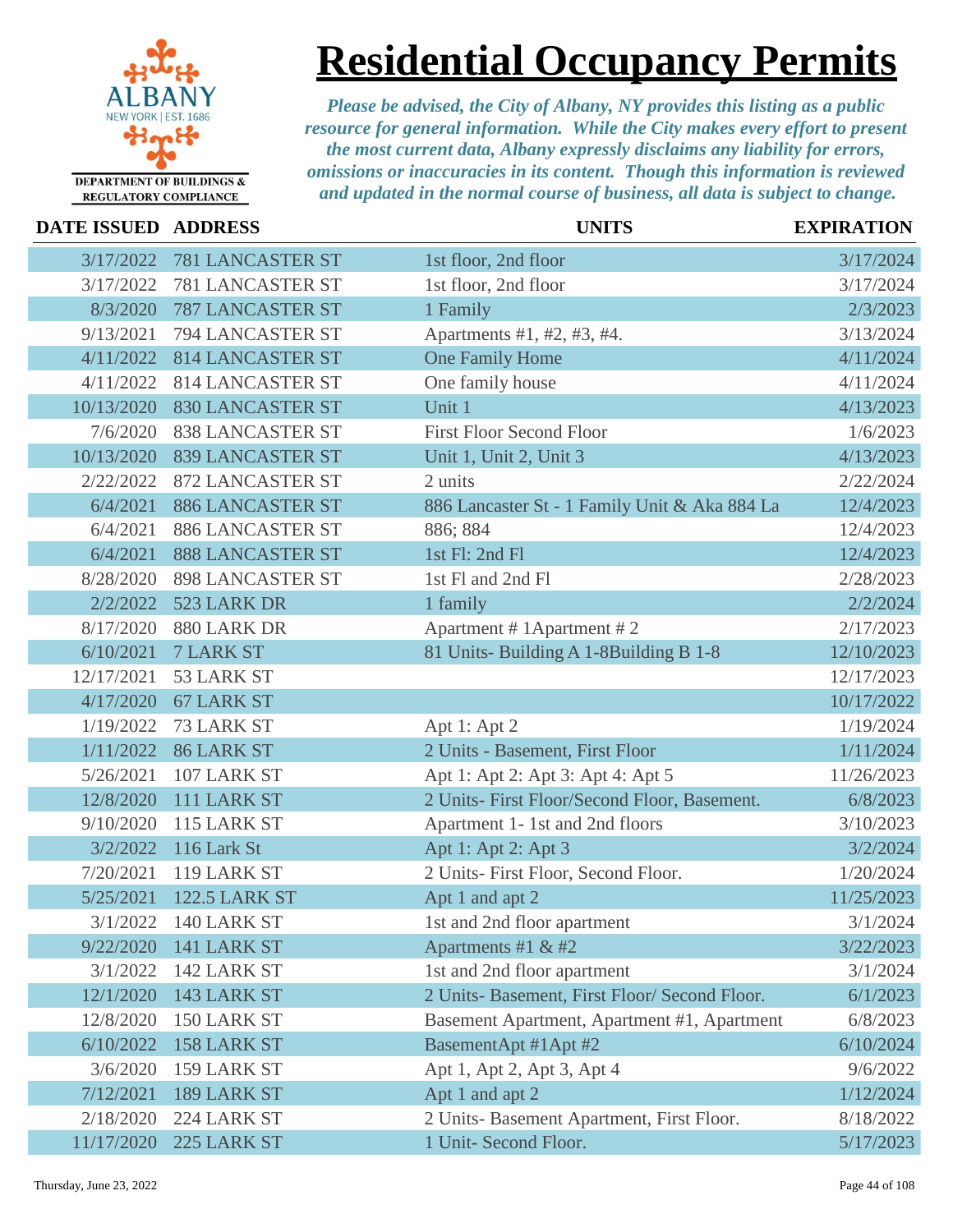

# **Residential Occupancy Permits**

| <b>DATE ISSUED ADDRESS</b> |                         | <b>UNITS</b>                                  | <b>EXPIRATION</b> |
|----------------------------|-------------------------|-----------------------------------------------|-------------------|
| 3/17/2022                  | <b>781 LANCASTER ST</b> | 1st floor, 2nd floor                          | 3/17/2024         |
| 3/17/2022                  | <b>781 LANCASTER ST</b> | 1st floor, 2nd floor                          | 3/17/2024         |
| 8/3/2020                   | <b>787 LANCASTER ST</b> | 1 Family                                      | 2/3/2023          |
| 9/13/2021                  | 794 LANCASTER ST        | Apartments #1, #2, #3, #4.                    | 3/13/2024         |
| 4/11/2022                  | <b>814 LANCASTER ST</b> | <b>One Family Home</b>                        | 4/11/2024         |
| 4/11/2022                  | <b>814 LANCASTER ST</b> | One family house                              | 4/11/2024         |
| 10/13/2020                 | <b>830 LANCASTER ST</b> | Unit 1                                        | 4/13/2023         |
| 7/6/2020                   | <b>838 LANCASTER ST</b> | <b>First Floor Second Floor</b>               | 1/6/2023          |
| 10/13/2020                 | <b>839 LANCASTER ST</b> | Unit 1, Unit 2, Unit 3                        | 4/13/2023         |
| 2/22/2022                  | <b>872 LANCASTER ST</b> | 2 units                                       | 2/22/2024         |
| 6/4/2021                   | <b>886 LANCASTER ST</b> | 886 Lancaster St - 1 Family Unit & Aka 884 La | 12/4/2023         |
| 6/4/2021                   | <b>886 LANCASTER ST</b> | 886; 884                                      | 12/4/2023         |
| 6/4/2021                   | <b>888 LANCASTER ST</b> | 1st Fl: 2nd Fl                                | 12/4/2023         |
| 8/28/2020                  | <b>898 LANCASTER ST</b> | 1st Fl and 2nd Fl                             | 2/28/2023         |
| 2/2/2022                   | 523 LARK DR             | 1 family                                      | 2/2/2024          |
| 8/17/2020                  | 880 LARK DR             | Apartment # 1 Apartment # 2                   | 2/17/2023         |
| 6/10/2021                  | <b>7 LARK ST</b>        | 81 Units-Building A 1-8Building B 1-8         | 12/10/2023        |
| 12/17/2021                 | 53 LARK ST              |                                               | 12/17/2023        |
| 4/17/2020                  | <b>67 LARK ST</b>       |                                               | 10/17/2022        |
| 1/19/2022                  | 73 LARK ST              | Apt 1: Apt 2                                  | 1/19/2024         |
| 1/11/2022                  | <b>86 LARK ST</b>       | 2 Units - Basement, First Floor               | 1/11/2024         |
| 5/26/2021                  | 107 LARK ST             | Apt 1: Apt 2: Apt 3: Apt 4: Apt 5             | 11/26/2023        |
| 12/8/2020                  | 111 LARK ST             | 2 Units- First Floor/Second Floor, Basement.  | 6/8/2023          |
| 9/10/2020                  | 115 LARK ST             | Apartment 1-1st and 2nd floors                | 3/10/2023         |
| 3/2/2022                   | 116 Lark St             | Apt 1: Apt 2: Apt 3                           | 3/2/2024          |
| 7/20/2021                  | 119 LARK ST             | 2 Units- First Floor, Second Floor.           | 1/20/2024         |
| 5/25/2021                  | <b>122.5 LARK ST</b>    | Apt 1 and apt 2                               | 11/25/2023        |
| 3/1/2022                   | 140 LARK ST             | 1st and 2nd floor apartment                   | 3/1/2024          |
| 9/22/2020                  | 141 LARK ST             | Apartments #1 & #2                            | 3/22/2023         |
| 3/1/2022                   | 142 LARK ST             | 1st and 2nd floor apartment                   | 3/1/2024          |
| 12/1/2020                  | 143 LARK ST             | 2 Units- Basement, First Floor/ Second Floor. | 6/1/2023          |
| 12/8/2020                  | 150 LARK ST             | Basement Apartment, Apartment #1, Apartment   | 6/8/2023          |
| 6/10/2022                  | 158 LARK ST             | BasementApt #1Apt #2                          | 6/10/2024         |
| 3/6/2020                   | 159 LARK ST             | Apt 1, Apt 2, Apt 3, Apt 4                    | 9/6/2022          |
| 7/12/2021                  | 189 LARK ST             | Apt 1 and apt 2                               | 1/12/2024         |
| 2/18/2020                  | 224 LARK ST             | 2 Units- Basement Apartment, First Floor.     | 8/18/2022         |
| 11/17/2020                 | 225 LARK ST             | 1 Unit- Second Floor.                         | 5/17/2023         |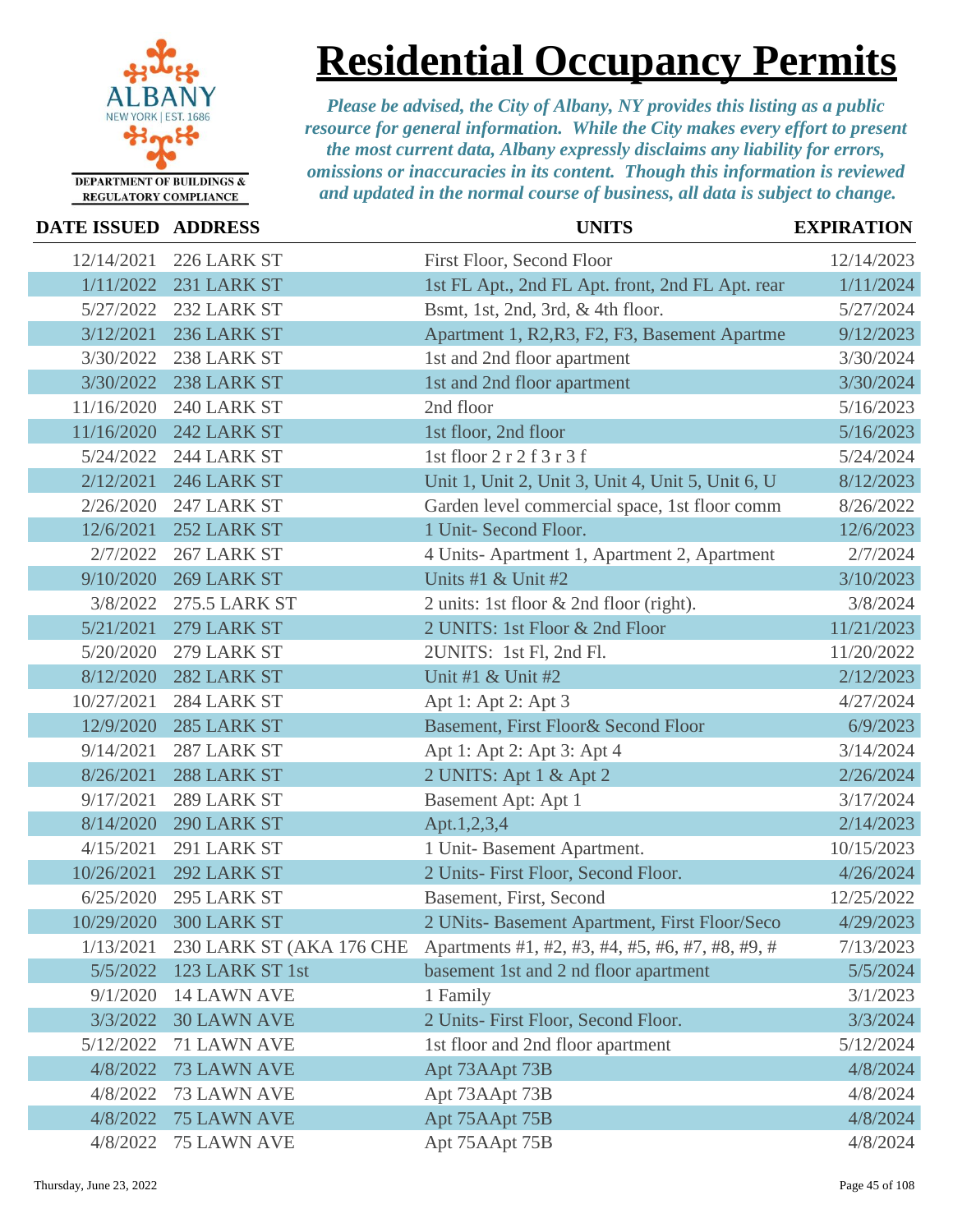

## **Residential Occupancy Permits**

| <b>DATE ISSUED ADDRESS</b> |                          | <b>UNITS</b>                                      | <b>EXPIRATION</b> |
|----------------------------|--------------------------|---------------------------------------------------|-------------------|
| 12/14/2021                 | 226 LARK ST              | First Floor, Second Floor                         | 12/14/2023        |
| 1/11/2022                  | 231 LARK ST              | 1st FL Apt., 2nd FL Apt. front, 2nd FL Apt. rear  | 1/11/2024         |
| 5/27/2022                  | 232 LARK ST              | Bsmt, 1st, 2nd, 3rd, & 4th floor.                 | 5/27/2024         |
| 3/12/2021                  | 236 LARK ST              | Apartment 1, R2, R3, F2, F3, Basement Apartme     | 9/12/2023         |
| 3/30/2022                  | 238 LARK ST              | 1st and 2nd floor apartment                       | 3/30/2024         |
| 3/30/2022                  | 238 LARK ST              | 1st and 2nd floor apartment                       | 3/30/2024         |
| 11/16/2020                 | 240 LARK ST              | 2nd floor                                         | 5/16/2023         |
| 11/16/2020                 | 242 LARK ST              | 1st floor, 2nd floor                              | 5/16/2023         |
| 5/24/2022                  | 244 LARK ST              | 1st floor 2 r 2 f 3 r 3 f                         | 5/24/2024         |
| 2/12/2021                  | 246 LARK ST              | Unit 1, Unit 2, Unit 3, Unit 4, Unit 5, Unit 6, U | 8/12/2023         |
| 2/26/2020                  | 247 LARK ST              | Garden level commercial space, 1st floor comm     | 8/26/2022         |
| 12/6/2021                  | 252 LARK ST              | 1 Unit- Second Floor.                             | 12/6/2023         |
| 2/7/2022                   | 267 LARK ST              | 4 Units-Apartment 1, Apartment 2, Apartment       | 2/7/2024          |
| 9/10/2020                  | 269 LARK ST              | Units #1 & Unit #2                                | 3/10/2023         |
| 3/8/2022                   | <b>275.5 LARK ST</b>     | 2 units: 1st floor & 2nd floor (right).           | 3/8/2024          |
| 5/21/2021                  | 279 LARK ST              | 2 UNITS: 1st Floor & 2nd Floor                    | 11/21/2023        |
| 5/20/2020                  | 279 LARK ST              | 2UNITS: 1st Fl, 2nd Fl.                           | 11/20/2022        |
| 8/12/2020                  | 282 LARK ST              | Unit #1 & Unit #2                                 | 2/12/2023         |
| 10/27/2021                 | 284 LARK ST              | Apt 1: Apt 2: Apt 3                               | 4/27/2024         |
| 12/9/2020                  | 285 LARK ST              | Basement, First Floor& Second Floor               | 6/9/2023          |
| 9/14/2021                  | 287 LARK ST              | Apt 1: Apt 2: Apt 3: Apt 4                        | 3/14/2024         |
| 8/26/2021                  | 288 LARK ST              | 2 UNITS: Apt 1 & Apt 2                            | 2/26/2024         |
| 9/17/2021                  | 289 LARK ST              | <b>Basement Apt: Apt 1</b>                        | 3/17/2024         |
| 8/14/2020                  | 290 LARK ST              | Apt.1,2,3,4                                       | 2/14/2023         |
| 4/15/2021                  | 291 LARK ST              | 1 Unit- Basement Apartment.                       | 10/15/2023        |
| 10/26/2021                 | 292 LARK ST              | 2 Units- First Floor, Second Floor.               | 4/26/2024         |
| 6/25/2020                  | 295 LARK ST              | Basement, First, Second                           | 12/25/2022        |
|                            | 10/29/2020 300 LARK ST   | 2 UNits- Basement Apartment, First Floor/Seco     | 4/29/2023         |
| 1/13/2021                  | 230 LARK ST (AKA 176 CHE | Apartments #1, #2, #3, #4, #5, #6, #7, #8, #9, #  | 7/13/2023         |
| 5/5/2022                   | 123 LARK ST 1st          | basement 1st and 2 nd floor apartment             | 5/5/2024          |
| 9/1/2020                   | <b>14 LAWN AVE</b>       | 1 Family                                          | 3/1/2023          |
| 3/3/2022                   | <b>30 LAWN AVE</b>       | 2 Units- First Floor, Second Floor.               | 3/3/2024          |
| 5/12/2022                  | 71 LAWN AVE              | 1st floor and 2nd floor apartment                 | 5/12/2024         |
| 4/8/2022                   | <b>73 LAWN AVE</b>       | Apt 73AApt 73B                                    | 4/8/2024          |
| 4/8/2022                   | 73 LAWN AVE              | Apt 73AApt 73B                                    | 4/8/2024          |
| 4/8/2022                   | <b>75 LAWN AVE</b>       | Apt 75AApt 75B                                    | 4/8/2024          |
| 4/8/2022                   | 75 LAWN AVE              | Apt 75AApt 75B                                    | 4/8/2024          |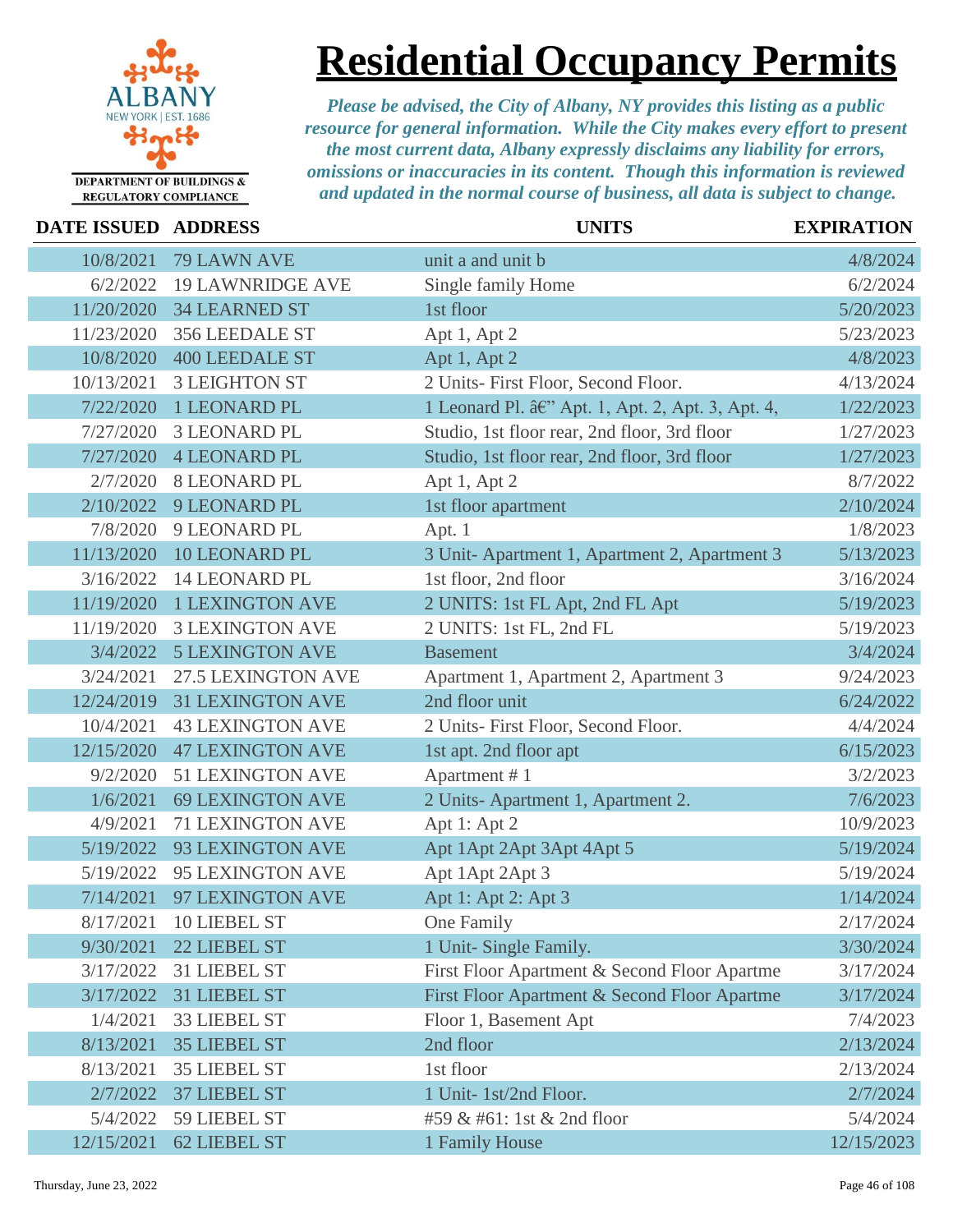

**Residential Occupancy Permits**

| DATE ISSUED ADDRESS |                         | <b>UNITS</b>                                      | <b>EXPIRATION</b> |
|---------------------|-------------------------|---------------------------------------------------|-------------------|
| 10/8/2021           | 79 LAWN AVE             | unit a and unit b                                 | 4/8/2024          |
| 6/2/2022            | <b>19 LAWNRIDGE AVE</b> | Single family Home                                | 6/2/2024          |
| 11/20/2020          | <b>34 LEARNED ST</b>    | 1st floor                                         | 5/20/2023         |
| 11/23/2020          | 356 LEEDALE ST          | Apt 1, Apt 2                                      | 5/23/2023         |
| 10/8/2020           | <b>400 LEEDALE ST</b>   | Apt 1, Apt 2                                      | 4/8/2023          |
| 10/13/2021          | <b>3 LEIGHTON ST</b>    | 2 Units- First Floor, Second Floor.               | 4/13/2024         |
| 7/22/2020           | 1 LEONARD PL            | 1 Leonard Pl. â€" Apt. 1, Apt. 2, Apt. 3, Apt. 4, | 1/22/2023         |
| 7/27/2020           | <b>3 LEONARD PL</b>     | Studio, 1st floor rear, 2nd floor, 3rd floor      | 1/27/2023         |
| 7/27/2020           | <b>4 LEONARD PL</b>     | Studio, 1st floor rear, 2nd floor, 3rd floor      | 1/27/2023         |
| 2/7/2020            | <b>8 LEONARD PL</b>     | Apt 1, Apt 2                                      | 8/7/2022          |
| 2/10/2022           | 9 LEONARD PL            | 1st floor apartment                               | 2/10/2024         |
| 7/8/2020            | 9 LEONARD PL            | Apt. 1                                            | 1/8/2023          |
| 11/13/2020          | <b>10 LEONARD PL</b>    | 3 Unit-Apartment 1, Apartment 2, Apartment 3      | 5/13/2023         |
| 3/16/2022           | <b>14 LEONARD PL</b>    | 1st floor, 2nd floor                              | 3/16/2024         |
| 11/19/2020          | <b>1 LEXINGTON AVE</b>  | 2 UNITS: 1st FL Apt, 2nd FL Apt                   | 5/19/2023         |
| 11/19/2020          | <b>3 LEXINGTON AVE</b>  | 2 UNITS: 1st FL, 2nd FL                           | 5/19/2023         |
| 3/4/2022            | <b>5 LEXINGTON AVE</b>  | <b>Basement</b>                                   | 3/4/2024          |
| 3/24/2021           | 27.5 LEXINGTON AVE      | Apartment 1, Apartment 2, Apartment 3             | 9/24/2023         |
| 12/24/2019          | <b>31 LEXINGTON AVE</b> | 2nd floor unit                                    | 6/24/2022         |
| 10/4/2021           | <b>43 LEXINGTON AVE</b> | 2 Units- First Floor, Second Floor.               | 4/4/2024          |
| 12/15/2020          | <b>47 LEXINGTON AVE</b> | 1st apt. 2nd floor apt                            | 6/15/2023         |
| 9/2/2020            | <b>51 LEXINGTON AVE</b> | Apartment #1                                      | 3/2/2023          |
| 1/6/2021            | <b>69 LEXINGTON AVE</b> | 2 Units-Apartment 1, Apartment 2.                 | 7/6/2023          |
| 4/9/2021            | <b>71 LEXINGTON AVE</b> | Apt 1: Apt 2                                      | 10/9/2023         |
| 5/19/2022           | 93 LEXINGTON AVE        | Apt 1 Apt 2 Apt 3 Apt 4 Apt 5                     | 5/19/2024         |
| 5/19/2022           | 95 LEXINGTON AVE        | Apt 1Apt 2Apt 3                                   | 5/19/2024         |
| 7/14/2021           | 97 LEXINGTON AVE        | Apt 1: Apt 2: Apt 3                               | 1/14/2024         |
| 8/17/2021           | 10 LIEBEL ST            | One Family                                        | 2/17/2024         |
| 9/30/2021           | 22 LIEBEL ST            | 1 Unit- Single Family.                            | 3/30/2024         |
| 3/17/2022           | 31 LIEBEL ST            | First Floor Apartment & Second Floor Apartme      | 3/17/2024         |
| 3/17/2022           | 31 LIEBEL ST            | First Floor Apartment & Second Floor Apartme      | 3/17/2024         |
| 1/4/2021            | <b>33 LIEBEL ST</b>     | Floor 1, Basement Apt                             | 7/4/2023          |
| 8/13/2021           | <b>35 LIEBEL ST</b>     | 2nd floor                                         | 2/13/2024         |
| 8/13/2021           | <b>35 LIEBEL ST</b>     | 1st floor                                         | 2/13/2024         |
| 2/7/2022            | <b>37 LIEBEL ST</b>     | 1 Unit- 1st/2nd Floor.                            | 2/7/2024          |
| 5/4/2022            | 59 LIEBEL ST            | #59 & #61: 1st & 2nd floor                        | 5/4/2024          |
| 12/15/2021          | 62 LIEBEL ST            | 1 Family House                                    | 12/15/2023        |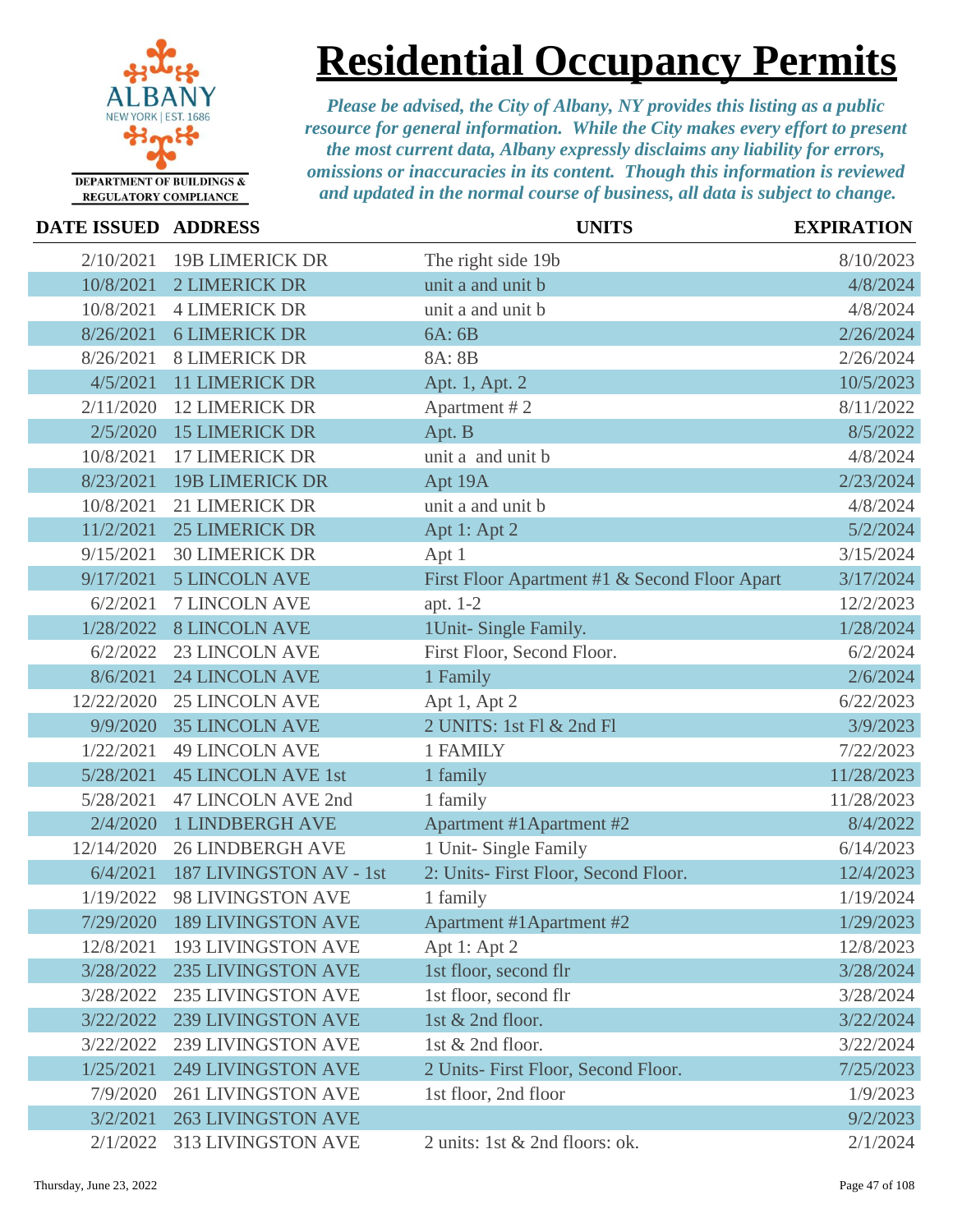

# **Residential Occupancy Permits**

| <b>DATE ISSUED ADDRESS</b> |                           | <b>UNITS</b>                                  | <b>EXPIRATION</b> |
|----------------------------|---------------------------|-----------------------------------------------|-------------------|
| 2/10/2021                  | <b>19B LIMERICK DR</b>    | The right side 19b                            | 8/10/2023         |
| 10/8/2021                  | <b>2 LIMERICK DR</b>      | unit a and unit b                             | 4/8/2024          |
| 10/8/2021                  | <b>4 LIMERICK DR</b>      | unit a and unit b                             | 4/8/2024          |
| 8/26/2021                  | <b>6 LIMERICK DR</b>      | 6A: 6B                                        | 2/26/2024         |
| 8/26/2021                  | <b>8 LIMERICK DR</b>      | 8A: 8B                                        | 2/26/2024         |
| 4/5/2021                   | <b>11 LIMERICK DR</b>     | Apt. 1, Apt. 2                                | 10/5/2023         |
| 2/11/2020                  | <b>12 LIMERICK DR</b>     | Apartment #2                                  | 8/11/2022         |
| 2/5/2020                   | <b>15 LIMERICK DR</b>     | Apt. B                                        | 8/5/2022          |
| 10/8/2021                  | <b>17 LIMERICK DR</b>     | unit a and unit b                             | 4/8/2024          |
| 8/23/2021                  | <b>19B LIMERICK DR</b>    | Apt 19A                                       | 2/23/2024         |
| 10/8/2021                  | <b>21 LIMERICK DR</b>     | unit a and unit b                             | 4/8/2024          |
| 11/2/2021                  | <b>25 LIMERICK DR</b>     | Apt 1: Apt 2                                  | 5/2/2024          |
| 9/15/2021                  | <b>30 LIMERICK DR</b>     | Apt 1                                         | 3/15/2024         |
| 9/17/2021                  | <b>5 LINCOLN AVE</b>      | First Floor Apartment #1 & Second Floor Apart | 3/17/2024         |
| 6/2/2021                   | <b>7 LINCOLN AVE</b>      | apt. 1-2                                      | 12/2/2023         |
| 1/28/2022                  | <b>8 LINCOLN AVE</b>      | 1Unit-Single Family.                          | 1/28/2024         |
| 6/2/2022                   | <b>23 LINCOLN AVE</b>     | First Floor, Second Floor.                    | 6/2/2024          |
| 8/6/2021                   | <b>24 LINCOLN AVE</b>     | 1 Family                                      | 2/6/2024          |
| 12/22/2020                 | <b>25 LINCOLN AVE</b>     | Apt 1, Apt 2                                  | 6/22/2023         |
| 9/9/2020                   | <b>35 LINCOLN AVE</b>     | 2 UNITS: 1st Fl & 2nd Fl                      | 3/9/2023          |
| 1/22/2021                  | <b>49 LINCOLN AVE</b>     | 1 FAMILY                                      | 7/22/2023         |
| 5/28/2021                  | <b>45 LINCOLN AVE 1st</b> | 1 family                                      | 11/28/2023        |
| 5/28/2021                  | 47 LINCOLN AVE 2nd        | 1 family                                      | 11/28/2023        |
| 2/4/2020                   | <b>1 LINDBERGH AVE</b>    | Apartment #1Apartment #2                      | 8/4/2022          |
| 12/14/2020                 | <b>26 LINDBERGH AVE</b>   | 1 Unit- Single Family                         | 6/14/2023         |
| 6/4/2021                   | 187 LIVINGSTON AV - 1st   | 2: Units- First Floor, Second Floor.          | 12/4/2023         |
| 1/19/2022                  | 98 LIVINGSTON AVE         | 1 family                                      | 1/19/2024         |
| 7/29/2020                  | <b>189 LIVINGSTON AVE</b> | Apartment #1Apartment #2                      | 1/29/2023         |
| 12/8/2021                  | <b>193 LIVINGSTON AVE</b> | Apt 1: Apt 2                                  | 12/8/2023         |
| 3/28/2022                  | <b>235 LIVINGSTON AVE</b> | 1st floor, second flr                         | 3/28/2024         |
| 3/28/2022                  | <b>235 LIVINGSTON AVE</b> | 1st floor, second flr                         | 3/28/2024         |
| 3/22/2022                  | <b>239 LIVINGSTON AVE</b> | 1st & 2nd floor.                              | 3/22/2024         |
| 3/22/2022                  | <b>239 LIVINGSTON AVE</b> | 1st & 2nd floor.                              | 3/22/2024         |
| 1/25/2021                  | <b>249 LIVINGSTON AVE</b> | 2 Units- First Floor, Second Floor.           | 7/25/2023         |
| 7/9/2020                   | <b>261 LIVINGSTON AVE</b> | 1st floor, 2nd floor                          | 1/9/2023          |
| 3/2/2021                   | <b>263 LIVINGSTON AVE</b> |                                               | 9/2/2023          |
| 2/1/2022                   | <b>313 LIVINGSTON AVE</b> | 2 units: 1st & 2nd floors: ok.                | 2/1/2024          |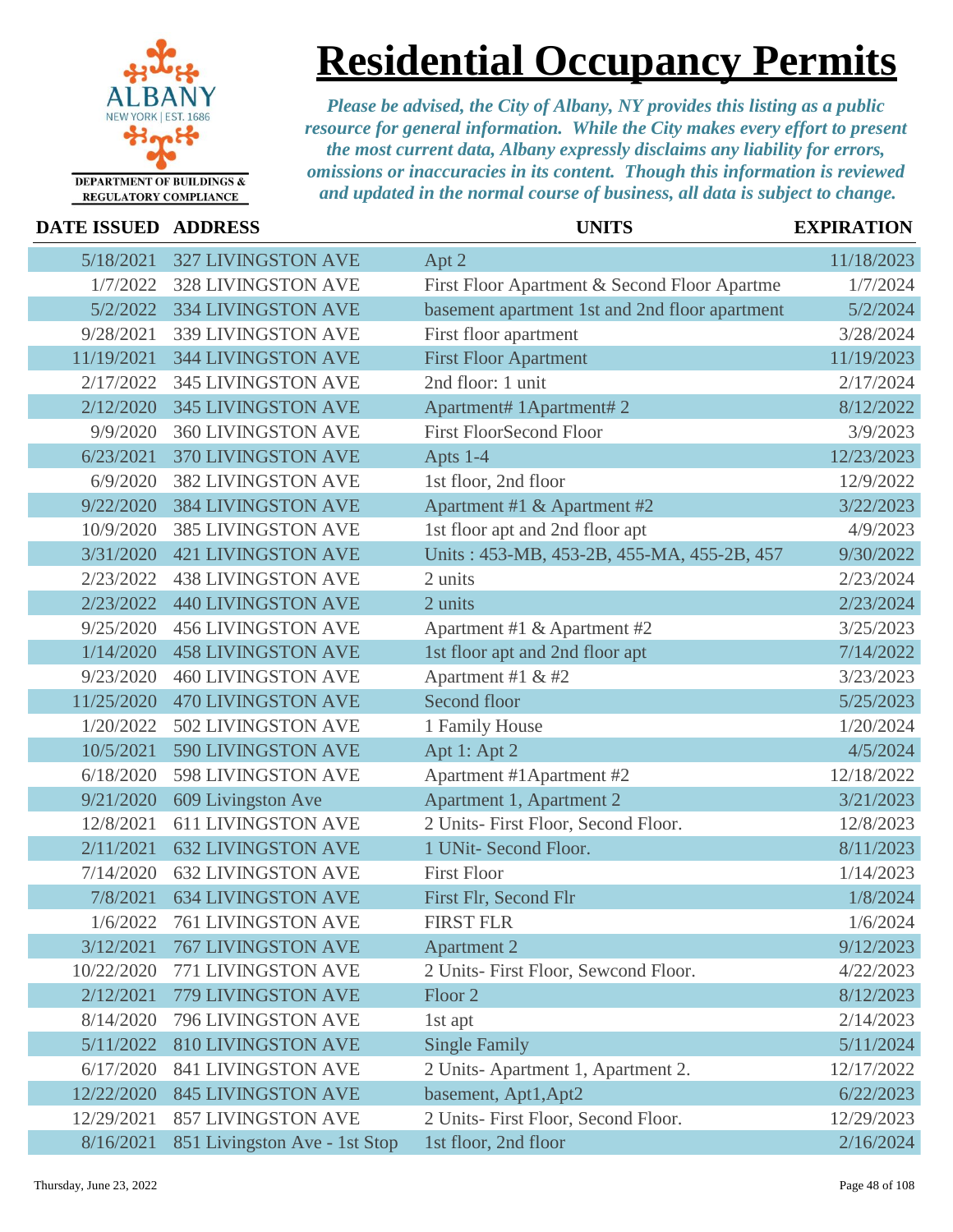

## **Residential Occupancy Permits**

| DATE ISSUED ADDRESS |                               | <b>UNITS</b>                                   | <b>EXPIRATION</b> |
|---------------------|-------------------------------|------------------------------------------------|-------------------|
| 5/18/2021           | <b>327 LIVINGSTON AVE</b>     | Apt 2                                          | 11/18/2023        |
| 1/7/2022            | <b>328 LIVINGSTON AVE</b>     | First Floor Apartment & Second Floor Apartme   | 1/7/2024          |
| 5/2/2022            | <b>334 LIVINGSTON AVE</b>     | basement apartment 1st and 2nd floor apartment | 5/2/2024          |
| 9/28/2021           | 339 LIVINGSTON AVE            | First floor apartment                          | 3/28/2024         |
| 11/19/2021          | <b>344 LIVINGSTON AVE</b>     | <b>First Floor Apartment</b>                   | 11/19/2023        |
| 2/17/2022           | <b>345 LIVINGSTON AVE</b>     | 2nd floor: 1 unit                              | 2/17/2024         |
| 2/12/2020           | <b>345 LIVINGSTON AVE</b>     | Apartment# 1Apartment# 2                       | 8/12/2022         |
| 9/9/2020            | <b>360 LIVINGSTON AVE</b>     | <b>First FloorSecond Floor</b>                 | 3/9/2023          |
| 6/23/2021           | 370 LIVINGSTON AVE            | Apts 1-4                                       | 12/23/2023        |
| 6/9/2020            | <b>382 LIVINGSTON AVE</b>     | 1st floor, 2nd floor                           | 12/9/2022         |
| 9/22/2020           | <b>384 LIVINGSTON AVE</b>     | Apartment #1 & Apartment #2                    | 3/22/2023         |
| 10/9/2020           | <b>385 LIVINGSTON AVE</b>     | 1st floor apt and 2nd floor apt                | 4/9/2023          |
| 3/31/2020           | <b>421 LIVINGSTON AVE</b>     | Units: 453-MB, 453-2B, 455-MA, 455-2B, 457     | 9/30/2022         |
| 2/23/2022           | <b>438 LIVINGSTON AVE</b>     | 2 units                                        | 2/23/2024         |
| 2/23/2022           | <b>440 LIVINGSTON AVE</b>     | 2 units                                        | 2/23/2024         |
| 9/25/2020           | <b>456 LIVINGSTON AVE</b>     | Apartment #1 & Apartment #2                    | 3/25/2023         |
| 1/14/2020           | <b>458 LIVINGSTON AVE</b>     | 1st floor apt and 2nd floor apt                | 7/14/2022         |
| 9/23/2020           | <b>460 LIVINGSTON AVE</b>     | Apartment #1 & #2                              | 3/23/2023         |
| 11/25/2020          | 470 LIVINGSTON AVE            | Second floor                                   | 5/25/2023         |
| 1/20/2022           | 502 LIVINGSTON AVE            | 1 Family House                                 | 1/20/2024         |
| 10/5/2021           | 590 LIVINGSTON AVE            | Apt 1: Apt 2                                   | 4/5/2024          |
| 6/18/2020           | 598 LIVINGSTON AVE            | Apartment #1 Apartment #2                      | 12/18/2022        |
| 9/21/2020           | 609 Livingston Ave            | Apartment 1, Apartment 2                       | 3/21/2023         |
| 12/8/2021           | <b>611 LIVINGSTON AVE</b>     | 2 Units- First Floor, Second Floor.            | 12/8/2023         |
| 2/11/2021           | <b>632 LIVINGSTON AVE</b>     | 1 UNit- Second Floor.                          | 8/11/2023         |
| 7/14/2020           | <b>632 LIVINGSTON AVE</b>     | <b>First Floor</b>                             | 1/14/2023         |
| 7/8/2021            | <b>634 LIVINGSTON AVE</b>     | First Flr, Second Flr                          | 1/8/2024          |
| 1/6/2022            | 761 LIVINGSTON AVE            | <b>FIRST FLR</b>                               | 1/6/2024          |
| 3/12/2021           | <b>767 LIVINGSTON AVE</b>     | <b>Apartment 2</b>                             | 9/12/2023         |
| 10/22/2020          | 771 LIVINGSTON AVE            | 2 Units- First Floor, Sewcond Floor.           | 4/22/2023         |
| 2/12/2021           | 779 LIVINGSTON AVE            | Floor <sub>2</sub>                             | 8/12/2023         |
| 8/14/2020           | 796 LIVINGSTON AVE            | 1st apt                                        | 2/14/2023         |
| 5/11/2022           | <b>810 LIVINGSTON AVE</b>     | <b>Single Family</b>                           | 5/11/2024         |
| 6/17/2020           | <b>841 LIVINGSTON AVE</b>     | 2 Units-Apartment 1, Apartment 2.              | 12/17/2022        |
| 12/22/2020          | <b>845 LIVINGSTON AVE</b>     | basement, Apt1, Apt2                           | 6/22/2023         |
| 12/29/2021          | <b>857 LIVINGSTON AVE</b>     | 2 Units- First Floor, Second Floor.            | 12/29/2023        |
| 8/16/2021           | 851 Livingston Ave - 1st Stop | 1st floor, 2nd floor                           | 2/16/2024         |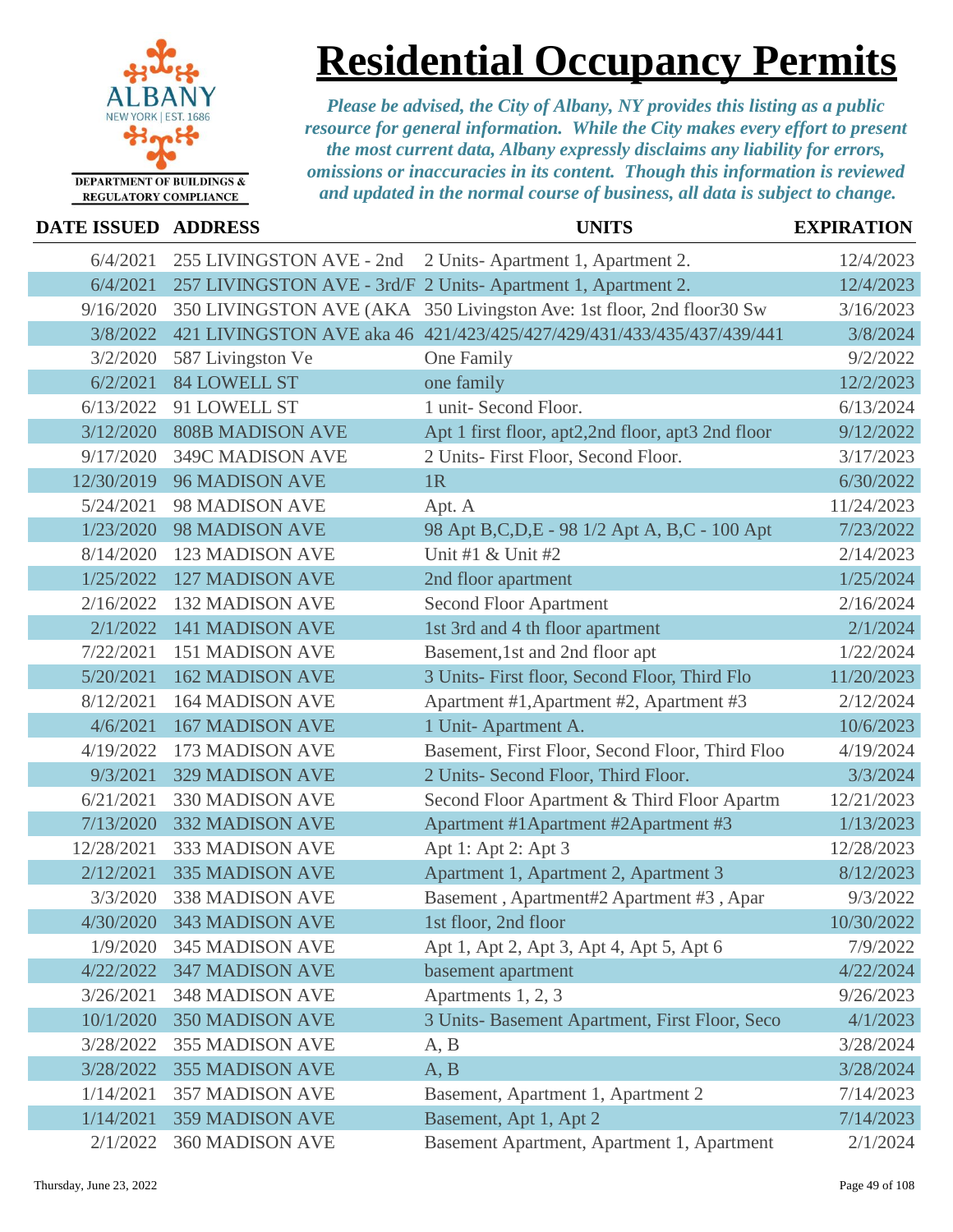

# **Residential Occupancy Permits**

| DATE ISSUED ADDRESS |                           | <b>UNITS</b>                                                           | <b>EXPIRATION</b> |
|---------------------|---------------------------|------------------------------------------------------------------------|-------------------|
| 6/4/2021            | 255 LIVINGSTON AVE - 2nd  | 2 Units-Apartment 1, Apartment 2.                                      | 12/4/2023         |
| 6/4/2021            |                           | 257 LIVINGSTON AVE - 3rd/F 2 Units-Apartment 1, Apartment 2.           | 12/4/2023         |
| 9/16/2020           |                           | 350 LIVINGSTON AVE (AKA 350 Livingston Ave: 1st floor, 2nd floor 30 Sw | 3/16/2023         |
| 3/8/2022            |                           | 421 LIVINGSTON AVE aka 46 421/423/425/427/429/431/433/435/437/439/441  | 3/8/2024          |
| 3/2/2020            | 587 Livingston Ve         | One Family                                                             | 9/2/2022          |
| 6/2/2021            | <b>84 LOWELL ST</b>       | one family                                                             | 12/2/2023         |
| 6/13/2022           | 91 LOWELL ST              | 1 unit- Second Floor.                                                  | 6/13/2024         |
| 3/12/2020           | <b>808B MADISON AVE</b>   | Apt 1 first floor, apt2,2nd floor, apt3 2nd floor                      | 9/12/2022         |
| 9/17/2020           | 349C MADISON AVE          | 2 Units- First Floor, Second Floor.                                    | 3/17/2023         |
| 12/30/2019          | <b>96 MADISON AVE</b>     | 1R                                                                     | 6/30/2022         |
| 5/24/2021           | 98 MADISON AVE            | Apt. A                                                                 | 11/24/2023        |
| 1/23/2020           | <b>98 MADISON AVE</b>     | 98 Apt B,C,D,E - 98 1/2 Apt A, B,C - 100 Apt                           | 7/23/2022         |
| 8/14/2020           | <b>123 MADISON AVE</b>    | Unit #1 $&$ Unit #2                                                    | 2/14/2023         |
| 1/25/2022           | <b>127 MADISON AVE</b>    | 2nd floor apartment                                                    | 1/25/2024         |
| 2/16/2022           | <b>132 MADISON AVE</b>    | <b>Second Floor Apartment</b>                                          | 2/16/2024         |
| 2/1/2022            | <b>141 MADISON AVE</b>    | 1st 3rd and 4 th floor apartment                                       | 2/1/2024          |
| 7/22/2021           | <b>151 MADISON AVE</b>    | Basement, 1st and 2nd floor apt                                        | 1/22/2024         |
| 5/20/2021           | <b>162 MADISON AVE</b>    | 3 Units- First floor, Second Floor, Third Flo                          | 11/20/2023        |
| 8/12/2021           | <b>164 MADISON AVE</b>    | Apartment #1, Apartment #2, Apartment #3                               | 2/12/2024         |
| 4/6/2021            | <b>167 MADISON AVE</b>    | 1 Unit-Apartment A.                                                    | 10/6/2023         |
| 4/19/2022           | 173 MADISON AVE           | Basement, First Floor, Second Floor, Third Floo                        | 4/19/2024         |
| 9/3/2021            | <b>329 MADISON AVE</b>    | 2 Units- Second Floor, Third Floor.                                    | 3/3/2024          |
| 6/21/2021           | 330 MADISON AVE           | Second Floor Apartment & Third Floor Apartm                            | 12/21/2023        |
| 7/13/2020           | <b>332 MADISON AVE</b>    | Apartment #1 Apartment #2 Apartment #3                                 | 1/13/2023         |
| 12/28/2021          | 333 MADISON AVE           | Apt 1: Apt 2: Apt 3                                                    | 12/28/2023        |
| 2/12/2021           | <b>335 MADISON AVE</b>    | Apartment 1, Apartment 2, Apartment 3                                  | 8/12/2023         |
| 3/3/2020            | <b>338 MADISON AVE</b>    | Basement, Apartment#2 Apartment #3, Apar                               | 9/3/2022          |
|                     | 4/30/2020 343 MADISON AVE | 1st floor, 2nd floor                                                   | 10/30/2022        |
| 1/9/2020            | <b>345 MADISON AVE</b>    | Apt 1, Apt 2, Apt 3, Apt 4, Apt 5, Apt 6                               | 7/9/2022          |
| 4/22/2022           | <b>347 MADISON AVE</b>    | basement apartment                                                     | 4/22/2024         |
| 3/26/2021           | <b>348 MADISON AVE</b>    | Apartments 1, 2, 3                                                     | 9/26/2023         |
| 10/1/2020           | <b>350 MADISON AVE</b>    | 3 Units- Basement Apartment, First Floor, Seco                         | 4/1/2023          |
| 3/28/2022           | <b>355 MADISON AVE</b>    | A, B                                                                   | 3/28/2024         |
| 3/28/2022           | <b>355 MADISON AVE</b>    | A, B                                                                   | 3/28/2024         |
| 1/14/2021           | <b>357 MADISON AVE</b>    | Basement, Apartment 1, Apartment 2                                     | 7/14/2023         |
| 1/14/2021           | <b>359 MADISON AVE</b>    | Basement, Apt 1, Apt 2                                                 | 7/14/2023         |
| 2/1/2022            | 360 MADISON AVE           | Basement Apartment, Apartment 1, Apartment                             | 2/1/2024          |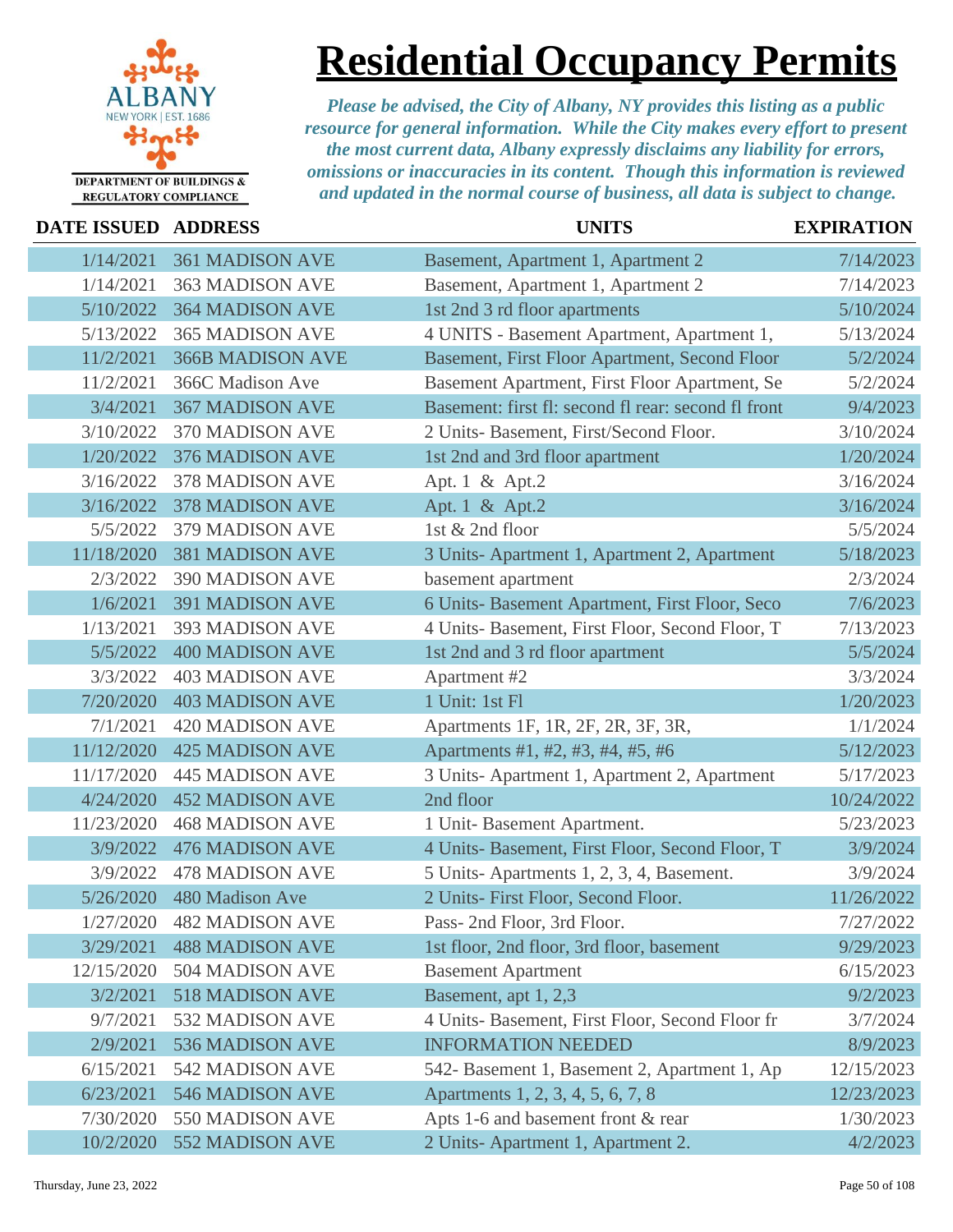

## **Residential Occupancy Permits**

| DATE ISSUED ADDRESS |                         | <b>UNITS</b>                                        | <b>EXPIRATION</b> |
|---------------------|-------------------------|-----------------------------------------------------|-------------------|
| 1/14/2021           | <b>361 MADISON AVE</b>  | Basement, Apartment 1, Apartment 2                  | 7/14/2023         |
| 1/14/2021           | <b>363 MADISON AVE</b>  | Basement, Apartment 1, Apartment 2                  | 7/14/2023         |
| 5/10/2022           | <b>364 MADISON AVE</b>  | 1st 2nd 3 rd floor apartments                       | 5/10/2024         |
| 5/13/2022           | <b>365 MADISON AVE</b>  | 4 UNITS - Basement Apartment, Apartment 1,          | 5/13/2024         |
| 11/2/2021           | <b>366B MADISON AVE</b> | Basement, First Floor Apartment, Second Floor       | 5/2/2024          |
| 11/2/2021           | 366C Madison Ave        | Basement Apartment, First Floor Apartment, Se       | 5/2/2024          |
| 3/4/2021            | <b>367 MADISON AVE</b>  | Basement: first fl: second fl rear: second fl front | 9/4/2023          |
| 3/10/2022           | 370 MADISON AVE         | 2 Units- Basement, First/Second Floor.              | 3/10/2024         |
| 1/20/2022           | <b>376 MADISON AVE</b>  | 1st 2nd and 3rd floor apartment                     | 1/20/2024         |
| 3/16/2022           | 378 MADISON AVE         | Apt. 1 & Apt. 2                                     | 3/16/2024         |
| 3/16/2022           | <b>378 MADISON AVE</b>  | Apt. 1 & Apt. 2                                     | 3/16/2024         |
| 5/5/2022            | 379 MADISON AVE         | 1st & 2nd floor                                     | 5/5/2024          |
| 11/18/2020          | <b>381 MADISON AVE</b>  | 3 Units-Apartment 1, Apartment 2, Apartment         | 5/18/2023         |
| 2/3/2022            | 390 MADISON AVE         | basement apartment                                  | 2/3/2024          |
| 1/6/2021            | <b>391 MADISON AVE</b>  | 6 Units- Basement Apartment, First Floor, Seco      | 7/6/2023          |
| 1/13/2021           | 393 MADISON AVE         | 4 Units- Basement, First Floor, Second Floor, T     | 7/13/2023         |
| 5/5/2022            | <b>400 MADISON AVE</b>  | 1st 2nd and 3 rd floor apartment                    | 5/5/2024          |
| 3/3/2022            | <b>403 MADISON AVE</b>  | Apartment #2                                        | 3/3/2024          |
| 7/20/2020           | <b>403 MADISON AVE</b>  | 1 Unit: 1st Fl                                      | 1/20/2023         |
| 7/1/2021            | <b>420 MADISON AVE</b>  | Apartments 1F, 1R, 2F, 2R, 3F, 3R,                  | 1/1/2024          |
| 11/12/2020          | <b>425 MADISON AVE</b>  | Apartments #1, #2, #3, #4, #5, #6                   | 5/12/2023         |
| 11/17/2020          | <b>445 MADISON AVE</b>  | 3 Units-Apartment 1, Apartment 2, Apartment         | 5/17/2023         |
| 4/24/2020           | <b>452 MADISON AVE</b>  | 2nd floor                                           | 10/24/2022        |
| 11/23/2020          | <b>468 MADISON AVE</b>  | 1 Unit-Basement Apartment.                          | 5/23/2023         |
| 3/9/2022            | <b>476 MADISON AVE</b>  | 4 Units- Basement, First Floor, Second Floor, T     | 3/9/2024          |
| 3/9/2022            | <b>478 MADISON AVE</b>  | 5 Units-Apartments 1, 2, 3, 4, Basement.            | 3/9/2024          |
| 5/26/2020           | 480 Madison Ave         | 2 Units- First Floor, Second Floor.                 | 11/26/2022        |
| 1/27/2020           | <b>482 MADISON AVE</b>  | Pass- 2nd Floor, 3rd Floor.                         | 7/27/2022         |
| 3/29/2021           | <b>488 MADISON AVE</b>  | 1st floor, 2nd floor, 3rd floor, basement           | 9/29/2023         |
| 12/15/2020          | 504 MADISON AVE         | <b>Basement Apartment</b>                           | 6/15/2023         |
| 3/2/2021            | 518 MADISON AVE         | Basement, apt 1, 2,3                                | 9/2/2023          |
| 9/7/2021            | 532 MADISON AVE         | 4 Units- Basement, First Floor, Second Floor fr     | 3/7/2024          |
| 2/9/2021            | 536 MADISON AVE         | <b>INFORMATION NEEDED</b>                           | 8/9/2023          |
| 6/15/2021           | 542 MADISON AVE         | 542- Basement 1, Basement 2, Apartment 1, Ap        | 12/15/2023        |
| 6/23/2021           | 546 MADISON AVE         | Apartments 1, 2, 3, 4, 5, 6, 7, 8                   | 12/23/2023        |
| 7/30/2020           | 550 MADISON AVE         | Apts 1-6 and basement front & rear                  | 1/30/2023         |
| 10/2/2020           | 552 MADISON AVE         | 2 Units-Apartment 1, Apartment 2.                   | 4/2/2023          |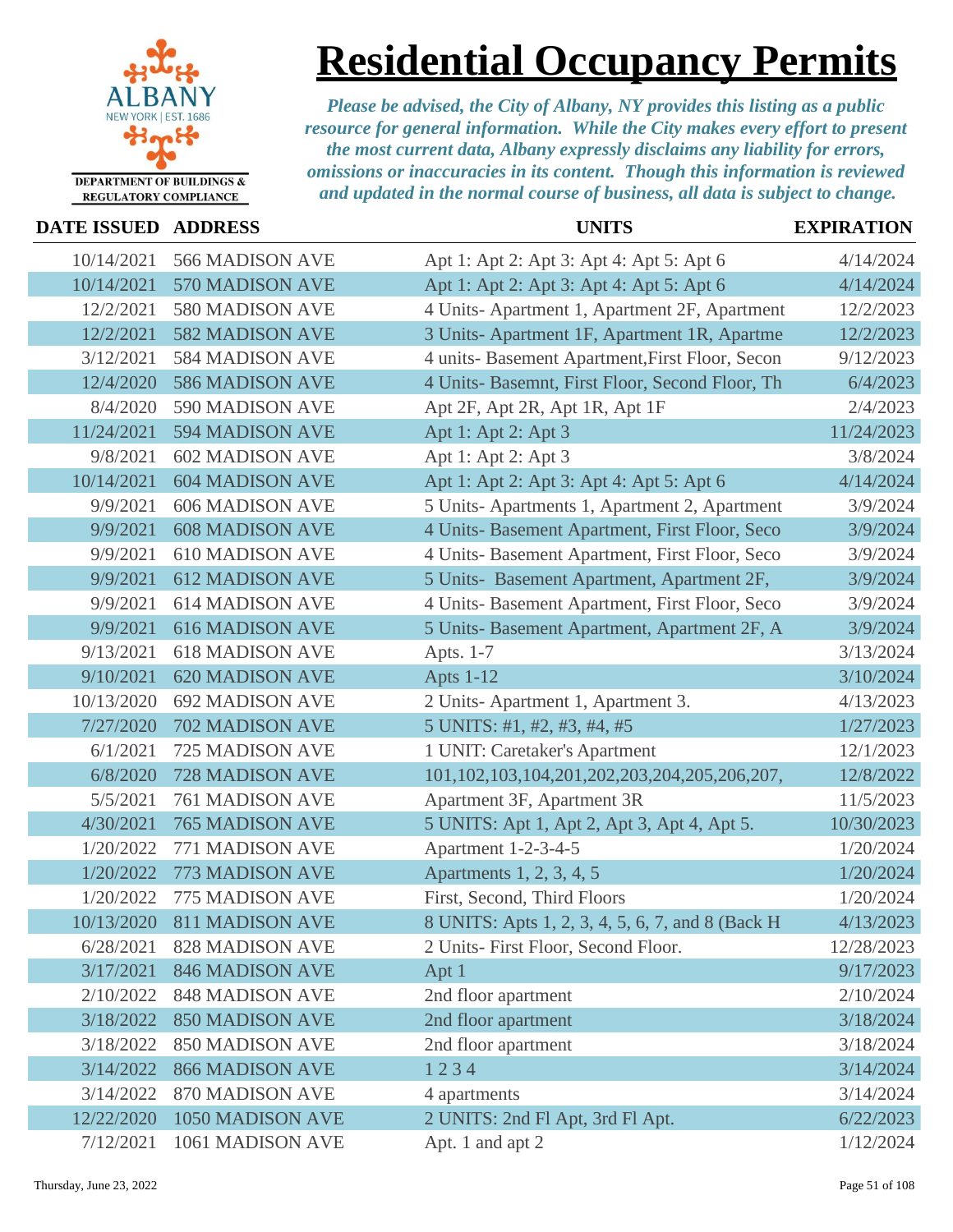

### **Residential Occupancy Permits**

| <b>DATE ISSUED ADDRESS</b> |                            | <b>UNITS</b>                                           | <b>EXPIRATION</b> |
|----------------------------|----------------------------|--------------------------------------------------------|-------------------|
| 10/14/2021                 | 566 MADISON AVE            | Apt 1: Apt 2: Apt 3: Apt 4: Apt 5: Apt 6               | 4/14/2024         |
| 10/14/2021                 | 570 MADISON AVE            | Apt 1: Apt 2: Apt 3: Apt 4: Apt 5: Apt 6               | 4/14/2024         |
| 12/2/2021                  | 580 MADISON AVE            | 4 Units-Apartment 1, Apartment 2F, Apartment           | 12/2/2023         |
| 12/2/2021                  | <b>582 MADISON AVE</b>     | 3 Units- Apartment 1F, Apartment 1R, Apartme           | 12/2/2023         |
| 3/12/2021                  | <b>584 MADISON AVE</b>     | 4 units- Basement Apartment, First Floor, Secon        | 9/12/2023         |
| 12/4/2020                  | <b>586 MADISON AVE</b>     | 4 Units- Basemnt, First Floor, Second Floor, Th        | 6/4/2023          |
| 8/4/2020                   | 590 MADISON AVE            | Apt 2F, Apt 2R, Apt 1R, Apt 1F                         | 2/4/2023          |
| 11/24/2021                 | <b>594 MADISON AVE</b>     | Apt 1: Apt 2: Apt 3                                    | 11/24/2023        |
| 9/8/2021                   | <b>602 MADISON AVE</b>     | Apt 1: Apt 2: Apt 3                                    | 3/8/2024          |
| 10/14/2021                 | <b>604 MADISON AVE</b>     | Apt 1: Apt 2: Apt 3: Apt 4: Apt 5: Apt 6               | 4/14/2024         |
| 9/9/2021                   | <b>606 MADISON AVE</b>     | 5 Units-Apartments 1, Apartment 2, Apartment           | 3/9/2024          |
| 9/9/2021                   | <b>608 MADISON AVE</b>     | 4 Units- Basement Apartment, First Floor, Seco         | 3/9/2024          |
| 9/9/2021                   | <b>610 MADISON AVE</b>     | 4 Units- Basement Apartment, First Floor, Seco         | 3/9/2024          |
| 9/9/2021                   | <b>612 MADISON AVE</b>     | 5 Units- Basement Apartment, Apartment 2F,             | 3/9/2024          |
| 9/9/2021                   | <b>614 MADISON AVE</b>     | 4 Units- Basement Apartment, First Floor, Seco         | 3/9/2024          |
| 9/9/2021                   | <b>616 MADISON AVE</b>     | 5 Units- Basement Apartment, Apartment 2F, A           | 3/9/2024          |
| 9/13/2021                  | <b>618 MADISON AVE</b>     | Apts. 1-7                                              | 3/13/2024         |
| 9/10/2021                  | <b>620 MADISON AVE</b>     | <b>Apts 1-12</b>                                       | 3/10/2024         |
| 10/13/2020                 | <b>692 MADISON AVE</b>     | 2 Units-Apartment 1, Apartment 3.                      | 4/13/2023         |
| 7/27/2020                  | 702 MADISON AVE            | 5 UNITS: #1, #2, #3, #4, #5                            | 1/27/2023         |
| 6/1/2021                   | 725 MADISON AVE            | 1 UNIT: Caretaker's Apartment                          | 12/1/2023         |
| 6/8/2020                   | 728 MADISON AVE            | 101, 102, 103, 104, 201, 202, 203, 204, 205, 206, 207, | 12/8/2022         |
| 5/5/2021                   | <b>761 MADISON AVE</b>     | Apartment 3F, Apartment 3R                             | 11/5/2023         |
| 4/30/2021                  | <b>765 MADISON AVE</b>     | 5 UNITS: Apt 1, Apt 2, Apt 3, Apt 4, Apt 5.            | 10/30/2023        |
| 1/20/2022                  | 771 MADISON AVE            | Apartment 1-2-3-4-5                                    | 1/20/2024         |
| 1/20/2022                  | 773 MADISON AVE            | Apartments 1, 2, 3, 4, 5                               | 1/20/2024         |
| 1/20/2022                  | 775 MADISON AVE            | First, Second, Third Floors                            | 1/20/2024         |
|                            | 10/13/2020 811 MADISON AVE | 8 UNITS: Apts 1, 2, 3, 4, 5, 6, 7, and 8 (Back H)      | 4/13/2023         |
| 6/28/2021                  | <b>828 MADISON AVE</b>     | 2 Units- First Floor, Second Floor.                    | 12/28/2023        |
| 3/17/2021                  | <b>846 MADISON AVE</b>     | Apt 1                                                  | 9/17/2023         |
| 2/10/2022                  | <b>848 MADISON AVE</b>     | 2nd floor apartment                                    | 2/10/2024         |
| 3/18/2022                  | <b>850 MADISON AVE</b>     | 2nd floor apartment                                    | 3/18/2024         |
| 3/18/2022                  | <b>850 MADISON AVE</b>     | 2nd floor apartment                                    | 3/18/2024         |
| 3/14/2022                  | <b>866 MADISON AVE</b>     | 1234                                                   | 3/14/2024         |
| 3/14/2022                  | <b>870 MADISON AVE</b>     | 4 apartments                                           | 3/14/2024         |
| 12/22/2020                 | 1050 MADISON AVE           | 2 UNITS: 2nd Fl Apt, 3rd Fl Apt.                       | 6/22/2023         |
| 7/12/2021                  | 1061 MADISON AVE           | Apt. 1 and apt 2                                       | 1/12/2024         |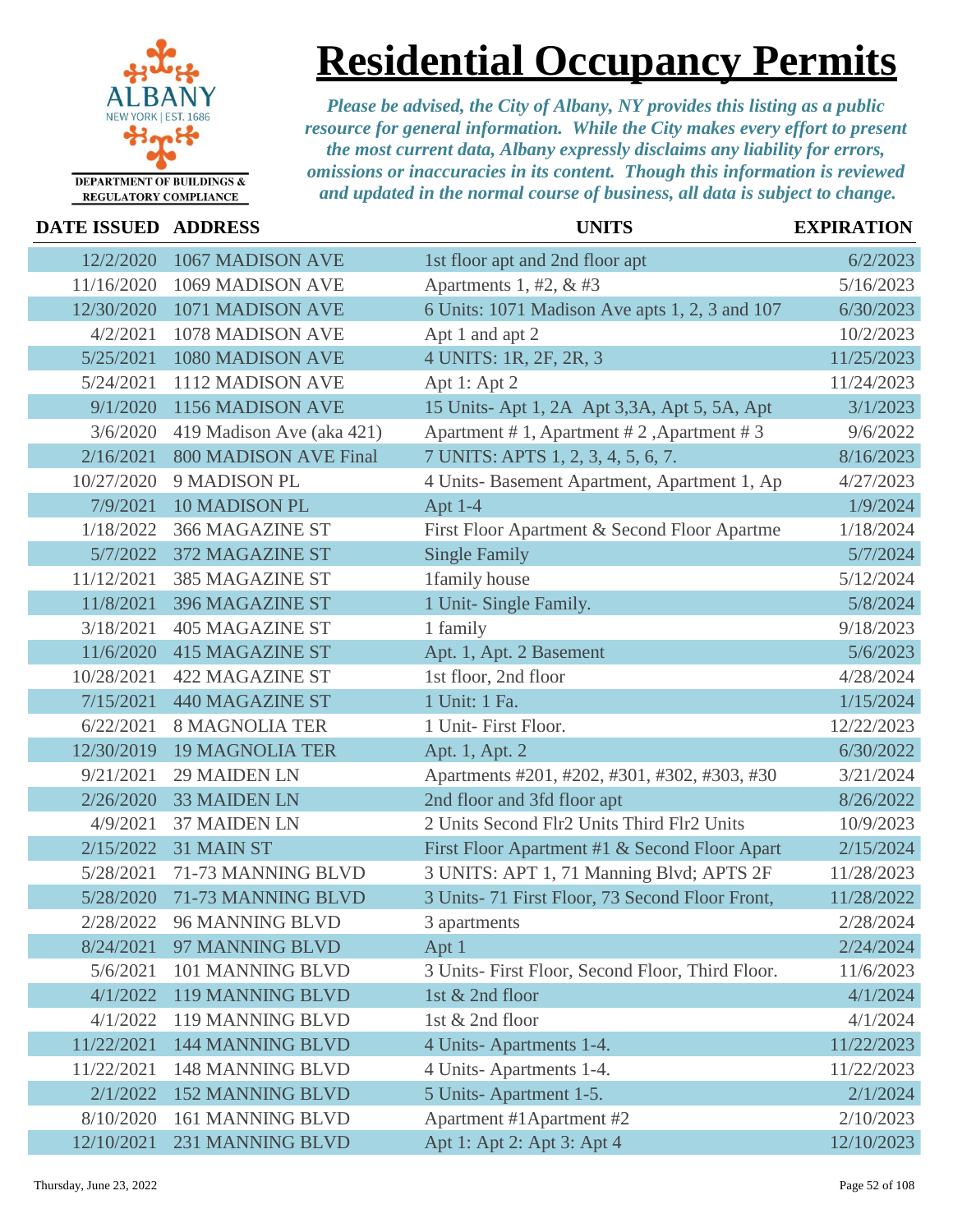

## **Residential Occupancy Permits**

| DATE ISSUED ADDRESS |                              | <b>UNITS</b>                                     | <b>EXPIRATION</b> |
|---------------------|------------------------------|--------------------------------------------------|-------------------|
| 12/2/2020           | 1067 MADISON AVE             | 1st floor apt and 2nd floor apt                  | 6/2/2023          |
| 11/16/2020          | 1069 MADISON AVE             | Apartments 1, #2, $&$ #3                         | 5/16/2023         |
| 12/30/2020          | 1071 MADISON AVE             | 6 Units: 1071 Madison Ave apts 1, 2, 3 and 107   | 6/30/2023         |
| 4/2/2021            | 1078 MADISON AVE             | Apt 1 and apt 2                                  | 10/2/2023         |
| 5/25/2021           | 1080 MADISON AVE             | 4 UNITS: 1R, 2F, 2R, 3                           | 11/25/2023        |
| 5/24/2021           | 1112 MADISON AVE             | Apt 1: Apt 2                                     | 11/24/2023        |
| 9/1/2020            | 1156 MADISON AVE             | 15 Units- Apt 1, 2A Apt 3,3A, Apt 5, 5A, Apt     | 3/1/2023          |
| 3/6/2020            | 419 Madison Ave (aka 421)    | Apartment #1, Apartment #2, Apartment #3         | 9/6/2022          |
| 2/16/2021           | <b>800 MADISON AVE Final</b> | 7 UNITS: APTS 1, 2, 3, 4, 5, 6, 7.               | 8/16/2023         |
| 10/27/2020          | 9 MADISON PL                 | 4 Units- Basement Apartment, Apartment 1, Ap     | 4/27/2023         |
| 7/9/2021            | 10 MADISON PL                | Apt $1-4$                                        | 1/9/2024          |
| 1/18/2022           | 366 MAGAZINE ST              | First Floor Apartment & Second Floor Apartme     | 1/18/2024         |
| 5/7/2022            | 372 MAGAZINE ST              | <b>Single Family</b>                             | 5/7/2024          |
| 11/12/2021          | 385 MAGAZINE ST              | 1family house                                    | 5/12/2024         |
| 11/8/2021           | 396 MAGAZINE ST              | 1 Unit- Single Family.                           | 5/8/2024          |
| 3/18/2021           | <b>405 MAGAZINE ST</b>       | 1 family                                         | 9/18/2023         |
| 11/6/2020           | <b>415 MAGAZINE ST</b>       | Apt. 1, Apt. 2 Basement                          | 5/6/2023          |
| 10/28/2021          | <b>422 MAGAZINE ST</b>       | 1st floor, 2nd floor                             | 4/28/2024         |
| 7/15/2021           | <b>440 MAGAZINE ST</b>       | 1 Unit: 1 Fa.                                    | 1/15/2024         |
| 6/22/2021           | <b>8 MAGNOLIA TER</b>        | 1 Unit- First Floor.                             | 12/22/2023        |
| 12/30/2019          | <b>19 MAGNOLIA TER</b>       | Apt. 1, Apt. 2                                   | 6/30/2022         |
| 9/21/2021           | <b>29 MAIDEN LN</b>          | Apartments #201, #202, #301, #302, #303, #30     | 3/21/2024         |
| 2/26/2020           | <b>33 MAIDEN LN</b>          | 2nd floor and 3fd floor apt                      | 8/26/2022         |
| 4/9/2021            | <b>37 MAIDEN LN</b>          | 2 Units Second Flr2 Units Third Flr2 Units       | 10/9/2023         |
| 2/15/2022           | 31 MAIN ST                   | First Floor Apartment #1 & Second Floor Apart    | 2/15/2024         |
| 5/28/2021           | 71-73 MANNING BLVD           | 3 UNITS: APT 1, 71 Manning Blvd; APTS 2F         | 11/28/2023        |
| 5/28/2020           | 71-73 MANNING BLVD           | 3 Units- 71 First Floor, 73 Second Floor Front,  | 11/28/2022        |
| 2/28/2022           | 96 MANNING BLVD              | 3 apartments                                     | 2/28/2024         |
| 8/24/2021           | 97 MANNING BLVD              | Apt 1                                            | 2/24/2024         |
| 5/6/2021            | 101 MANNING BLVD             | 3 Units- First Floor, Second Floor, Third Floor. | 11/6/2023         |
| 4/1/2022            | 119 MANNING BLVD             | 1st & 2nd floor                                  | 4/1/2024          |
| 4/1/2022            | 119 MANNING BLVD             | 1st & 2nd floor                                  | 4/1/2024          |
| 11/22/2021          | <b>144 MANNING BLVD</b>      | 4 Units-Apartments 1-4.                          | 11/22/2023        |
| 11/22/2021          | <b>148 MANNING BLVD</b>      | 4 Units-Apartments 1-4.                          | 11/22/2023        |
| 2/1/2022            | <b>152 MANNING BLVD</b>      | 5 Units-Apartment 1-5.                           | 2/1/2024          |
| 8/10/2020           | 161 MANNING BLVD             | Apartment #1 Apartment #2                        | 2/10/2023         |
| 12/10/2021          | 231 MANNING BLVD             | Apt 1: Apt 2: Apt 3: Apt 4                       | 12/10/2023        |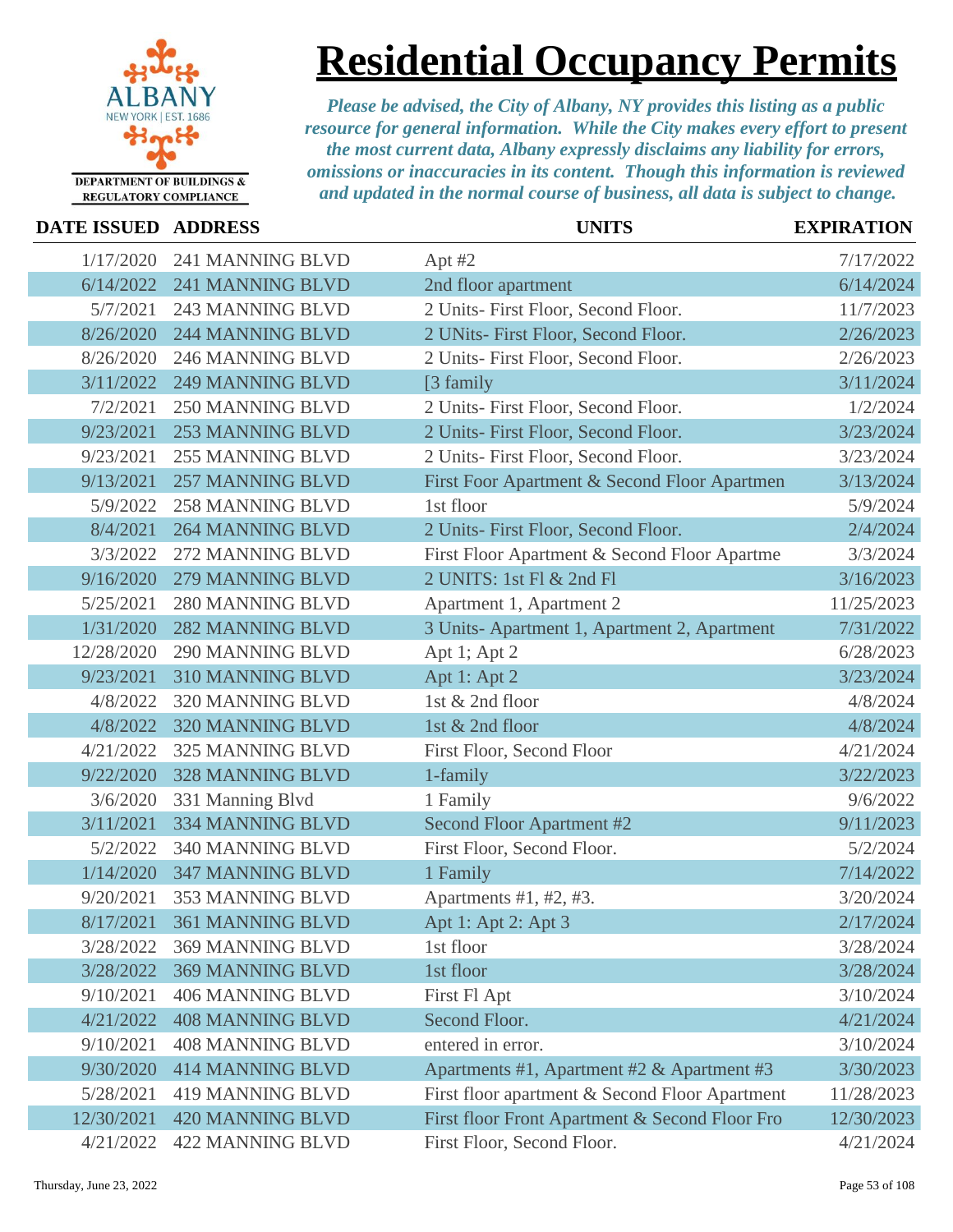

### **Residential Occupancy Permits**

| DATE ISSUED ADDRESS |                            | <b>UNITS</b>                                   | <b>EXPIRATION</b> |
|---------------------|----------------------------|------------------------------------------------|-------------------|
| 1/17/2020           | 241 MANNING BLVD           | Apt $#2$                                       | 7/17/2022         |
| 6/14/2022           | 241 MANNING BLVD           | 2nd floor apartment                            | 6/14/2024         |
| 5/7/2021            | <b>243 MANNING BLVD</b>    | 2 Units- First Floor, Second Floor.            | 11/7/2023         |
| 8/26/2020           | <b>244 MANNING BLVD</b>    | 2 UNits- First Floor, Second Floor.            | 2/26/2023         |
| 8/26/2020           | 246 MANNING BLVD           | 2 Units- First Floor, Second Floor.            | 2/26/2023         |
| 3/11/2022           | <b>249 MANNING BLVD</b>    | [3 family]                                     | 3/11/2024         |
| 7/2/2021            | <b>250 MANNING BLVD</b>    | 2 Units- First Floor, Second Floor.            | 1/2/2024          |
| 9/23/2021           | <b>253 MANNING BLVD</b>    | 2 Units- First Floor, Second Floor.            | 3/23/2024         |
| 9/23/2021           | <b>255 MANNING BLVD</b>    | 2 Units- First Floor, Second Floor.            | 3/23/2024         |
| 9/13/2021           | <b>257 MANNING BLVD</b>    | First Foor Apartment & Second Floor Apartmen   | 3/13/2024         |
| 5/9/2022            | <b>258 MANNING BLVD</b>    | 1st floor                                      | 5/9/2024          |
| 8/4/2021            | <b>264 MANNING BLVD</b>    | 2 Units- First Floor, Second Floor.            | 2/4/2024          |
| 3/3/2022            | 272 MANNING BLVD           | First Floor Apartment & Second Floor Apartme   | 3/3/2024          |
| 9/16/2020           | 279 MANNING BLVD           | 2 UNITS: 1st Fl & 2nd Fl                       | 3/16/2023         |
| 5/25/2021           | <b>280 MANNING BLVD</b>    | Apartment 1, Apartment 2                       | 11/25/2023        |
| 1/31/2020           | <b>282 MANNING BLVD</b>    | 3 Units-Apartment 1, Apartment 2, Apartment    | 7/31/2022         |
| 12/28/2020          | 290 MANNING BLVD           | Apt 1; Apt 2                                   | 6/28/2023         |
| 9/23/2021           | 310 MANNING BLVD           | Apt 1: Apt 2                                   | 3/23/2024         |
| 4/8/2022            | 320 MANNING BLVD           | 1st & 2nd floor                                | 4/8/2024          |
| 4/8/2022            | 320 MANNING BLVD           | 1st & 2nd floor                                | 4/8/2024          |
| 4/21/2022           | 325 MANNING BLVD           | First Floor, Second Floor                      | 4/21/2024         |
| 9/22/2020           | <b>328 MANNING BLVD</b>    | 1-family                                       | 3/22/2023         |
| 3/6/2020            | 331 Manning Blvd           | 1 Family                                       | 9/6/2022          |
| 3/11/2021           | <b>334 MANNING BLVD</b>    | Second Floor Apartment #2                      | 9/11/2023         |
| 5/2/2022            | 340 MANNING BLVD           | First Floor, Second Floor.                     | 5/2/2024          |
| 1/14/2020           | <b>347 MANNING BLVD</b>    | 1 Family                                       | 7/14/2022         |
| 9/20/2021           | 353 MANNING BLVD           | Apartments #1, #2, #3.                         | 3/20/2024         |
|                     | 8/17/2021 361 MANNING BLVD | Apt 1: Apt 2: Apt 3                            | 2/17/2024         |
| 3/28/2022           | <b>369 MANNING BLVD</b>    | 1st floor                                      | 3/28/2024         |
| 3/28/2022           | <b>369 MANNING BLVD</b>    | 1st floor                                      | 3/28/2024         |
| 9/10/2021           | <b>406 MANNING BLVD</b>    | First Fl Apt                                   | 3/10/2024         |
| 4/21/2022           | <b>408 MANNING BLVD</b>    | Second Floor.                                  | 4/21/2024         |
| 9/10/2021           | <b>408 MANNING BLVD</b>    | entered in error.                              | 3/10/2024         |
| 9/30/2020           | <b>414 MANNING BLVD</b>    | Apartments #1, Apartment #2 & Apartment #3     | 3/30/2023         |
| 5/28/2021           | <b>419 MANNING BLVD</b>    | First floor apartment & Second Floor Apartment | 11/28/2023        |
| 12/30/2021          | <b>420 MANNING BLVD</b>    | First floor Front Apartment & Second Floor Fro | 12/30/2023        |
| 4/21/2022           | <b>422 MANNING BLVD</b>    | First Floor, Second Floor.                     | 4/21/2024         |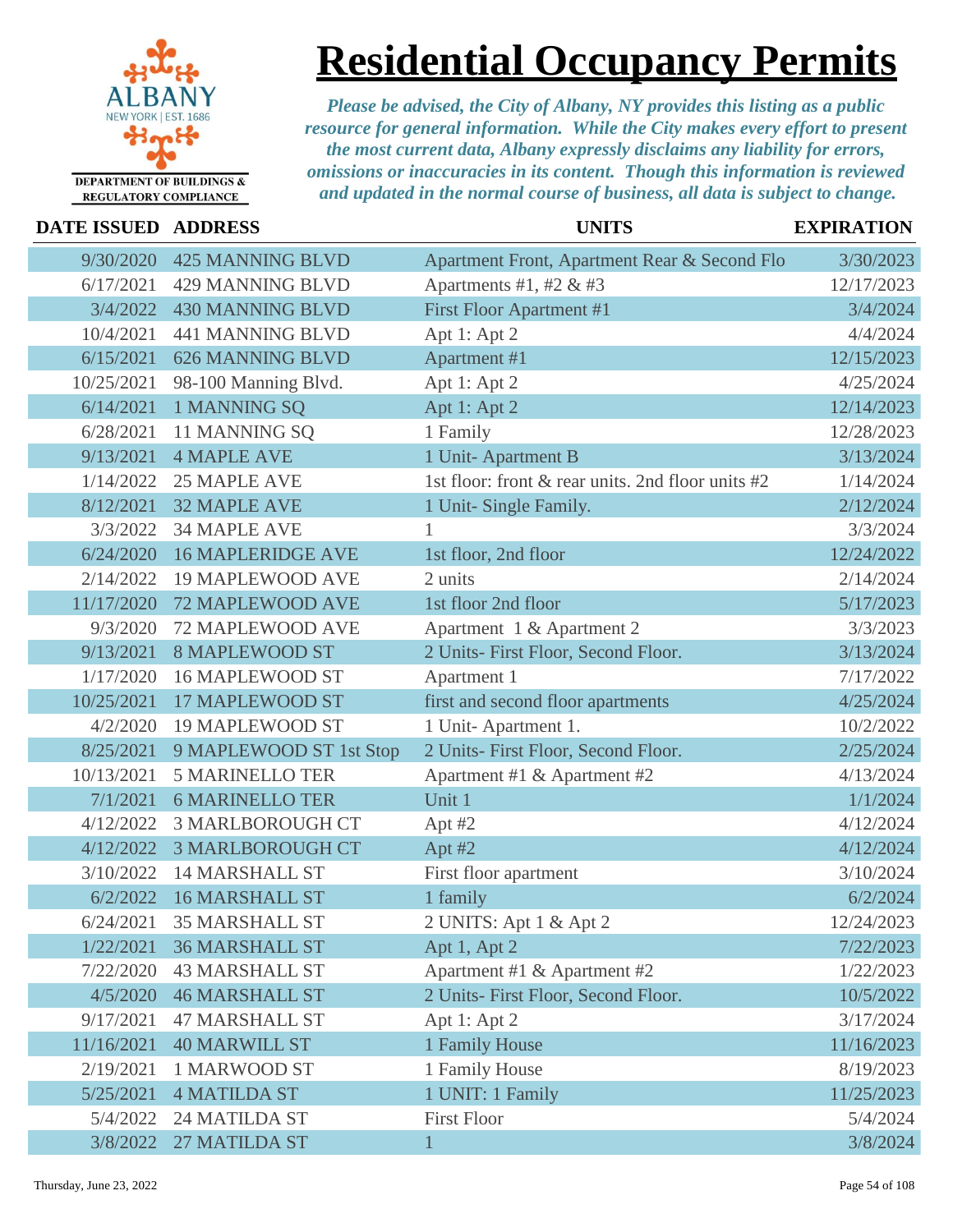

### **Residential Occupancy Permits**

| DATE ISSUED ADDRESS |                          | <b>UNITS</b>                                      | <b>EXPIRATION</b> |
|---------------------|--------------------------|---------------------------------------------------|-------------------|
| 9/30/2020           | <b>425 MANNING BLVD</b>  | Apartment Front, Apartment Rear & Second Flo      | 3/30/2023         |
| 6/17/2021           | <b>429 MANNING BLVD</b>  | Apartments #1, #2 & #3                            | 12/17/2023        |
| 3/4/2022            | <b>430 MANNING BLVD</b>  | First Floor Apartment #1                          | 3/4/2024          |
| 10/4/2021           | 441 MANNING BLVD         | Apt 1: Apt 2                                      | 4/4/2024          |
| 6/15/2021           | <b>626 MANNING BLVD</b>  | Apartment #1                                      | 12/15/2023        |
| 10/25/2021          | 98-100 Manning Blvd.     | Apt 1: Apt 2                                      | 4/25/2024         |
| 6/14/2021           | 1 MANNING SQ             | Apt 1: Apt 2                                      | 12/14/2023        |
| 6/28/2021           | 11 MANNING SQ            | 1 Family                                          | 12/28/2023        |
| 9/13/2021           | <b>4 MAPLE AVE</b>       | 1 Unit-Apartment B                                | 3/13/2024         |
| 1/14/2022           | <b>25 MAPLE AVE</b>      | 1st floor: front & rear units. 2nd floor units #2 | 1/14/2024         |
| 8/12/2021           | <b>32 MAPLE AVE</b>      | 1 Unit- Single Family.                            | 2/12/2024         |
| 3/3/2022            | <b>34 MAPLE AVE</b>      |                                                   | 3/3/2024          |
| 6/24/2020           | <b>16 MAPLERIDGE AVE</b> | 1st floor, 2nd floor                              | 12/24/2022        |
| 2/14/2022           | <b>19 MAPLEWOOD AVE</b>  | 2 units                                           | 2/14/2024         |
| 11/17/2020          | 72 MAPLEWOOD AVE         | 1st floor 2nd floor                               | 5/17/2023         |
| 9/3/2020            | 72 MAPLEWOOD AVE         | Apartment 1 & Apartment 2                         | 3/3/2023          |
| 9/13/2021           | <b>8 MAPLEWOOD ST</b>    | 2 Units- First Floor, Second Floor.               | 3/13/2024         |
| 1/17/2020           | <b>16 MAPLEWOOD ST</b>   | Apartment 1                                       | 7/17/2022         |
| 10/25/2021          | <b>17 MAPLEWOOD ST</b>   | first and second floor apartments                 | 4/25/2024         |
| 4/2/2020            | <b>19 MAPLEWOOD ST</b>   | 1 Unit-Apartment 1.                               | 10/2/2022         |
| 8/25/2021           | 9 MAPLEWOOD ST 1st Stop  | 2 Units- First Floor, Second Floor.               | 2/25/2024         |
| 10/13/2021          | <b>5 MARINELLO TER</b>   | Apartment #1 & Apartment #2                       | 4/13/2024         |
| 7/1/2021            | <b>6 MARINELLO TER</b>   | Unit 1                                            | 1/1/2024          |
| 4/12/2022           | <b>3 MARLBOROUGH CT</b>  | Apt $#2$                                          | 4/12/2024         |
| 4/12/2022           | <b>3 MARLBOROUGH CT</b>  | Apt #2                                            | 4/12/2024         |
| 3/10/2022           | <b>14 MARSHALL ST</b>    | First floor apartment                             | 3/10/2024         |
| 6/2/2022            | 16 MARSHALL ST           | 1 family                                          | 6/2/2024          |
| 6/24/2021           | 35 MARSHALL ST           | 2 UNITS: Apt 1 & Apt 2                            | 12/24/2023        |
| 1/22/2021           | <b>36 MARSHALL ST</b>    | Apt 1, Apt 2                                      | 7/22/2023         |
| 7/22/2020           | <b>43 MARSHALL ST</b>    | Apartment #1 & Apartment #2                       | 1/22/2023         |
| 4/5/2020            | <b>46 MARSHALL ST</b>    | 2 Units- First Floor, Second Floor.               | 10/5/2022         |
| 9/17/2021           | <b>47 MARSHALL ST</b>    | Apt 1: Apt 2                                      | 3/17/2024         |
| 11/16/2021          | <b>40 MARWILL ST</b>     | 1 Family House                                    | 11/16/2023        |
| 2/19/2021           | <b>1 MARWOOD ST</b>      | 1 Family House                                    | 8/19/2023         |
| 5/25/2021           | <b>4 MATILDA ST</b>      | 1 UNIT: 1 Family                                  | 11/25/2023        |
| 5/4/2022            | 24 MATILDA ST            | <b>First Floor</b>                                | 5/4/2024          |
| 3/8/2022            | 27 MATILDA ST            | $\mathbf{1}$                                      | 3/8/2024          |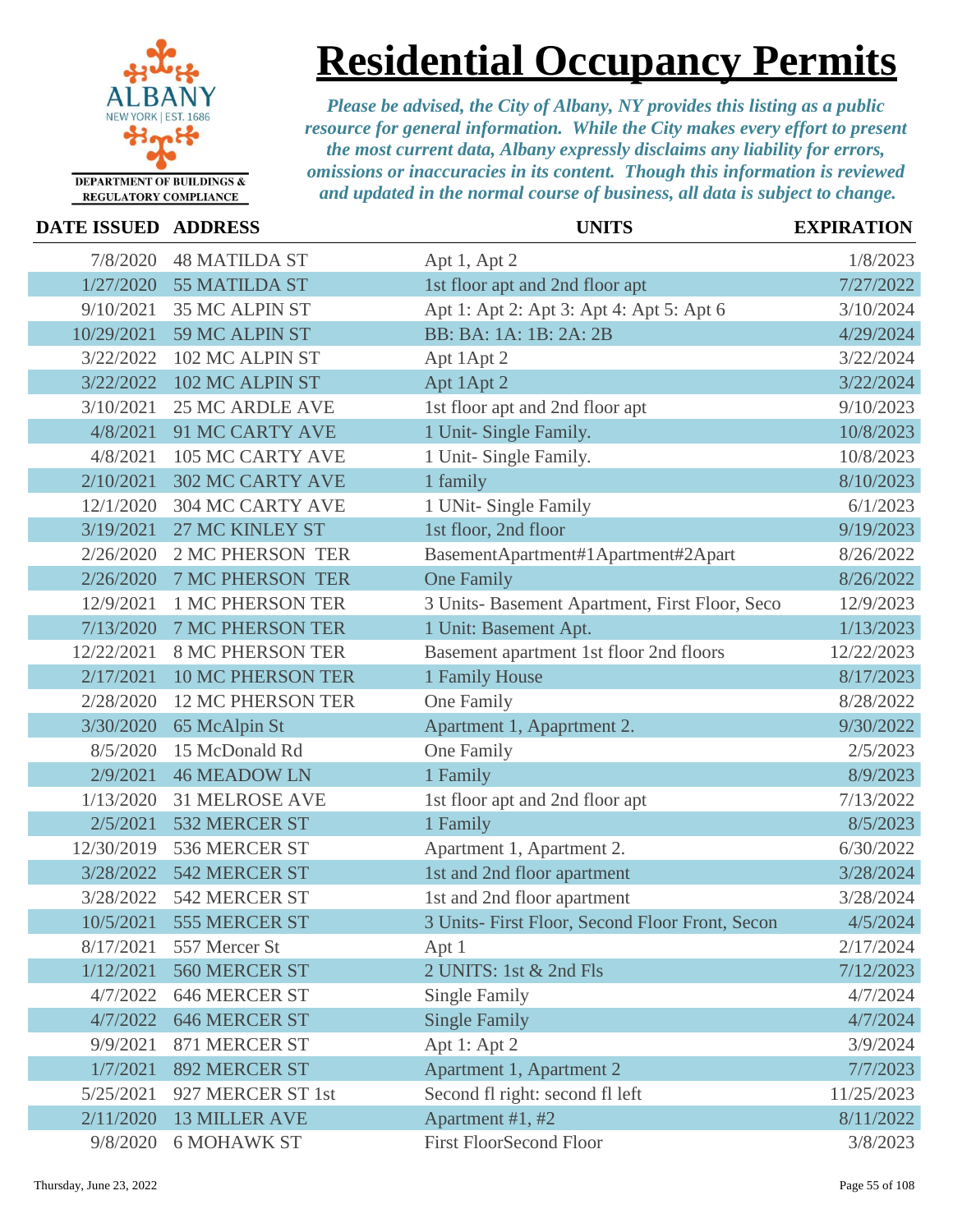

# **Residential Occupancy Permits**

| DATE ISSUED ADDRESS |                          | <b>UNITS</b>                                    | <b>EXPIRATION</b> |
|---------------------|--------------------------|-------------------------------------------------|-------------------|
| 7/8/2020            | <b>48 MATILDA ST</b>     | Apt 1, Apt 2                                    | 1/8/2023          |
|                     | 1/27/2020 55 MATILDA ST  | 1st floor apt and 2nd floor apt                 | 7/27/2022         |
| 9/10/2021           | <b>35 MC ALPIN ST</b>    | Apt 1: Apt 2: Apt 3: Apt 4: Apt 5: Apt 6        | 3/10/2024         |
| 10/29/2021          | 59 MC ALPIN ST           | BB: BA: 1A: 1B: 2A: 2B                          | 4/29/2024         |
| 3/22/2022           | 102 MC ALPIN ST          | Apt 1Apt 2                                      | 3/22/2024         |
| 3/22/2022           | 102 MC ALPIN ST          | Apt 1Apt 2                                      | 3/22/2024         |
| 3/10/2021           | <b>25 MC ARDLE AVE</b>   | 1st floor apt and 2nd floor apt                 | 9/10/2023         |
| 4/8/2021            | 91 MC CARTY AVE          | 1 Unit- Single Family.                          | 10/8/2023         |
| 4/8/2021            | 105 MC CARTY AVE         | 1 Unit- Single Family.                          | 10/8/2023         |
| 2/10/2021           | <b>302 MC CARTY AVE</b>  | 1 family                                        | 8/10/2023         |
| 12/1/2020           | <b>304 MC CARTY AVE</b>  | 1 UNit- Single Family                           | 6/1/2023          |
| 3/19/2021           | 27 MC KINLEY ST          | 1st floor, 2nd floor                            | 9/19/2023         |
| 2/26/2020           | <b>2 MC PHERSON TER</b>  | BasementApartment#1Apartment#2Apart             | 8/26/2022         |
| 2/26/2020           | <b>7 MC PHERSON TER</b>  | <b>One Family</b>                               | 8/26/2022         |
| 12/9/2021           | 1 MC PHERSON TER         | 3 Units- Basement Apartment, First Floor, Seco  | 12/9/2023         |
| 7/13/2020           | <b>7 MC PHERSON TER</b>  | 1 Unit: Basement Apt.                           | 1/13/2023         |
| 12/22/2021          | <b>8 MC PHERSON TER</b>  | Basement apartment 1st floor 2nd floors         | 12/22/2023        |
| 2/17/2021           | <b>10 MC PHERSON TER</b> | 1 Family House                                  | 8/17/2023         |
| 2/28/2020           | <b>12 MC PHERSON TER</b> | One Family                                      | 8/28/2022         |
| 3/30/2020           | 65 McAlpin St            | Apartment 1, Apaprtment 2.                      | 9/30/2022         |
| 8/5/2020            | 15 McDonald Rd           | One Family                                      | 2/5/2023          |
| 2/9/2021            | <b>46 MEADOW LN</b>      | 1 Family                                        | 8/9/2023          |
| 1/13/2020           | <b>31 MELROSE AVE</b>    | 1st floor apt and 2nd floor apt                 | 7/13/2022         |
| 2/5/2021            | 532 MERCER ST            | 1 Family                                        | 8/5/2023          |
| 12/30/2019          | 536 MERCER ST            | Apartment 1, Apartment 2.                       | 6/30/2022         |
| 3/28/2022           | 542 MERCER ST            | 1st and 2nd floor apartment                     | 3/28/2024         |
| 3/28/2022           | 542 MERCER ST            | 1st and 2nd floor apartment                     | 3/28/2024         |
|                     | 10/5/2021 555 MERCER ST  | 3 Units- First Floor, Second Floor Front, Secon | 4/5/2024          |
| 8/17/2021           | 557 Mercer St            | Apt 1                                           | 2/17/2024         |
| 1/12/2021           | 560 MERCER ST            | 2 UNITS: 1st & 2nd Fls                          | 7/12/2023         |
| 4/7/2022            | <b>646 MERCER ST</b>     | Single Family                                   | 4/7/2024          |
| 4/7/2022            | <b>646 MERCER ST</b>     | <b>Single Family</b>                            | 4/7/2024          |
| 9/9/2021            | 871 MERCER ST            | Apt 1: Apt 2                                    | 3/9/2024          |
| 1/7/2021            | 892 MERCER ST            | Apartment 1, Apartment 2                        | 7/7/2023          |
| 5/25/2021           | 927 MERCER ST 1st        | Second fl right: second fl left                 | 11/25/2023        |
| 2/11/2020           | <b>13 MILLER AVE</b>     | Apartment #1, #2                                | 8/11/2022         |
| 9/8/2020            | <b>6 MOHAWK ST</b>       | <b>First FloorSecond Floor</b>                  | 3/8/2023          |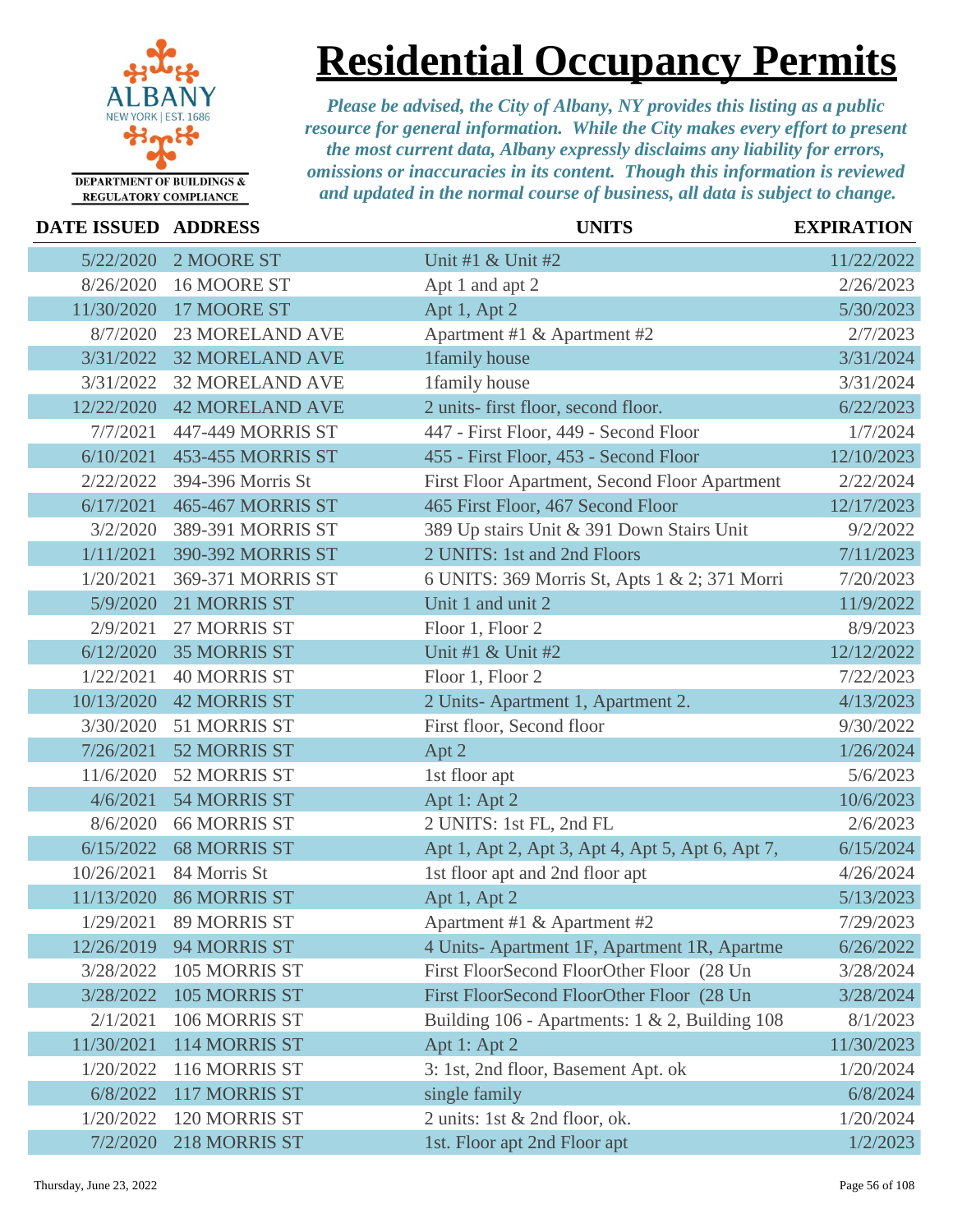

**Residential Occupancy Permits**

| DATE ISSUED ADDRESS |                          | <b>UNITS</b>                                     | <b>EXPIRATION</b> |
|---------------------|--------------------------|--------------------------------------------------|-------------------|
| 5/22/2020           | 2 MOORE ST               | Unit #1 & Unit #2                                | 11/22/2022        |
| 8/26/2020           | 16 MOORE ST              | Apt 1 and apt 2                                  | 2/26/2023         |
| 11/30/2020          | 17 MOORE ST              | Apt 1, Apt 2                                     | 5/30/2023         |
| 8/7/2020            | <b>23 MORELAND AVE</b>   | Apartment #1 & Apartment #2                      | 2/7/2023          |
| 3/31/2022           | <b>32 MORELAND AVE</b>   | 1family house                                    | 3/31/2024         |
| 3/31/2022           | <b>32 MORELAND AVE</b>   | 1family house                                    | 3/31/2024         |
| 12/22/2020          | <b>42 MORELAND AVE</b>   | 2 units- first floor, second floor.              | 6/22/2023         |
| 7/7/2021            | 447-449 MORRIS ST        | 447 - First Floor, 449 - Second Floor            | 1/7/2024          |
| 6/10/2021           | <b>453-455 MORRIS ST</b> | 455 - First Floor, 453 - Second Floor            | 12/10/2023        |
| 2/22/2022           | 394-396 Morris St        | First Floor Apartment, Second Floor Apartment    | 2/22/2024         |
| 6/17/2021           | <b>465-467 MORRIS ST</b> | 465 First Floor, 467 Second Floor                | 12/17/2023        |
| 3/2/2020            | 389-391 MORRIS ST        | 389 Up stairs Unit & 391 Down Stairs Unit        | 9/2/2022          |
| 1/11/2021           | 390-392 MORRIS ST        | 2 UNITS: 1st and 2nd Floors                      | 7/11/2023         |
| 1/20/2021           | 369-371 MORRIS ST        | 6 UNITS: 369 Morris St, Apts 1 & 2; 371 Morri    | 7/20/2023         |
| 5/9/2020            | 21 MORRIS ST             | Unit 1 and unit 2                                | 11/9/2022         |
| 2/9/2021            | 27 MORRIS ST             | Floor 1, Floor 2                                 | 8/9/2023          |
| 6/12/2020           | <b>35 MORRIS ST</b>      | Unit #1 & Unit #2                                | 12/12/2022        |
| 1/22/2021           | <b>40 MORRIS ST</b>      | Floor 1, Floor 2                                 | 7/22/2023         |
| 10/13/2020          | <b>42 MORRIS ST</b>      | 2 Units-Apartment 1, Apartment 2.                | 4/13/2023         |
| 3/30/2020           | 51 MORRIS ST             | First floor, Second floor                        | 9/30/2022         |
| 7/26/2021           | 52 MORRIS ST             | Apt 2                                            | 1/26/2024         |
| 11/6/2020           | 52 MORRIS ST             | 1st floor apt                                    | 5/6/2023          |
| 4/6/2021            | 54 MORRIS ST             | Apt 1: Apt 2                                     | 10/6/2023         |
| 8/6/2020            | <b>66 MORRIS ST</b>      | 2 UNITS: 1st FL, 2nd FL                          | 2/6/2023          |
| 6/15/2022           | <b>68 MORRIS ST</b>      | Apt 1, Apt 2, Apt 3, Apt 4, Apt 5, Apt 6, Apt 7, | 6/15/2024         |
| 10/26/2021          | 84 Morris St             | 1st floor apt and 2nd floor apt                  | 4/26/2024         |
| 11/13/2020          | <b>86 MORRIS ST</b>      | Apt 1, Apt 2                                     | 5/13/2023         |
| 1/29/2021           | <b>89 MORRIS ST</b>      | Apartment #1 & Apartment #2                      | 7/29/2023         |
| 12/26/2019          | 94 MORRIS ST             | 4 Units-Apartment 1F, Apartment 1R, Apartme      | 6/26/2022         |
| 3/28/2022           | 105 MORRIS ST            | First FloorSecond FloorOther Floor (28 Un        | 3/28/2024         |
| 3/28/2022           | 105 MORRIS ST            | First FloorSecond FloorOther Floor (28 Un        | 3/28/2024         |
| 2/1/2021            | 106 MORRIS ST            | Building 106 - Apartments: 1 & 2, Building 108   | 8/1/2023          |
| 11/30/2021          | 114 MORRIS ST            | Apt 1: Apt 2                                     | 11/30/2023        |
| 1/20/2022           | 116 MORRIS ST            | 3: 1st, 2nd floor, Basement Apt. ok              | 1/20/2024         |
| 6/8/2022            | 117 MORRIS ST            | single family                                    | 6/8/2024          |
| 1/20/2022           | 120 MORRIS ST            | 2 units: 1st & 2nd floor, ok.                    | 1/20/2024         |
| 7/2/2020            | 218 MORRIS ST            | 1st. Floor apt 2nd Floor apt                     | 1/2/2023          |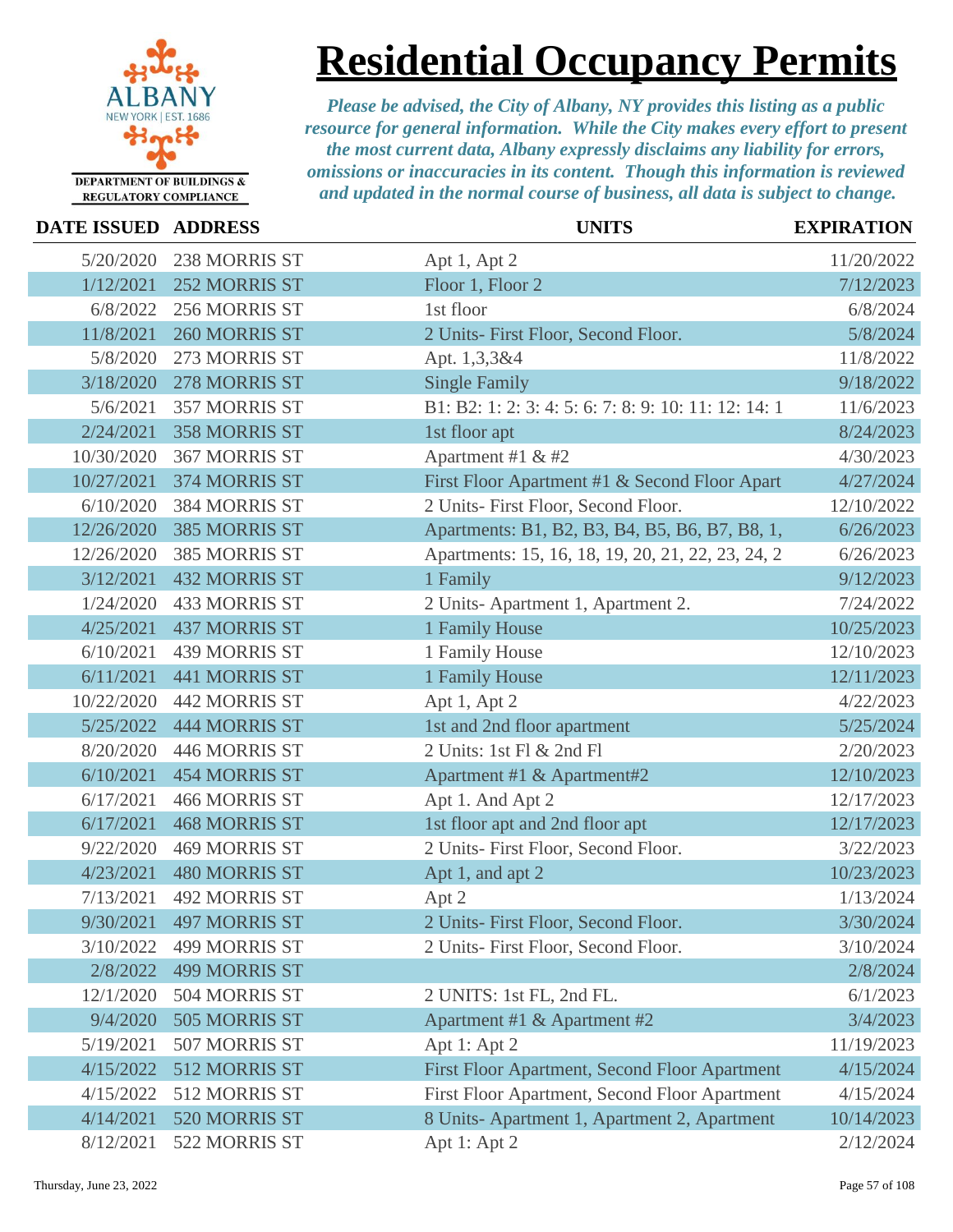

# **Residential Occupancy Permits**

| <b>DATE ISSUED ADDRESS</b> |                      | <b>UNITS</b>                                         | <b>EXPIRATION</b> |
|----------------------------|----------------------|------------------------------------------------------|-------------------|
| 5/20/2020                  | 238 MORRIS ST        | Apt 1, Apt 2                                         | 11/20/2022        |
| 1/12/2021                  | 252 MORRIS ST        | Floor 1, Floor 2                                     | 7/12/2023         |
| 6/8/2022                   | 256 MORRIS ST        | 1st floor                                            | 6/8/2024          |
| 11/8/2021                  | 260 MORRIS ST        | 2 Units- First Floor, Second Floor.                  | 5/8/2024          |
| 5/8/2020                   | 273 MORRIS ST        | Apt. 1,3,3&4                                         | 11/8/2022         |
| 3/18/2020                  | 278 MORRIS ST        | <b>Single Family</b>                                 | 9/18/2022         |
| 5/6/2021                   | 357 MORRIS ST        | B1: B2: 1: 2: 3: 4: 5: 6: 7: 8: 9: 10: 11: 12: 14: 1 | 11/6/2023         |
| 2/24/2021                  | <b>358 MORRIS ST</b> | 1st floor apt                                        | 8/24/2023         |
| 10/30/2020                 | 367 MORRIS ST        | Apartment #1 & #2                                    | 4/30/2023         |
| 10/27/2021                 | 374 MORRIS ST        | First Floor Apartment #1 & Second Floor Apart        | 4/27/2024         |
| 6/10/2020                  | 384 MORRIS ST        | 2 Units- First Floor, Second Floor.                  | 12/10/2022        |
| 12/26/2020                 | <b>385 MORRIS ST</b> | Apartments: B1, B2, B3, B4, B5, B6, B7, B8, 1,       | 6/26/2023         |
| 12/26/2020                 | <b>385 MORRIS ST</b> | Apartments: 15, 16, 18, 19, 20, 21, 22, 23, 24, 2    | 6/26/2023         |
| 3/12/2021                  | <b>432 MORRIS ST</b> | 1 Family                                             | 9/12/2023         |
| 1/24/2020                  | <b>433 MORRIS ST</b> | 2 Units-Apartment 1, Apartment 2.                    | 7/24/2022         |
| 4/25/2021                  | <b>437 MORRIS ST</b> | 1 Family House                                       | 10/25/2023        |
| 6/10/2021                  | <b>439 MORRIS ST</b> | 1 Family House                                       | 12/10/2023        |
| 6/11/2021                  | <b>441 MORRIS ST</b> | 1 Family House                                       | 12/11/2023        |
| 10/22/2020                 | <b>442 MORRIS ST</b> | Apt 1, Apt 2                                         | 4/22/2023         |
| 5/25/2022                  | <b>444 MORRIS ST</b> | 1st and 2nd floor apartment                          | 5/25/2024         |
| 8/20/2020                  | 446 MORRIS ST        | 2 Units: 1st Fl & 2nd Fl                             | 2/20/2023         |
| 6/10/2021                  | <b>454 MORRIS ST</b> | Apartment #1 & Apartment#2                           | 12/10/2023        |
| 6/17/2021                  | <b>466 MORRIS ST</b> | Apt 1. And Apt 2                                     | 12/17/2023        |
| 6/17/2021                  | <b>468 MORRIS ST</b> | 1st floor apt and 2nd floor apt                      | 12/17/2023        |
| 9/22/2020                  | <b>469 MORRIS ST</b> | 2 Units- First Floor, Second Floor.                  | 3/22/2023         |
| 4/23/2021                  | <b>480 MORRIS ST</b> | Apt 1, and apt 2                                     | 10/23/2023        |
| 7/13/2021                  | <b>492 MORRIS ST</b> | Apt 2                                                | 1/13/2024         |
| 9/30/2021                  | 497 MORRIS ST        | 2 Units- First Floor, Second Floor.                  | 3/30/2024         |
| 3/10/2022                  | <b>499 MORRIS ST</b> | 2 Units- First Floor, Second Floor.                  | 3/10/2024         |
| 2/8/2022                   | <b>499 MORRIS ST</b> |                                                      | 2/8/2024          |
| 12/1/2020                  | 504 MORRIS ST        | 2 UNITS: 1st FL, 2nd FL.                             | 6/1/2023          |
| 9/4/2020                   | 505 MORRIS ST        | Apartment #1 & Apartment #2                          | 3/4/2023          |
| 5/19/2021                  | 507 MORRIS ST        | Apt 1: Apt 2                                         | 11/19/2023        |
| 4/15/2022                  | 512 MORRIS ST        | First Floor Apartment, Second Floor Apartment        | 4/15/2024         |
| 4/15/2022                  | 512 MORRIS ST        | First Floor Apartment, Second Floor Apartment        | 4/15/2024         |
| 4/14/2021                  | 520 MORRIS ST        | 8 Units-Apartment 1, Apartment 2, Apartment          | 10/14/2023        |
| 8/12/2021                  | 522 MORRIS ST        | Apt 1: Apt 2                                         | 2/12/2024         |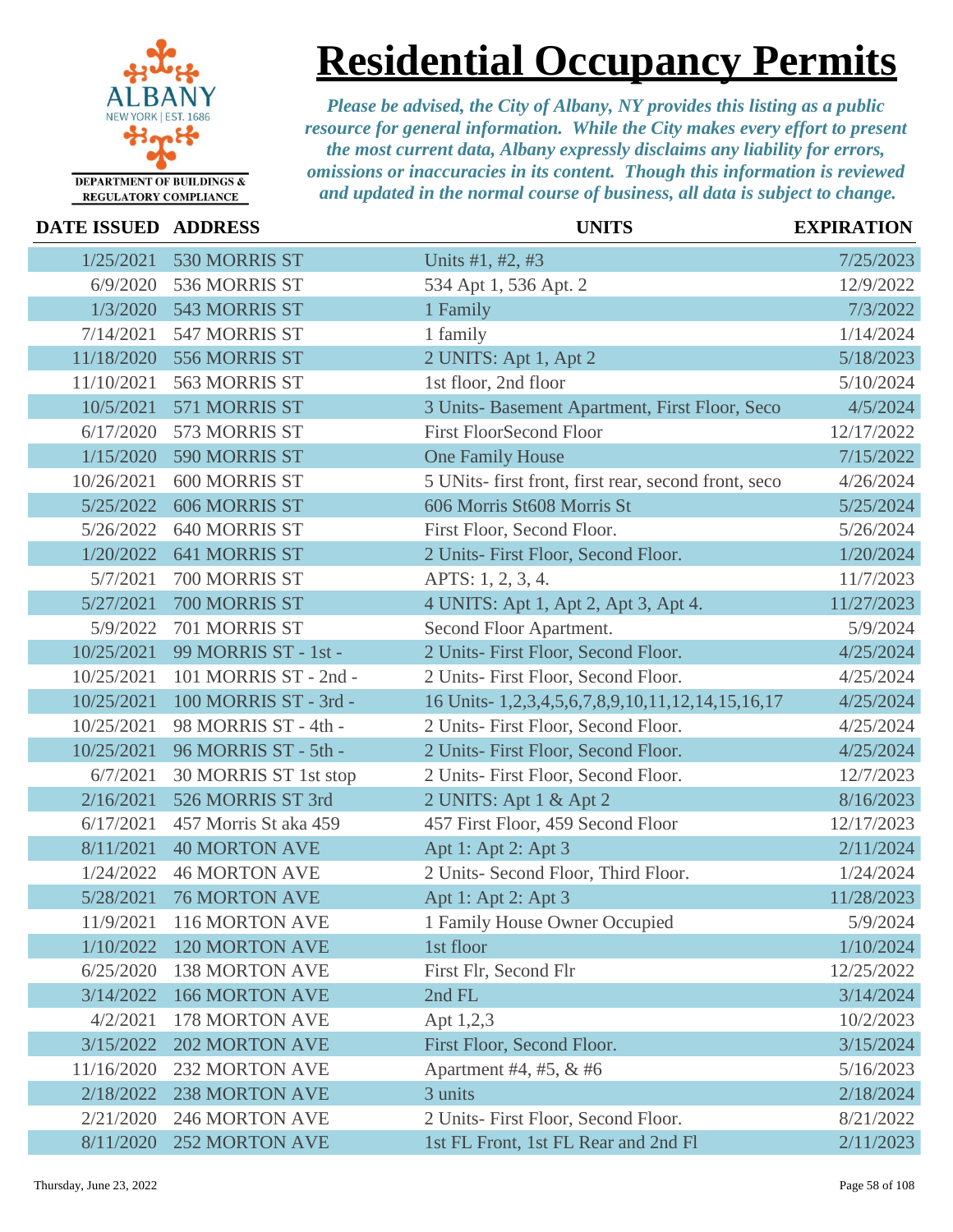

# **Residential Occupancy Permits**

| DATE ISSUED ADDRESS |                       | <b>UNITS</b>                                         | <b>EXPIRATION</b> |
|---------------------|-----------------------|------------------------------------------------------|-------------------|
| 1/25/2021           | 530 MORRIS ST         | Units #1, #2, #3                                     | 7/25/2023         |
| 6/9/2020            | 536 MORRIS ST         | 534 Apt 1, 536 Apt. 2                                | 12/9/2022         |
| 1/3/2020            | 543 MORRIS ST         | 1 Family                                             | 7/3/2022          |
| 7/14/2021           | 547 MORRIS ST         | 1 family                                             | 1/14/2024         |
| 11/18/2020          | 556 MORRIS ST         | 2 UNITS: Apt 1, Apt 2                                | 5/18/2023         |
| 11/10/2021          | 563 MORRIS ST         | 1st floor, 2nd floor                                 | 5/10/2024         |
| 10/5/2021           | 571 MORRIS ST         | 3 Units- Basement Apartment, First Floor, Seco       | 4/5/2024          |
| 6/17/2020           | 573 MORRIS ST         | <b>First FloorSecond Floor</b>                       | 12/17/2022        |
| 1/15/2020           | 590 MORRIS ST         | <b>One Family House</b>                              | 7/15/2022         |
| 10/26/2021          | <b>600 MORRIS ST</b>  | 5 UNits- first front, first rear, second front, seco | 4/26/2024         |
| 5/25/2022           | <b>606 MORRIS ST</b>  | 606 Morris St608 Morris St                           | 5/25/2024         |
| 5/26/2022           | 640 MORRIS ST         | First Floor, Second Floor.                           | 5/26/2024         |
| 1/20/2022           | <b>641 MORRIS ST</b>  | 2 Units- First Floor, Second Floor.                  | 1/20/2024         |
| 5/7/2021            | 700 MORRIS ST         | APTS: 1, 2, 3, 4.                                    | 11/7/2023         |
| 5/27/2021           | 700 MORRIS ST         | 4 UNITS: Apt 1, Apt 2, Apt 3, Apt 4.                 | 11/27/2023        |
| 5/9/2022            | 701 MORRIS ST         | Second Floor Apartment.                              | 5/9/2024          |
| 10/25/2021          | 99 MORRIS ST - 1st -  | 2 Units- First Floor, Second Floor.                  | 4/25/2024         |
| 10/25/2021          | 101 MORRIS ST - 2nd - | 2 Units- First Floor, Second Floor.                  | 4/25/2024         |
| 10/25/2021          | 100 MORRIS ST - 3rd - | 16 Units-1,2,3,4,5,6,7,8,9,10,11,12,14,15,16,17      | 4/25/2024         |
| 10/25/2021          | 98 MORRIS ST - 4th -  | 2 Units-First Floor, Second Floor.                   | 4/25/2024         |
| 10/25/2021          | 96 MORRIS ST - 5th -  | 2 Units- First Floor, Second Floor.                  | 4/25/2024         |
| 6/7/2021            | 30 MORRIS ST 1st stop | 2 Units- First Floor, Second Floor.                  | 12/7/2023         |
| 2/16/2021           | 526 MORRIS ST 3rd     | 2 UNITS: Apt 1 & Apt 2                               | 8/16/2023         |
| 6/17/2021           | 457 Morris St aka 459 | 457 First Floor, 459 Second Floor                    | 12/17/2023        |
| 8/11/2021           | <b>40 MORTON AVE</b>  | Apt 1: Apt 2: Apt 3                                  | 2/11/2024         |
| 1/24/2022           | <b>46 MORTON AVE</b>  | 2 Units- Second Floor, Third Floor.                  | 1/24/2024         |
| 5/28/2021           | <b>76 MORTON AVE</b>  | Apt 1: Apt 2: Apt 3                                  | 11/28/2023        |
| 11/9/2021           | 116 MORTON AVE        | 1 Family House Owner Occupied                        | 5/9/2024          |
| 1/10/2022           | <b>120 MORTON AVE</b> | 1st floor                                            | 1/10/2024         |
| 6/25/2020           | <b>138 MORTON AVE</b> | First Flr, Second Flr                                | 12/25/2022        |
| 3/14/2022           | <b>166 MORTON AVE</b> | 2nd FL                                               | 3/14/2024         |
| 4/2/2021            | 178 MORTON AVE        | Apt 1,2,3                                            | 10/2/2023         |
| 3/15/2022           | <b>202 MORTON AVE</b> | First Floor, Second Floor.                           | 3/15/2024         |
| 11/16/2020          | <b>232 MORTON AVE</b> | Apartment #4, #5, & #6                               | 5/16/2023         |
| 2/18/2022           | <b>238 MORTON AVE</b> | 3 units                                              | 2/18/2024         |
| 2/21/2020           | <b>246 MORTON AVE</b> | 2 Units- First Floor, Second Floor.                  | 8/21/2022         |
| 8/11/2020           | <b>252 MORTON AVE</b> | 1st FL Front, 1st FL Rear and 2nd Fl                 | 2/11/2023         |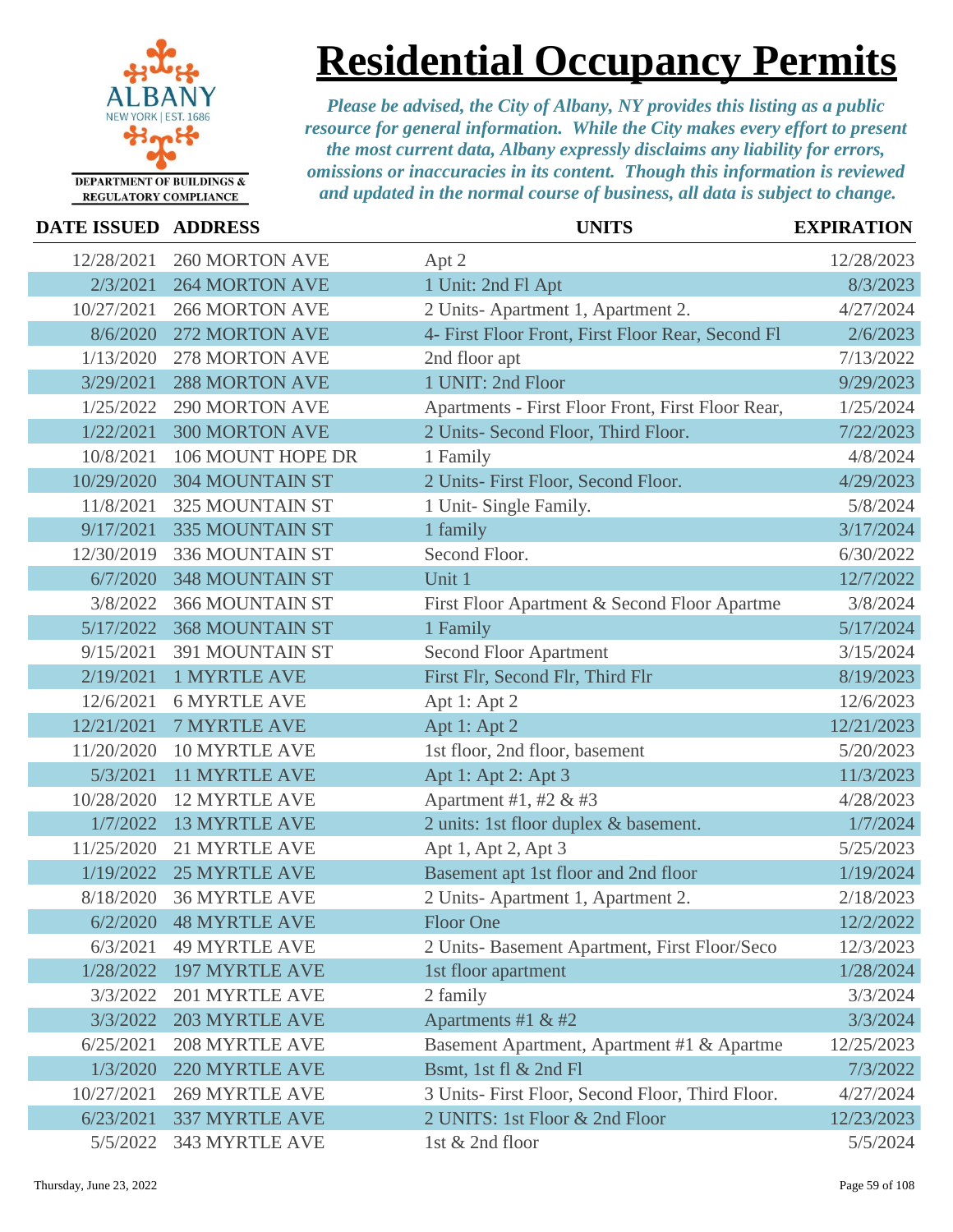

### **Residential Occupancy Permits**

| DATE ISSUED ADDRESS |                        | <b>UNITS</b>                                      | <b>EXPIRATION</b> |
|---------------------|------------------------|---------------------------------------------------|-------------------|
| 12/28/2021          | <b>260 MORTON AVE</b>  | Apt 2                                             | 12/28/2023        |
| 2/3/2021            | <b>264 MORTON AVE</b>  | 1 Unit: 2nd Fl Apt                                | 8/3/2023          |
| 10/27/2021          | <b>266 MORTON AVE</b>  | 2 Units-Apartment 1, Apartment 2.                 | 4/27/2024         |
| 8/6/2020            | <b>272 MORTON AVE</b>  | 4- First Floor Front, First Floor Rear, Second Fl | 2/6/2023          |
| 1/13/2020           | <b>278 MORTON AVE</b>  | 2nd floor apt                                     | 7/13/2022         |
| 3/29/2021           | <b>288 MORTON AVE</b>  | 1 UNIT: 2nd Floor                                 | 9/29/2023         |
| 1/25/2022           | <b>290 MORTON AVE</b>  | Apartments - First Floor Front, First Floor Rear, | 1/25/2024         |
| 1/22/2021           | <b>300 MORTON AVE</b>  | 2 Units- Second Floor, Third Floor.               | 7/22/2023         |
| 10/8/2021           | 106 MOUNT HOPE DR      | 1 Family                                          | 4/8/2024          |
| 10/29/2020          | <b>304 MOUNTAIN ST</b> | 2 Units- First Floor, Second Floor.               | 4/29/2023         |
| 11/8/2021           | <b>325 MOUNTAIN ST</b> | 1 Unit- Single Family.                            | 5/8/2024          |
| 9/17/2021           | <b>335 MOUNTAIN ST</b> | 1 family                                          | 3/17/2024         |
| 12/30/2019          | 336 MOUNTAIN ST        | Second Floor.                                     | 6/30/2022         |
| 6/7/2020            | <b>348 MOUNTAIN ST</b> | Unit 1                                            | 12/7/2022         |
| 3/8/2022            | <b>366 MOUNTAIN ST</b> | First Floor Apartment & Second Floor Apartme      | 3/8/2024          |
| 5/17/2022           | <b>368 MOUNTAIN ST</b> | 1 Family                                          | 5/17/2024         |
| 9/15/2021           | 391 MOUNTAIN ST        | <b>Second Floor Apartment</b>                     | 3/15/2024         |
| 2/19/2021           | <b>1 MYRTLE AVE</b>    | First Flr, Second Flr, Third Flr                  | 8/19/2023         |
| 12/6/2021           | <b>6 MYRTLE AVE</b>    | Apt 1: Apt 2                                      | 12/6/2023         |
| 12/21/2021          | <b>7 MYRTLE AVE</b>    | Apt 1: Apt 2                                      | 12/21/2023        |
| 11/20/2020          | 10 MYRTLE AVE          | 1st floor, 2nd floor, basement                    | 5/20/2023         |
| 5/3/2021            | <b>11 MYRTLE AVE</b>   | Apt 1: Apt 2: Apt 3                               | 11/3/2023         |
| 10/28/2020          | <b>12 MYRTLE AVE</b>   | Apartment #1, #2 & #3                             | 4/28/2023         |
| 1/7/2022            | <b>13 MYRTLE AVE</b>   | 2 units: 1st floor duplex & basement.             | 1/7/2024          |
| 11/25/2020          | <b>21 MYRTLE AVE</b>   | Apt 1, Apt 2, Apt 3                               | 5/25/2023         |
| 1/19/2022           | <b>25 MYRTLE AVE</b>   | Basement apt 1st floor and 2nd floor              | 1/19/2024         |
| 8/18/2020           | <b>36 MYRTLE AVE</b>   | 2 Units-Apartment 1, Apartment 2.                 | 2/18/2023         |
|                     | 6/2/2020 48 MYRTLE AVE | Floor One                                         | 12/2/2022         |
| 6/3/2021            | <b>49 MYRTLE AVE</b>   | 2 Units- Basement Apartment, First Floor/Seco     | 12/3/2023         |
| 1/28/2022           | <b>197 MYRTLE AVE</b>  | 1st floor apartment                               | 1/28/2024         |
| 3/3/2022            | 201 MYRTLE AVE         | 2 family                                          | 3/3/2024          |
| 3/3/2022            | <b>203 MYRTLE AVE</b>  | Apartments #1 & #2                                | 3/3/2024          |
| 6/25/2021           | <b>208 MYRTLE AVE</b>  | Basement Apartment, Apartment #1 & Apartme        | 12/25/2023        |
| 1/3/2020            | 220 MYRTLE AVE         | Bsmt, 1st fl & 2nd Fl                             | 7/3/2022          |
| 10/27/2021          | <b>269 MYRTLE AVE</b>  | 3 Units- First Floor, Second Floor, Third Floor.  | 4/27/2024         |
| 6/23/2021           | <b>337 MYRTLE AVE</b>  | 2 UNITS: 1st Floor & 2nd Floor                    | 12/23/2023        |
| 5/5/2022            | 343 MYRTLE AVE         | 1st & 2nd floor                                   | 5/5/2024          |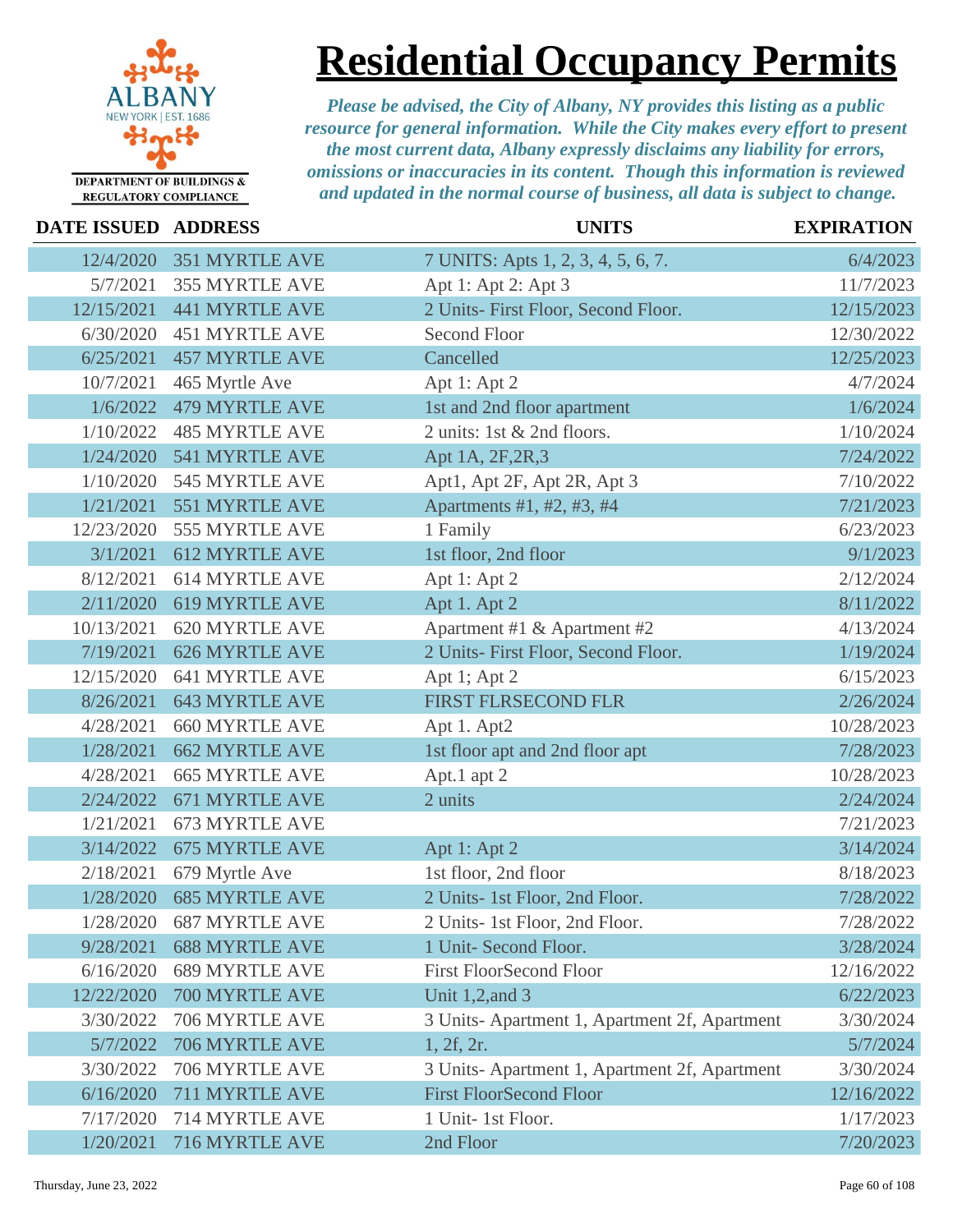

## **Residential Occupancy Permits**

| DATE ISSUED ADDRESS |                       | <b>UNITS</b>                                 | <b>EXPIRATION</b> |
|---------------------|-----------------------|----------------------------------------------|-------------------|
| 12/4/2020           | <b>351 MYRTLE AVE</b> | 7 UNITS: Apts 1, 2, 3, 4, 5, 6, 7.           | 6/4/2023          |
| 5/7/2021            | 355 MYRTLE AVE        | Apt 1: Apt 2: Apt 3                          | 11/7/2023         |
| 12/15/2021          | <b>441 MYRTLE AVE</b> | 2 Units- First Floor, Second Floor.          | 12/15/2023        |
| 6/30/2020           | <b>451 MYRTLE AVE</b> | <b>Second Floor</b>                          | 12/30/2022        |
| 6/25/2021           | <b>457 MYRTLE AVE</b> | Cancelled                                    | 12/25/2023        |
| 10/7/2021           | 465 Myrtle Ave        | Apt 1: Apt 2                                 | 4/7/2024          |
| 1/6/2022            | <b>479 MYRTLE AVE</b> | 1st and 2nd floor apartment                  | 1/6/2024          |
| 1/10/2022           | <b>485 MYRTLE AVE</b> | 2 units: 1st & 2nd floors.                   | 1/10/2024         |
| 1/24/2020           | 541 MYRTLE AVE        | Apt 1A, 2F, 2R, 3                            | 7/24/2022         |
| 1/10/2020           | 545 MYRTLE AVE        | Apt1, Apt 2F, Apt 2R, Apt 3                  | 7/10/2022         |
| 1/21/2021           | 551 MYRTLE AVE        | Apartments #1, #2, #3, #4                    | 7/21/2023         |
| 12/23/2020          | 555 MYRTLE AVE        | 1 Family                                     | 6/23/2023         |
| 3/1/2021            | <b>612 MYRTLE AVE</b> | 1st floor, 2nd floor                         | 9/1/2023          |
| 8/12/2021           | 614 MYRTLE AVE        | Apt 1: Apt 2                                 | 2/12/2024         |
| 2/11/2020           | 619 MYRTLE AVE        | Apt 1. Apt 2                                 | 8/11/2022         |
| 10/13/2021          | 620 MYRTLE AVE        | Apartment #1 & Apartment #2                  | 4/13/2024         |
| 7/19/2021           | <b>626 MYRTLE AVE</b> | 2 Units- First Floor, Second Floor.          | 1/19/2024         |
| 12/15/2020          | 641 MYRTLE AVE        | Apt 1; Apt 2                                 | 6/15/2023         |
| 8/26/2021           | <b>643 MYRTLE AVE</b> | FIRST FLRSECOND FLR                          | 2/26/2024         |
| 4/28/2021           | <b>660 MYRTLE AVE</b> | Apt 1. Apt2                                  | 10/28/2023        |
| 1/28/2021           | <b>662 MYRTLE AVE</b> | 1st floor apt and 2nd floor apt              | 7/28/2023         |
| 4/28/2021           | <b>665 MYRTLE AVE</b> | Apt.1 apt 2                                  | 10/28/2023        |
| 2/24/2022           | 671 MYRTLE AVE        | 2 units                                      | 2/24/2024         |
| 1/21/2021           | 673 MYRTLE AVE        |                                              | 7/21/2023         |
| 3/14/2022           | <b>675 MYRTLE AVE</b> | Apt 1: Apt 2                                 | 3/14/2024         |
| 2/18/2021           | 679 Myrtle Ave        | 1st floor, 2nd floor                         | 8/18/2023         |
| 1/28/2020           | <b>685 MYRTLE AVE</b> | 2 Units- 1st Floor, 2nd Floor.               | 7/28/2022         |
| 1/28/2020           | <b>687 MYRTLE AVE</b> | 2 Units- 1st Floor, 2nd Floor.               | 7/28/2022         |
| 9/28/2021           | <b>688 MYRTLE AVE</b> | 1 Unit- Second Floor.                        | 3/28/2024         |
| 6/16/2020           | <b>689 MYRTLE AVE</b> | <b>First FloorSecond Floor</b>               | 12/16/2022        |
| 12/22/2020          | 700 MYRTLE AVE        | Unit 1,2, and 3                              | 6/22/2023         |
| 3/30/2022           | 706 MYRTLE AVE        | 3 Units-Apartment 1, Apartment 2f, Apartment | 3/30/2024         |
| 5/7/2022            | 706 MYRTLE AVE        | 1, 2f, 2r.                                   | 5/7/2024          |
| 3/30/2022           | 706 MYRTLE AVE        | 3 Units-Apartment 1, Apartment 2f, Apartment | 3/30/2024         |
| 6/16/2020           | 711 MYRTLE AVE        | <b>First FloorSecond Floor</b>               | 12/16/2022        |
| 7/17/2020           | 714 MYRTLE AVE        | 1 Unit-1st Floor.                            | 1/17/2023         |
| 1/20/2021           | 716 MYRTLE AVE        | 2nd Floor                                    | 7/20/2023         |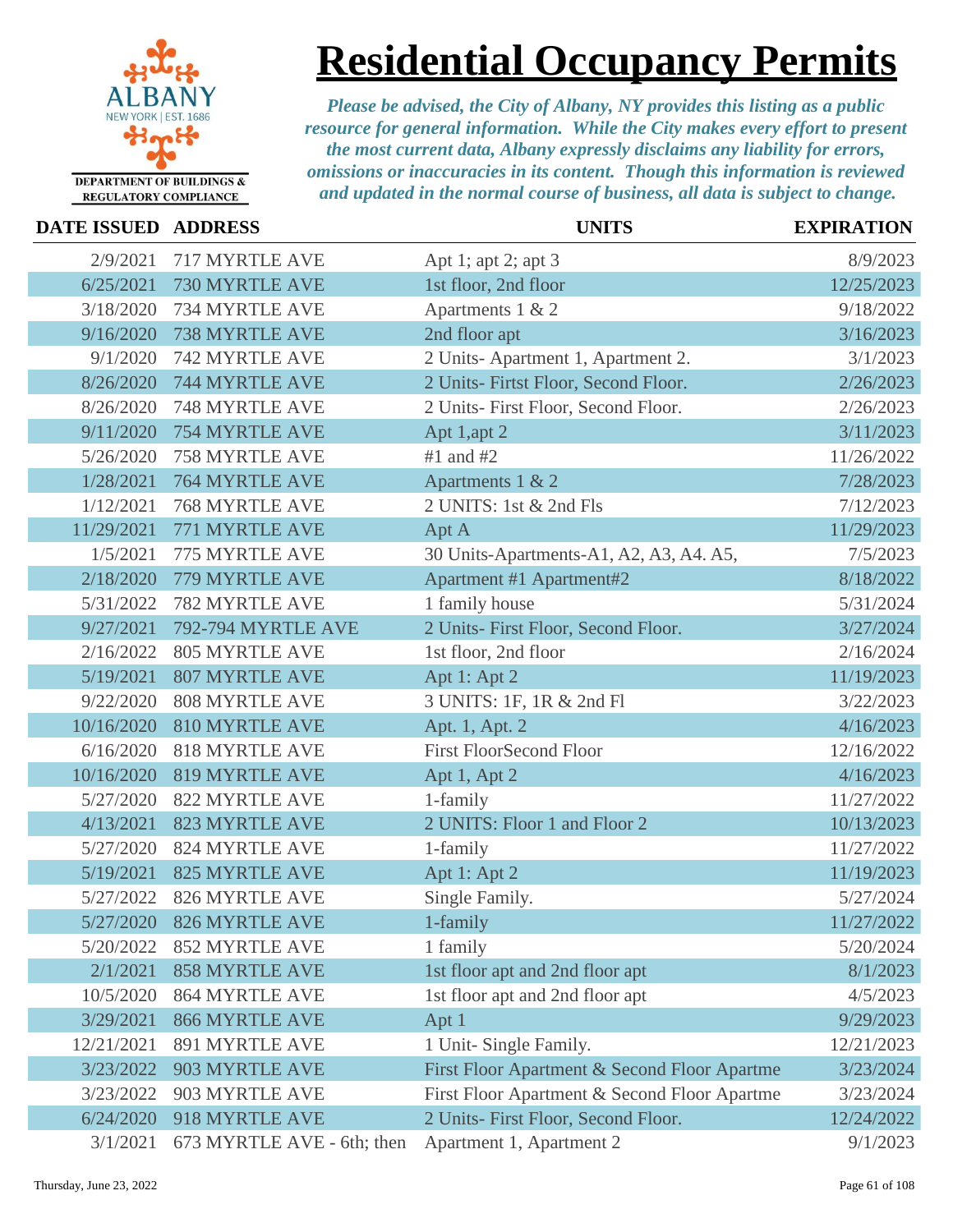

# **Residential Occupancy Permits**

| DATE ISSUED ADDRESS |                            | <b>UNITS</b>                                 | <b>EXPIRATION</b> |
|---------------------|----------------------------|----------------------------------------------|-------------------|
| 2/9/2021            | 717 MYRTLE AVE             | Apt 1; apt 2; apt 3                          | 8/9/2023          |
| 6/25/2021           | 730 MYRTLE AVE             | 1st floor, 2nd floor                         | 12/25/2023        |
| 3/18/2020           | 734 MYRTLE AVE             | Apartments 1 & 2                             | 9/18/2022         |
| 9/16/2020           | 738 MYRTLE AVE             | 2nd floor apt                                | 3/16/2023         |
| 9/1/2020            | 742 MYRTLE AVE             | 2 Units-Apartment 1, Apartment 2.            | 3/1/2023          |
| 8/26/2020           | 744 MYRTLE AVE             | 2 Units- Firtst Floor, Second Floor.         | 2/26/2023         |
| 8/26/2020           | <b>748 MYRTLE AVE</b>      | 2 Units- First Floor, Second Floor.          | 2/26/2023         |
| 9/11/2020           | <b>754 MYRTLE AVE</b>      | Apt 1,apt 2                                  | 3/11/2023         |
| 5/26/2020           | 758 MYRTLE AVE             | $#1$ and $#2$                                | 11/26/2022        |
| 1/28/2021           | 764 MYRTLE AVE             | Apartments 1 & 2                             | 7/28/2023         |
| 1/12/2021           | <b>768 MYRTLE AVE</b>      | 2 UNITS: 1st & 2nd Fls                       | 7/12/2023         |
| 11/29/2021          | 771 MYRTLE AVE             | Apt A                                        | 11/29/2023        |
| 1/5/2021            | 775 MYRTLE AVE             | 30 Units-Apartments-A1, A2, A3, A4. A5,      | 7/5/2023          |
| 2/18/2020           | 779 MYRTLE AVE             | Apartment #1 Apartment#2                     | 8/18/2022         |
| 5/31/2022           | 782 MYRTLE AVE             | 1 family house                               | 5/31/2024         |
| 9/27/2021           | 792-794 MYRTLE AVE         | 2 Units- First Floor, Second Floor.          | 3/27/2024         |
| 2/16/2022           | <b>805 MYRTLE AVE</b>      | 1st floor, 2nd floor                         | 2/16/2024         |
| 5/19/2021           | <b>807 MYRTLE AVE</b>      | Apt 1: Apt 2                                 | 11/19/2023        |
| 9/22/2020           | 808 MYRTLE AVE             | 3 UNITS: 1F, 1R & 2nd Fl                     | 3/22/2023         |
| 10/16/2020          | <b>810 MYRTLE AVE</b>      | Apt. 1, Apt. 2                               | 4/16/2023         |
| 6/16/2020           | <b>818 MYRTLE AVE</b>      | <b>First FloorSecond Floor</b>               | 12/16/2022        |
| 10/16/2020          | <b>819 MYRTLE AVE</b>      | Apt 1, Apt 2                                 | 4/16/2023         |
| 5/27/2020           | 822 MYRTLE AVE             | 1-family                                     | 11/27/2022        |
| 4/13/2021           | <b>823 MYRTLE AVE</b>      | 2 UNITS: Floor 1 and Floor 2                 | 10/13/2023        |
| 5/27/2020           | 824 MYRTLE AVE             | 1-family                                     | 11/27/2022        |
| 5/19/2021           | <b>825 MYRTLE AVE</b>      | Apt 1: Apt 2                                 | 11/19/2023        |
| 5/27/2022           | 826 MYRTLE AVE             | Single Family.                               | 5/27/2024         |
| 5/27/2020           | <b>826 MYRTLE AVE</b>      | 1-family                                     | 11/27/2022        |
| 5/20/2022           | <b>852 MYRTLE AVE</b>      | 1 family                                     | 5/20/2024         |
| 2/1/2021            | <b>858 MYRTLE AVE</b>      | 1st floor apt and 2nd floor apt              | 8/1/2023          |
| 10/5/2020           | <b>864 MYRTLE AVE</b>      | 1st floor apt and 2nd floor apt              | 4/5/2023          |
| 3/29/2021           | <b>866 MYRTLE AVE</b>      | Apt 1                                        | 9/29/2023         |
| 12/21/2021          | 891 MYRTLE AVE             | 1 Unit- Single Family.                       | 12/21/2023        |
| 3/23/2022           | 903 MYRTLE AVE             | First Floor Apartment & Second Floor Apartme | 3/23/2024         |
| 3/23/2022           | 903 MYRTLE AVE             | First Floor Apartment & Second Floor Apartme | 3/23/2024         |
| 6/24/2020           | 918 MYRTLE AVE             | 2 Units- First Floor, Second Floor.          | 12/24/2022        |
| 3/1/2021            | 673 MYRTLE AVE - 6th; then | Apartment 1, Apartment 2                     | 9/1/2023          |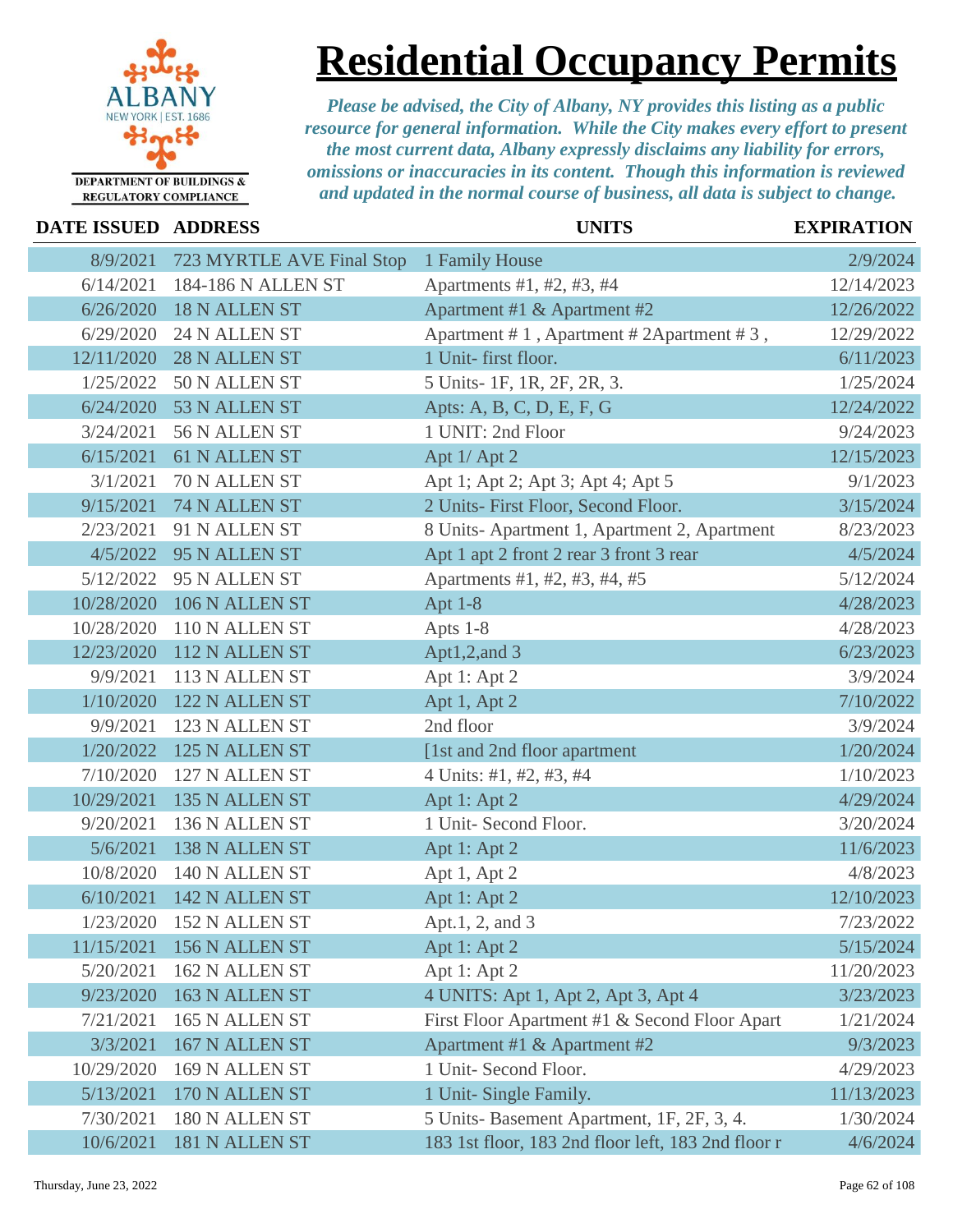

**Residential Occupancy Permits**

*Please be advised, the City of Albany, NY provides this listing as a public resource for general information. While the City makes every effort to present the most current data, Albany expressly disclaims any liability for errors, omissions or inaccuracies in its content. Though this information is reviewed and updated in the normal course of business, all data is subject to change.*

### **DATE ISSUED ADDRESS UNITS EXPIRATION** 8/9/2021 723 MYRTLE AVE Final Stop 1 Family House 2/9/2024 6/14/2021 184-186 N ALLEN ST Apartments #1, #2, #3, #4 12/14/2023 6/26/2020 18 N ALLEN ST Apartment #1 & Apartment #2 12/26/2022 6/29/2020 24 N ALLEN ST Apartment # 1, Apartment # 2Apartment # 3, 12/29/2022 12/11/2020 28 N ALLEN ST 1 Unit- first floor. 6/11/2023 6/11/2023 1/25/2022 50 N ALLEN ST 5 Units- 1F, 1R, 2F, 2R, 3. 1/25/2024 6/24/2020 53 N ALLEN ST Apts: A, B, C, D, E, F, G 12/24/2022 3/24/2021 56 N ALLEN ST 1 UNIT: 2nd Floor 9/24/2023 6/15/2021 61 N ALLEN ST Apt 1/ Apt 2 12/15/2023 3/1/2021 70 N ALLEN ST Apt 1; Apt 2; Apt 3; Apt 4; Apt 5 9/1/2023 9/15/2021 74 N ALLEN ST 2 Units- First Floor, Second Floor. 3/15/2024 2/23/2021 91 N ALLEN ST 8 Units- Apartment 1, Apartment 2, Apartment 8/23/2023 4/5/2022 95 N ALLEN ST Apt 1 apt 2 front 2 rear 3 front 3 rear 4/5/2024 5/12/2022 95 N ALLEN ST Apartments #1, #2, #3, #4, #5 5/12/2024 10/28/2020 106 N ALLEN ST Apt 1-8 4/28/2023 10/28/2020 110 N ALLEN ST Apts 1-8 4/28/2023 12/23/2020 112 N ALLEN ST Apt1,2,and 3 6/23/2023 9/9/2021 113 N ALLEN ST Apt 1: Apt 2 3/9/2024 1/10/2020 122 N ALLEN ST Apt 1, Apt 2 7/10/2022 9/9/2021 123 N ALLEN ST 2nd floor 3/9/2024 1/20/2022 125 N ALLEN ST [1st and 2nd floor apartment 1/20/2024 7/10/2020 127 N ALLEN ST 4 Units: #1, #2, #3, #4 1/10/2023 10/29/2021 135 N ALLEN ST Apt 1: Apt 2 4/29/2024 9/20/2021 136 N ALLEN ST 1 Unit- Second Floor. 3/20/2024 5/6/2021 138 N ALLEN ST Apt 1: Apt 2 11/6/2023 10/8/2020 140 N ALLEN ST Apt 1, Apt 2 4/8/2023 6/10/2021 142 N ALLEN ST Apt 1: Apt 2 12/10/2023 1/23/2020 152 N ALLEN ST Apt.1, 2, and 3 7/23/2022 11/15/2021 156 N ALLEN ST Apt 1: Apt 2 5/15/2024 5/20/2021 162 N ALLEN ST Apt 1: Apt 2 11/20/2023 9/23/2020 163 N ALLEN ST 4 UNITS: Apt 1, Apt 2, Apt 3, Apt 4 3/23/2023 7/21/2021 165 N ALLEN ST First Floor Apartment #1 & Second Floor Apart 1/21/2024 3/3/2021 167 N ALLEN ST Apartment #1 & Apartment #2 9/3/2023 10/29/2020 169 N ALLEN ST 1 Unit- Second Floor. 4/29/2023 5/13/2021 170 N ALLEN ST 1 Unit- Single Family. 11/13/2023 7/30/2021 180 N ALLEN ST 5 Units- Basement Apartment, 1F, 2F, 3, 4. 1/30/2024 10/6/2021 181 N ALLEN ST 183 1st floor, 183 2nd floor left, 183 2nd floor r 4/6/2024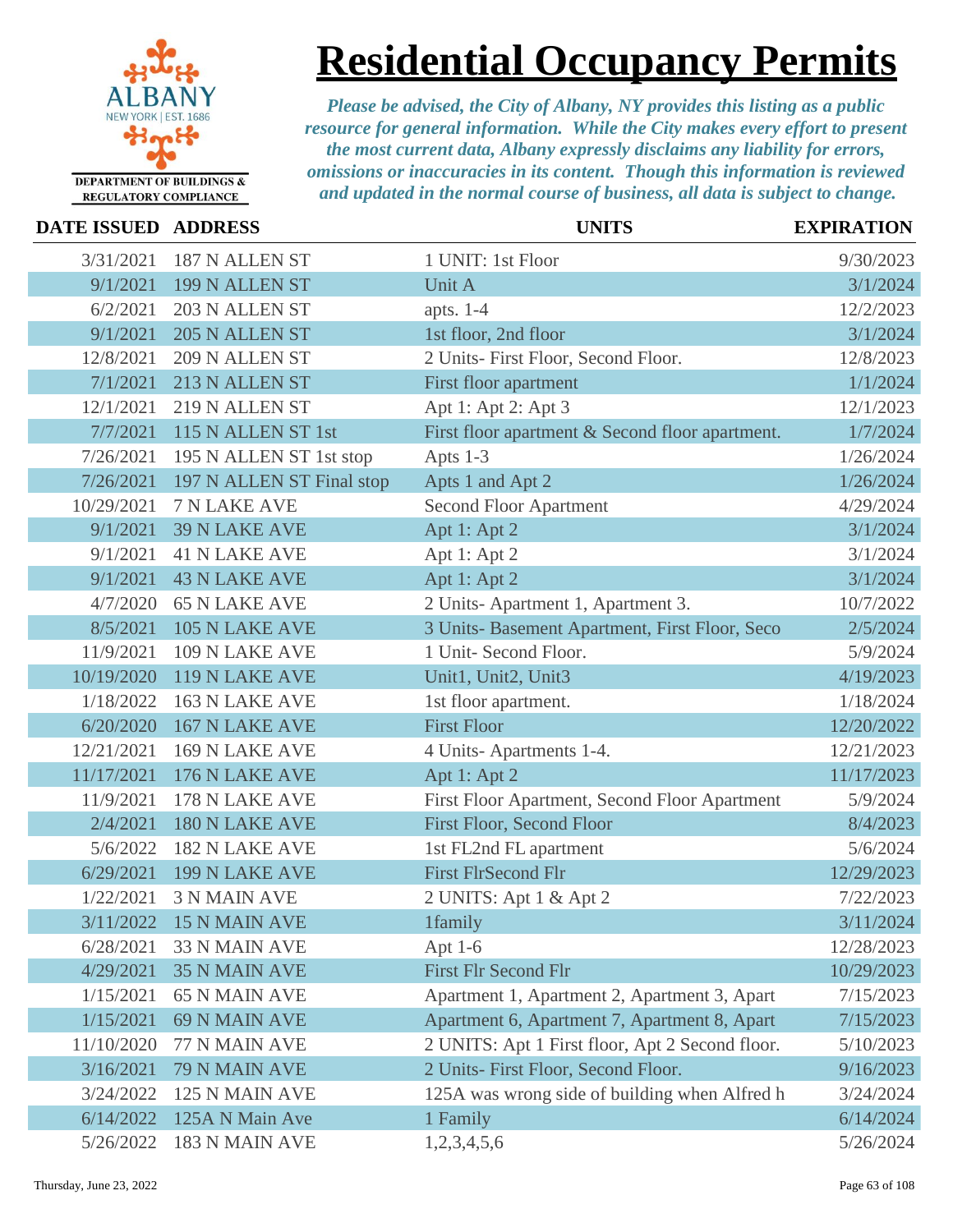

# **Residential Occupancy Permits**

| <b>DATE ISSUED ADDRESS</b> |                           | <b>UNITS</b>                                    | <b>EXPIRATION</b> |
|----------------------------|---------------------------|-------------------------------------------------|-------------------|
| 3/31/2021                  | 187 N ALLEN ST            | 1 UNIT: 1st Floor                               | 9/30/2023         |
| 9/1/2021                   | 199 N ALLEN ST            | Unit A                                          | 3/1/2024          |
| 6/2/2021                   | 203 N ALLEN ST            | apts. $1-4$                                     | 12/2/2023         |
| 9/1/2021                   | 205 N ALLEN ST            | 1st floor, 2nd floor                            | 3/1/2024          |
| 12/8/2021                  | 209 N ALLEN ST            | 2 Units- First Floor, Second Floor.             | 12/8/2023         |
| 7/1/2021                   | 213 N ALLEN ST            | First floor apartment                           | 1/1/2024          |
| 12/1/2021                  | 219 N ALLEN ST            | Apt 1: Apt 2: Apt 3                             | 12/1/2023         |
| 7/7/2021                   | 115 N ALLEN ST 1st        | First floor apartment & Second floor apartment. | 1/7/2024          |
| 7/26/2021                  | 195 N ALLEN ST 1st stop   | Apts $1-3$                                      | 1/26/2024         |
| 7/26/2021                  | 197 N ALLEN ST Final stop | Apts 1 and Apt 2                                | 1/26/2024         |
| 10/29/2021                 | 7 N LAKE AVE              | <b>Second Floor Apartment</b>                   | 4/29/2024         |
| 9/1/2021                   | <b>39 N LAKE AVE</b>      | Apt 1: Apt 2                                    | 3/1/2024          |
| 9/1/2021                   | <b>41 N LAKE AVE</b>      | Apt 1: Apt 2                                    | 3/1/2024          |
| 9/1/2021                   | <b>43 N LAKE AVE</b>      | Apt 1: Apt 2                                    | 3/1/2024          |
| 4/7/2020                   | <b>65 N LAKE AVE</b>      | 2 Units-Apartment 1, Apartment 3.               | 10/7/2022         |
| 8/5/2021                   | 105 N LAKE AVE            | 3 Units- Basement Apartment, First Floor, Seco  | 2/5/2024          |
| 11/9/2021                  | 109 N LAKE AVE            | 1 Unit- Second Floor.                           | 5/9/2024          |
| 10/19/2020                 | 119 N LAKE AVE            | Unit1, Unit2, Unit3                             | 4/19/2023         |
| 1/18/2022                  | 163 N LAKE AVE            | 1st floor apartment.                            | 1/18/2024         |
| 6/20/2020                  | 167 N LAKE AVE            | <b>First Floor</b>                              | 12/20/2022        |
| 12/21/2021                 | 169 N LAKE AVE            | 4 Units-Apartments 1-4.                         | 12/21/2023        |
| 11/17/2021                 | 176 N LAKE AVE            | Apt 1: Apt 2                                    | 11/17/2023        |
| 11/9/2021                  | 178 N LAKE AVE            | First Floor Apartment, Second Floor Apartment   | 5/9/2024          |
| 2/4/2021                   | <b>180 N LAKE AVE</b>     | First Floor, Second Floor                       | 8/4/2023          |
| 5/6/2022                   | <b>182 N LAKE AVE</b>     | 1st FL2nd FL apartment                          | 5/6/2024          |
| 6/29/2021                  | 199 N LAKE AVE            | <b>First FlrSecond Flr</b>                      | 12/29/2023        |
| 1/22/2021                  | <b>3 N MAIN AVE</b>       | 2 UNITS: Apt 1 & Apt 2                          | 7/22/2023         |
| 3/11/2022                  | 15 N MAIN AVE             | 1family                                         | 3/11/2024         |
| 6/28/2021                  | <b>33 N MAIN AVE</b>      | Apt 1-6                                         | 12/28/2023        |
| 4/29/2021                  | <b>35 N MAIN AVE</b>      | <b>First Flr Second Flr</b>                     | 10/29/2023        |
| 1/15/2021                  | <b>65 N MAIN AVE</b>      | Apartment 1, Apartment 2, Apartment 3, Apart    | 7/15/2023         |
| 1/15/2021                  | <b>69 N MAIN AVE</b>      | Apartment 6, Apartment 7, Apartment 8, Apart    | 7/15/2023         |
| 11/10/2020                 | 77 N MAIN AVE             | 2 UNITS: Apt 1 First floor, Apt 2 Second floor. | 5/10/2023         |
| 3/16/2021                  | 79 N MAIN AVE             | 2 Units- First Floor, Second Floor.             | 9/16/2023         |
| 3/24/2022                  | 125 N MAIN AVE            | 125A was wrong side of building when Alfred h   | 3/24/2024         |
| 6/14/2022                  | 125A N Main Ave           | 1 Family                                        | 6/14/2024         |
| 5/26/2022                  | 183 N MAIN AVE            | 1,2,3,4,5,6                                     | 5/26/2024         |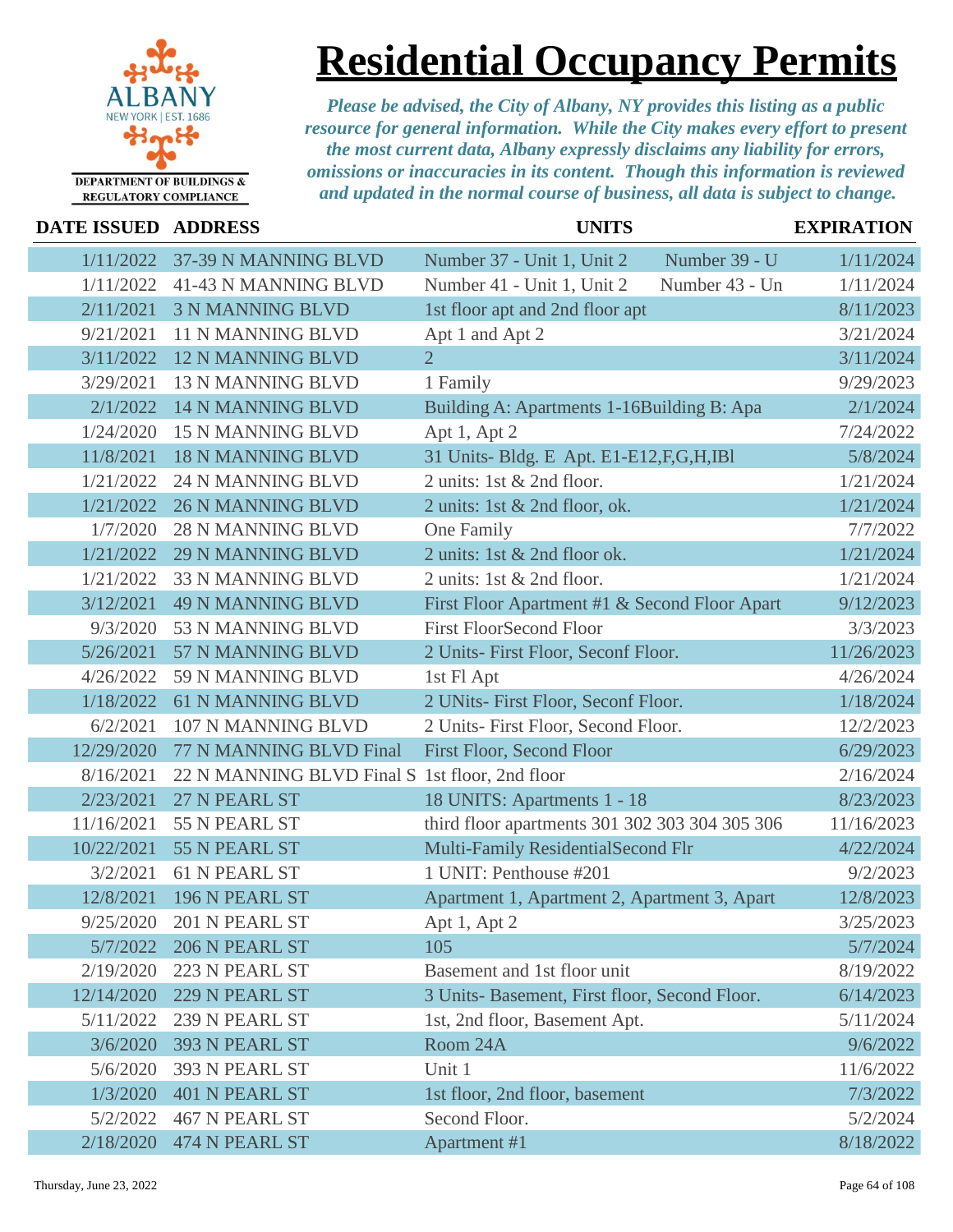

### **Residential Occupancy Permits**

| DATE ISSUED ADDRESS |                                                | <b>UNITS</b>                                   | <b>EXPIRATION</b> |
|---------------------|------------------------------------------------|------------------------------------------------|-------------------|
| 1/11/2022           | 37-39 N MANNING BLVD                           | Number 37 - Unit 1, Unit 2<br>Number 39 - U    | 1/11/2024         |
| 1/11/2022           | 41-43 N MANNING BLVD                           | Number 41 - Unit 1, Unit 2<br>Number 43 - Un   | 1/11/2024         |
| 2/11/2021           | <b>3 N MANNING BLVD</b>                        | 1st floor apt and 2nd floor apt                | 8/11/2023         |
| 9/21/2021           | 11 N MANNING BLVD                              | Apt 1 and Apt 2                                | 3/21/2024         |
| 3/11/2022           | <b>12 N MANNING BLVD</b>                       | $\overline{2}$                                 | 3/11/2024         |
| 3/29/2021           | <b>13 N MANNING BLVD</b>                       | 1 Family                                       | 9/29/2023         |
| 2/1/2022            | <b>14 N MANNING BLVD</b>                       | Building A: Apartments 1-16Building B: Apa     | 2/1/2024          |
| 1/24/2020           | 15 N MANNING BLVD                              | Apt 1, Apt 2                                   | 7/24/2022         |
| 11/8/2021           | <b>18 N MANNING BLVD</b>                       | 31 Units- Bldg. E Apt. E1-E12, F, G, H, IBI    | 5/8/2024          |
| 1/21/2022           | <b>24 N MANNING BLVD</b>                       | 2 units: 1st & 2nd floor.                      | 1/21/2024         |
| 1/21/2022           | <b>26 N MANNING BLVD</b>                       | 2 units: 1st & 2nd floor, ok.                  | 1/21/2024         |
| 1/7/2020            | <b>28 N MANNING BLVD</b>                       | One Family                                     | 7/7/2022          |
| 1/21/2022           | <b>29 N MANNING BLVD</b>                       | 2 units: 1st & 2nd floor ok.                   | 1/21/2024         |
| 1/21/2022           | <b>33 N MANNING BLVD</b>                       | 2 units: 1st & 2nd floor.                      | 1/21/2024         |
| 3/12/2021           | <b>49 N MANNING BLVD</b>                       | First Floor Apartment #1 & Second Floor Apart  | 9/12/2023         |
| 9/3/2020            | 53 N MANNING BLVD                              | <b>First FloorSecond Floor</b>                 | 3/3/2023          |
| 5/26/2021           | 57 N MANNING BLVD                              | 2 Units- First Floor, Seconf Floor.            | 11/26/2023        |
| 4/26/2022           | 59 N MANNING BLVD                              | 1st Fl Apt                                     | 4/26/2024         |
| 1/18/2022           | <b>61 N MANNING BLVD</b>                       | 2 UNits- First Floor, Seconf Floor.            | 1/18/2024         |
| 6/2/2021            | 107 N MANNING BLVD                             | 2 Units- First Floor, Second Floor.            | 12/2/2023         |
| 12/29/2020          | 77 N MANNING BLVD Final                        | <b>First Floor, Second Floor</b>               | 6/29/2023         |
| 8/16/2021           | 22 N MANNING BLVD Final S 1st floor, 2nd floor |                                                | 2/16/2024         |
| 2/23/2021           | 27 N PEARL ST                                  | 18 UNITS: Apartments 1 - 18                    | 8/23/2023         |
| 11/16/2021          | 55 N PEARL ST                                  | third floor apartments 301 302 303 304 305 306 | 11/16/2023        |
| 10/22/2021          | 55 N PEARL ST                                  | Multi-Family ResidentialSecond Flr             | 4/22/2024         |
| 3/2/2021            | <b>61 N PEARL ST</b>                           | 1 UNIT: Penthouse #201                         | 9/2/2023          |
| 12/8/2021           | 196 N PEARL ST                                 | Apartment 1, Apartment 2, Apartment 3, Apart   | 12/8/2023         |
|                     | 9/25/2020 201 N PEARL ST                       | Apt 1, Apt 2                                   | 3/25/2023         |
| 5/7/2022            | 206 N PEARL ST                                 | 105                                            | 5/7/2024          |
| 2/19/2020           | 223 N PEARL ST                                 | Basement and 1st floor unit                    | 8/19/2022         |
| 12/14/2020          | 229 N PEARL ST                                 | 3 Units- Basement, First floor, Second Floor.  | 6/14/2023         |
| 5/11/2022           | 239 N PEARL ST                                 | 1st, 2nd floor, Basement Apt.                  | 5/11/2024         |
| 3/6/2020            | 393 N PEARL ST                                 | Room 24A                                       | 9/6/2022          |
| 5/6/2020            | 393 N PEARL ST                                 | Unit 1                                         | 11/6/2022         |
| 1/3/2020            | 401 N PEARL ST                                 | 1st floor, 2nd floor, basement                 | 7/3/2022          |
| 5/2/2022            | 467 N PEARL ST                                 | Second Floor.                                  | 5/2/2024          |
| 2/18/2020           | 474 N PEARL ST                                 | Apartment #1                                   | 8/18/2022         |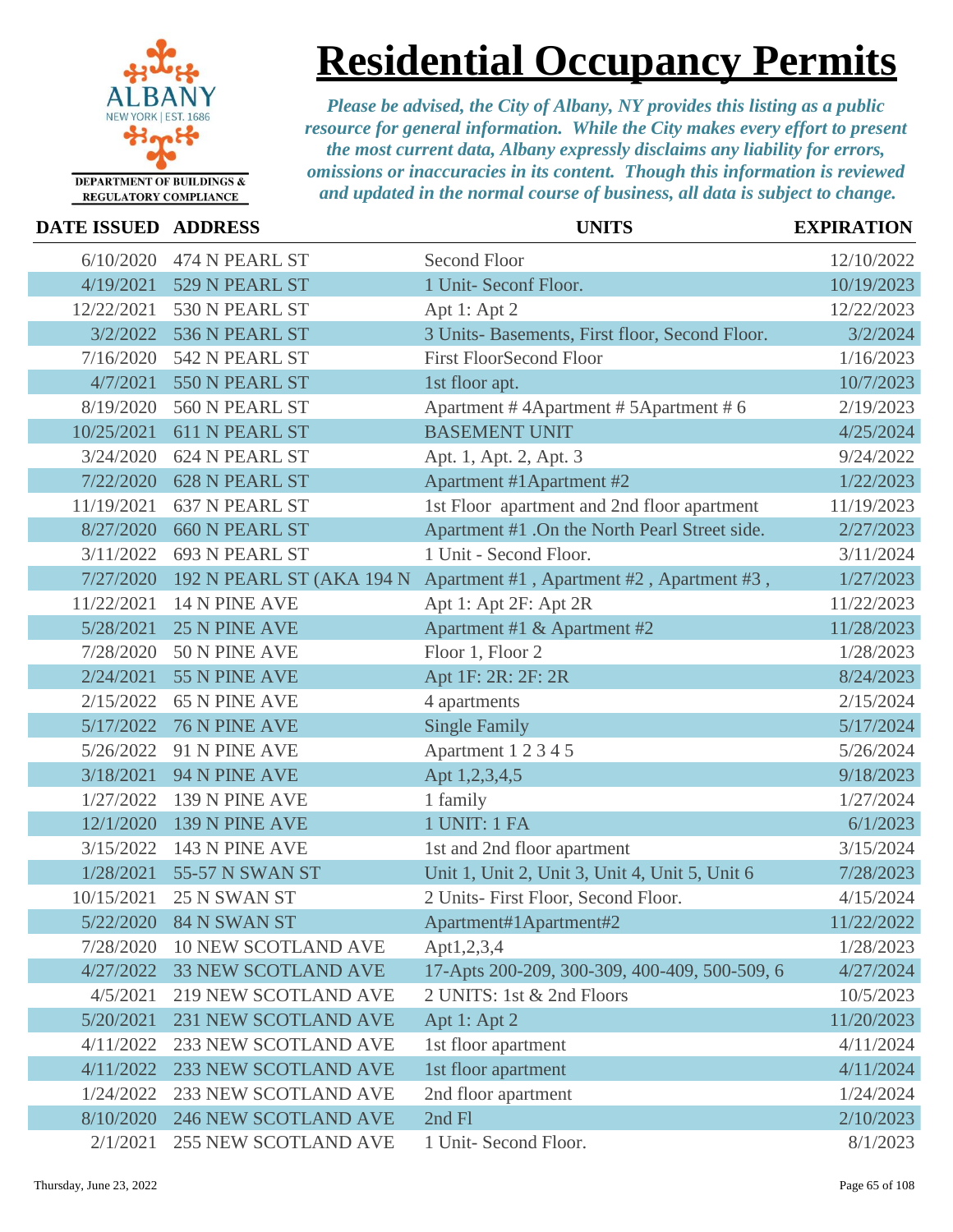

**Residential Occupancy Permits**

| <b>DATE ISSUED ADDRESS</b> |                             | <b>UNITS</b>                                   | <b>EXPIRATION</b> |
|----------------------------|-----------------------------|------------------------------------------------|-------------------|
| 6/10/2020                  | 474 N PEARL ST              | Second Floor                                   | 12/10/2022        |
| 4/19/2021                  | 529 N PEARL ST              | 1 Unit- Seconf Floor.                          | 10/19/2023        |
| 12/22/2021                 | 530 N PEARL ST              | Apt 1: Apt 2                                   | 12/22/2023        |
| 3/2/2022                   | 536 N PEARL ST              | 3 Units- Basements, First floor, Second Floor. | 3/2/2024          |
| 7/16/2020                  | 542 N PEARL ST              | <b>First FloorSecond Floor</b>                 | 1/16/2023         |
| 4/7/2021                   | 550 N PEARL ST              | 1st floor apt.                                 | 10/7/2023         |
| 8/19/2020                  | 560 N PEARL ST              | Apartment #4Apartment #5Apartment #6           | 2/19/2023         |
| 10/25/2021                 | 611 N PEARL ST              | <b>BASEMENT UNIT</b>                           | 4/25/2024         |
| 3/24/2020                  | 624 N PEARL ST              | Apt. 1, Apt. 2, Apt. 3                         | 9/24/2022         |
| 7/22/2020                  | <b>628 N PEARL ST</b>       | Apartment #1Apartment #2                       | 1/22/2023         |
| 11/19/2021                 | 637 N PEARL ST              | 1st Floor apartment and 2nd floor apartment    | 11/19/2023        |
| 8/27/2020                  | <b>660 N PEARL ST</b>       | Apartment #1 .On the North Pearl Street side.  | 2/27/2023         |
| 3/11/2022                  | 693 N PEARL ST              | 1 Unit - Second Floor.                         | 3/11/2024         |
| 7/27/2020                  | 192 N PEARL ST (AKA 194 N   | Apartment #1, Apartment #2, Apartment #3,      | 1/27/2023         |
| 11/22/2021                 | 14 N PINE AVE               | Apt 1: Apt 2F: Apt 2R                          | 11/22/2023        |
| 5/28/2021                  | <b>25 N PINE AVE</b>        | Apartment #1 & Apartment #2                    | 11/28/2023        |
| 7/28/2020                  | 50 N PINE AVE               | Floor 1, Floor 2                               | 1/28/2023         |
| 2/24/2021                  | 55 N PINE AVE               | Apt 1F: 2R: 2F: 2R                             | 8/24/2023         |
| 2/15/2022                  | <b>65 N PINE AVE</b>        | 4 apartments                                   | 2/15/2024         |
| 5/17/2022                  | 76 N PINE AVE               | <b>Single Family</b>                           | 5/17/2024         |
| 5/26/2022                  | 91 N PINE AVE               | Apartment 1 2 3 4 5                            | 5/26/2024         |
| 3/18/2021                  | 94 N PINE AVE               | Apt 1,2,3,4,5                                  | 9/18/2023         |
| 1/27/2022                  | 139 N PINE AVE              | 1 family                                       | 1/27/2024         |
| 12/1/2020                  | 139 N PINE AVE              | <b>1 UNIT: 1 FA</b>                            | 6/1/2023          |
| 3/15/2022                  | 143 N PINE AVE              | 1st and 2nd floor apartment                    | 3/15/2024         |
| 1/28/2021                  | 55-57 N SWAN ST             | Unit 1, Unit 2, Unit 3, Unit 4, Unit 5, Unit 6 | 7/28/2023         |
| 10/15/2021                 | 25 N SWAN ST                | 2 Units- First Floor, Second Floor.            | 4/15/2024         |
|                            | 5/22/2020 84 N SWAN ST      | Apartment#1Apartment#2                         | 11/22/2022        |
| 7/28/2020                  | <b>10 NEW SCOTLAND AVE</b>  | Apt1,2,3,4                                     | 1/28/2023         |
| 4/27/2022                  | <b>33 NEW SCOTLAND AVE</b>  | 17-Apts 200-209, 300-309, 400-409, 500-509, 6  | 4/27/2024         |
| 4/5/2021                   | <b>219 NEW SCOTLAND AVE</b> | 2 UNITS: 1st & 2nd Floors                      | 10/5/2023         |
| 5/20/2021                  | 231 NEW SCOTLAND AVE        | Apt 1: Apt 2                                   | 11/20/2023        |
| 4/11/2022                  | 233 NEW SCOTLAND AVE        | 1st floor apartment                            | 4/11/2024         |
| 4/11/2022                  | 233 NEW SCOTLAND AVE        | 1st floor apartment                            | 4/11/2024         |
| 1/24/2022                  | 233 NEW SCOTLAND AVE        | 2nd floor apartment                            | 1/24/2024         |
| 8/10/2020                  | <b>246 NEW SCOTLAND AVE</b> | 2nd Fl                                         | 2/10/2023         |
| 2/1/2021                   | 255 NEW SCOTLAND AVE        | 1 Unit- Second Floor.                          | 8/1/2023          |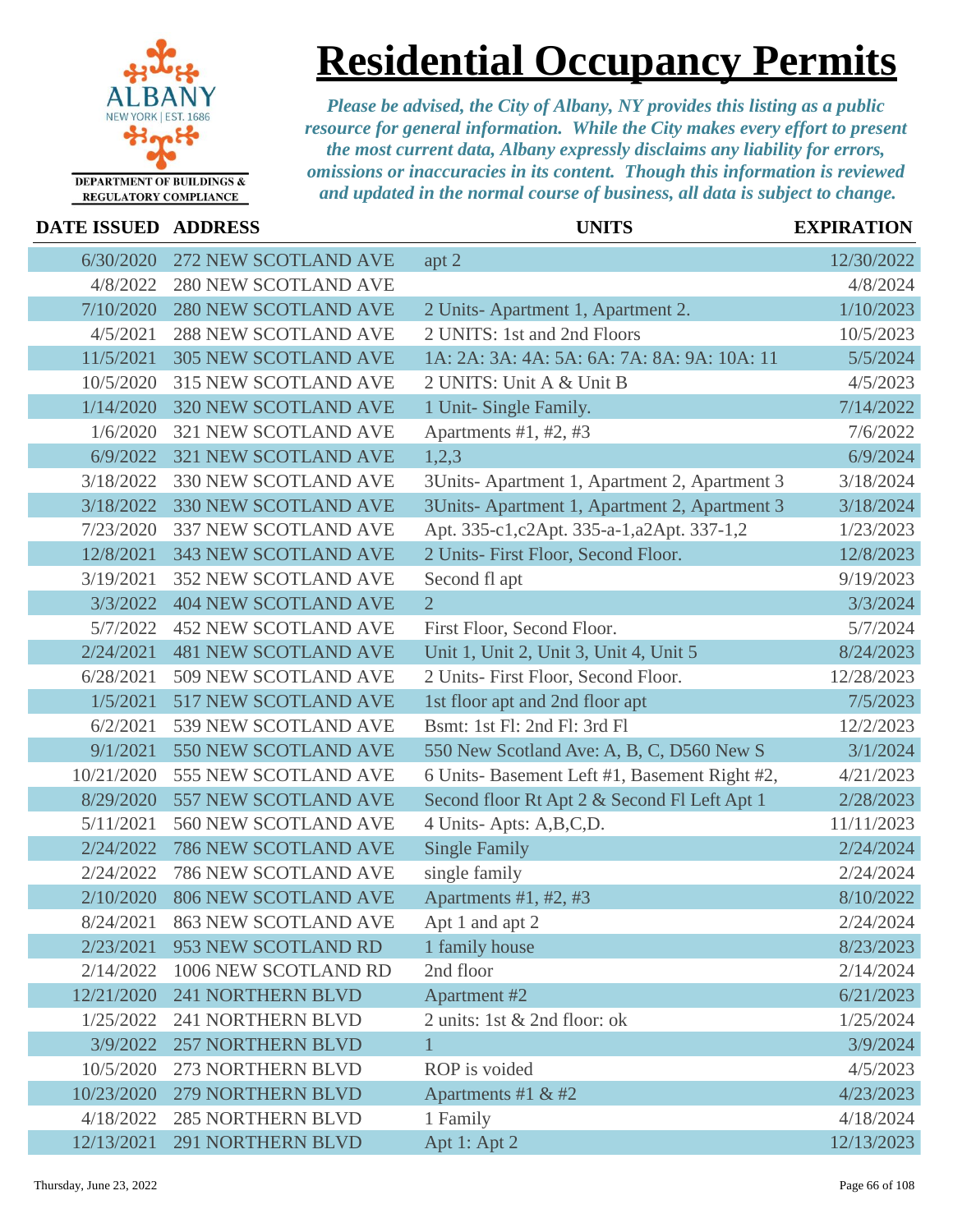

### **DATE ISSUED ADDRESS UNITS EXPIRATION**

### **Residential Occupancy Permits**

| DATE ISSUED ADDRESS |                             | UNLL)                                        | L'AI INATIUN |
|---------------------|-----------------------------|----------------------------------------------|--------------|
| 6/30/2020           | 272 NEW SCOTLAND AVE        | apt 2                                        | 12/30/2022   |
| 4/8/2022            | <b>280 NEW SCOTLAND AVE</b> |                                              | 4/8/2024     |
| 7/10/2020           | <b>280 NEW SCOTLAND AVE</b> | 2 Units-Apartment 1, Apartment 2.            | 1/10/2023    |
| 4/5/2021            | <b>288 NEW SCOTLAND AVE</b> | 2 UNITS: 1st and 2nd Floors                  | 10/5/2023    |
| 11/5/2021           | <b>305 NEW SCOTLAND AVE</b> | 1A: 2A: 3A: 4A: 5A: 6A: 7A: 8A: 9A: 10A: 11  | 5/5/2024     |
| 10/5/2020           | <b>315 NEW SCOTLAND AVE</b> | 2 UNITS: Unit A & Unit B                     | 4/5/2023     |
| 1/14/2020           | <b>320 NEW SCOTLAND AVE</b> | 1 Unit- Single Family.                       | 7/14/2022    |
| 1/6/2020            | 321 NEW SCOTLAND AVE        | Apartments $#1, #2, #3$                      | 7/6/2022     |
| 6/9/2022            | <b>321 NEW SCOTLAND AVE</b> | 1,2,3                                        | 6/9/2024     |
| 3/18/2022           | 330 NEW SCOTLAND AVE        | 3Units-Apartment 1, Apartment 2, Apartment 3 | 3/18/2024    |
| 3/18/2022           | 330 NEW SCOTLAND AVE        | 3Units-Apartment 1, Apartment 2, Apartment 3 | 3/18/2024    |
| 7/23/2020           | 337 NEW SCOTLAND AVE        | Apt. 335-c1, c2Apt. 335-a-1, a2Apt. 337-1, 2 | 1/23/2023    |
| 12/8/2021           | <b>343 NEW SCOTLAND AVE</b> | 2 Units- First Floor, Second Floor.          | 12/8/2023    |
| 3/19/2021           | <b>352 NEW SCOTLAND AVE</b> | Second fl apt                                | 9/19/2023    |
| 3/3/2022            | <b>404 NEW SCOTLAND AVE</b> | $\overline{2}$                               | 3/3/2024     |
| 5/7/2022            | <b>452 NEW SCOTLAND AVE</b> | First Floor, Second Floor.                   | 5/7/2024     |
| 2/24/2021           | <b>481 NEW SCOTLAND AVE</b> | Unit 1, Unit 2, Unit 3, Unit 4, Unit 5       | 8/24/2023    |
| 6/28/2021           | 509 NEW SCOTLAND AVE        | 2 Units- First Floor, Second Floor.          | 12/28/2023   |
| 1/5/2021            | 517 NEW SCOTLAND AVE        | 1st floor apt and 2nd floor apt              | 7/5/2023     |
| 6/2/2021            | 539 NEW SCOTLAND AVE        | Bsmt: 1st Fl: 2nd Fl: 3rd Fl                 | 12/2/2023    |
| 9/1/2021            | 550 NEW SCOTLAND AVE        | 550 New Scotland Ave: A, B, C, D560 New S    | 3/1/2024     |
| 10/21/2020          | 555 NEW SCOTLAND AVE        | 6 Units-Basement Left #1, Basement Right #2, | 4/21/2023    |
| 8/29/2020           | 557 NEW SCOTLAND AVE        | Second floor Rt Apt 2 & Second Fl Left Apt 1 | 2/28/2023    |
| 5/11/2021           | 560 NEW SCOTLAND AVE        | 4 Units-Apts: A,B,C,D.                       | 11/11/2023   |
| 2/24/2022           | 786 NEW SCOTLAND AVE        | <b>Single Family</b>                         | 2/24/2024    |
| 2/24/2022           | 786 NEW SCOTLAND AVE        | single family                                | 2/24/2024    |
| 2/10/2020           | <b>806 NEW SCOTLAND AVE</b> | Apartments #1, #2, #3                        | 8/10/2022    |
| 8/24/2021           | <b>863 NEW SCOTLAND AVE</b> | Apt 1 and apt 2                              | 2/24/2024    |
| 2/23/2021           | 953 NEW SCOTLAND RD         | 1 family house                               | 8/23/2023    |
| 2/14/2022           | 1006 NEW SCOTLAND RD        | 2nd floor                                    | 2/14/2024    |
| 12/21/2020          | <b>241 NORTHERN BLVD</b>    | Apartment #2                                 | 6/21/2023    |
| 1/25/2022           | 241 NORTHERN BLVD           | 2 units: 1st & 2nd floor: ok                 | 1/25/2024    |
| 3/9/2022            | <b>257 NORTHERN BLVD</b>    | $\mathbf{1}$                                 | 3/9/2024     |
| 10/5/2020           | 273 NORTHERN BLVD           | ROP is voided                                | 4/5/2023     |
| 10/23/2020          | 279 NORTHERN BLVD           | Apartments #1 & #2                           | 4/23/2023    |
| 4/18/2022           | <b>285 NORTHERN BLVD</b>    | 1 Family                                     | 4/18/2024    |
| 12/13/2021          | 291 NORTHERN BLVD           | Apt 1: Apt 2                                 | 12/13/2023   |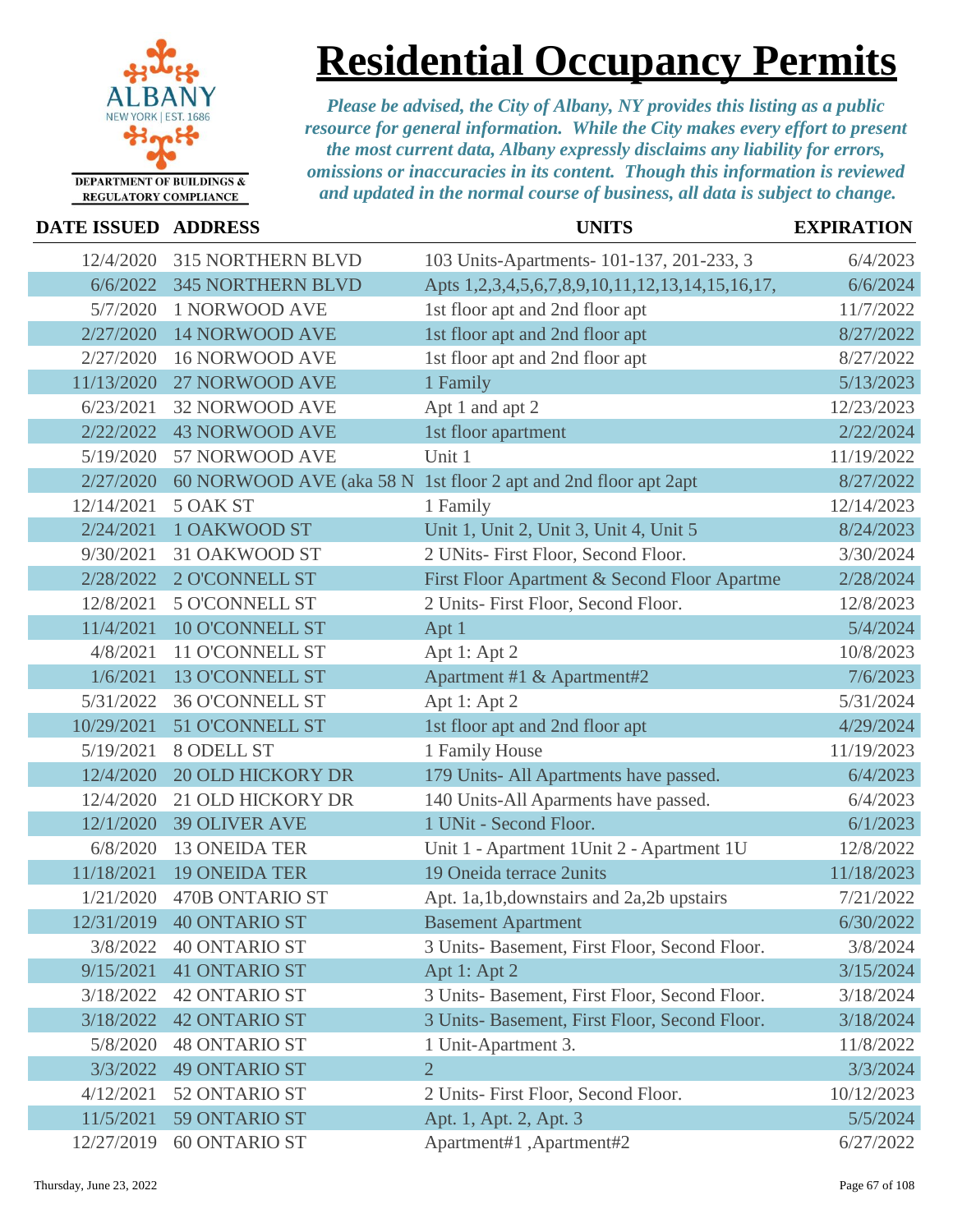

# **Residential Occupancy Permits**

| <b>DATE ISSUED ADDRESS</b> |                          | <b>UNITS</b>                                                    | <b>EXPIRATION</b> |
|----------------------------|--------------------------|-----------------------------------------------------------------|-------------------|
| 12/4/2020                  | <b>315 NORTHERN BLVD</b> | 103 Units-Apartments- 101-137, 201-233, 3                       | 6/4/2023          |
| 6/6/2022                   | <b>345 NORTHERN BLVD</b> | Apts 1,2,3,4,5,6,7,8,9,10,11,12,13,14,15,16,17,                 | 6/6/2024          |
| 5/7/2020                   | 1 NORWOOD AVE            | 1st floor apt and 2nd floor apt                                 | 11/7/2022         |
| 2/27/2020                  | <b>14 NORWOOD AVE</b>    | 1st floor apt and 2nd floor apt                                 | 8/27/2022         |
| 2/27/2020                  | <b>16 NORWOOD AVE</b>    | 1st floor apt and 2nd floor apt                                 | 8/27/2022         |
| 11/13/2020                 | 27 NORWOOD AVE           | 1 Family                                                        | 5/13/2023         |
| 6/23/2021                  | <b>32 NORWOOD AVE</b>    | Apt 1 and apt 2                                                 | 12/23/2023        |
| 2/22/2022                  | <b>43 NORWOOD AVE</b>    | 1st floor apartment                                             | 2/22/2024         |
| 5/19/2020                  | 57 NORWOOD AVE           | Unit 1                                                          | 11/19/2022        |
| 2/27/2020                  |                          | 60 NORWOOD AVE (aka 58 N 1st floor 2 apt and 2nd floor apt 2apt | 8/27/2022         |
| 12/14/2021                 | 5 OAK ST                 | 1 Family                                                        | 12/14/2023        |
| 2/24/2021                  | <b>1 OAKWOOD ST</b>      | Unit 1, Unit 2, Unit 3, Unit 4, Unit 5                          | 8/24/2023         |
| 9/30/2021                  | 31 OAKWOOD ST            | 2 UNits- First Floor, Second Floor.                             | 3/30/2024         |
| 2/28/2022                  | <b>2 O'CONNELL ST</b>    | First Floor Apartment & Second Floor Apartme                    | 2/28/2024         |
| 12/8/2021                  | <b>5 O'CONNELL ST</b>    | 2 Units- First Floor, Second Floor.                             | 12/8/2023         |
| 11/4/2021                  | <b>10 O'CONNELL ST</b>   | Apt 1                                                           | 5/4/2024          |
| 4/8/2021                   | 11 O'CONNELL ST          | Apt 1: Apt 2                                                    | 10/8/2023         |
| 1/6/2021                   | <b>13 O'CONNELL ST</b>   | Apartment #1 & Apartment#2                                      | 7/6/2023          |
| 5/31/2022                  | <b>36 O'CONNELL ST</b>   | Apt 1: Apt 2                                                    | 5/31/2024         |
| 10/29/2021                 | 51 O'CONNELL ST          | 1st floor apt and 2nd floor apt                                 | 4/29/2024         |
| 5/19/2021                  | 8 ODELL ST               | 1 Family House                                                  | 11/19/2023        |
| 12/4/2020                  | <b>20 OLD HICKORY DR</b> | 179 Units- All Apartments have passed.                          | 6/4/2023          |
| 12/4/2020                  | 21 OLD HICKORY DR        | 140 Units-All Aparments have passed.                            | 6/4/2023          |
| 12/1/2020                  | <b>39 OLIVER AVE</b>     | 1 UNit - Second Floor.                                          | 6/1/2023          |
| 6/8/2020                   | <b>13 ONEIDA TER</b>     | Unit 1 - Apartment 1Unit 2 - Apartment 1U                       | 12/8/2022         |
| 11/18/2021                 | <b>19 ONEIDA TER</b>     | 19 Oneida terrace 2units                                        | 11/18/2023        |
| 1/21/2020                  | <b>470B ONTARIO ST</b>   | Apt. 1a,1b,downstairs and 2a,2b upstairs                        | 7/21/2022         |
| 12/31/2019                 | <b>40 ONTARIO ST</b>     | <b>Basement Apartment</b>                                       | 6/30/2022         |
| 3/8/2022                   | <b>40 ONTARIO ST</b>     | 3 Units- Basement, First Floor, Second Floor.                   | 3/8/2024          |
| 9/15/2021                  | <b>41 ONTARIO ST</b>     | Apt 1: Apt 2                                                    | 3/15/2024         |
| 3/18/2022                  | <b>42 ONTARIO ST</b>     | 3 Units- Basement, First Floor, Second Floor.                   | 3/18/2024         |
| 3/18/2022                  | <b>42 ONTARIO ST</b>     | 3 Units- Basement, First Floor, Second Floor.                   | 3/18/2024         |
| 5/8/2020                   | <b>48 ONTARIO ST</b>     | 1 Unit-Apartment 3.                                             | 11/8/2022         |
| 3/3/2022                   | <b>49 ONTARIO ST</b>     | $\overline{2}$                                                  | 3/3/2024          |
| 4/12/2021                  | 52 ONTARIO ST            | 2 Units- First Floor, Second Floor.                             | 10/12/2023        |
| 11/5/2021                  | 59 ONTARIO ST            | Apt. 1, Apt. 2, Apt. 3                                          | 5/5/2024          |
| 12/27/2019                 | <b>60 ONTARIO ST</b>     | Apartment#1, Apartment#2                                        | 6/27/2022         |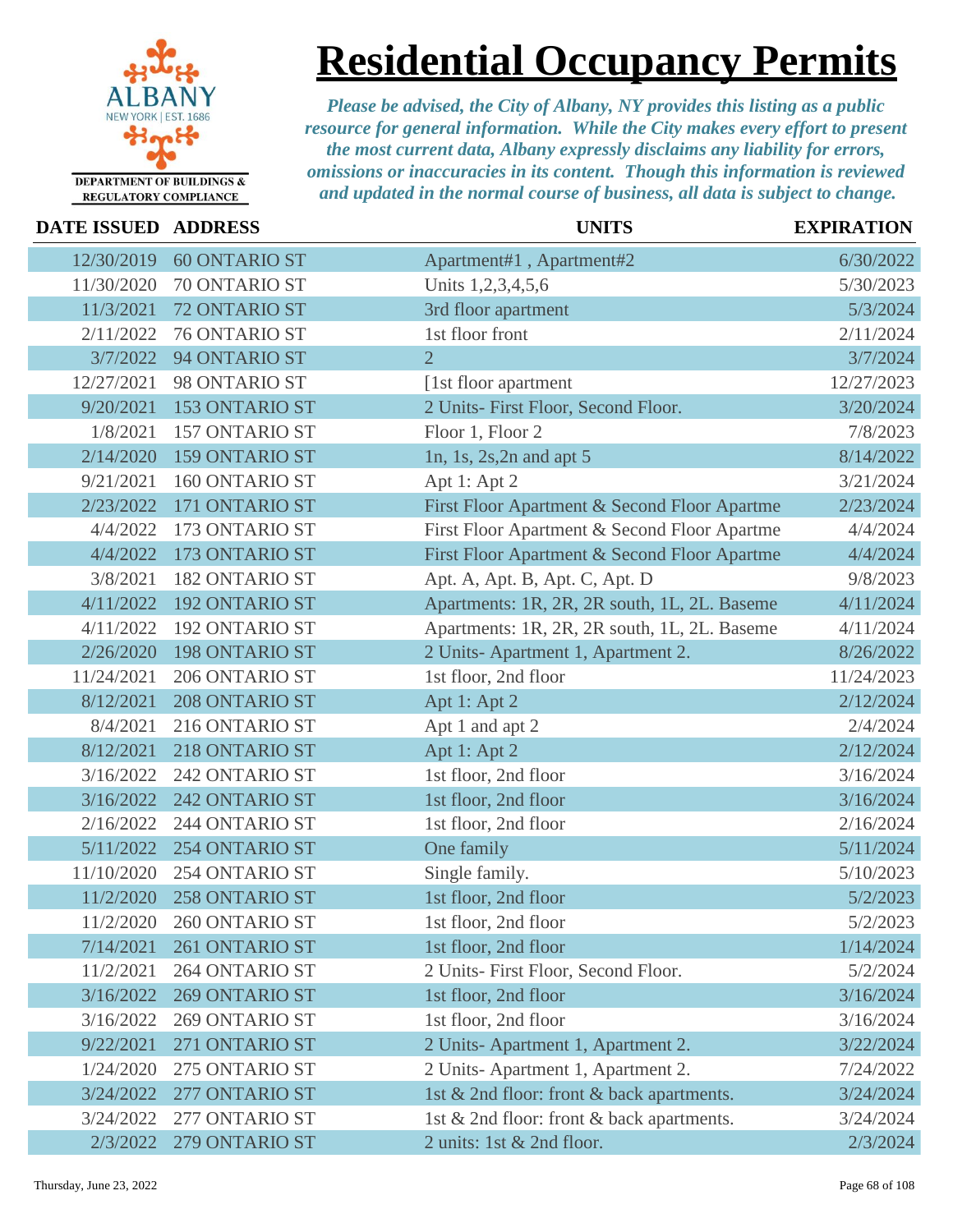

**Residential Occupancy Permits**

| DATE ISSUED ADDRESS |                       | <b>UNITS</b>                                 | <b>EXPIRATION</b> |
|---------------------|-----------------------|----------------------------------------------|-------------------|
| 12/30/2019          | <b>60 ONTARIO ST</b>  | Apartment#1, Apartment#2                     | 6/30/2022         |
| 11/30/2020          | 70 ONTARIO ST         | Units 1,2,3,4,5,6                            | 5/30/2023         |
| 11/3/2021           | 72 ONTARIO ST         | 3rd floor apartment                          | 5/3/2024          |
| 2/11/2022           | 76 ONTARIO ST         | 1st floor front                              | 2/11/2024         |
| 3/7/2022            | 94 ONTARIO ST         | $\overline{2}$                               | 3/7/2024          |
| 12/27/2021          | 98 ONTARIO ST         | [1st floor apartment                         | 12/27/2023        |
| 9/20/2021           | 153 ONTARIO ST        | 2 Units- First Floor, Second Floor.          | 3/20/2024         |
| 1/8/2021            | 157 ONTARIO ST        | Floor 1, Floor 2                             | 7/8/2023          |
| 2/14/2020           | <b>159 ONTARIO ST</b> | 1n, 1s, 2s, $2n$ and apt 5                   | 8/14/2022         |
| 9/21/2021           | 160 ONTARIO ST        | Apt 1: Apt 2                                 | 3/21/2024         |
| 2/23/2022           | 171 ONTARIO ST        | First Floor Apartment & Second Floor Apartme | 2/23/2024         |
| 4/4/2022            | 173 ONTARIO ST        | First Floor Apartment & Second Floor Apartme | 4/4/2024          |
| 4/4/2022            | 173 ONTARIO ST        | First Floor Apartment & Second Floor Apartme | 4/4/2024          |
| 3/8/2021            | 182 ONTARIO ST        | Apt. A, Apt. B, Apt. C, Apt. D               | 9/8/2023          |
| 4/11/2022           | <b>192 ONTARIO ST</b> | Apartments: 1R, 2R, 2R south, 1L, 2L. Baseme | 4/11/2024         |
| 4/11/2022           | <b>192 ONTARIO ST</b> | Apartments: 1R, 2R, 2R south, 1L, 2L. Baseme | 4/11/2024         |
| 2/26/2020           | 198 ONTARIO ST        | 2 Units-Apartment 1, Apartment 2.            | 8/26/2022         |
| 11/24/2021          | 206 ONTARIO ST        | 1st floor, 2nd floor                         | 11/24/2023        |
| 8/12/2021           | 208 ONTARIO ST        | Apt 1: Apt 2                                 | 2/12/2024         |
| 8/4/2021            | 216 ONTARIO ST        | Apt 1 and apt 2                              | 2/4/2024          |
| 8/12/2021           | 218 ONTARIO ST        | Apt 1: Apt 2                                 | 2/12/2024         |
| 3/16/2022           | 242 ONTARIO ST        | 1st floor, 2nd floor                         | 3/16/2024         |
| 3/16/2022           | 242 ONTARIO ST        | 1st floor, 2nd floor                         | 3/16/2024         |
| 2/16/2022           | 244 ONTARIO ST        | 1st floor, 2nd floor                         | 2/16/2024         |
| 5/11/2022           | 254 ONTARIO ST        | One family                                   | 5/11/2024         |
| 11/10/2020          | 254 ONTARIO ST        | Single family.                               | 5/10/2023         |
| 11/2/2020           | 258 ONTARIO ST        | 1st floor, 2nd floor                         | 5/2/2023          |
| 11/2/2020           | 260 ONTARIO ST        | 1st floor, 2nd floor                         | 5/2/2023          |
| 7/14/2021           | 261 ONTARIO ST        | 1st floor, 2nd floor                         | 1/14/2024         |
| 11/2/2021           | 264 ONTARIO ST        | 2 Units- First Floor, Second Floor.          | 5/2/2024          |
| 3/16/2022           | <b>269 ONTARIO ST</b> | 1st floor, 2nd floor                         | 3/16/2024         |
| 3/16/2022           | 269 ONTARIO ST        | 1st floor, 2nd floor                         | 3/16/2024         |
| 9/22/2021           | 271 ONTARIO ST        | 2 Units-Apartment 1, Apartment 2.            | 3/22/2024         |
| 1/24/2020           | 275 ONTARIO ST        | 2 Units-Apartment 1, Apartment 2.            | 7/24/2022         |
| 3/24/2022           | 277 ONTARIO ST        | 1st & 2nd floor: front & back apartments.    | 3/24/2024         |
| 3/24/2022           | 277 ONTARIO ST        | 1st & 2nd floor: front & back apartments.    | 3/24/2024         |
| 2/3/2022            | 279 ONTARIO ST        | 2 units: 1st & 2nd floor.                    | 2/3/2024          |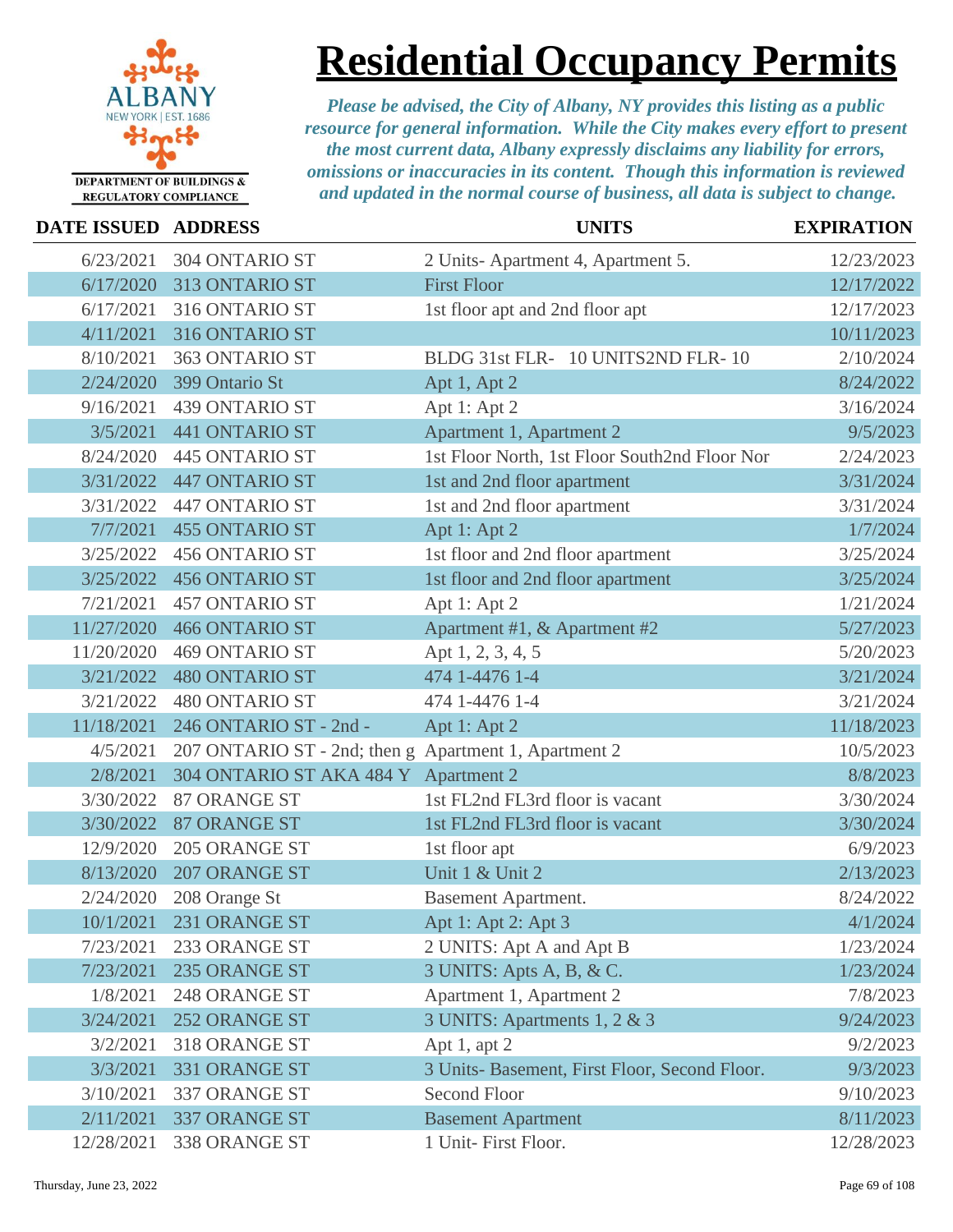

# **Residential Occupancy Permits**

| <b>DATE ISSUED ADDRESS</b> |                                                       | <b>UNITS</b>                                  | <b>EXPIRATION</b> |
|----------------------------|-------------------------------------------------------|-----------------------------------------------|-------------------|
| 6/23/2021                  | 304 ONTARIO ST                                        | 2 Units-Apartment 4, Apartment 5.             | 12/23/2023        |
| 6/17/2020                  | 313 ONTARIO ST                                        | <b>First Floor</b>                            | 12/17/2022        |
| 6/17/2021                  | 316 ONTARIO ST                                        | 1st floor apt and 2nd floor apt               | 12/17/2023        |
| 4/11/2021                  | 316 ONTARIO ST                                        |                                               | 10/11/2023        |
| 8/10/2021                  | 363 ONTARIO ST                                        | BLDG 31st FLR- 10 UNITS2ND FLR-10             | 2/10/2024         |
| 2/24/2020                  | 399 Ontario St                                        | Apt 1, Apt 2                                  | 8/24/2022         |
| 9/16/2021                  | 439 ONTARIO ST                                        | Apt 1: Apt 2                                  | 3/16/2024         |
| 3/5/2021                   | <b>441 ONTARIO ST</b>                                 | Apartment 1, Apartment 2                      | 9/5/2023          |
| 8/24/2020                  | 445 ONTARIO ST                                        | 1st Floor North, 1st Floor South2nd Floor Nor | 2/24/2023         |
| 3/31/2022                  | <b>447 ONTARIO ST</b>                                 | 1st and 2nd floor apartment                   | 3/31/2024         |
| 3/31/2022                  | 447 ONTARIO ST                                        | 1st and 2nd floor apartment                   | 3/31/2024         |
| 7/7/2021                   | <b>455 ONTARIO ST</b>                                 | Apt 1: Apt 2                                  | 1/7/2024          |
| 3/25/2022                  | <b>456 ONTARIO ST</b>                                 | 1st floor and 2nd floor apartment             | 3/25/2024         |
| 3/25/2022                  | <b>456 ONTARIO ST</b>                                 | 1st floor and 2nd floor apartment             | 3/25/2024         |
| 7/21/2021                  | <b>457 ONTARIO ST</b>                                 | Apt 1: Apt 2                                  | 1/21/2024         |
| 11/27/2020                 | <b>466 ONTARIO ST</b>                                 | Apartment #1, & Apartment #2                  | 5/27/2023         |
| 11/20/2020                 | <b>469 ONTARIO ST</b>                                 | Apt 1, 2, 3, 4, 5                             | 5/20/2023         |
| 3/21/2022                  | <b>480 ONTARIO ST</b>                                 | 474 1-4476 1-4                                | 3/21/2024         |
| 3/21/2022                  | <b>480 ONTARIO ST</b>                                 | 474 1-4476 1-4                                | 3/21/2024         |
| 11/18/2021                 | 246 ONTARIO ST - 2nd -                                | Apt 1: Apt 2                                  | 11/18/2023        |
| 4/5/2021                   | 207 ONTARIO ST - 2nd; then g Apartment 1, Apartment 2 |                                               | 10/5/2023         |
| 2/8/2021                   | 304 ONTARIO ST AKA 484 Y Apartment 2                  |                                               | 8/8/2023          |
| 3/30/2022                  | 87 ORANGE ST                                          | 1st FL2nd FL3rd floor is vacant               | 3/30/2024         |
| 3/30/2022                  | <b>87 ORANGE ST</b>                                   | 1st FL2nd FL3rd floor is vacant               | 3/30/2024         |
| 12/9/2020                  | 205 ORANGE ST                                         | 1st floor apt                                 | 6/9/2023          |
| 8/13/2020                  | 207 ORANGE ST                                         | Unit 1 & Unit 2                               | 2/13/2023         |
| 2/24/2020                  | 208 Orange St                                         | <b>Basement Apartment.</b>                    | 8/24/2022         |
| 10/1/2021                  | 231 ORANGE ST                                         | Apt 1: Apt 2: Apt 3                           | 4/1/2024          |
| 7/23/2021                  | 233 ORANGE ST                                         | 2 UNITS: Apt A and Apt B                      | 1/23/2024         |
| 7/23/2021                  | 235 ORANGE ST                                         | 3 UNITS: Apts A, B, & C.                      | 1/23/2024         |
| 1/8/2021                   | 248 ORANGE ST                                         | Apartment 1, Apartment 2                      | 7/8/2023          |
| 3/24/2021                  | <b>252 ORANGE ST</b>                                  | 3 UNITS: Apartments 1, 2 & 3                  | 9/24/2023         |
| 3/2/2021                   | 318 ORANGE ST                                         | Apt 1, apt $2$                                | 9/2/2023          |
| 3/3/2021                   | 331 ORANGE ST                                         | 3 Units- Basement, First Floor, Second Floor. | 9/3/2023          |
| 3/10/2021                  | 337 ORANGE ST                                         | <b>Second Floor</b>                           | 9/10/2023         |
| 2/11/2021                  | 337 ORANGE ST                                         | <b>Basement Apartment</b>                     | 8/11/2023         |
| 12/28/2021                 | 338 ORANGE ST                                         | 1 Unit- First Floor.                          | 12/28/2023        |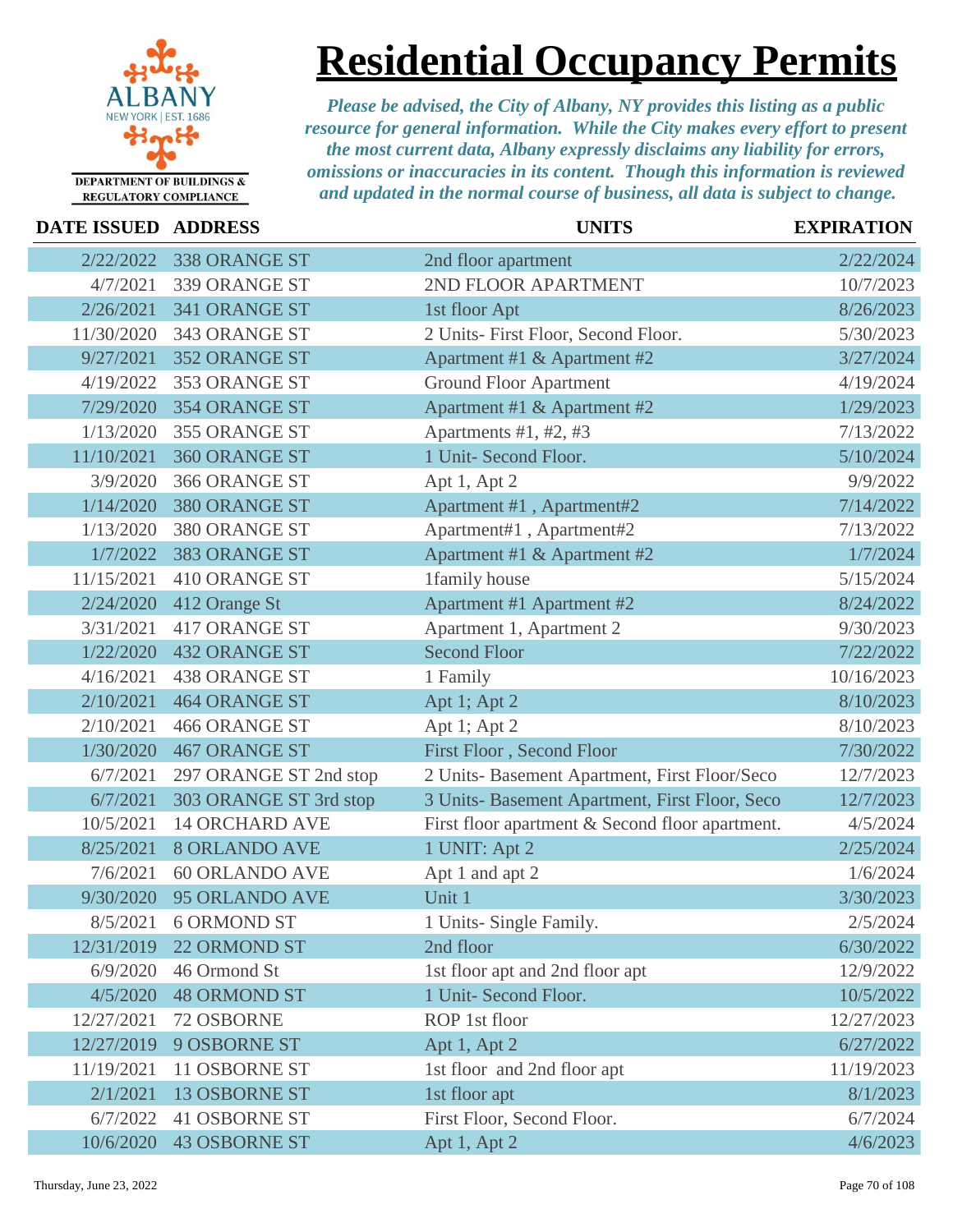

**Residential Occupancy Permits**

| <b>DATE ISSUED ADDRESS</b> |                        | <b>UNITS</b>                                    | <b>EXPIRATION</b> |
|----------------------------|------------------------|-------------------------------------------------|-------------------|
| 2/22/2022                  | 338 ORANGE ST          | 2nd floor apartment                             | 2/22/2024         |
| 4/7/2021                   | 339 ORANGE ST          | 2ND FLOOR APARTMENT                             | 10/7/2023         |
| 2/26/2021                  | 341 ORANGE ST          | 1st floor Apt                                   | 8/26/2023         |
| 11/30/2020                 | 343 ORANGE ST          | 2 Units- First Floor, Second Floor.             | 5/30/2023         |
| 9/27/2021                  | 352 ORANGE ST          | Apartment #1 & Apartment #2                     | 3/27/2024         |
| 4/19/2022                  | 353 ORANGE ST          | <b>Ground Floor Apartment</b>                   | 4/19/2024         |
| 7/29/2020                  | 354 ORANGE ST          | Apartment #1 & Apartment #2                     | 1/29/2023         |
| 1/13/2020                  | 355 ORANGE ST          | Apartments #1, #2, #3                           | 7/13/2022         |
| 11/10/2021                 | 360 ORANGE ST          | 1 Unit- Second Floor.                           | 5/10/2024         |
| 3/9/2020                   | 366 ORANGE ST          | Apt 1, Apt 2                                    | 9/9/2022          |
| 1/14/2020                  | 380 ORANGE ST          | Apartment #1, Apartment#2                       | 7/14/2022         |
| 1/13/2020                  | 380 ORANGE ST          | Apartment#1, Apartment#2                        | 7/13/2022         |
| 1/7/2022                   | 383 ORANGE ST          | Apartment #1 & Apartment #2                     | 1/7/2024          |
| 11/15/2021                 | 410 ORANGE ST          | 1family house                                   | 5/15/2024         |
| 2/24/2020                  | 412 Orange St          | Apartment #1 Apartment #2                       | 8/24/2022         |
| 3/31/2021                  | 417 ORANGE ST          | Apartment 1, Apartment 2                        | 9/30/2023         |
| 1/22/2020                  | <b>432 ORANGE ST</b>   | <b>Second Floor</b>                             | 7/22/2022         |
| 4/16/2021                  | <b>438 ORANGE ST</b>   | 1 Family                                        | 10/16/2023        |
| 2/10/2021                  | <b>464 ORANGE ST</b>   | Apt 1; Apt 2                                    | 8/10/2023         |
| 2/10/2021                  | <b>466 ORANGE ST</b>   | Apt 1; Apt 2                                    | 8/10/2023         |
| 1/30/2020                  | <b>467 ORANGE ST</b>   | First Floor, Second Floor                       | 7/30/2022         |
| 6/7/2021                   | 297 ORANGE ST 2nd stop | 2 Units- Basement Apartment, First Floor/Seco   | 12/7/2023         |
| 6/7/2021                   | 303 ORANGE ST 3rd stop | 3 Units- Basement Apartment, First Floor, Seco  | 12/7/2023         |
| 10/5/2021                  | <b>14 ORCHARD AVE</b>  | First floor apartment & Second floor apartment. | 4/5/2024          |
| 8/25/2021                  | <b>8 ORLANDO AVE</b>   | 1 UNIT: Apt 2                                   | 2/25/2024         |
| 7/6/2021                   | <b>60 ORLANDO AVE</b>  | Apt 1 and apt 2                                 | 1/6/2024          |
| 9/30/2020                  | 95 ORLANDO AVE         | Unit 1                                          | 3/30/2023         |
| 8/5/2021                   | <b>6 ORMOND ST</b>     | 1 Units- Single Family.                         | 2/5/2024          |
| 12/31/2019                 | 22 ORMOND ST           | 2nd floor                                       | 6/30/2022         |
| 6/9/2020                   | 46 Ormond St           | 1st floor apt and 2nd floor apt                 | 12/9/2022         |
| 4/5/2020                   | <b>48 ORMOND ST</b>    | 1 Unit- Second Floor.                           | 10/5/2022         |
| 12/27/2021                 | 72 OSBORNE             | ROP 1st floor                                   | 12/27/2023        |
| 12/27/2019                 | 9 OSBORNE ST           | Apt 1, Apt 2                                    | 6/27/2022         |
| 11/19/2021                 | 11 OSBORNE ST          | 1st floor and 2nd floor apt                     | 11/19/2023        |
| 2/1/2021                   | <b>13 OSBORNE ST</b>   | 1st floor apt                                   | 8/1/2023          |
| 6/7/2022                   | <b>41 OSBORNE ST</b>   | First Floor, Second Floor.                      | 6/7/2024          |
| 10/6/2020                  | <b>43 OSBORNE ST</b>   | Apt 1, Apt 2                                    | 4/6/2023          |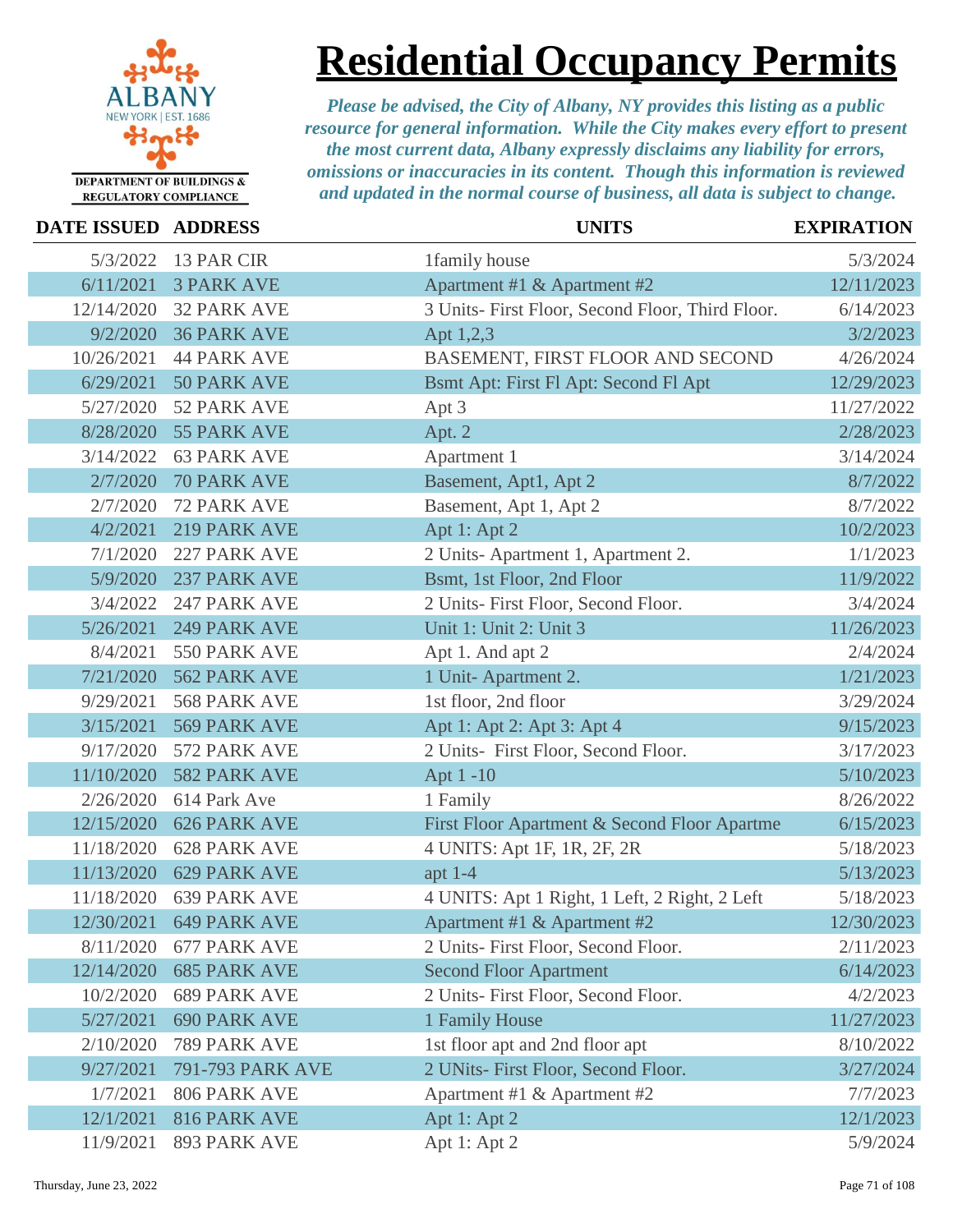

## **Residential Occupancy Permits**

| <b>DATE ISSUED ADDRESS</b> |                     | <b>UNITS</b>                                     | <b>EXPIRATION</b> |
|----------------------------|---------------------|--------------------------------------------------|-------------------|
| 5/3/2022                   | 13 PAR CIR          | 1family house                                    | 5/3/2024          |
| 6/11/2021                  | <b>3 PARK AVE</b>   | Apartment #1 & Apartment #2                      | 12/11/2023        |
| 12/14/2020                 | <b>32 PARK AVE</b>  | 3 Units- First Floor, Second Floor, Third Floor. | 6/14/2023         |
| 9/2/2020                   | <b>36 PARK AVE</b>  | Apt 1,2,3                                        | 3/2/2023          |
| 10/26/2021                 | <b>44 PARK AVE</b>  | BASEMENT, FIRST FLOOR AND SECOND                 | 4/26/2024         |
| 6/29/2021                  | 50 PARK AVE         | Bsmt Apt: First Fl Apt: Second Fl Apt            | 12/29/2023        |
| 5/27/2020                  | 52 PARK AVE         | Apt 3                                            | 11/27/2022        |
| 8/28/2020                  | 55 PARK AVE         | Apt. 2                                           | 2/28/2023         |
| 3/14/2022                  | <b>63 PARK AVE</b>  | Apartment 1                                      | 3/14/2024         |
| 2/7/2020                   | <b>70 PARK AVE</b>  | Basement, Apt1, Apt 2                            | 8/7/2022          |
| 2/7/2020                   | 72 PARK AVE         | Basement, Apt 1, Apt 2                           | 8/7/2022          |
| 4/2/2021                   | 219 PARK AVE        | Apt 1: Apt 2                                     | 10/2/2023         |
| 7/1/2020                   | 227 PARK AVE        | 2 Units-Apartment 1, Apartment 2.                | 1/1/2023          |
| 5/9/2020                   | 237 PARK AVE        | Bsmt, 1st Floor, 2nd Floor                       | 11/9/2022         |
| 3/4/2022                   | 247 PARK AVE        | 2 Units- First Floor, Second Floor.              | 3/4/2024          |
| 5/26/2021                  | <b>249 PARK AVE</b> | Unit 1: Unit 2: Unit 3                           | 11/26/2023        |
| 8/4/2021                   | 550 PARK AVE        | Apt 1. And apt 2                                 | 2/4/2024          |
| 7/21/2020                  | 562 PARK AVE        | 1 Unit-Apartment 2.                              | 1/21/2023         |
| 9/29/2021                  | 568 PARK AVE        | 1st floor, 2nd floor                             | 3/29/2024         |
| 3/15/2021                  | 569 PARK AVE        | Apt 1: Apt 2: Apt 3: Apt 4                       | 9/15/2023         |
| 9/17/2020                  | 572 PARK AVE        | 2 Units- First Floor, Second Floor.              | 3/17/2023         |
| 11/10/2020                 | 582 PARK AVE        | Apt 1-10                                         | 5/10/2023         |
| 2/26/2020                  | 614 Park Ave        | 1 Family                                         | 8/26/2022         |
| 12/15/2020                 | <b>626 PARK AVE</b> | First Floor Apartment & Second Floor Apartme     | 6/15/2023         |
| 11/18/2020                 | <b>628 PARK AVE</b> | 4 UNITS: Apt 1F, 1R, 2F, 2R                      | 5/18/2023         |
| 11/13/2020                 | <b>629 PARK AVE</b> | apt $1-4$                                        | 5/13/2023         |
| 11/18/2020                 | <b>639 PARK AVE</b> | 4 UNITS: Apt 1 Right, 1 Left, 2 Right, 2 Left    | 5/18/2023         |
| 12/30/2021                 | 649 PARK AVE        | Apartment #1 & Apartment #2                      | 12/30/2023        |
| 8/11/2020                  | 677 PARK AVE        | 2 Units- First Floor, Second Floor.              | 2/11/2023         |
| 12/14/2020                 | <b>685 PARK AVE</b> | <b>Second Floor Apartment</b>                    | 6/14/2023         |
| 10/2/2020                  | <b>689 PARK AVE</b> | 2 Units- First Floor, Second Floor.              | 4/2/2023          |
| 5/27/2021                  | <b>690 PARK AVE</b> | 1 Family House                                   | 11/27/2023        |
| 2/10/2020                  | 789 PARK AVE        | 1st floor apt and 2nd floor apt                  | 8/10/2022         |
| 9/27/2021                  | 791-793 PARK AVE    | 2 UNits- First Floor, Second Floor.              | 3/27/2024         |
| 1/7/2021                   | 806 PARK AVE        | Apartment #1 & Apartment #2                      | 7/7/2023          |
| 12/1/2021                  | 816 PARK AVE        | Apt 1: Apt 2                                     | 12/1/2023         |
| 11/9/2021                  | 893 PARK AVE        | Apt 1: Apt 2                                     | 5/9/2024          |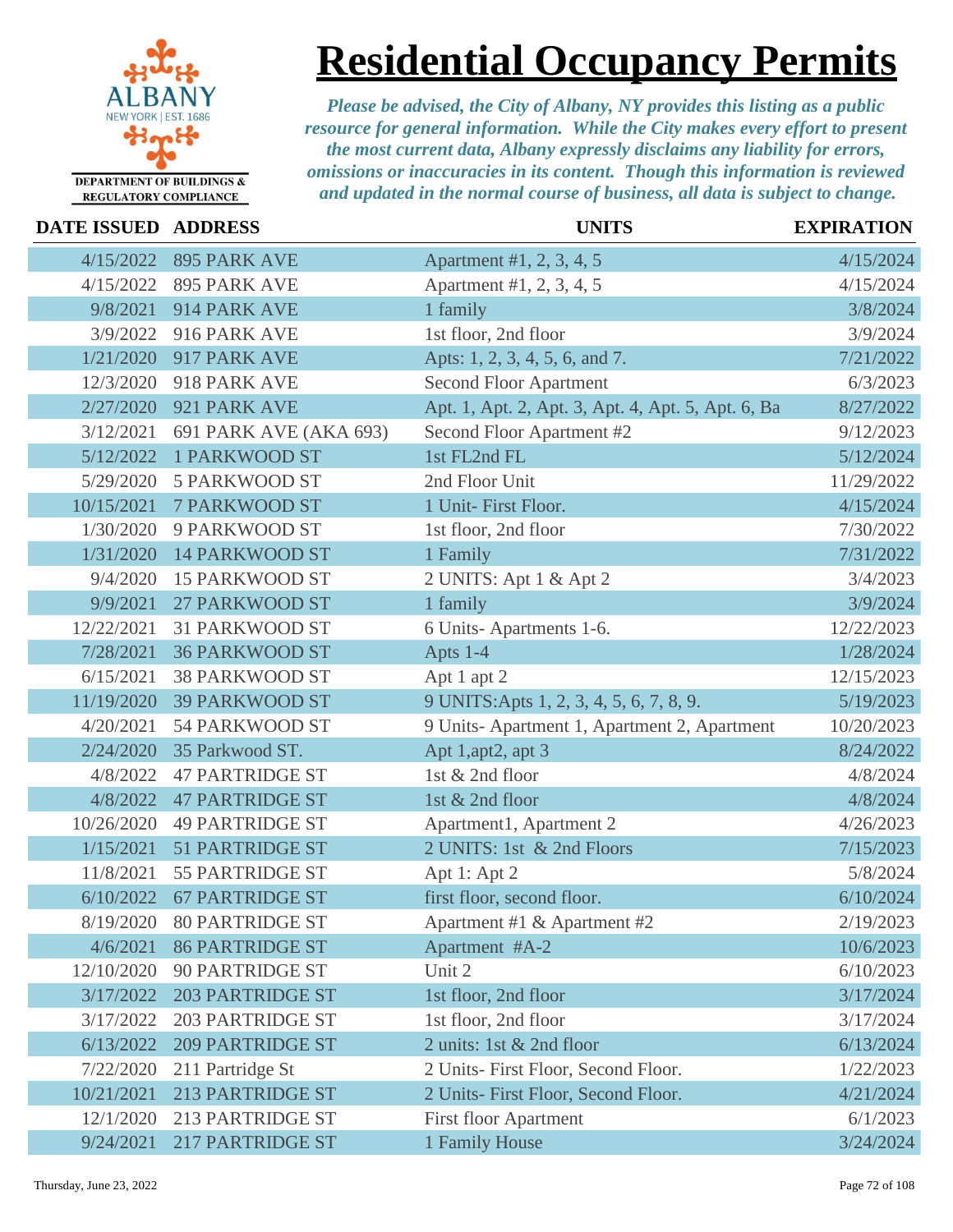

**Residential Occupancy Permits**

| <b>DATE ISSUED ADDRESS</b> |                         | <b>UNITS</b>                                       | <b>EXPIRATION</b> |
|----------------------------|-------------------------|----------------------------------------------------|-------------------|
| 4/15/2022                  | <b>895 PARK AVE</b>     | Apartment #1, 2, 3, 4, 5                           | 4/15/2024         |
| 4/15/2022                  | 895 PARK AVE            | Apartment #1, 2, 3, 4, 5                           | 4/15/2024         |
| 9/8/2021                   | 914 PARK AVE            | 1 family                                           | 3/8/2024          |
| 3/9/2022                   | 916 PARK AVE            | 1st floor, 2nd floor                               | 3/9/2024          |
| 1/21/2020                  | 917 PARK AVE            | Apts: 1, 2, 3, 4, 5, 6, and 7.                     | 7/21/2022         |
| 12/3/2020                  | 918 PARK AVE            | <b>Second Floor Apartment</b>                      | 6/3/2023          |
| 2/27/2020                  | 921 PARK AVE            | Apt. 1, Apt. 2, Apt. 3, Apt. 4, Apt. 5, Apt. 6, Ba | 8/27/2022         |
| 3/12/2021                  | 691 PARK AVE (AKA 693)  | Second Floor Apartment #2                          | 9/12/2023         |
| 5/12/2022                  | <b>1 PARKWOOD ST</b>    | 1st FL2nd FL                                       | 5/12/2024         |
| 5/29/2020                  | <b>5 PARKWOOD ST</b>    | 2nd Floor Unit                                     | 11/29/2022        |
| 10/15/2021                 | <b>7 PARKWOOD ST</b>    | 1 Unit- First Floor.                               | 4/15/2024         |
| 1/30/2020                  | 9 PARKWOOD ST           | 1st floor, 2nd floor                               | 7/30/2022         |
| 1/31/2020                  | <b>14 PARKWOOD ST</b>   | 1 Family                                           | 7/31/2022         |
| 9/4/2020                   | <b>15 PARKWOOD ST</b>   | 2 UNITS: Apt 1 & Apt 2                             | 3/4/2023          |
| 9/9/2021                   | <b>27 PARKWOOD ST</b>   | 1 family                                           | 3/9/2024          |
| 12/22/2021                 | <b>31 PARKWOOD ST</b>   | 6 Units-Apartments 1-6.                            | 12/22/2023        |
| 7/28/2021                  | <b>36 PARKWOOD ST</b>   | Apts 1-4                                           | 1/28/2024         |
| 6/15/2021                  | <b>38 PARKWOOD ST</b>   | Apt 1 apt 2                                        | 12/15/2023        |
| 11/19/2020                 | <b>39 PARKWOOD ST</b>   | 9 UNITS: Apts 1, 2, 3, 4, 5, 6, 7, 8, 9.           | 5/19/2023         |
| 4/20/2021                  | 54 PARKWOOD ST          | 9 Units-Apartment 1, Apartment 2, Apartment        | 10/20/2023        |
| 2/24/2020                  | 35 Parkwood ST.         | Apt 1,apt2, apt 3                                  | 8/24/2022         |
| 4/8/2022                   | <b>47 PARTRIDGE ST</b>  | 1st & 2nd floor                                    | 4/8/2024          |
| 4/8/2022                   | <b>47 PARTRIDGE ST</b>  | 1st & 2nd floor                                    | 4/8/2024          |
| 10/26/2020                 | <b>49 PARTRIDGE ST</b>  | Apartment1, Apartment 2                            | 4/26/2023         |
| 1/15/2021                  | <b>51 PARTRIDGE ST</b>  | 2 UNITS: 1st & 2nd Floors                          | 7/15/2023         |
| 11/8/2021                  | <b>55 PARTRIDGE ST</b>  | Apt 1: Apt 2                                       | 5/8/2024          |
| 6/10/2022                  | <b>67 PARTRIDGE ST</b>  | first floor, second floor.                         | 6/10/2024         |
| 8/19/2020                  | <b>80 PARTRIDGE ST</b>  | Apartment #1 & Apartment #2                        | 2/19/2023         |
| 4/6/2021                   | <b>86 PARTRIDGE ST</b>  | Apartment #A-2                                     | 10/6/2023         |
| 12/10/2020                 | <b>90 PARTRIDGE ST</b>  | Unit 2                                             | 6/10/2023         |
| 3/17/2022                  | <b>203 PARTRIDGE ST</b> | 1st floor, 2nd floor                               | 3/17/2024         |
| 3/17/2022                  | <b>203 PARTRIDGE ST</b> | 1st floor, 2nd floor                               | 3/17/2024         |
| 6/13/2022                  | <b>209 PARTRIDGE ST</b> | 2 units: 1st & 2nd floor                           | 6/13/2024         |
| 7/22/2020                  | 211 Partridge St        | 2 Units- First Floor, Second Floor.                | 1/22/2023         |
| 10/21/2021                 | <b>213 PARTRIDGE ST</b> | 2 Units- First Floor, Second Floor.                | 4/21/2024         |
| 12/1/2020                  | <b>213 PARTRIDGE ST</b> | <b>First floor Apartment</b>                       | 6/1/2023          |
| 9/24/2021                  | <b>217 PARTRIDGE ST</b> | 1 Family House                                     | 3/24/2024         |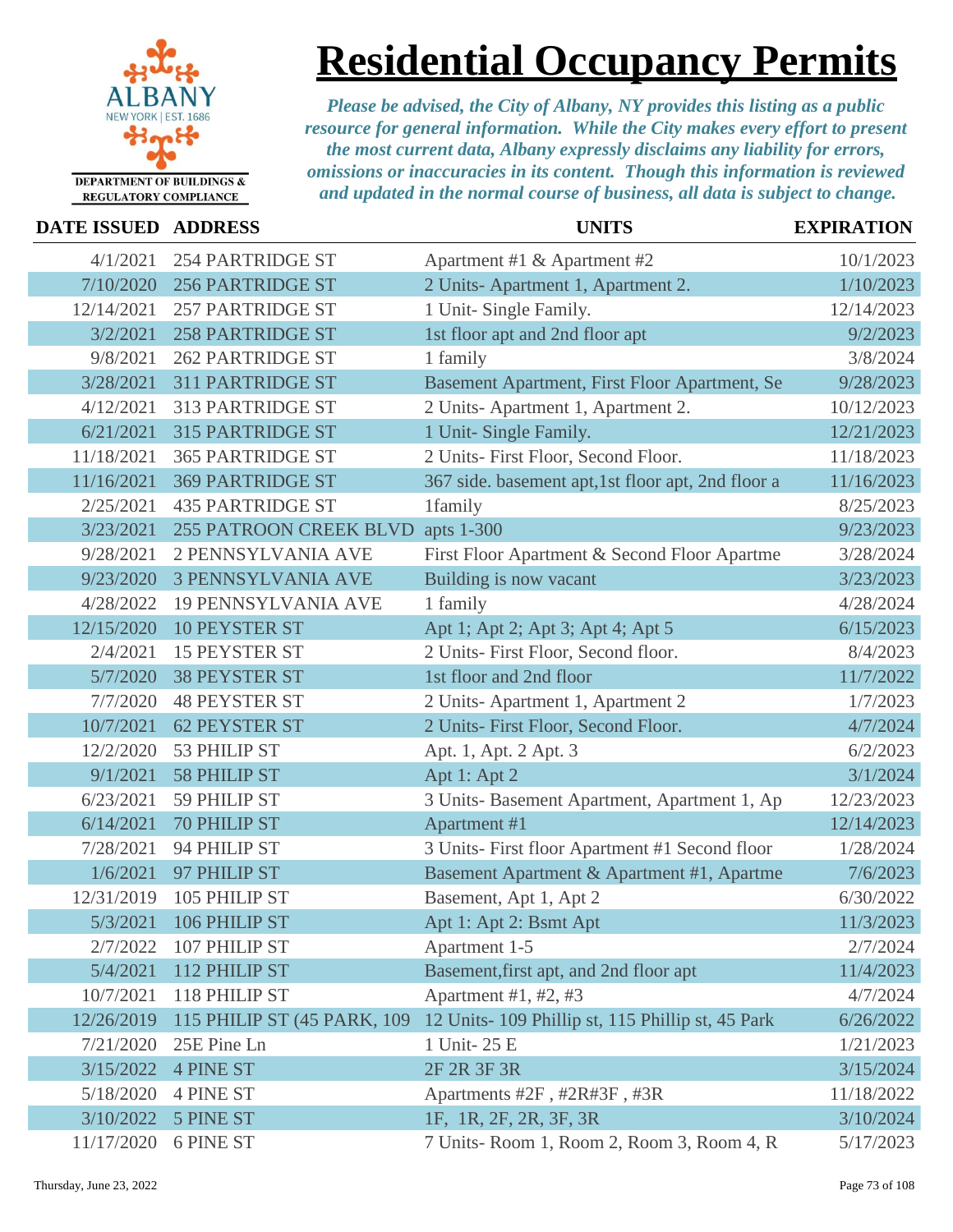

# **Residential Occupancy Permits**

| <b>DATE ISSUED ADDRESS</b> |                               | <b>UNITS</b>                                       | <b>EXPIRATION</b> |
|----------------------------|-------------------------------|----------------------------------------------------|-------------------|
| 4/1/2021                   | <b>254 PARTRIDGE ST</b>       | Apartment #1 & Apartment #2                        | 10/1/2023         |
| 7/10/2020                  | <b>256 PARTRIDGE ST</b>       | 2 Units-Apartment 1, Apartment 2.                  | 1/10/2023         |
| 12/14/2021                 | <b>257 PARTRIDGE ST</b>       | 1 Unit- Single Family.                             | 12/14/2023        |
| 3/2/2021                   | <b>258 PARTRIDGE ST</b>       | 1st floor apt and 2nd floor apt                    | 9/2/2023          |
| 9/8/2021                   | <b>262 PARTRIDGE ST</b>       | 1 family                                           | 3/8/2024          |
| 3/28/2021                  | 311 PARTRIDGE ST              | Basement Apartment, First Floor Apartment, Se      | 9/28/2023         |
| 4/12/2021                  | <b>313 PARTRIDGE ST</b>       | 2 Units-Apartment 1, Apartment 2.                  | 10/12/2023        |
| 6/21/2021                  | <b>315 PARTRIDGE ST</b>       | 1 Unit- Single Family.                             | 12/21/2023        |
| 11/18/2021                 | <b>365 PARTRIDGE ST</b>       | 2 Units- First Floor, Second Floor.                | 11/18/2023        |
| 11/16/2021                 | <b>369 PARTRIDGE ST</b>       | 367 side. basement apt, 1st floor apt, 2nd floor a | 11/16/2023        |
| 2/25/2021                  | <b>435 PARTRIDGE ST</b>       | 1family                                            | 8/25/2023         |
| 3/23/2021                  | <b>255 PATROON CREEK BLVD</b> | apts 1-300                                         | 9/23/2023         |
| 9/28/2021                  | 2 PENNSYLVANIA AVE            | First Floor Apartment & Second Floor Apartme       | 3/28/2024         |
| 9/23/2020                  | <b>3 PENNSYLVANIA AVE</b>     | Building is now vacant                             | 3/23/2023         |
| 4/28/2022                  | <b>19 PENNSYLVANIA AVE</b>    | 1 family                                           | 4/28/2024         |
| 12/15/2020                 | <b>10 PEYSTER ST</b>          | Apt 1; Apt 2; Apt 3; Apt 4; Apt 5                  | 6/15/2023         |
| 2/4/2021                   | 15 PEYSTER ST                 | 2 Units- First Floor, Second floor.                | 8/4/2023          |
| 5/7/2020                   | <b>38 PEYSTER ST</b>          | 1st floor and 2nd floor                            | 11/7/2022         |
| 7/7/2020                   | <b>48 PEYSTER ST</b>          | 2 Units-Apartment 1, Apartment 2                   | 1/7/2023          |
| 10/7/2021                  | <b>62 PEYSTER ST</b>          | 2 Units- First Floor, Second Floor.                | 4/7/2024          |
| 12/2/2020                  | 53 PHILIP ST                  | Apt. 1, Apt. 2 Apt. 3                              | 6/2/2023          |
| 9/1/2021                   | <b>58 PHILIP ST</b>           | Apt 1: Apt 2                                       | 3/1/2024          |
| 6/23/2021                  | 59 PHILIP ST                  | 3 Units- Basement Apartment, Apartment 1, Ap       | 12/23/2023        |
| 6/14/2021                  | <b>70 PHILIP ST</b>           | Apartment #1                                       | 12/14/2023        |
| 7/28/2021                  | 94 PHILIP ST                  | 3 Units- First floor Apartment #1 Second floor     | 1/28/2024         |
| 1/6/2021                   | 97 PHILIP ST                  | Basement Apartment & Apartment #1, Apartme         | 7/6/2023          |
| 12/31/2019                 | 105 PHILIP ST                 | Basement, Apt 1, Apt 2                             | 6/30/2022         |
| 5/3/2021                   | 106 PHILIP ST                 | Apt 1: Apt 2: Bsmt Apt                             | 11/3/2023         |
| 2/7/2022                   | 107 PHILIP ST                 | Apartment 1-5                                      | 2/7/2024          |
| 5/4/2021                   | 112 PHILIP ST                 | Basement, first apt, and 2nd floor apt             | 11/4/2023         |
| 10/7/2021                  | 118 PHILIP ST                 | Apartment #1, #2, #3                               | 4/7/2024          |
| 12/26/2019                 | 115 PHILIP ST (45 PARK, 109)  | 12 Units-109 Phillip st, 115 Phillip st, 45 Park   | 6/26/2022         |
| 7/21/2020                  | 25E Pine Ln                   | 1 Unit-25 E                                        | 1/21/2023         |
| 3/15/2022                  | <b>4 PINE ST</b>              | 2F 2R 3F 3R                                        | 3/15/2024         |
| 5/18/2020                  | <b>4 PINE ST</b>              | Apartments #2F, #2R#3F, #3R                        | 11/18/2022        |
| 3/10/2022                  | <b>5 PINE ST</b>              | 1F, 1R, 2F, 2R, 3F, 3R                             | 3/10/2024         |
| 11/17/2020                 | 6 PINE ST                     | 7 Units-Room 1, Room 2, Room 3, Room 4, R          | 5/17/2023         |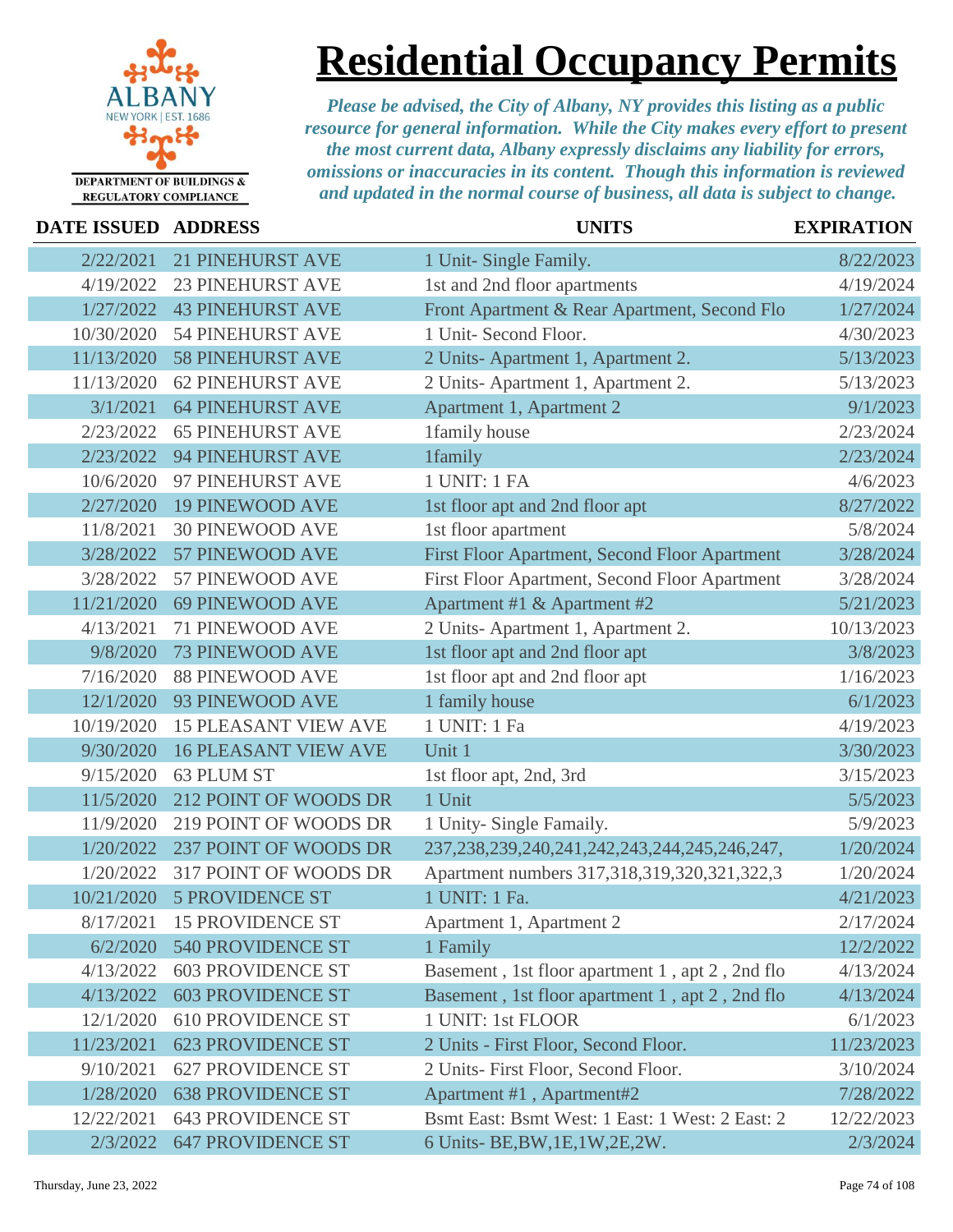

### **Residential Occupancy Permits**

| <b>DATE ISSUED ADDRESS</b> |                             | <b>UNITS</b>                                           | <b>EXPIRATION</b> |
|----------------------------|-----------------------------|--------------------------------------------------------|-------------------|
| 2/22/2021                  | <b>21 PINEHURST AVE</b>     | 1 Unit- Single Family.                                 | 8/22/2023         |
| 4/19/2022                  | <b>23 PINEHURST AVE</b>     | 1st and 2nd floor apartments                           | 4/19/2024         |
| 1/27/2022                  | <b>43 PINEHURST AVE</b>     | Front Apartment & Rear Apartment, Second Flo           | 1/27/2024         |
| 10/30/2020                 | <b>54 PINEHURST AVE</b>     | 1 Unit- Second Floor.                                  | 4/30/2023         |
| 11/13/2020                 | <b>58 PINEHURST AVE</b>     | 2 Units-Apartment 1, Apartment 2.                      | 5/13/2023         |
| 11/13/2020                 | <b>62 PINEHURST AVE</b>     | 2 Units-Apartment 1, Apartment 2.                      | 5/13/2023         |
| 3/1/2021                   | <b>64 PINEHURST AVE</b>     | Apartment 1, Apartment 2                               | 9/1/2023          |
| 2/23/2022                  | <b>65 PINEHURST AVE</b>     | 1family house                                          | 2/23/2024         |
| 2/23/2022                  | <b>94 PINEHURST AVE</b>     | 1family                                                | 2/23/2024         |
| 10/6/2020                  | 97 PINEHURST AVE            | 1 UNIT: 1 FA                                           | 4/6/2023          |
| 2/27/2020                  | <b>19 PINEWOOD AVE</b>      | 1st floor apt and 2nd floor apt                        | 8/27/2022         |
| 11/8/2021                  | <b>30 PINEWOOD AVE</b>      | 1st floor apartment                                    | 5/8/2024          |
| 3/28/2022                  | 57 PINEWOOD AVE             | First Floor Apartment, Second Floor Apartment          | 3/28/2024         |
| 3/28/2022                  | 57 PINEWOOD AVE             | First Floor Apartment, Second Floor Apartment          | 3/28/2024         |
| 11/21/2020                 | <b>69 PINEWOOD AVE</b>      | Apartment #1 & Apartment #2                            | 5/21/2023         |
| 4/13/2021                  | 71 PINEWOOD AVE             | 2 Units-Apartment 1, Apartment 2.                      | 10/13/2023        |
| 9/8/2020                   | <b>73 PINEWOOD AVE</b>      | 1st floor apt and 2nd floor apt                        | 3/8/2023          |
| 7/16/2020                  | <b>88 PINEWOOD AVE</b>      | 1st floor apt and 2nd floor apt                        | 1/16/2023         |
| 12/1/2020                  | 93 PINEWOOD AVE             | 1 family house                                         | 6/1/2023          |
| 10/19/2020                 | <b>15 PLEASANT VIEW AVE</b> | 1 UNIT: 1 Fa                                           | 4/19/2023         |
| 9/30/2020                  | <b>16 PLEASANT VIEW AVE</b> | Unit 1                                                 | 3/30/2023         |
| 9/15/2020                  | 63 PLUM ST                  | 1st floor apt, 2nd, 3rd                                | 3/15/2023         |
| 11/5/2020                  | 212 POINT OF WOODS DR       | 1 Unit                                                 | 5/5/2023          |
| 11/9/2020                  | 219 POINT OF WOODS DR       | 1 Unity- Single Famaily.                               | 5/9/2023          |
| 1/20/2022                  | 237 POINT OF WOODS DR       | 237, 238, 239, 240, 241, 242, 243, 244, 245, 246, 247, | 1/20/2024         |
| 1/20/2022                  | 317 POINT OF WOODS DR       | Apartment numbers 317,318,319,320,321,322,3            | 1/20/2024         |
| 10/21/2020                 | <b>5 PROVIDENCE ST</b>      | 1 UNIT: 1 Fa.                                          | 4/21/2023         |
| 8/17/2021                  | <b>15 PROVIDENCE ST</b>     | Apartment 1, Apartment 2                               | 2/17/2024         |
| 6/2/2020                   | 540 PROVIDENCE ST           | 1 Family                                               | 12/2/2022         |
| 4/13/2022                  | <b>603 PROVIDENCE ST</b>    | Basement, 1st floor apartment 1, apt 2, 2nd flo        | 4/13/2024         |
| 4/13/2022                  | <b>603 PROVIDENCE ST</b>    | Basement, 1st floor apartment 1, apt 2, 2nd flo        | 4/13/2024         |
| 12/1/2020                  | <b>610 PROVIDENCE ST</b>    | 1 UNIT: 1st FLOOR                                      | 6/1/2023          |
| 11/23/2021                 | <b>623 PROVIDENCE ST</b>    | 2 Units - First Floor, Second Floor.                   | 11/23/2023        |
| 9/10/2021                  | <b>627 PROVIDENCE ST</b>    | 2 Units- First Floor, Second Floor.                    | 3/10/2024         |
| 1/28/2020                  | <b>638 PROVIDENCE ST</b>    | Apartment #1, Apartment#2                              | 7/28/2022         |
| 12/22/2021                 | <b>643 PROVIDENCE ST</b>    | Bsmt East: Bsmt West: 1 East: 1 West: 2 East: 2        | 12/22/2023        |
| 2/3/2022                   | <b>647 PROVIDENCE ST</b>    | 6 Units- BE, BW, 1E, 1W, 2E, 2W.                       | 2/3/2024          |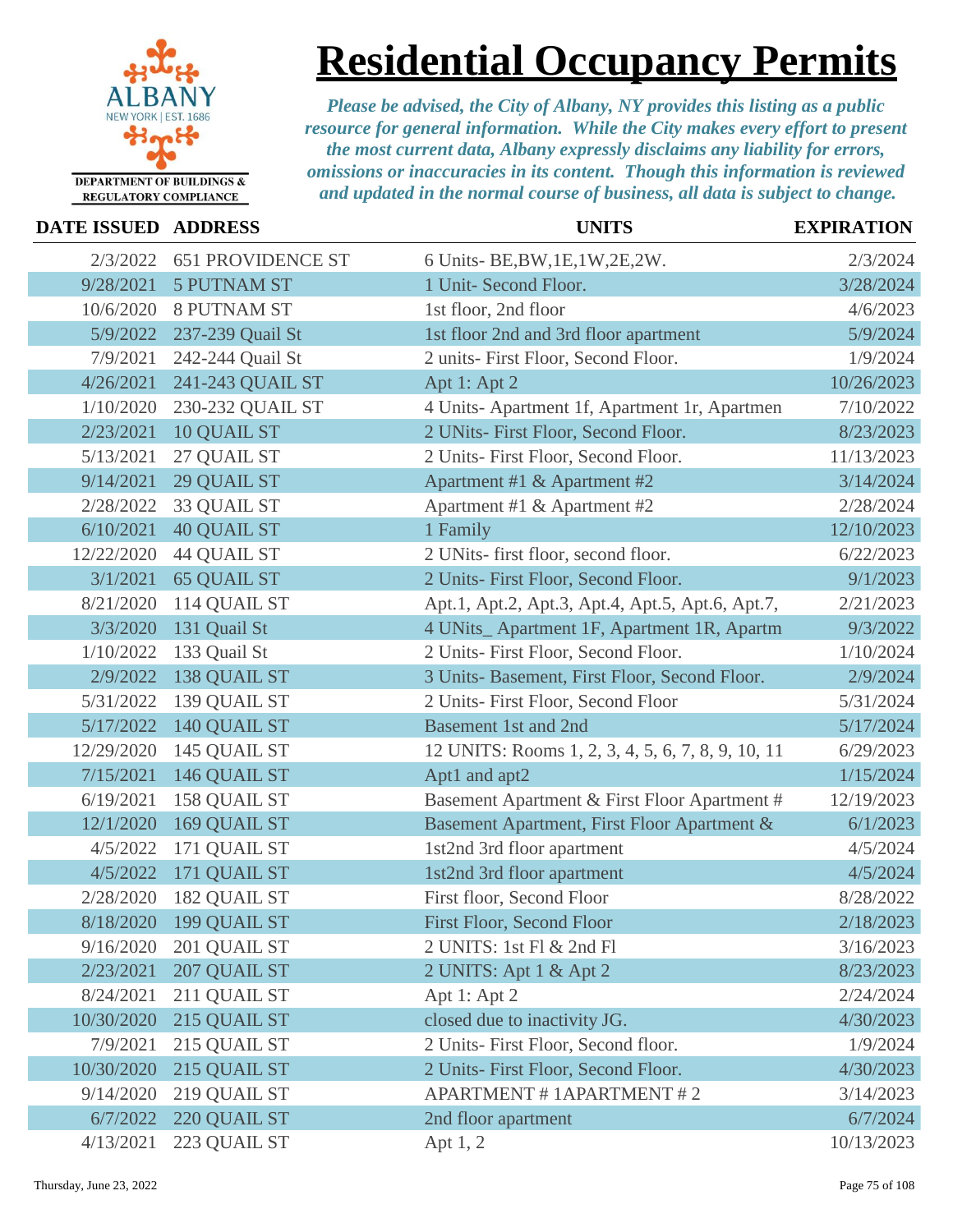

**Residential Occupancy Permits**

| DATE ISSUED ADDRESS |                          | <b>UNITS</b>                                      | <b>EXPIRATION</b> |
|---------------------|--------------------------|---------------------------------------------------|-------------------|
| 2/3/2022            | <b>651 PROVIDENCE ST</b> | 6 Units- BE, BW, 1E, 1W, 2E, 2W.                  | 2/3/2024          |
| 9/28/2021           | <b>5 PUTNAM ST</b>       | 1 Unit- Second Floor.                             | 3/28/2024         |
| 10/6/2020           | <b>8 PUTNAM ST</b>       | 1st floor, 2nd floor                              | 4/6/2023          |
| 5/9/2022            | 237-239 Quail St         | 1st floor 2nd and 3rd floor apartment             | 5/9/2024          |
| 7/9/2021            | 242-244 Quail St         | 2 units- First Floor, Second Floor.               | 1/9/2024          |
| 4/26/2021           | 241-243 QUAIL ST         | Apt 1: Apt 2                                      | 10/26/2023        |
| 1/10/2020           | 230-232 QUAIL ST         | 4 Units- Apartment 1f, Apartment 1r, Apartmen     | 7/10/2022         |
| 2/23/2021           | 10 QUAIL ST              | 2 UNits- First Floor, Second Floor.               | 8/23/2023         |
| 5/13/2021           | 27 QUAIL ST              | 2 Units- First Floor, Second Floor.               | 11/13/2023        |
| 9/14/2021           | 29 QUAIL ST              | Apartment #1 & Apartment #2                       | 3/14/2024         |
| 2/28/2022           | 33 QUAIL ST              | Apartment #1 & Apartment #2                       | 2/28/2024         |
| 6/10/2021           | <b>40 QUAIL ST</b>       | 1 Family                                          | 12/10/2023        |
| 12/22/2020          | <b>44 QUAIL ST</b>       | 2 UNits- first floor, second floor.               | 6/22/2023         |
| 3/1/2021            | <b>65 QUAIL ST</b>       | 2 Units- First Floor, Second Floor.               | 9/1/2023          |
| 8/21/2020           | 114 QUAIL ST             | Apt.1, Apt.2, Apt.3, Apt.4, Apt.5, Apt.6, Apt.7,  | 2/21/2023         |
| 3/3/2020            | 131 Quail St             | 4 UNits_Apartment 1F, Apartment 1R, Apartm        | 9/3/2022          |
| 1/10/2022           | 133 Quail St             | 2 Units- First Floor, Second Floor.               | 1/10/2024         |
| 2/9/2022            | 138 QUAIL ST             | 3 Units- Basement, First Floor, Second Floor.     | 2/9/2024          |
| 5/31/2022           | 139 QUAIL ST             | 2 Units- First Floor, Second Floor                | 5/31/2024         |
| 5/17/2022           | 140 QUAIL ST             | <b>Basement 1st and 2nd</b>                       | 5/17/2024         |
| 12/29/2020          | 145 QUAIL ST             | 12 UNITS: Rooms 1, 2, 3, 4, 5, 6, 7, 8, 9, 10, 11 | 6/29/2023         |
| 7/15/2021           | 146 QUAIL ST             | Apt1 and apt2                                     | 1/15/2024         |
| 6/19/2021           | 158 QUAIL ST             | Basement Apartment & First Floor Apartment #      | 12/19/2023        |
| 12/1/2020           | 169 QUAIL ST             | Basement Apartment, First Floor Apartment &       | 6/1/2023          |
| 4/5/2022            | 171 QUAIL ST             | 1st2nd 3rd floor apartment                        | 4/5/2024          |
| 4/5/2022            | 171 QUAIL ST             | 1st2nd 3rd floor apartment                        | 4/5/2024          |
| 2/28/2020           | 182 QUAIL ST             | First floor, Second Floor                         | 8/28/2022         |
|                     | 8/18/2020 199 QUAIL ST   | First Floor, Second Floor                         | 2/18/2023         |
| 9/16/2020           | 201 QUAIL ST             | 2 UNITS: 1st Fl & 2nd Fl                          | 3/16/2023         |
| 2/23/2021           | 207 QUAIL ST             | 2 UNITS: Apt 1 & Apt 2                            | 8/23/2023         |
| 8/24/2021           | 211 QUAIL ST             | Apt 1: Apt 2                                      | 2/24/2024         |
| 10/30/2020          | 215 QUAIL ST             | closed due to inactivity JG.                      | 4/30/2023         |
| 7/9/2021            | 215 QUAIL ST             | 2 Units- First Floor, Second floor.               | 1/9/2024          |
| 10/30/2020          | 215 QUAIL ST             | 2 Units- First Floor, Second Floor.               | 4/30/2023         |
| 9/14/2020           | 219 QUAIL ST             | <b>APARTMENT # 1APARTMENT # 2</b>                 | 3/14/2023         |
| 6/7/2022            | 220 QUAIL ST             | 2nd floor apartment                               | 6/7/2024          |
| 4/13/2021           | 223 QUAIL ST             | Apt 1, 2                                          | 10/13/2023        |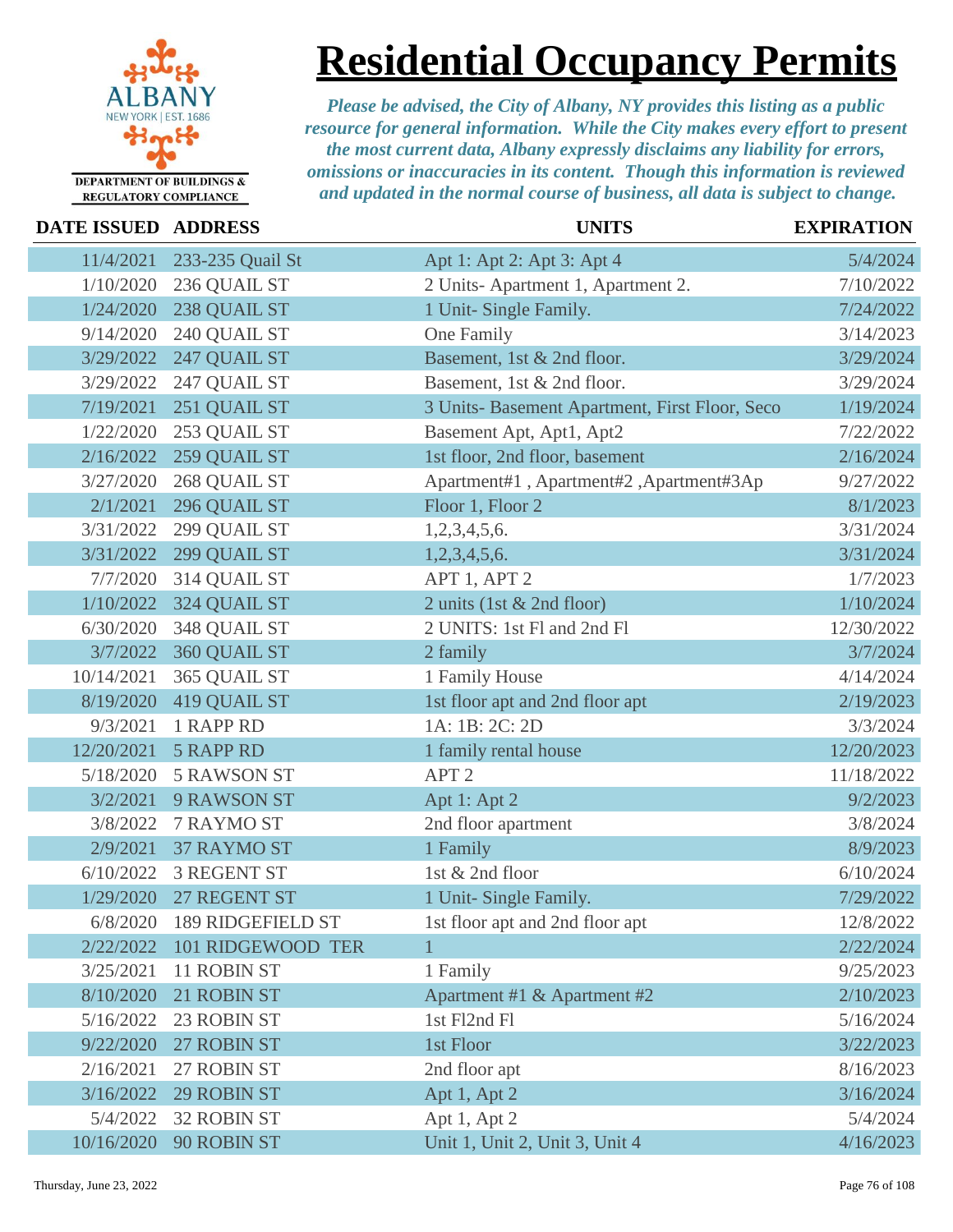

**Residential Occupancy Permits**

| <b>DATE ISSUED ADDRESS</b> |                        | <b>UNITS</b>                                   | <b>EXPIRATION</b> |
|----------------------------|------------------------|------------------------------------------------|-------------------|
| 11/4/2021                  | 233-235 Quail St       | Apt 1: Apt 2: Apt 3: Apt 4                     | 5/4/2024          |
| 1/10/2020                  | 236 QUAIL ST           | 2 Units-Apartment 1, Apartment 2.              | 7/10/2022         |
| 1/24/2020                  | 238 QUAIL ST           | 1 Unit- Single Family.                         | 7/24/2022         |
| 9/14/2020                  | 240 QUAIL ST           | One Family                                     | 3/14/2023         |
| 3/29/2022                  | 247 QUAIL ST           | Basement, 1st & 2nd floor.                     | 3/29/2024         |
| 3/29/2022                  | 247 QUAIL ST           | Basement, 1st & 2nd floor.                     | 3/29/2024         |
| 7/19/2021                  | 251 QUAIL ST           | 3 Units- Basement Apartment, First Floor, Seco | 1/19/2024         |
| 1/22/2020                  | 253 QUAIL ST           | Basement Apt, Apt1, Apt2                       | 7/22/2022         |
| 2/16/2022                  | 259 QUAIL ST           | 1st floor, 2nd floor, basement                 | 2/16/2024         |
| 3/27/2020                  | 268 QUAIL ST           | Apartment#1, Apartment#2, Apartment#3Ap        | 9/27/2022         |
| 2/1/2021                   | 296 QUAIL ST           | Floor 1, Floor 2                               | 8/1/2023          |
| 3/31/2022                  | 299 QUAIL ST           | 1,2,3,4,5,6.                                   | 3/31/2024         |
| 3/31/2022                  | 299 QUAIL ST           | 1,2,3,4,5,6.                                   | 3/31/2024         |
| 7/7/2020                   | 314 QUAIL ST           | APT 1, APT 2                                   | 1/7/2023          |
| 1/10/2022                  | 324 QUAIL ST           | 2 units (1st & 2nd floor)                      | 1/10/2024         |
| 6/30/2020                  | 348 QUAIL ST           | 2 UNITS: 1st Fl and 2nd Fl                     | 12/30/2022        |
| 3/7/2022                   | 360 QUAIL ST           | 2 family                                       | 3/7/2024          |
| 10/14/2021                 | 365 QUAIL ST           | 1 Family House                                 | 4/14/2024         |
| 8/19/2020                  | 419 QUAIL ST           | 1st floor apt and 2nd floor apt                | 2/19/2023         |
| 9/3/2021                   | 1 RAPP RD              | 1A: 1B: 2C: 2D                                 | 3/3/2024          |
| 12/20/2021                 | <b>5 RAPP RD</b>       | 1 family rental house                          | 12/20/2023        |
| 5/18/2020                  | <b>5 RAWSON ST</b>     | APT <sub>2</sub>                               | 11/18/2022        |
| 3/2/2021                   | 9 RAWSON ST            | Apt 1: Apt 2                                   | 9/2/2023          |
| 3/8/2022                   | 7 RAYMO ST             | 2nd floor apartment                            | 3/8/2024          |
| 2/9/2021                   | <b>37 RAYMO ST</b>     | 1 Family                                       | 8/9/2023          |
| 6/10/2022                  | <b>3 REGENT ST</b>     | 1st & 2nd floor                                | 6/10/2024         |
|                            | 1/29/2020 27 REGENT ST | 1 Unit- Single Family.                         | 7/29/2022         |
| 6/8/2020                   | 189 RIDGEFIELD ST      | 1st floor apt and 2nd floor apt                | 12/8/2022         |
| 2/22/2022                  | 101 RIDGEWOOD TER      | 1                                              | 2/22/2024         |
| 3/25/2021                  | 11 ROBIN ST            | 1 Family                                       | 9/25/2023         |
| 8/10/2020                  | 21 ROBIN ST            | Apartment #1 & Apartment #2                    | 2/10/2023         |
| 5/16/2022                  | 23 ROBIN ST            | 1st Fl2nd Fl                                   | 5/16/2024         |
| 9/22/2020                  | 27 ROBIN ST            | 1st Floor                                      | 3/22/2023         |
| 2/16/2021                  | 27 ROBIN ST            | 2nd floor apt                                  | 8/16/2023         |
| 3/16/2022                  | <b>29 ROBIN ST</b>     | Apt 1, Apt 2                                   | 3/16/2024         |
| 5/4/2022                   | <b>32 ROBIN ST</b>     | Apt 1, Apt 2                                   | 5/4/2024          |
| 10/16/2020                 | 90 ROBIN ST            | Unit 1, Unit 2, Unit 3, Unit 4                 | 4/16/2023         |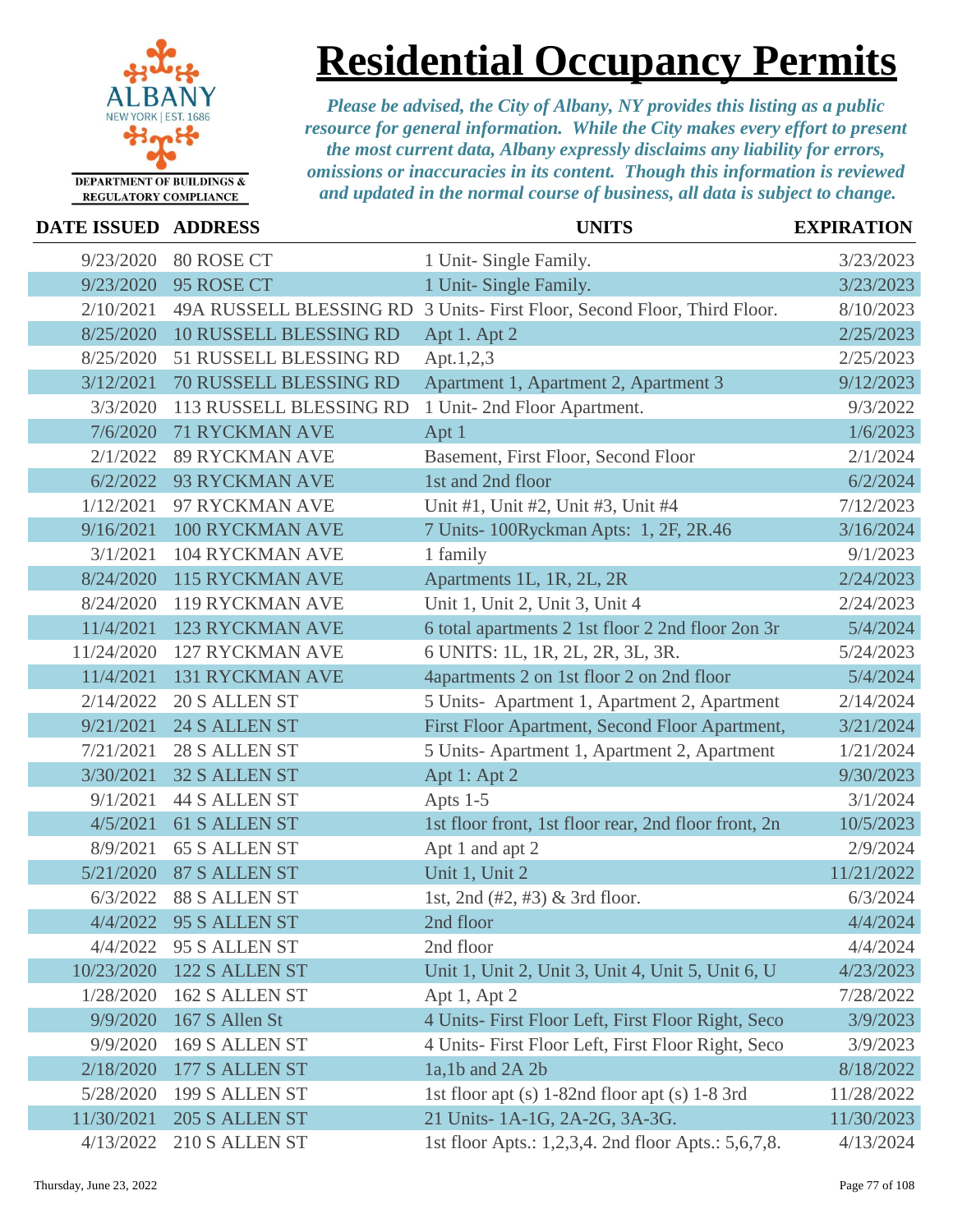

## **Residential Occupancy Permits**

| <b>DATE ISSUED</b> | <b>ADDRESS</b>          | <b>UNITS</b>                                         | <b>EXPIRATION</b> |
|--------------------|-------------------------|------------------------------------------------------|-------------------|
| 9/23/2020          | 80 ROSE CT              | 1 Unit- Single Family.                               | 3/23/2023         |
| 9/23/2020          | 95 ROSE CT              | 1 Unit- Single Family.                               | 3/23/2023         |
| 2/10/2021          | 49A RUSSELL BLESSING RD | 3 Units- First Floor, Second Floor, Third Floor.     | 8/10/2023         |
| 8/25/2020          | 10 RUSSELL BLESSING RD  | Apt 1. Apt 2                                         | 2/25/2023         |
| 8/25/2020          | 51 RUSSELL BLESSING RD  | Apt.1,2,3                                            | 2/25/2023         |
| 3/12/2021          | 70 RUSSELL BLESSING RD  | Apartment 1, Apartment 2, Apartment 3                | 9/12/2023         |
| 3/3/2020           | 113 RUSSELL BLESSING RD | 1 Unit- 2nd Floor Apartment.                         | 9/3/2022          |
| 7/6/2020           | <b>71 RYCKMAN AVE</b>   | Apt 1                                                | 1/6/2023          |
| 2/1/2022           | <b>89 RYCKMAN AVE</b>   | Basement, First Floor, Second Floor                  | 2/1/2024          |
| 6/2/2022           | 93 RYCKMAN AVE          | 1st and 2nd floor                                    | 6/2/2024          |
| 1/12/2021          | 97 RYCKMAN AVE          | Unit #1, Unit #2, Unit #3, Unit #4                   | 7/12/2023         |
| 9/16/2021          | <b>100 RYCKMAN AVE</b>  | 7 Units-100Ryckman Apts: 1, 2F, 2R.46                | 3/16/2024         |
| 3/1/2021           | <b>104 RYCKMAN AVE</b>  | 1 family                                             | 9/1/2023          |
| 8/24/2020          | <b>115 RYCKMAN AVE</b>  | Apartments 1L, 1R, 2L, 2R                            | 2/24/2023         |
| 8/24/2020          | <b>119 RYCKMAN AVE</b>  | Unit 1, Unit 2, Unit 3, Unit 4                       | 2/24/2023         |
| 11/4/2021          | <b>123 RYCKMAN AVE</b>  | 6 total apartments 2 1st floor 2 2nd floor 2on 3r    | 5/4/2024          |
| 11/24/2020         | <b>127 RYCKMAN AVE</b>  | 6 UNITS: 1L, 1R, 2L, 2R, 3L, 3R.                     | 5/24/2023         |
| 11/4/2021          | <b>131 RYCKMAN AVE</b>  | 4apartments 2 on 1st floor 2 on 2nd floor            | 5/4/2024          |
| 2/14/2022          | 20 S ALLEN ST           | 5 Units- Apartment 1, Apartment 2, Apartment         | 2/14/2024         |
| 9/21/2021          | 24 S ALLEN ST           | First Floor Apartment, Second Floor Apartment,       | 3/21/2024         |
| 7/21/2021          | 28 S ALLEN ST           | 5 Units-Apartment 1, Apartment 2, Apartment          | 1/21/2024         |
| 3/30/2021          | <b>32 S ALLEN ST</b>    | Apt 1: Apt 2                                         | 9/30/2023         |
| 9/1/2021           | <b>44 S ALLEN ST</b>    | Apts $1-5$                                           | 3/1/2024          |
| 4/5/2021           | 61 S ALLEN ST           | 1st floor front, 1st floor rear, 2nd floor front, 2n | 10/5/2023         |
| 8/9/2021           | <b>65 S ALLEN ST</b>    | Apt 1 and apt 2                                      | 2/9/2024          |
| 5/21/2020          | <b>87 S ALLEN ST</b>    | Unit 1, Unit 2                                       | 11/21/2022        |
| 6/3/2022           | 88 S ALLEN ST           | 1st, 2nd (#2, #3) & 3rd floor.                       | 6/3/2024          |
|                    | 4/4/2022 95 S ALLEN ST  | 2nd floor                                            | 4/4/2024          |
| 4/4/2022           | 95 S ALLEN ST           | 2nd floor                                            | 4/4/2024          |
| 10/23/2020         | 122 S ALLEN ST          | Unit 1, Unit 2, Unit 3, Unit 4, Unit 5, Unit 6, U    | 4/23/2023         |
| 1/28/2020          | 162 S ALLEN ST          | Apt 1, Apt 2                                         | 7/28/2022         |
| 9/9/2020           | 167 S Allen St          | 4 Units- First Floor Left, First Floor Right, Seco   | 3/9/2023          |
| 9/9/2020           | 169 S ALLEN ST          | 4 Units- First Floor Left, First Floor Right, Seco   | 3/9/2023          |
| 2/18/2020          | 177 S ALLEN ST          | $1a, 1b$ and $2A 2b$                                 | 8/18/2022         |
| 5/28/2020          | 199 S ALLEN ST          | 1st floor apt (s) 1-82nd floor apt (s) 1-8 3rd       | 11/28/2022        |
| 11/30/2021         | 205 S ALLEN ST          | 21 Units- 1A-1G, 2A-2G, 3A-3G.                       | 11/30/2023        |
| 4/13/2022          | 210 S ALLEN ST          | 1st floor Apts.: 1,2,3,4. 2nd floor Apts.: 5,6,7,8.  | 4/13/2024         |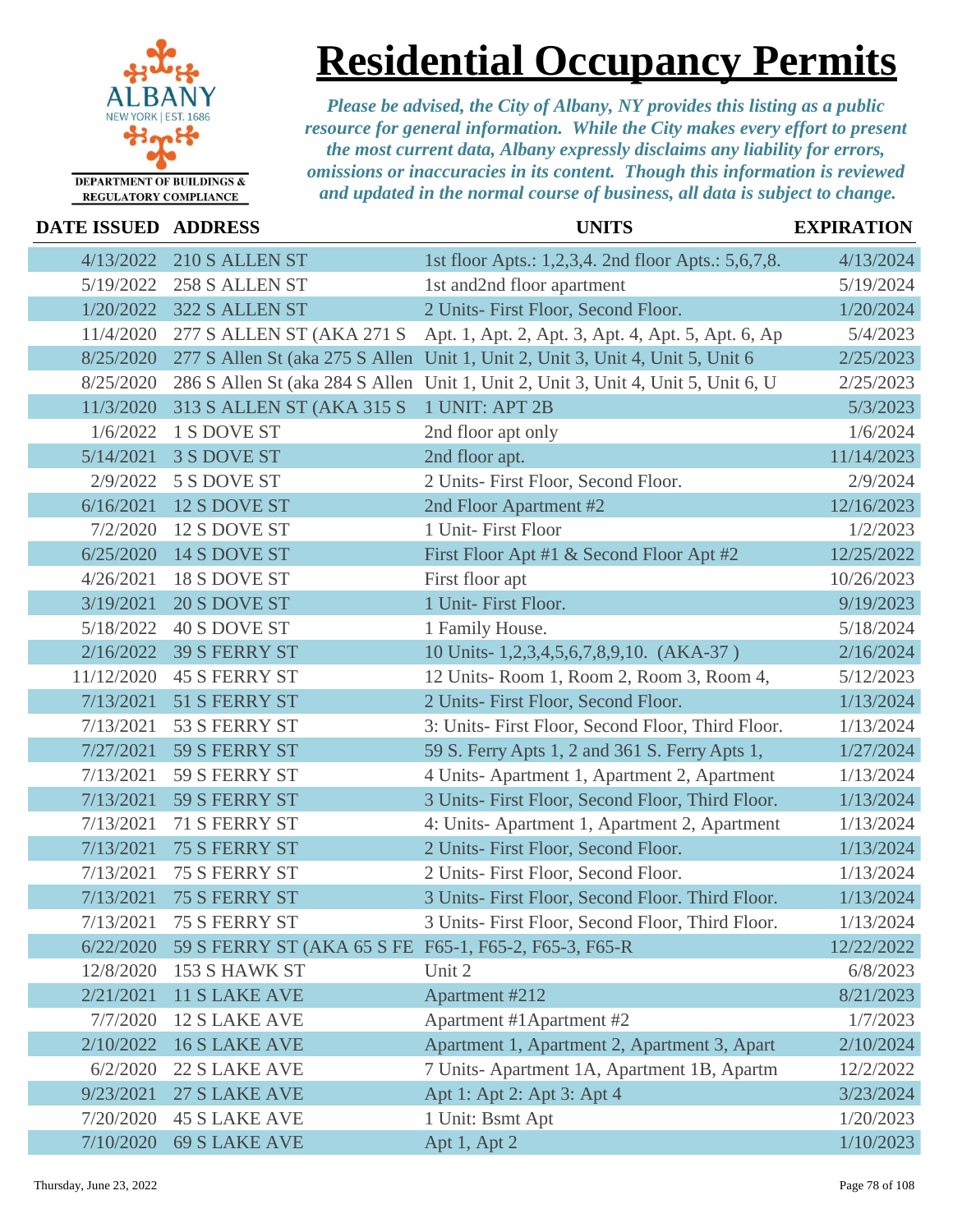

### **Residential Occupancy Permits**

| DATE ISSUED ADDRESS |                                                       | <b>UNITS</b>                                                                      | <b>EXPIRATION</b> |
|---------------------|-------------------------------------------------------|-----------------------------------------------------------------------------------|-------------------|
| 4/13/2022           | 210 S ALLEN ST                                        | 1st floor Apts.: 1,2,3,4. 2nd floor Apts.: 5,6,7,8.                               | 4/13/2024         |
| 5/19/2022           | 258 S ALLEN ST                                        | 1st and2nd floor apartment                                                        | 5/19/2024         |
| 1/20/2022           | 322 S ALLEN ST                                        | 2 Units- First Floor, Second Floor.                                               | 1/20/2024         |
| 11/4/2020           | 277 S ALLEN ST (AKA 271 S                             | Apt. 1, Apt. 2, Apt. 3, Apt. 4, Apt. 5, Apt. 6, Ap                                | 5/4/2023          |
| 8/25/2020           |                                                       | 277 S Allen St (aka 275 S Allen Unit 1, Unit 2, Unit 3, Unit 4, Unit 5, Unit 6    | 2/25/2023         |
| 8/25/2020           |                                                       | 286 S Allen St (aka 284 S Allen Unit 1, Unit 2, Unit 3, Unit 4, Unit 5, Unit 6, U | 2/25/2023         |
| 11/3/2020           | 313 S ALLEN ST (AKA 315 S                             | 1 UNIT: APT 2B                                                                    | 5/3/2023          |
| 1/6/2022            | 1 S DOVE ST                                           | 2nd floor apt only                                                                | 1/6/2024          |
| 5/14/2021           | 3 S DOVE ST                                           | 2nd floor apt.                                                                    | 11/14/2023        |
| 2/9/2022            | 5 S DOVE ST                                           | 2 Units- First Floor, Second Floor.                                               | 2/9/2024          |
| 6/16/2021           | 12 S DOVE ST                                          | 2nd Floor Apartment #2                                                            | 12/16/2023        |
| 7/2/2020            | 12 S DOVE ST                                          | 1 Unit- First Floor                                                               | 1/2/2023          |
| 6/25/2020           | 14 S DOVE ST                                          | First Floor Apt #1 & Second Floor Apt #2                                          | 12/25/2022        |
| 4/26/2021           | 18 S DOVE ST                                          | First floor apt                                                                   | 10/26/2023        |
| 3/19/2021           | 20 S DOVE ST                                          | 1 Unit- First Floor.                                                              | 9/19/2023         |
| 5/18/2022           | 40 S DOVE ST                                          | 1 Family House.                                                                   | 5/18/2024         |
| 2/16/2022           | <b>39 S FERRY ST</b>                                  | 10 Units-1,2,3,4,5,6,7,8,9,10. (AKA-37)                                           | 2/16/2024         |
| 11/12/2020          | <b>45 S FERRY ST</b>                                  | 12 Units-Room 1, Room 2, Room 3, Room 4,                                          | 5/12/2023         |
| 7/13/2021           | 51 S FERRY ST                                         | 2 Units- First Floor, Second Floor.                                               | 1/13/2024         |
| 7/13/2021           | 53 S FERRY ST                                         | 3: Units- First Floor, Second Floor, Third Floor.                                 | 1/13/2024         |
| 7/27/2021           | 59 S FERRY ST                                         | 59 S. Ferry Apts 1, 2 and 361 S. Ferry Apts 1,                                    | 1/27/2024         |
| 7/13/2021           | 59 S FERRY ST                                         | 4 Units-Apartment 1, Apartment 2, Apartment                                       | 1/13/2024         |
| 7/13/2021           | 59 S FERRY ST                                         | 3 Units- First Floor, Second Floor, Third Floor.                                  | 1/13/2024         |
| 7/13/2021           | 71 S FERRY ST                                         | 4: Units-Apartment 1, Apartment 2, Apartment                                      | 1/13/2024         |
| 7/13/2021           | <b>75 S FERRY ST</b>                                  | 2 Units- First Floor, Second Floor.                                               | 1/13/2024         |
| 7/13/2021           | 75 S FERRY ST                                         | 2 Units- First Floor, Second Floor.                                               | 1/13/2024         |
| 7/13/2021           | <b>75 S FERRY ST</b>                                  | 3 Units- First Floor, Second Floor. Third Floor.                                  | 1/13/2024         |
|                     | 7/13/2021 75 S FERRY ST                               | 3 Units- First Floor, Second Floor, Third Floor.                                  | 1/13/2024         |
| 6/22/2020           | 59 S FERRY ST (AKA 65 S FE F65-1, F65-2, F65-3, F65-R |                                                                                   | 12/22/2022        |
| 12/8/2020           | 153 S HAWK ST                                         | Unit 2                                                                            | 6/8/2023          |
| 2/21/2021           | <b>11 S LAKE AVE</b>                                  | Apartment #212                                                                    | 8/21/2023         |
| 7/7/2020            | <b>12 S LAKE AVE</b>                                  | Apartment #1 Apartment #2                                                         | 1/7/2023          |
| 2/10/2022           | <b>16 S LAKE AVE</b>                                  | Apartment 1, Apartment 2, Apartment 3, Apart                                      | 2/10/2024         |
| 6/2/2020            | <b>22 S LAKE AVE</b>                                  | 7 Units-Apartment 1A, Apartment 1B, Apartm                                        | 12/2/2022         |
| 9/23/2021           | 27 S LAKE AVE                                         | Apt 1: Apt 2: Apt 3: Apt 4                                                        | 3/23/2024         |
| 7/20/2020           | <b>45 S LAKE AVE</b>                                  | 1 Unit: Bsmt Apt                                                                  | 1/20/2023         |
| 7/10/2020           | <b>69 S LAKE AVE</b>                                  | Apt 1, Apt 2                                                                      | 1/10/2023         |
|                     |                                                       |                                                                                   |                   |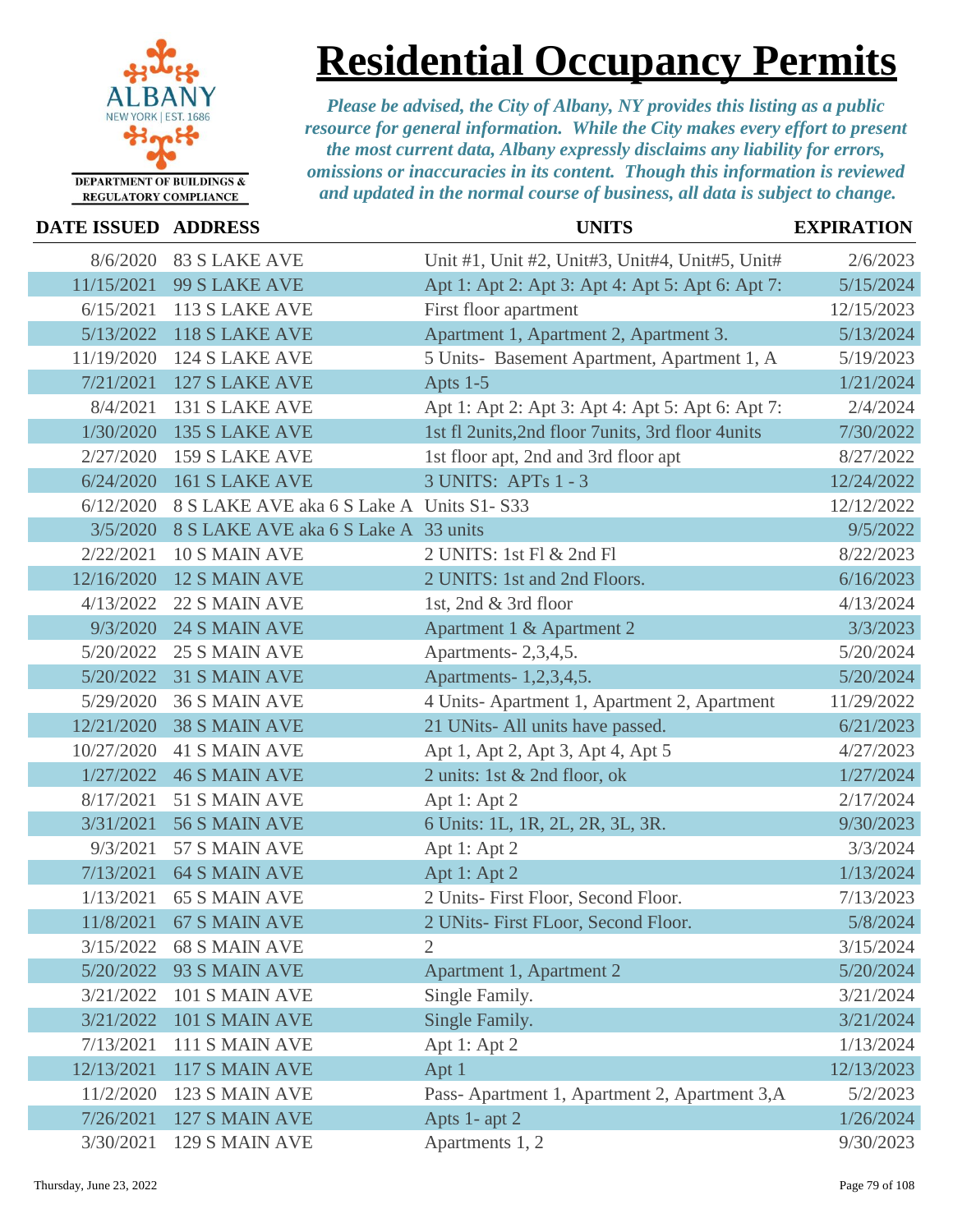

# **Residential Occupancy Permits**

| <b>DATE ISSUED ADDRESS</b> |                                          | <b>UNITS</b>                                      | <b>EXPIRATION</b> |
|----------------------------|------------------------------------------|---------------------------------------------------|-------------------|
| 8/6/2020                   | <b>83 S LAKE AVE</b>                     | Unit #1, Unit #2, Unit#3, Unit#4, Unit#5, Unit#   | 2/6/2023          |
| 11/15/2021                 | 99 S LAKE AVE                            | Apt 1: Apt 2: Apt 3: Apt 4: Apt 5: Apt 6: Apt 7:  | 5/15/2024         |
| 6/15/2021                  | 113 S LAKE AVE                           | First floor apartment                             | 12/15/2023        |
| 5/13/2022                  | 118 S LAKE AVE                           | Apartment 1, Apartment 2, Apartment 3.            | 5/13/2024         |
| 11/19/2020                 | 124 S LAKE AVE                           | 5 Units- Basement Apartment, Apartment 1, A       | 5/19/2023         |
| 7/21/2021                  | <b>127 S LAKE AVE</b>                    | Apts 1-5                                          | 1/21/2024         |
| 8/4/2021                   | 131 S LAKE AVE                           | Apt 1: Apt 2: Apt 3: Apt 4: Apt 5: Apt 6: Apt 7:  | 2/4/2024          |
| 1/30/2020                  | 135 S LAKE AVE                           | 1st fl 2units, 2nd floor 7units, 3rd floor 4units | 7/30/2022         |
| 2/27/2020                  | 159 S LAKE AVE                           | 1st floor apt, 2nd and 3rd floor apt              | 8/27/2022         |
| 6/24/2020                  | <b>161 S LAKE AVE</b>                    | 3 UNITS: APTs 1 - 3                               | 12/24/2022        |
| 6/12/2020                  | 8 S LAKE AVE aka 6 S Lake A Units S1-S33 |                                                   | 12/12/2022        |
| 3/5/2020                   | 8 S LAKE AVE aka 6 S Lake A 33 units     |                                                   | 9/5/2022          |
| 2/22/2021                  | 10 S MAIN AVE                            | 2 UNITS: 1st Fl & 2nd Fl                          | 8/22/2023         |
| 12/16/2020                 | <b>12 S MAIN AVE</b>                     | 2 UNITS: 1st and 2nd Floors.                      | 6/16/2023         |
| 4/13/2022                  | 22 S MAIN AVE                            | 1st, 2nd & 3rd floor                              | 4/13/2024         |
| 9/3/2020                   | 24 S MAIN AVE                            | Apartment 1 & Apartment 2                         | 3/3/2023          |
| 5/20/2022                  | <b>25 S MAIN AVE</b>                     | Apartments-2,3,4,5.                               | 5/20/2024         |
| 5/20/2022                  | 31 S MAIN AVE                            | Apartments- 1,2,3,4,5.                            | 5/20/2024         |
| 5/29/2020                  | 36 S MAIN AVE                            | 4 Units-Apartment 1, Apartment 2, Apartment       | 11/29/2022        |
| 12/21/2020                 | <b>38 S MAIN AVE</b>                     | 21 UNits- All units have passed.                  | 6/21/2023         |
| 10/27/2020                 | <b>41 S MAIN AVE</b>                     | Apt 1, Apt 2, Apt 3, Apt 4, Apt 5                 | 4/27/2023         |
| 1/27/2022                  | <b>46 S MAIN AVE</b>                     | 2 units: 1st & 2nd floor, ok                      | 1/27/2024         |
| 8/17/2021                  | 51 S MAIN AVE                            | Apt 1: Apt 2                                      | 2/17/2024         |
| 3/31/2021                  | 56 S MAIN AVE                            | 6 Units: 1L, 1R, 2L, 2R, 3L, 3R.                  | 9/30/2023         |
| 9/3/2021                   | 57 S MAIN AVE                            | Apt 1: Apt 2                                      | 3/3/2024          |
| 7/13/2021                  | <b>64 S MAIN AVE</b>                     | Apt 1: Apt 2                                      | 1/13/2024         |
| 1/13/2021                  | <b>65 S MAIN AVE</b>                     | 2 Units- First Floor, Second Floor.               | 7/13/2023         |
| 11/8/2021                  | 67 S MAIN AVE                            | 2 UNits- First FLoor, Second Floor.               | 5/8/2024          |
| 3/15/2022                  | <b>68 S MAIN AVE</b>                     | 2                                                 | 3/15/2024         |
| 5/20/2022                  | 93 S MAIN AVE                            | Apartment 1, Apartment 2                          | 5/20/2024         |
| 3/21/2022                  | 101 S MAIN AVE                           | Single Family.                                    | 3/21/2024         |
| 3/21/2022                  | 101 S MAIN AVE                           | Single Family.                                    | 3/21/2024         |
| 7/13/2021                  | 111 S MAIN AVE                           | Apt 1: Apt 2                                      | 1/13/2024         |
| 12/13/2021                 | 117 S MAIN AVE                           | Apt 1                                             | 12/13/2023        |
| 11/2/2020                  | 123 S MAIN AVE                           | Pass-Apartment 1, Apartment 2, Apartment 3, A     | 5/2/2023          |
| 7/26/2021                  | 127 S MAIN AVE                           | Apts 1- apt 2                                     | 1/26/2024         |
| 3/30/2021                  | 129 S MAIN AVE                           | Apartments 1, 2                                   | 9/30/2023         |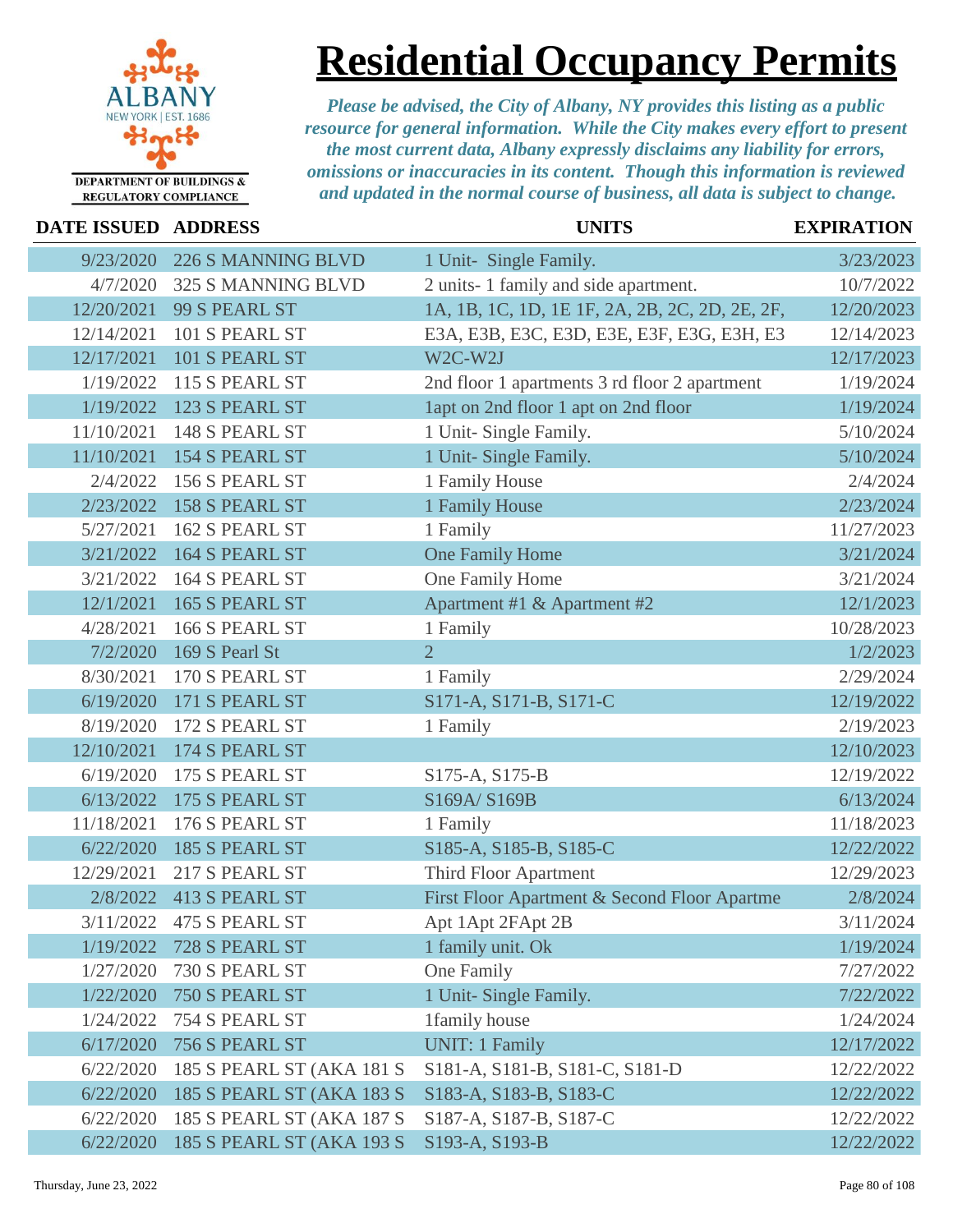

**Residential Occupancy Permits**

| DATE ISSUED ADDRESS |                                  | <b>UNITS</b>                                   | <b>EXPIRATION</b> |
|---------------------|----------------------------------|------------------------------------------------|-------------------|
| 9/23/2020           | 226 S MANNING BLVD               | 1 Unit- Single Family.                         | 3/23/2023         |
| 4/7/2020            | 325 S MANNING BLVD               | 2 units-1 family and side apartment.           | 10/7/2022         |
| 12/20/2021          | 99 S PEARL ST                    | 1A, 1B, 1C, 1D, 1E 1F, 2A, 2B, 2C, 2D, 2E, 2F, | 12/20/2023        |
| 12/14/2021          | 101 S PEARL ST                   | E3A, E3B, E3C, E3D, E3E, E3F, E3G, E3H, E3     | 12/14/2023        |
| 12/17/2021          | 101 S PEARL ST                   | W2C-W2J                                        | 12/17/2023        |
| 1/19/2022           | 115 S PEARL ST                   | 2nd floor 1 apartments 3 rd floor 2 apartment  | 1/19/2024         |
| 1/19/2022           | 123 S PEARL ST                   | lapt on 2nd floor 1 apt on 2nd floor           | 1/19/2024         |
| 11/10/2021          | 148 S PEARL ST                   | 1 Unit- Single Family.                         | 5/10/2024         |
| 11/10/2021          | <b>154 S PEARL ST</b>            | 1 Unit- Single Family.                         | 5/10/2024         |
| 2/4/2022            | 156 S PEARL ST                   | 1 Family House                                 | 2/4/2024          |
| 2/23/2022           | 158 S PEARL ST                   | 1 Family House                                 | 2/23/2024         |
| 5/27/2021           | 162 S PEARL ST                   | 1 Family                                       | 11/27/2023        |
| 3/21/2022           | 164 S PEARL ST                   | One Family Home                                | 3/21/2024         |
| 3/21/2022           | 164 S PEARL ST                   | One Family Home                                | 3/21/2024         |
| 12/1/2021           | 165 S PEARL ST                   | Apartment #1 & Apartment #2                    | 12/1/2023         |
| 4/28/2021           | 166 S PEARL ST                   | 1 Family                                       | 10/28/2023        |
| 7/2/2020            | 169 S Pearl St                   | $\overline{2}$                                 | 1/2/2023          |
| 8/30/2021           | 170 S PEARL ST                   | 1 Family                                       | 2/29/2024         |
| 6/19/2020           | 171 S PEARL ST                   | S171-A, S171-B, S171-C                         | 12/19/2022        |
| 8/19/2020           | 172 S PEARL ST                   | 1 Family                                       | 2/19/2023         |
| 12/10/2021          | 174 S PEARL ST                   |                                                | 12/10/2023        |
| 6/19/2020           | 175 S PEARL ST                   | S175-A, S175-B                                 | 12/19/2022        |
| 6/13/2022           | 175 S PEARL ST                   | S169A/S169B                                    | 6/13/2024         |
| 11/18/2021          | 176 S PEARL ST                   | 1 Family                                       | 11/18/2023        |
| 6/22/2020           | 185 S PEARL ST                   | S185-A, S185-B, S185-C                         | 12/22/2022        |
| 12/29/2021          | 217 S PEARL ST                   | Third Floor Apartment                          | 12/29/2023        |
| 2/8/2022            | 413 S PEARL ST                   | First Floor Apartment & Second Floor Apartme   | 2/8/2024          |
| 3/11/2022           | 475 S PEARL ST                   | Apt 1Apt 2FApt 2B                              | 3/11/2024         |
| 1/19/2022           | 728 S PEARL ST                   | 1 family unit. Ok                              | 1/19/2024         |
| 1/27/2020           | 730 S PEARL ST                   | One Family                                     | 7/27/2022         |
| 1/22/2020           | 750 S PEARL ST                   | 1 Unit- Single Family.                         | 7/22/2022         |
| 1/24/2022           | 754 S PEARL ST                   | 1family house                                  | 1/24/2024         |
| 6/17/2020           | 756 S PEARL ST                   | <b>UNIT: 1 Family</b>                          | 12/17/2022        |
| 6/22/2020           | 185 S PEARL ST (AKA 181 S        | S181-A, S181-B, S181-C, S181-D                 | 12/22/2022        |
| 6/22/2020           | <b>185 S PEARL ST (AKA 183 S</b> | S183-A, S183-B, S183-C                         | 12/22/2022        |
| 6/22/2020           | 185 S PEARL ST (AKA 187 S        | S187-A, S187-B, S187-C                         | 12/22/2022        |
| 6/22/2020           | 185 S PEARL ST (AKA 193 S        | S193-A, S193-B                                 | 12/22/2022        |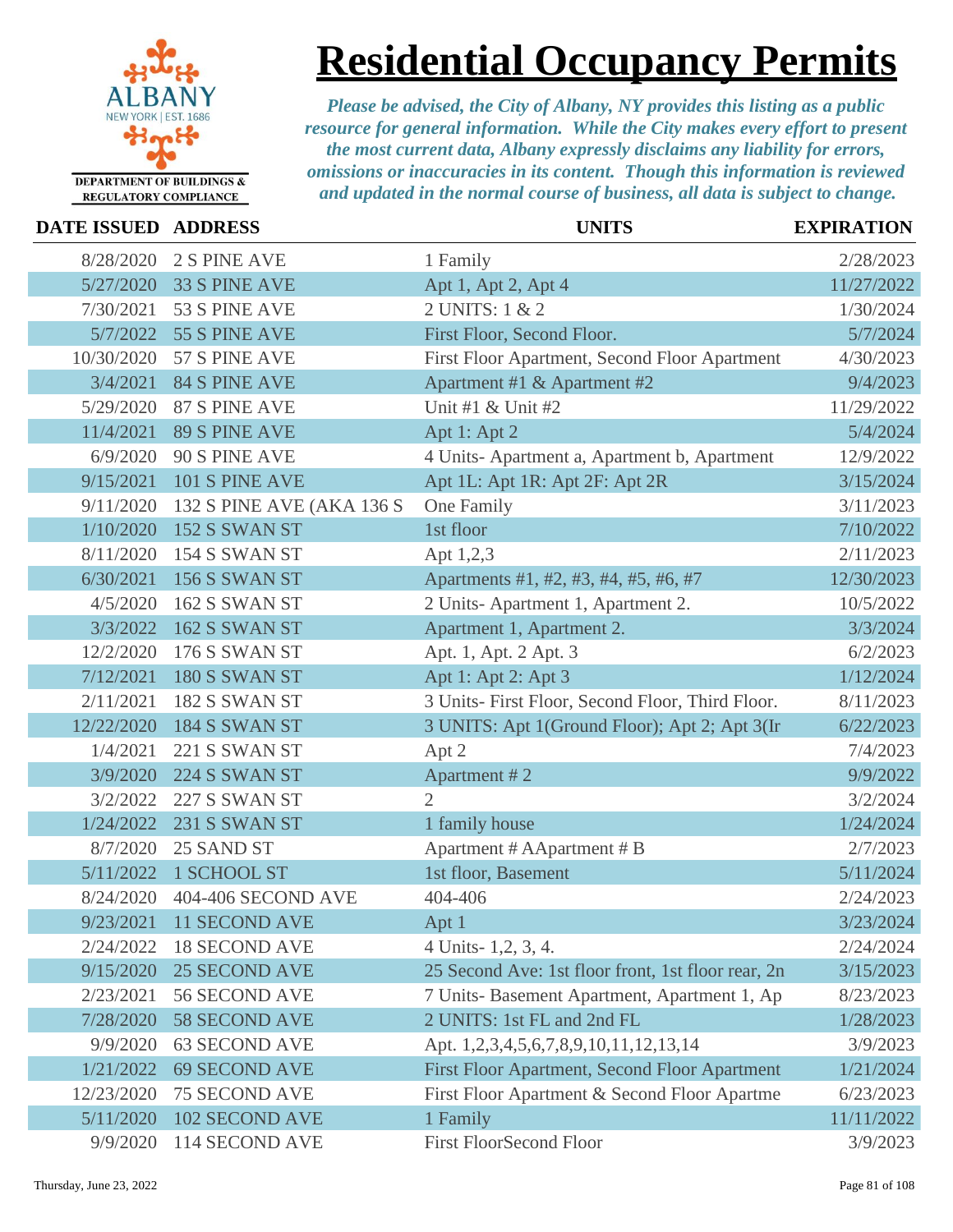

**Residential Occupancy Permits**

| <b>DATE ISSUED ADDRESS</b> |                           | <b>UNITS</b>                                       | <b>EXPIRATION</b> |
|----------------------------|---------------------------|----------------------------------------------------|-------------------|
| 8/28/2020                  | 2 S PINE AVE              | 1 Family                                           | 2/28/2023         |
| 5/27/2020                  | 33 S PINE AVE             | Apt 1, Apt 2, Apt 4                                | 11/27/2022        |
| 7/30/2021                  | 53 S PINE AVE             | 2 UNITS: 1 & 2                                     | 1/30/2024         |
| 5/7/2022                   | 55 S PINE AVE             | First Floor, Second Floor.                         | 5/7/2024          |
| 10/30/2020                 | 57 S PINE AVE             | First Floor Apartment, Second Floor Apartment      | 4/30/2023         |
| 3/4/2021                   | <b>84 S PINE AVE</b>      | Apartment #1 & Apartment #2                        | 9/4/2023          |
| 5/29/2020                  | 87 S PINE AVE             | Unit #1 & Unit #2                                  | 11/29/2022        |
| 11/4/2021                  | <b>89 S PINE AVE</b>      | Apt 1: Apt 2                                       | 5/4/2024          |
| 6/9/2020                   | 90 S PINE AVE             | 4 Units-Apartment a, Apartment b, Apartment        | 12/9/2022         |
| 9/15/2021                  | 101 S PINE AVE            | Apt 1L: Apt 1R: Apt 2F: Apt 2R                     | 3/15/2024         |
| 9/11/2020                  | 132 S PINE AVE (AKA 136 S | One Family                                         | 3/11/2023         |
| 1/10/2020                  | 152 S SWAN ST             | 1st floor                                          | 7/10/2022         |
| 8/11/2020                  | 154 S SWAN ST             | Apt 1,2,3                                          | 2/11/2023         |
| 6/30/2021                  | 156 S SWAN ST             | Apartments #1, #2, #3, #4, #5, #6, #7              | 12/30/2023        |
| 4/5/2020                   | 162 S SWAN ST             | 2 Units-Apartment 1, Apartment 2.                  | 10/5/2022         |
| 3/3/2022                   | 162 S SWAN ST             | Apartment 1, Apartment 2.                          | 3/3/2024          |
| 12/2/2020                  | 176 S SWAN ST             | Apt. 1, Apt. 2 Apt. 3                              | 6/2/2023          |
| 7/12/2021                  | 180 S SWAN ST             | Apt 1: Apt 2: Apt 3                                | 1/12/2024         |
| 2/11/2021                  | 182 S SWAN ST             | 3 Units- First Floor, Second Floor, Third Floor.   | 8/11/2023         |
| 12/22/2020                 | 184 S SWAN ST             | 3 UNITS: Apt 1(Ground Floor); Apt 2; Apt 3(In      | 6/22/2023         |
| 1/4/2021                   | 221 S SWAN ST             | Apt 2                                              | 7/4/2023          |
| 3/9/2020                   | 224 S SWAN ST             | Apartment #2                                       | 9/9/2022          |
| 3/2/2022                   | 227 S SWAN ST             | $\mathfrak{2}$                                     | 3/2/2024          |
| 1/24/2022                  | 231 S SWAN ST             | 1 family house                                     | 1/24/2024         |
| 8/7/2020                   | 25 SAND ST                | Apartment # AApartment # B                         | 2/7/2023          |
| 5/11/2022                  | 1 SCHOOL ST               | 1st floor, Basement                                | 5/11/2024         |
| 8/24/2020                  | 404-406 SECOND AVE        | 404-406                                            | 2/24/2023         |
|                            | 9/23/2021 11 SECOND AVE   | Apt 1                                              | 3/23/2024         |
| 2/24/2022                  | <b>18 SECOND AVE</b>      | 4 Units - 1, 2, 3, 4.                              | 2/24/2024         |
| 9/15/2020                  | <b>25 SECOND AVE</b>      | 25 Second Ave: 1st floor front, 1st floor rear, 2n | 3/15/2023         |
| 2/23/2021                  | 56 SECOND AVE             | 7 Units- Basement Apartment, Apartment 1, Ap       | 8/23/2023         |
| 7/28/2020                  | <b>58 SECOND AVE</b>      | 2 UNITS: 1st FL and 2nd FL                         | 1/28/2023         |
| 9/9/2020                   | <b>63 SECOND AVE</b>      | Apt. 1,2,3,4,5,6,7,8,9,10,11,12,13,14              | 3/9/2023          |
| 1/21/2022                  | <b>69 SECOND AVE</b>      | First Floor Apartment, Second Floor Apartment      | 1/21/2024         |
| 12/23/2020                 | <b>75 SECOND AVE</b>      | First Floor Apartment & Second Floor Apartme       | 6/23/2023         |
| 5/11/2020                  | <b>102 SECOND AVE</b>     | 1 Family                                           | 11/11/2022        |
| 9/9/2020                   | 114 SECOND AVE            | <b>First FloorSecond Floor</b>                     | 3/9/2023          |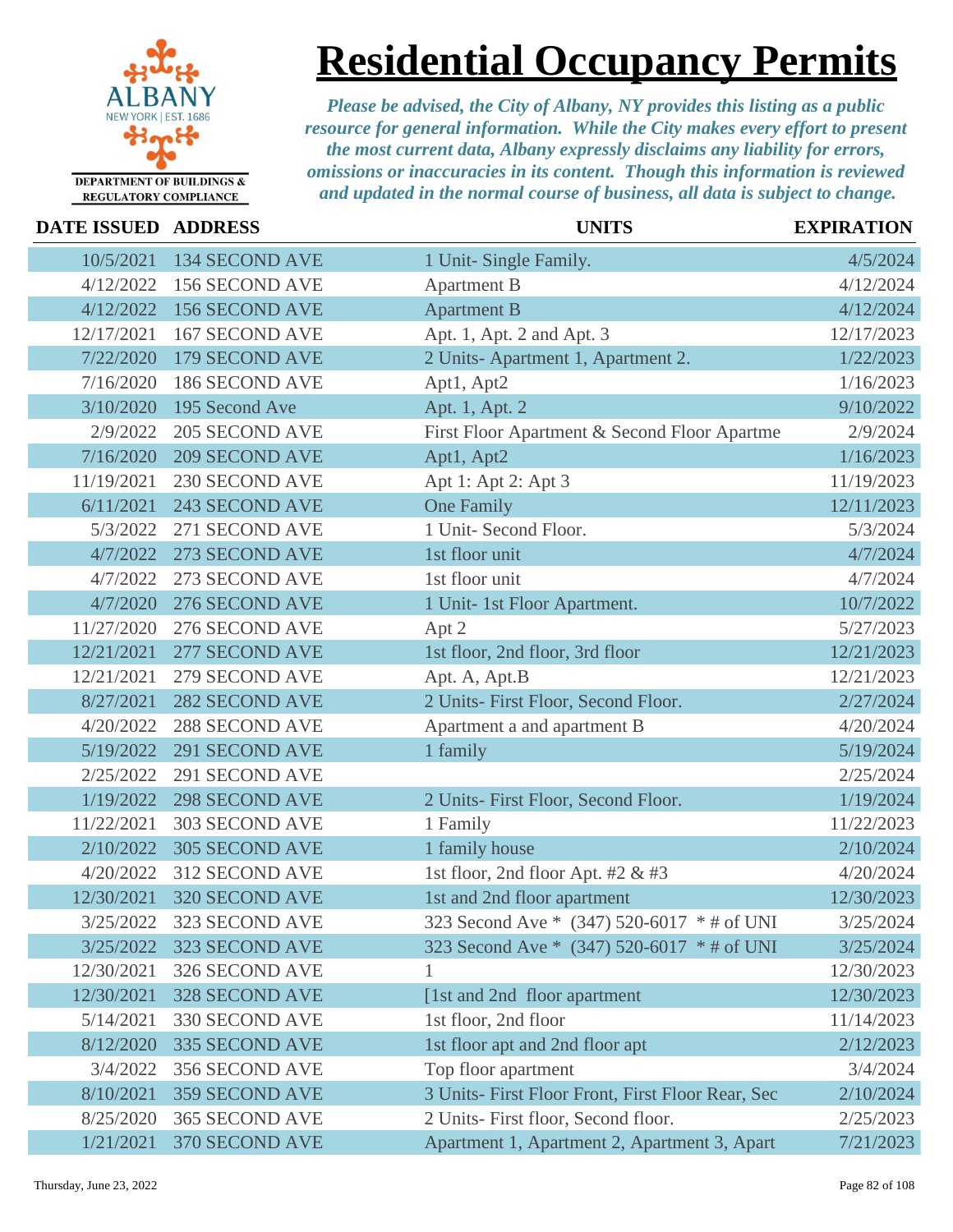

## **Residential Occupancy Permits**

| DATE ISSUED ADDRESS |                          | <b>UNITS</b>                                      | <b>EXPIRATION</b> |
|---------------------|--------------------------|---------------------------------------------------|-------------------|
| 10/5/2021           | <b>134 SECOND AVE</b>    | 1 Unit- Single Family.                            | 4/5/2024          |
| 4/12/2022           | 156 SECOND AVE           | <b>Apartment B</b>                                | 4/12/2024         |
| 4/12/2022           | <b>156 SECOND AVE</b>    | <b>Apartment B</b>                                | 4/12/2024         |
| 12/17/2021          | <b>167 SECOND AVE</b>    | Apt. 1, Apt. 2 and Apt. 3                         | 12/17/2023        |
| 7/22/2020           | 179 SECOND AVE           | 2 Units-Apartment 1, Apartment 2.                 | 1/22/2023         |
| 7/16/2020           | <b>186 SECOND AVE</b>    | Apt1, Apt2                                        | 1/16/2023         |
| 3/10/2020           | 195 Second Ave           | Apt. 1, Apt. 2                                    | 9/10/2022         |
| 2/9/2022            | <b>205 SECOND AVE</b>    | First Floor Apartment & Second Floor Apartme      | 2/9/2024          |
| 7/16/2020           | <b>209 SECOND AVE</b>    | Apt1, Apt2                                        | 1/16/2023         |
| 11/19/2021          | 230 SECOND AVE           | Apt 1: Apt 2: Apt 3                               | 11/19/2023        |
| 6/11/2021           | <b>243 SECOND AVE</b>    | <b>One Family</b>                                 | 12/11/2023        |
| 5/3/2022            | 271 SECOND AVE           | 1 Unit- Second Floor.                             | 5/3/2024          |
| 4/7/2022            | 273 SECOND AVE           | 1st floor unit                                    | 4/7/2024          |
| 4/7/2022            | 273 SECOND AVE           | 1st floor unit                                    | 4/7/2024          |
| 4/7/2020            | 276 SECOND AVE           | 1 Unit- 1st Floor Apartment.                      | 10/7/2022         |
| 11/27/2020          | 276 SECOND AVE           | Apt 2                                             | 5/27/2023         |
| 12/21/2021          | 277 SECOND AVE           | 1st floor, 2nd floor, 3rd floor                   | 12/21/2023        |
| 12/21/2021          | 279 SECOND AVE           | Apt. A, Apt.B                                     | 12/21/2023        |
| 8/27/2021           | <b>282 SECOND AVE</b>    | 2 Units- First Floor, Second Floor.               | 2/27/2024         |
| 4/20/2022           | 288 SECOND AVE           | Apartment a and apartment B                       | 4/20/2024         |
| 5/19/2022           | 291 SECOND AVE           | 1 family                                          | 5/19/2024         |
| 2/25/2022           | 291 SECOND AVE           |                                                   | 2/25/2024         |
| 1/19/2022           | <b>298 SECOND AVE</b>    | 2 Units- First Floor, Second Floor.               | 1/19/2024         |
| 11/22/2021          | 303 SECOND AVE           | 1 Family                                          | 11/22/2023        |
| 2/10/2022           | <b>305 SECOND AVE</b>    | 1 family house                                    | 2/10/2024         |
| 4/20/2022           | 312 SECOND AVE           | 1st floor, 2nd floor Apt. #2 & #3                 | 4/20/2024         |
| 12/30/2021          | 320 SECOND AVE           | 1st and 2nd floor apartment                       | 12/30/2023        |
|                     | 3/25/2022 323 SECOND AVE | 323 Second Ave * (347) 520-6017 * # of UNI        | 3/25/2024         |
| 3/25/2022           | 323 SECOND AVE           | 323 Second Ave * (347) 520-6017 * # of UNI        | 3/25/2024         |
| 12/30/2021          | 326 SECOND AVE           |                                                   | 12/30/2023        |
| 12/30/2021          | <b>328 SECOND AVE</b>    | [1st and 2nd floor apartment]                     | 12/30/2023        |
| 5/14/2021           | 330 SECOND AVE           | 1st floor, 2nd floor                              | 11/14/2023        |
| 8/12/2020           | 335 SECOND AVE           | 1st floor apt and 2nd floor apt                   | 2/12/2023         |
| 3/4/2022            | 356 SECOND AVE           | Top floor apartment                               | 3/4/2024          |
| 8/10/2021           | <b>359 SECOND AVE</b>    | 3 Units- First Floor Front, First Floor Rear, Sec | 2/10/2024         |
| 8/25/2020           | 365 SECOND AVE           | 2 Units- First floor, Second floor.               | 2/25/2023         |
| 1/21/2021           | 370 SECOND AVE           | Apartment 1, Apartment 2, Apartment 3, Apart      | 7/21/2023         |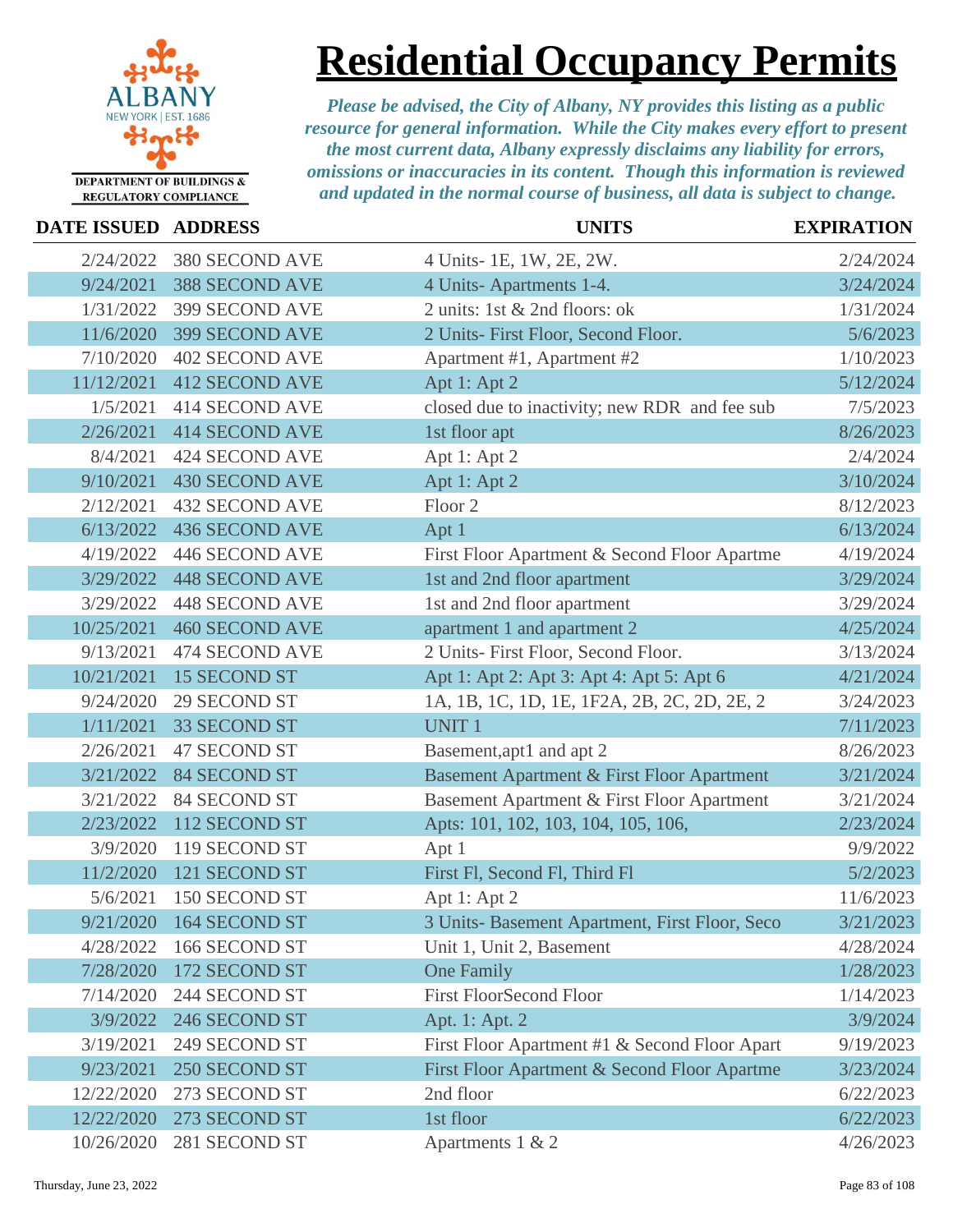

# **Residential Occupancy Permits**

| <b>DATE ISSUED ADDRESS</b> |                       | <b>UNITS</b>                                   | <b>EXPIRATION</b> |
|----------------------------|-----------------------|------------------------------------------------|-------------------|
| 2/24/2022                  | 380 SECOND AVE        | 4 Units-1E, 1W, 2E, 2W.                        | 2/24/2024         |
| 9/24/2021                  | <b>388 SECOND AVE</b> | 4 Units-Apartments 1-4.                        | 3/24/2024         |
| 1/31/2022                  | 399 SECOND AVE        | 2 units: 1st & 2nd floors: ok                  | 1/31/2024         |
| 11/6/2020                  | <b>399 SECOND AVE</b> | 2 Units- First Floor, Second Floor.            | 5/6/2023          |
| 7/10/2020                  | <b>402 SECOND AVE</b> | Apartment #1, Apartment #2                     | 1/10/2023         |
| 11/12/2021                 | <b>412 SECOND AVE</b> | Apt 1: Apt 2                                   | 5/12/2024         |
| 1/5/2021                   | <b>414 SECOND AVE</b> | closed due to inactivity; new RDR and fee sub  | 7/5/2023          |
| 2/26/2021                  | <b>414 SECOND AVE</b> | 1st floor apt                                  | 8/26/2023         |
| 8/4/2021                   | 424 SECOND AVE        | Apt 1: Apt 2                                   | 2/4/2024          |
| 9/10/2021                  | <b>430 SECOND AVE</b> | Apt 1: Apt 2                                   | 3/10/2024         |
| 2/12/2021                  | <b>432 SECOND AVE</b> | Floor <sub>2</sub>                             | 8/12/2023         |
| 6/13/2022                  | <b>436 SECOND AVE</b> | Apt 1                                          | 6/13/2024         |
| 4/19/2022                  | 446 SECOND AVE        | First Floor Apartment & Second Floor Apartme   | 4/19/2024         |
| 3/29/2022                  | <b>448 SECOND AVE</b> | 1st and 2nd floor apartment                    | 3/29/2024         |
| 3/29/2022                  | 448 SECOND AVE        | 1st and 2nd floor apartment                    | 3/29/2024         |
| 10/25/2021                 | <b>460 SECOND AVE</b> | apartment 1 and apartment 2                    | 4/25/2024         |
| 9/13/2021                  | 474 SECOND AVE        | 2 Units- First Floor, Second Floor.            | 3/13/2024         |
| 10/21/2021                 | <b>15 SECOND ST</b>   | Apt 1: Apt 2: Apt 3: Apt 4: Apt 5: Apt 6       | 4/21/2024         |
| 9/24/2020                  | 29 SECOND ST          | 1A, 1B, 1C, 1D, 1E, 1F2A, 2B, 2C, 2D, 2E, 2    | 3/24/2023         |
| 1/11/2021                  | <b>33 SECOND ST</b>   | <b>UNIT1</b>                                   | 7/11/2023         |
| 2/26/2021                  | <b>47 SECOND ST</b>   | Basement, apt1 and apt 2                       | 8/26/2023         |
| 3/21/2022                  | <b>84 SECOND ST</b>   | Basement Apartment & First Floor Apartment     | 3/21/2024         |
| 3/21/2022                  | <b>84 SECOND ST</b>   | Basement Apartment & First Floor Apartment     | 3/21/2024         |
| 2/23/2022                  | 112 SECOND ST         | Apts: 101, 102, 103, 104, 105, 106,            | 2/23/2024         |
| 3/9/2020                   | 119 SECOND ST         | Apt 1                                          | 9/9/2022          |
| 11/2/2020                  | 121 SECOND ST         | First Fl, Second Fl, Third Fl                  | 5/2/2023          |
| 5/6/2021                   | 150 SECOND ST         | Apt 1: Apt 2                                   | 11/6/2023         |
| 9/21/2020                  | 164 SECOND ST         | 3 Units- Basement Apartment, First Floor, Seco | 3/21/2023         |
| 4/28/2022                  | 166 SECOND ST         | Unit 1, Unit 2, Basement                       | 4/28/2024         |
| 7/28/2020                  | 172 SECOND ST         | <b>One Family</b>                              | 1/28/2023         |
| 7/14/2020                  | 244 SECOND ST         | <b>First FloorSecond Floor</b>                 | 1/14/2023         |
| 3/9/2022                   | 246 SECOND ST         | Apt. 1: Apt. 2                                 | 3/9/2024          |
| 3/19/2021                  | 249 SECOND ST         | First Floor Apartment #1 & Second Floor Apart  | 9/19/2023         |
| 9/23/2021                  | 250 SECOND ST         | First Floor Apartment & Second Floor Apartme   | 3/23/2024         |
| 12/22/2020                 | 273 SECOND ST         | 2nd floor                                      | 6/22/2023         |
| 12/22/2020                 | 273 SECOND ST         | 1st floor                                      | 6/22/2023         |
| 10/26/2020                 | 281 SECOND ST         | Apartments 1 & 2                               | 4/26/2023         |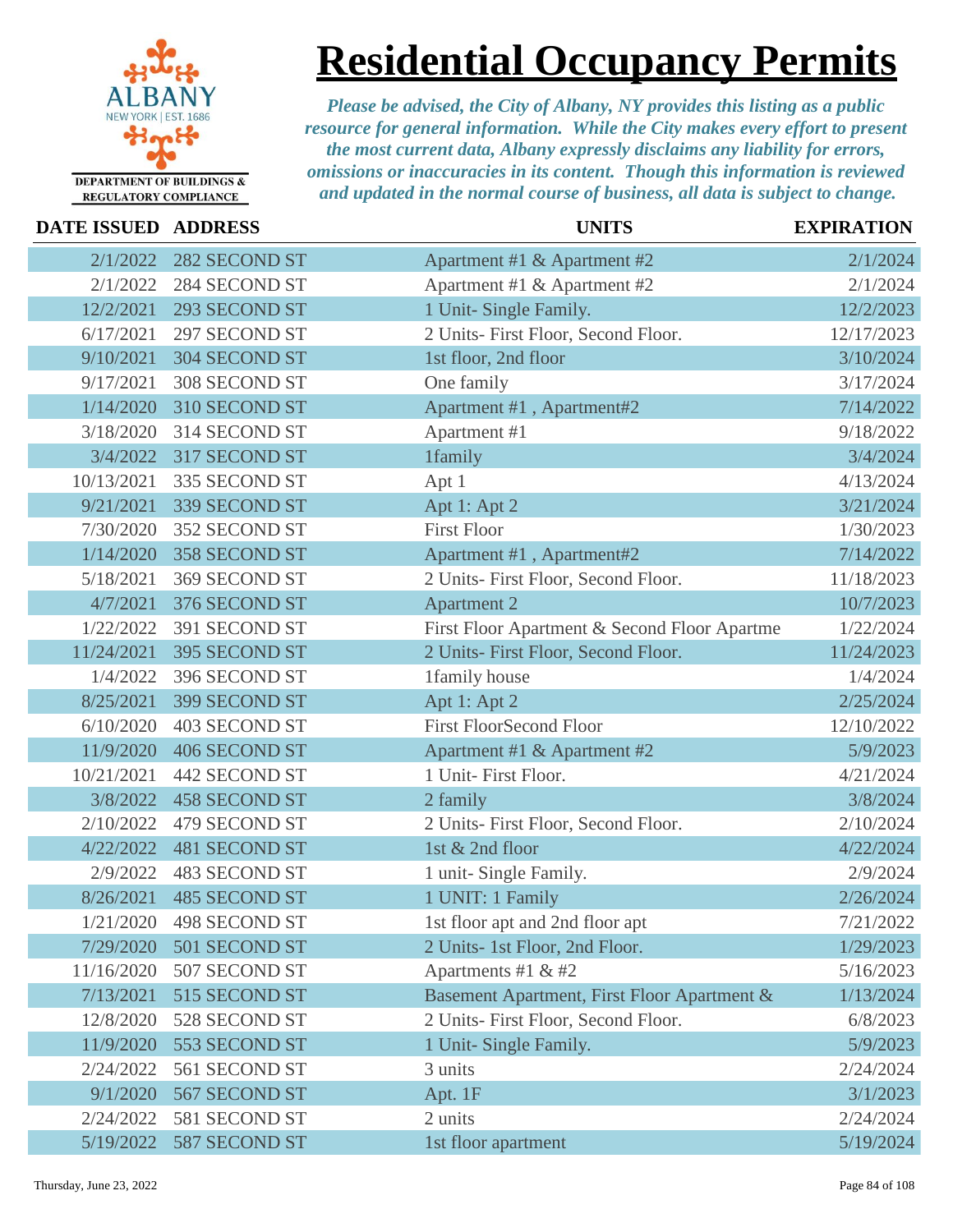

**Residential Occupancy Permits**

| <b>DATE ISSUED ADDRESS</b> |                      | <b>UNITS</b>                                 | <b>EXPIRATION</b> |
|----------------------------|----------------------|----------------------------------------------|-------------------|
| 2/1/2022                   | 282 SECOND ST        | Apartment #1 & Apartment #2                  | 2/1/2024          |
| 2/1/2022                   | 284 SECOND ST        | Apartment #1 & Apartment #2                  | 2/1/2024          |
| 12/2/2021                  | 293 SECOND ST        | 1 Unit- Single Family.                       | 12/2/2023         |
| 6/17/2021                  | 297 SECOND ST        | 2 Units- First Floor, Second Floor.          | 12/17/2023        |
| 9/10/2021                  | 304 SECOND ST        | 1st floor, 2nd floor                         | 3/10/2024         |
| 9/17/2021                  | 308 SECOND ST        | One family                                   | 3/17/2024         |
| 1/14/2020                  | 310 SECOND ST        | Apartment #1, Apartment#2                    | 7/14/2022         |
| 3/18/2020                  | 314 SECOND ST        | Apartment #1                                 | 9/18/2022         |
| 3/4/2022                   | 317 SECOND ST        | 1family                                      | 3/4/2024          |
| 10/13/2021                 | 335 SECOND ST        | Apt 1                                        | 4/13/2024         |
| 9/21/2021                  | 339 SECOND ST        | Apt 1: Apt 2                                 | 3/21/2024         |
| 7/30/2020                  | 352 SECOND ST        | <b>First Floor</b>                           | 1/30/2023         |
| 1/14/2020                  | 358 SECOND ST        | Apartment #1, Apartment#2                    | 7/14/2022         |
| 5/18/2021                  | 369 SECOND ST        | 2 Units- First Floor, Second Floor.          | 11/18/2023        |
| 4/7/2021                   | 376 SECOND ST        | <b>Apartment 2</b>                           | 10/7/2023         |
| 1/22/2022                  | 391 SECOND ST        | First Floor Apartment & Second Floor Apartme | 1/22/2024         |
| 11/24/2021                 | 395 SECOND ST        | 2 Units- First Floor, Second Floor.          | 11/24/2023        |
| 1/4/2022                   | 396 SECOND ST        | 1family house                                | 1/4/2024          |
| 8/25/2021                  | 399 SECOND ST        | Apt 1: Apt 2                                 | 2/25/2024         |
| 6/10/2020                  | 403 SECOND ST        | <b>First FloorSecond Floor</b>               | 12/10/2022        |
| 11/9/2020                  | 406 SECOND ST        | Apartment #1 & Apartment #2                  | 5/9/2023          |
| 10/21/2021                 | 442 SECOND ST        | 1 Unit- First Floor.                         | 4/21/2024         |
| 3/8/2022                   | <b>458 SECOND ST</b> | 2 family                                     | 3/8/2024          |
| 2/10/2022                  | 479 SECOND ST        | 2 Units- First Floor, Second Floor.          | 2/10/2024         |
| 4/22/2022                  | <b>481 SECOND ST</b> | 1st & 2nd floor                              | 4/22/2024         |
| 2/9/2022                   | 483 SECOND ST        | 1 unit- Single Family.                       | 2/9/2024          |
| 8/26/2021                  | <b>485 SECOND ST</b> | 1 UNIT: 1 Family                             | 2/26/2024         |
| 1/21/2020                  | 498 SECOND ST        | 1st floor apt and 2nd floor apt              | 7/21/2022         |
| 7/29/2020                  | 501 SECOND ST        | 2 Units- 1st Floor, 2nd Floor.               | 1/29/2023         |
| 11/16/2020                 | 507 SECOND ST        | Apartments #1 $&$ #2                         | 5/16/2023         |
| 7/13/2021                  | 515 SECOND ST        | Basement Apartment, First Floor Apartment &  | 1/13/2024         |
| 12/8/2020                  | 528 SECOND ST        | 2 Units- First Floor, Second Floor.          | 6/8/2023          |
| 11/9/2020                  | 553 SECOND ST        | 1 Unit- Single Family.                       | 5/9/2023          |
| 2/24/2022                  | 561 SECOND ST        | 3 units                                      | 2/24/2024         |
| 9/1/2020                   | 567 SECOND ST        | Apt. 1F                                      | 3/1/2023          |
| 2/24/2022                  | 581 SECOND ST        | 2 units                                      | 2/24/2024         |
| 5/19/2022                  | 587 SECOND ST        | 1st floor apartment                          | 5/19/2024         |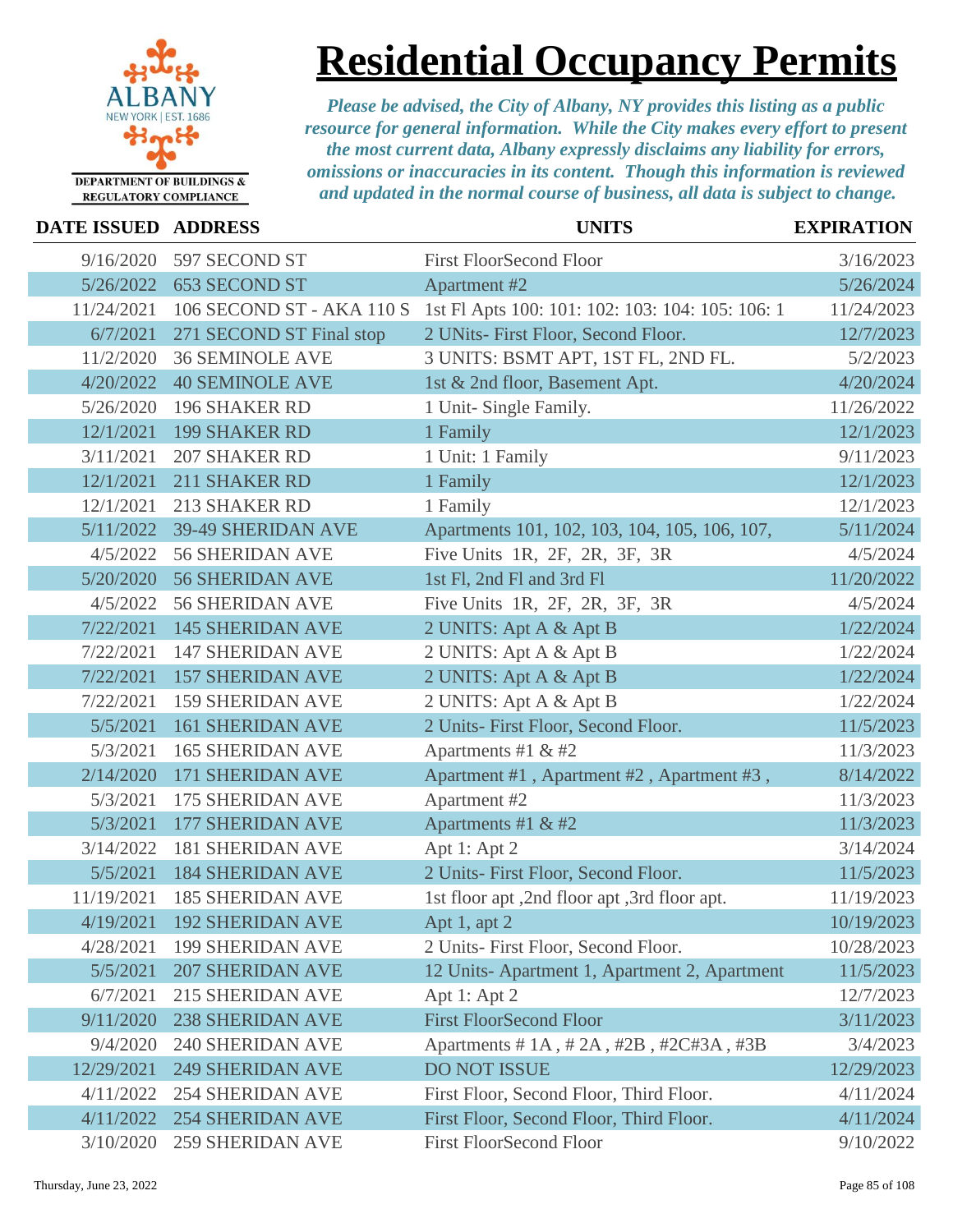

# **Residential Occupancy Permits**

| <b>DATE ISSUED ADDRESS</b> |                           | <b>UNITS</b>                                     | <b>EXPIRATION</b> |
|----------------------------|---------------------------|--------------------------------------------------|-------------------|
| 9/16/2020                  | 597 SECOND ST             | <b>First FloorSecond Floor</b>                   | 3/16/2023         |
| 5/26/2022                  | <b>653 SECOND ST</b>      | <b>Apartment #2</b>                              | 5/26/2024         |
| 11/24/2021                 | 106 SECOND ST - AKA 110 S | 1st Fl Apts 100: 101: 102: 103: 104: 105: 106: 1 | 11/24/2023        |
| 6/7/2021                   | 271 SECOND ST Final stop  | 2 UNits- First Floor, Second Floor.              | 12/7/2023         |
| 11/2/2020                  | <b>36 SEMINOLE AVE</b>    | 3 UNITS: BSMT APT, 1ST FL, 2ND FL.               | 5/2/2023          |
| 4/20/2022                  | <b>40 SEMINOLE AVE</b>    | 1st & 2nd floor, Basement Apt.                   | 4/20/2024         |
| 5/26/2020                  | <b>196 SHAKER RD</b>      | 1 Unit- Single Family.                           | 11/26/2022        |
| 12/1/2021                  | <b>199 SHAKER RD</b>      | 1 Family                                         | 12/1/2023         |
| 3/11/2021                  | <b>207 SHAKER RD</b>      | 1 Unit: 1 Family                                 | 9/11/2023         |
| 12/1/2021                  | 211 SHAKER RD             | 1 Family                                         | 12/1/2023         |
| 12/1/2021                  | 213 SHAKER RD             | 1 Family                                         | 12/1/2023         |
| 5/11/2022                  | 39-49 SHERIDAN AVE        | Apartments 101, 102, 103, 104, 105, 106, 107,    | 5/11/2024         |
| 4/5/2022                   | <b>56 SHERIDAN AVE</b>    | Five Units 1R, 2F, 2R, 3F, 3R                    | 4/5/2024          |
| 5/20/2020                  | <b>56 SHERIDAN AVE</b>    | 1st Fl, 2nd Fl and 3rd Fl                        | 11/20/2022        |
| 4/5/2022                   | <b>56 SHERIDAN AVE</b>    | Five Units 1R, 2F, 2R, 3F, 3R                    | 4/5/2024          |
| 7/22/2021                  | <b>145 SHERIDAN AVE</b>   | 2 UNITS: Apt A & Apt B                           | 1/22/2024         |
| 7/22/2021                  | <b>147 SHERIDAN AVE</b>   | 2 UNITS: Apt A & Apt B                           | 1/22/2024         |
| 7/22/2021                  | <b>157 SHERIDAN AVE</b>   | 2 UNITS: Apt A & Apt B                           | 1/22/2024         |
| 7/22/2021                  | <b>159 SHERIDAN AVE</b>   | 2 UNITS: Apt A & Apt B                           | 1/22/2024         |
| 5/5/2021                   | <b>161 SHERIDAN AVE</b>   | 2 Units- First Floor, Second Floor.              | 11/5/2023         |
| 5/3/2021                   | <b>165 SHERIDAN AVE</b>   | Apartments #1 & #2                               | 11/3/2023         |
| 2/14/2020                  | <b>171 SHERIDAN AVE</b>   | Apartment #1, Apartment #2, Apartment #3,        | 8/14/2022         |
| 5/3/2021                   | <b>175 SHERIDAN AVE</b>   | Apartment #2                                     | 11/3/2023         |
| 5/3/2021                   | <b>177 SHERIDAN AVE</b>   | Apartments #1 & #2                               | 11/3/2023         |
| 3/14/2022                  | <b>181 SHERIDAN AVE</b>   | Apt 1: Apt 2                                     | 3/14/2024         |
| 5/5/2021                   | <b>184 SHERIDAN AVE</b>   | 2 Units- First Floor, Second Floor.              | 11/5/2023         |
| 11/19/2021                 | <b>185 SHERIDAN AVE</b>   | 1st floor apt, 2nd floor apt, 3rd floor apt.     | 11/19/2023        |
| 4/19/2021                  | <b>192 SHERIDAN AVE</b>   | Apt 1, apt 2                                     | 10/19/2023        |
| 4/28/2021                  | <b>199 SHERIDAN AVE</b>   | 2 Units- First Floor, Second Floor.              | 10/28/2023        |
| 5/5/2021                   | <b>207 SHERIDAN AVE</b>   | 12 Units-Apartment 1, Apartment 2, Apartment     | 11/5/2023         |
| 6/7/2021                   | <b>215 SHERIDAN AVE</b>   | Apt 1: Apt 2                                     | 12/7/2023         |
| 9/11/2020                  | <b>238 SHERIDAN AVE</b>   | <b>First FloorSecond Floor</b>                   | 3/11/2023         |
| 9/4/2020                   | <b>240 SHERIDAN AVE</b>   | Apartments # 1A, # 2A, #2B, #2C#3A, #3B          | 3/4/2023          |
| 12/29/2021                 | <b>249 SHERIDAN AVE</b>   | <b>DO NOT ISSUE</b>                              | 12/29/2023        |
| 4/11/2022                  | <b>254 SHERIDAN AVE</b>   | First Floor, Second Floor, Third Floor.          | 4/11/2024         |
| 4/11/2022                  | <b>254 SHERIDAN AVE</b>   | First Floor, Second Floor, Third Floor.          | 4/11/2024         |
| 3/10/2020                  | <b>259 SHERIDAN AVE</b>   | <b>First FloorSecond Floor</b>                   | 9/10/2022         |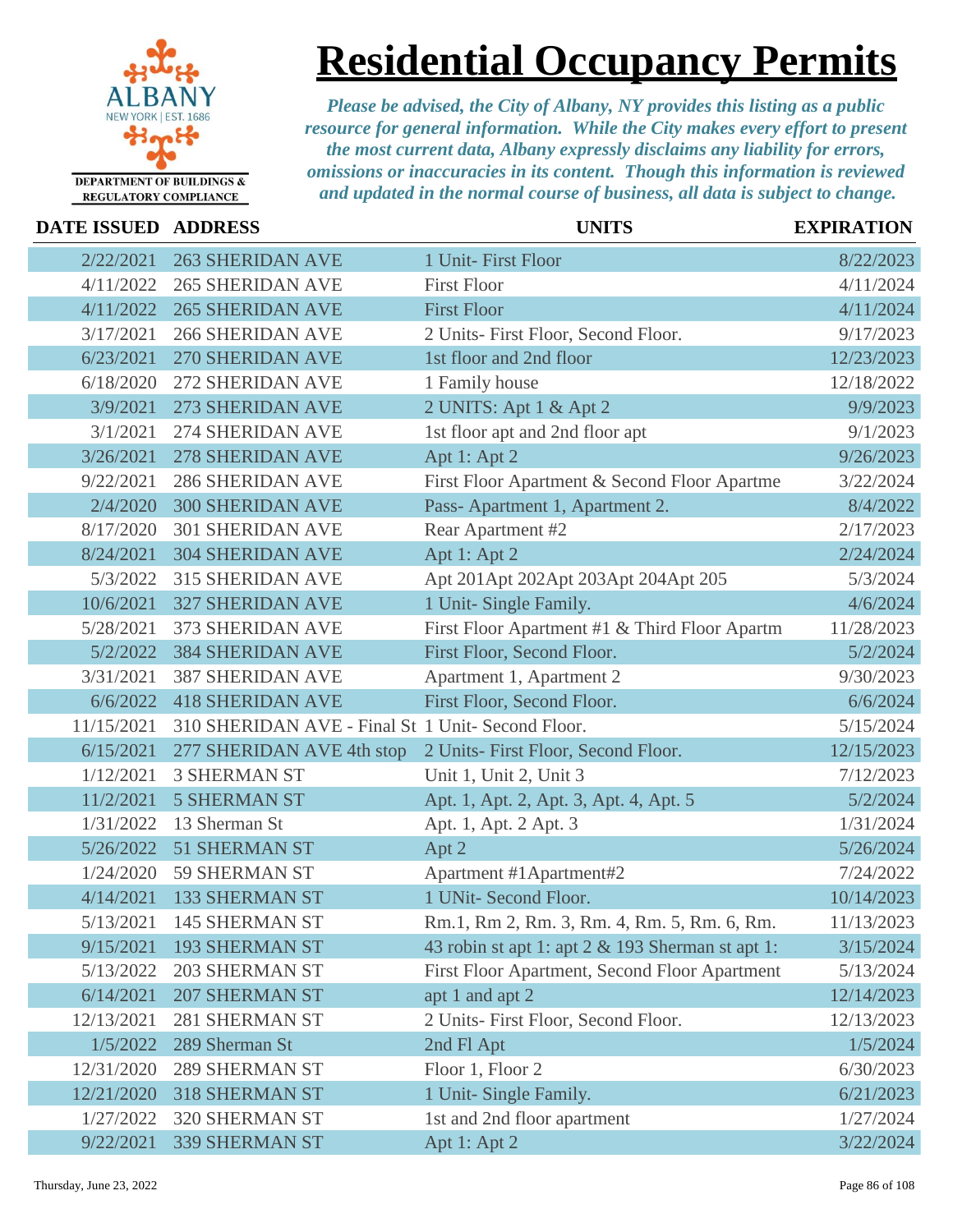

### **Residential Occupancy Permits**

| DATE ISSUED ADDRESS |                                                   | <b>UNITS</b>                                     | <b>EXPIRATION</b> |
|---------------------|---------------------------------------------------|--------------------------------------------------|-------------------|
| 2/22/2021           | <b>263 SHERIDAN AVE</b>                           | 1 Unit- First Floor                              | 8/22/2023         |
| 4/11/2022           | <b>265 SHERIDAN AVE</b>                           | <b>First Floor</b>                               | 4/11/2024         |
| 4/11/2022           | <b>265 SHERIDAN AVE</b>                           | <b>First Floor</b>                               | 4/11/2024         |
| 3/17/2021           | <b>266 SHERIDAN AVE</b>                           | 2 Units- First Floor, Second Floor.              | 9/17/2023         |
| 6/23/2021           | <b>270 SHERIDAN AVE</b>                           | 1st floor and 2nd floor                          | 12/23/2023        |
| 6/18/2020           | 272 SHERIDAN AVE                                  | 1 Family house                                   | 12/18/2022        |
| 3/9/2021            | 273 SHERIDAN AVE                                  | 2 UNITS: Apt 1 & Apt 2                           | 9/9/2023          |
| 3/1/2021            | 274 SHERIDAN AVE                                  | 1st floor apt and 2nd floor apt                  | 9/1/2023          |
| 3/26/2021           | <b>278 SHERIDAN AVE</b>                           | Apt 1: Apt 2                                     | 9/26/2023         |
| 9/22/2021           | <b>286 SHERIDAN AVE</b>                           | First Floor Apartment & Second Floor Apartme     | 3/22/2024         |
| 2/4/2020            | <b>300 SHERIDAN AVE</b>                           | Pass-Apartment 1, Apartment 2.                   | 8/4/2022          |
| 8/17/2020           | <b>301 SHERIDAN AVE</b>                           | Rear Apartment #2                                | 2/17/2023         |
| 8/24/2021           | <b>304 SHERIDAN AVE</b>                           | Apt 1: Apt 2                                     | 2/24/2024         |
| 5/3/2022            | <b>315 SHERIDAN AVE</b>                           | Apt 201Apt 202Apt 203Apt 204Apt 205              | 5/3/2024          |
| 10/6/2021           | <b>327 SHERIDAN AVE</b>                           | 1 Unit- Single Family.                           | 4/6/2024          |
| 5/28/2021           | 373 SHERIDAN AVE                                  | First Floor Apartment #1 & Third Floor Apartm    | 11/28/2023        |
| 5/2/2022            | <b>384 SHERIDAN AVE</b>                           | First Floor, Second Floor.                       | 5/2/2024          |
| 3/31/2021           | <b>387 SHERIDAN AVE</b>                           | Apartment 1, Apartment 2                         | 9/30/2023         |
| 6/6/2022            | <b>418 SHERIDAN AVE</b>                           | First Floor, Second Floor.                       | 6/6/2024          |
| 11/15/2021          | 310 SHERIDAN AVE - Final St 1 Unit- Second Floor. |                                                  | 5/15/2024         |
| 6/15/2021           | 277 SHERIDAN AVE 4th stop                         | 2 Units- First Floor, Second Floor.              | 12/15/2023        |
| 1/12/2021           | <b>3 SHERMAN ST</b>                               | Unit 1, Unit 2, Unit 3                           | 7/12/2023         |
| 11/2/2021           | <b>5 SHERMAN ST</b>                               | Apt. 1, Apt. 2, Apt. 3, Apt. 4, Apt. 5           | 5/2/2024          |
| 1/31/2022           | 13 Sherman St                                     | Apt. 1, Apt. 2 Apt. 3                            | 1/31/2024         |
| 5/26/2022           | <b>51 SHERMAN ST</b>                              | Apt 2                                            | 5/26/2024         |
| 1/24/2020           | <b>59 SHERMAN ST</b>                              | Apartment #1Apartment#2                          | 7/24/2022         |
| 4/14/2021           | <b>133 SHERMAN ST</b>                             | 1 UNit- Second Floor.                            | 10/14/2023        |
| 5/13/2021           | 145 SHERMAN ST                                    | Rm.1, Rm 2, Rm. 3, Rm. 4, Rm. 5, Rm. 6, Rm.      | 11/13/2023        |
| 9/15/2021           | <b>193 SHERMAN ST</b>                             | 43 robin st apt 1: apt 2 & 193 Sherman st apt 1: | 3/15/2024         |
| 5/13/2022           | <b>203 SHERMAN ST</b>                             | First Floor Apartment, Second Floor Apartment    | 5/13/2024         |
| 6/14/2021           | <b>207 SHERMAN ST</b>                             | apt 1 and apt 2                                  | 12/14/2023        |
| 12/13/2021          | 281 SHERMAN ST                                    | 2 Units- First Floor, Second Floor.              | 12/13/2023        |
| 1/5/2022            | 289 Sherman St                                    | 2nd Fl Apt                                       | 1/5/2024          |
| 12/31/2020          | <b>289 SHERMAN ST</b>                             | Floor 1, Floor 2                                 | 6/30/2023         |
| 12/21/2020          | <b>318 SHERMAN ST</b>                             | 1 Unit- Single Family.                           | 6/21/2023         |
| 1/27/2022           | 320 SHERMAN ST                                    | 1st and 2nd floor apartment                      | 1/27/2024         |
| 9/22/2021           | 339 SHERMAN ST                                    | Apt 1: Apt 2                                     | 3/22/2024         |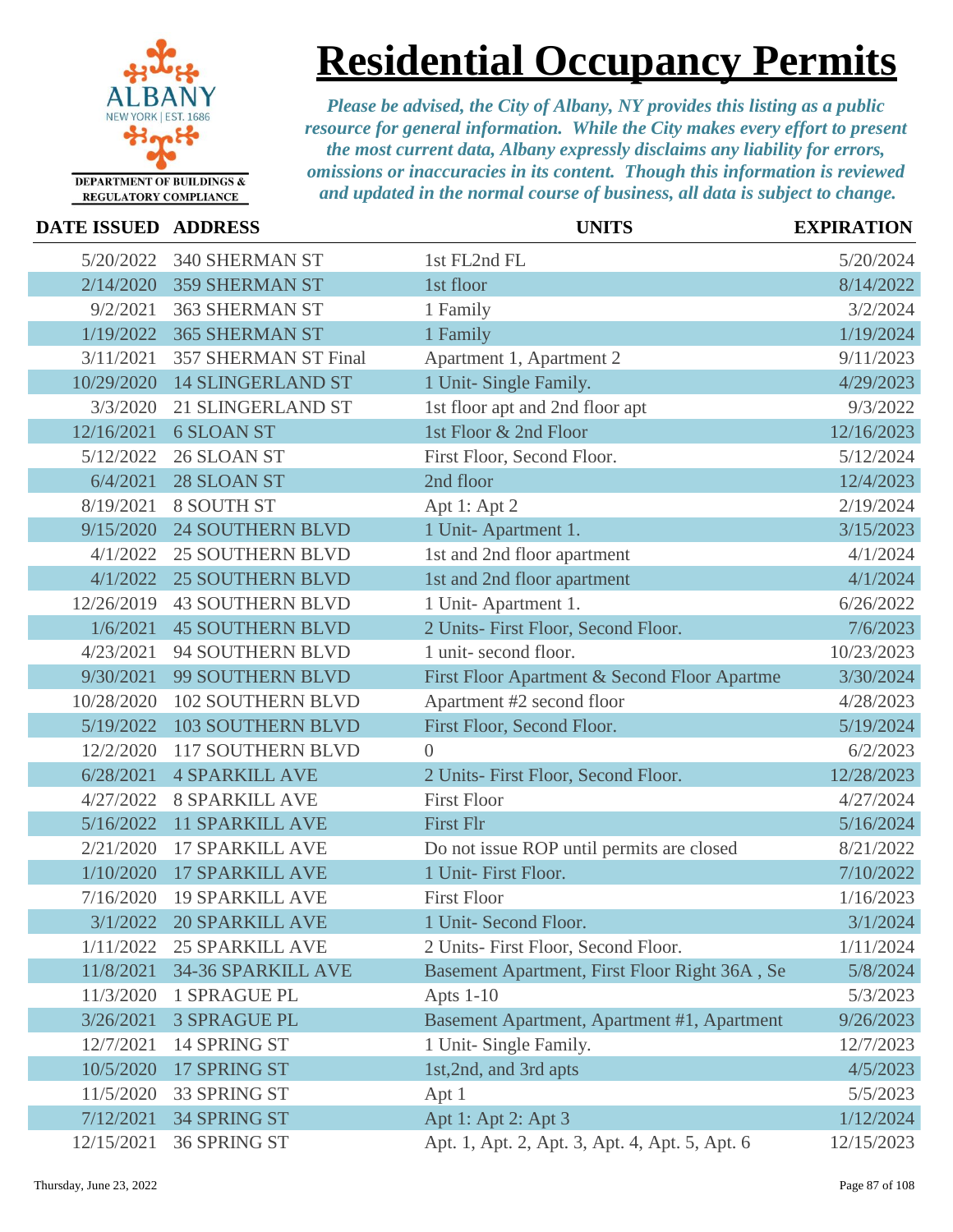

# **Residential Occupancy Permits**

| <b>DATE ISSUED ADDRESS</b> |                             | <b>UNITS</b>                                   | <b>EXPIRATION</b> |
|----------------------------|-----------------------------|------------------------------------------------|-------------------|
| 5/20/2022                  | 340 SHERMAN ST              | 1st FL2nd FL                                   | 5/20/2024         |
| 2/14/2020                  | <b>359 SHERMAN ST</b>       | 1st floor                                      | 8/14/2022         |
| 9/2/2021                   | <b>363 SHERMAN ST</b>       | 1 Family                                       | 3/2/2024          |
| 1/19/2022                  | <b>365 SHERMAN ST</b>       | 1 Family                                       | 1/19/2024         |
| 3/11/2021                  | <b>357 SHERMAN ST Final</b> | Apartment 1, Apartment 2                       | 9/11/2023         |
| 10/29/2020                 | <b>14 SLINGERLAND ST</b>    | 1 Unit- Single Family.                         | 4/29/2023         |
| 3/3/2020                   | 21 SLINGERLAND ST           | 1st floor apt and 2nd floor apt                | 9/3/2022          |
| 12/16/2021                 | <b>6 SLOAN ST</b>           | 1st Floor & 2nd Floor                          | 12/16/2023        |
| 5/12/2022                  | 26 SLOAN ST                 | First Floor, Second Floor.                     | 5/12/2024         |
| 6/4/2021                   | 28 SLOAN ST                 | 2nd floor                                      | 12/4/2023         |
| 8/19/2021                  | 8 SOUTH ST                  | Apt 1: Apt 2                                   | 2/19/2024         |
| 9/15/2020                  | <b>24 SOUTHERN BLVD</b>     | 1 Unit-Apartment 1.                            | 3/15/2023         |
| 4/1/2022                   | <b>25 SOUTHERN BLVD</b>     | 1st and 2nd floor apartment                    | 4/1/2024          |
| 4/1/2022                   | <b>25 SOUTHERN BLVD</b>     | 1st and 2nd floor apartment                    | 4/1/2024          |
| 12/26/2019                 | <b>43 SOUTHERN BLVD</b>     | 1 Unit-Apartment 1.                            | 6/26/2022         |
| 1/6/2021                   | <b>45 SOUTHERN BLVD</b>     | 2 Units- First Floor, Second Floor.            | 7/6/2023          |
| 4/23/2021                  | 94 SOUTHERN BLVD            | 1 unit-second floor.                           | 10/23/2023        |
| 9/30/2021                  | 99 SOUTHERN BLVD            | First Floor Apartment & Second Floor Apartme   | 3/30/2024         |
| 10/28/2020                 | <b>102 SOUTHERN BLVD</b>    | Apartment #2 second floor                      | 4/28/2023         |
| 5/19/2022                  | <b>103 SOUTHERN BLVD</b>    | First Floor, Second Floor.                     | 5/19/2024         |
| 12/2/2020                  | 117 SOUTHERN BLVD           | $\Omega$                                       | 6/2/2023          |
| 6/28/2021                  | <b>4 SPARKILL AVE</b>       | 2 Units- First Floor, Second Floor.            | 12/28/2023        |
| 4/27/2022                  | <b>8 SPARKILL AVE</b>       | <b>First Floor</b>                             | 4/27/2024         |
| 5/16/2022                  | <b>11 SPARKILL AVE</b>      | <b>First Flr</b>                               | 5/16/2024         |
| 2/21/2020                  | <b>17 SPARKILL AVE</b>      | Do not issue ROP until permits are closed      | 8/21/2022         |
| 1/10/2020                  | <b>17 SPARKILL AVE</b>      | 1 Unit- First Floor.                           | 7/10/2022         |
| 7/16/2020                  | <b>19 SPARKILL AVE</b>      | <b>First Floor</b>                             | 1/16/2023         |
| 3/1/2022                   | <b>20 SPARKILL AVE</b>      | 1 Unit- Second Floor.                          | 3/1/2024          |
| 1/11/2022                  | <b>25 SPARKILL AVE</b>      | 2 Units- First Floor, Second Floor.            | 1/11/2024         |
| 11/8/2021                  | 34-36 SPARKILL AVE          | Basement Apartment, First Floor Right 36A, Se  | 5/8/2024          |
| 11/3/2020                  | 1 SPRAGUE PL                | Apts $1-10$                                    | 5/3/2023          |
| 3/26/2021                  | <b>3 SPRAGUE PL</b>         | Basement Apartment, Apartment #1, Apartment    | 9/26/2023         |
| 12/7/2021                  | 14 SPRING ST                | 1 Unit- Single Family.                         | 12/7/2023         |
| 10/5/2020                  | 17 SPRING ST                | 1st, 2nd, and 3rd apts                         | 4/5/2023          |
| 11/5/2020                  | 33 SPRING ST                | Apt 1                                          | 5/5/2023          |
| 7/12/2021                  | 34 SPRING ST                | Apt 1: Apt 2: Apt 3                            | 1/12/2024         |
| 12/15/2021                 | 36 SPRING ST                | Apt. 1, Apt. 2, Apt. 3, Apt. 4, Apt. 5, Apt. 6 | 12/15/2023        |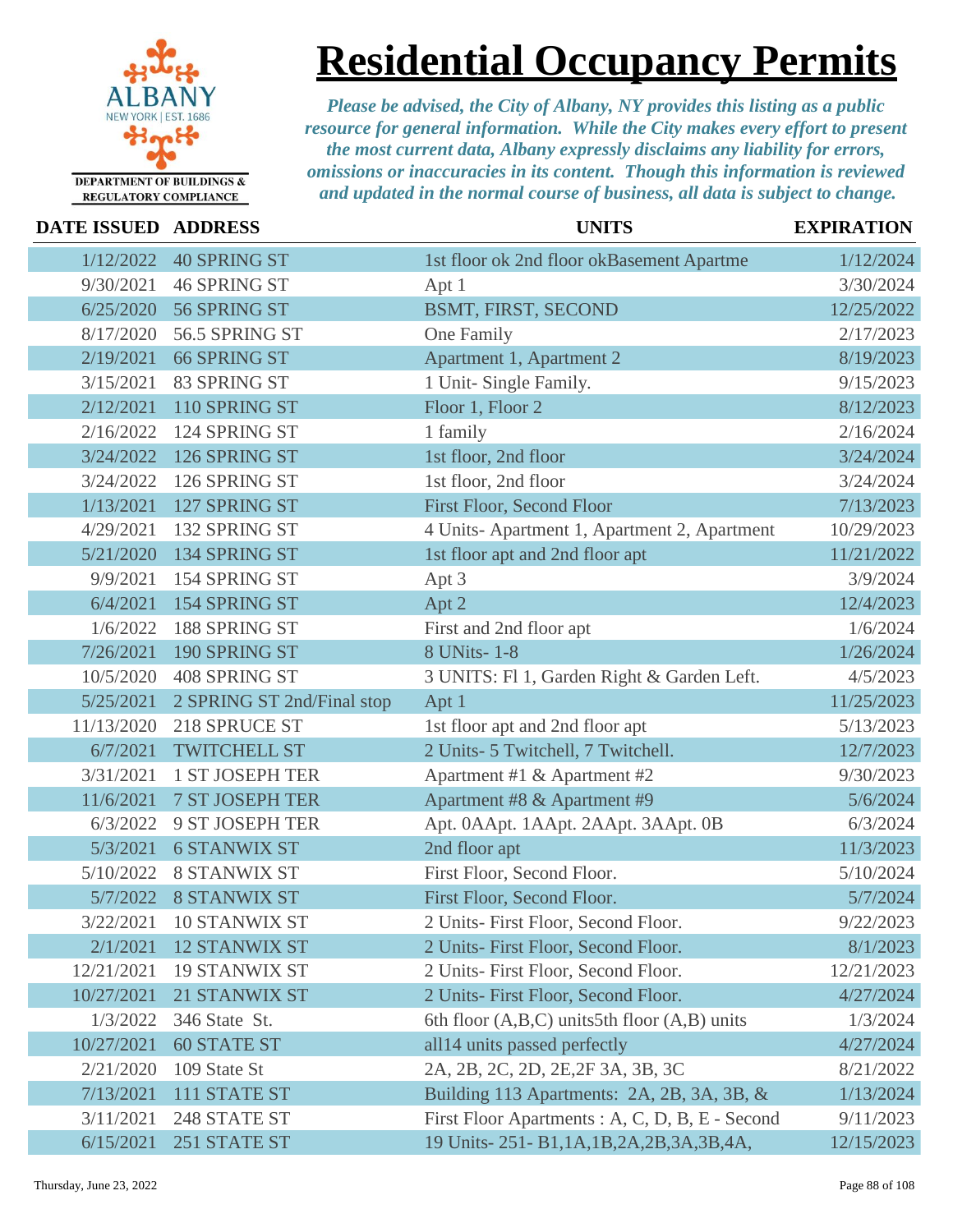

**Residential Occupancy Permits**

| DATE ISSUED ADDRESS |                            | <b>UNITS</b>                                      | <b>EXPIRATION</b> |
|---------------------|----------------------------|---------------------------------------------------|-------------------|
| 1/12/2022           | <b>40 SPRING ST</b>        | 1st floor ok 2nd floor okBasement Apartme         | 1/12/2024         |
| 9/30/2021           | <b>46 SPRING ST</b>        | Apt 1                                             | 3/30/2024         |
| 6/25/2020           | 56 SPRING ST               | BSMT, FIRST, SECOND                               | 12/25/2022        |
| 8/17/2020           | 56.5 SPRING ST             | One Family                                        | 2/17/2023         |
| 2/19/2021           | <b>66 SPRING ST</b>        | Apartment 1, Apartment 2                          | 8/19/2023         |
| 3/15/2021           | 83 SPRING ST               | 1 Unit- Single Family.                            | 9/15/2023         |
| 2/12/2021           | 110 SPRING ST              | Floor 1, Floor 2                                  | 8/12/2023         |
| 2/16/2022           | 124 SPRING ST              | 1 family                                          | 2/16/2024         |
| 3/24/2022           | 126 SPRING ST              | 1st floor, 2nd floor                              | 3/24/2024         |
| 3/24/2022           | 126 SPRING ST              | 1st floor, 2nd floor                              | 3/24/2024         |
| 1/13/2021           | 127 SPRING ST              | First Floor, Second Floor                         | 7/13/2023         |
| 4/29/2021           | 132 SPRING ST              | 4 Units-Apartment 1, Apartment 2, Apartment       | 10/29/2023        |
| 5/21/2020           | 134 SPRING ST              | 1st floor apt and 2nd floor apt                   | 11/21/2022        |
| 9/9/2021            | 154 SPRING ST              | Apt 3                                             | 3/9/2024          |
| 6/4/2021            | 154 SPRING ST              | Apt 2                                             | 12/4/2023         |
| 1/6/2022            | 188 SPRING ST              | First and 2nd floor apt                           | 1/6/2024          |
| 7/26/2021           | 190 SPRING ST              | 8 UNits-1-8                                       | 1/26/2024         |
| 10/5/2020           | 408 SPRING ST              | 3 UNITS: Fl 1, Garden Right & Garden Left.        | 4/5/2023          |
| 5/25/2021           | 2 SPRING ST 2nd/Final stop | Apt 1                                             | 11/25/2023        |
| 11/13/2020          | 218 SPRUCE ST              | 1st floor apt and 2nd floor apt                   | 5/13/2023         |
| 6/7/2021            | <b>TWITCHELL ST</b>        | 2 Units- 5 Twitchell, 7 Twitchell.                | 12/7/2023         |
| 3/31/2021           | <b>1 ST JOSEPH TER</b>     | Apartment #1 & Apartment #2                       | 9/30/2023         |
| 11/6/2021           | 7 ST JOSEPH TER            | Apartment #8 & Apartment #9                       | 5/6/2024          |
| 6/3/2022            | 9 ST JOSEPH TER            | Apt. 0AApt. 1AApt. 2AApt. 3AApt. 0B               | 6/3/2024          |
| 5/3/2021            | <b>6 STANWIX ST</b>        | 2nd floor apt                                     | 11/3/2023         |
| 5/10/2022           | <b>8 STANWIX ST</b>        | First Floor, Second Floor.                        | 5/10/2024         |
| 5/7/2022            | <b>8 STANWIX ST</b>        | First Floor, Second Floor.                        | 5/7/2024          |
| 3/22/2021           | 10 STANWIX ST              | 2 Units- First Floor, Second Floor.               | 9/22/2023         |
| 2/1/2021            | <b>12 STANWIX ST</b>       | 2 Units- First Floor, Second Floor.               | 8/1/2023          |
| 12/21/2021          | <b>19 STANWIX ST</b>       | 2 Units- First Floor, Second Floor.               | 12/21/2023        |
| 10/27/2021          | 21 STANWIX ST              | 2 Units- First Floor, Second Floor.               | 4/27/2024         |
| 1/3/2022            | 346 State St.              | 6th floor $(A,B,C)$ units 5th floor $(A,B)$ units | 1/3/2024          |
| 10/27/2021          | <b>60 STATE ST</b>         | all14 units passed perfectly                      | 4/27/2024         |
| 2/21/2020           | 109 State St               | 2A, 2B, 2C, 2D, 2E, 2F 3A, 3B, 3C                 | 8/21/2022         |
| 7/13/2021           | 111 STATE ST               | Building 113 Apartments: 2A, 2B, 3A, 3B, &        | 1/13/2024         |
| 3/11/2021           | 248 STATE ST               | First Floor Apartments: A, C, D, B, E - Second    | 9/11/2023         |
| 6/15/2021           | 251 STATE ST               | 19 Units-251-B1,1A,1B,2A,2B,3A,3B,4A,             | 12/15/2023        |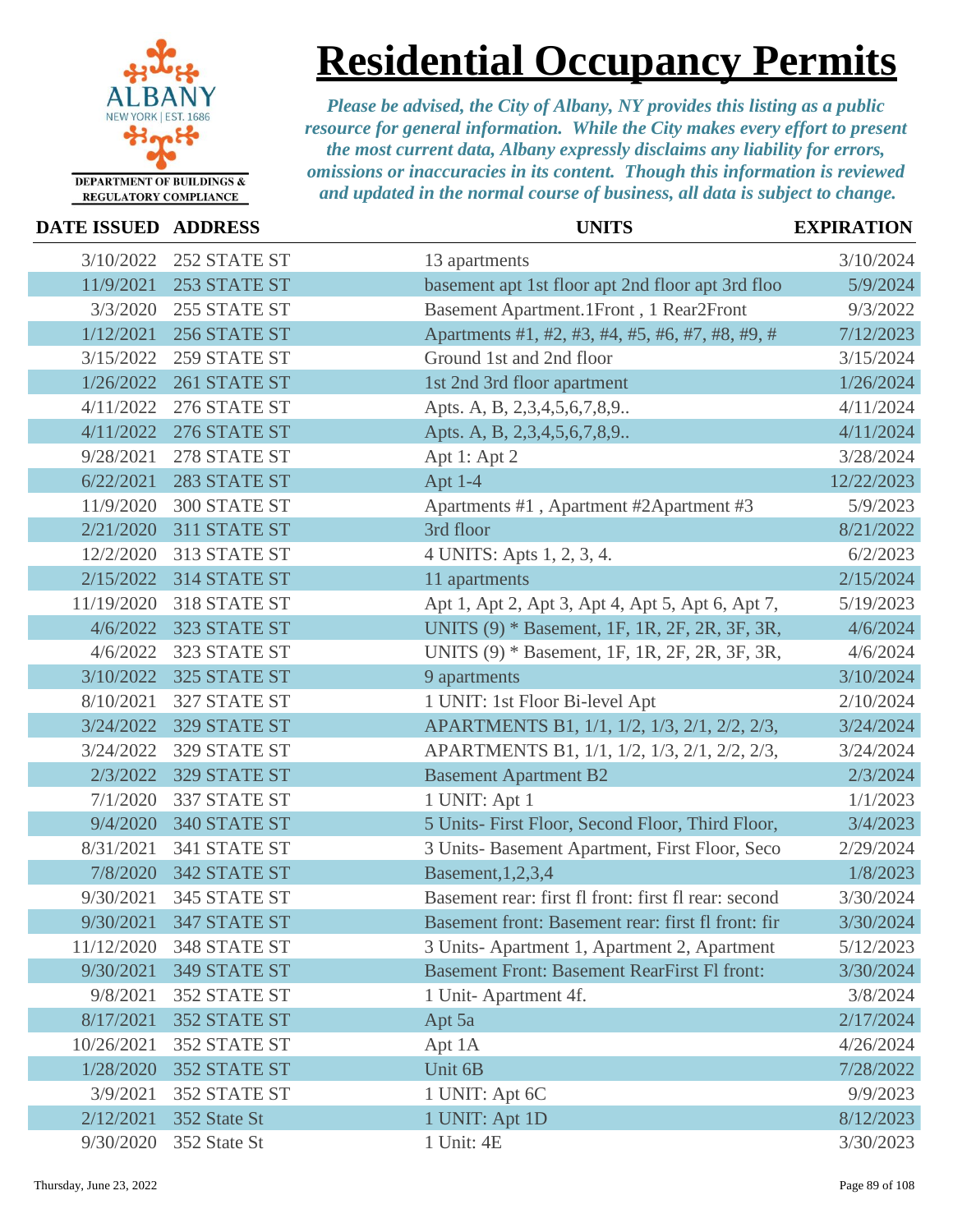

**Residential Occupancy Permits**

| DATE ISSUED ADDRESS |                        | <b>UNITS</b>                                         | <b>EXPIRATION</b> |
|---------------------|------------------------|------------------------------------------------------|-------------------|
| 3/10/2022           | 252 STATE ST           | 13 apartments                                        | 3/10/2024         |
| 11/9/2021           | 253 STATE ST           | basement apt 1st floor apt 2nd floor apt 3rd floo    | 5/9/2024          |
| 3/3/2020            | 255 STATE ST           | Basement Apartment.1Front, 1 Rear2Front              | 9/3/2022          |
| 1/12/2021           | 256 STATE ST           | Apartments #1, #2, #3, #4, #5, #6, #7, #8, #9, #     | 7/12/2023         |
| 3/15/2022           | 259 STATE ST           | Ground 1st and 2nd floor                             | 3/15/2024         |
| 1/26/2022           | 261 STATE ST           | 1st 2nd 3rd floor apartment                          | 1/26/2024         |
| 4/11/2022           | 276 STATE ST           | Apts. A, B, 2,3,4,5,6,7,8,9                          | 4/11/2024         |
| 4/11/2022           | 276 STATE ST           | Apts. A, B, 2,3,4,5,6,7,8,9                          | 4/11/2024         |
| 9/28/2021           | 278 STATE ST           | Apt 1: Apt 2                                         | 3/28/2024         |
| 6/22/2021           | 283 STATE ST           | Apt 1-4                                              | 12/22/2023        |
| 11/9/2020           | 300 STATE ST           | Apartments #1, Apartment #2Apartment #3              | 5/9/2023          |
| 2/21/2020           | 311 STATE ST           | 3rd floor                                            | 8/21/2022         |
| 12/2/2020           | 313 STATE ST           | 4 UNITS: Apts 1, 2, 3, 4.                            | 6/2/2023          |
| 2/15/2022           | 314 STATE ST           | 11 apartments                                        | 2/15/2024         |
| 11/19/2020          | 318 STATE ST           | Apt 1, Apt 2, Apt 3, Apt 4, Apt 5, Apt 6, Apt 7,     | 5/19/2023         |
| 4/6/2022            | 323 STATE ST           | UNITS (9) * Basement, 1F, 1R, 2F, 2R, 3F, 3R,        | 4/6/2024          |
| 4/6/2022            | 323 STATE ST           | UNITS (9) * Basement, 1F, 1R, 2F, 2R, 3F, 3R,        | 4/6/2024          |
| 3/10/2022           | 325 STATE ST           | 9 apartments                                         | 3/10/2024         |
| 8/10/2021           | 327 STATE ST           | 1 UNIT: 1st Floor Bi-level Apt                       | 2/10/2024         |
| 3/24/2022           | 329 STATE ST           | APARTMENTS B1, 1/1, 1/2, 1/3, 2/1, 2/2, 2/3,         | 3/24/2024         |
| 3/24/2022           | 329 STATE ST           | APARTMENTS B1, 1/1, 1/2, 1/3, 2/1, 2/2, 2/3,         | 3/24/2024         |
| 2/3/2022            | 329 STATE ST           | <b>Basement Apartment B2</b>                         | 2/3/2024          |
| 7/1/2020            | 337 STATE ST           | 1 UNIT: Apt 1                                        | 1/1/2023          |
| 9/4/2020            | 340 STATE ST           | 5 Units- First Floor, Second Floor, Third Floor,     | 3/4/2023          |
| 8/31/2021           | 341 STATE ST           | 3 Units- Basement Apartment, First Floor, Seco       | 2/29/2024         |
| 7/8/2020            | 342 STATE ST           | Basement, 1, 2, 3, 4                                 | 1/8/2023          |
| 9/30/2021           | 345 STATE ST           | Basement rear: first fl front: first fl rear: second | 3/30/2024         |
|                     | 9/30/2021 347 STATE ST | Basement front: Basement rear: first fl front: fir   | 3/30/2024         |
| 11/12/2020          | 348 STATE ST           | 3 Units-Apartment 1, Apartment 2, Apartment          | 5/12/2023         |
| 9/30/2021           | 349 STATE ST           | <b>Basement Front: Basement RearFirst Fl front:</b>  | 3/30/2024         |
| 9/8/2021            | 352 STATE ST           | 1 Unit-Apartment 4f.                                 | 3/8/2024          |
| 8/17/2021           | 352 STATE ST           | Apt 5a                                               | 2/17/2024         |
| 10/26/2021          | 352 STATE ST           | Apt 1A                                               | 4/26/2024         |
| 1/28/2020           | 352 STATE ST           | Unit 6B                                              | 7/28/2022         |
| 3/9/2021            | 352 STATE ST           | 1 UNIT: Apt 6C                                       | 9/9/2023          |
| 2/12/2021           | 352 State St           | 1 UNIT: Apt 1D                                       | 8/12/2023         |
| 9/30/2020           | 352 State St           | 1 Unit: 4E                                           | 3/30/2023         |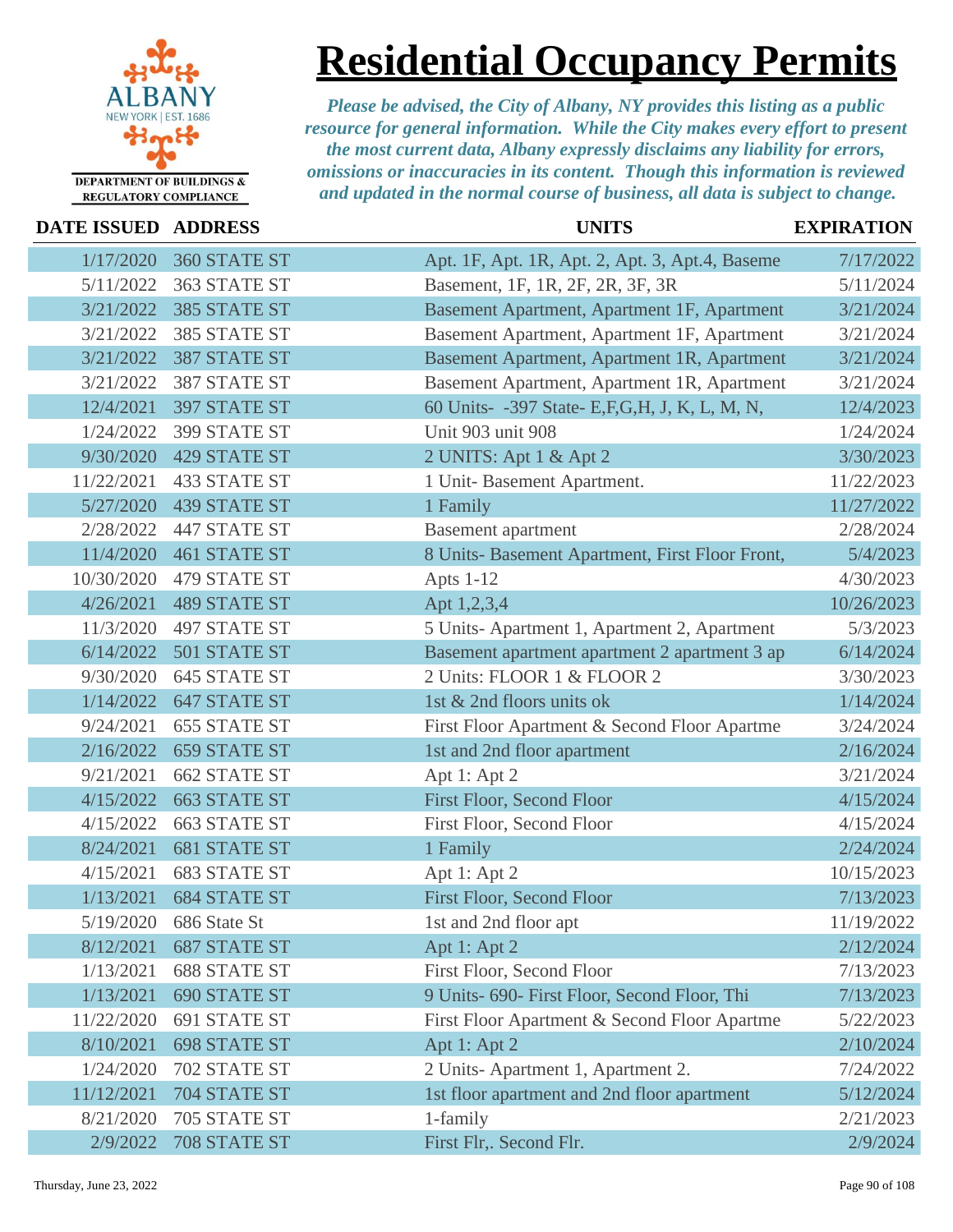

**Residential Occupancy Permits**

| <b>DATE ISSUED ADDRESS</b> |                     | <b>UNITS</b>                                     | <b>EXPIRATION</b> |
|----------------------------|---------------------|--------------------------------------------------|-------------------|
| 1/17/2020                  | 360 STATE ST        | Apt. 1F, Apt. 1R, Apt. 2, Apt. 3, Apt. 4, Baseme | 7/17/2022         |
| 5/11/2022                  | 363 STATE ST        | Basement, 1F, 1R, 2F, 2R, 3F, 3R                 | 5/11/2024         |
| 3/21/2022                  | 385 STATE ST        | Basement Apartment, Apartment 1F, Apartment      | 3/21/2024         |
| 3/21/2022                  | 385 STATE ST        | Basement Apartment, Apartment 1F, Apartment      | 3/21/2024         |
| 3/21/2022                  | 387 STATE ST        | Basement Apartment, Apartment 1R, Apartment      | 3/21/2024         |
| 3/21/2022                  | 387 STATE ST        | Basement Apartment, Apartment 1R, Apartment      | 3/21/2024         |
| 12/4/2021                  | 397 STATE ST        | 60 Units- -397 State- E,F,G,H, J, K, L, M, N,    | 12/4/2023         |
| 1/24/2022                  | 399 STATE ST        | Unit 903 unit 908                                | 1/24/2024         |
| 9/30/2020                  | <b>429 STATE ST</b> | 2 UNITS: Apt 1 & Apt 2                           | 3/30/2023         |
| 11/22/2021                 | <b>433 STATE ST</b> | 1 Unit-Basement Apartment.                       | 11/22/2023        |
| 5/27/2020                  | <b>439 STATE ST</b> | 1 Family                                         | 11/27/2022        |
| 2/28/2022                  | <b>447 STATE ST</b> | <b>Basement</b> apartment                        | 2/28/2024         |
| 11/4/2020                  | <b>461 STATE ST</b> | 8 Units- Basement Apartment, First Floor Front,  | 5/4/2023          |
| 10/30/2020                 | 479 STATE ST        | Apts 1-12                                        | 4/30/2023         |
| 4/26/2021                  | <b>489 STATE ST</b> | Apt 1,2,3,4                                      | 10/26/2023        |
| 11/3/2020                  | <b>497 STATE ST</b> | 5 Units-Apartment 1, Apartment 2, Apartment      | 5/3/2023          |
| 6/14/2022                  | 501 STATE ST        | Basement apartment apartment 2 apartment 3 ap    | 6/14/2024         |
| 9/30/2020                  | 645 STATE ST        | 2 Units: FLOOR 1 & FLOOR 2                       | 3/30/2023         |
| 1/14/2022                  | 647 STATE ST        | 1st & 2nd floors units ok                        | 1/14/2024         |
| 9/24/2021                  | <b>655 STATE ST</b> | First Floor Apartment & Second Floor Apartme     | 3/24/2024         |
| 2/16/2022                  | <b>659 STATE ST</b> | 1st and 2nd floor apartment                      | 2/16/2024         |
| 9/21/2021                  | <b>662 STATE ST</b> | Apt 1: Apt 2                                     | 3/21/2024         |
| 4/15/2022                  | <b>663 STATE ST</b> | First Floor, Second Floor                        | 4/15/2024         |
| 4/15/2022                  | <b>663 STATE ST</b> | First Floor, Second Floor                        | 4/15/2024         |
| 8/24/2021                  | <b>681 STATE ST</b> | 1 Family                                         | 2/24/2024         |
| 4/15/2021                  | <b>683 STATE ST</b> | Apt 1: Apt 2                                     | 10/15/2023        |
| 1/13/2021                  | <b>684 STATE ST</b> | First Floor, Second Floor                        | 7/13/2023         |
| 5/19/2020                  | 686 State St        | 1st and 2nd floor apt                            | 11/19/2022        |
| 8/12/2021                  | <b>687 STATE ST</b> | Apt 1: Apt 2                                     | 2/12/2024         |
| 1/13/2021                  | <b>688 STATE ST</b> | First Floor, Second Floor                        | 7/13/2023         |
| 1/13/2021                  | <b>690 STATE ST</b> | 9 Units- 690- First Floor, Second Floor, Thi     | 7/13/2023         |
| 11/22/2020                 | 691 STATE ST        | First Floor Apartment & Second Floor Apartme     | 5/22/2023         |
| 8/10/2021                  | <b>698 STATE ST</b> | Apt 1: Apt 2                                     | 2/10/2024         |
| 1/24/2020                  | 702 STATE ST        | 2 Units-Apartment 1, Apartment 2.                | 7/24/2022         |
| 11/12/2021                 | 704 STATE ST        | 1st floor apartment and 2nd floor apartment      | 5/12/2024         |
| 8/21/2020                  | 705 STATE ST        | 1-family                                         | 2/21/2023         |
| 2/9/2022                   | 708 STATE ST        | First Flr,. Second Flr.                          | 2/9/2024          |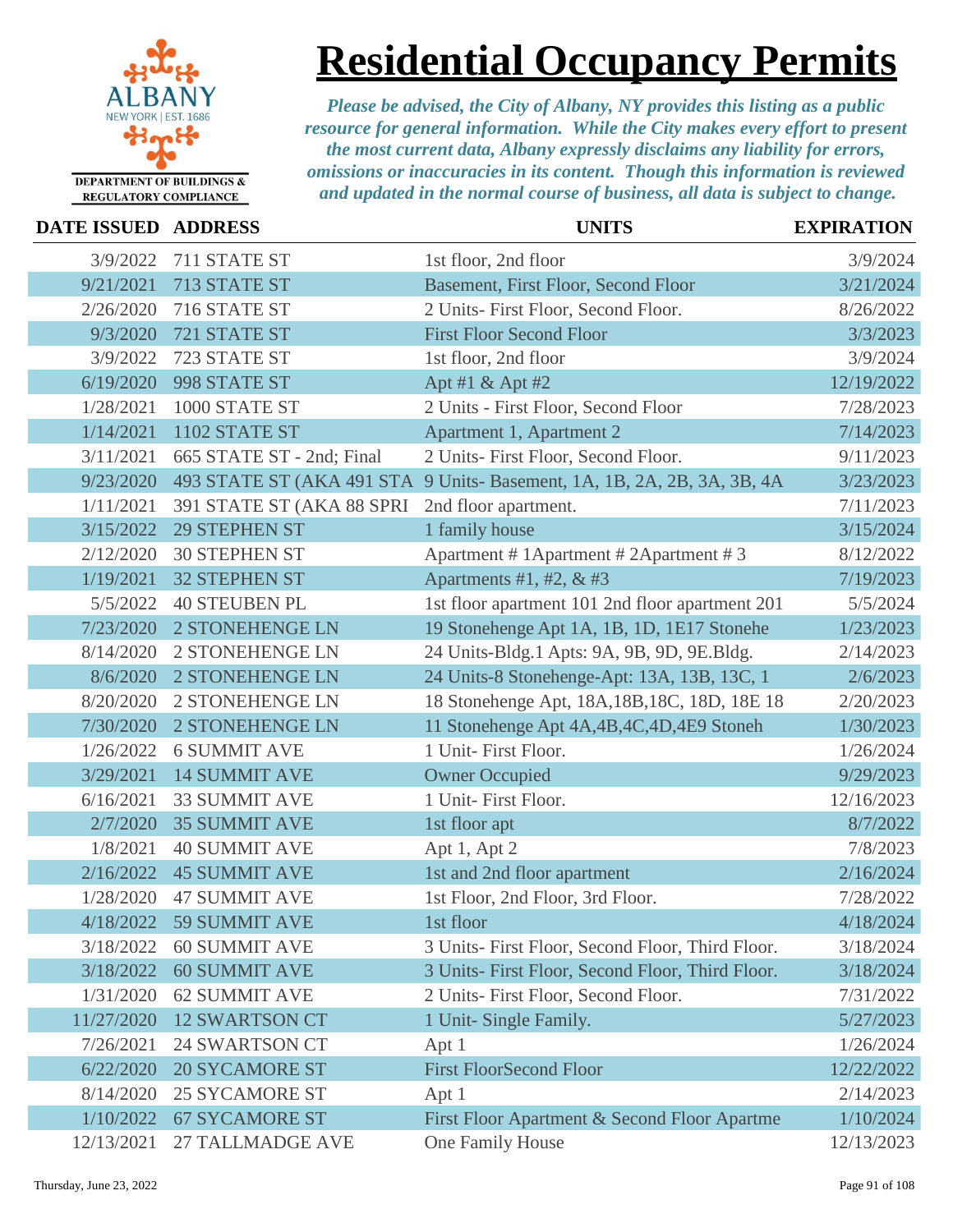

**Residential Occupancy Permits**

| DATE ISSUED ADDRESS |                           | <b>UNITS</b>                                                           | <b>EXPIRATION</b> |
|---------------------|---------------------------|------------------------------------------------------------------------|-------------------|
| 3/9/2022            | 711 STATE ST              | 1st floor, 2nd floor                                                   | 3/9/2024          |
| 9/21/2021           | 713 STATE ST              | Basement, First Floor, Second Floor                                    | 3/21/2024         |
| 2/26/2020           | 716 STATE ST              | 2 Units- First Floor, Second Floor.                                    | 8/26/2022         |
| 9/3/2020            | 721 STATE ST              | <b>First Floor Second Floor</b>                                        | 3/3/2023          |
| 3/9/2022            | 723 STATE ST              | 1st floor, 2nd floor                                                   | 3/9/2024          |
| 6/19/2020           | 998 STATE ST              | Apt #1 & Apt #2                                                        | 12/19/2022        |
| 1/28/2021           | 1000 STATE ST             | 2 Units - First Floor, Second Floor                                    | 7/28/2023         |
| 1/14/2021           | 1102 STATE ST             | Apartment 1, Apartment 2                                               | 7/14/2023         |
| 3/11/2021           | 665 STATE ST - 2nd; Final | 2 Units- First Floor, Second Floor.                                    | 9/11/2023         |
| 9/23/2020           |                           | 493 STATE ST (AKA 491 STA 9 Units-Basement, 1A, 1B, 2A, 2B, 3A, 3B, 4A | 3/23/2023         |
| 1/11/2021           | 391 STATE ST (AKA 88 SPRI | 2nd floor apartment.                                                   | 7/11/2023         |
| 3/15/2022           | <b>29 STEPHEN ST</b>      | 1 family house                                                         | 3/15/2024         |
| 2/12/2020           | <b>30 STEPHEN ST</b>      | Apartment # 1Apartment # 2Apartment # 3                                | 8/12/2022         |
| 1/19/2021           | <b>32 STEPHEN ST</b>      | Apartments #1, #2, $&$ #3                                              | 7/19/2023         |
| 5/5/2022            | <b>40 STEUBEN PL</b>      | 1st floor apartment 101 2nd floor apartment 201                        | 5/5/2024          |
| 7/23/2020           | 2 STONEHENGE LN           | 19 Stonehenge Apt 1A, 1B, 1D, 1E17 Stonehe                             | 1/23/2023         |
| 8/14/2020           | <b>2 STONEHENGE LN</b>    | 24 Units-Bldg.1 Apts: 9A, 9B, 9D, 9E.Bldg.                             | 2/14/2023         |
| 8/6/2020            | 2 STONEHENGE LN           | 24 Units-8 Stonehenge-Apt: 13A, 13B, 13C, 1                            | 2/6/2023          |
| 8/20/2020           | 2 STONEHENGE LN           | 18 Stonehenge Apt, 18A, 18B, 18C, 18D, 18E 18                          | 2/20/2023         |
| 7/30/2020           | <b>2 STONEHENGE LN</b>    | 11 Stonehenge Apt 4A, 4B, 4C, 4D, 4E9 Stoneh                           | 1/30/2023         |
| 1/26/2022           | <b>6 SUMMIT AVE</b>       | 1 Unit- First Floor.                                                   | 1/26/2024         |
| 3/29/2021           | <b>14 SUMMIT AVE</b>      | <b>Owner Occupied</b>                                                  | 9/29/2023         |
| 6/16/2021           | <b>33 SUMMIT AVE</b>      | 1 Unit- First Floor.                                                   | 12/16/2023        |
| 2/7/2020            | <b>35 SUMMIT AVE</b>      | 1st floor apt                                                          | 8/7/2022          |
| 1/8/2021            | <b>40 SUMMIT AVE</b>      | Apt 1, Apt 2                                                           | 7/8/2023          |
| 2/16/2022           | <b>45 SUMMIT AVE</b>      | 1st and 2nd floor apartment                                            | 2/16/2024         |
| 1/28/2020           | <b>47 SUMMIT AVE</b>      | 1st Floor, 2nd Floor, 3rd Floor.                                       | 7/28/2022         |
|                     | 4/18/2022 59 SUMMIT AVE   | 1st floor                                                              | 4/18/2024         |
| 3/18/2022           | <b>60 SUMMIT AVE</b>      | 3 Units- First Floor, Second Floor, Third Floor.                       | 3/18/2024         |
| 3/18/2022           | <b>60 SUMMIT AVE</b>      | 3 Units- First Floor, Second Floor, Third Floor.                       | 3/18/2024         |
| 1/31/2020           | <b>62 SUMMIT AVE</b>      | 2 Units- First Floor, Second Floor.                                    | 7/31/2022         |
| 11/27/2020          | <b>12 SWARTSON CT</b>     | 1 Unit- Single Family.                                                 | 5/27/2023         |
| 7/26/2021           | <b>24 SWARTSON CT</b>     | Apt 1                                                                  | 1/26/2024         |
| 6/22/2020           | <b>20 SYCAMORE ST</b>     | <b>First FloorSecond Floor</b>                                         | 12/22/2022        |
| 8/14/2020           | <b>25 SYCAMORE ST</b>     | Apt 1                                                                  | 2/14/2023         |
| 1/10/2022           | <b>67 SYCAMORE ST</b>     | First Floor Apartment & Second Floor Apartme                           | 1/10/2024         |
| 12/13/2021          | 27 TALLMADGE AVE          | One Family House                                                       | 12/13/2023        |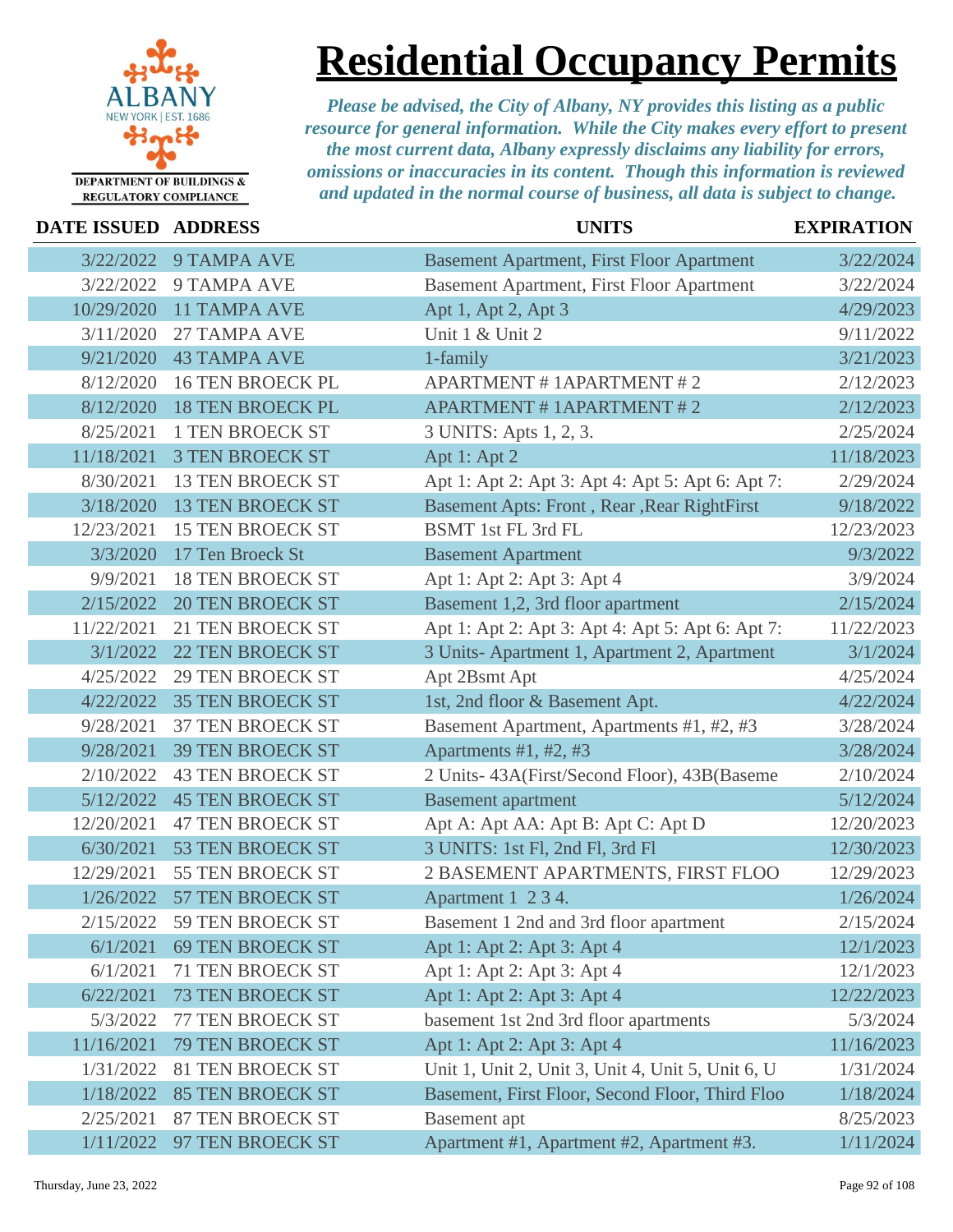

# **Residential Occupancy Permits**

| DATE ISSUED ADDRESS |                         | <b>UNITS</b>                                      | <b>EXPIRATION</b> |
|---------------------|-------------------------|---------------------------------------------------|-------------------|
| 3/22/2022           | <b>9 TAMPA AVE</b>      | <b>Basement Apartment, First Floor Apartment</b>  | 3/22/2024         |
| 3/22/2022           | 9 TAMPA AVE             | <b>Basement Apartment, First Floor Apartment</b>  | 3/22/2024         |
| 10/29/2020          | <b>11 TAMPA AVE</b>     | Apt 1, Apt 2, Apt 3                               | 4/29/2023         |
| 3/11/2020           | 27 TAMPA AVE            | Unit 1 & Unit 2                                   | 9/11/2022         |
| 9/21/2020           | <b>43 TAMPA AVE</b>     | 1-family                                          | 3/21/2023         |
| 8/12/2020           | <b>16 TEN BROECK PL</b> | <b>APARTMENT # 1APARTMENT # 2</b>                 | 2/12/2023         |
| 8/12/2020           | <b>18 TEN BROECK PL</b> | <b>APARTMENT # 1APARTMENT # 2</b>                 | 2/12/2023         |
| 8/25/2021           | <b>1 TEN BROECK ST</b>  | 3 UNITS: Apts 1, 2, 3.                            | 2/25/2024         |
| 11/18/2021          | <b>3 TEN BROECK ST</b>  | Apt 1: Apt 2                                      | 11/18/2023        |
| 8/30/2021           | <b>13 TEN BROECK ST</b> | Apt 1: Apt 2: Apt 3: Apt 4: Apt 5: Apt 6: Apt 7:  | 2/29/2024         |
| 3/18/2020           | <b>13 TEN BROECK ST</b> | Basement Apts: Front, Rear, Rear RightFirst       | 9/18/2022         |
| 12/23/2021          | <b>15 TEN BROECK ST</b> | BSMT 1st FL 3rd FL                                | 12/23/2023        |
| 3/3/2020            | 17 Ten Broeck St        | <b>Basement Apartment</b>                         | 9/3/2022          |
| 9/9/2021            | <b>18 TEN BROECK ST</b> | Apt 1: Apt 2: Apt 3: Apt 4                        | 3/9/2024          |
| 2/15/2022           | <b>20 TEN BROECK ST</b> | Basement 1,2, 3rd floor apartment                 | 2/15/2024         |
| 11/22/2021          | <b>21 TEN BROECK ST</b> | Apt 1: Apt 2: Apt 3: Apt 4: Apt 5: Apt 6: Apt 7:  | 11/22/2023        |
| 3/1/2022            | <b>22 TEN BROECK ST</b> | 3 Units- Apartment 1, Apartment 2, Apartment      | 3/1/2024          |
| 4/25/2022           | <b>29 TEN BROECK ST</b> | Apt 2Bsmt Apt                                     | 4/25/2024         |
| 4/22/2022           | <b>35 TEN BROECK ST</b> | 1st, 2nd floor & Basement Apt.                    | 4/22/2024         |
| 9/28/2021           | <b>37 TEN BROECK ST</b> | Basement Apartment, Apartments #1, #2, #3         | 3/28/2024         |
| 9/28/2021           | <b>39 TEN BROECK ST</b> | Apartments $#1, #2, #3$                           | 3/28/2024         |
| 2/10/2022           | <b>43 TEN BROECK ST</b> | 2 Units-43A(First/Second Floor), 43B(Baseme       | 2/10/2024         |
| 5/12/2022           | <b>45 TEN BROECK ST</b> | <b>Basement</b> apartment                         | 5/12/2024         |
| 12/20/2021          | <b>47 TEN BROECK ST</b> | Apt A: Apt AA: Apt B: Apt C: Apt D                | 12/20/2023        |
| 6/30/2021           | 53 TEN BROECK ST        | 3 UNITS: 1st Fl, 2nd Fl, 3rd Fl                   | 12/30/2023        |
| 12/29/2021          | 55 TEN BROECK ST        | 2 BASEMENT APARTMENTS, FIRST FLOO                 | 12/29/2023        |
| 1/26/2022           | 57 TEN BROECK ST        | Apartment 1 2 3 4.                                | 1/26/2024         |
| 2/15/2022           | 59 TEN BROECK ST        | Basement 1 2nd and 3rd floor apartment            | 2/15/2024         |
| 6/1/2021            | <b>69 TEN BROECK ST</b> | Apt 1: Apt 2: Apt 3: Apt 4                        | 12/1/2023         |
| 6/1/2021            | <b>71 TEN BROECK ST</b> | Apt 1: Apt 2: Apt 3: Apt 4                        | 12/1/2023         |
| 6/22/2021           | <b>73 TEN BROECK ST</b> | Apt 1: Apt 2: Apt 3: Apt 4                        | 12/22/2023        |
| 5/3/2022            | 77 TEN BROECK ST        | basement 1st 2nd 3rd floor apartments             | 5/3/2024          |
| 11/16/2021          | 79 TEN BROECK ST        | Apt 1: Apt 2: Apt 3: Apt 4                        | 11/16/2023        |
| 1/31/2022           | <b>81 TEN BROECK ST</b> | Unit 1, Unit 2, Unit 3, Unit 4, Unit 5, Unit 6, U | 1/31/2024         |
| 1/18/2022           | <b>85 TEN BROECK ST</b> | Basement, First Floor, Second Floor, Third Floo   | 1/18/2024         |
| 2/25/2021           | <b>87 TEN BROECK ST</b> | Basement apt                                      | 8/25/2023         |
| 1/11/2022           | 97 TEN BROECK ST        | Apartment #1, Apartment #2, Apartment #3.         | 1/11/2024         |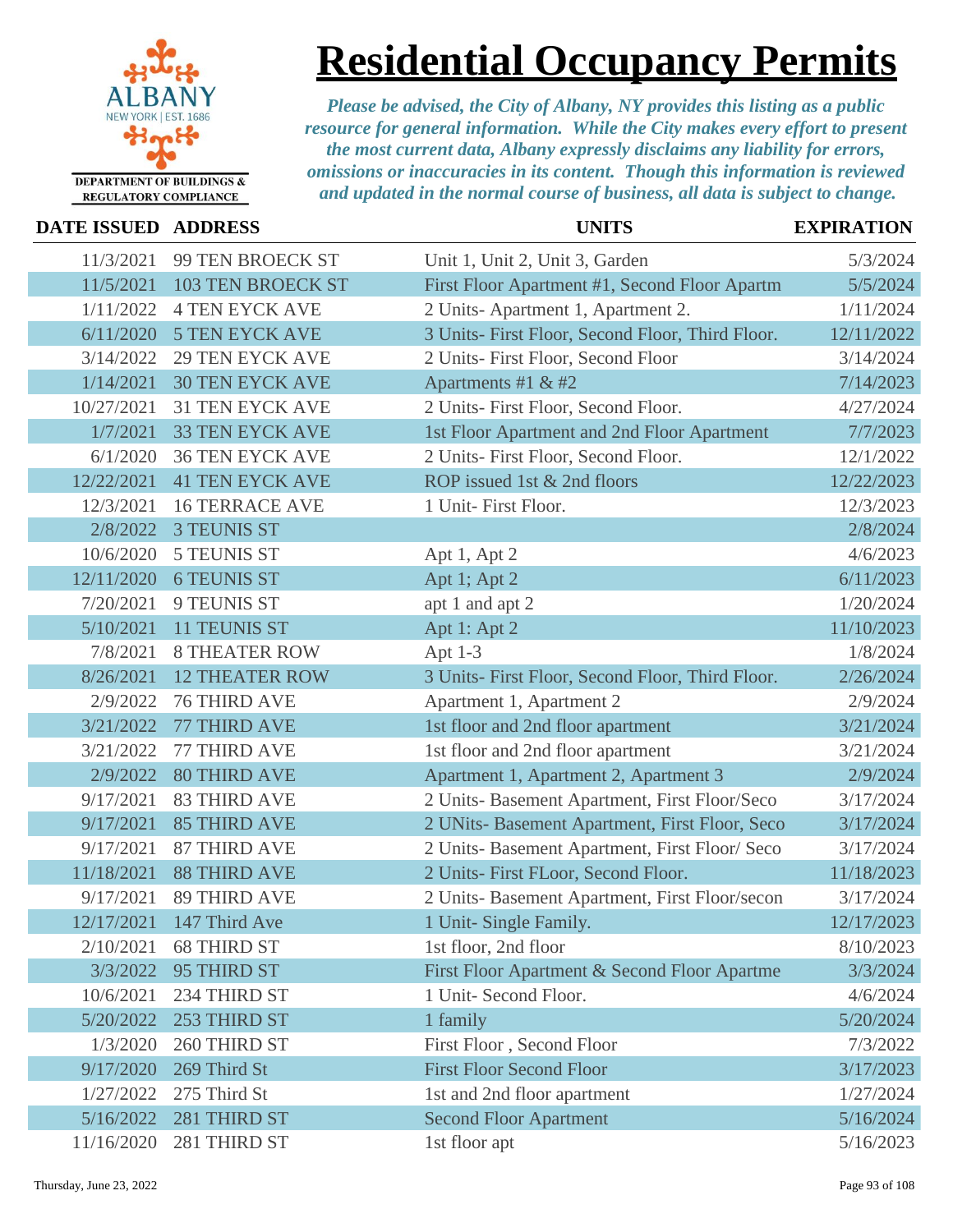

### **Residential Occupancy Permits**

| DATE ISSUED ADDRESS |                          | <b>UNITS</b>                                     | <b>EXPIRATION</b> |
|---------------------|--------------------------|--------------------------------------------------|-------------------|
| 11/3/2021           | 99 TEN BROECK ST         | Unit 1, Unit 2, Unit 3, Garden                   | 5/3/2024          |
| 11/5/2021           | <b>103 TEN BROECK ST</b> | First Floor Apartment #1, Second Floor Apartm    | 5/5/2024          |
| 1/11/2022           | <b>4 TEN EYCK AVE</b>    | 2 Units-Apartment 1, Apartment 2.                | 1/11/2024         |
| 6/11/2020           | <b>5 TEN EYCK AVE</b>    | 3 Units- First Floor, Second Floor, Third Floor. | 12/11/2022        |
| 3/14/2022           | <b>29 TEN EYCK AVE</b>   | 2 Units- First Floor, Second Floor               | 3/14/2024         |
| 1/14/2021           | <b>30 TEN EYCK AVE</b>   | Apartments #1 & #2                               | 7/14/2023         |
| 10/27/2021          | <b>31 TEN EYCK AVE</b>   | 2 Units- First Floor, Second Floor.              | 4/27/2024         |
| 1/7/2021            | <b>33 TEN EYCK AVE</b>   | 1st Floor Apartment and 2nd Floor Apartment      | 7/7/2023          |
| 6/1/2020            | <b>36 TEN EYCK AVE</b>   | 2 Units- First Floor, Second Floor.              | 12/1/2022         |
| 12/22/2021          | <b>41 TEN EYCK AVE</b>   | ROP issued 1st & 2nd floors                      | 12/22/2023        |
| 12/3/2021           | <b>16 TERRACE AVE</b>    | 1 Unit- First Floor.                             | 12/3/2023         |
| 2/8/2022            | <b>3 TEUNIS ST</b>       |                                                  | 2/8/2024          |
| 10/6/2020           | <b>5 TEUNIS ST</b>       | Apt 1, Apt 2                                     | 4/6/2023          |
| 12/11/2020          | <b>6 TEUNIS ST</b>       | Apt 1; Apt 2                                     | 6/11/2023         |
| 7/20/2021           | 9 TEUNIS ST              | apt 1 and apt 2                                  | 1/20/2024         |
| 5/10/2021           | 11 TEUNIS ST             | Apt 1: Apt 2                                     | 11/10/2023        |
| 7/8/2021            | <b>8 THEATER ROW</b>     | Apt $1-3$                                        | 1/8/2024          |
| 8/26/2021           | <b>12 THEATER ROW</b>    | 3 Units- First Floor, Second Floor, Third Floor. | 2/26/2024         |
| 2/9/2022            | <b>76 THIRD AVE</b>      | Apartment 1, Apartment 2                         | 2/9/2024          |
| 3/21/2022           | 77 THIRD AVE             | 1st floor and 2nd floor apartment                | 3/21/2024         |
| 3/21/2022           | 77 THIRD AVE             | 1st floor and 2nd floor apartment                | 3/21/2024         |
| 2/9/2022            | <b>80 THIRD AVE</b>      | Apartment 1, Apartment 2, Apartment 3            | 2/9/2024          |
| 9/17/2021           | <b>83 THIRD AVE</b>      | 2 Units- Basement Apartment, First Floor/Seco    | 3/17/2024         |
| 9/17/2021           | <b>85 THIRD AVE</b>      | 2 UNits- Basement Apartment, First Floor, Seco   | 3/17/2024         |
| 9/17/2021           | <b>87 THIRD AVE</b>      | 2 Units- Basement Apartment, First Floor/ Seco   | 3/17/2024         |
| 11/18/2021          | <b>88 THIRD AVE</b>      | 2 Units- First FLoor, Second Floor.              | 11/18/2023        |
| 9/17/2021           | <b>89 THIRD AVE</b>      | 2 Units- Basement Apartment, First Floor/secon   | 3/17/2024         |
|                     | 12/17/2021 147 Third Ave | 1 Unit- Single Family.                           | 12/17/2023        |
| 2/10/2021           | <b>68 THIRD ST</b>       | 1st floor, 2nd floor                             | 8/10/2023         |
| 3/3/2022            | 95 THIRD ST              | First Floor Apartment & Second Floor Apartme     | 3/3/2024          |
| 10/6/2021           | 234 THIRD ST             | 1 Unit- Second Floor.                            | 4/6/2024          |
| 5/20/2022           | 253 THIRD ST             | 1 family                                         | 5/20/2024         |
| 1/3/2020            | 260 THIRD ST             | First Floor, Second Floor                        | 7/3/2022          |
| 9/17/2020           | 269 Third St             | <b>First Floor Second Floor</b>                  | 3/17/2023         |
| 1/27/2022           | 275 Third St             | 1st and 2nd floor apartment                      | 1/27/2024         |
| 5/16/2022           | 281 THIRD ST             | <b>Second Floor Apartment</b>                    | 5/16/2024         |
| 11/16/2020          | 281 THIRD ST             | 1st floor apt                                    | 5/16/2023         |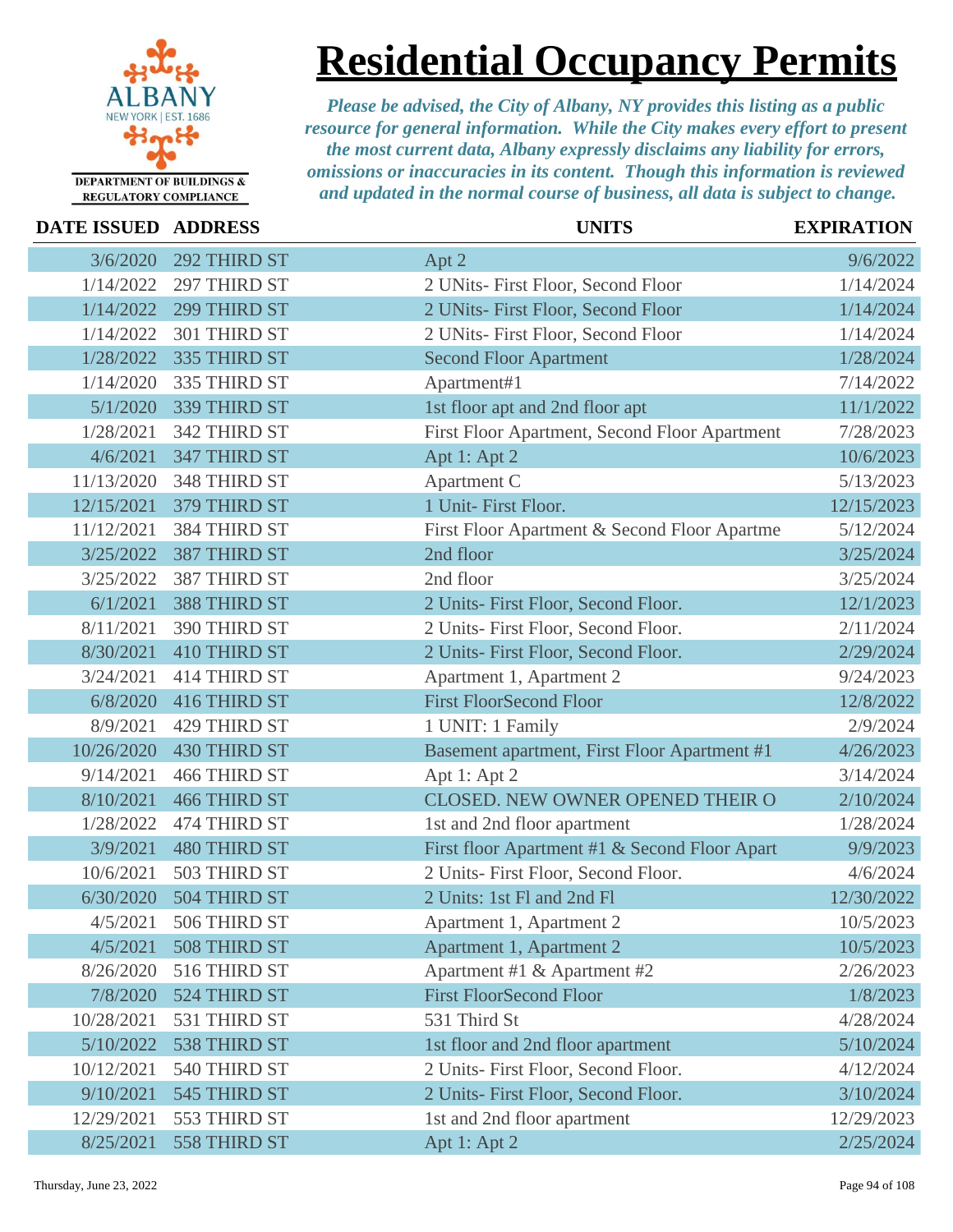

**Residential Occupancy Permits**

*Please be advised, the City of Albany, NY provides this listing as a public resource for general information. While the City makes every effort to present the most current data, Albany expressly disclaims any liability for errors, omissions or inaccuracies in its content. Though this information is reviewed and updated in the normal course of business, all data is subject to change.*

|  | <b>REGULATORY COMPLIANCE</b> |
|--|------------------------------|
|--|------------------------------|

### **DATE ISSUED ADDRESS UNITS EXPIRATION** 3/6/2020 292 THIRD ST **Apt 2** 9/6/2022 1/14/2022 297 THIRD ST 2 UNits- First Floor, Second Floor 1/14/2024 1/14/2022 299 THIRD ST 2 UNits- First Floor, Second Floor 1/14/2024 1/14/2022 301 THIRD ST 2 UNits- First Floor, Second Floor 1/14/2024 1/28/2022 335 THIRD ST Second Floor Apartment 1/28/2024 1/14/2020 335 THIRD ST Apartment#1 7/14/2022 5/1/2020 339 THIRD ST 1st floor apt and 2nd floor apt 11/1/2022 1/28/2021 342 THIRD ST First Floor Apartment, Second Floor Apartment 7/28/2023 4/6/2021 347 THIRD ST Apt 1: Apt 2 10/6/2023 11/13/2020 348 THIRD ST Apartment C 5/13/2023 12/15/2021 379 THIRD ST 1 Unit- First Floor. 12/15/2023 11/12/2021 384 THIRD ST First Floor Apartment & Second Floor Apartme 5/12/2024 3/25/2022 387 THIRD ST 2nd floor 3/25/2024 3/25/2022 387 THIRD ST 2nd floor 3/25/2024 6/1/2021 388 THIRD ST 2 Units- First Floor, Second Floor. 12/1/2023 8/11/2021 390 THIRD ST 2 Units- First Floor, Second Floor. 2/11/2024 8/30/2021 410 THIRD ST 2 Units- First Floor, Second Floor. 2/29/2024 3/24/2021 414 THIRD ST Apartment 1, Apartment 2 9/24/2023 6/8/2020 416 THIRD ST First Floor Second Floor 12/8/2022 8/9/2021 429 THIRD ST 1 UNIT: 1 Family 2/9/2024 10/26/2020 430 THIRD ST Basement apartment, First Floor Apartment #1 4/26/2023 9/14/2021 466 THIRD ST Apt 1: Apt 2 3/14/2024 8/10/2021 466 THIRD ST CLOSED. NEW OWNER OPENED THEIR O 2/10/2024 1/28/2022 474 THIRD ST 1st and 2nd floor apartment 1/28/2024 3/9/2021 480 THIRD ST First floor Apartment #1 & Second Floor Apart 9/9/2023 10/6/2021 503 THIRD ST 2 Units- First Floor, Second Floor. 4/6/2024 6/30/2020 504 THIRD ST 2 Units: 1st Fl and 2nd Fl 12/30/2022 4/5/2021 506 THIRD ST Apartment 1, Apartment 2 10/5/2023 4/5/2021 508 THIRD ST Apartment 1, Apartment 2 10/5/2023 8/26/2020 516 THIRD ST Apartment #1 & Apartment #2 2/26/2023 7/8/2020 524 THIRD ST First Floor Second Floor 1/8/2023 10/28/2021 531 THIRD ST 531 Third St 4/28/2024 5/10/2022 538 THIRD ST 1st floor and 2nd floor apartment 5/10/2024 10/12/2021 540 THIRD ST 2 Units- First Floor, Second Floor. 4/12/2024 9/10/2021 545 THIRD ST 2 Units- First Floor, Second Floor. 3/10/2024 12/29/2021 553 THIRD ST 1st and 2nd floor apartment 12/29/2023 8/25/2021 558 THIRD ST Apt 1: Apt 2 2/25/2024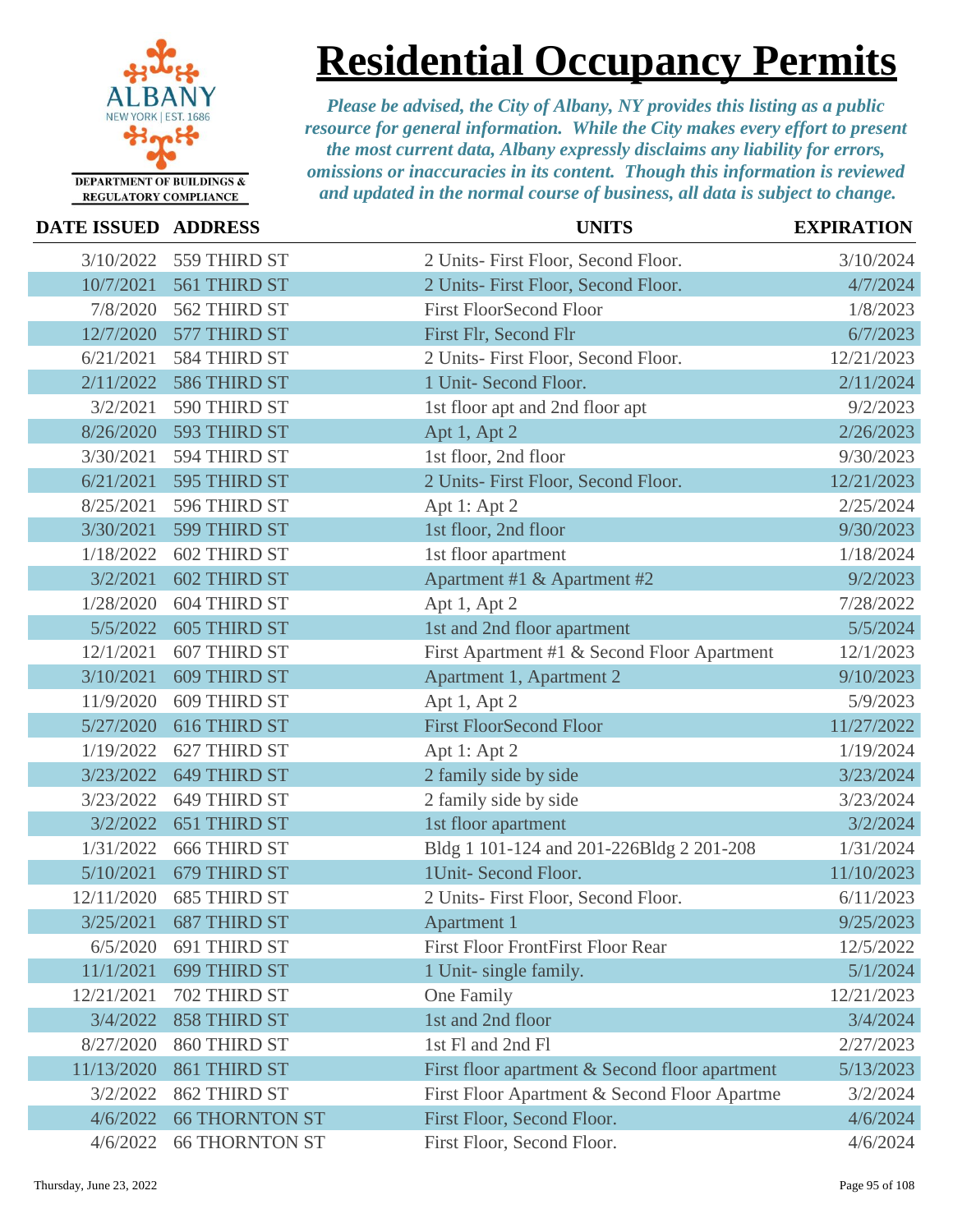

**Residential Occupancy Permits**

| DATE ISSUED ADDRESS |                       | <b>UNITS</b>                                   | <b>EXPIRATION</b> |
|---------------------|-----------------------|------------------------------------------------|-------------------|
| 3/10/2022           | 559 THIRD ST          | 2 Units- First Floor, Second Floor.            | 3/10/2024         |
| 10/7/2021           | 561 THIRD ST          | 2 Units- First Floor, Second Floor.            | 4/7/2024          |
| 7/8/2020            | 562 THIRD ST          | <b>First FloorSecond Floor</b>                 | 1/8/2023          |
| 12/7/2020           | 577 THIRD ST          | First Flr, Second Flr                          | 6/7/2023          |
| 6/21/2021           | 584 THIRD ST          | 2 Units- First Floor, Second Floor.            | 12/21/2023        |
| 2/11/2022           | 586 THIRD ST          | 1 Unit- Second Floor.                          | 2/11/2024         |
| 3/2/2021            | 590 THIRD ST          | 1st floor apt and 2nd floor apt                | 9/2/2023          |
| 8/26/2020           | 593 THIRD ST          | Apt 1, Apt 2                                   | 2/26/2023         |
| 3/30/2021           | 594 THIRD ST          | 1st floor, 2nd floor                           | 9/30/2023         |
| 6/21/2021           | 595 THIRD ST          | 2 Units- First Floor, Second Floor.            | 12/21/2023        |
| 8/25/2021           | 596 THIRD ST          | Apt 1: Apt 2                                   | 2/25/2024         |
| 3/30/2021           | 599 THIRD ST          | 1st floor, 2nd floor                           | 9/30/2023         |
| 1/18/2022           | <b>602 THIRD ST</b>   | 1st floor apartment                            | 1/18/2024         |
| 3/2/2021            | <b>602 THIRD ST</b>   | Apartment #1 & Apartment #2                    | 9/2/2023          |
| 1/28/2020           | <b>604 THIRD ST</b>   | Apt 1, Apt 2                                   | 7/28/2022         |
| 5/5/2022            | <b>605 THIRD ST</b>   | 1st and 2nd floor apartment                    | 5/5/2024          |
| 12/1/2021           | 607 THIRD ST          | First Apartment #1 & Second Floor Apartment    | 12/1/2023         |
| 3/10/2021           | <b>609 THIRD ST</b>   | Apartment 1, Apartment 2                       | 9/10/2023         |
| 11/9/2020           | 609 THIRD ST          | Apt 1, Apt 2                                   | 5/9/2023          |
| 5/27/2020           | 616 THIRD ST          | <b>First FloorSecond Floor</b>                 | 11/27/2022        |
| 1/19/2022           | 627 THIRD ST          | Apt 1: Apt 2                                   | 1/19/2024         |
| 3/23/2022           | 649 THIRD ST          | 2 family side by side                          | 3/23/2024         |
| 3/23/2022           | 649 THIRD ST          | 2 family side by side                          | 3/23/2024         |
| 3/2/2022            | 651 THIRD ST          | 1st floor apartment                            | 3/2/2024          |
| 1/31/2022           | <b>666 THIRD ST</b>   | Bldg 1 101-124 and 201-226Bldg 2 201-208       | 1/31/2024         |
| 5/10/2021           | 679 THIRD ST          | 1Unit- Second Floor.                           | 11/10/2023        |
| 12/11/2020          | <b>685 THIRD ST</b>   | 2 Units- First Floor, Second Floor.            | 6/11/2023         |
| 3/25/2021           | 687 THIRD ST          | Apartment 1                                    | 9/25/2023         |
| 6/5/2020            | 691 THIRD ST          | First Floor FrontFirst Floor Rear              | 12/5/2022         |
| 11/1/2021           | 699 THIRD ST          | 1 Unit- single family.                         | 5/1/2024          |
| 12/21/2021          | 702 THIRD ST          | One Family                                     | 12/21/2023        |
| 3/4/2022            | <b>858 THIRD ST</b>   | 1st and 2nd floor                              | 3/4/2024          |
| 8/27/2020           | 860 THIRD ST          | 1st Fl and 2nd Fl                              | 2/27/2023         |
| 11/13/2020          | 861 THIRD ST          | First floor apartment & Second floor apartment | 5/13/2023         |
| 3/2/2022            | 862 THIRD ST          | First Floor Apartment & Second Floor Apartme   | 3/2/2024          |
| 4/6/2022            | <b>66 THORNTON ST</b> | First Floor, Second Floor.                     | 4/6/2024          |
| 4/6/2022            | <b>66 THORNTON ST</b> | First Floor, Second Floor.                     | 4/6/2024          |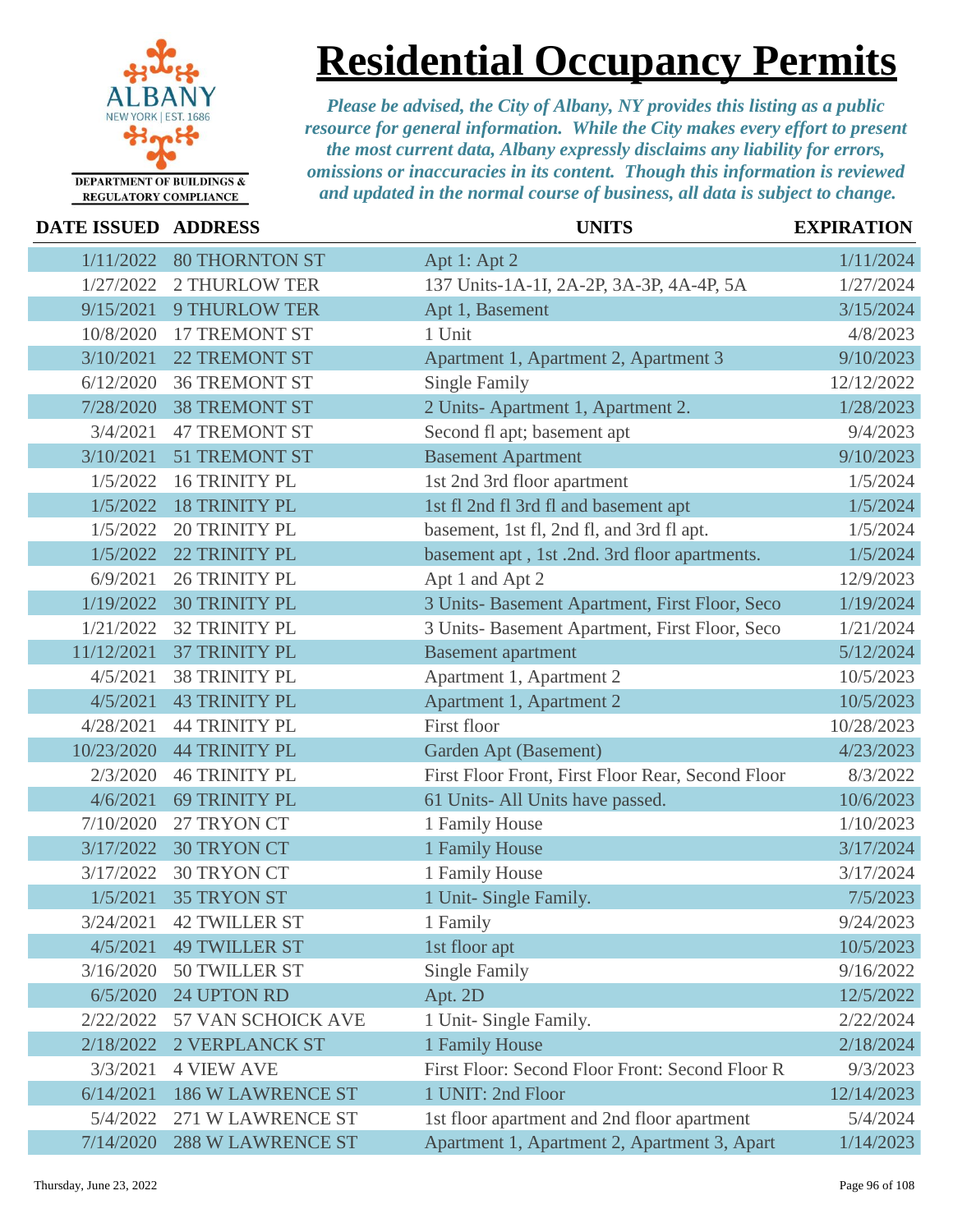

### **Residential Occupancy Permits**

| DATE ISSUED ADDRESS |                          | <b>UNITS</b>                                      | <b>EXPIRATION</b> |
|---------------------|--------------------------|---------------------------------------------------|-------------------|
| 1/11/2022           | <b>80 THORNTON ST</b>    | Apt 1: Apt 2                                      | 1/11/2024         |
| 1/27/2022           | <b>2 THURLOW TER</b>     | 137 Units-1A-1I, 2A-2P, 3A-3P, 4A-4P, 5A          | 1/27/2024         |
| 9/15/2021           | <b>9 THURLOW TER</b>     | Apt 1, Basement                                   | 3/15/2024         |
| 10/8/2020           | 17 TREMONT ST            | 1 Unit                                            | 4/8/2023          |
| 3/10/2021           | 22 TREMONT ST            | Apartment 1, Apartment 2, Apartment 3             | 9/10/2023         |
| 6/12/2020           | <b>36 TREMONT ST</b>     | <b>Single Family</b>                              | 12/12/2022        |
| 7/28/2020           | <b>38 TREMONT ST</b>     | 2 Units-Apartment 1, Apartment 2.                 | 1/28/2023         |
| 3/4/2021            | <b>47 TREMONT ST</b>     | Second fl apt; basement apt                       | 9/4/2023          |
| 3/10/2021           | 51 TREMONT ST            | <b>Basement Apartment</b>                         | 9/10/2023         |
| 1/5/2022            | <b>16 TRINITY PL</b>     | 1st 2nd 3rd floor apartment                       | 1/5/2024          |
| 1/5/2022            | <b>18 TRINITY PL</b>     | 1st fl 2nd fl 3rd fl and basement apt             | 1/5/2024          |
| 1/5/2022            | <b>20 TRINITY PL</b>     | basement, 1st fl, 2nd fl, and 3rd fl apt.         | 1/5/2024          |
| 1/5/2022            | 22 TRINITY PL            | basement apt, 1st.2nd. 3rd floor apartments.      | 1/5/2024          |
| 6/9/2021            | <b>26 TRINITY PL</b>     | Apt 1 and Apt 2                                   | 12/9/2023         |
| 1/19/2022           | <b>30 TRINITY PL</b>     | 3 Units- Basement Apartment, First Floor, Seco    | 1/19/2024         |
| 1/21/2022           | <b>32 TRINITY PL</b>     | 3 Units- Basement Apartment, First Floor, Seco    | 1/21/2024         |
| 11/12/2021          | 37 TRINITY PL            | <b>Basement</b> apartment                         | 5/12/2024         |
| 4/5/2021            | <b>38 TRINITY PL</b>     | Apartment 1, Apartment 2                          | 10/5/2023         |
| 4/5/2021            | <b>43 TRINITY PL</b>     | Apartment 1, Apartment 2                          | 10/5/2023         |
| 4/28/2021           | <b>44 TRINITY PL</b>     | First floor                                       | 10/28/2023        |
| 10/23/2020          | <b>44 TRINITY PL</b>     | Garden Apt (Basement)                             | 4/23/2023         |
| 2/3/2020            | <b>46 TRINITY PL</b>     | First Floor Front, First Floor Rear, Second Floor | 8/3/2022          |
| 4/6/2021            | <b>69 TRINITY PL</b>     | 61 Units-All Units have passed.                   | 10/6/2023         |
| 7/10/2020           | 27 TRYON CT              | 1 Family House                                    | 1/10/2023         |
| 3/17/2022           | <b>30 TRYON CT</b>       | 1 Family House                                    | 3/17/2024         |
| 3/17/2022           | <b>30 TRYON CT</b>       | 1 Family House                                    | 3/17/2024         |
| 1/5/2021            | <b>35 TRYON ST</b>       | 1 Unit- Single Family.                            | 7/5/2023          |
| 3/24/2021           | <b>42 TWILLER ST</b>     | 1 Family                                          | 9/24/2023         |
| 4/5/2021            | <b>49 TWILLER ST</b>     | 1st floor apt                                     | 10/5/2023         |
| 3/16/2020           | <b>50 TWILLER ST</b>     | <b>Single Family</b>                              | 9/16/2022         |
| 6/5/2020            | 24 UPTON RD              | Apt. 2D                                           | 12/5/2022         |
| 2/22/2022           | 57 VAN SCHOICK AVE       | 1 Unit- Single Family.                            | 2/22/2024         |
| 2/18/2022           | <b>2 VERPLANCK ST</b>    | 1 Family House                                    | 2/18/2024         |
| 3/3/2021            | <b>4 VIEW AVE</b>        | First Floor: Second Floor Front: Second Floor R   | 9/3/2023          |
| 6/14/2021           | <b>186 W LAWRENCE ST</b> | 1 UNIT: 2nd Floor                                 | 12/14/2023        |
| 5/4/2022            | 271 W LAWRENCE ST        | 1st floor apartment and 2nd floor apartment       | 5/4/2024          |
| 7/14/2020           | <b>288 W LAWRENCE ST</b> | Apartment 1, Apartment 2, Apartment 3, Apart      | 1/14/2023         |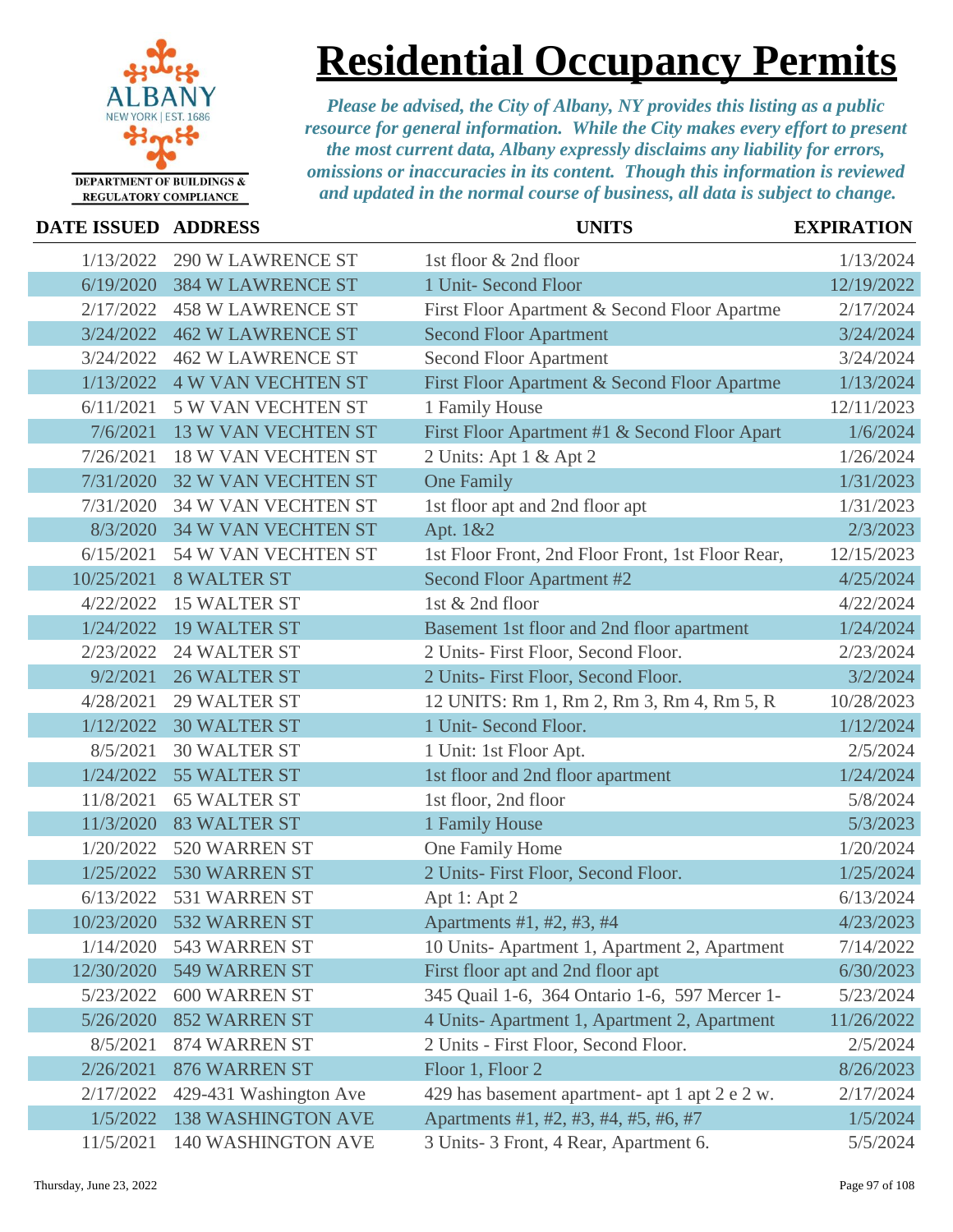

### **Residential Occupancy Permits**

| <b>DATE ISSUED ADDRESS</b> |                            | <b>UNITS</b>                                      | <b>EXPIRATION</b> |
|----------------------------|----------------------------|---------------------------------------------------|-------------------|
| 1/13/2022                  | <b>290 W LAWRENCE ST</b>   | 1st floor & 2nd floor                             | 1/13/2024         |
| 6/19/2020                  | <b>384 W LAWRENCE ST</b>   | 1 Unit- Second Floor                              | 12/19/2022        |
| 2/17/2022                  | <b>458 W LAWRENCE ST</b>   | First Floor Apartment & Second Floor Apartme      | 2/17/2024         |
| 3/24/2022                  | <b>462 W LAWRENCE ST</b>   | <b>Second Floor Apartment</b>                     | 3/24/2024         |
| 3/24/2022                  | <b>462 W LAWRENCE ST</b>   | <b>Second Floor Apartment</b>                     | 3/24/2024         |
| 1/13/2022                  | <b>4 W VAN VECHTEN ST</b>  | First Floor Apartment & Second Floor Apartme      | 1/13/2024         |
| 6/11/2021                  | 5 W VAN VECHTEN ST         | 1 Family House                                    | 12/11/2023        |
| 7/6/2021                   | <b>13 W VAN VECHTEN ST</b> | First Floor Apartment #1 & Second Floor Apart     | 1/6/2024          |
| 7/26/2021                  | <b>18 W VAN VECHTEN ST</b> | 2 Units: Apt 1 & Apt 2                            | 1/26/2024         |
| 7/31/2020                  | <b>32 W VAN VECHTEN ST</b> | <b>One Family</b>                                 | 1/31/2023         |
| 7/31/2020                  | 34 W VAN VECHTEN ST        | 1st floor apt and 2nd floor apt                   | 1/31/2023         |
| 8/3/2020                   | <b>34 W VAN VECHTEN ST</b> | Apt. 1&2                                          | 2/3/2023          |
| 6/15/2021                  | 54 W VAN VECHTEN ST        | 1st Floor Front, 2nd Floor Front, 1st Floor Rear, | 12/15/2023        |
| 10/25/2021                 | <b>8 WALTER ST</b>         | Second Floor Apartment #2                         | 4/25/2024         |
| 4/22/2022                  | <b>15 WALTER ST</b>        | 1st & 2nd floor                                   | 4/22/2024         |
| 1/24/2022                  | <b>19 WALTER ST</b>        | Basement 1st floor and 2nd floor apartment        | 1/24/2024         |
| 2/23/2022                  | <b>24 WALTER ST</b>        | 2 Units- First Floor, Second Floor.               | 2/23/2024         |
| 9/2/2021                   | <b>26 WALTER ST</b>        | 2 Units- First Floor, Second Floor.               | 3/2/2024          |
| 4/28/2021                  | <b>29 WALTER ST</b>        | 12 UNITS: Rm 1, Rm 2, Rm 3, Rm 4, Rm 5, R         | 10/28/2023        |
| 1/12/2022                  | <b>30 WALTER ST</b>        | 1 Unit- Second Floor.                             | 1/12/2024         |
| 8/5/2021                   | <b>30 WALTER ST</b>        | 1 Unit: 1st Floor Apt.                            | 2/5/2024          |
| 1/24/2022                  | 55 WALTER ST               | 1st floor and 2nd floor apartment                 | 1/24/2024         |
| 11/8/2021                  | <b>65 WALTER ST</b>        | 1st floor, 2nd floor                              | 5/8/2024          |
| 11/3/2020                  | <b>83 WALTER ST</b>        | 1 Family House                                    | 5/3/2023          |
| 1/20/2022                  | 520 WARREN ST              | One Family Home                                   | 1/20/2024         |
| 1/25/2022                  | 530 WARREN ST              | 2 Units- First Floor, Second Floor.               | 1/25/2024         |
| 6/13/2022                  | 531 WARREN ST              | Apt 1: Apt 2                                      | 6/13/2024         |
|                            | 10/23/2020 532 WARREN ST   | Apartments #1, #2, #3, #4                         | 4/23/2023         |
| 1/14/2020                  | 543 WARREN ST              | 10 Units-Apartment 1, Apartment 2, Apartment      | 7/14/2022         |
| 12/30/2020                 | 549 WARREN ST              | First floor apt and 2nd floor apt                 | 6/30/2023         |
| 5/23/2022                  | 600 WARREN ST              | 345 Quail 1-6, 364 Ontario 1-6, 597 Mercer 1-     | 5/23/2024         |
| 5/26/2020                  | <b>852 WARREN ST</b>       | 4 Units-Apartment 1, Apartment 2, Apartment       | 11/26/2022        |
| 8/5/2021                   | 874 WARREN ST              | 2 Units - First Floor, Second Floor.              | 2/5/2024          |
| 2/26/2021                  | 876 WARREN ST              | Floor 1, Floor 2                                  | 8/26/2023         |
| 2/17/2022                  | 429-431 Washington Ave     | 429 has basement apartment- apt 1 apt 2 e 2 w.    | 2/17/2024         |
| 1/5/2022                   | <b>138 WASHINGTON AVE</b>  | Apartments #1, #2, #3, #4, #5, #6, #7             | 1/5/2024          |
| 11/5/2021                  | 140 WASHINGTON AVE         | 3 Units- 3 Front, 4 Rear, Apartment 6.            | 5/5/2024          |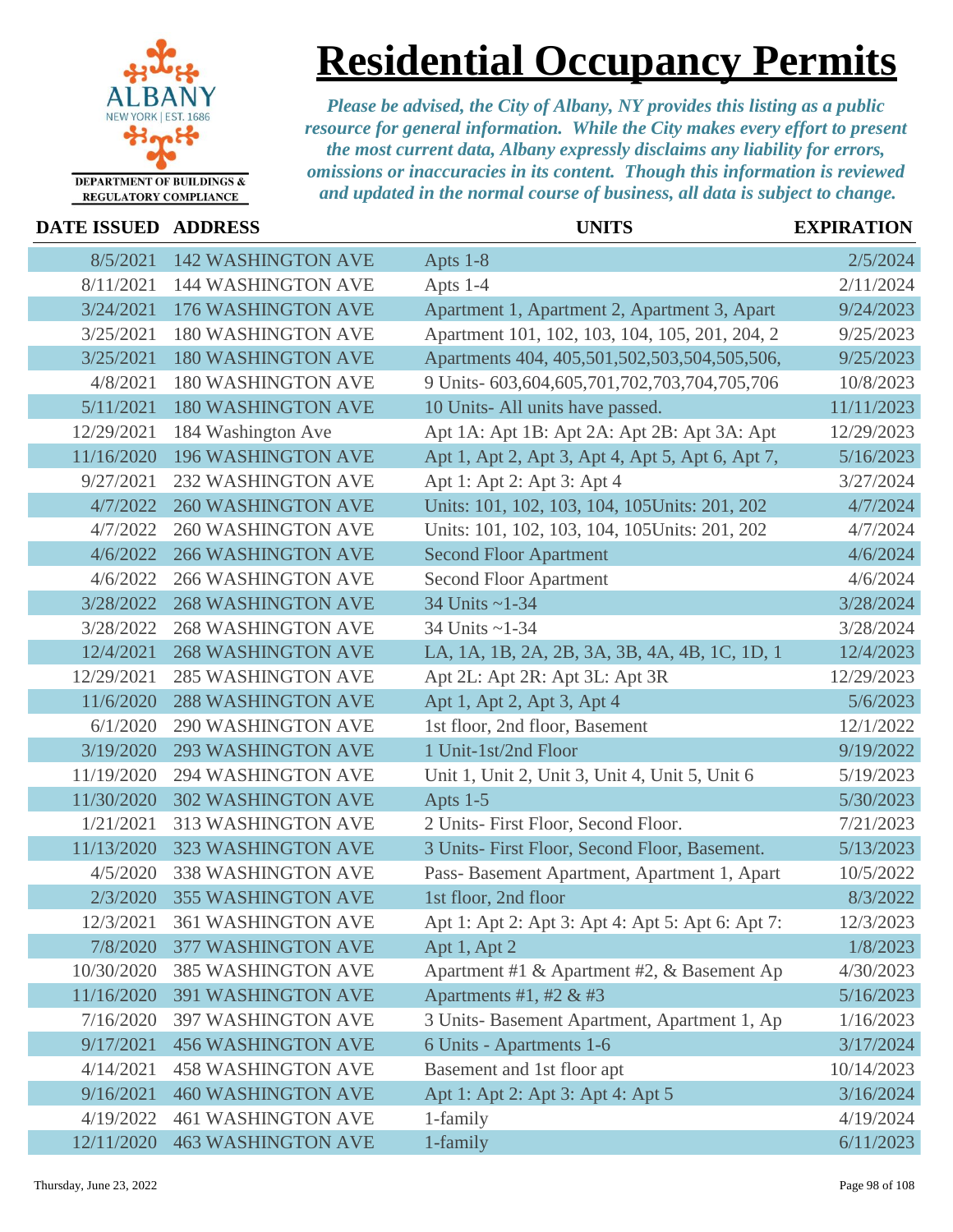

### **Residential Occupancy Permits**

| DATE ISSUED ADDRESS |                           | <b>UNITS</b>                                       | <b>EXPIRATION</b> |
|---------------------|---------------------------|----------------------------------------------------|-------------------|
| 8/5/2021            | <b>142 WASHINGTON AVE</b> | Apts 1-8                                           | 2/5/2024          |
| 8/11/2021           | <b>144 WASHINGTON AVE</b> | Apts 1-4                                           | 2/11/2024         |
| 3/24/2021           | 176 WASHINGTON AVE        | Apartment 1, Apartment 2, Apartment 3, Apart       | 9/24/2023         |
| 3/25/2021           | <b>180 WASHINGTON AVE</b> | Apartment 101, 102, 103, 104, 105, 201, 204, 2     | 9/25/2023         |
| 3/25/2021           | <b>180 WASHINGTON AVE</b> | Apartments 404, 405, 501, 502, 503, 504, 505, 506, | 9/25/2023         |
| 4/8/2021            | <b>180 WASHINGTON AVE</b> | 9 Units- 603,604,605,701,702,703,704,705,706       | 10/8/2023         |
| 5/11/2021           | <b>180 WASHINGTON AVE</b> | 10 Units-All units have passed.                    | 11/11/2023        |
| 12/29/2021          | 184 Washington Ave        | Apt 1A: Apt 1B: Apt 2A: Apt 2B: Apt 3A: Apt        | 12/29/2023        |
| 11/16/2020          | <b>196 WASHINGTON AVE</b> | Apt 1, Apt 2, Apt 3, Apt 4, Apt 5, Apt 6, Apt 7,   | 5/16/2023         |
| 9/27/2021           | <b>232 WASHINGTON AVE</b> | Apt 1: Apt 2: Apt 3: Apt 4                         | 3/27/2024         |
| 4/7/2022            | <b>260 WASHINGTON AVE</b> | Units: 101, 102, 103, 104, 105Units: 201, 202      | 4/7/2024          |
| 4/7/2022            | <b>260 WASHINGTON AVE</b> | Units: 101, 102, 103, 104, 105 Units: 201, 202     | 4/7/2024          |
| 4/6/2022            | <b>266 WASHINGTON AVE</b> | <b>Second Floor Apartment</b>                      | 4/6/2024          |
| 4/6/2022            | <b>266 WASHINGTON AVE</b> | <b>Second Floor Apartment</b>                      | 4/6/2024          |
| 3/28/2022           | <b>268 WASHINGTON AVE</b> | 34 Units ~1-34                                     | 3/28/2024         |
| 3/28/2022           | <b>268 WASHINGTON AVE</b> | 34 Units ~1-34                                     | 3/28/2024         |
| 12/4/2021           | <b>268 WASHINGTON AVE</b> | LA, 1A, 1B, 2A, 2B, 3A, 3B, 4A, 4B, 1C, 1D, 1      | 12/4/2023         |
| 12/29/2021          | <b>285 WASHINGTON AVE</b> | Apt 2L: Apt 2R: Apt 3L: Apt 3R                     | 12/29/2023        |
| 11/6/2020           | <b>288 WASHINGTON AVE</b> | Apt 1, Apt 2, Apt 3, Apt 4                         | 5/6/2023          |
| 6/1/2020            | <b>290 WASHINGTON AVE</b> | 1st floor, 2nd floor, Basement                     | 12/1/2022         |
| 3/19/2020           | <b>293 WASHINGTON AVE</b> | 1 Unit-1st/2nd Floor                               | 9/19/2022         |
| 11/19/2020          | <b>294 WASHINGTON AVE</b> | Unit 1, Unit 2, Unit 3, Unit 4, Unit 5, Unit 6     | 5/19/2023         |
| 11/30/2020          | <b>302 WASHINGTON AVE</b> | Apts $1-5$                                         | 5/30/2023         |
| 1/21/2021           | 313 WASHINGTON AVE        | 2 Units- First Floor, Second Floor.                | 7/21/2023         |
| 11/13/2020          | 323 WASHINGTON AVE        | 3 Units- First Floor, Second Floor, Basement.      | 5/13/2023         |
| 4/5/2020            | <b>338 WASHINGTON AVE</b> | Pass- Basement Apartment, Apartment 1, Apart       | 10/5/2022         |
| 2/3/2020            | <b>355 WASHINGTON AVE</b> | 1st floor, 2nd floor                               | 8/3/2022          |
| 12/3/2021           | <b>361 WASHINGTON AVE</b> | Apt 1: Apt 2: Apt 3: Apt 4: Apt 5: Apt 6: Apt 7:   | 12/3/2023         |
| 7/8/2020            | 377 WASHINGTON AVE        | Apt 1, Apt 2                                       | 1/8/2023          |
| 10/30/2020          | <b>385 WASHINGTON AVE</b> | Apartment #1 & Apartment #2, & Basement Ap         | 4/30/2023         |
| 11/16/2020          | <b>391 WASHINGTON AVE</b> | Apartments #1, #2 & #3                             | 5/16/2023         |
| 7/16/2020           | 397 WASHINGTON AVE        | 3 Units- Basement Apartment, Apartment 1, Ap       | 1/16/2023         |
| 9/17/2021           | <b>456 WASHINGTON AVE</b> | 6 Units - Apartments 1-6                           | 3/17/2024         |
| 4/14/2021           | <b>458 WASHINGTON AVE</b> | Basement and 1st floor apt                         | 10/14/2023        |
| 9/16/2021           | <b>460 WASHINGTON AVE</b> | Apt 1: Apt 2: Apt 3: Apt 4: Apt 5                  | 3/16/2024         |
| 4/19/2022           | <b>461 WASHINGTON AVE</b> | 1-family                                           | 4/19/2024         |
| 12/11/2020          | <b>463 WASHINGTON AVE</b> | 1-family                                           | 6/11/2023         |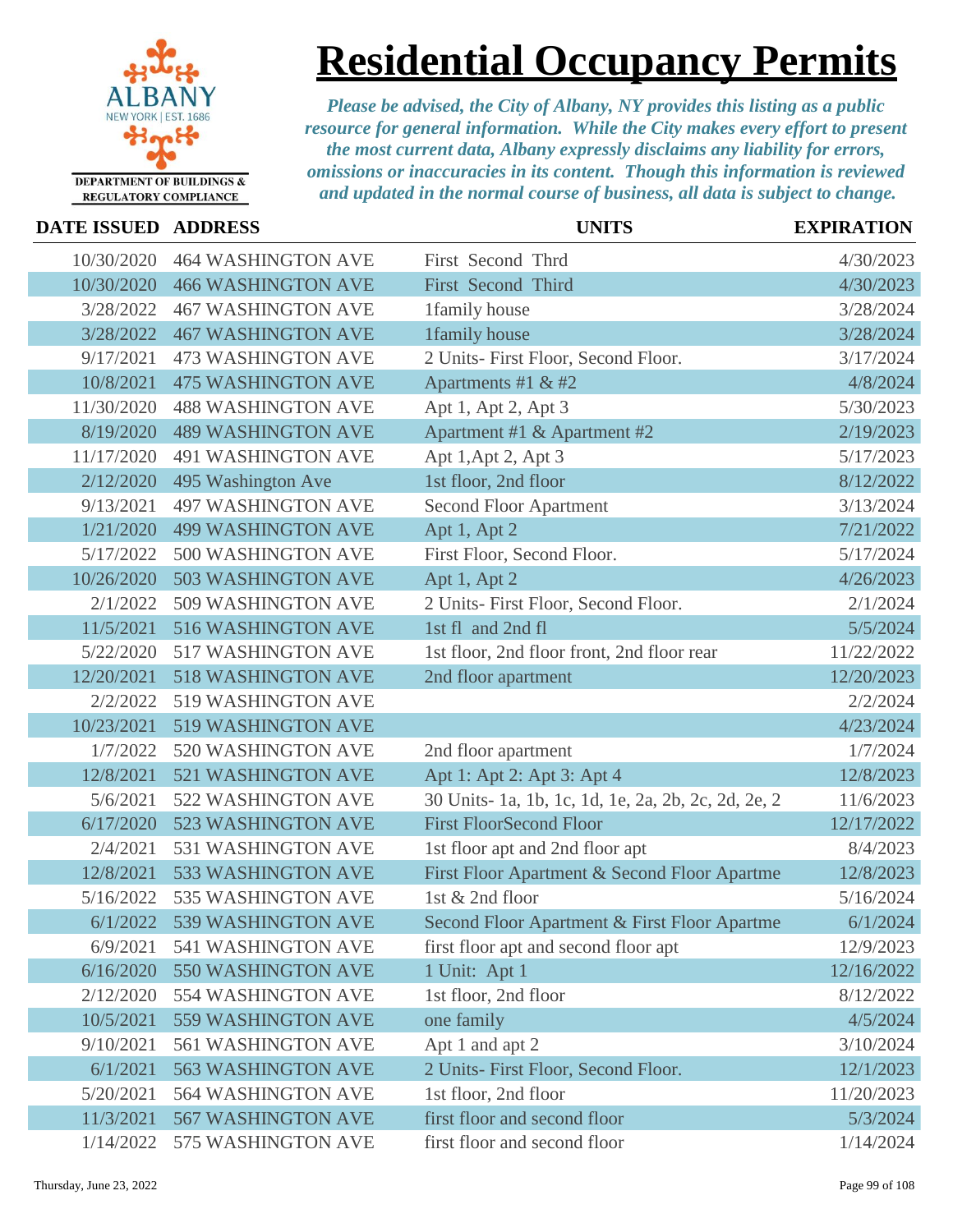

# **Residential Occupancy Permits**

| <b>DATE ISSUED ADDRESS</b> |                           | <b>UNITS</b>                                        | <b>EXPIRATION</b> |
|----------------------------|---------------------------|-----------------------------------------------------|-------------------|
| 10/30/2020                 | <b>464 WASHINGTON AVE</b> | First Second Thrd                                   | 4/30/2023         |
| 10/30/2020                 | <b>466 WASHINGTON AVE</b> | First Second Third                                  | 4/30/2023         |
| 3/28/2022                  | <b>467 WASHINGTON AVE</b> | 1family house                                       | 3/28/2024         |
| 3/28/2022                  | <b>467 WASHINGTON AVE</b> | 1family house                                       | 3/28/2024         |
| 9/17/2021                  | <b>473 WASHINGTON AVE</b> | 2 Units- First Floor, Second Floor.                 | 3/17/2024         |
| 10/8/2021                  | <b>475 WASHINGTON AVE</b> | Apartments #1 & #2                                  | 4/8/2024          |
| 11/30/2020                 | <b>488 WASHINGTON AVE</b> | Apt 1, Apt 2, Apt 3                                 | 5/30/2023         |
| 8/19/2020                  | <b>489 WASHINGTON AVE</b> | Apartment #1 & Apartment #2                         | 2/19/2023         |
| 11/17/2020                 | <b>491 WASHINGTON AVE</b> | Apt 1, Apt 2, Apt 3                                 | 5/17/2023         |
| 2/12/2020                  | 495 Washington Ave        | 1st floor, 2nd floor                                | 8/12/2022         |
| 9/13/2021                  | <b>497 WASHINGTON AVE</b> | <b>Second Floor Apartment</b>                       | 3/13/2024         |
| 1/21/2020                  | <b>499 WASHINGTON AVE</b> | Apt 1, Apt 2                                        | 7/21/2022         |
| 5/17/2022                  | 500 WASHINGTON AVE        | First Floor, Second Floor.                          | 5/17/2024         |
| 10/26/2020                 | 503 WASHINGTON AVE        | Apt 1, Apt 2                                        | 4/26/2023         |
| 2/1/2022                   | 509 WASHINGTON AVE        | 2 Units- First Floor, Second Floor.                 | 2/1/2024          |
| 11/5/2021                  | 516 WASHINGTON AVE        | 1st fl and 2nd fl                                   | 5/5/2024          |
| 5/22/2020                  | 517 WASHINGTON AVE        | 1st floor, 2nd floor front, 2nd floor rear          | 11/22/2022        |
| 12/20/2021                 | 518 WASHINGTON AVE        | 2nd floor apartment                                 | 12/20/2023        |
| 2/2/2022                   | 519 WASHINGTON AVE        |                                                     | 2/2/2024          |
| 10/23/2021                 | 519 WASHINGTON AVE        |                                                     | 4/23/2024         |
| 1/7/2022                   | 520 WASHINGTON AVE        | 2nd floor apartment                                 | 1/7/2024          |
| 12/8/2021                  | 521 WASHINGTON AVE        | Apt 1: Apt 2: Apt 3: Apt 4                          | 12/8/2023         |
| 5/6/2021                   | 522 WASHINGTON AVE        | 30 Units- 1a, 1b, 1c, 1d, 1e, 2a, 2b, 2c, 2d, 2e, 2 | 11/6/2023         |
| 6/17/2020                  | 523 WASHINGTON AVE        | <b>First FloorSecond Floor</b>                      | 12/17/2022        |
| 2/4/2021                   | 531 WASHINGTON AVE        | 1st floor apt and 2nd floor apt                     | 8/4/2023          |
| 12/8/2021                  | 533 WASHINGTON AVE        | First Floor Apartment & Second Floor Apartme        | 12/8/2023         |
| 5/16/2022                  | 535 WASHINGTON AVE        | 1st & 2nd floor                                     | 5/16/2024         |
| 6/1/2022                   | 539 WASHINGTON AVE        | Second Floor Apartment & First Floor Apartme        | 6/1/2024          |
| 6/9/2021                   | 541 WASHINGTON AVE        | first floor apt and second floor apt                | 12/9/2023         |
| 6/16/2020                  | 550 WASHINGTON AVE        | 1 Unit: Apt 1                                       | 12/16/2022        |
| 2/12/2020                  | 554 WASHINGTON AVE        | 1st floor, 2nd floor                                | 8/12/2022         |
| 10/5/2021                  | 559 WASHINGTON AVE        | one family                                          | 4/5/2024          |
| 9/10/2021                  | 561 WASHINGTON AVE        | Apt 1 and apt 2                                     | 3/10/2024         |
| 6/1/2021                   | <b>563 WASHINGTON AVE</b> | 2 Units- First Floor, Second Floor.                 | 12/1/2023         |
| 5/20/2021                  | 564 WASHINGTON AVE        | 1st floor, 2nd floor                                | 11/20/2023        |
| 11/3/2021                  | <b>567 WASHINGTON AVE</b> | first floor and second floor                        | 5/3/2024          |
| 1/14/2022                  | 575 WASHINGTON AVE        | first floor and second floor                        | 1/14/2024         |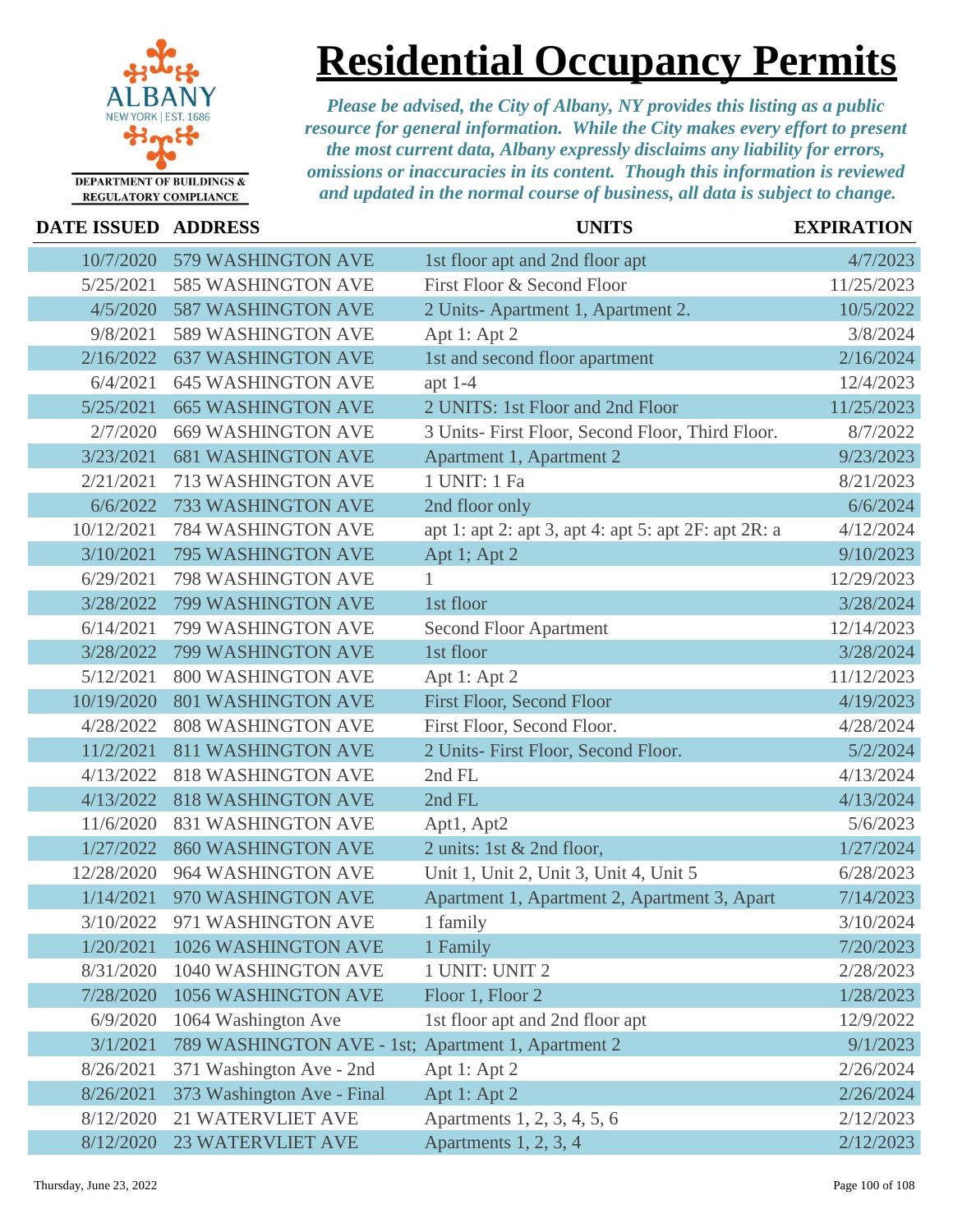

# **Residential Occupancy Permits**

| <b>DATE ISSUED</b> | <b>ADDRESS</b>                                     | <b>UNITS</b>                                         | <b>EXPIRATION</b> |
|--------------------|----------------------------------------------------|------------------------------------------------------|-------------------|
| 10/7/2020          | 579 WASHINGTON AVE                                 | 1st floor apt and 2nd floor apt                      | 4/7/2023          |
| 5/25/2021          | <b>585 WASHINGTON AVE</b>                          | First Floor & Second Floor                           | 11/25/2023        |
| 4/5/2020           | <b>587 WASHINGTON AVE</b>                          | 2 Units-Apartment 1, Apartment 2.                    | 10/5/2022         |
| 9/8/2021           | 589 WASHINGTON AVE                                 | Apt 1: Apt 2                                         | 3/8/2024          |
| 2/16/2022          | <b>637 WASHINGTON AVE</b>                          | 1st and second floor apartment                       | 2/16/2024         |
| 6/4/2021           | <b>645 WASHINGTON AVE</b>                          | apt $1-4$                                            | 12/4/2023         |
| 5/25/2021          | <b>665 WASHINGTON AVE</b>                          | 2 UNITS: 1st Floor and 2nd Floor                     | 11/25/2023        |
| 2/7/2020           | <b>669 WASHINGTON AVE</b>                          | 3 Units- First Floor, Second Floor, Third Floor.     | 8/7/2022          |
| 3/23/2021          | <b>681 WASHINGTON AVE</b>                          | Apartment 1, Apartment 2                             | 9/23/2023         |
| 2/21/2021          | 713 WASHINGTON AVE                                 | 1 UNIT: 1 Fa                                         | 8/21/2023         |
| 6/6/2022           | <b>733 WASHINGTON AVE</b>                          | 2nd floor only                                       | 6/6/2024          |
| 10/12/2021         | <b>784 WASHINGTON AVE</b>                          | apt 1: apt 2: apt 3, apt 4: apt 5: apt 2F: apt 2R: a | 4/12/2024         |
| 3/10/2021          | 795 WASHINGTON AVE                                 | Apt 1; Apt 2                                         | 9/10/2023         |
| 6/29/2021          | <b>798 WASHINGTON AVE</b>                          |                                                      | 12/29/2023        |
| 3/28/2022          | 799 WASHINGTON AVE                                 | 1st floor                                            | 3/28/2024         |
| 6/14/2021          | 799 WASHINGTON AVE                                 | <b>Second Floor Apartment</b>                        | 12/14/2023        |
| 3/28/2022          | 799 WASHINGTON AVE                                 | 1st floor                                            | 3/28/2024         |
| 5/12/2021          | 800 WASHINGTON AVE                                 | Apt 1: Apt 2                                         | 11/12/2023        |
| 10/19/2020         | <b>801 WASHINGTON AVE</b>                          | <b>First Floor, Second Floor</b>                     | 4/19/2023         |
| 4/28/2022          | <b>808 WASHINGTON AVE</b>                          | First Floor, Second Floor.                           | 4/28/2024         |
| 11/2/2021          | <b>811 WASHINGTON AVE</b>                          | 2 Units- First Floor, Second Floor.                  | 5/2/2024          |
| 4/13/2022          | <b>818 WASHINGTON AVE</b>                          | 2nd FL                                               | 4/13/2024         |
| 4/13/2022          | <b>818 WASHINGTON AVE</b>                          | 2nd FL                                               | 4/13/2024         |
| 11/6/2020          | <b>831 WASHINGTON AVE</b>                          | Apt1, Apt2                                           | 5/6/2023          |
| 1/27/2022          | 860 WASHINGTON AVE                                 | 2 units: 1st & 2nd floor,                            | 1/27/2024         |
| 12/28/2020         | 964 WASHINGTON AVE                                 | Unit 1, Unit 2, Unit 3, Unit 4, Unit 5               | 6/28/2023         |
| 1/14/2021          | 970 WASHINGTON AVE                                 | Apartment 1, Apartment 2, Apartment 3, Apart         | 7/14/2023         |
| 3/10/2022          | 971 WASHINGTON AVE                                 | 1 family                                             | 3/10/2024         |
| 1/20/2021          | 1026 WASHINGTON AVE                                | 1 Family                                             | 7/20/2023         |
| 8/31/2020          | 1040 WASHINGTON AVE                                | 1 UNIT: UNIT 2                                       | 2/28/2023         |
| 7/28/2020          | 1056 WASHINGTON AVE                                | Floor 1, Floor 2                                     | 1/28/2023         |
| 6/9/2020           | 1064 Washington Ave                                | 1st floor apt and 2nd floor apt                      | 12/9/2022         |
| 3/1/2021           | 789 WASHINGTON AVE - 1st; Apartment 1, Apartment 2 |                                                      | 9/1/2023          |
| 8/26/2021          | 371 Washington Ave - 2nd                           | Apt 1: Apt 2                                         | 2/26/2024         |
| 8/26/2021          | 373 Washington Ave - Final                         | Apt 1: Apt 2                                         | 2/26/2024         |
| 8/12/2020          | <b>21 WATERVLIET AVE</b>                           | Apartments 1, 2, 3, 4, 5, 6                          | 2/12/2023         |
| 8/12/2020          | <b>23 WATERVLIET AVE</b>                           | Apartments 1, 2, 3, 4                                | 2/12/2023         |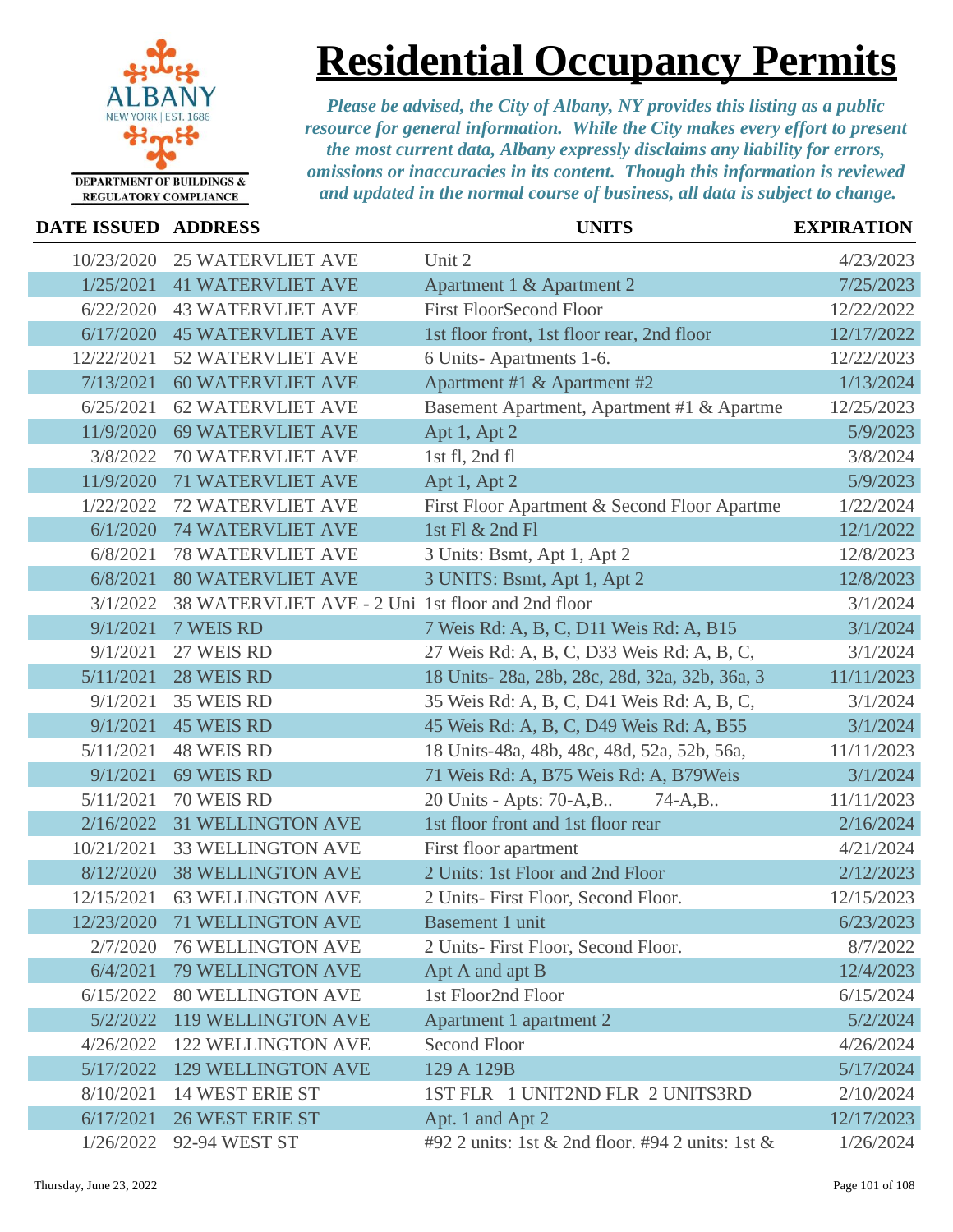

### **Residential Occupancy Permits**

| DATE ISSUED ADDRESS |                                                   | <b>UNITS</b>                                     | <b>EXPIRATION</b> |
|---------------------|---------------------------------------------------|--------------------------------------------------|-------------------|
| 10/23/2020          | <b>25 WATERVLIET AVE</b>                          | Unit 2                                           | 4/23/2023         |
| 1/25/2021           | <b>41 WATERVLIET AVE</b>                          | Apartment 1 & Apartment 2                        | 7/25/2023         |
| 6/22/2020           | <b>43 WATERVLIET AVE</b>                          | <b>First FloorSecond Floor</b>                   | 12/22/2022        |
| 6/17/2020           | <b>45 WATERVLIET AVE</b>                          | 1st floor front, 1st floor rear, 2nd floor       | 12/17/2022        |
| 12/22/2021          | <b>52 WATERVLIET AVE</b>                          | 6 Units-Apartments 1-6.                          | 12/22/2023        |
| 7/13/2021           | <b>60 WATERVLIET AVE</b>                          | Apartment #1 & Apartment #2                      | 1/13/2024         |
| 6/25/2021           | <b>62 WATERVLIET AVE</b>                          | Basement Apartment, Apartment #1 & Apartme       | 12/25/2023        |
| 11/9/2020           | <b>69 WATERVLIET AVE</b>                          | Apt 1, Apt 2                                     | 5/9/2023          |
| 3/8/2022            | <b>70 WATERVLIET AVE</b>                          | 1st fl, 2nd fl                                   | 3/8/2024          |
| 11/9/2020           | <b>71 WATERVLIET AVE</b>                          | Apt 1, Apt 2                                     | 5/9/2023          |
| 1/22/2022           | <b>72 WATERVLIET AVE</b>                          | First Floor Apartment & Second Floor Apartme     | 1/22/2024         |
| 6/1/2020            | <b>74 WATERVLIET AVE</b>                          | 1st Fl & 2nd Fl                                  | 12/1/2022         |
| 6/8/2021            | <b>78 WATERVLIET AVE</b>                          | 3 Units: Bsmt, Apt 1, Apt 2                      | 12/8/2023         |
| 6/8/2021            | <b>80 WATERVLIET AVE</b>                          | 3 UNITS: Bsmt, Apt 1, Apt 2                      | 12/8/2023         |
| 3/1/2022            | 38 WATERVLIET AVE - 2 Uni 1st floor and 2nd floor |                                                  | 3/1/2024          |
| 9/1/2021            | 7 WEIS RD                                         | 7 Weis Rd: A, B, C, D11 Weis Rd: A, B15          | 3/1/2024          |
| 9/1/2021            | 27 WEIS RD                                        | 27 Weis Rd: A, B, C, D33 Weis Rd: A, B, C,       | 3/1/2024          |
| 5/11/2021           | 28 WEIS RD                                        | 18 Units-28a, 28b, 28c, 28d, 32a, 32b, 36a, 3    | 11/11/2023        |
| 9/1/2021            | 35 WEIS RD                                        | 35 Weis Rd: A, B, C, D41 Weis Rd: A, B, C,       | 3/1/2024          |
| 9/1/2021            | <b>45 WEIS RD</b>                                 | 45 Weis Rd: A, B, C, D49 Weis Rd: A, B55         | 3/1/2024          |
| 5/11/2021           | <b>48 WEIS RD</b>                                 | 18 Units-48a, 48b, 48c, 48d, 52a, 52b, 56a,      | 11/11/2023        |
| 9/1/2021            | 69 WEIS RD                                        | 71 Weis Rd: A, B75 Weis Rd: A, B79 Weis          | 3/1/2024          |
| 5/11/2021           | 70 WEIS RD                                        | 20 Units - Apts: 70-A,B<br>$74 - A, B$ .         | 11/11/2023        |
| 2/16/2022           | <b>31 WELLINGTON AVE</b>                          | 1st floor front and 1st floor rear               | 2/16/2024         |
| 10/21/2021          | <b>33 WELLINGTON AVE</b>                          | First floor apartment                            | 4/21/2024         |
| 8/12/2020           | <b>38 WELLINGTON AVE</b>                          | 2 Units: 1st Floor and 2nd Floor                 | 2/12/2023         |
| 12/15/2021          | <b>63 WELLINGTON AVE</b>                          | 2 Units- First Floor, Second Floor.              | 12/15/2023        |
|                     | 12/23/2020 71 WELLINGTON AVE                      | Basement 1 unit                                  | 6/23/2023         |
| 2/7/2020            | <b>76 WELLINGTON AVE</b>                          | 2 Units- First Floor, Second Floor.              | 8/7/2022          |
| 6/4/2021            | 79 WELLINGTON AVE                                 | Apt A and apt B                                  | 12/4/2023         |
| 6/15/2022           | <b>80 WELLINGTON AVE</b>                          | 1st Floor2nd Floor                               | 6/15/2024         |
| 5/2/2022            | <b>119 WELLINGTON AVE</b>                         | Apartment 1 apartment 2                          | 5/2/2024          |
| 4/26/2022           | <b>122 WELLINGTON AVE</b>                         | <b>Second Floor</b>                              | 4/26/2024         |
| 5/17/2022           | <b>129 WELLINGTON AVE</b>                         | 129 A 129B                                       | 5/17/2024         |
| 8/10/2021           | <b>14 WEST ERIE ST</b>                            | 1ST FLR 1 UNIT2ND FLR 2 UNITS3RD                 | 2/10/2024         |
| 6/17/2021           | <b>26 WEST ERIE ST</b>                            | Apt. 1 and Apt 2                                 | 12/17/2023        |
| 1/26/2022           | 92-94 WEST ST                                     | #92 2 units: 1st & 2nd floor. #94 2 units: 1st & | 1/26/2024         |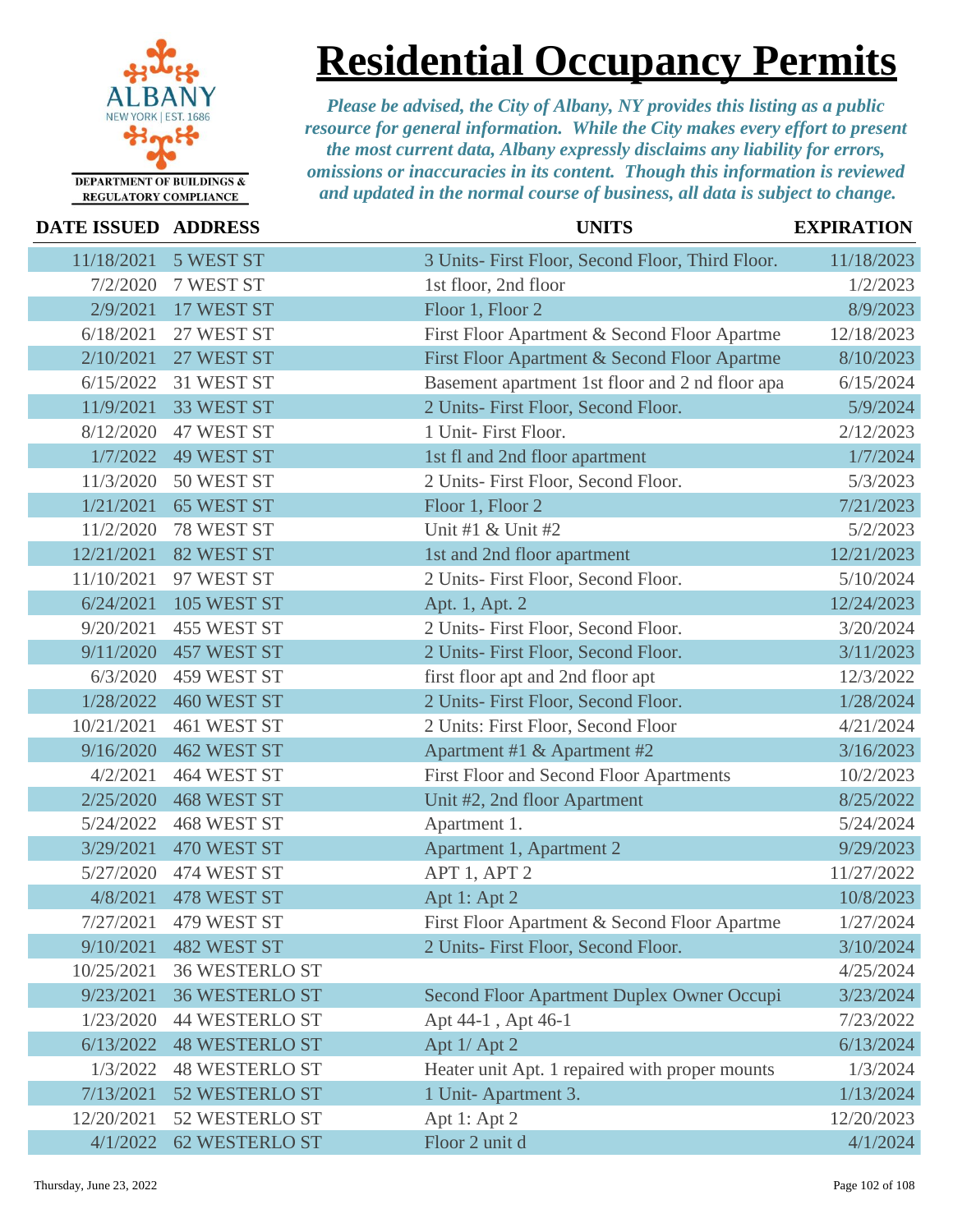

## **Residential Occupancy Permits**

| <b>DATE ISSUED ADDRESS</b> |                       | <b>UNITS</b>                                     | <b>EXPIRATION</b> |
|----------------------------|-----------------------|--------------------------------------------------|-------------------|
| 11/18/2021                 | 5 WEST ST             | 3 Units- First Floor, Second Floor, Third Floor. | 11/18/2023        |
| 7/2/2020                   | 7 WEST ST             | 1st floor, 2nd floor                             | 1/2/2023          |
| 2/9/2021                   | 17 WEST ST            | Floor 1, Floor 2                                 | 8/9/2023          |
| 6/18/2021                  | 27 WEST ST            | First Floor Apartment & Second Floor Apartme     | 12/18/2023        |
| 2/10/2021                  | 27 WEST ST            | First Floor Apartment & Second Floor Apartme     | 8/10/2023         |
| 6/15/2022                  | 31 WEST ST            | Basement apartment 1st floor and 2 nd floor apa  | 6/15/2024         |
| 11/9/2021                  | 33 WEST ST            | 2 Units- First Floor, Second Floor.              | 5/9/2024          |
| 8/12/2020                  | 47 WEST ST            | 1 Unit- First Floor.                             | 2/12/2023         |
| 1/7/2022                   | <b>49 WEST ST</b>     | 1st fl and 2nd floor apartment                   | 1/7/2024          |
| 11/3/2020                  | 50 WEST ST            | 2 Units- First Floor, Second Floor.              | 5/3/2023          |
| 1/21/2021                  | <b>65 WEST ST</b>     | Floor 1, Floor 2                                 | 7/21/2023         |
| 11/2/2020                  | 78 WEST ST            | Unit #1 $&$ Unit #2                              | 5/2/2023          |
| 12/21/2021                 | 82 WEST ST            | 1st and 2nd floor apartment                      | 12/21/2023        |
| 11/10/2021                 | 97 WEST ST            | 2 Units- First Floor, Second Floor.              | 5/10/2024         |
| 6/24/2021                  | 105 WEST ST           | Apt. 1, Apt. 2                                   | 12/24/2023        |
| 9/20/2021                  | 455 WEST ST           | 2 Units- First Floor, Second Floor.              | 3/20/2024         |
| 9/11/2020                  | <b>457 WEST ST</b>    | 2 Units- First Floor, Second Floor.              | 3/11/2023         |
| 6/3/2020                   | 459 WEST ST           | first floor apt and 2nd floor apt                | 12/3/2022         |
| 1/28/2022                  | 460 WEST ST           | 2 Units- First Floor, Second Floor.              | 1/28/2024         |
| 10/21/2021                 | 461 WEST ST           | 2 Units: First Floor, Second Floor               | 4/21/2024         |
| 9/16/2020                  | 462 WEST ST           | Apartment #1 & Apartment #2                      | 3/16/2023         |
| 4/2/2021                   | 464 WEST ST           | First Floor and Second Floor Apartments          | 10/2/2023         |
| 2/25/2020                  | <b>468 WEST ST</b>    | Unit #2, 2nd floor Apartment                     | 8/25/2022         |
| 5/24/2022                  | 468 WEST ST           | Apartment 1.                                     | 5/24/2024         |
| 3/29/2021                  | 470 WEST ST           | Apartment 1, Apartment 2                         | 9/29/2023         |
| 5/27/2020                  | 474 WEST ST           | APT 1, APT 2                                     | 11/27/2022        |
| 4/8/2021                   | 478 WEST ST           | Apt 1: Apt 2                                     | 10/8/2023         |
| 7/27/2021                  | 479 WEST ST           | First Floor Apartment & Second Floor Apartme     | 1/27/2024         |
| 9/10/2021                  | <b>482 WEST ST</b>    | 2 Units- First Floor, Second Floor.              | 3/10/2024         |
| 10/25/2021                 | <b>36 WESTERLO ST</b> |                                                  | 4/25/2024         |
| 9/23/2021                  | <b>36 WESTERLO ST</b> | Second Floor Apartment Duplex Owner Occupi       | 3/23/2024         |
| 1/23/2020                  | <b>44 WESTERLO ST</b> | Apt 44-1, Apt 46-1                               | 7/23/2022         |
| 6/13/2022                  | <b>48 WESTERLO ST</b> | Apt 1/ Apt 2                                     | 6/13/2024         |
| 1/3/2022                   | <b>48 WESTERLO ST</b> | Heater unit Apt. 1 repaired with proper mounts   | 1/3/2024          |
| 7/13/2021                  | 52 WESTERLO ST        | 1 Unit-Apartment 3.                              | 1/13/2024         |
| 12/20/2021                 | 52 WESTERLO ST        | Apt 1: Apt 2                                     | 12/20/2023        |
| 4/1/2022                   | <b>62 WESTERLO ST</b> | Floor 2 unit d                                   | 4/1/2024          |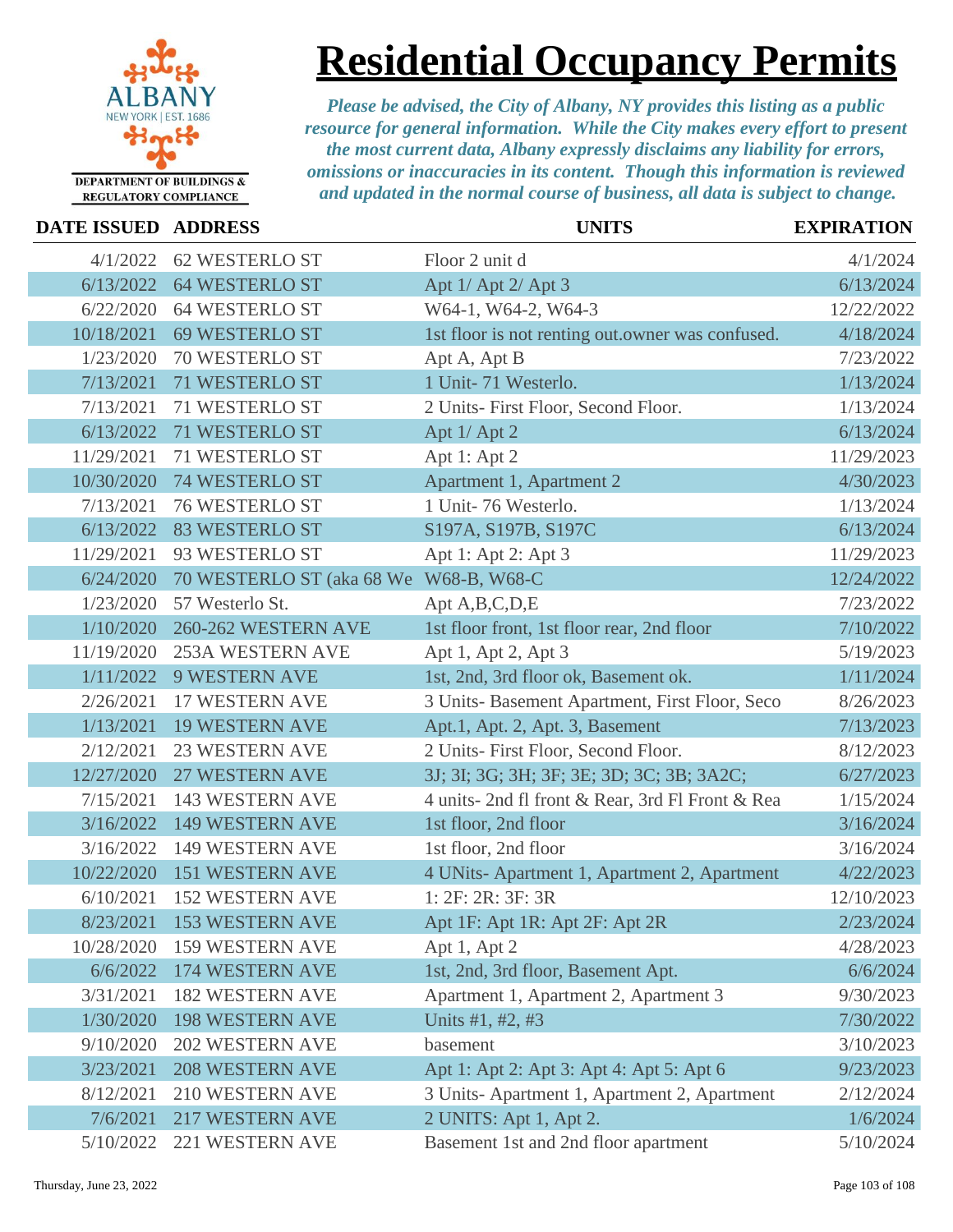

# **Residential Occupancy Permits**

| DATE ISSUED ADDRESS |                                        | <b>UNITS</b>                                     | <b>EXPIRATION</b> |
|---------------------|----------------------------------------|--------------------------------------------------|-------------------|
| 4/1/2022            | <b>62 WESTERLO ST</b>                  | Floor 2 unit d                                   | 4/1/2024          |
|                     | 6/13/2022 64 WESTERLO ST               | Apt 1/ Apt 2/ Apt 3                              | 6/13/2024         |
| 6/22/2020           | <b>64 WESTERLO ST</b>                  | W64-1, W64-2, W64-3                              | 12/22/2022        |
| 10/18/2021          | 69 WESTERLO ST                         | 1st floor is not renting out.owner was confused. | 4/18/2024         |
| 1/23/2020           | 70 WESTERLO ST                         | Apt A, Apt B                                     | 7/23/2022         |
| 7/13/2021           | 71 WESTERLO ST                         | 1 Unit-71 Westerlo.                              | 1/13/2024         |
| 7/13/2021           | 71 WESTERLO ST                         | 2 Units-First Floor, Second Floor.               | 1/13/2024         |
| 6/13/2022           | 71 WESTERLO ST                         | Apt 1/ Apt 2                                     | 6/13/2024         |
| 11/29/2021          | 71 WESTERLO ST                         | Apt 1: Apt 2                                     | 11/29/2023        |
| 10/30/2020          | 74 WESTERLO ST                         | Apartment 1, Apartment 2                         | 4/30/2023         |
| 7/13/2021           | <b>76 WESTERLO ST</b>                  | 1 Unit-76 Westerlo.                              | 1/13/2024         |
| 6/13/2022           | <b>83 WESTERLO ST</b>                  | S197A, S197B, S197C                              | 6/13/2024         |
| 11/29/2021          | 93 WESTERLO ST                         | Apt 1: Apt 2: Apt 3                              | 11/29/2023        |
| 6/24/2020           | 70 WESTERLO ST (aka 68 We W68-B, W68-C |                                                  | 12/24/2022        |
| 1/23/2020           | 57 Westerlo St.                        | Apt A, B, C, D, E                                | 7/23/2022         |
| 1/10/2020           | 260-262 WESTERN AVE                    | 1st floor front, 1st floor rear, 2nd floor       | 7/10/2022         |
| 11/19/2020          | <b>253A WESTERN AVE</b>                | Apt 1, Apt 2, Apt 3                              | 5/19/2023         |
| 1/11/2022           | <b>9 WESTERN AVE</b>                   | 1st, 2nd, 3rd floor ok, Basement ok.             | 1/11/2024         |
| 2/26/2021           | 17 WESTERN AVE                         | 3 Units- Basement Apartment, First Floor, Seco   | 8/26/2023         |
| 1/13/2021           | <b>19 WESTERN AVE</b>                  | Apt.1, Apt. 2, Apt. 3, Basement                  | 7/13/2023         |
| 2/12/2021           | <b>23 WESTERN AVE</b>                  | 2 Units- First Floor, Second Floor.              | 8/12/2023         |
| 12/27/2020          | 27 WESTERN AVE                         | 3J; 3I; 3G; 3H; 3F; 3E; 3D; 3C; 3B; 3A2C;        | 6/27/2023         |
| 7/15/2021           | 143 WESTERN AVE                        | 4 units- 2nd fl front & Rear, 3rd Fl Front & Rea | 1/15/2024         |
| 3/16/2022           | <b>149 WESTERN AVE</b>                 | 1st floor, 2nd floor                             | 3/16/2024         |
| 3/16/2022           | 149 WESTERN AVE                        | 1st floor, 2nd floor                             | 3/16/2024         |
| 10/22/2020          | <b>151 WESTERN AVE</b>                 | 4 UNits-Apartment 1, Apartment 2, Apartment      | 4/22/2023         |
| 6/10/2021           | <b>152 WESTERN AVE</b>                 | 1:2F:2R:3F:3R                                    | 12/10/2023        |
|                     | 8/23/2021 153 WESTERN AVE              | Apt 1F: Apt 1R: Apt 2F: Apt 2R                   | 2/23/2024         |
| 10/28/2020          | 159 WESTERN AVE                        | Apt 1, Apt 2                                     | 4/28/2023         |
| 6/6/2022            | 174 WESTERN AVE                        | 1st, 2nd, 3rd floor, Basement Apt.               | 6/6/2024          |
| 3/31/2021           | <b>182 WESTERN AVE</b>                 | Apartment 1, Apartment 2, Apartment 3            | 9/30/2023         |
| 1/30/2020           | <b>198 WESTERN AVE</b>                 | Units #1, #2, #3                                 | 7/30/2022         |
| 9/10/2020           | <b>202 WESTERN AVE</b>                 | basement                                         | 3/10/2023         |
| 3/23/2021           | <b>208 WESTERN AVE</b>                 | Apt 1: Apt 2: Apt 3: Apt 4: Apt 5: Apt 6         | 9/23/2023         |
| 8/12/2021           | 210 WESTERN AVE                        | 3 Units-Apartment 1, Apartment 2, Apartment      | 2/12/2024         |
| 7/6/2021            | <b>217 WESTERN AVE</b>                 | 2 UNITS: Apt 1, Apt 2.                           | 1/6/2024          |
| 5/10/2022           | 221 WESTERN AVE                        | Basement 1st and 2nd floor apartment             | 5/10/2024         |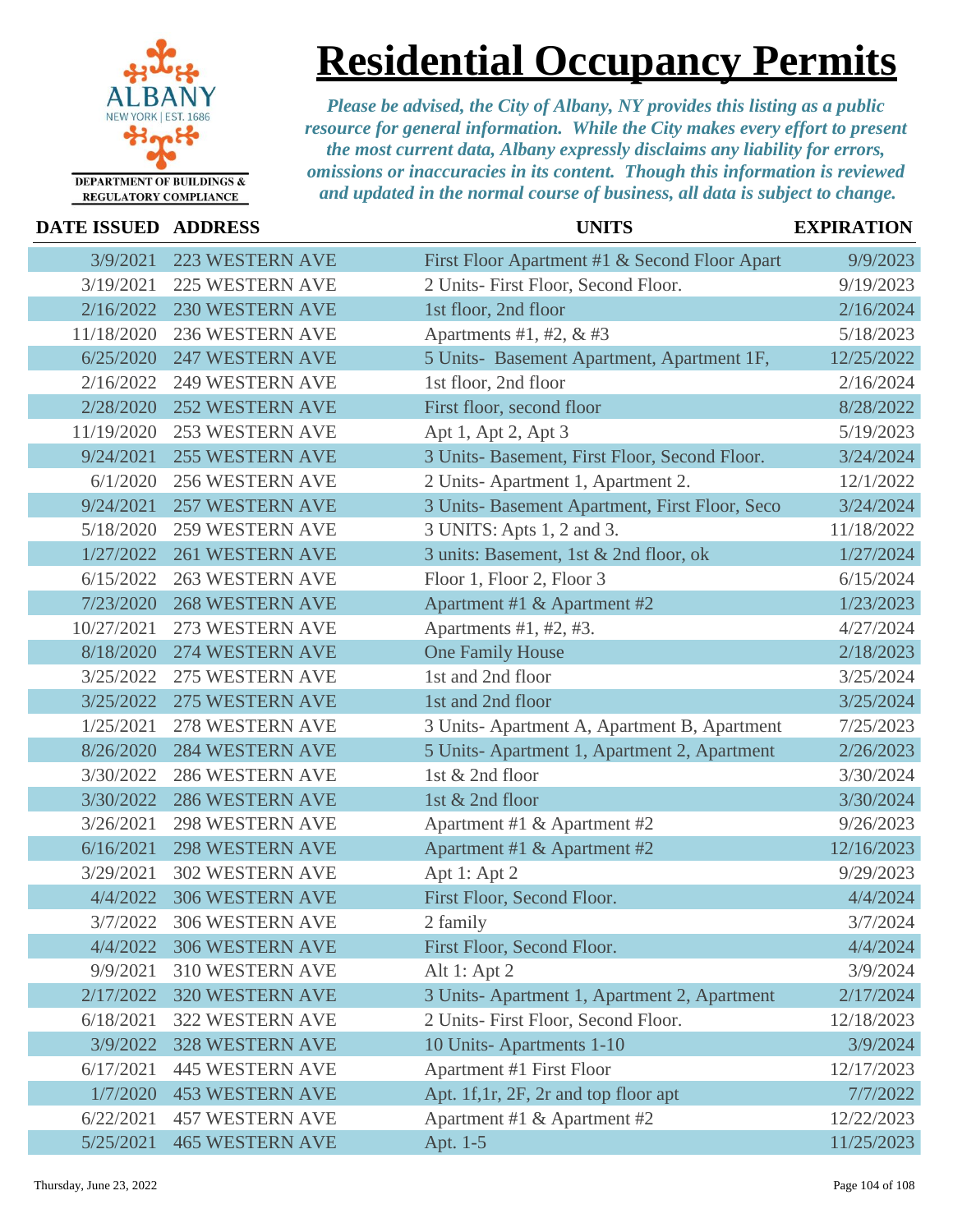

### **Residential Occupancy Permits**

| DATE ISSUED ADDRESS |                        | <b>UNITS</b>                                   | <b>EXPIRATION</b> |
|---------------------|------------------------|------------------------------------------------|-------------------|
| 3/9/2021            | <b>223 WESTERN AVE</b> | First Floor Apartment #1 & Second Floor Apart  | 9/9/2023          |
| 3/19/2021           | <b>225 WESTERN AVE</b> | 2 Units- First Floor, Second Floor.            | 9/19/2023         |
| 2/16/2022           | <b>230 WESTERN AVE</b> | 1st floor, 2nd floor                           | 2/16/2024         |
| 11/18/2020          | 236 WESTERN AVE        | Apartments #1, #2, $&$ #3                      | 5/18/2023         |
| 6/25/2020           | <b>247 WESTERN AVE</b> | 5 Units- Basement Apartment, Apartment 1F,     | 12/25/2022        |
| 2/16/2022           | <b>249 WESTERN AVE</b> | 1st floor, 2nd floor                           | 2/16/2024         |
| 2/28/2020           | <b>252 WESTERN AVE</b> | First floor, second floor                      | 8/28/2022         |
| 11/19/2020          | <b>253 WESTERN AVE</b> | Apt 1, Apt 2, Apt 3                            | 5/19/2023         |
| 9/24/2021           | <b>255 WESTERN AVE</b> | 3 Units- Basement, First Floor, Second Floor.  | 3/24/2024         |
| 6/1/2020            | <b>256 WESTERN AVE</b> | 2 Units-Apartment 1, Apartment 2.              | 12/1/2022         |
| 9/24/2021           | <b>257 WESTERN AVE</b> | 3 Units- Basement Apartment, First Floor, Seco | 3/24/2024         |
| 5/18/2020           | <b>259 WESTERN AVE</b> | 3 UNITS: Apts 1, 2 and 3.                      | 11/18/2022        |
| 1/27/2022           | <b>261 WESTERN AVE</b> | 3 units: Basement, 1st & 2nd floor, ok         | 1/27/2024         |
| 6/15/2022           | <b>263 WESTERN AVE</b> | Floor 1, Floor 2, Floor 3                      | 6/15/2024         |
| 7/23/2020           | <b>268 WESTERN AVE</b> | Apartment #1 & Apartment #2                    | 1/23/2023         |
| 10/27/2021          | 273 WESTERN AVE        | Apartments $#1, #2, #3.$                       | 4/27/2024         |
| 8/18/2020           | 274 WESTERN AVE        | <b>One Family House</b>                        | 2/18/2023         |
| 3/25/2022           | 275 WESTERN AVE        | 1st and 2nd floor                              | 3/25/2024         |
| 3/25/2022           | 275 WESTERN AVE        | 1st and 2nd floor                              | 3/25/2024         |
| 1/25/2021           | 278 WESTERN AVE        | 3 Units-Apartment A, Apartment B, Apartment    | 7/25/2023         |
| 8/26/2020           | <b>284 WESTERN AVE</b> | 5 Units-Apartment 1, Apartment 2, Apartment    | 2/26/2023         |
| 3/30/2022           | <b>286 WESTERN AVE</b> | 1st & 2nd floor                                | 3/30/2024         |
| 3/30/2022           | <b>286 WESTERN AVE</b> | 1st & 2nd floor                                | 3/30/2024         |
| 3/26/2021           | <b>298 WESTERN AVE</b> | Apartment #1 & Apartment #2                    | 9/26/2023         |
| 6/16/2021           | <b>298 WESTERN AVE</b> | Apartment #1 & Apartment #2                    | 12/16/2023        |
| 3/29/2021           | <b>302 WESTERN AVE</b> | Apt 1: Apt 2                                   | 9/29/2023         |
| 4/4/2022            | 306 WESTERN AVE        | First Floor, Second Floor.                     | 4/4/2024          |
| 3/7/2022            | 306 WESTERN AVE        | 2 family                                       | 3/7/2024          |
| 4/4/2022            | <b>306 WESTERN AVE</b> | First Floor, Second Floor.                     | 4/4/2024          |
| 9/9/2021            | 310 WESTERN AVE        | Alt 1: Apt 2                                   | 3/9/2024          |
| 2/17/2022           | <b>320 WESTERN AVE</b> | 3 Units-Apartment 1, Apartment 2, Apartment    | 2/17/2024         |
| 6/18/2021           | 322 WESTERN AVE        | 2 Units- First Floor, Second Floor.            | 12/18/2023        |
| 3/9/2022            | <b>328 WESTERN AVE</b> | 10 Units-Apartments 1-10                       | 3/9/2024          |
| 6/17/2021           | <b>445 WESTERN AVE</b> | Apartment #1 First Floor                       | 12/17/2023        |
| 1/7/2020            | <b>453 WESTERN AVE</b> | Apt. 1f, 1r, 2F, 2r and top floor apt          | 7/7/2022          |
| 6/22/2021           | <b>457 WESTERN AVE</b> | Apartment #1 & Apartment #2                    | 12/22/2023        |
| 5/25/2021           | <b>465 WESTERN AVE</b> | Apt. 1-5                                       | 11/25/2023        |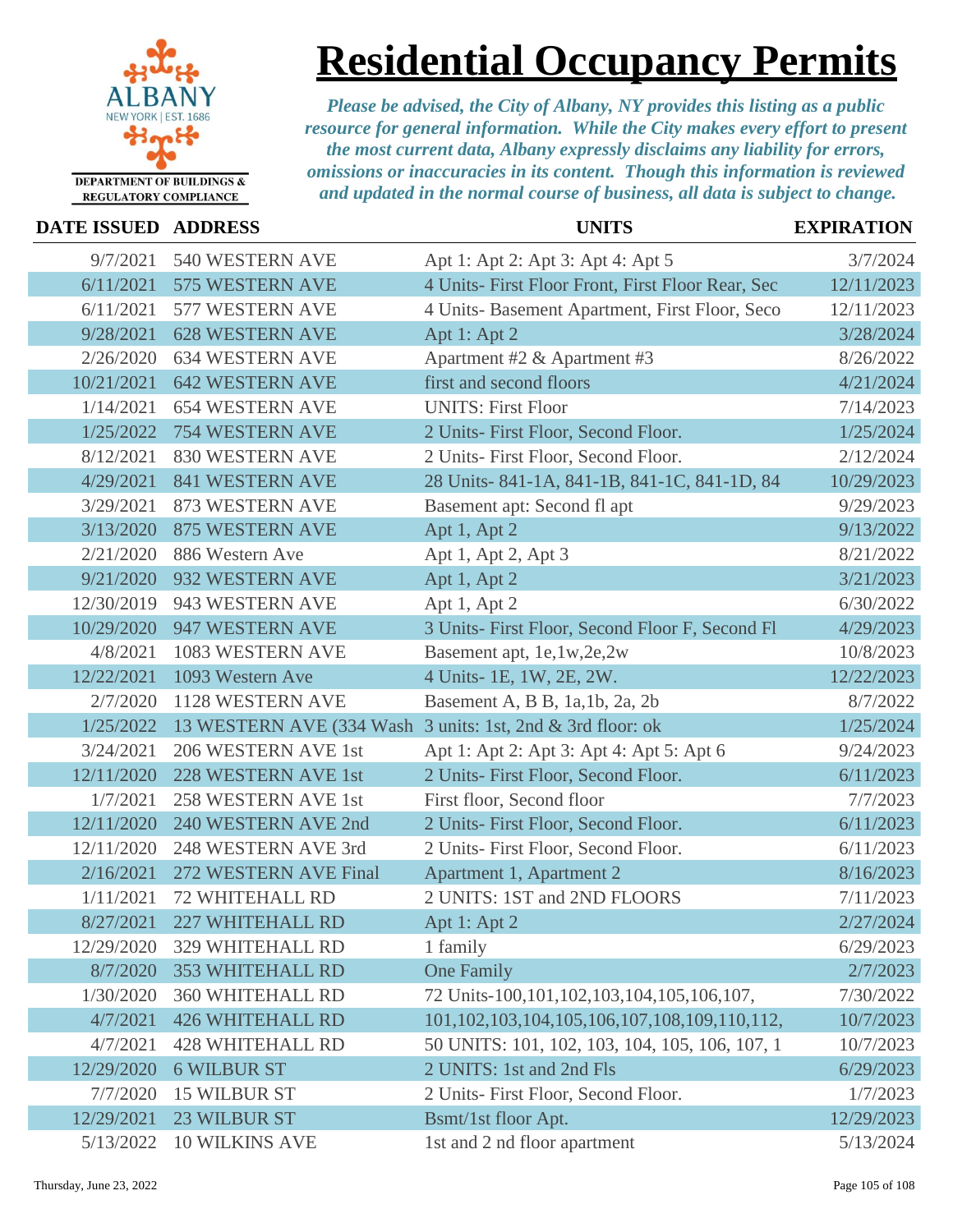

### **Residential Occupancy Permits**

| DATE ISSUED ADDRESS |                                                            | <b>UNITS</b>                                           | <b>EXPIRATION</b> |
|---------------------|------------------------------------------------------------|--------------------------------------------------------|-------------------|
| 9/7/2021            | 540 WESTERN AVE                                            | Apt 1: Apt 2: Apt 3: Apt 4: Apt 5                      | 3/7/2024          |
| 6/11/2021           | 575 WESTERN AVE                                            | 4 Units- First Floor Front, First Floor Rear, Sec      | 12/11/2023        |
| 6/11/2021           | 577 WESTERN AVE                                            | 4 Units- Basement Apartment, First Floor, Seco         | 12/11/2023        |
| 9/28/2021           | <b>628 WESTERN AVE</b>                                     | Apt 1: Apt 2                                           | 3/28/2024         |
| 2/26/2020           | <b>634 WESTERN AVE</b>                                     | Apartment #2 & Apartment #3                            | 8/26/2022         |
| 10/21/2021          | <b>642 WESTERN AVE</b>                                     | first and second floors                                | 4/21/2024         |
| 1/14/2021           | <b>654 WESTERN AVE</b>                                     | <b>UNITS: First Floor</b>                              | 7/14/2023         |
| 1/25/2022           | <b>754 WESTERN AVE</b>                                     | 2 Units- First Floor, Second Floor.                    | 1/25/2024         |
| 8/12/2021           | 830 WESTERN AVE                                            | 2 Units- First Floor, Second Floor.                    | 2/12/2024         |
| 4/29/2021           | 841 WESTERN AVE                                            | 28 Units-841-1A, 841-1B, 841-1C, 841-1D, 84            | 10/29/2023        |
| 3/29/2021           | 873 WESTERN AVE                                            | Basement apt: Second fl apt                            | 9/29/2023         |
| 3/13/2020           | <b>875 WESTERN AVE</b>                                     | Apt 1, Apt 2                                           | 9/13/2022         |
| 2/21/2020           | 886 Western Ave                                            | Apt 1, Apt 2, Apt 3                                    | 8/21/2022         |
| 9/21/2020           | 932 WESTERN AVE                                            | Apt 1, Apt 2                                           | 3/21/2023         |
| 12/30/2019          | 943 WESTERN AVE                                            | Apt 1, Apt 2                                           | 6/30/2022         |
| 10/29/2020          | 947 WESTERN AVE                                            | 3 Units- First Floor, Second Floor F, Second Fl        | 4/29/2023         |
| 4/8/2021            | 1083 WESTERN AVE                                           | Basement apt, 1e,1w,2e,2w                              | 10/8/2023         |
| 12/22/2021          | 1093 Western Ave                                           | 4 Units- 1E, 1W, 2E, 2W.                               | 12/22/2023        |
| 2/7/2020            | 1128 WESTERN AVE                                           | Basement A, B B, 1a, 1b, 2a, 2b                        | 8/7/2022          |
| 1/25/2022           | 13 WESTERN AVE (334 Wash 3 units: 1st, 2nd & 3rd floor: ok |                                                        | 1/25/2024         |
| 3/24/2021           | 206 WESTERN AVE 1st                                        | Apt 1: Apt 2: Apt 3: Apt 4: Apt 5: Apt 6               | 9/24/2023         |
| 12/11/2020          | 228 WESTERN AVE 1st                                        | 2 Units- First Floor, Second Floor.                    | 6/11/2023         |
| 1/7/2021            | 258 WESTERN AVE 1st                                        | First floor, Second floor                              | 7/7/2023          |
| 12/11/2020          | 240 WESTERN AVE 2nd                                        | 2 Units- First Floor, Second Floor.                    | 6/11/2023         |
| 12/11/2020          | 248 WESTERN AVE 3rd                                        | 2 Units- First Floor, Second Floor.                    | 6/11/2023         |
| 2/16/2021           | 272 WESTERN AVE Final                                      | Apartment 1, Apartment 2                               | 8/16/2023         |
| 1/11/2021           | <b>72 WHITEHALL RD</b>                                     | 2 UNITS: 1ST and 2ND FLOORS                            | 7/11/2023         |
|                     | 8/27/2021 227 WHITEHALL RD                                 | Apt 1: Apt 2                                           | 2/27/2024         |
| 12/29/2020          | 329 WHITEHALL RD                                           | 1 family                                               | 6/29/2023         |
| 8/7/2020            | 353 WHITEHALL RD                                           | <b>One Family</b>                                      | 2/7/2023          |
| 1/30/2020           | <b>360 WHITEHALL RD</b>                                    | 72 Units-100,101,102,103,104,105,106,107,              | 7/30/2022         |
| 4/7/2021            | <b>426 WHITEHALL RD</b>                                    | 101, 102, 103, 104, 105, 106, 107, 108, 109, 110, 112, | 10/7/2023         |
| 4/7/2021            | <b>428 WHITEHALL RD</b>                                    | 50 UNITS: 101, 102, 103, 104, 105, 106, 107, 1         | 10/7/2023         |
| 12/29/2020          | <b>6 WILBUR ST</b>                                         | 2 UNITS: 1st and 2nd Fls                               | 6/29/2023         |
| 7/7/2020            | <b>15 WILBUR ST</b>                                        | 2 Units- First Floor, Second Floor.                    | 1/7/2023          |
| 12/29/2021          | 23 WILBUR ST                                               | Bsmt/1st floor Apt.                                    | 12/29/2023        |
| 5/13/2022           | <b>10 WILKINS AVE</b>                                      | 1st and 2 nd floor apartment                           | 5/13/2024         |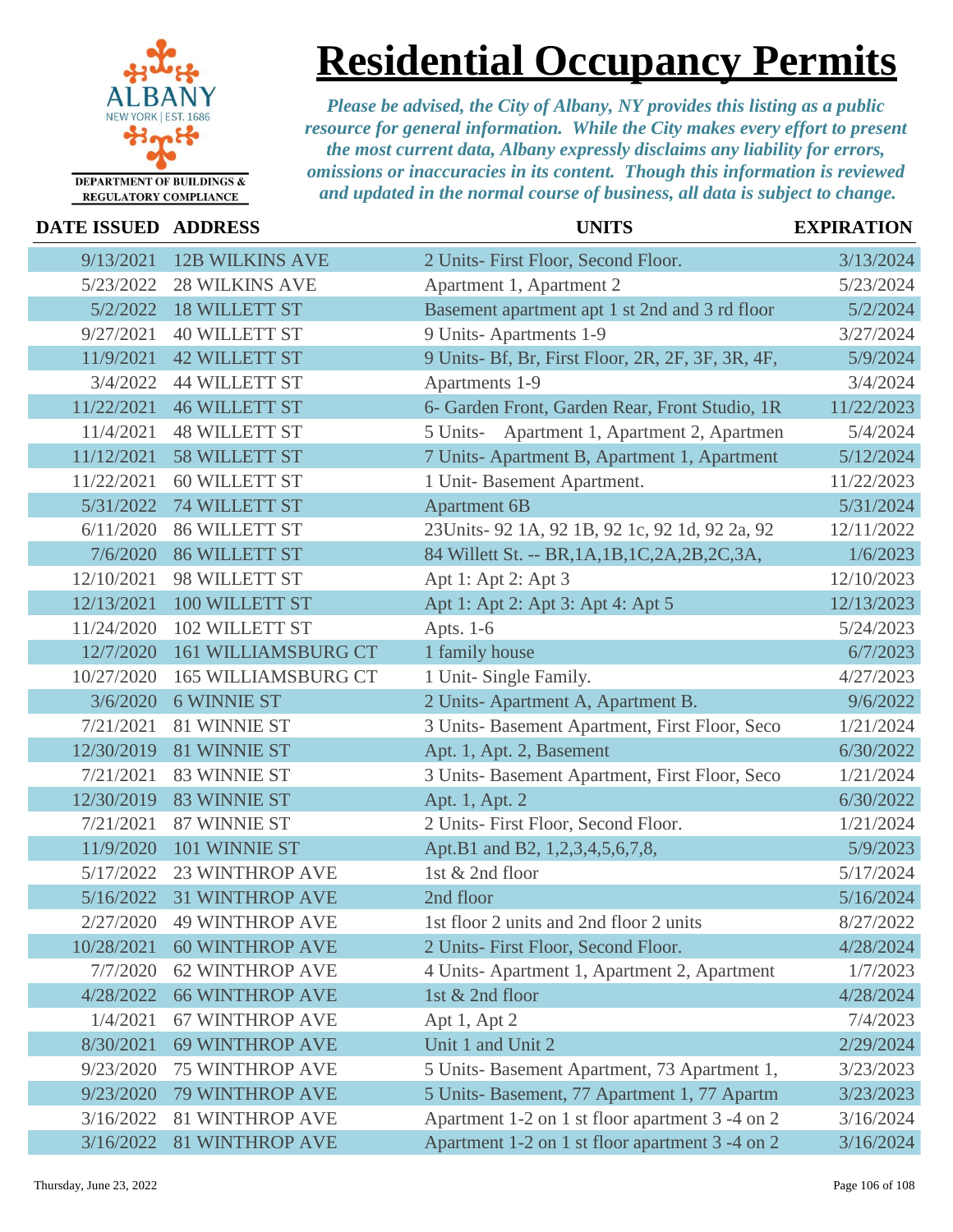

### **Residential Occupancy Permits**

| DATE ISSUED ADDRESS |                            | <b>UNITS</b>                                      | <b>EXPIRATION</b> |
|---------------------|----------------------------|---------------------------------------------------|-------------------|
| 9/13/2021           | <b>12B WILKINS AVE</b>     | 2 Units- First Floor, Second Floor.               | 3/13/2024         |
| 5/23/2022           | <b>28 WILKINS AVE</b>      | Apartment 1, Apartment 2                          | 5/23/2024         |
| 5/2/2022            | <b>18 WILLETT ST</b>       | Basement apartment apt 1 st 2nd and 3 rd floor    | 5/2/2024          |
| 9/27/2021           | <b>40 WILLETT ST</b>       | 9 Units-Apartments 1-9                            | 3/27/2024         |
| 11/9/2021           | <b>42 WILLETT ST</b>       | 9 Units- Bf, Br, First Floor, 2R, 2F, 3F, 3R, 4F, | 5/9/2024          |
| 3/4/2022            | <b>44 WILLETT ST</b>       | Apartments 1-9                                    | 3/4/2024          |
| 11/22/2021          | <b>46 WILLETT ST</b>       | 6- Garden Front, Garden Rear, Front Studio, 1R    | 11/22/2023        |
| 11/4/2021           | <b>48 WILLETT ST</b>       | Apartment 1, Apartment 2, Apartmen<br>5 Units-    | 5/4/2024          |
| 11/12/2021          | <b>58 WILLETT ST</b>       | 7 Units- Apartment B, Apartment 1, Apartment      | 5/12/2024         |
| 11/22/2021          | <b>60 WILLETT ST</b>       | 1 Unit-Basement Apartment.                        | 11/22/2023        |
| 5/31/2022           | <b>74 WILLETT ST</b>       | <b>Apartment 6B</b>                               | 5/31/2024         |
| 6/11/2020           | <b>86 WILLETT ST</b>       | 23Units-92 1A, 92 1B, 92 1c, 92 1d, 92 2a, 92     | 12/11/2022        |
| 7/6/2020            | <b>86 WILLETT ST</b>       | 84 Willett St. -- BR, 1A, 1B, 1C, 2A, 2B, 2C, 3A, | 1/6/2023          |
| 12/10/2021          | 98 WILLETT ST              | Apt 1: Apt 2: Apt 3                               | 12/10/2023        |
| 12/13/2021          | 100 WILLETT ST             | Apt 1: Apt 2: Apt 3: Apt 4: Apt 5                 | 12/13/2023        |
| 11/24/2020          | 102 WILLETT ST             | Apts. 1-6                                         | 5/24/2023         |
| 12/7/2020           | <b>161 WILLIAMSBURG CT</b> | 1 family house                                    | 6/7/2023          |
| 10/27/2020          | <b>165 WILLIAMSBURG CT</b> | 1 Unit- Single Family.                            | 4/27/2023         |
| 3/6/2020            | <b>6 WINNIE ST</b>         | 2 Units-Apartment A, Apartment B.                 | 9/6/2022          |
| 7/21/2021           | 81 WINNIE ST               | 3 Units- Basement Apartment, First Floor, Seco    | 1/21/2024         |
| 12/30/2019          | 81 WINNIE ST               | Apt. 1, Apt. 2, Basement                          | 6/30/2022         |
| 7/21/2021           | 83 WINNIE ST               | 3 Units- Basement Apartment, First Floor, Seco    | 1/21/2024         |
| 12/30/2019          | 83 WINNIE ST               | Apt. 1, Apt. 2                                    | 6/30/2022         |
| 7/21/2021           | 87 WINNIE ST               | 2 Units- First Floor, Second Floor.               | 1/21/2024         |
| 11/9/2020           | 101 WINNIE ST              | Apt.B1 and B2, 1,2,3,4,5,6,7,8,                   | 5/9/2023          |
| 5/17/2022           | <b>23 WINTHROP AVE</b>     | 1st & 2nd floor                                   | 5/17/2024         |
| 5/16/2022           | <b>31 WINTHROP AVE</b>     | 2nd floor                                         | 5/16/2024         |
| 2/27/2020           | <b>49 WINTHROP AVE</b>     | 1st floor 2 units and 2nd floor 2 units           | 8/27/2022         |
| 10/28/2021          | <b>60 WINTHROP AVE</b>     | 2 Units- First Floor, Second Floor.               | 4/28/2024         |
| 7/7/2020            | <b>62 WINTHROP AVE</b>     | 4 Units-Apartment 1, Apartment 2, Apartment       | 1/7/2023          |
| 4/28/2022           | <b>66 WINTHROP AVE</b>     | 1st & 2nd floor                                   | 4/28/2024         |
| 1/4/2021            | <b>67 WINTHROP AVE</b>     | Apt 1, Apt 2                                      | 7/4/2023          |
| 8/30/2021           | <b>69 WINTHROP AVE</b>     | Unit 1 and Unit 2                                 | 2/29/2024         |
| 9/23/2020           | <b>75 WINTHROP AVE</b>     | 5 Units- Basement Apartment, 73 Apartment 1,      | 3/23/2023         |
| 9/23/2020           | <b>79 WINTHROP AVE</b>     | 5 Units- Basement, 77 Apartment 1, 77 Apartm      | 3/23/2023         |
| 3/16/2022           | <b>81 WINTHROP AVE</b>     | Apartment 1-2 on 1 st floor apartment 3 -4 on 2   | 3/16/2024         |
| 3/16/2022           | <b>81 WINTHROP AVE</b>     | Apartment 1-2 on 1 st floor apartment 3 -4 on 2   | 3/16/2024         |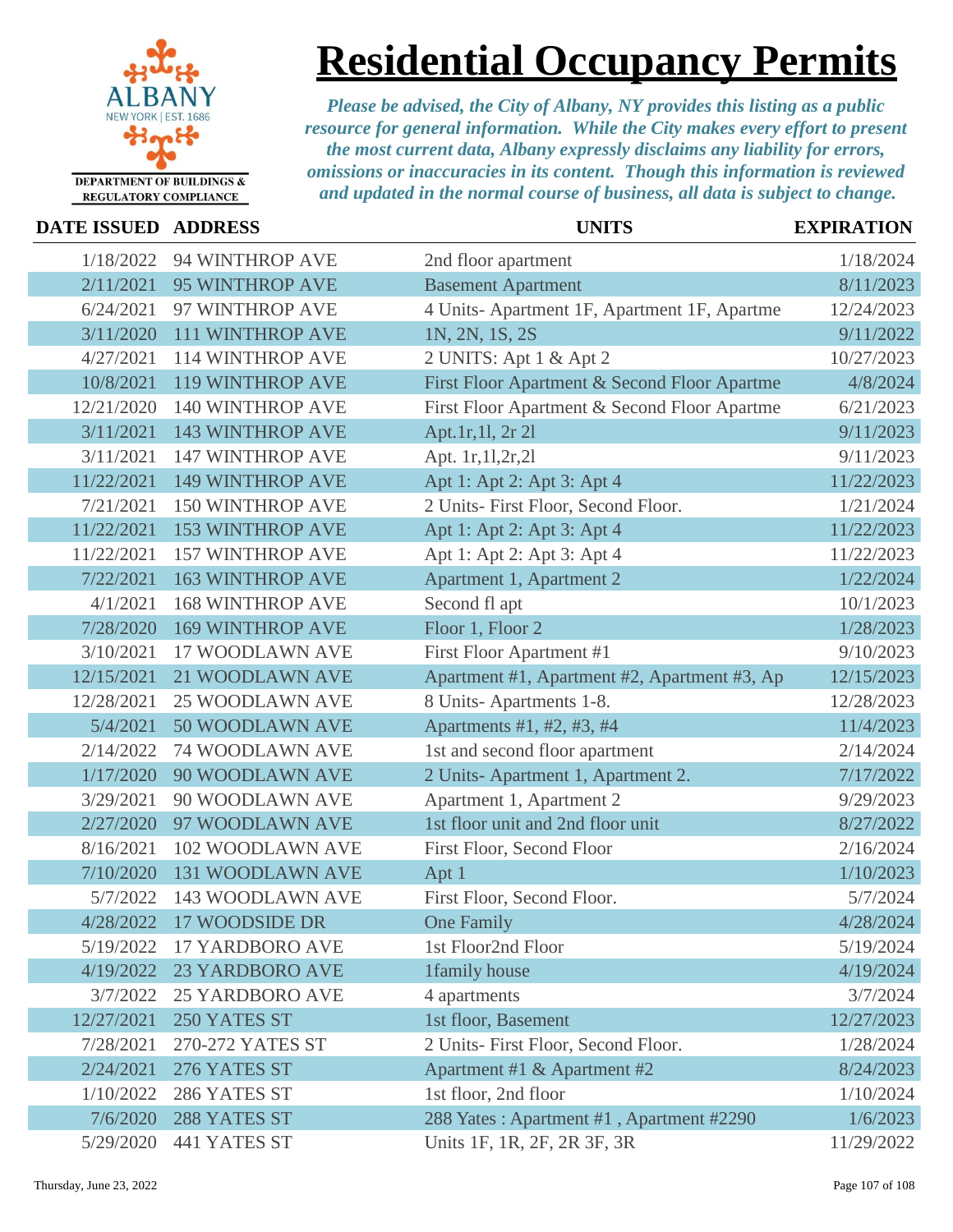

### **Residential Occupancy Permits**

| <b>DATE ISSUED ADDRESS</b> |                          | <b>UNITS</b>                                 | <b>EXPIRATION</b> |
|----------------------------|--------------------------|----------------------------------------------|-------------------|
| 1/18/2022                  | 94 WINTHROP AVE          | 2nd floor apartment                          | 1/18/2024         |
| 2/11/2021                  | 95 WINTHROP AVE          | <b>Basement Apartment</b>                    | 8/11/2023         |
| 6/24/2021                  | 97 WINTHROP AVE          | 4 Units- Apartment 1F, Apartment 1F, Apartme | 12/24/2023        |
| 3/11/2020                  | <b>111 WINTHROP AVE</b>  | 1N, 2N, 1S, 2S                               | 9/11/2022         |
| 4/27/2021                  | 114 WINTHROP AVE         | 2 UNITS: Apt 1 & Apt 2                       | 10/27/2023        |
| 10/8/2021                  | <b>119 WINTHROP AVE</b>  | First Floor Apartment & Second Floor Apartme | 4/8/2024          |
| 12/21/2020                 | <b>140 WINTHROP AVE</b>  | First Floor Apartment & Second Floor Apartme | 6/21/2023         |
| 3/11/2021                  | <b>143 WINTHROP AVE</b>  | Apt.1r,11, 2r 2l                             | 9/11/2023         |
| 3/11/2021                  | <b>147 WINTHROP AVE</b>  | Apt. 1r, 11, 2r, 21                          | 9/11/2023         |
| 11/22/2021                 | <b>149 WINTHROP AVE</b>  | Apt 1: Apt 2: Apt 3: Apt 4                   | 11/22/2023        |
| 7/21/2021                  | <b>150 WINTHROP AVE</b>  | 2 Units- First Floor, Second Floor.          | 1/21/2024         |
| 11/22/2021                 | <b>153 WINTHROP AVE</b>  | Apt 1: Apt 2: Apt 3: Apt 4                   | 11/22/2023        |
| 11/22/2021                 | <b>157 WINTHROP AVE</b>  | Apt 1: Apt 2: Apt 3: Apt 4                   | 11/22/2023        |
| 7/22/2021                  | <b>163 WINTHROP AVE</b>  | Apartment 1, Apartment 2                     | 1/22/2024         |
| 4/1/2021                   | <b>168 WINTHROP AVE</b>  | Second fl apt                                | 10/1/2023         |
| 7/28/2020                  | <b>169 WINTHROP AVE</b>  | Floor 1, Floor 2                             | 1/28/2023         |
| 3/10/2021                  | 17 WOODLAWN AVE          | First Floor Apartment #1                     | 9/10/2023         |
| 12/15/2021                 | 21 WOODLAWN AVE          | Apartment #1, Apartment #2, Apartment #3, Ap | 12/15/2023        |
| 12/28/2021                 | <b>25 WOODLAWN AVE</b>   | 8 Units-Apartments 1-8.                      | 12/28/2023        |
| 5/4/2021                   | 50 WOODLAWN AVE          | Apartments #1, #2, #3, #4                    | 11/4/2023         |
| 2/14/2022                  | 74 WOODLAWN AVE          | 1st and second floor apartment               | 2/14/2024         |
| 1/17/2020                  | 90 WOODLAWN AVE          | 2 Units-Apartment 1, Apartment 2.            | 7/17/2022         |
| 3/29/2021                  | 90 WOODLAWN AVE          | Apartment 1, Apartment 2                     | 9/29/2023         |
| 2/27/2020                  | 97 WOODLAWN AVE          | 1st floor unit and 2nd floor unit            | 8/27/2022         |
| 8/16/2021                  | 102 WOODLAWN AVE         | First Floor, Second Floor                    | 2/16/2024         |
| 7/10/2020                  | <b>131 WOODLAWN AVE</b>  | Apt 1                                        | 1/10/2023         |
| 5/7/2022                   | 143 WOODLAWN AVE         | First Floor, Second Floor.                   | 5/7/2024          |
|                            | 4/28/2022 17 WOODSIDE DR | One Family                                   | 4/28/2024         |
| 5/19/2022                  | <b>17 YARDBORO AVE</b>   | 1st Floor2nd Floor                           | 5/19/2024         |
| 4/19/2022                  | <b>23 YARDBORO AVE</b>   | 1family house                                | 4/19/2024         |
| 3/7/2022                   | <b>25 YARDBORO AVE</b>   | 4 apartments                                 | 3/7/2024          |
| 12/27/2021                 | 250 YATES ST             | 1st floor, Basement                          | 12/27/2023        |
| 7/28/2021                  | 270-272 YATES ST         | 2 Units- First Floor, Second Floor.          | 1/28/2024         |
| 2/24/2021                  | 276 YATES ST             | Apartment #1 & Apartment #2                  | 8/24/2023         |
| 1/10/2022                  | 286 YATES ST             | 1st floor, 2nd floor                         | 1/10/2024         |
| 7/6/2020                   | 288 YATES ST             | 288 Yates: Apartment #1, Apartment #2290     | 1/6/2023          |
| 5/29/2020                  | 441 YATES ST             | Units 1F, 1R, 2F, 2R 3F, 3R                  | 11/29/2022        |